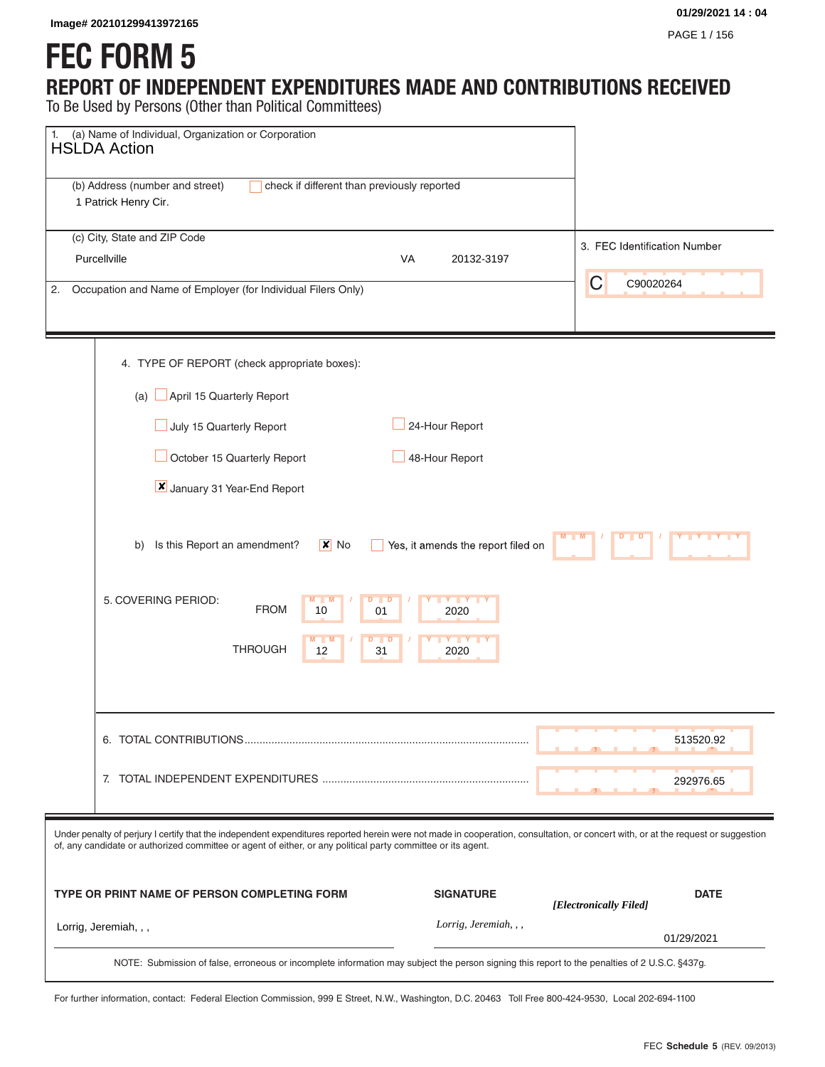# **FEC FORM 5**

## **REPORT OF INDEPENDENT EXPENDITURES MADE AND CONTRIBUTIONS RECEIVED**

| Image# 202101299413972165                                                                                                                                                                                                                                                                         |                                    | 01/29/2021 14:04<br>PAGE 1 / 156      |
|---------------------------------------------------------------------------------------------------------------------------------------------------------------------------------------------------------------------------------------------------------------------------------------------------|------------------------------------|---------------------------------------|
| <b>FEC FORM 5</b>                                                                                                                                                                                                                                                                                 |                                    |                                       |
| REPORT OF INDEPENDENT EXPENDITURES MADE AND CONTRIBUTIONS RECEIVED<br>To Be Used by Persons (Other than Political Committees)                                                                                                                                                                     |                                    |                                       |
| (a) Name of Individual, Organization or Corporation<br>1.<br><b>HSLDA Action</b>                                                                                                                                                                                                                  |                                    |                                       |
| (b) Address (number and street)<br>check if different than previously reported<br>1 Patrick Henry Cir.                                                                                                                                                                                            |                                    |                                       |
| (c) City, State and ZIP Code                                                                                                                                                                                                                                                                      |                                    |                                       |
| Purcellville                                                                                                                                                                                                                                                                                      | VA<br>20132-3197                   | 3. FEC Identification Number          |
| Occupation and Name of Employer (for Individual Filers Only)<br>2.                                                                                                                                                                                                                                |                                    | C<br>C90020264                        |
| 4. TYPE OF REPORT (check appropriate boxes):                                                                                                                                                                                                                                                      |                                    |                                       |
| April 15 Quarterly Report<br>$(a)$ l                                                                                                                                                                                                                                                              |                                    |                                       |
| July 15 Quarterly Report                                                                                                                                                                                                                                                                          | 24-Hour Report                     |                                       |
| October 15 Quarterly Report                                                                                                                                                                                                                                                                       | 48-Hour Report                     |                                       |
| January 31 Year-End Report                                                                                                                                                                                                                                                                        |                                    |                                       |
| Is this Report an amendment?<br>$\mathsf{X}$ No<br>b)                                                                                                                                                                                                                                             | Yes, it amends the report filed on |                                       |
| 5. COVERING PERIOD:<br>$M$ $M$<br>D D<br><b>FROM</b><br>10<br>01                                                                                                                                                                                                                                  | Y Y Y Y Y<br>2020                  |                                       |
| <b>THROUGH</b><br>12<br>31                                                                                                                                                                                                                                                                        | Y I Y<br>2020                      |                                       |
|                                                                                                                                                                                                                                                                                                   |                                    |                                       |
|                                                                                                                                                                                                                                                                                                   |                                    | 513520.92                             |
|                                                                                                                                                                                                                                                                                                   |                                    | 292976.65                             |
| Under penalty of perjury I certify that the independent expenditures reported herein were not made in cooperation, consultation, or concert with, or at the request or suggestion<br>of, any candidate or authorized committee or agent of either, or any political party committee or its agent. |                                    |                                       |
| TYPE OR PRINT NAME OF PERSON COMPLETING FORM                                                                                                                                                                                                                                                      | <b>SIGNATURE</b>                   | <b>DATE</b><br>[Electronically Filed] |
| Lorrig, Jeremiah, , ,                                                                                                                                                                                                                                                                             | Lorrig, Jeremiah, , ,              | 01/29/2021                            |
| NOTE: Submission of false, erroneous or incomplete information may subject the person signing this report to the penalties of 2 U.S.C. §437g.                                                                                                                                                     |                                    |                                       |

For further information, contact: Federal Election Commission, 999 E Street, N.W., Washington, D.C. 20463 Toll Free 800-424-9530, Local 202-694-1100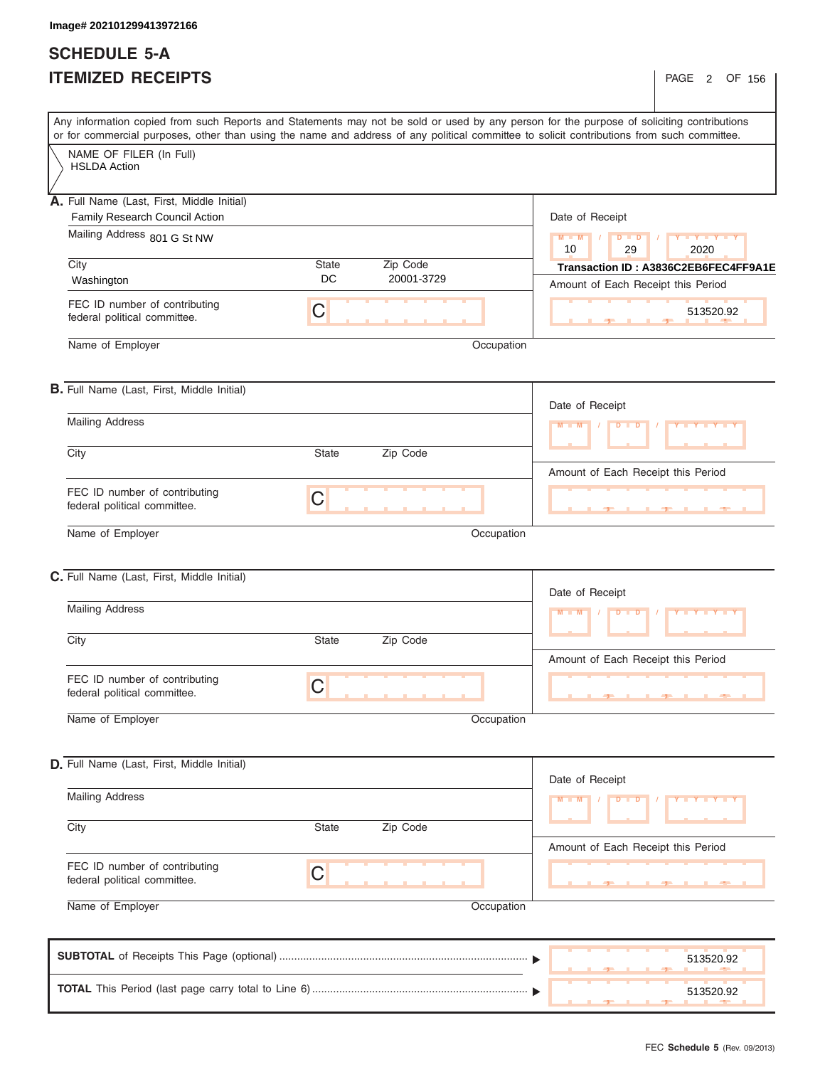## **SCHEDULE 5-A ITEMIZED RECEIPTS**

|                                                               | Any information copied from such Reports and Statements may not be sold or used by any person for the purpose of soliciting contributions<br>or for commercial purposes, other than using the name and address of any political committee to solicit contributions from such committee. |                                                                     |
|---------------------------------------------------------------|-----------------------------------------------------------------------------------------------------------------------------------------------------------------------------------------------------------------------------------------------------------------------------------------|---------------------------------------------------------------------|
| NAME OF FILER (In Full)                                       |                                                                                                                                                                                                                                                                                         |                                                                     |
| <b>HSLDA Action</b>                                           |                                                                                                                                                                                                                                                                                         |                                                                     |
| Full Name (Last, First, Middle Initial)<br>Α.                 |                                                                                                                                                                                                                                                                                         |                                                                     |
| Family Research Council Action                                |                                                                                                                                                                                                                                                                                         | Date of Receipt                                                     |
| Mailing Address 801 G St NW                                   |                                                                                                                                                                                                                                                                                         | Y Y Y Y Y Y<br>$M = M$<br>$\sqrt{ }$<br>$D$ $D$<br>10<br>29<br>2020 |
| City                                                          | Zip Code<br>State                                                                                                                                                                                                                                                                       | Transaction ID: A3836C2EB6FEC4FF9A1E                                |
| Washington                                                    | DC<br>20001-3729                                                                                                                                                                                                                                                                        | Amount of Each Receipt this Period                                  |
| FEC ID number of contributing<br>federal political committee. | C                                                                                                                                                                                                                                                                                       | 513520.92                                                           |
| Name of Employer                                              | Occupation                                                                                                                                                                                                                                                                              |                                                                     |
| B. Full Name (Last, First, Middle Initial)                    |                                                                                                                                                                                                                                                                                         |                                                                     |
| <b>Mailing Address</b>                                        |                                                                                                                                                                                                                                                                                         | Date of Receipt                                                     |
|                                                               |                                                                                                                                                                                                                                                                                         | $M$ $M$<br><b>D</b> D<br>Y Y Y Y Y Y                                |
| City                                                          | Zip Code<br><b>State</b>                                                                                                                                                                                                                                                                |                                                                     |
|                                                               |                                                                                                                                                                                                                                                                                         | Amount of Each Receipt this Period                                  |
| FEC ID number of contributing<br>federal political committee. | C                                                                                                                                                                                                                                                                                       | <u> 14 Jean 14 Jean 14 Jea</u>                                      |
| Name of Employer                                              | Occupation                                                                                                                                                                                                                                                                              |                                                                     |
|                                                               |                                                                                                                                                                                                                                                                                         |                                                                     |
| C. Full Name (Last, First, Middle Initial)                    |                                                                                                                                                                                                                                                                                         |                                                                     |
| <b>Mailing Address</b>                                        |                                                                                                                                                                                                                                                                                         | Date of Receipt                                                     |
|                                                               |                                                                                                                                                                                                                                                                                         | $M = M$<br>$D$ $D$<br><b>Y Y Y</b>                                  |
| City                                                          | Zip Code<br><b>State</b>                                                                                                                                                                                                                                                                |                                                                     |
|                                                               |                                                                                                                                                                                                                                                                                         | Amount of Each Receipt this Period                                  |
| FEC ID number of contributing<br>federal political committee. | С                                                                                                                                                                                                                                                                                       | $-7-$<br>-90                                                        |
| Name of Employer                                              | Occupation                                                                                                                                                                                                                                                                              |                                                                     |
|                                                               |                                                                                                                                                                                                                                                                                         |                                                                     |
| D. Full Name (Last, First, Middle Initial)                    |                                                                                                                                                                                                                                                                                         |                                                                     |
| <b>Mailing Address</b>                                        |                                                                                                                                                                                                                                                                                         | Date of Receipt                                                     |
|                                                               |                                                                                                                                                                                                                                                                                         | $M - M$<br>$D$ $D$<br>Y Y Y Y T                                     |
| City                                                          | Zip Code<br><b>State</b>                                                                                                                                                                                                                                                                |                                                                     |
|                                                               |                                                                                                                                                                                                                                                                                         | Amount of Each Receipt this Period                                  |
| FEC ID number of contributing<br>federal political committee. | С                                                                                                                                                                                                                                                                                       |                                                                     |
| Name of Employer                                              | Occupation                                                                                                                                                                                                                                                                              |                                                                     |
|                                                               |                                                                                                                                                                                                                                                                                         | 513520.92                                                           |
|                                                               |                                                                                                                                                                                                                                                                                         |                                                                     |
|                                                               |                                                                                                                                                                                                                                                                                         | 513520.92                                                           |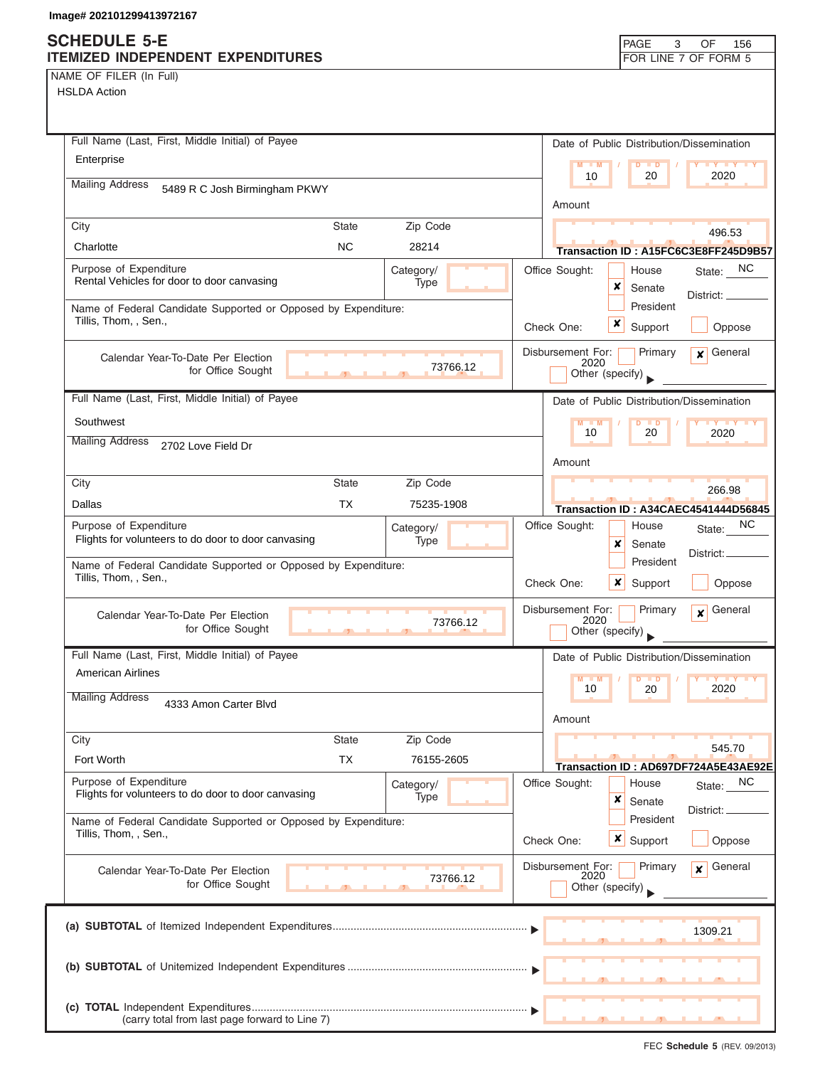### **SCHEDULE 5-E ITEMIZED INDEPENDENT EXPENDITURES FOR LINE 7 OF FORM 5**

| NAME OF FILER (In Full) |  |  |  |  |
|-------------------------|--|--|--|--|
|-------------------------|--|--|--|--|

| Full Name (Last, First, Middle Initial) of Payee                                           | Date of Public Distribution/Dissemination                              |
|--------------------------------------------------------------------------------------------|------------------------------------------------------------------------|
| Enterprise                                                                                 | $M = M$<br>$D$ $D$<br><b>TY TY TY</b><br>2020<br>10<br>20              |
| <b>Mailing Address</b><br>5489 R C Josh Birmingham PKWY                                    |                                                                        |
|                                                                                            | Amount                                                                 |
| Zip Code<br>City<br><b>State</b>                                                           | 496.53                                                                 |
| <b>NC</b><br>Charlotte<br>28214                                                            | Transaction ID : A15FC6C3E8FF245D9B57                                  |
| Purpose of Expenditure<br>Category/                                                        | Office Sought:<br>State: NC<br>House                                   |
| Rental Vehicles for door to door canvasing<br>Type                                         | ×<br>Senate<br>District: ____                                          |
| Name of Federal Candidate Supported or Opposed by Expenditure:                             | President                                                              |
| Tillis, Thom, , Sen.,                                                                      | x<br>Support<br>Check One:<br>Oppose                                   |
| Calendar Year-To-Date Per Election                                                         | Disbursement For:<br>General<br>Primary<br>$\boldsymbol{x}$            |
| 73766.12<br>for Office Sought<br>$\overline{1}$                                            | 2020<br>Other (specify)                                                |
| Full Name (Last, First, Middle Initial) of Payee                                           | Date of Public Distribution/Dissemination                              |
| Southwest                                                                                  | $M - M$<br>$D$ $D$<br>$Y$ $Y$                                          |
| <b>Mailing Address</b>                                                                     | 10<br>20<br>2020                                                       |
| 2702 Love Field Dr                                                                         | Amount                                                                 |
| Zip Code<br>City<br><b>State</b>                                                           |                                                                        |
| <b>TX</b><br>Dallas<br>75235-1908                                                          | 266.98                                                                 |
| Purpose of Expenditure                                                                     | Transaction ID: A34CAEC4541444D56845<br>NC.<br>Office Sought:<br>House |
| Category/<br>Flights for volunteers to do door to door canvasing<br>Type                   | State:<br>x<br>Senate                                                  |
| Name of Federal Candidate Supported or Opposed by Expenditure:                             | District: _<br>President                                               |
| Tillis, Thom, , Sen.,                                                                      | Check One:<br>$\mathsf{x}$<br>Oppose<br>Support                        |
|                                                                                            | Disbursement For:<br>Primary<br>General                                |
| Calendar Year-To-Date Per Election<br>73766.12<br>for Office Sought                        | $\mathbf{x}$<br>2020                                                   |
|                                                                                            | Other (specify)                                                        |
| Full Name (Last, First, Middle Initial) of Payee                                           | Date of Public Distribution/Dissemination                              |
| <b>American Airlines</b>                                                                   | $M - M$<br>$\blacksquare$<br>D<br>10<br>2020<br>20                     |
| <b>Mailing Address</b><br>4333 Amon Carter Blvd                                            |                                                                        |
|                                                                                            | Amount                                                                 |
| City<br><b>State</b><br>Zip Code                                                           | 545.70                                                                 |
| <b>TX</b><br>Fort Worth<br>76155-2605                                                      | Transaction ID: AD697DF724A5E43AE92E                                   |
| Purpose of Expenditure<br>Category/<br>Flights for volunteers to do door to door canvasing | Office Sought:<br>NC<br>House<br>State:                                |
| Type                                                                                       | ×<br>Senate<br>District:                                               |
| Name of Federal Candidate Supported or Opposed by Expenditure:<br>Tillis, Thom, , Sen.,    | President                                                              |
|                                                                                            | Check One:<br>x<br>Support<br>Oppose                                   |
| Calendar Year-To-Date Per Election                                                         | General<br>Disbursement For:<br>Primary<br>x<br>2020                   |
| 73766.12<br>for Office Sought                                                              | Other (specify)                                                        |
|                                                                                            |                                                                        |
|                                                                                            | 1309.21                                                                |
|                                                                                            |                                                                        |
|                                                                                            |                                                                        |
|                                                                                            |                                                                        |
| (carry total from last page forward to Line 7)                                             |                                                                        |
|                                                                                            |                                                                        |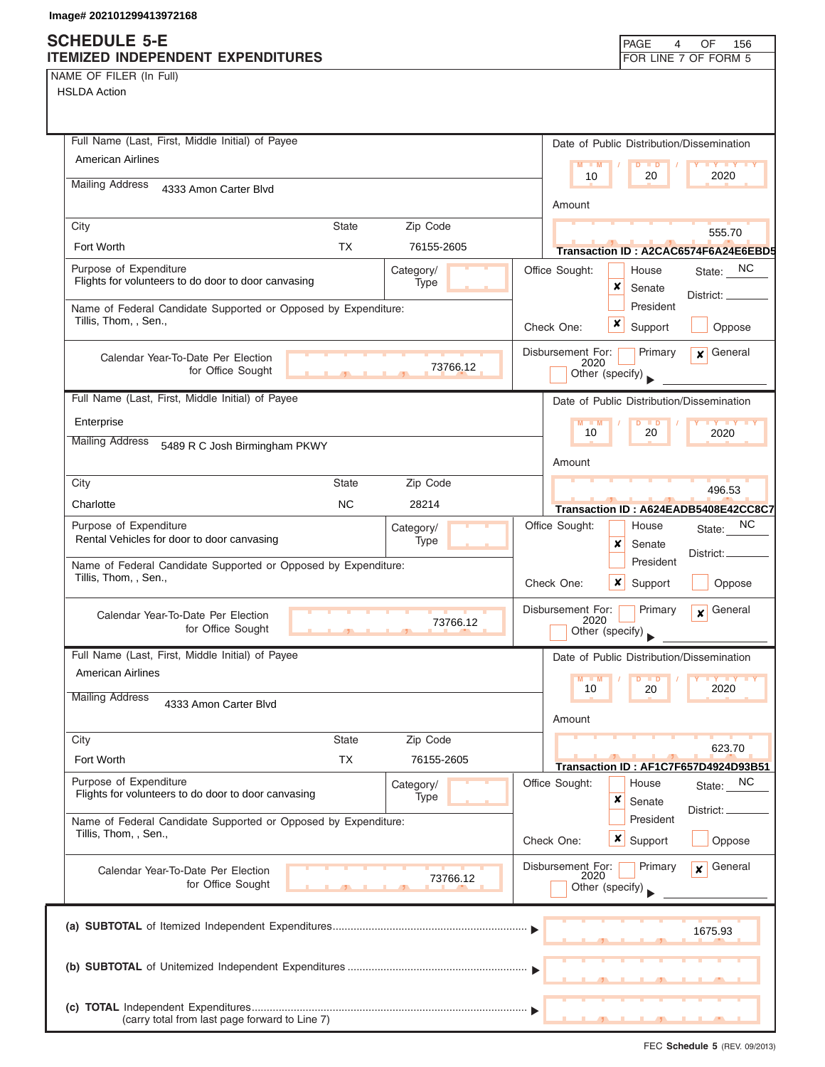## **SCHEDULE 5-E ITEMIZED INDEPENDE**

| NAME OF FILER (In Full) |  |  |
|-------------------------|--|--|

| ge# 202101299413972168                                                                  |              |                          |                                                                                        |
|-----------------------------------------------------------------------------------------|--------------|--------------------------|----------------------------------------------------------------------------------------|
| <b>HEDULE 5-E</b><br><b>MIZED INDEPENDENT EXPENDITURES</b>                              |              |                          | PAGE<br>OF<br>4<br>156<br>FOR LINE 7 OF FORM 5                                         |
| ME OF FILER (In Full)<br><b>SLDA Action</b>                                             |              |                          |                                                                                        |
| Full Name (Last, First, Middle Initial) of Payee                                        |              |                          | Date of Public Distribution/Dissemination                                              |
| <b>American Airlines</b>                                                                |              |                          | $M - M$<br>$\blacksquare$                                                              |
| <b>Mailing Address</b><br>4333 Amon Carter Blvd                                         |              |                          | 10<br>2020<br>20<br>Amount                                                             |
| City                                                                                    | <b>State</b> | Zip Code                 | 555.70                                                                                 |
| Fort Worth                                                                              | <b>TX</b>    | 76155-2605               | Transaction ID: A2CAC6574F6A24E6EBD5                                                   |
| Purpose of Expenditure<br>Flights for volunteers to do door to door canvasing           |              | Category/<br><b>Type</b> | State: NC<br>Office Sought:<br>House<br>×<br>Senate<br>District: _                     |
| Name of Federal Candidate Supported or Opposed by Expenditure:<br>Tillis, Thom, , Sen., |              |                          | President<br>×<br>Support<br>Check One:<br>Oppose                                      |
| Calendar Year-To-Date Per Election<br>for Office Sought                                 |              | 73766.12                 | Disbursement For:<br>General<br>Primary<br>$\boldsymbol{x}$<br>2020<br>Other (specify) |
| Full Name (Last, First, Middle Initial) of Payee                                        |              |                          | Date of Public Distribution/Dissemination                                              |
| Enterprise                                                                              |              |                          | $M - M$<br><b>TY TY TY</b><br>D<br>$\blacksquare$<br>10                                |
| <b>Mailing Address</b><br>5489 R C Josh Birmingham PKWY                                 |              |                          | 20<br>2020                                                                             |
|                                                                                         |              |                          | Amount                                                                                 |
| City                                                                                    | State        | Zip Code                 | 496.53                                                                                 |
| Charlotte                                                                               | <b>NC</b>    | 28214                    | Transaction ID: A624EADB5408E42CC8C7                                                   |
| Purpose of Expenditure<br>Rental Vehicles for door to door canvasing                    |              | Category/<br>Type        | Office Sought:<br>NC.<br>House<br>State:<br>×<br>Senate<br>District:                   |
| Name of Federal Candidate Supported or Opposed by Expenditure:<br>Tillis, Thom, , Sen., |              |                          | President<br>Oppose<br>Check One:<br>x<br>Support                                      |
| Calendar Year-To-Date Per Election                                                      |              | 73766.12                 | Disbursement For:<br>Primary<br>General<br>$\boldsymbol{x}$<br>2020                    |

| Tillis, Thom, , Sen.,                                                                   |              |                   | Oppose<br>Check One:<br>x<br>Support                                               |
|-----------------------------------------------------------------------------------------|--------------|-------------------|------------------------------------------------------------------------------------|
| Calendar Year-To-Date Per Election<br>for Office Sought                                 |              | 73766.12          | Disbursement For:<br>Primary<br>General<br>×<br>2020<br>Other (specify)            |
| Full Name (Last, First, Middle Initial) of Payee                                        |              |                   | Date of Public Distribution/Dissemination                                          |
| <b>American Airlines</b>                                                                |              |                   | $M$ $M$<br><b>IV Y Y Y</b>                                                         |
| <b>Mailing Address</b><br>4333 Amon Carter Blvd                                         |              |                   | 2020<br>10<br>20<br>Amount                                                         |
| City                                                                                    | <b>State</b> | Zip Code          |                                                                                    |
| Fort Worth                                                                              | <b>TX</b>    | 76155-2605        | 623.70<br>Transaction ID: AF1C7F657D4924D93B51                                     |
| Purpose of Expenditure<br>Flights for volunteers to do door to door canvasing           |              | Category/<br>Type | Office Sought:<br>$State:$ $\_\text{NC}$<br>House<br>x<br>Senate<br>District: _    |
| Name of Federal Candidate Supported or Opposed by Expenditure:<br>Tillis, Thom, , Sen., |              |                   | President<br>x<br>Check One:<br>Support<br>Oppose                                  |
| Calendar Year-To-Date Per Election<br>for Office Sought                                 |              | 73766.12          | General<br>Disbursement For:<br>Primary<br>$\mathbf{x}$<br>2020<br>Other (specify) |
|                                                                                         |              |                   | 1675.93                                                                            |
|                                                                                         |              |                   |                                                                                    |
|                                                                                         |              |                   |                                                                                    |
| (carry total from last page forward to Line 7)                                          |              |                   |                                                                                    |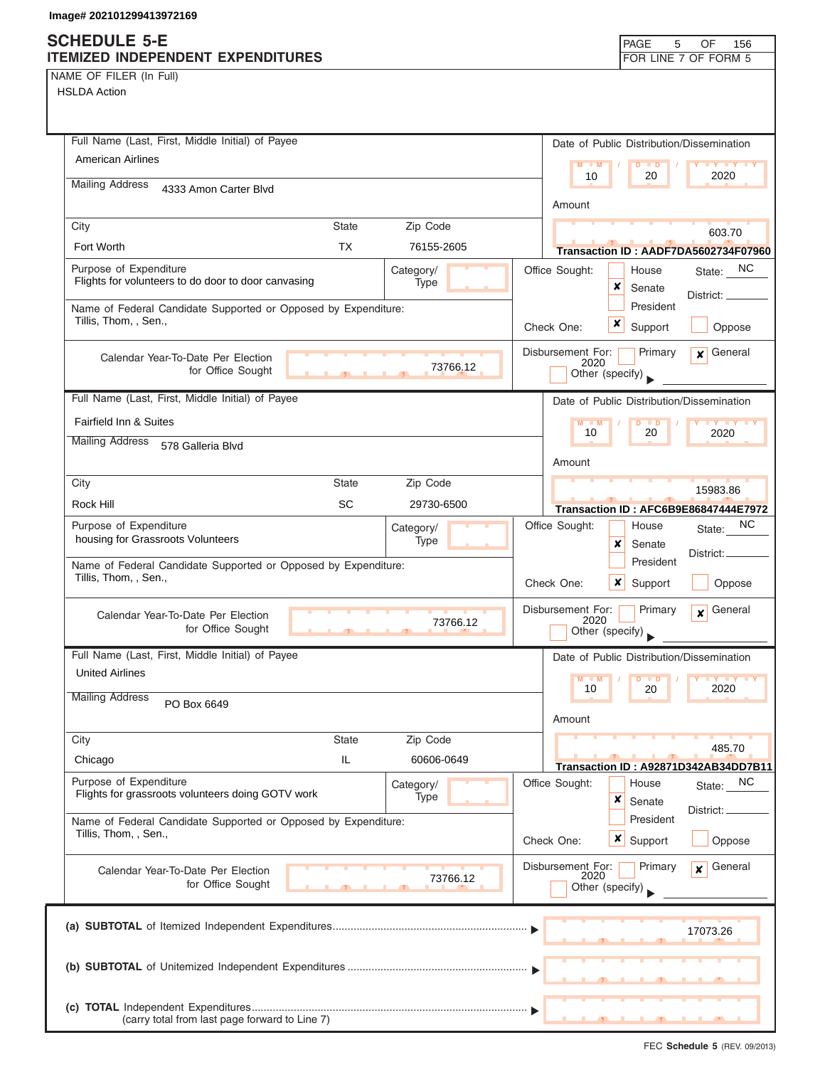| NAME OF FILER (In Full) |  |  |
|-------------------------|--|--|
|-------------------------|--|--|

| Full Name (Last, First, Middle Initial) of Payee                                                 | Date of Public Distribution/Dissemination                                                 |
|--------------------------------------------------------------------------------------------------|-------------------------------------------------------------------------------------------|
| <b>American Airlines</b>                                                                         | $M - M$<br>$\mathbf{I} \mathbf{Y} \mathbf{I} \mathbf{Y} \mathbf{I} \mathbf{Y}$<br>$D$ $D$ |
| <b>Mailing Address</b><br>4333 Amon Carter Blvd                                                  | 2020<br>20<br>10                                                                          |
|                                                                                                  | Amount                                                                                    |
| City<br><b>State</b><br>Zip Code                                                                 |                                                                                           |
| <b>TX</b><br>Fort Worth<br>76155-2605                                                            | 603.70                                                                                    |
| Purpose of Expenditure                                                                           | Transaction ID: AADF7DA5602734F07960<br>NC.                                               |
| Category/<br>Flights for volunteers to do door to door canvasing<br>Type                         | Office Sought:<br>House<br>State:<br>x<br>Senate                                          |
| Name of Federal Candidate Supported or Opposed by Expenditure:                                   | District: __<br>President                                                                 |
| Tillis, Thom, , Sen.,                                                                            | x<br>Check One:<br>Support<br>Oppose                                                      |
|                                                                                                  |                                                                                           |
| Calendar Year-To-Date Per Election                                                               | Primary<br>$x$ General<br>Disbursement For:<br>2020                                       |
| 73766.12<br>for Office Sought<br><b>All Contracts</b>                                            | Other (specify)                                                                           |
| Full Name (Last, First, Middle Initial) of Payee                                                 | Date of Public Distribution/Dissemination                                                 |
| <b>Fairfield Inn &amp; Suites</b>                                                                | $M - M$<br>D<br>$\blacksquare$                                                            |
| <b>Mailing Address</b><br>578 Galleria Blvd                                                      | 10<br>20<br>2020                                                                          |
|                                                                                                  | Amount                                                                                    |
| Zip Code<br>City<br><b>State</b>                                                                 |                                                                                           |
| <b>SC</b><br>Rock Hill<br>29730-6500                                                             | 15983.86                                                                                  |
|                                                                                                  | <b>Transaction ID: AFC6B9E86847444E7972</b>                                               |
| Purpose of Expenditure<br>Category/<br>housing for Grassroots Volunteers<br>Type                 | NC.<br>Office Sought:<br>House<br>State:                                                  |
|                                                                                                  | x<br>Senate<br>District:<br>President                                                     |
| Name of Federal Candidate Supported or Opposed by Expenditure:<br>Tillis, Thom, , Sen.,          |                                                                                           |
|                                                                                                  | x<br>Check One:<br>Support<br>Oppose                                                      |
| Calendar Year-To-Date Per Election                                                               | Disbursement For:<br>General<br>Primary<br>$\mathbf{x}$<br>2020                           |
| 73766.12<br>for Office Sought<br>$\overline{1}$                                                  | Other (specify)                                                                           |
| Full Name (Last, First, Middle Initial) of Payee                                                 | Date of Public Distribution/Dissemination                                                 |
| <b>United Airlines</b>                                                                           | $M$ $M$<br>$D$ $D$<br><b>IY Y Y Y</b>                                                     |
| <b>Mailing Address</b>                                                                           | 2020<br>10<br>20                                                                          |
| PO Box 6649                                                                                      | Amount                                                                                    |
| City<br><b>State</b><br>Zip Code                                                                 |                                                                                           |
| IL<br>60606-0649<br>Chicago                                                                      | 485.70                                                                                    |
|                                                                                                  | Transaction ID: A92871D342AB34DD7B11                                                      |
| Purpose of Expenditure<br>Category/<br>Flights for grassroots volunteers doing GOTV work<br>Type | Office Sought:<br>House<br>NC<br>State:<br>×                                              |
|                                                                                                  | Senate<br>District:<br>President                                                          |
| Name of Federal Candidate Supported or Opposed by Expenditure:<br>Tillis, Thom, , Sen.,          |                                                                                           |
|                                                                                                  | Check One:<br>$\boldsymbol{x}$<br>Support<br>Oppose                                       |
| Calendar Year-To-Date Per Election                                                               | Disbursement For:<br>General<br>Primary<br>x<br>2020                                      |
| 73766.12<br>for Office Sought                                                                    | Other (specify)                                                                           |
|                                                                                                  |                                                                                           |
|                                                                                                  | 17073.26                                                                                  |
|                                                                                                  |                                                                                           |
|                                                                                                  |                                                                                           |
|                                                                                                  |                                                                                           |
|                                                                                                  |                                                                                           |
| (carry total from last page forward to Line 7)                                                   |                                                                                           |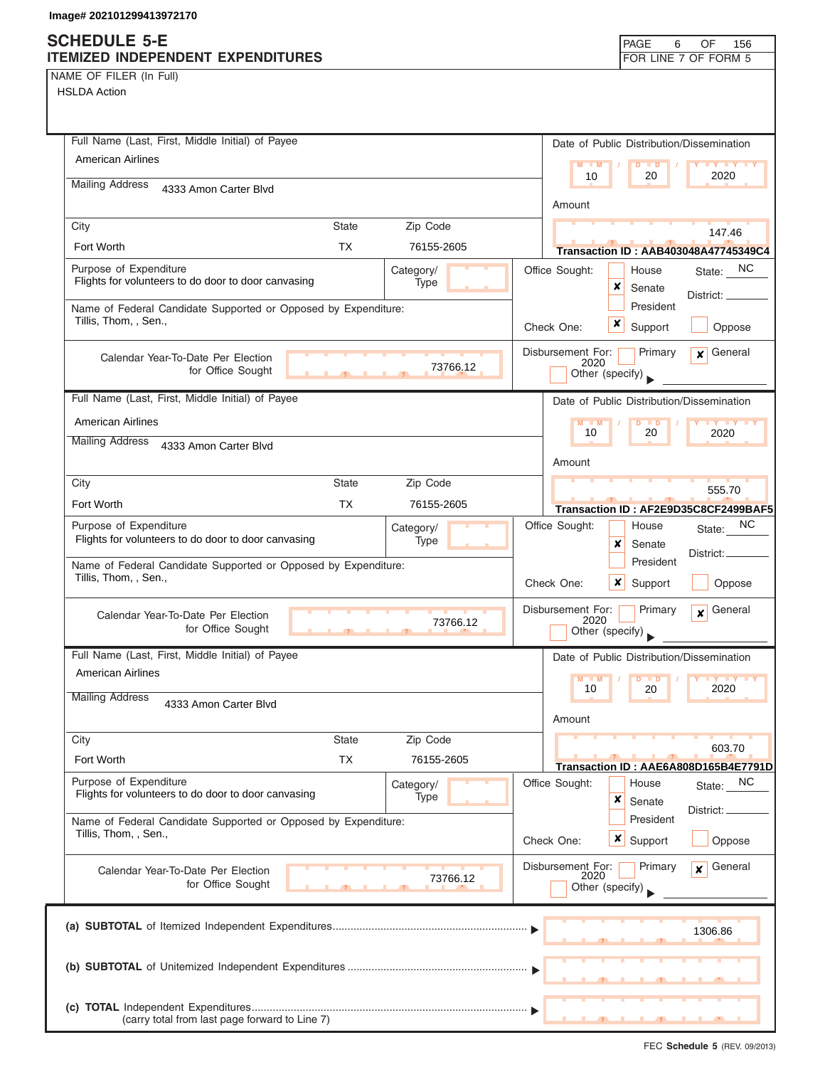| NAME OF FILER (In Full) |  |
|-------------------------|--|
|-------------------------|--|

| Full Name (Last, First, Middle Initial) of Payee<br>American Airlines                   |                   | Date of Public Distribution/Dissemination                                          |
|-----------------------------------------------------------------------------------------|-------------------|------------------------------------------------------------------------------------|
|                                                                                         |                   | $M = M$<br>D<br><b>ID</b><br>10<br>20<br>2020                                      |
| <b>Mailing Address</b><br>4333 Amon Carter Blvd                                         |                   | Amount                                                                             |
| City<br><b>State</b>                                                                    | Zip Code          | 147.46                                                                             |
| Fort Worth<br><b>TX</b>                                                                 | 76155-2605        | <b>Transaction ID: AAB403048A47745349C4</b>                                        |
| Purpose of Expenditure<br>Flights for volunteers to do door to door canvasing           | Category/<br>Type | NC<br>Office Sought:<br>House<br>State:<br>×<br>Senate<br>District:                |
| Name of Federal Candidate Supported or Opposed by Expenditure:<br>Tillis, Thom, , Sen., |                   | President<br>x<br>Check One:<br>Support<br>Oppose                                  |
| Calendar Year-To-Date Per Election<br>for Office Sought                                 | 73766.12          | Disbursement For:<br>General<br>Primary<br>$\mathbf{x}$<br>2020<br>Other (specify) |
| Full Name (Last, First, Middle Initial) of Payee                                        |                   | Date of Public Distribution/Dissemination                                          |
| <b>American Airlines</b>                                                                |                   | $M - M$<br>10<br>20<br>2020                                                        |
| <b>Mailing Address</b><br>4333 Amon Carter Blvd                                         |                   | Amount                                                                             |
| <b>State</b><br>City                                                                    | Zip Code          | 555.70                                                                             |
| <b>TX</b><br>Fort Worth                                                                 | 76155-2605        | Transaction ID: AF2E9D35C8CF2499BAF5                                               |
| Purpose of Expenditure<br>Flights for volunteers to do door to door canvasing           | Category/<br>Type | <b>NC</b><br>Office Sought:<br>House<br>State:<br>×<br>Senate<br>District: .       |
| Name of Federal Candidate Supported or Opposed by Expenditure:<br>Tillis, Thom, , Sen., |                   | President<br>x<br>Check One:<br>Support<br>Oppose                                  |
| Calendar Year-To-Date Per Election<br>for Office Sought                                 | 73766.12          | Disbursement For:<br>Primary<br>General<br>$\mathbf{x}$<br>2020<br>Other (specify) |
| Full Name (Last, First, Middle Initial) of Payee                                        |                   | Date of Public Distribution/Dissemination                                          |
| <b>American Airlines</b>                                                                |                   | $M - M$<br>$Y$ $Y$<br>$\blacksquare$ D                                             |
| <b>Mailing Address</b><br>4333 Amon Carter Blvd                                         |                   | 2020<br>10<br>20<br>Amount                                                         |
| City<br><b>State</b>                                                                    | Zip Code          | 603.70                                                                             |
| <b>TX</b><br>Fort Worth                                                                 | 76155-2605        | Transaction ID: AAE6A808D165B4E7791D                                               |
| Purpose of Expenditure<br>Flights for volunteers to do door to door canvasing           | Category/<br>Type | Office Sought:<br>NC<br>House<br>State:<br>×<br>Senate<br>District: _              |
| Name of Federal Candidate Supported or Opposed by Expenditure:<br>Tillis, Thom, , Sen., |                   | President<br>×<br>Check One:<br>Support<br>Oppose                                  |
| Calendar Year-To-Date Per Election<br>for Office Sought                                 | 73766.12          | General<br>Disbursement For:<br>Primary<br>$\mathbf{x}$<br>2020<br>Other (specify) |
|                                                                                         |                   | 1306.86                                                                            |
|                                                                                         |                   |                                                                                    |
| (carry total from last page forward to Line 7)                                          |                   |                                                                                    |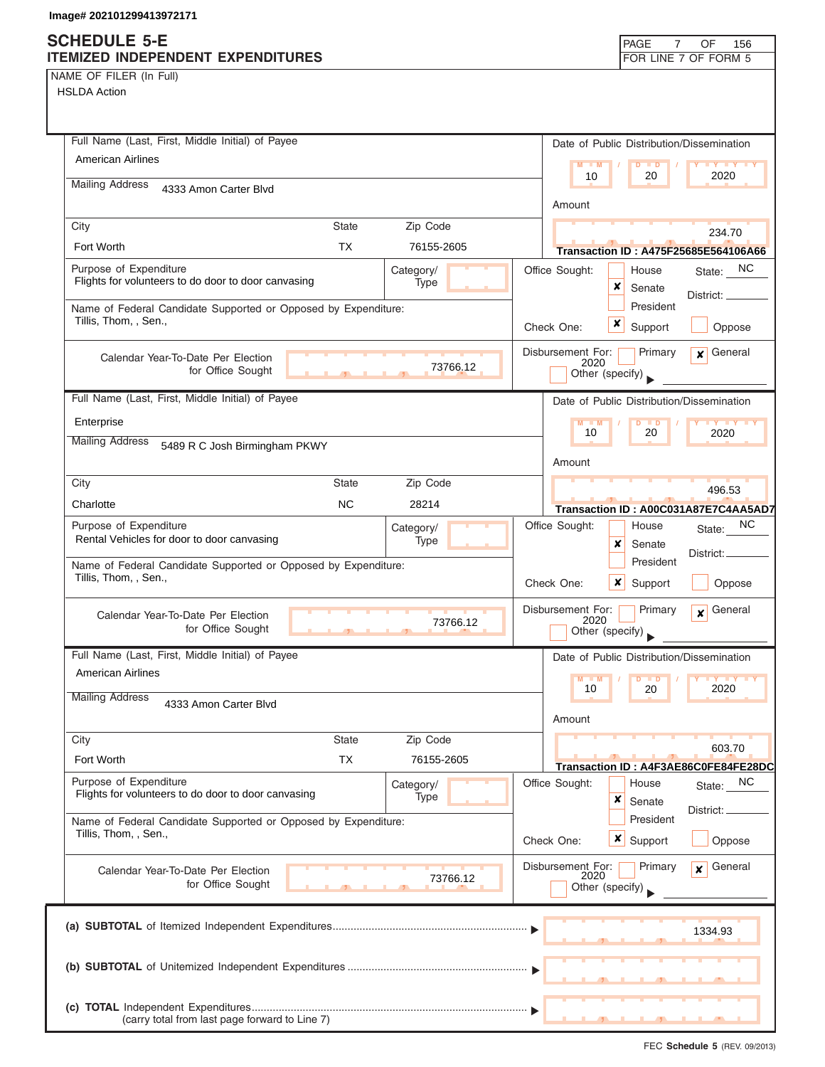|  | NAME OF FILER (In Full) |  |
|--|-------------------------|--|
|  |                         |  |

HSLDA Action

| Full Name (Last, First, Middle Initial) of Payee                                                   | Date of Public Distribution/Dissemination                                          |
|----------------------------------------------------------------------------------------------------|------------------------------------------------------------------------------------|
| <b>American Airlines</b>                                                                           | $M = M$<br>$D$ $D$<br><b>TY TY TY</b><br>10<br>20<br>2020                          |
| <b>Mailing Address</b><br>4333 Amon Carter Blvd                                                    |                                                                                    |
|                                                                                                    | Amount                                                                             |
| Zip Code<br>City<br><b>State</b>                                                                   | 234.70                                                                             |
| <b>TX</b><br>Fort Worth<br>76155-2605                                                              | <b>Transaction ID: A475F25685E564106A66</b>                                        |
| Purpose of Expenditure<br>Category/<br>Flights for volunteers to do door to door canvasing<br>Type | Office Sought:<br>NC.<br>House<br>State:                                           |
|                                                                                                    | x<br>Senate<br>District:<br>President                                              |
| Name of Federal Candidate Supported or Opposed by Expenditure:<br>Tillis, Thom, , Sen.,            | x<br>Support<br>Check One:<br>Oppose                                               |
|                                                                                                    |                                                                                    |
| Calendar Year-To-Date Per Election<br>73766.12<br>for Office Sought                                | Disbursement For:<br>Primary<br>General<br>$\mathbf{x}$<br>2020                    |
|                                                                                                    | Other (specify)                                                                    |
| Full Name (Last, First, Middle Initial) of Payee                                                   | Date of Public Distribution/Dissemination                                          |
| Enterprise                                                                                         | $M - M$<br>$D$ $D$<br><b>TY TY TY</b><br>10<br>20<br>2020                          |
| <b>Mailing Address</b><br>5489 R C Josh Birmingham PKWY                                            |                                                                                    |
|                                                                                                    | Amount                                                                             |
| City<br><b>State</b><br>Zip Code                                                                   | 496.53                                                                             |
| <b>NC</b><br>28214<br>Charlotte                                                                    | Transaction ID: A00C031A87E7C4AA5AD7                                               |
| Purpose of Expenditure<br>Category/<br>Rental Vehicles for door to door canvasing<br>Type          | NC.<br>Office Sought:<br>House<br>State:                                           |
|                                                                                                    | x<br>Senate<br>District:<br>President                                              |
| Name of Federal Candidate Supported or Opposed by Expenditure:<br>Tillis, Thom, , Sen.,            | Check One:<br>$\boldsymbol{x}$<br>Support<br>Oppose                                |
|                                                                                                    |                                                                                    |
| Calendar Year-To-Date Per Election<br>73766.12<br>for Office Sought<br>$\overline{1}$              | Disbursement For:<br>Primary<br>General<br>$\mathbf{x}$<br>2020<br>Other (specify) |
| Full Name (Last, First, Middle Initial) of Payee                                                   | Date of Public Distribution/Dissemination                                          |
| <b>American Airlines</b>                                                                           | $M = M$<br><b>D</b>                                                                |
| <b>Mailing Address</b>                                                                             | 10<br>20<br>2020                                                                   |
| 4333 Amon Carter Blvd                                                                              | Amount                                                                             |
| City<br><b>State</b><br>Zip Code                                                                   |                                                                                    |
| Fort Worth<br><b>TX</b><br>76155-2605                                                              | 603.70<br>Transaction ID: A4F3AE86C0FE84FE28DC                                     |
| Purpose of Expenditure<br>Category/                                                                | Office Sought:<br>State: NC<br>House                                               |
| Flights for volunteers to do door to door canvasing<br><b>Type</b>                                 | x<br>Senate                                                                        |
| Name of Federal Candidate Supported or Opposed by Expenditure:                                     | District:<br>President                                                             |
| Tillis, Thom, , Sen.,                                                                              | $\boldsymbol{\mathsf{x}}$<br>Oppose<br>Check One:<br>Support                       |
| Calendar Year-To-Date Per Election                                                                 | General<br>Disbursement For:<br>Primary<br>x                                       |
| 73766.12<br>for Office Sought                                                                      | 2020<br>Other (specify)                                                            |
|                                                                                                    |                                                                                    |
|                                                                                                    | 1334.93                                                                            |
|                                                                                                    |                                                                                    |
|                                                                                                    |                                                                                    |
|                                                                                                    |                                                                                    |
| (carry total from last page forward to Line 7)                                                     |                                                                                    |

FEC **Schedule 5** (REV. 09/2013)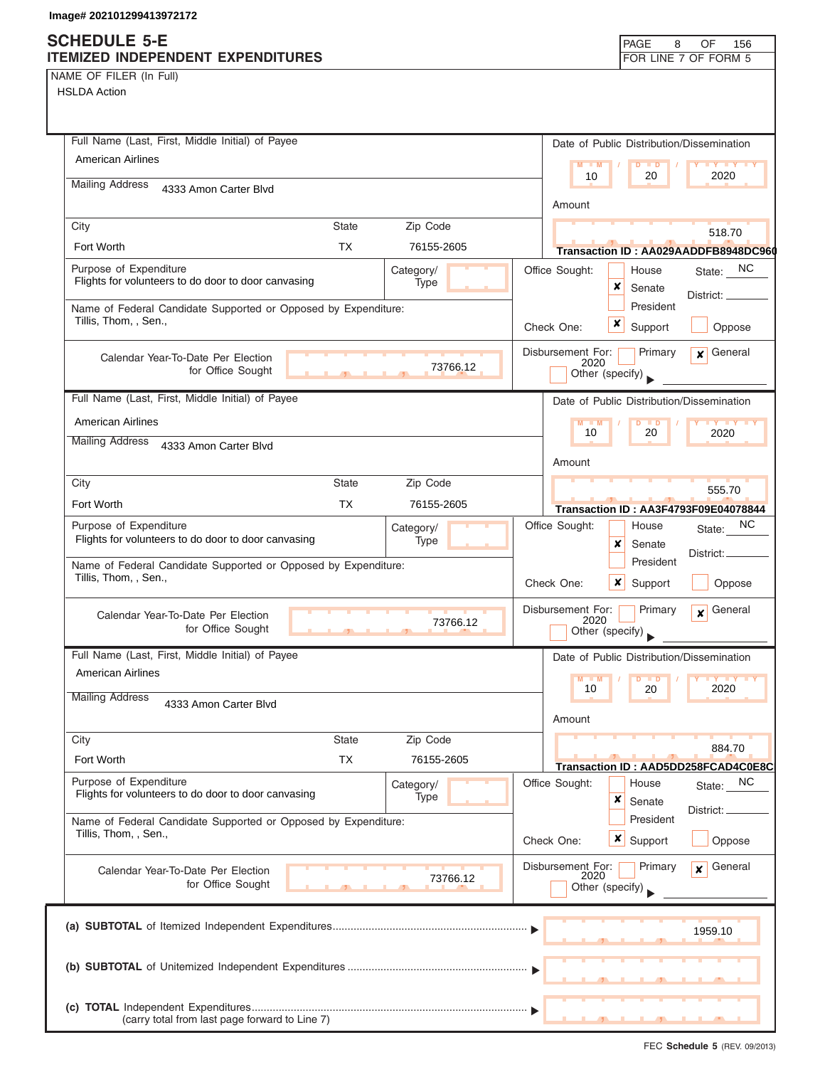## **SCHEDULE 5-E**

| NAME OF FILER (In Full) |  |  |
|-------------------------|--|--|
|-------------------------|--|--|

| Full Name (Last, First, Middle Initial) of Payee                                                   | Date of Public Distribution/Dissemination                                          |
|----------------------------------------------------------------------------------------------------|------------------------------------------------------------------------------------|
| <b>American Airlines</b>                                                                           | $M$ $M$<br>$D$ $\Box$ $D$<br>Y FY FY FY                                            |
| <b>Mailing Address</b>                                                                             | 10<br>20<br>2020                                                                   |
| 4333 Amon Carter Blvd                                                                              | Amount                                                                             |
| City<br><b>State</b><br>Zip Code                                                                   |                                                                                    |
| <b>TX</b><br>Fort Worth<br>76155-2605                                                              | 518.70                                                                             |
|                                                                                                    | Transaction ID: AA029AADDFB8948DC960                                               |
| Purpose of Expenditure<br>Category/<br>Flights for volunteers to do door to door canvasing<br>Type | Office Sought:<br>State: NC<br>House<br>x<br>Senate<br>District:                   |
| Name of Federal Candidate Supported or Opposed by Expenditure:<br>Tillis, Thom, , Sen.,            | President<br>Support<br>Oppose<br>Check One:                                       |
| Calendar Year-To-Date Per Election<br>73766.12<br>for Office Sought<br>$\mathbf{r}$                | Disbursement For:<br>Primary<br>$\mathbf x$ General<br>2020<br>Other (specify)     |
| Full Name (Last, First, Middle Initial) of Payee                                                   | Date of Public Distribution/Dissemination                                          |
| <b>American Airlines</b>                                                                           | $M - M$<br>$D$ $D$<br>$+Y+Y+Y$                                                     |
| <b>Mailing Address</b><br>4333 Amon Carter Blvd                                                    | 10<br>20<br>2020                                                                   |
|                                                                                                    | Amount                                                                             |
| Zip Code<br><b>State</b><br>City                                                                   |                                                                                    |
| <b>TX</b><br>Fort Worth<br>76155-2605                                                              | 555.70<br><b>Transaction ID: AA3F4793F09E04078844</b>                              |
| Purpose of Expenditure<br>Category/                                                                | Office Sought:<br>NC.<br>House<br>State:                                           |
| Flights for volunteers to do door to door canvasing<br><b>Type</b>                                 | x<br>Senate<br>District:_<br>President                                             |
| Name of Federal Candidate Supported or Opposed by Expenditure:<br>Tillis, Thom, , Sen.,            | $x \mid$ Support<br>Oppose<br>Check One:                                           |
| Calendar Year-To-Date Per Election<br>73766.12<br>for Office Sought<br><b>CONTRACTOR</b>           | Disbursement For:<br>Primary<br>General<br>$\mathbf{x}$<br>2020<br>Other (specify) |
| Full Name (Last, First, Middle Initial) of Payee                                                   | Date of Public Distribution/Dissemination                                          |
| <b>American Airlines</b>                                                                           | $M - M$<br>$D$ $D$<br><b>LY LY LY</b><br>2020<br>10<br>20                          |
| <b>Mailing Address</b><br>4333 Amon Carter Blvd                                                    | Amount                                                                             |
| Zip Code<br>City<br><b>State</b>                                                                   | 884.70                                                                             |
| <b>TX</b><br>Fort Worth<br>76155-2605                                                              | Transaction ID: AAD5DD258FCAD4C0E8C                                                |
| Purpose of Expenditure<br>Category/<br>Flights for volunteers to do door to door canvasing<br>Type | Office Sought:<br>State: NC<br>House<br>×<br>Senate                                |
| Name of Federal Candidate Supported or Opposed by Expenditure:<br>Tillis, Thom, , Sen.,            | District:<br>President<br>x<br>Check One:<br>Oppose<br>Support                     |
|                                                                                                    |                                                                                    |
| Calendar Year-To-Date Per Election<br>73766.12<br>for Office Sought                                | Disbursement For:<br>Primary<br>General<br>$\mathbf{x}$<br>2020<br>Other (specify) |
|                                                                                                    | 1959.10                                                                            |
|                                                                                                    |                                                                                    |
| (carry total from last page forward to Line 7)                                                     |                                                                                    |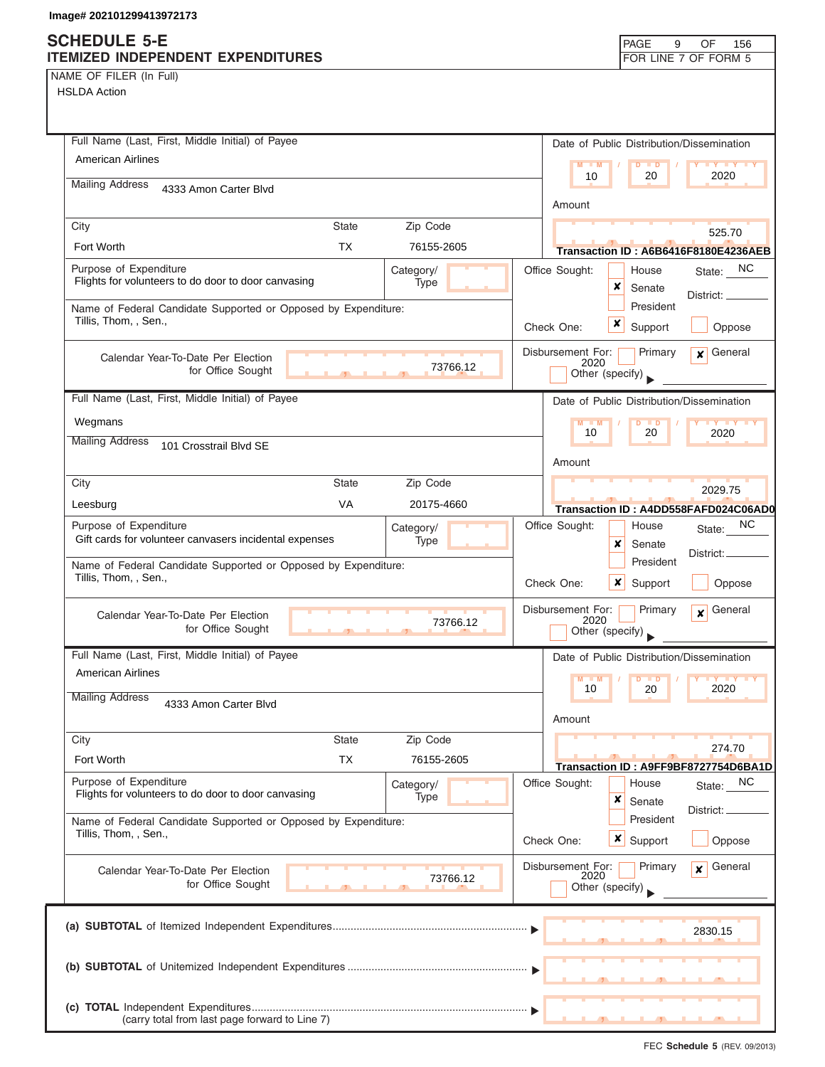| NAME OF FILER (In Full) |  |  |
|-------------------------|--|--|

HSLDA Action

| Full Name (Last, First, Middle Initial) of Payee                                        |                   | Date of Public Distribution/Dissemination                       |
|-----------------------------------------------------------------------------------------|-------------------|-----------------------------------------------------------------|
| <b>American Airlines</b>                                                                |                   | $M - M$<br>$D$ $D$<br><b>TY TY TY</b>                           |
| <b>Mailing Address</b><br>4333 Amon Carter Blvd                                         |                   | 10<br>20<br>2020                                                |
|                                                                                         |                   | Amount                                                          |
| City<br><b>State</b>                                                                    | Zip Code          | 525.70                                                          |
| <b>TX</b><br>Fort Worth                                                                 | 76155-2605        | Transaction ID: A6B6416F8180E4236AEB                            |
| Purpose of Expenditure<br>Flights for volunteers to do door to door canvasing           | Category/<br>Type | Office Sought:<br>NC<br>House<br>State:                         |
|                                                                                         |                   | x<br>Senate<br>District: _                                      |
| Name of Federal Candidate Supported or Opposed by Expenditure:<br>Tillis, Thom, , Sen., |                   | President                                                       |
|                                                                                         |                   | Check One:<br>Support<br>Oppose                                 |
| Calendar Year-To-Date Per Election                                                      |                   | Disbursement For:<br>Primary<br>General<br>$\mathbf{x}$<br>2020 |
| for Office Sought<br>$\mathcal{F}$                                                      | 73766.12          | Other (specify)                                                 |
| Full Name (Last, First, Middle Initial) of Payee                                        |                   | Date of Public Distribution/Dissemination                       |
| Wegmans                                                                                 |                   | <b>LY LY LY</b><br>$M - M$<br>D<br>$\blacksquare$               |
| <b>Mailing Address</b><br>101 Crosstrail Blvd SE                                        |                   | 10<br>20<br>2020                                                |
|                                                                                         |                   | Amount                                                          |
| City<br><b>State</b>                                                                    | Zip Code          | 2029.75                                                         |
| <b>VA</b><br>Leesburg                                                                   | 20175-4660        | Transaction ID: A4DD558FAFD024C06AD0                            |
| Purpose of Expenditure                                                                  | Category/         | NС<br>Office Sought:<br>House<br>State:                         |
| Gift cards for volunteer canvasers incidental expenses                                  | Type              | x<br>Senate<br>District:                                        |
| Name of Federal Candidate Supported or Opposed by Expenditure:<br>Tillis, Thom, , Sen., |                   | President                                                       |
|                                                                                         |                   | ×<br>Check One:<br>Support<br>Oppose                            |
| Calendar Year-To-Date Per Election                                                      | 73766.12          | General<br>Disbursement For:<br>Primary<br>$\mathbf{x}$<br>2020 |
| for Office Sought                                                                       |                   | Other (specify)                                                 |
| Full Name (Last, First, Middle Initial) of Payee                                        |                   | Date of Public Distribution/Dissemination                       |
| <b>American Airlines</b>                                                                |                   | $M - M$<br><b>IY IY IY</b><br>$D$ $D$                           |
| <b>Mailing Address</b><br>4333 Amon Carter Blvd                                         |                   | 2020<br>10<br>20                                                |
|                                                                                         |                   | Amount                                                          |
| <b>State</b><br>City                                                                    | Zip Code          | 274.70                                                          |
| <b>TX</b><br>Fort Worth                                                                 | 76155-2605        | Transaction ID: A9FF9BF8727754D6BA1D                            |
| Purpose of Expenditure                                                                  | Category/         | Office Sought:<br>NC<br>House<br>State:                         |
| Flights for volunteers to do door to door canvasing                                     | Type              | ×<br>Senate<br>District:                                        |
| Name of Federal Candidate Supported or Opposed by Expenditure:                          |                   | President                                                       |
| Tillis, Thom, , Sen.,                                                                   |                   | x<br>Check One:<br>Support<br>Oppose                            |
| Calendar Year-To-Date Per Election                                                      |                   | Disbursement For:<br>General<br>Primary<br>x<br>2020            |
| for Office Sought                                                                       | 73766.12          | Other (specify)                                                 |
|                                                                                         |                   |                                                                 |
|                                                                                         |                   | 2830.15                                                         |
|                                                                                         |                   |                                                                 |
|                                                                                         |                   |                                                                 |
|                                                                                         |                   |                                                                 |
| (carry total from last page forward to Line 7)                                          |                   |                                                                 |

FEC **Schedule 5** (REV. 09/2013)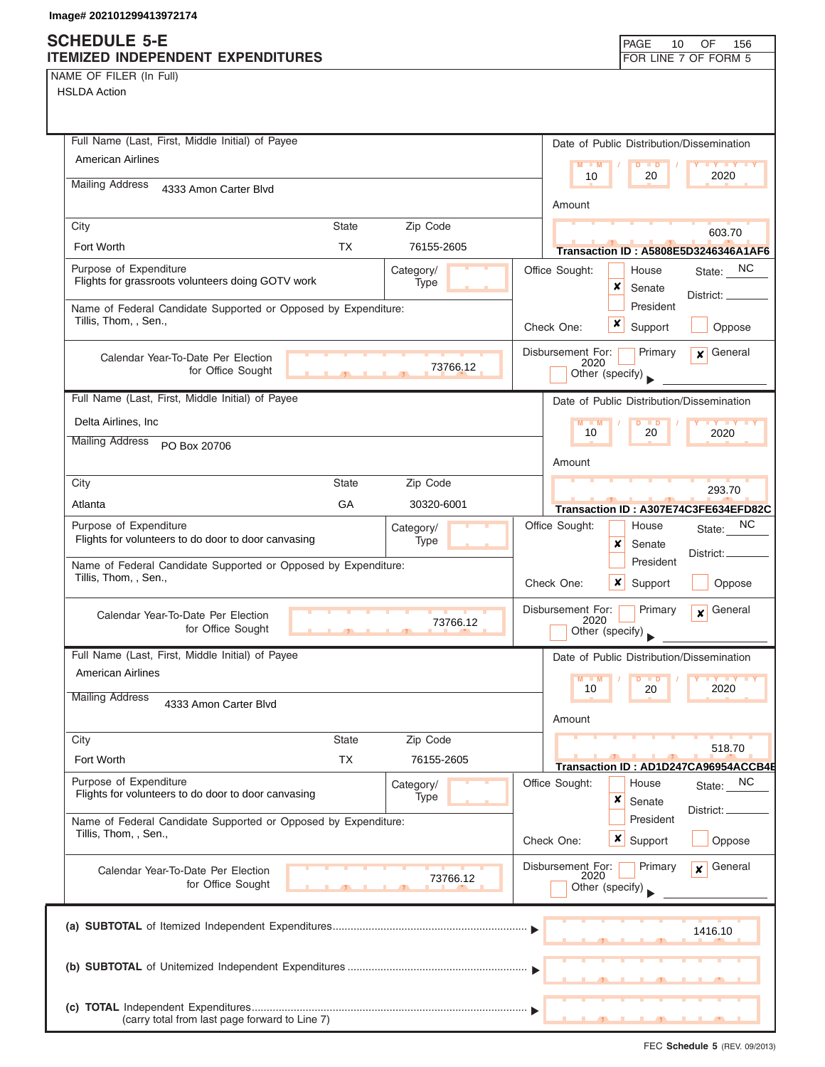NAME OF FILER (In Full)

| Full Name (Last, First, Middle Initial) of Payee                                                   | Date of Public Distribution/Dissemination                                                |
|----------------------------------------------------------------------------------------------------|------------------------------------------------------------------------------------------|
| <b>American Airlines</b>                                                                           | $M - M$<br>$D$ $D$<br>$\mathbf{Y}$ $\mathbf{Y}$                                          |
| <b>Mailing Address</b><br>4333 Amon Carter Blvd                                                    | 2020<br>10<br>20                                                                         |
|                                                                                                    | Amount                                                                                   |
| City<br><b>State</b><br>Zip Code                                                                   | 603.70                                                                                   |
| <b>TX</b><br>Fort Worth<br>76155-2605                                                              | <b>Transaction ID: A5808E5D3246346A1AF6</b>                                              |
| Purpose of Expenditure<br>Category/<br>Flights for grassroots volunteers doing GOTV work<br>Type   | State: NC<br>Office Sought:<br>House<br>×<br>Senate<br>District:                         |
| Name of Federal Candidate Supported or Opposed by Expenditure:                                     | President                                                                                |
| Tillis, Thom, , Sen.,                                                                              | ×<br>Support<br>Oppose<br>Check One:                                                     |
| Calendar Year-To-Date Per Election<br>73766.12<br>for Office Sought<br>$\mathcal{F}$               | General<br>Disbursement For:<br>Primary<br>$\mathbf{x}$<br>2020<br>Other (specify)       |
| Full Name (Last, First, Middle Initial) of Payee                                                   | Date of Public Distribution/Dissemination                                                |
| Delta Airlines, Inc                                                                                | $M - M$<br>$D$ $D$<br><b>TY TY TY</b>                                                    |
| <b>Mailing Address</b><br>PO Box 20706                                                             | 10<br>20<br>2020                                                                         |
|                                                                                                    | Amount                                                                                   |
| City<br><b>State</b><br>Zip Code                                                                   | 293.70                                                                                   |
| GA<br>30320-6001<br>Atlanta                                                                        | Transaction ID: A307E74C3FE634EFD82C                                                     |
| Purpose of Expenditure<br>Category/                                                                | ΝC<br>Office Sought:<br>House<br>State:                                                  |
| Flights for volunteers to do door to door canvasing<br>Type                                        | x<br>Senate<br>District:                                                                 |
| Name of Federal Candidate Supported or Opposed by Expenditure:<br>Tillis, Thom, , Sen.,            | President<br>$\boldsymbol{\mathsf{x}}$<br>Check One:<br>Support<br>Oppose                |
| Calendar Year-To-Date Per Election<br>73766.12<br>for Office Sought                                | Disbursement For:<br>General<br>Primary<br>$\mathbf{x}$<br>2020<br>Other (specify)       |
| Full Name (Last, First, Middle Initial) of Payee                                                   | Date of Public Distribution/Dissemination                                                |
| <b>American Airlines</b>                                                                           | M<br>M<br>D<br>$\blacksquare$                                                            |
| <b>Mailing Address</b><br>4333 Amon Carter Blvd                                                    | 10<br>2020<br>20<br>Amount                                                               |
| City<br><b>State</b><br>Zip Code                                                                   |                                                                                          |
| <b>TX</b><br>Fort Worth<br>76155-2605                                                              | 518.70<br>Transaction ID: AD1D247CA96954ACCB4E                                           |
| Purpose of Expenditure<br>Category/<br>Flights for volunteers to do door to door canvasing<br>Type | Office Sought:<br>NC<br>House<br>State:<br>×<br>Senate                                   |
| Name of Federal Candidate Supported or Opposed by Expenditure:<br>Tillis, Thom, , Sen.,            | District:<br>President<br>Check One:<br>$\boldsymbol{\mathsf{x}}$  <br>Support<br>Oppose |
| Calendar Year-To-Date Per Election<br>73766.12<br>for Office Sought                                | Disbursement For:<br>General<br>Primary<br>$\mathbf{x}$<br>2020<br>Other (specify)       |
|                                                                                                    | 1416.10                                                                                  |
|                                                                                                    |                                                                                          |
| (carry total from last page forward to Line 7)                                                     |                                                                                          |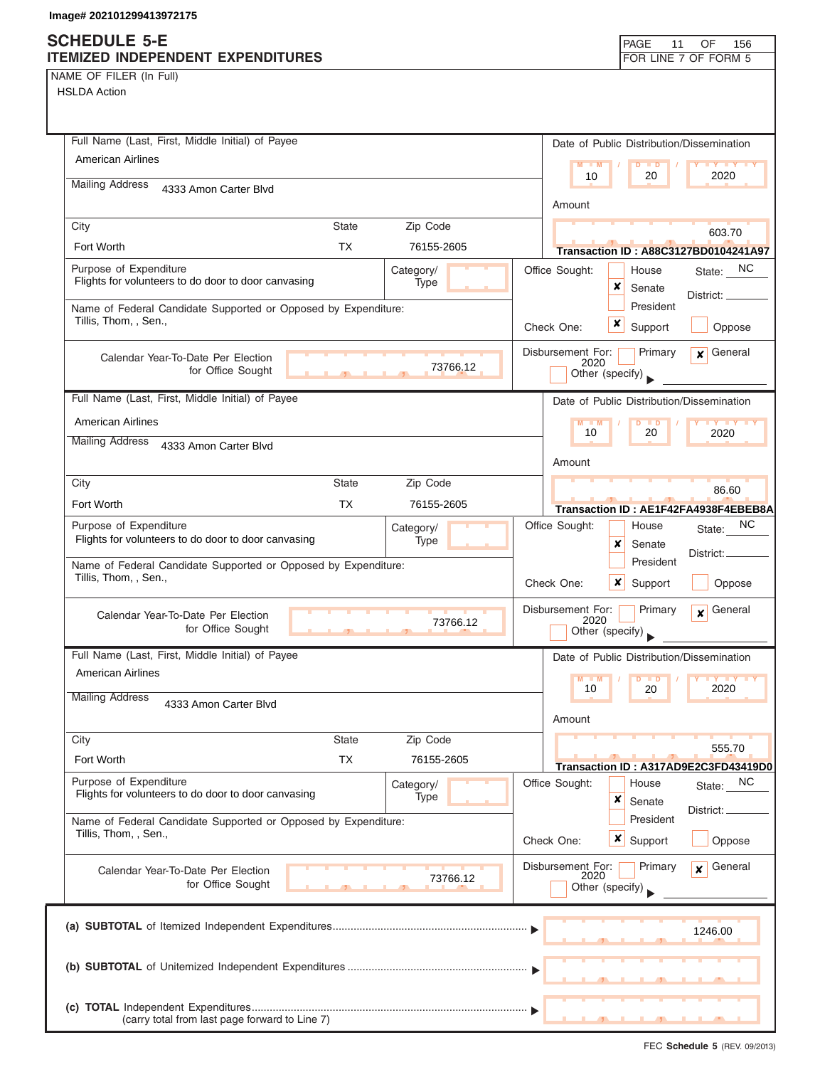## **SCHEDULE 5-E ITEMIZED INDEPENDENT EXPENDITURES ITEMIZED INDEPENDENT EXPENDITURES**

| FOR LINE 7 OF FORM 5 |  |
|----------------------|--|

NAME OF FILER (In Full) HSLDA Action

| Full Name (Last, First, Middle Initial) of Payee                                                   | Date of Public Distribution/Dissemination                                              |
|----------------------------------------------------------------------------------------------------|----------------------------------------------------------------------------------------|
| American Airlines                                                                                  | $M = M$<br>$\overline{D}$<br>$\blacksquare$<br>2020<br>10<br>20                        |
| <b>Mailing Address</b><br>4333 Amon Carter Blvd                                                    | Amount                                                                                 |
| Zip Code<br><b>State</b><br>City                                                                   |                                                                                        |
| Fort Worth<br><b>TX</b><br>76155-2605                                                              | 603.70<br><b>Transaction ID: A88C3127BD0104241A97</b>                                  |
| Purpose of Expenditure<br>Category/<br>Flights for volunteers to do door to door canvasing<br>Type | Office Sought:<br>State: NC<br>House<br>x<br>Senate                                    |
| Name of Federal Candidate Supported or Opposed by Expenditure:<br>Tillis, Thom, , Sen.,            | District:<br>President<br>×<br>Check One:<br>Support<br>Oppose                         |
| Calendar Year-To-Date Per Election<br>73766.12<br>for Office Sought                                | Disbursement For:<br>General<br>Primary<br>$\boldsymbol{x}$<br>2020<br>Other (specify) |
| Full Name (Last, First, Middle Initial) of Payee                                                   | Date of Public Distribution/Dissemination                                              |
| American Airlines                                                                                  | $M - M$<br>10<br>20<br>2020                                                            |
| <b>Mailing Address</b><br>4333 Amon Carter Blvd                                                    | Amount                                                                                 |
| Zip Code<br><b>State</b><br>City                                                                   | 86.60                                                                                  |
| Fort Worth<br><b>TX</b><br>76155-2605                                                              | Transaction ID: AE1F42FA4938F4EBEB8A                                                   |
| Purpose of Expenditure<br>Category/<br>Flights for volunteers to do door to door canvasing<br>Type | Office Sought:<br>NC.<br>House<br>State:<br>x<br>Senate                                |
| Name of Federal Candidate Supported or Opposed by Expenditure:<br>Tillis, Thom, , Sen.,            | District:.<br>President<br>x<br>Check One:<br>Support<br>Oppose                        |
| Calendar Year-To-Date Per Election<br>73766.12<br>for Office Sought<br>$\overline{1}$              | Disbursement For:<br>General<br>Primary<br>$\mathbf{x}$<br>2020<br>Other (specify)     |
| Full Name (Last, First, Middle Initial) of Payee                                                   | Date of Public Distribution/Dissemination                                              |
| <b>American Airlines</b>                                                                           | $M - M$<br><b>IY IY IY</b><br>D<br>$\blacksquare$                                      |
| <b>Mailing Address</b><br>4333 Amon Carter Blvd                                                    | 2020<br>10<br>20<br>Amount                                                             |
| Zip Code<br>City<br><b>State</b>                                                                   |                                                                                        |
| Fort Worth<br>ТX<br>76155-2605                                                                     | 555.70<br>Transaction ID: A317AD9E2C3FD43419D0                                         |
| Purpose of Expenditure<br>Category/<br>Flights for volunteers to do door to door canvasing<br>Type | NC<br>Office Sought:<br>House<br>State:<br>×<br>Senate                                 |
| Name of Federal Candidate Supported or Opposed by Expenditure:<br>Tillis, Thom, , Sen.,            | District: _<br>President<br>$\boldsymbol{x}$<br>Check One:<br>Support<br>Oppose        |
| Calendar Year-To-Date Per Election<br>73766.12<br>for Office Sought                                | Disbursement For:<br>General<br>Primary<br>$\mathbf{x}$<br>2020<br>Other (specify)     |
|                                                                                                    | 1246.00                                                                                |
|                                                                                                    |                                                                                        |
| (carry total from last page forward to Line 7)                                                     |                                                                                        |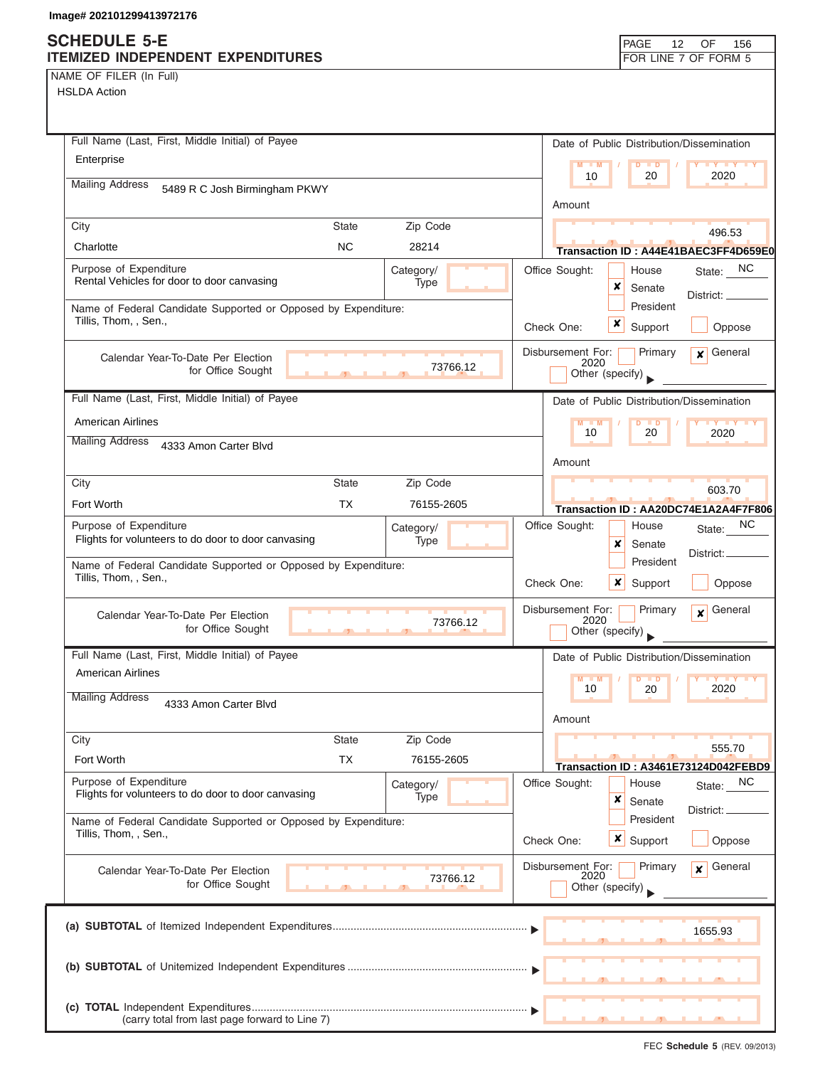### **SCHEDULE 5-E ITEMIZED INDEPENDENT EXPENDITURES FOR LINE 7 OF FORM 5**

| NAME OF FILER (In Full) |  |  |  |  |
|-------------------------|--|--|--|--|
|-------------------------|--|--|--|--|

| Full Name (Last, First, Middle Initial) of Payee                                                   | Date of Public Distribution/Dissemination                                          |
|----------------------------------------------------------------------------------------------------|------------------------------------------------------------------------------------|
| Enterprise                                                                                         | $M = M$<br>$D$ $D$<br>10<br>20<br>2020                                             |
| <b>Mailing Address</b><br>5489 R C Josh Birmingham PKWY                                            |                                                                                    |
|                                                                                                    | Amount                                                                             |
| <b>State</b><br>Zip Code<br>City                                                                   | 496.53                                                                             |
| <b>NC</b><br>Charlotte<br>28214                                                                    | Transaction ID: A44E41BAEC3FF4D659E0                                               |
| Purpose of Expenditure<br>Category/<br>Rental Vehicles for door to door canvasing<br>Type          | Office Sought:<br>NC.<br>House<br>State:<br>×<br>Senate<br>District: _             |
| Name of Federal Candidate Supported or Opposed by Expenditure:                                     | President                                                                          |
| Tillis, Thom, , Sen.,                                                                              | x<br>Check One:<br>Support<br>Oppose                                               |
| Calendar Year-To-Date Per Election<br>73766.12<br>for Office Sought                                | Disbursement For:<br>Primary<br>General<br>$\mathbf{x}$<br>2020<br>Other (specify) |
|                                                                                                    |                                                                                    |
| Full Name (Last, First, Middle Initial) of Payee                                                   | Date of Public Distribution/Dissemination                                          |
| <b>American Airlines</b>                                                                           | M<br>10<br>20<br>2020                                                              |
| <b>Mailing Address</b><br>4333 Amon Carter Blvd                                                    |                                                                                    |
|                                                                                                    | Amount                                                                             |
| Zip Code<br><b>State</b><br>City                                                                   | 603.70                                                                             |
| Fort Worth<br><b>TX</b><br>76155-2605                                                              | Transaction ID: AA20DC74E1A2A4F7F806                                               |
| Purpose of Expenditure<br>Category/<br>Flights for volunteers to do door to door canvasing<br>Type | NC.<br>Office Sought:<br>House<br>State:<br>×<br>Senate                            |
| Name of Federal Candidate Supported or Opposed by Expenditure:                                     | District: _<br>President                                                           |
| Tillis, Thom, , Sen.,                                                                              | x<br>Check One:<br>Support<br>Oppose                                               |
| Calendar Year-To-Date Per Election<br>73766.12<br>for Office Sought                                | Disbursement For:<br>Primary<br>General<br>$\mathbf{x}$<br>2020<br>Other (specify) |
| Full Name (Last, First, Middle Initial) of Payee                                                   | Date of Public Distribution/Dissemination                                          |
| American Airlines                                                                                  | $M - M$<br><b>TY Y Y</b> Y<br>D                                                    |
| <b>Mailing Address</b><br>4333 Amon Carter Blvd                                                    | 2020<br>10<br>20<br>Amount                                                         |
| Zip Code<br>City<br>State                                                                          |                                                                                    |
| Fort Worth<br><b>TX</b><br>76155-2605                                                              | 555.70<br>Transaction ID: A3461E73124D042FEBD9                                     |
| Purpose of Expenditure<br>Category/<br>Flights for volunteers to do door to door canvasing<br>Type | Office Sought:<br><b>NC</b><br>House<br>State:<br>×                                |
| Name of Federal Candidate Supported or Opposed by Expenditure:<br>Tillis, Thom, , Sen.,            | Senate<br>District:<br>President                                                   |
|                                                                                                    | ×<br>Support<br>Oppose<br>Check One:                                               |
| Calendar Year-To-Date Per Election<br>73766.12<br>for Office Sought                                | Disbursement For:<br>General<br>Primary<br>$\mathbf{x}$<br>2020<br>Other (specify) |
|                                                                                                    |                                                                                    |
|                                                                                                    | 1655.93                                                                            |
|                                                                                                    |                                                                                    |
|                                                                                                    |                                                                                    |
| (carry total from last page forward to Line 7)                                                     |                                                                                    |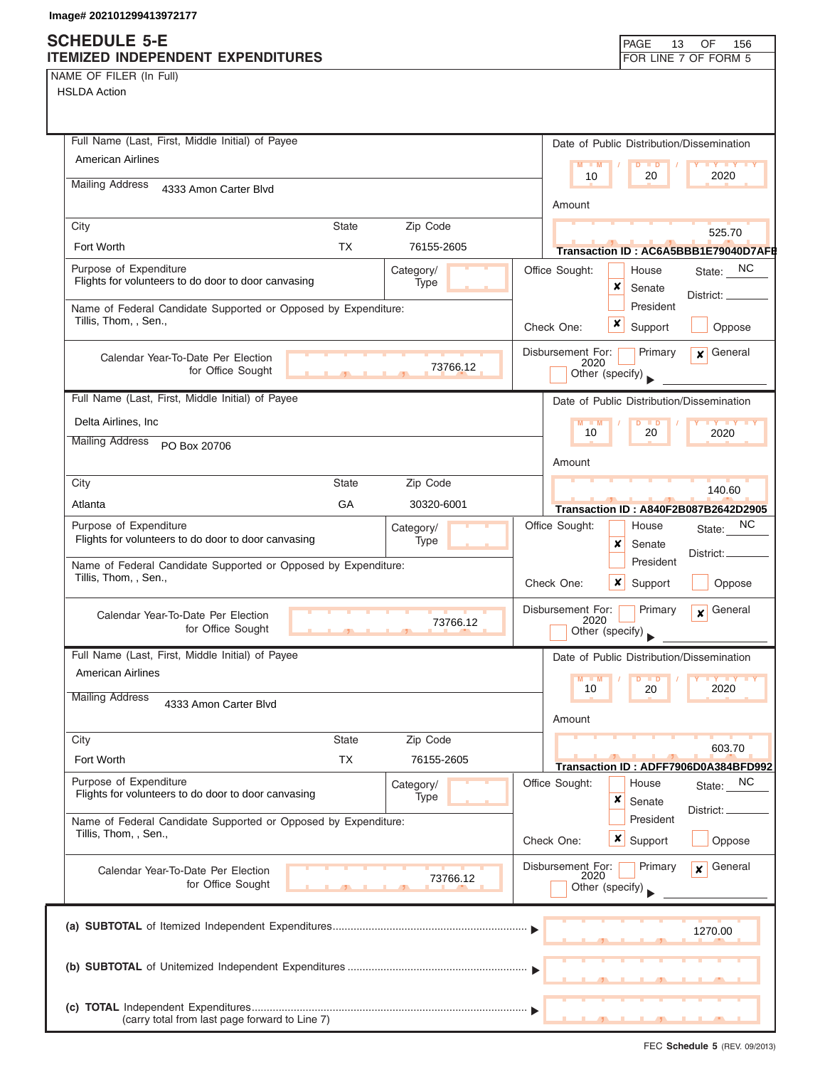NAME OF FILER (In Full)

HSLDA Action

| Full Name (Last, First, Middle Initial) of Payee                                                   | Date of Public Distribution/Dissemination                                          |
|----------------------------------------------------------------------------------------------------|------------------------------------------------------------------------------------|
| American Airlines                                                                                  | $M - M$<br>$\overline{D}$<br><b>TY TY TY</b><br>$\blacksquare$<br>10<br>2020<br>20 |
| <b>Mailing Address</b><br>4333 Amon Carter Blvd                                                    |                                                                                    |
|                                                                                                    | Amount                                                                             |
| <b>State</b><br>Zip Code<br>City                                                                   | 525.70                                                                             |
| Fort Worth<br>TX<br>76155-2605                                                                     | Transaction ID: AC6A5BBB1E79040D7AFE                                               |
| Purpose of Expenditure<br>Category/<br>Flights for volunteers to do door to door canvasing<br>Type | State: NC<br>Office Sought:<br>House<br>x<br>Senate                                |
| Name of Federal Candidate Supported or Opposed by Expenditure:                                     | District: ____<br>President                                                        |
| Tillis, Thom, , Sen.,                                                                              | $\boldsymbol{x}$<br>Support<br>Oppose<br>Check One:                                |
|                                                                                                    | Disbursement For:<br>$\mathbf x$ General<br>Primary                                |
| Calendar Year-To-Date Per Election<br>73766.12<br>for Office Sought                                | 2020<br>Other (specify)                                                            |
|                                                                                                    |                                                                                    |
| Full Name (Last, First, Middle Initial) of Payee                                                   | Date of Public Distribution/Dissemination                                          |
| Delta Airlines, Inc.                                                                               | $M - M$<br>$Y + Y + Y$<br>$D$ $D$<br>10<br>20<br>2020                              |
| <b>Mailing Address</b><br>PO Box 20706                                                             |                                                                                    |
|                                                                                                    | Amount                                                                             |
| City<br><b>State</b><br>Zip Code<br>GA                                                             | 140.60                                                                             |
| Atlanta<br>30320-6001                                                                              | Transaction ID: A840F2B087B2642D2905                                               |
| Purpose of Expenditure<br>Category/<br>Flights for volunteers to do door to door canvasing<br>Type | NC<br>Office Sought:<br>House<br>State:<br>x<br>Senate                             |
| Name of Federal Candidate Supported or Opposed by Expenditure:                                     | District: _<br>President                                                           |
| Tillis, Thom, , Sen.,                                                                              | Check One:<br>$\boldsymbol{\mathsf{x}}$<br>Oppose<br>Support                       |
| Calendar Year-To-Date Per Election                                                                 | General<br>Disbursement For:<br>Primary<br>$\mathbf{x}$                            |
| 73766.12<br>for Office Sought                                                                      | 2020<br>Other (specify)                                                            |
| Full Name (Last, First, Middle Initial) of Payee                                                   | Date of Public Distribution/Dissemination                                          |
| <b>American Airlines</b>                                                                           | M<br>$\blacksquare$ M<br>$\blacksquare$                                            |
| <b>Mailing Address</b><br>4333 Amon Carter Blvd                                                    | 10<br>2020<br>20                                                                   |
|                                                                                                    | Amount                                                                             |
| <b>State</b><br>Zip Code<br>City                                                                   | 603.70                                                                             |
| <b>TX</b><br>Fort Worth<br>76155-2605                                                              | Transaction ID: ADFF7906D0A384BFD992                                               |
| Purpose of Expenditure<br>Category/<br>Flights for volunteers to do door to door canvasing<br>Type | Office Sought:<br>NC<br>House<br>State:<br>×                                       |
|                                                                                                    | Senate<br>District:<br>President                                                   |
| Name of Federal Candidate Supported or Opposed by Expenditure:<br>Tillis, Thom, , Sen.,            | $x \mid$ Support<br>Check One:<br>Oppose                                           |
| Calendar Year-To-Date Per Election                                                                 | Disbursement For:<br>General<br>Primary<br>$\mathbf{x}$                            |
| 73766.12<br>for Office Sought                                                                      | 2020<br>Other (specify)                                                            |
|                                                                                                    |                                                                                    |
|                                                                                                    | 1270.00                                                                            |
|                                                                                                    |                                                                                    |
|                                                                                                    |                                                                                    |
|                                                                                                    |                                                                                    |
| (carry total from last page forward to Line 7)                                                     |                                                                                    |

FEC **Schedule 5** (REV. 09/2013)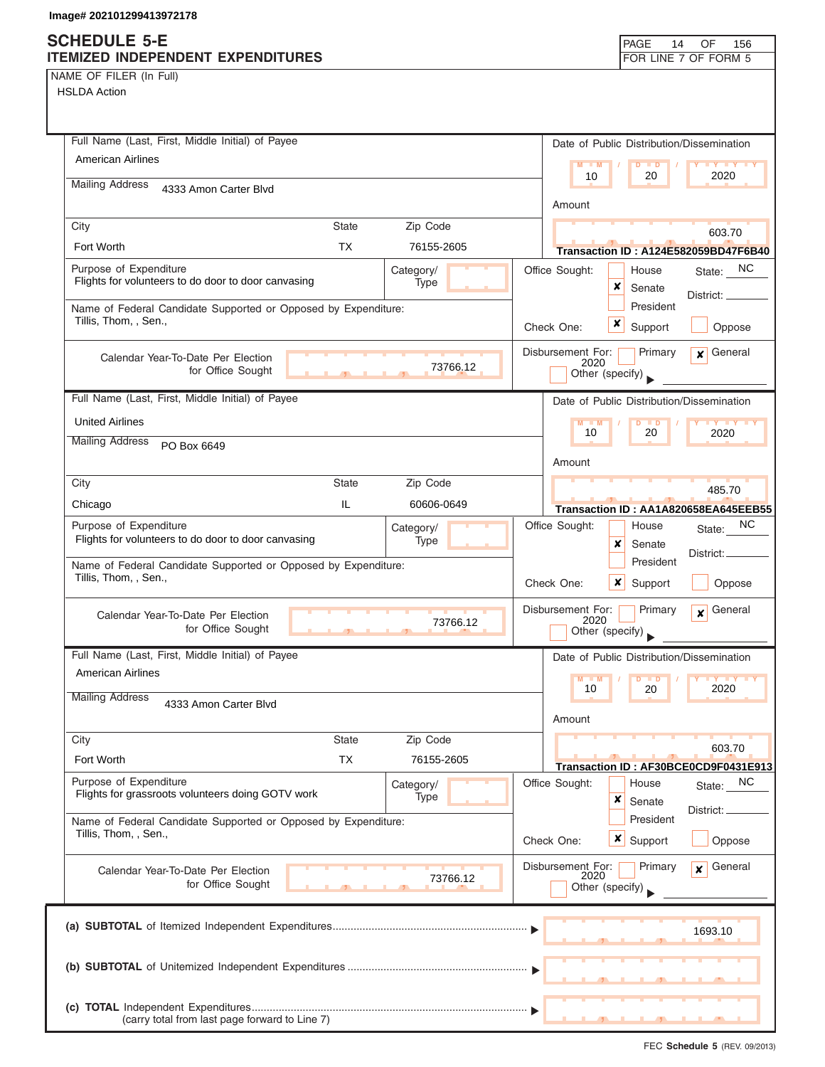NAME OF FILER (In Full)

| Full Name (Last, First, Middle Initial) of Payee                                           | Date of Public Distribution/Dissemination                       |
|--------------------------------------------------------------------------------------------|-----------------------------------------------------------------|
| <b>American Airlines</b>                                                                   | $M = M$<br>$D$ $D$<br><b>TY TY TY</b>                           |
| <b>Mailing Address</b><br>4333 Amon Carter Blvd                                            | 2020<br>10<br>20                                                |
|                                                                                            | Amount                                                          |
| City<br><b>State</b><br>Zip Code                                                           | 603.70                                                          |
| <b>TX</b><br>Fort Worth<br>76155-2605                                                      | Transaction ID: A124E582059BD47F6B40                            |
| Purpose of Expenditure<br>Category/<br>Flights for volunteers to do door to door canvasing | State: NC<br>Office Sought:<br>House                            |
| Type                                                                                       | x<br>Senate<br>District:                                        |
| Name of Federal Candidate Supported or Opposed by Expenditure:<br>Tillis, Thom, , Sen.,    | President                                                       |
|                                                                                            | x<br>Support<br>Check One:<br>Oppose                            |
| Calendar Year-To-Date Per Election                                                         | Disbursement For:<br>General<br>Primary<br>$\mathbf{x}$<br>2020 |
| 73766.12<br>for Office Sought<br>$\overline{1}$                                            | Other (specify)                                                 |
| Full Name (Last, First, Middle Initial) of Payee                                           | Date of Public Distribution/Dissemination                       |
| <b>United Airlines</b>                                                                     | $M - M$<br>$D$ $D$<br><b>TY TY</b>                              |
| <b>Mailing Address</b><br>PO Box 6649                                                      | 20<br>10<br>2020                                                |
|                                                                                            | Amount                                                          |
| City<br><b>State</b><br>Zip Code                                                           | 485.70                                                          |
| IL.<br>Chicago<br>60606-0649                                                               | Transaction ID: AA1A820658EA645EEB55                            |
| Purpose of Expenditure<br>Category/                                                        | ΝC<br>Office Sought:<br>House<br>State:                         |
| Flights for volunteers to do door to door canvasing<br>Type                                | x<br>Senate<br>District: _                                      |
| Name of Federal Candidate Supported or Opposed by Expenditure:<br>Tillis, Thom, , Sen.,    | President                                                       |
|                                                                                            | Check One:<br>$\boldsymbol{x}$<br>Support<br>Oppose             |
| Calendar Year-To-Date Per Election<br>73766.12                                             | Disbursement For:<br>Primary<br>General<br>$\mathbf{x}$<br>2020 |
| for Office Sought<br>$\overline{1}$                                                        | Other (specify)                                                 |
| Full Name (Last, First, Middle Initial) of Payee                                           | Date of Public Distribution/Dissemination                       |
| <b>American Airlines</b>                                                                   | M<br>$\blacksquare$                                             |
| <b>Mailing Address</b><br>4333 Amon Carter Blvd                                            | 10<br>2020<br>20                                                |
|                                                                                            | Amount                                                          |
| City<br><b>State</b><br>Zip Code                                                           | 603.70                                                          |
| <b>TX</b><br>Fort Worth<br>76155-2605                                                      | Transaction ID: AF30BCE0CD9F0431E913                            |
| Purpose of Expenditure<br>Category/                                                        | Office Sought:<br>State: NC<br>House                            |
| Flights for grassroots volunteers doing GOTV work<br>Type                                  | x<br>Senate<br>District:                                        |
| Name of Federal Candidate Supported or Opposed by Expenditure:<br>Tillis, Thom, , Sen.,    | President                                                       |
|                                                                                            | $x \mid$ Support<br>Oppose<br>Check One:                        |
| Calendar Year-To-Date Per Election<br>73766.12                                             | Disbursement For:<br>Primary<br>General<br>$\mathbf{x}$<br>2020 |
| for Office Sought                                                                          | Other (specify)                                                 |
|                                                                                            |                                                                 |
|                                                                                            | 1693.10                                                         |
|                                                                                            |                                                                 |
|                                                                                            |                                                                 |
|                                                                                            |                                                                 |
| (carry total from last page forward to Line 7)                                             |                                                                 |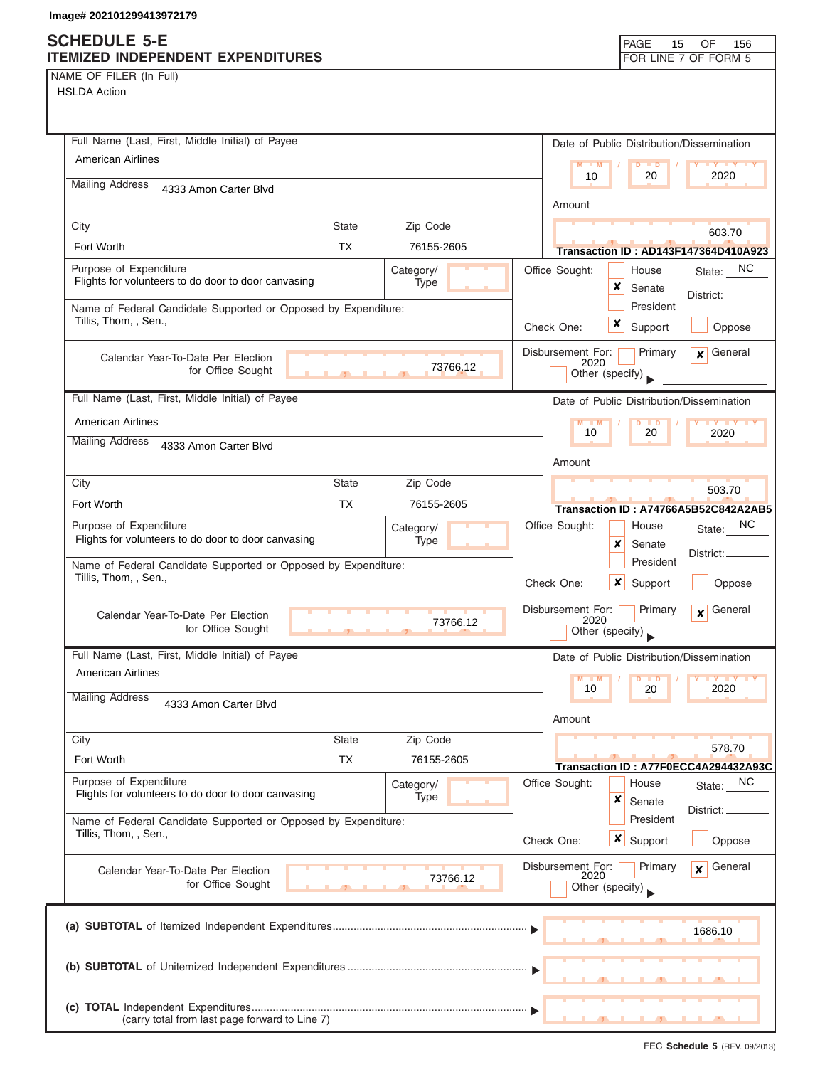NAME OF FILER (In Full)

| Full Name (Last, First, Middle Initial) of Payee                                                   | Date of Public Distribution/Dissemination                       |
|----------------------------------------------------------------------------------------------------|-----------------------------------------------------------------|
| <b>American Airlines</b>                                                                           | $M = M$<br>$D$ $D$<br><b>TY TY TY</b>                           |
| <b>Mailing Address</b><br>4333 Amon Carter Blvd                                                    | 10<br>2020<br>20                                                |
|                                                                                                    | Amount                                                          |
| City<br><b>State</b><br>Zip Code                                                                   | 603.70                                                          |
| <b>TX</b><br>Fort Worth<br>76155-2605                                                              | <b>Transaction ID: AD143F147364D410A923</b>                     |
| Purpose of Expenditure<br>Category/<br>Flights for volunteers to do door to door canvasing<br>Type | Office Sought:<br>State: NC<br>House                            |
|                                                                                                    | x<br>Senate<br>District:<br>President                           |
| Name of Federal Candidate Supported or Opposed by Expenditure:<br>Tillis, Thom, , Sen.,            | x<br>Check One:                                                 |
|                                                                                                    | Support<br>Oppose                                               |
| Calendar Year-To-Date Per Election<br>73766.12                                                     | Disbursement For:<br>General<br>Primary<br>$\mathbf{x}$<br>2020 |
| for Office Sought                                                                                  | Other (specify)                                                 |
| Full Name (Last, First, Middle Initial) of Payee                                                   | Date of Public Distribution/Dissemination                       |
| <b>American Airlines</b>                                                                           | $M - M$<br>$D$ $D$<br><b>TY TY</b><br>10<br>20<br>2020          |
| <b>Mailing Address</b><br>4333 Amon Carter Blvd                                                    |                                                                 |
|                                                                                                    | Amount                                                          |
| City<br><b>State</b><br>Zip Code                                                                   | 503.70                                                          |
| Fort Worth<br><b>TX</b><br>76155-2605                                                              | Transaction ID: A74766A5B52C842A2AB5                            |
| Purpose of Expenditure<br>Category/<br>Flights for volunteers to do door to door canvasing<br>Type | NC.<br>Office Sought:<br>House<br>State:                        |
|                                                                                                    | x<br>Senate<br>District: _<br>President                         |
| Name of Federal Candidate Supported or Opposed by Expenditure:<br>Tillis, Thom, , Sen.,            | Check One:<br>$\boldsymbol{\mathsf{x}}$<br>Oppose               |
|                                                                                                    | Support                                                         |
| Calendar Year-To-Date Per Election<br>73766.12                                                     | Disbursement For:<br>Primary<br>General<br>$\mathbf{x}$<br>2020 |
| for Office Sought<br>$\mathcal{F}$                                                                 | Other (specify)                                                 |
| Full Name (Last, First, Middle Initial) of Payee                                                   | Date of Public Distribution/Dissemination                       |
| <b>American Airlines</b>                                                                           | M<br>M<br><b>D</b><br>10<br>20<br>2020                          |
| <b>Mailing Address</b><br>4333 Amon Carter Blvd                                                    |                                                                 |
|                                                                                                    | Amount                                                          |
| City<br><b>State</b><br>Zip Code                                                                   | 578.70                                                          |
| <b>TX</b><br>Fort Worth<br>76155-2605                                                              | Transaction ID: A77F0ECC4A294432A93C                            |
| Purpose of Expenditure<br>Category/<br>Flights for volunteers to do door to door canvasing         | Office Sought:<br>NC<br>House<br>State:                         |
| Type                                                                                               | x<br>Senate<br>District:                                        |
| Name of Federal Candidate Supported or Opposed by Expenditure:<br>Tillis, Thom, , Sen.,            | President                                                       |
|                                                                                                    | <b>x</b> Support<br>Oppose<br>Check One:                        |
| Calendar Year-To-Date Per Election<br>73766.12                                                     | Disbursement For:<br>Primary<br>General<br>$\mathbf{x}$<br>2020 |
| for Office Sought                                                                                  | Other (specify)                                                 |
|                                                                                                    |                                                                 |
|                                                                                                    | 1686.10                                                         |
|                                                                                                    |                                                                 |
|                                                                                                    |                                                                 |
|                                                                                                    |                                                                 |
| (carry total from last page forward to Line 7)                                                     |                                                                 |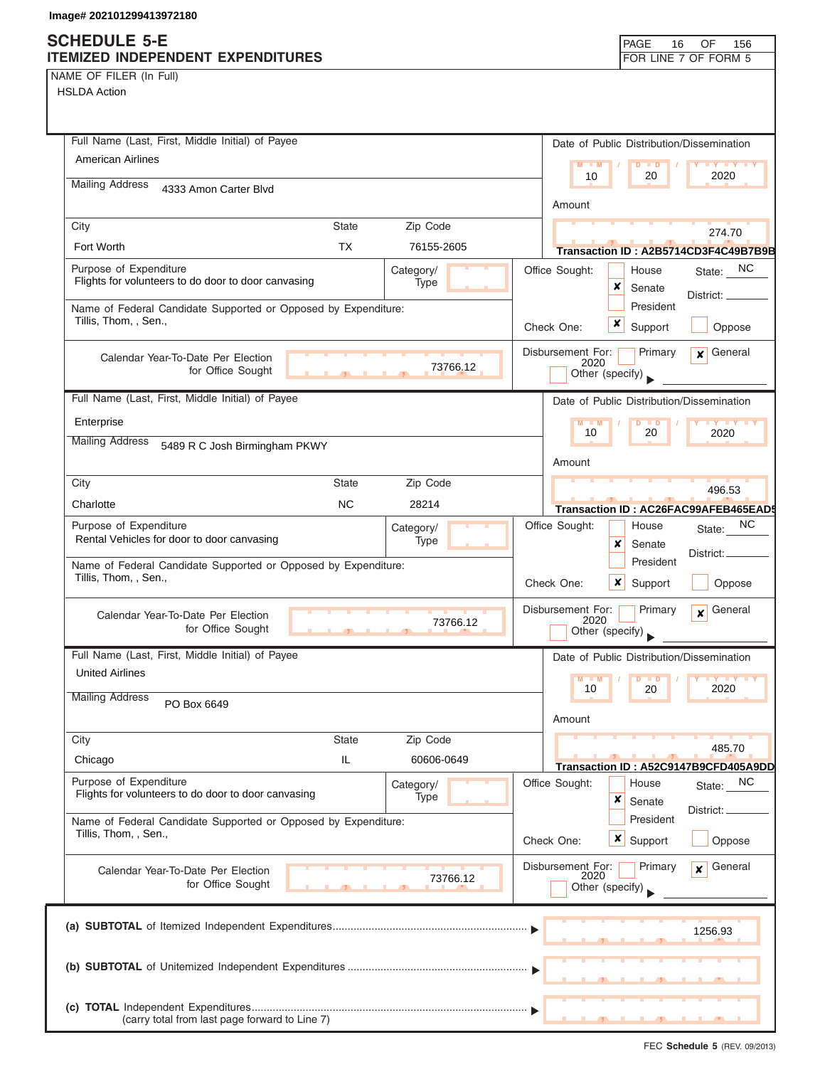# **SCHEDULE 5-E**

| NAME OF FILER (In Full) |  |  |
|-------------------------|--|--|
|-------------------------|--|--|

| SCHEDULE 5-E                                                   |              |            |                           | PAGE<br>16                                | OF<br>156                            |
|----------------------------------------------------------------|--------------|------------|---------------------------|-------------------------------------------|--------------------------------------|
| ITEMIZED INDEPENDENT EXPENDITURES<br>NAME OF FILER (In Full)   |              |            |                           |                                           | FOR LINE 7 OF FORM 5                 |
| <b>HSLDA Action</b>                                            |              |            |                           |                                           |                                      |
|                                                                |              |            |                           |                                           |                                      |
|                                                                |              |            |                           |                                           |                                      |
| Full Name (Last, First, Middle Initial) of Payee               |              |            |                           | Date of Public Distribution/Dissemination |                                      |
| <b>American Airlines</b>                                       |              |            | $M - M$                   | $D$ $D$                                   | <b>TANK TANK AND THE YEAR</b>        |
| <b>Mailing Address</b>                                         |              |            | 10                        | 20                                        | 2020                                 |
| 4333 Amon Carter Blvd                                          |              |            |                           |                                           |                                      |
|                                                                |              |            | Amount                    |                                           |                                      |
| City                                                           | <b>State</b> | Zip Code   |                           |                                           | 274.70                               |
| Fort Worth                                                     | <b>TX</b>    | 76155-2605 |                           |                                           | Transaction ID: A2B5714CD3F4C49B7B9B |
| Purpose of Expenditure                                         |              | Category/  | Office Sought:            | House                                     | NC<br>State:                         |
| Flights for volunteers to do door to door canvasing            |              | Type       |                           | ×<br>Senate                               |                                      |
| Name of Federal Candidate Supported or Opposed by Expenditure: |              |            |                           | President                                 | District:                            |
| Tillis, Thom, , Sen.,                                          |              |            | Check One:                | x<br>Support                              | Oppose                               |
|                                                                |              |            |                           |                                           |                                      |
| Calendar Year-To-Date Per Election                             |              | 73766.12   | Disbursement For:<br>2020 | Primary                                   | General<br>$\mathbf{x}$              |
| for Office Sought                                              | $\mathbf{r}$ |            |                           | Other (specify)                           |                                      |
| Full Name (Last, First, Middle Initial) of Payee               |              |            |                           | Date of Public Distribution/Dissemination |                                      |
| Enterprise                                                     |              |            | $M - M$                   | $D$ $D$                                   | $+Y+Y+Y$                             |
| <b>Mailing Address</b>                                         |              |            | 10                        | 20                                        | 2020                                 |
| 5489 R C Josh Birmingham PKWY                                  |              |            |                           |                                           |                                      |
|                                                                |              |            | Amount                    |                                           |                                      |
| City                                                           | <b>State</b> | Zip Code   |                           |                                           | 496.53                               |
| Charlotte                                                      | <b>NC</b>    | 28214      |                           |                                           | Transaction ID: AC26FAC99AFEB465EAD  |
| Purpose of Expenditure                                         |              | Category/  | Office Sought:            | House                                     | NC.<br>State:                        |
| Rental Vehicles for door to door canvasing                     |              | Type       |                           | x<br>Senate                               |                                      |
| Name of Federal Candidate Supported or Opposed by Expenditure: |              |            |                           | President                                 | District:                            |
| Tillis, Thom, , Sen.,                                          |              |            | Check One:                | ×<br>Support                              | Oppose                               |
|                                                                |              |            |                           |                                           |                                      |
| Calendar Year-To-Date Per Election                             |              | 73766.12   | Disbursement For:<br>2020 | Primary                                   | General<br>$\mathbf{x}$              |
| for Office Sought                                              |              |            |                           | Other (specify)                           |                                      |
| Full Name (Last, First, Middle Initial) of Payee               |              |            |                           | Date of Public Distribution/Dissemination |                                      |
| <b>United Airlines</b>                                         |              |            | $M - M$                   | $\blacksquare$                            | <b>IY IY IY</b>                      |
| <b>Mailing Address</b>                                         |              |            | 10                        | 20                                        | 2020                                 |
| PO Box 6649                                                    |              |            |                           |                                           |                                      |
|                                                                |              |            | Amount                    |                                           |                                      |
| City                                                           | <b>State</b> | Zip Code   |                           |                                           | 485.70                               |
| Chicago                                                        | IL           | 60606-0649 |                           |                                           | Transaction ID: A52C9147B9CFD405A9DD |
| Purpose of Expenditure                                         |              | Category/  | Office Sought:            | House                                     | State: NC                            |
| Flights for volunteers to do door to door canvasing            |              | Type       |                           | ×<br>Senate                               |                                      |
| Name of Federal Candidate Supported or Opposed by Expenditure: |              |            |                           | President                                 | District:                            |
| Tillis, Thom, , Sen.,                                          |              |            | Check One:                | x<br>Support                              | Oppose                               |
|                                                                |              |            |                           |                                           |                                      |
| Calendar Year-To-Date Per Election                             |              | 73766.12   | Disbursement For:<br>2020 | Primary                                   | General<br>$\mathbf{x}$              |
| for Office Sought                                              |              |            |                           | Other (specify)                           |                                      |
|                                                                |              |            |                           |                                           |                                      |
|                                                                |              |            |                           |                                           | 1256.93                              |
|                                                                |              |            |                           |                                           |                                      |
|                                                                |              |            |                           |                                           |                                      |
|                                                                |              |            |                           |                                           |                                      |
|                                                                |              |            |                           |                                           |                                      |
| (carry total from last page forward to Line 7)                 |              |            |                           |                                           |                                      |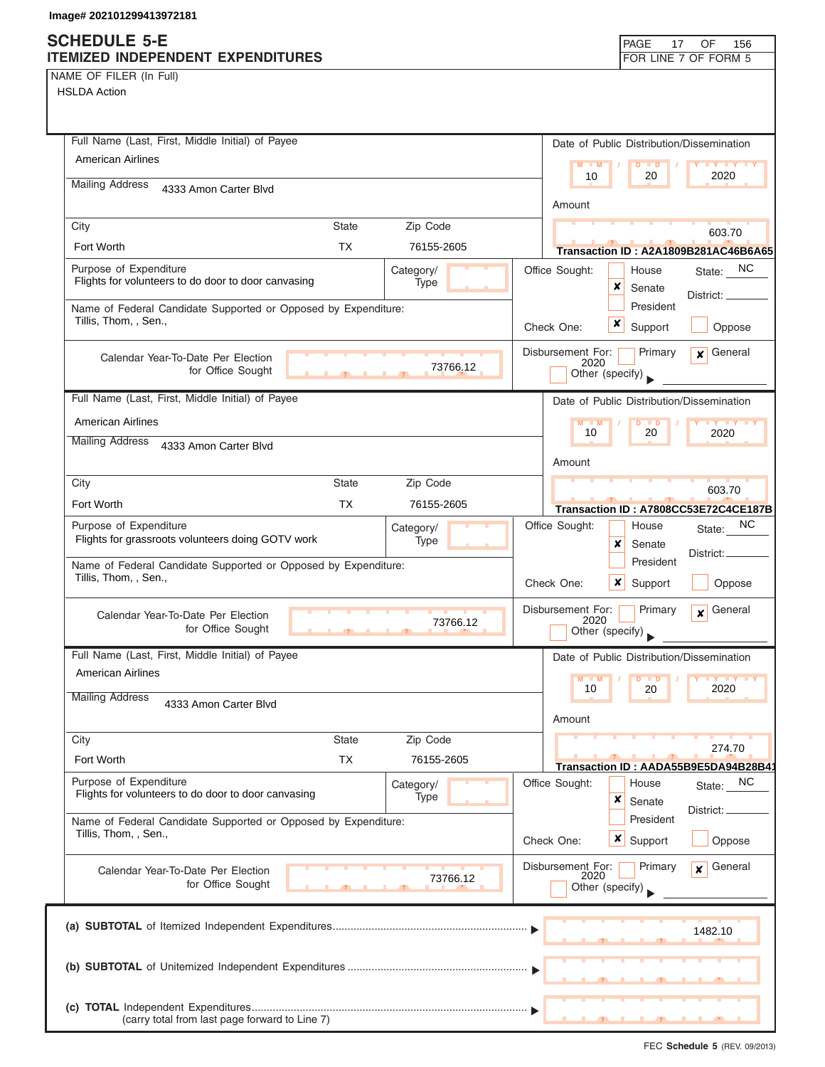### **SCHEDULE 5-E ITEMIZED INDEPENDENT EXP**

| NAME OF FILER (In Full) |  |  |  |  |  |
|-------------------------|--|--|--|--|--|
|-------------------------|--|--|--|--|--|

HSLDA Action

| qe# 202101299413972181                                                                                                          |                                                     |                                                                                                                           |
|---------------------------------------------------------------------------------------------------------------------------------|-----------------------------------------------------|---------------------------------------------------------------------------------------------------------------------------|
| <b>HEDULE 5-E</b><br><b>MIZED INDEPENDENT EXPENDITURES</b>                                                                      |                                                     | PAGE<br>OF<br>17<br>156<br>FOR LINE 7 OF FORM 5                                                                           |
| ME OF FILER (In Full)<br><b>SLDA Action</b>                                                                                     |                                                     |                                                                                                                           |
| Full Name (Last, First, Middle Initial) of Payee<br><b>American Airlines</b><br><b>Mailing Address</b><br>4333 Amon Carter Blvd |                                                     | Date of Public Distribution/Dissemination<br><b>LY LY LY</b><br>M<br>$\overline{D}$<br>$\blacksquare$<br>2020<br>10<br>20 |
|                                                                                                                                 |                                                     | Amount                                                                                                                    |
| City<br>Fort Worth                                                                                                              | Zip Code<br><b>State</b><br><b>TX</b><br>76155-2605 | 603.70<br>Transaction ID: A2A1809B281AC46B6A65                                                                            |
| Purpose of Expenditure<br>Flights for volunteers to do door to door canvasing                                                   | Category/<br>Type                                   | State: NC<br>Office Sought:<br>House<br>x<br>Senate<br>District:                                                          |
| Name of Federal Candidate Supported or Opposed by Expenditure:<br>Tillis, Thom, , Sen.,                                         |                                                     | President<br>x<br>Oppose<br>Check One:<br>Support                                                                         |
| Calendar Year-To-Date Per Election<br>for Office Sought                                                                         | 73766.12                                            | Disbursement For:<br>General<br>Primary<br>$\boldsymbol{x}$<br>2020<br>Other (specify)                                    |
| Full Name (Last, First, Middle Initial) of Payee                                                                                |                                                     | Date of Public Distribution/Dissemination                                                                                 |
| <b>American Airlines</b><br><b>Mailing Address</b><br>4333 Amon Carter Blvd                                                     |                                                     | $\overline{D}$<br>$\blacksquare$<br>10<br>20<br>2020                                                                      |
|                                                                                                                                 |                                                     | Amount                                                                                                                    |
| City                                                                                                                            | Zip Code<br><b>State</b>                            | 603.70                                                                                                                    |
| Fort Worth                                                                                                                      | 76155-2605<br><b>TX</b>                             | Transaction ID: A7808CC53E72C4CE187B                                                                                      |
| Purpose of Expenditure<br>Flights for grassroots volunteers doing GOTV work                                                     | Category/<br>Type                                   | NC<br>Office Sought:<br>House<br>State:<br>x<br>Senate<br>District: _<br>President                                        |
| Name of Federal Candidate Supported or Opposed by Expenditure:<br>Tillis, Thom., Sen.,                                          |                                                     | $\mathbf{v}$ $\sim$ $\sim$<br>$\sim$<br>$O2$ and $O2$                                                                     |

| Name of Federal Candidate Supported or Opposed by Expenditure: |                                                                 |            | President |                           |                                           |                                                            |  |
|----------------------------------------------------------------|-----------------------------------------------------------------|------------|-----------|---------------------------|-------------------------------------------|------------------------------------------------------------|--|
| Tillis, Thom, , Sen.,                                          |                                                                 |            |           | Check One:                | Support<br>x                              | Oppose                                                     |  |
| Calendar Year-To-Date Per Election<br>for Office Sought        |                                                                 | 73766.12   |           | Disbursement For:<br>2020 | Primary<br>Other (specify)                | General<br>$\mathbf{x}$                                    |  |
| Full Name (Last, First, Middle Initial) of Payee               |                                                                 |            |           |                           | Date of Public Distribution/Dissemination |                                                            |  |
| <b>American Airlines</b>                                       |                                                                 |            |           | $M$ $M$<br>10             | 20                                        | $\blacksquare$ Y $\blacksquare$ Y $\blacksquare$ Y<br>2020 |  |
| <b>Mailing Address</b><br>4333 Amon Carter Blvd                |                                                                 |            |           |                           |                                           |                                                            |  |
|                                                                |                                                                 |            |           | Amount                    |                                           |                                                            |  |
| City                                                           | State                                                           | Zip Code   |           |                           |                                           | 274.70                                                     |  |
| Fort Worth                                                     | <b>TX</b>                                                       | 76155-2605 |           |                           |                                           | Transaction ID: AADA55B9E5DA94B28B4                        |  |
| Purpose of Expenditure                                         |                                                                 | Category/  |           | Office Sought:            | House                                     | State: NC                                                  |  |
| Flights for volunteers to do door to door canvasing            |                                                                 | Type       |           |                           | x<br>Senate                               | District:                                                  |  |
| Name of Federal Candidate Supported or Opposed by Expenditure: |                                                                 |            |           |                           | President                                 |                                                            |  |
| Tillis, Thom, , Sen.,                                          |                                                                 |            |           | Check One:                | <b>x</b> Support                          | Oppose                                                     |  |
| Calendar Year-To-Date Per Election                             |                                                                 |            |           | Disbursement For:<br>2020 | Primary                                   | General<br>$\mathbf{x}$                                    |  |
| for Office Sought                                              | $\mathbf{1}$ and $\mathbf{1}$ and $\mathbf{1}$ and $\mathbf{1}$ | 73766.12   |           |                           | Other (specify)                           |                                                            |  |
|                                                                |                                                                 |            |           |                           |                                           | 1482.10                                                    |  |
|                                                                |                                                                 |            |           |                           |                                           |                                                            |  |
|                                                                |                                                                 |            |           |                           |                                           |                                                            |  |
| (carry total from last page forward to Line 7)                 |                                                                 |            |           |                           | $\overline{1}$                            |                                                            |  |

FEC **Schedule 5** (REV. 09/2013)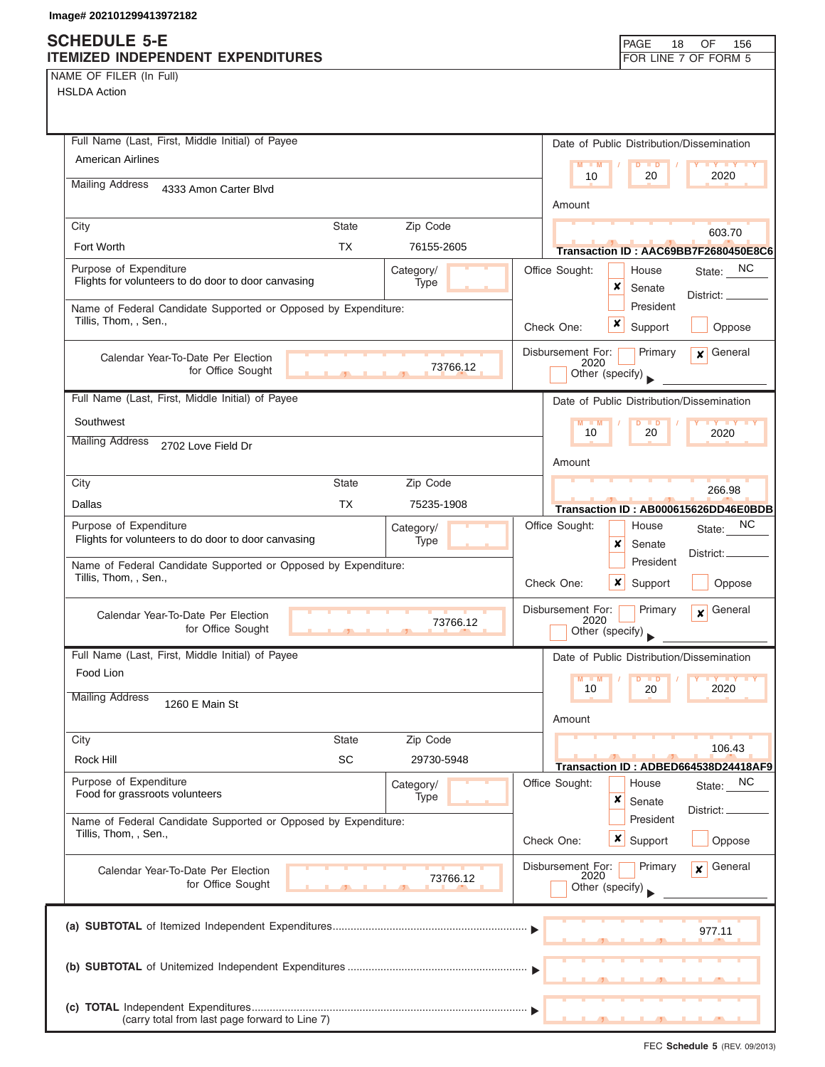(carry total from last page forward to Line 7)

NAME OF FILER (In Full)

| AME OF FILER (In Full)<br><b>HSLDA Action</b>                                           |                          |                                              |                                        |                                                |
|-----------------------------------------------------------------------------------------|--------------------------|----------------------------------------------|----------------------------------------|------------------------------------------------|
| Full Name (Last, First, Middle Initial) of Payee                                        |                          | Date of Public Distribution/Dissemination    |                                        |                                                |
| <b>American Airlines</b>                                                                |                          | $M = M$<br>10                                | $\overline{D}$<br>$\blacksquare$<br>20 | $\mathbf{y}$ and $\mathbf{y}$<br>2020          |
| <b>Mailing Address</b><br>4333 Amon Carter Blvd                                         |                          | Amount                                       |                                        |                                                |
| City                                                                                    | <b>State</b><br>Zip Code |                                              |                                        |                                                |
| Fort Worth                                                                              | <b>TX</b><br>76155-2605  |                                              |                                        | 603.70<br>Transaction ID: AAC69BB7F2680450E8C6 |
| Purpose of Expenditure<br>Flights for volunteers to do door to door canvasing           | Category/<br>Type        | Office Sought:<br>x                          | House<br>Senate                        | State: NC<br>District:                         |
| Name of Federal Candidate Supported or Opposed by Expenditure:<br>Tillis, Thom, , Sen., |                          | x<br>Check One:                              | President<br>Support                   | Oppose                                         |
| Calendar Year-To-Date Per Election<br>for Office Sought                                 | 73766.12                 | Disbursement For:<br>2020<br>Other (specify) | Primary                                | $\mathbf x$ General                            |
| Full Name (Last, First, Middle Initial) of Payee                                        |                          | Date of Public Distribution/Dissemination    |                                        |                                                |
| Southwest<br><b>Mailing Address</b><br>2702 Love Field Dr                               |                          | $M - M$<br>10                                | $D$ $D$<br>20                          | $Y + Y + Y + Y$<br>2020                        |
|                                                                                         |                          | Amount                                       |                                        |                                                |
| City                                                                                    | <b>State</b><br>Zip Code |                                              |                                        | 266.98                                         |
| Dallas                                                                                  | <b>TX</b><br>75235-1908  |                                              |                                        | Transaction ID: AB000615626DD46E0BDB           |
| Purpose of Expenditure<br>Flights for volunteers to do door to door canvasing           | Category/<br>Type        | Office Sought:<br>x                          | House<br>Senate                        | NC.<br>State:<br>District:                     |
| Name of Federal Candidate Supported or Opposed by Expenditure:<br>Tillis, Thom, , Sen., |                          | $\boldsymbol{x}$<br>Check One:               | President<br>Support                   | Oppose                                         |
| Calendar Year-To-Date Per Election<br>for Office Sought                                 | 73766.12                 | Disbursement For:<br>2020<br>Other (specify) | Primary                                | General<br>$\boldsymbol{x}$                    |
| Full Name (Last, First, Middle Initial) of Payee                                        |                          | Date of Public Distribution/Dissemination    |                                        |                                                |
| Food Lion                                                                               |                          |                                              |                                        |                                                |
| <b>Mailing Address</b><br>1260 E Main St                                                |                          | 10<br>Amount                                 | 20                                     | 2020                                           |
| City                                                                                    | Zip Code<br><b>State</b> |                                              |                                        | 106.43                                         |
| Rock Hill                                                                               | SC<br>29730-5948         |                                              |                                        | Transaction ID: ADBED664538D24418AF9           |
| Purpose of Expenditure<br>Food for grassroots volunteers                                | Category/<br>Type        | Office Sought:<br>x                          | House<br>Senate                        | State: NC<br>District:                         |
| Name of Federal Candidate Supported or Opposed by Expenditure:<br>Tillis, Thom, , Sen., |                          | $\boldsymbol{x}$<br>Check One:               | President<br>Support                   | Oppose                                         |
| Calendar Year-To-Date Per Election<br>for Office Sought                                 | 73766.12                 | Disbursement For:<br>2020<br>Other (specify) | Primary                                | General<br>$\mathbf{x}$                        |
|                                                                                         |                          |                                              |                                        | 977.11                                         |
|                                                                                         |                          |                                              |                                        |                                                |
|                                                                                         |                          |                                              |                                        |                                                |

▲ ▲ ▲ , , .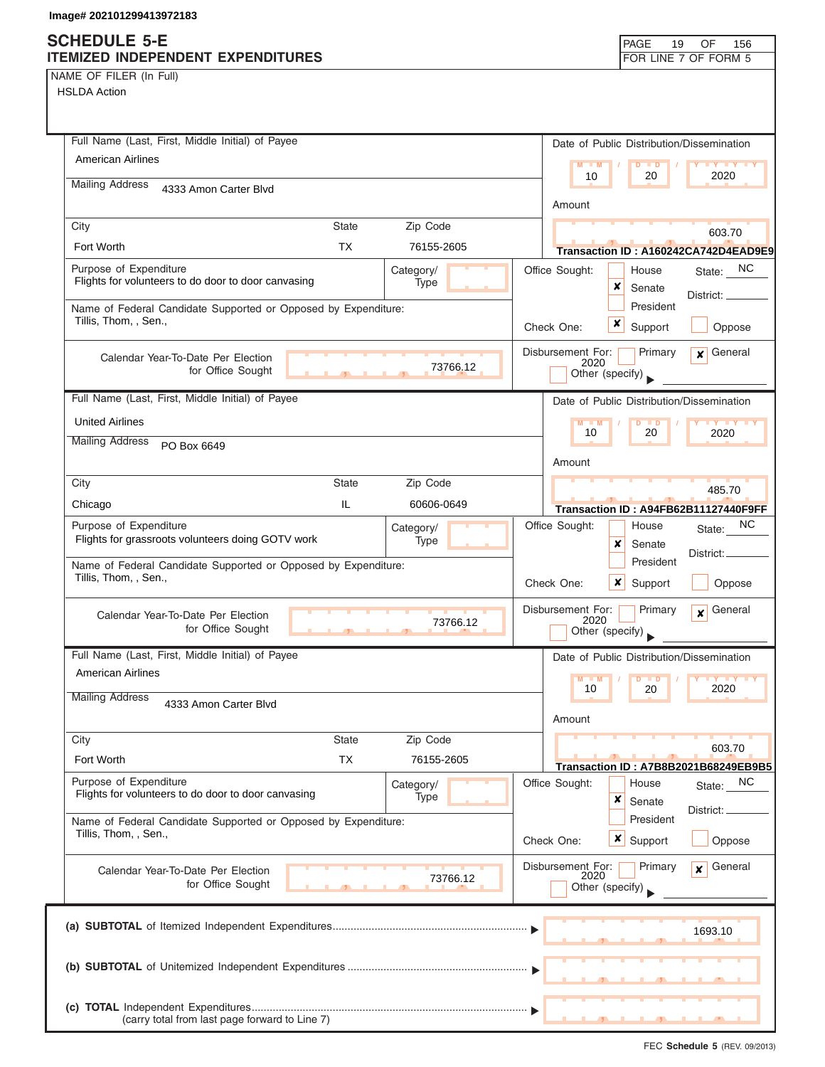NAME OF FILER (In Full)

| Full Name (Last, First, Middle Initial) of Payee                                                   | Date of Public Distribution/Dissemination                                          |
|----------------------------------------------------------------------------------------------------|------------------------------------------------------------------------------------|
| <b>American Airlines</b>                                                                           | $M - M$<br>$D$ $D$<br>$\mathbf{Y}$ $\mathbf{Y}$                                    |
| <b>Mailing Address</b><br>4333 Amon Carter Blvd                                                    | 2020<br>10<br>20                                                                   |
|                                                                                                    | Amount                                                                             |
| City<br><b>State</b><br>Zip Code                                                                   | 603.70                                                                             |
| <b>TX</b><br>Fort Worth<br>76155-2605                                                              | Transaction ID: A160242CA742D4EAD9E9                                               |
| Purpose of Expenditure<br>Category/<br>Flights for volunteers to do door to door canvasing<br>Type | State: NC<br>Office Sought:<br>House<br>×<br>Senate                                |
| Name of Federal Candidate Supported or Opposed by Expenditure:                                     | District: _<br>President                                                           |
| Tillis, Thom, , Sen.,                                                                              | ×<br>Support<br>Oppose<br>Check One:                                               |
| Calendar Year-To-Date Per Election                                                                 | General<br>Disbursement For:<br>Primary<br>$\mathbf{x}$<br>2020                    |
| 73766.12<br>for Office Sought<br>$\mathcal{F}$                                                     | Other (specify)                                                                    |
| Full Name (Last, First, Middle Initial) of Payee                                                   | Date of Public Distribution/Dissemination                                          |
| <b>United Airlines</b>                                                                             | $M - M$<br>$D$ $D$<br><b>TY Y Y</b>                                                |
| <b>Mailing Address</b><br>PO Box 6649                                                              | 10<br>20<br>2020                                                                   |
|                                                                                                    | Amount                                                                             |
| City<br><b>State</b><br>Zip Code                                                                   | 485.70                                                                             |
| IL<br>60606-0649<br>Chicago                                                                        | Transaction ID: A94FB62B11127440F9FF                                               |
| Purpose of Expenditure<br>Category/                                                                | ΝC<br>Office Sought:<br>House<br>State:                                            |
| Flights for grassroots volunteers doing GOTV work<br>Type                                          | x<br>Senate<br>District:                                                           |
| Name of Federal Candidate Supported or Opposed by Expenditure:<br>Tillis, Thom, , Sen.,            | President<br>$\boldsymbol{\mathsf{x}}$<br>Check One:<br>Support<br>Oppose          |
| Calendar Year-To-Date Per Election<br>73766.12<br>for Office Sought                                | Disbursement For:<br>General<br>Primary<br>$\mathbf{x}$<br>2020<br>Other (specify) |
| Full Name (Last, First, Middle Initial) of Payee                                                   | Date of Public Distribution/Dissemination                                          |
| <b>American Airlines</b>                                                                           | M<br>M<br>D<br>$\blacksquare$                                                      |
| <b>Mailing Address</b><br>4333 Amon Carter Blvd                                                    | 10<br>2020<br>20                                                                   |
| City<br><b>State</b><br>Zip Code                                                                   | Amount                                                                             |
| <b>TX</b><br>Fort Worth<br>76155-2605                                                              | 603.70                                                                             |
| Purpose of Expenditure                                                                             | Transaction ID: A7B8B2021B68249EB9B5<br>Office Sought:<br>NC<br>House              |
| Category/<br>Flights for volunteers to do door to door canvasing<br>Type                           | State:<br>×<br>Senate                                                              |
| Name of Federal Candidate Supported or Opposed by Expenditure:                                     | District:<br>President                                                             |
| Tillis, Thom, , Sen.,                                                                              | Check One:<br>$\boldsymbol{\mathsf{x}}$  <br>Support<br>Oppose                     |
| Calendar Year-To-Date Per Election<br>73766.12<br>for Office Sought                                | Disbursement For:<br>General<br>Primary<br>$\mathbf{x}$<br>2020                    |
|                                                                                                    | Other (specify)                                                                    |
|                                                                                                    | 1693.10                                                                            |
|                                                                                                    |                                                                                    |
|                                                                                                    |                                                                                    |
| (carry total from last page forward to Line 7)                                                     |                                                                                    |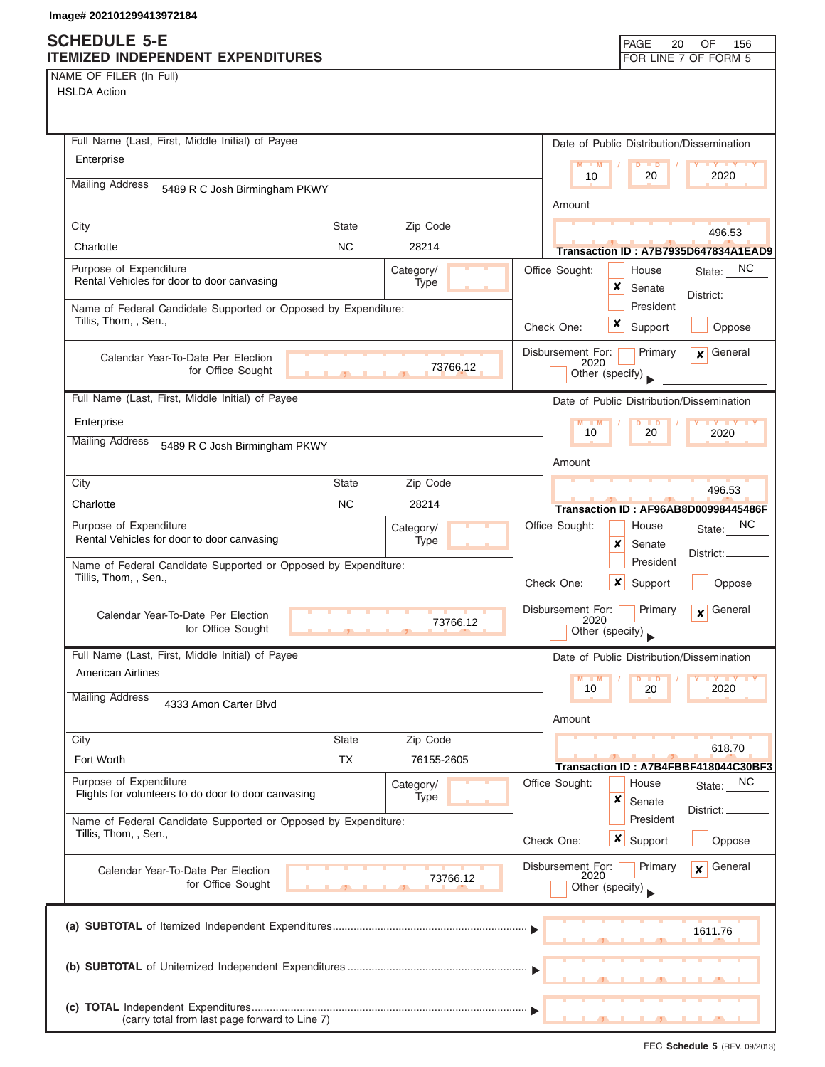### **SCHEDULE 5-E ITEMIZED INDEPENDENT EXPENDITURES FOR LINE 7 OF FORM 5**

| NAME OF FILER (In Full) |  |  |  |  |  |
|-------------------------|--|--|--|--|--|
|-------------------------|--|--|--|--|--|

| Full Name (Last, First, Middle Initial) of Payee                                          | Date of Public Distribution/Dissemination                                              |
|-------------------------------------------------------------------------------------------|----------------------------------------------------------------------------------------|
| Enterprise                                                                                | $M - M$<br>10<br>2020<br>20                                                            |
| <b>Mailing Address</b><br>5489 R C Josh Birmingham PKWY                                   | Amount                                                                                 |
| Zip Code<br>City<br>State                                                                 | 496.53                                                                                 |
| <b>NC</b><br>28214<br>Charlotte                                                           | Transaction ID: A7B7935D647834A1EAD9                                                   |
| Purpose of Expenditure<br>Category/<br>Rental Vehicles for door to door canvasing<br>Type | Office Sought:<br>State: NC<br>House<br>x<br>Senate<br>District: ___                   |
| Name of Federal Candidate Supported or Opposed by Expenditure:<br>Tillis, Thom, , Sen.,   | President<br>×<br>Check One:<br>Support<br>Oppose                                      |
| Calendar Year-To-Date Per Election<br>73766.12<br>for Office Sought                       | General<br>Disbursement For:<br>Primary<br>$\mathbf{x}$<br>2020<br>Other (specify)     |
| Full Name (Last, First, Middle Initial) of Payee                                          | Date of Public Distribution/Dissemination                                              |
| Enterprise                                                                                | M<br>$-M$<br>10<br>20                                                                  |
| <b>Mailing Address</b><br>5489 R C Josh Birmingham PKWY                                   | 2020                                                                                   |
|                                                                                           | Amount                                                                                 |
| Zip Code<br><b>State</b><br>City                                                          | 496.53                                                                                 |
| Charlotte<br><b>NC</b><br>28214                                                           | Transaction ID: AF96AB8D00998445486F                                                   |
| Purpose of Expenditure<br>Category/<br>Rental Vehicles for door to door canvasing<br>Type | NC.<br>Office Sought:<br>House<br>State:<br>x<br>Senate                                |
| Name of Federal Candidate Supported or Opposed by Expenditure:<br>Tillis, Thom, , Sen.,   | District:<br>President<br>×<br>Check One:<br>Support<br>Oppose                         |
| Calendar Year-To-Date Per Election<br>73766.12<br>for Office Sought                       | Disbursement For:<br>General<br>Primary<br>$\boldsymbol{x}$<br>2020<br>Other (specify) |
| Full Name (Last, First, Middle Initial) of Payee                                          | Date of Public Distribution/Dissemination                                              |
| American Airlines                                                                         | M<br>2020<br>10<br>20                                                                  |
| <b>Mailing Address</b><br>4333 Amon Carter Blvd                                           | Amount                                                                                 |
| City<br>Zip Code<br><b>State</b>                                                          | 618.70                                                                                 |
| Fort Worth<br><b>TX</b><br>76155-2605                                                     | Transaction ID: A7B4FBBF418044C30BF3                                                   |
| Purpose of Expenditure<br>Category/                                                       | Office Sought:<br>House<br>NC<br>State:                                                |
| Flights for volunteers to do door to door canvasing<br>Type                               | ×<br>Senate<br>District:                                                               |
| Name of Federal Candidate Supported or Opposed by Expenditure:<br>Tillis, Thom, , Sen.,   | President<br>$x \mid$<br>Check One:<br>Support<br>Oppose                               |
| Calendar Year-To-Date Per Election<br>73766.12<br>for Office Sought                       | Disbursement For:<br>Primary<br>General<br>$\mathbf{x}$<br>2020<br>Other (specify)     |
|                                                                                           | 1611.76                                                                                |
|                                                                                           |                                                                                        |
| (carry total from last page forward to Line 7)                                            |                                                                                        |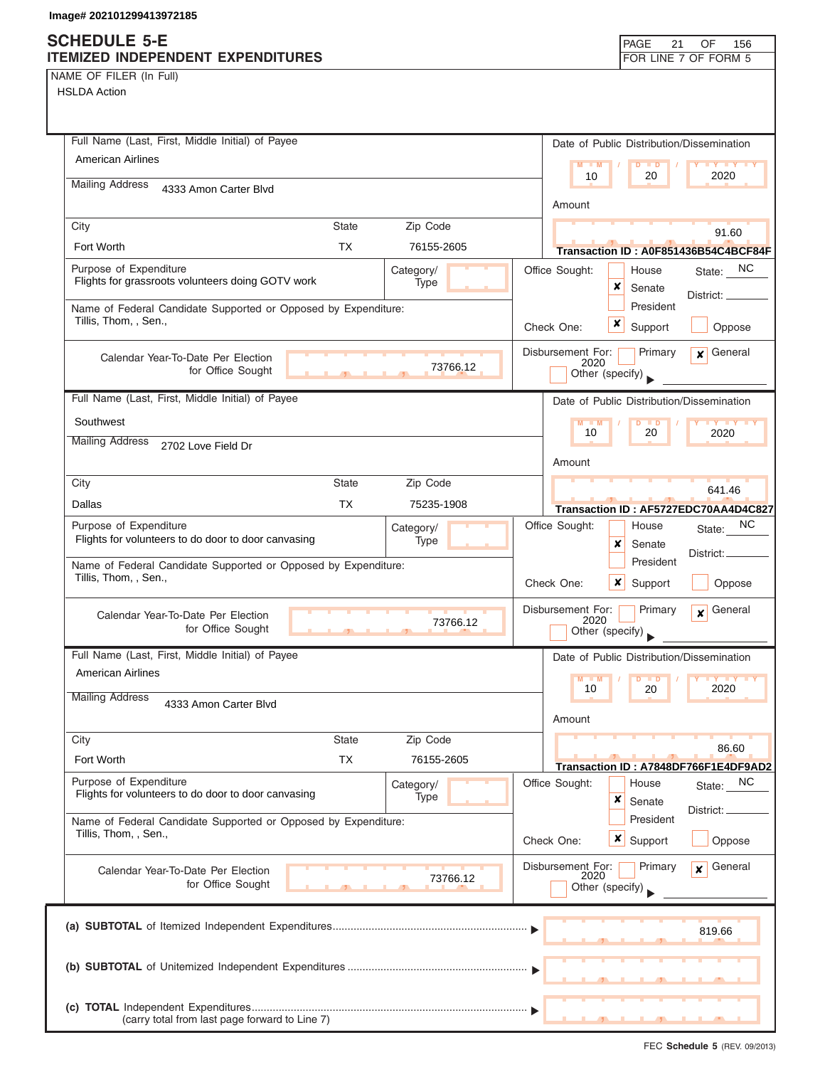## **SCHEDULE 5-E**

| NAME OF FILER (In Full) |  |
|-------------------------|--|
|-------------------------|--|

| SCHEDULE 5-E<br>ITEMIZED INDEPENDENT EXPENDITURES                                       |                           |                        |                   | PAGE                                      | 21                   | OF<br>156<br>FOR LINE 7 OF FORM 5                    |
|-----------------------------------------------------------------------------------------|---------------------------|------------------------|-------------------|-------------------------------------------|----------------------|------------------------------------------------------|
| NAME OF FILER (In Full)                                                                 |                           |                        |                   |                                           |                      |                                                      |
| <b>HSLDA Action</b>                                                                     |                           |                        |                   |                                           |                      |                                                      |
|                                                                                         |                           |                        |                   |                                           |                      |                                                      |
| Full Name (Last, First, Middle Initial) of Payee                                        |                           |                        |                   | Date of Public Distribution/Dissemination |                      |                                                      |
| <b>American Airlines</b>                                                                |                           |                        |                   | 10                                        | $D$ $D$<br>20        | 2020                                                 |
| <b>Mailing Address</b><br>4333 Amon Carter Blvd                                         |                           |                        | Amount            |                                           |                      |                                                      |
| City                                                                                    | <b>State</b>              | Zip Code               |                   |                                           |                      |                                                      |
| Fort Worth                                                                              | <b>TX</b>                 | 76155-2605             |                   |                                           |                      | 91.60<br>Transaction ID: A0F851436B54C4BCF84F        |
| Purpose of Expenditure<br>Flights for grassroots volunteers doing GOTV work             |                           | Category/              | Office Sought:    | House                                     |                      | State: NC                                            |
|                                                                                         |                           | Type                   |                   | ×                                         | Senate<br>President  | District: __                                         |
| Name of Federal Candidate Supported or Opposed by Expenditure:<br>Tillis, Thom, , Sen., |                           |                        | Check One:        | x                                         | Support              | Oppose                                               |
| Calendar Year-To-Date Per Election<br>for Office Sought                                 |                           | 73766.12               | Disbursement For: | 2020<br>Other (specify)                   | Primary              | General<br>$\overline{\mathbf{x}}$                   |
| Full Name (Last, First, Middle Initial) of Payee                                        |                           |                        |                   | Date of Public Distribution/Dissemination |                      |                                                      |
| Southwest                                                                               |                           |                        |                   | $M - M$<br>10                             | $D$ $D$<br>20        | <b>LY LY LY</b><br>2020                              |
| <b>Mailing Address</b><br>2702 Love Field Dr                                            |                           |                        |                   |                                           |                      |                                                      |
|                                                                                         |                           |                        | Amount            |                                           |                      |                                                      |
| City<br>Dallas                                                                          | <b>State</b><br><b>TX</b> | Zip Code<br>75235-1908 |                   |                                           |                      | 641.46                                               |
| Purpose of Expenditure                                                                  |                           | Category/              | Office Sought:    |                                           | House                | Transaction ID: AF5727EDC70AA4D4C827<br>NC           |
| Flights for volunteers to do door to door canvasing                                     |                           | Type                   |                   | x                                         | Senate               | State:<br>District:                                  |
| Name of Federal Candidate Supported or Opposed by Expenditure:                          |                           |                        |                   |                                           | President            |                                                      |
| Tillis, Thom, , Sen.,                                                                   |                           |                        | Check One:        | ×                                         | Support              | Oppose                                               |
| Calendar Year-To-Date Per Election<br>for Office Sought                                 | $\overline{1}$            | 73766.12               | Disbursement For: | 2020<br>Other (specify)                   | Primary              | General<br>$\boldsymbol{x}$                          |
| Full Name (Last, First, Middle Initial) of Payee                                        |                           |                        |                   | Date of Public Distribution/Dissemination |                      |                                                      |
| <b>American Airlines</b>                                                                |                           |                        | M                 | $-M$<br>10                                | . ∍<br>20            | 2020                                                 |
| <b>Mailing Address</b><br>4333 Amon Carter Blvd                                         |                           |                        |                   |                                           |                      |                                                      |
|                                                                                         |                           |                        | Amount            |                                           |                      |                                                      |
| City<br>Fort Worth                                                                      | <b>State</b><br><b>TX</b> | Zip Code<br>76155-2605 |                   |                                           |                      | 86.60                                                |
| Purpose of Expenditure                                                                  |                           | Category/              | Office Sought:    | House                                     |                      | Transaction ID: A7848DF766F1E4DF9AD2<br>NC<br>State: |
| Flights for volunteers to do door to door canvasing                                     |                           | Type                   |                   | ×<br>Senate                               |                      | District: <sub>-</sub>                               |
| Name of Federal Candidate Supported or Opposed by Expenditure:<br>Tillis, Thom, , Sen., |                           |                        | Check One:        | $\boldsymbol{x}$                          | President<br>Support | Oppose                                               |
| Calendar Year-To-Date Per Election<br>for Office Sought                                 |                           | 73766.12               | Disbursement For: | 2020<br>Other (specify)                   | Primary              | General<br>$\mathbf{x}$                              |
|                                                                                         |                           |                        |                   |                                           |                      | 819.66                                               |
|                                                                                         |                           |                        |                   |                                           |                      |                                                      |
| (carry total from last page forward to Line 7)                                          |                           |                        |                   |                                           |                      |                                                      |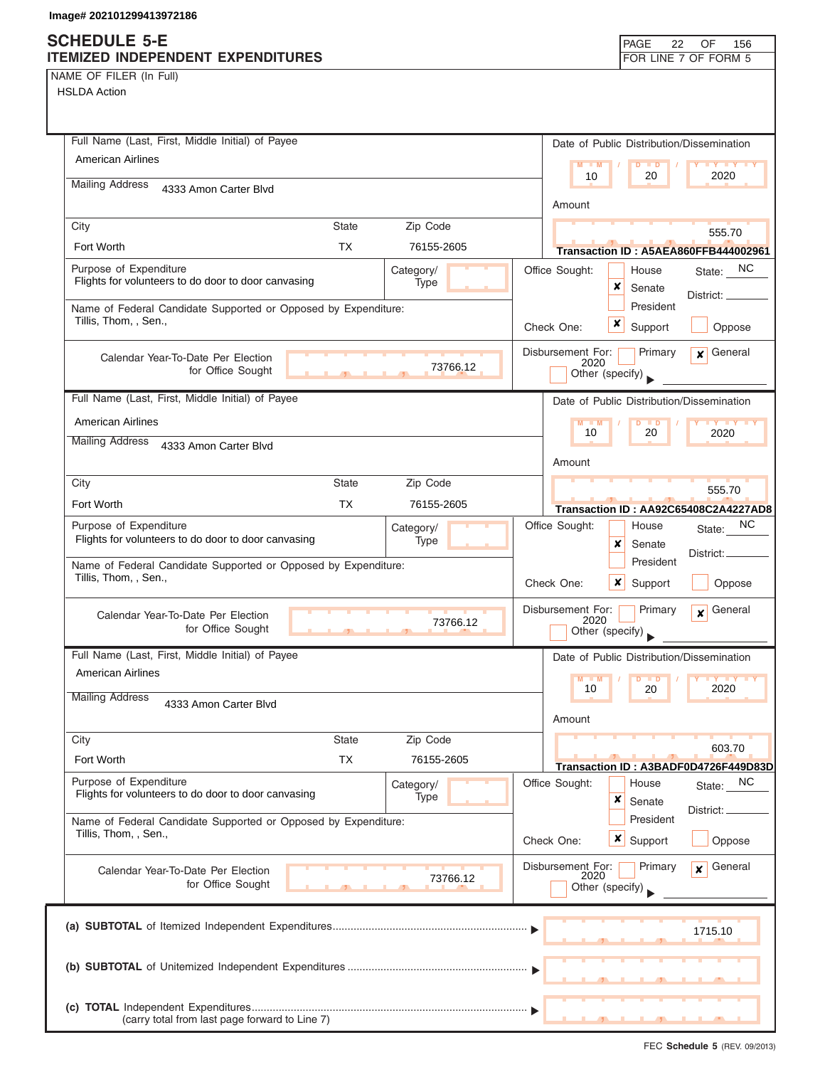## **SCHEDULE 5-E ITEMIZED INDEPENDENT EXPENDITURES**

| NAME OF FILER (In Full) |  |  |
|-------------------------|--|--|

|           |                            |          | FOR LINE 7 OF FORM 5                                           |
|-----------|----------------------------|----------|----------------------------------------------------------------|
|           |                            |          |                                                                |
|           |                            |          |                                                                |
|           |                            |          |                                                                |
|           |                            |          | Date of Public Distribution/Dissemination                      |
|           |                            |          | <b>LY LY LY</b><br>$M = M$<br>$\overline{D}$                   |
|           |                            |          | 10<br>20<br>2020                                               |
|           |                            |          | Amount                                                         |
|           |                            |          |                                                                |
|           |                            |          | 555.70                                                         |
| <b>TX</b> | 76155-2605                 |          | Transaction ID: A5AEA860FFB444002961                           |
|           | Category/                  |          | State: NC<br>Office Sought:<br>House                           |
|           | Type<br><b>State State</b> |          | Senate                                                         |
|           |                            |          | District:<br>President                                         |
|           | <b>State</b>               | Zip Code | Name of Federal Candidate Supported or Opposed by Expenditure: |

| Purpose of Expenditure<br>Flights for volunteers to do door to door canvasing           |                               | Category/<br>Type        | Office Sought:            | House<br>x<br>Senate                                  | State: NC<br>District: _    |
|-----------------------------------------------------------------------------------------|-------------------------------|--------------------------|---------------------------|-------------------------------------------------------|-----------------------------|
| Name of Federal Candidate Supported or Opposed by Expenditure:<br>Tillis, Thom, , Sen., |                               |                          | Check One:                | President<br>x<br>Support                             | Oppose                      |
| Calendar Year-To-Date Per Election<br>for Office Sought                                 |                               | 73766.12                 | Disbursement For:<br>2020 | Primary<br>Other (specify)                            | $\mathbf x$ General         |
| Full Name (Last, First, Middle Initial) of Payee                                        |                               |                          |                           | Date of Public Distribution/Dissemination             |                             |
| <b>American Airlines</b>                                                                |                               |                          |                           | D<br>$\Box$                                           |                             |
| <b>Mailing Address</b><br>4333 Amon Carter Blvd                                         |                               |                          | 10                        | 20                                                    | 2020                        |
|                                                                                         |                               |                          | Amount                    |                                                       |                             |
| City                                                                                    | <b>State</b>                  | Zip Code                 |                           |                                                       | 555.70                      |
| Fort Worth                                                                              | <b>TX</b>                     | 76155-2605               |                           | Transaction ID: AA92C65408C2A4227AD8                  |                             |
| Purpose of Expenditure<br>Flights for volunteers to do door to door canvasing           |                               | Category/<br>Type        | Office Sought:            | House<br>x<br>Senate                                  | NC.<br>State:<br>District:  |
| Name of Federal Candidate Supported or Opposed by Expenditure:<br>Tillis, Thom, , Sen., |                               |                          | Check One:                | President<br>x<br>Support                             | Oppose                      |
| Calendar Year-To-Date Per Election<br>for Office Sought                                 | $\mathbf{r}$ and $\mathbf{r}$ | 73766.12                 | Disbursement For:<br>2020 | Primary<br>Other (specify)                            | General<br>$\boldsymbol{x}$ |
|                                                                                         |                               |                          |                           |                                                       |                             |
| Full Name (Last, First, Middle Initial) of Payee                                        |                               |                          |                           | Date of Public Distribution/Dissemination             |                             |
| <b>American Airlines</b>                                                                |                               |                          | $M - M$<br>10             | $\blacksquare$<br>20                                  | $Y$ $Y$<br>2020             |
| <b>Mailing Address</b><br>4333 Amon Carter Blvd                                         |                               |                          | Amount                    |                                                       |                             |
| City                                                                                    | <b>State</b>                  | Zip Code                 |                           |                                                       |                             |
| Fort Worth                                                                              | <b>TX</b>                     | 76155-2605               |                           | Transaction ID: A3BADF0D4726F449D83D                  | 603.70                      |
| Purpose of Expenditure<br>Flights for volunteers to do door to door canvasing           |                               | Category/<br><b>Type</b> | Office Sought:            | House<br>×<br>Senate                                  | NC<br>State:<br>District: _ |
| Name of Federal Candidate Supported or Opposed by Expenditure:<br>Tillis, Thom, , Sen., |                               |                          | Check One:                | President<br>$x \mid$<br>Support                      | Oppose                      |
| Calendar Year-To-Date Per Election<br>for Office Sought                                 |                               | 73766.12                 |                           | Disbursement For: Primary <b>x</b><br>Other (specify) | General                     |
|                                                                                         |                               |                          |                           |                                                       | 1715.10                     |
|                                                                                         |                               |                          |                           |                                                       |                             |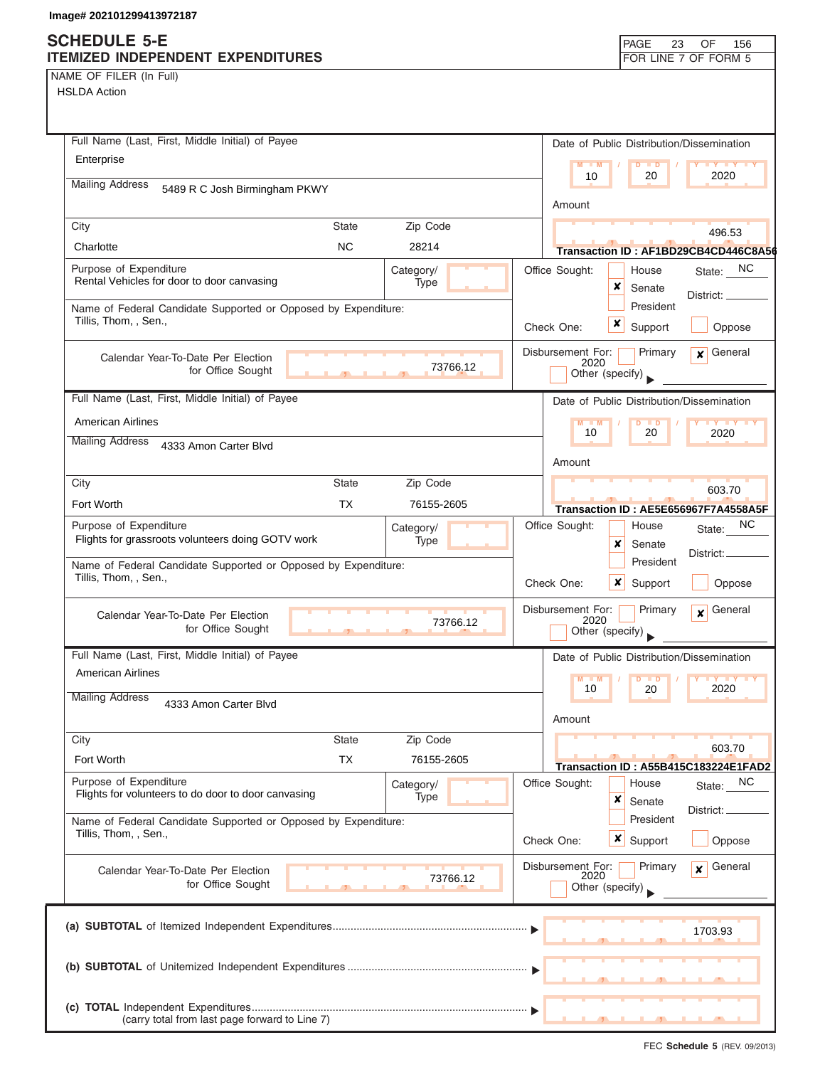## **SCHEDULE 5-E**

| NAME OF FILER (In Full) |  |
|-------------------------|--|
|-------------------------|--|

| SCHEDULE 5-E<br><b>ITEMIZED INDEPENDENT EXPENDITURES</b>                                |                |                        |                           | PAGE<br>23                                | OF<br>156<br>FOR LINE 7 OF FORM 5                 |
|-----------------------------------------------------------------------------------------|----------------|------------------------|---------------------------|-------------------------------------------|---------------------------------------------------|
| NAME OF FILER (In Full)                                                                 |                |                        |                           |                                           |                                                   |
| <b>HSLDA Action</b>                                                                     |                |                        |                           |                                           |                                                   |
|                                                                                         |                |                        |                           |                                           |                                                   |
| Full Name (Last, First, Middle Initial) of Payee                                        |                |                        |                           | Date of Public Distribution/Dissemination |                                                   |
| Enterprise                                                                              |                |                        | $M - M$                   | $D$ $\Box$ $D$                            | $\mathbf{Y}$ $\mathbf{Y}$                         |
| <b>Mailing Address</b><br>5489 R C Josh Birmingham PKWY                                 |                |                        | 10                        | 20                                        | 2020                                              |
|                                                                                         |                |                        | Amount                    |                                           |                                                   |
| City                                                                                    | <b>State</b>   | Zip Code               |                           |                                           | 496.53                                            |
| Charlotte                                                                               | <b>NC</b>      | 28214                  |                           |                                           | Transaction ID: AF1BD29CB4CD446C8A56              |
| Purpose of Expenditure<br>Rental Vehicles for door to door canvasing                    |                | Category/<br>Type      | Office Sought:            | House<br>×<br>Senate                      | State: NC<br>District: _                          |
| Name of Federal Candidate Supported or Opposed by Expenditure:                          |                |                        |                           | President                                 |                                                   |
| Tillis, Thom., Sen.,                                                                    |                |                        | Check One:                | x<br>Support                              | Oppose                                            |
| Calendar Year-To-Date Per Election                                                      |                |                        | Disbursement For:         | Primary                                   | General<br>$\overline{\mathbf{x}}$                |
| for Office Sought                                                                       |                | 73766.12               | 2020                      | Other (specify)                           |                                                   |
| Full Name (Last, First, Middle Initial) of Payee                                        |                |                        |                           | Date of Public Distribution/Dissemination |                                                   |
| <b>American Airlines</b>                                                                |                |                        | $M - M$                   | $\overline{D}$                            |                                                   |
| <b>Mailing Address</b><br>4333 Amon Carter Blvd                                         |                |                        | 10                        | 20                                        | 2020                                              |
|                                                                                         |                |                        | Amount                    |                                           |                                                   |
| City                                                                                    | <b>State</b>   | Zip Code               |                           |                                           | 603.70                                            |
| Fort Worth                                                                              | <b>TX</b>      | 76155-2605             |                           |                                           | Transaction ID: AE5E656967F7A4558A5F              |
| Purpose of Expenditure<br>Flights for grassroots volunteers doing GOTV work             |                | Category/              | Office Sought:            | House                                     | NC<br>State:                                      |
|                                                                                         |                | Type                   |                           | ×<br>Senate<br>President                  | District:                                         |
| Name of Federal Candidate Supported or Opposed by Expenditure:<br>Tillis, Thom, , Sen., |                |                        | Check One:                | ×<br>Support                              | Oppose                                            |
|                                                                                         |                |                        |                           |                                           |                                                   |
| Calendar Year-To-Date Per Election                                                      |                | 73766.12               | Disbursement For:<br>2020 | Primary                                   | General<br>$\mathbf{x}$                           |
| for Office Sought                                                                       | $\overline{1}$ |                        |                           | Other (specify)                           |                                                   |
| Full Name (Last, First, Middle Initial) of Payee<br><b>American Airlines</b>            |                |                        |                           | Date of Public Distribution/Dissemination |                                                   |
|                                                                                         |                |                        | $M - M$<br>10             | 20                                        | <b>LY LY</b><br>2020                              |
| <b>Mailing Address</b><br>4333 Amon Carter Blvd                                         |                |                        |                           |                                           |                                                   |
|                                                                                         | <b>State</b>   |                        | Amount                    |                                           |                                                   |
| City<br>Fort Worth                                                                      | <b>TX</b>      | Zip Code<br>76155-2605 |                           |                                           | 603.70                                            |
| Purpose of Expenditure                                                                  |                |                        | Office Sought:            | House                                     | Transaction ID: A55B415C183224E1FAD2<br><b>NC</b> |
| Flights for volunteers to do door to door canvasing                                     |                | Category/<br>Type      |                           | ×<br>Senate                               | State:                                            |
| Name of Federal Candidate Supported or Opposed by Expenditure:                          |                |                        |                           | President                                 | District: <sub>-</sub>                            |
| Tillis, Thom, , Sen.,                                                                   |                |                        | Check One:                | x<br>Support                              | Oppose                                            |
| Calendar Year-To-Date Per Election                                                      |                |                        | Disbursement For:         | Primary                                   | General<br>$\mathbf{x}$                           |
| for Office Sought                                                                       |                | 73766.12               | 2020                      | Other (specify)                           |                                                   |
|                                                                                         |                |                        |                           |                                           |                                                   |
|                                                                                         |                |                        |                           |                                           | 1703.93                                           |
|                                                                                         |                |                        |                           |                                           |                                                   |
|                                                                                         |                |                        |                           |                                           |                                                   |
|                                                                                         |                |                        |                           |                                           |                                                   |
| (carry total from last page forward to Line 7)                                          |                |                        |                           |                                           |                                                   |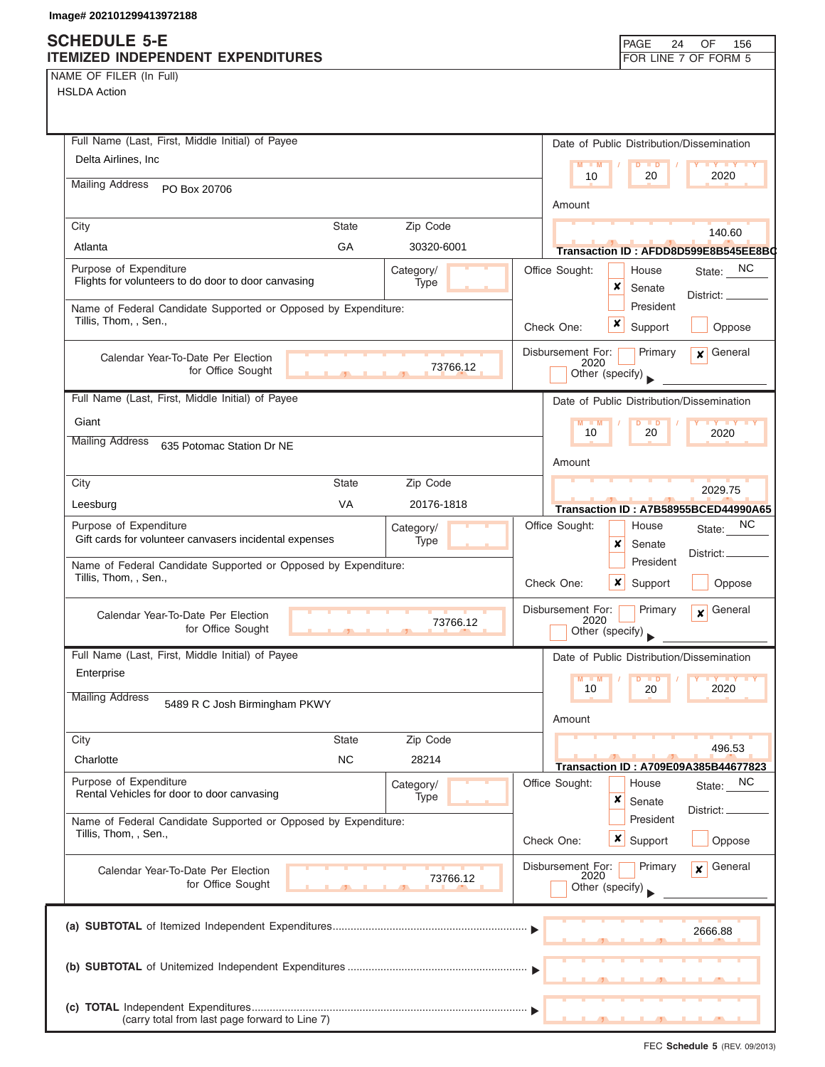## **SCHEDULE 5-E**

| NAME OF FILER (In Full) |  |  |
|-------------------------|--|--|
|                         |  |  |

| งบท⊏มบ∟⊏ ว-⊏<br>ITEMIZED INDEPENDENT EXPENDITURES                                       |              |                   |                           |                         |   | PAGE<br>24       | OF<br>156<br>FOR LINE 7 OF FORM 5                 |
|-----------------------------------------------------------------------------------------|--------------|-------------------|---------------------------|-------------------------|---|------------------|---------------------------------------------------|
| NAME OF FILER (In Full)                                                                 |              |                   |                           |                         |   |                  |                                                   |
| <b>HSLDA Action</b>                                                                     |              |                   |                           |                         |   |                  |                                                   |
|                                                                                         |              |                   |                           |                         |   |                  |                                                   |
|                                                                                         |              |                   |                           |                         |   |                  |                                                   |
| Full Name (Last, First, Middle Initial) of Payee                                        |              |                   |                           |                         |   |                  | Date of Public Distribution/Dissemination         |
| Delta Airlines, Inc.                                                                    |              |                   |                           | $M = M$                 |   | $D$ $D$          | <b>TY TY TY</b>                                   |
| <b>Mailing Address</b>                                                                  |              |                   |                           | 10                      |   | 20               | 2020                                              |
| PO Box 20706                                                                            |              |                   |                           | Amount                  |   |                  |                                                   |
|                                                                                         |              |                   |                           |                         |   |                  |                                                   |
| City                                                                                    | <b>State</b> | Zip Code          |                           |                         |   |                  | 140.60                                            |
| Atlanta                                                                                 | GA           | 30320-6001        |                           |                         |   |                  | Transaction ID: AFDD8D599E8B545EE8B0              |
| Purpose of Expenditure                                                                  |              | Category/         | Office Sought:            |                         |   | House            | State: NC                                         |
| Flights for volunteers to do door to door canvasing                                     |              | Type              |                           |                         | × | Senate           | District:                                         |
| Name of Federal Candidate Supported or Opposed by Expenditure:                          |              |                   |                           |                         |   | President        |                                                   |
| Tillis, Thom, , Sen.,                                                                   |              |                   | Check One:                |                         | x | Support          | Oppose                                            |
|                                                                                         |              |                   | Disbursement For:         |                         |   | Primary          | General                                           |
| Calendar Year-To-Date Per Election<br>for Office Sought                                 |              | 73766.12          |                           | 2020                    |   |                  | $\mathbf{x}$                                      |
|                                                                                         |              |                   |                           | Other (specify)         |   |                  |                                                   |
| Full Name (Last, First, Middle Initial) of Payee                                        |              |                   |                           |                         |   |                  | Date of Public Distribution/Dissemination         |
| Giant                                                                                   |              |                   |                           | $M - M$                 |   | $D$ $D$          | $Y + Y + Y + Y$                                   |
| <b>Mailing Address</b><br>635 Potomac Station Dr NE                                     |              |                   |                           | 10                      |   | 20               | 2020                                              |
|                                                                                         |              |                   |                           | Amount                  |   |                  |                                                   |
|                                                                                         | <b>State</b> | Zip Code          |                           |                         |   |                  |                                                   |
| City                                                                                    |              |                   |                           |                         |   |                  | 2029.75                                           |
| Leesburg                                                                                | <b>VA</b>    | 20176-1818        |                           |                         |   |                  | Transaction ID: A7B58955BCED44990A65              |
| Purpose of Expenditure                                                                  |              | Category/         | Office Sought:            |                         |   | House            | NC.<br>State:                                     |
| Gift cards for volunteer canvasers incidental expenses                                  |              | Type              |                           |                         | × | Senate           | District:                                         |
| Name of Federal Candidate Supported or Opposed by Expenditure:                          |              |                   |                           |                         |   | President        |                                                   |
| Tillis, Thom, , Sen.,                                                                   |              |                   | Check One:                |                         | x | Support          | Oppose                                            |
|                                                                                         |              |                   | Disbursement For:         |                         |   | Primary          | General<br>$\mathbf{x}$                           |
| Calendar Year-To-Date Per Election<br>for Office Sought                                 |              | 73766.12          |                           | 2020<br>Other (specify) |   |                  |                                                   |
|                                                                                         |              |                   |                           |                         |   |                  |                                                   |
| Full Name (Last, First, Middle Initial) of Payee                                        |              |                   |                           |                         |   |                  | Date of Public Distribution/Dissemination         |
| Enterprise                                                                              |              |                   |                           | $M - M$                 |   | $D$ $D$          | <b>TY TY TY</b>                                   |
| <b>Mailing Address</b><br>5489 R C Josh Birmingham PKWY                                 |              |                   |                           | 10                      |   | 20               | 2020                                              |
|                                                                                         |              |                   |                           | Amount                  |   |                  |                                                   |
| City                                                                                    | <b>State</b> | Zip Code          |                           |                         |   |                  |                                                   |
| Charlotte                                                                               | <b>NC</b>    | 28214             |                           |                         |   |                  | 496.53                                            |
| Purpose of Expenditure                                                                  |              |                   | Office Sought:            |                         |   | House            | Transaction ID: A709E09A385B44677823<br><b>NC</b> |
| Rental Vehicles for door to door canvasing                                              |              | Category/<br>Type |                           |                         | × | Senate           | State:                                            |
|                                                                                         |              |                   |                           |                         |   | President        | District: _                                       |
| Name of Federal Candidate Supported or Opposed by Expenditure:<br>Tillis, Thom, , Sen., |              |                   |                           |                         |   |                  |                                                   |
|                                                                                         |              |                   | Check One:                |                         |   | <b>x</b> Support | Oppose                                            |
| Calendar Year-To-Date Per Election                                                      |              |                   | Disbursement For:<br>2020 |                         |   | Primary          | General<br>$\mathbf{x}$                           |
| for Office Sought                                                                       |              | 73766.12          |                           | Other (specify)         |   |                  |                                                   |
|                                                                                         |              |                   |                           |                         |   |                  |                                                   |
|                                                                                         |              |                   |                           |                         |   |                  | 2666.88                                           |
|                                                                                         |              |                   |                           |                         |   |                  |                                                   |
|                                                                                         |              |                   |                           |                         |   |                  |                                                   |
|                                                                                         |              |                   |                           |                         |   |                  |                                                   |
|                                                                                         |              |                   |                           |                         |   |                  |                                                   |
| (carry total from last page forward to Line 7)                                          |              |                   |                           |                         |   |                  |                                                   |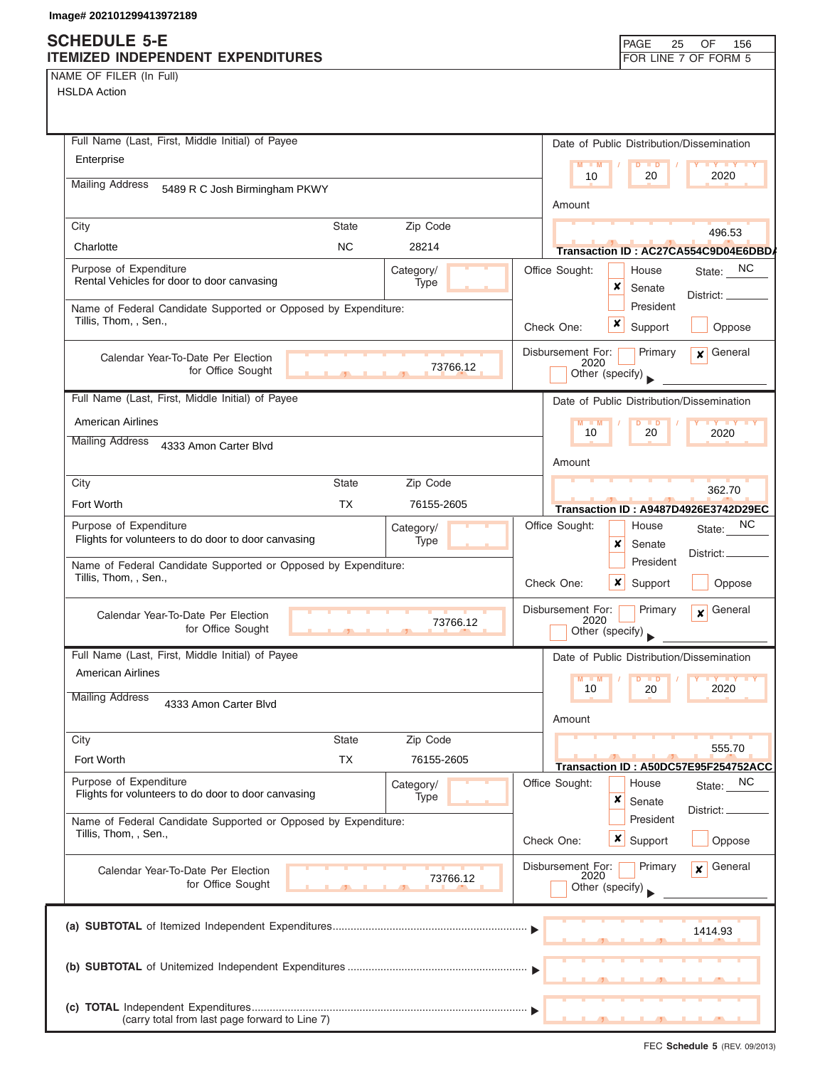| NAME OF FILER (In Full) |  |  |  |  |
|-------------------------|--|--|--|--|
|-------------------------|--|--|--|--|

| Full Name (Last, First, Middle Initial) of Payee                                        |               |            |          |         |                           |                                  |                           | Date of Public Distribution/Dissemination            |
|-----------------------------------------------------------------------------------------|---------------|------------|----------|---------|---------------------------|----------------------------------|---------------------------|------------------------------------------------------|
| Enterprise                                                                              |               |            |          | $M - M$ |                           | $\overline{D}$<br>$\blacksquare$ | $\mathbf{y}$ $\mathbf{y}$ |                                                      |
| <b>Mailing Address</b><br>5489 R C Josh Birmingham PKWY                                 |               |            |          | 10      |                           | 20                               | 2020                      |                                                      |
|                                                                                         |               |            |          | Amount  |                           |                                  |                           |                                                      |
| City                                                                                    | <b>State</b>  | Zip Code   |          |         |                           |                                  |                           | 496.53                                               |
| Charlotte                                                                               | <b>NC</b>     | 28214      |          |         |                           |                                  |                           | Transaction ID: AC27CA554C9D04E6DBD/                 |
| Purpose of Expenditure                                                                  |               | Category/  |          |         | Office Sought:            |                                  | House                     | State: $N$ C                                         |
| Rental Vehicles for door to door canvasing                                              |               | Type       |          |         |                           | x                                | Senate                    | District: __                                         |
| Name of Federal Candidate Supported or Opposed by Expenditure:                          |               |            |          |         |                           |                                  | President                 |                                                      |
| Tillis, Thom, , Sen.,                                                                   |               |            |          |         | Check One:                | x                                | Support                   | Oppose                                               |
| Calendar Year-To-Date Per Election                                                      |               |            |          |         | Disbursement For:         |                                  | Primary                   | $\mathbf x$ General                                  |
| for Office Sought                                                                       |               |            | 73766.12 |         | 2020<br>Other (specify)   |                                  |                           |                                                      |
|                                                                                         |               |            |          |         |                           |                                  |                           |                                                      |
| Full Name (Last, First, Middle Initial) of Payee                                        |               |            |          |         |                           |                                  |                           | Date of Public Distribution/Dissemination            |
| American Airlines                                                                       |               |            |          |         | $M - M$<br>10             |                                  | $D$ $D$<br>20             | Y FY FY FY<br>2020                                   |
| <b>Mailing Address</b><br>4333 Amon Carter Blvd                                         |               |            |          |         |                           |                                  |                           |                                                      |
|                                                                                         |               |            |          |         | Amount                    |                                  |                           |                                                      |
| City                                                                                    | <b>State</b>  | Zip Code   |          |         |                           |                                  |                           | 362.70                                               |
| Fort Worth                                                                              | <b>TX</b>     | 76155-2605 |          |         |                           |                                  |                           | <b>Transaction ID: A9487D4926E3742D29EC</b>          |
| Purpose of Expenditure<br>Flights for volunteers to do door to door canvasing           |               | Category/  |          |         | Office Sought:            |                                  | House                     | NC.<br>State:                                        |
|                                                                                         |               | Type       |          |         |                           | x                                | Senate                    | District:                                            |
| Name of Federal Candidate Supported or Opposed by Expenditure:<br>Tillis, Thom, , Sen., |               |            |          |         |                           |                                  | President                 |                                                      |
|                                                                                         |               |            |          |         | Check One:                | ×                                | Support                   | Oppose                                               |
| Calendar Year-To-Date Per Election                                                      |               |            | 73766.12 |         | Disbursement For:<br>2020 |                                  | Primary                   | General<br>$\mathbf{x}$                              |
| for Office Sought                                                                       | $\mathcal{F}$ |            |          |         | Other (specify)           |                                  |                           |                                                      |
| Full Name (Last, First, Middle Initial) of Payee                                        |               |            |          |         |                           |                                  |                           | Date of Public Distribution/Dissemination            |
| <b>American Airlines</b>                                                                |               |            |          |         | $M - M$                   |                                  | $D$ $D$                   | $Y$ $Y$                                              |
| <b>Mailing Address</b><br>4333 Amon Carter Blvd                                         |               |            |          |         | 10                        |                                  | 20                        | 2020                                                 |
|                                                                                         |               |            |          |         | Amount                    |                                  |                           |                                                      |
| City                                                                                    | State         | Zip Code   |          |         |                           |                                  |                           |                                                      |
| Fort Worth                                                                              | ТX            | 76155-2605 |          |         |                           |                                  |                           | 555.70                                               |
| Purpose of Expenditure                                                                  |               | Category/  |          |         | Office Sought:            |                                  | House                     | Transaction ID: A50DC57E95F254752ACC<br>NC<br>State: |
| Flights for volunteers to do door to door canvasing                                     |               | Type       |          |         |                           | ×                                | Senate                    |                                                      |
| Name of Federal Candidate Supported or Opposed by Expenditure:                          |               |            |          |         |                           |                                  | President                 | District:                                            |
| Tillis, Thom, , Sen.,                                                                   |               |            |          |         | Check One:                | $\boldsymbol{x}$                 | Support                   | Oppose                                               |
|                                                                                         |               |            |          |         | Disbursement For:         |                                  | Primary                   | General<br>$\mathbf{x}$                              |
| Calendar Year-To-Date Per Election<br>for Office Sought                                 |               |            | 73766.12 |         | 2020<br>Other (specify)   |                                  |                           |                                                      |
|                                                                                         |               |            |          |         |                           |                                  |                           |                                                      |
|                                                                                         |               |            |          |         |                           |                                  |                           |                                                      |
|                                                                                         |               |            |          |         |                           |                                  |                           | 1414.93                                              |
|                                                                                         |               |            |          |         |                           |                                  |                           |                                                      |
|                                                                                         |               |            |          |         |                           |                                  |                           |                                                      |
|                                                                                         |               |            |          |         |                           |                                  |                           |                                                      |
|                                                                                         |               |            |          |         |                           |                                  |                           |                                                      |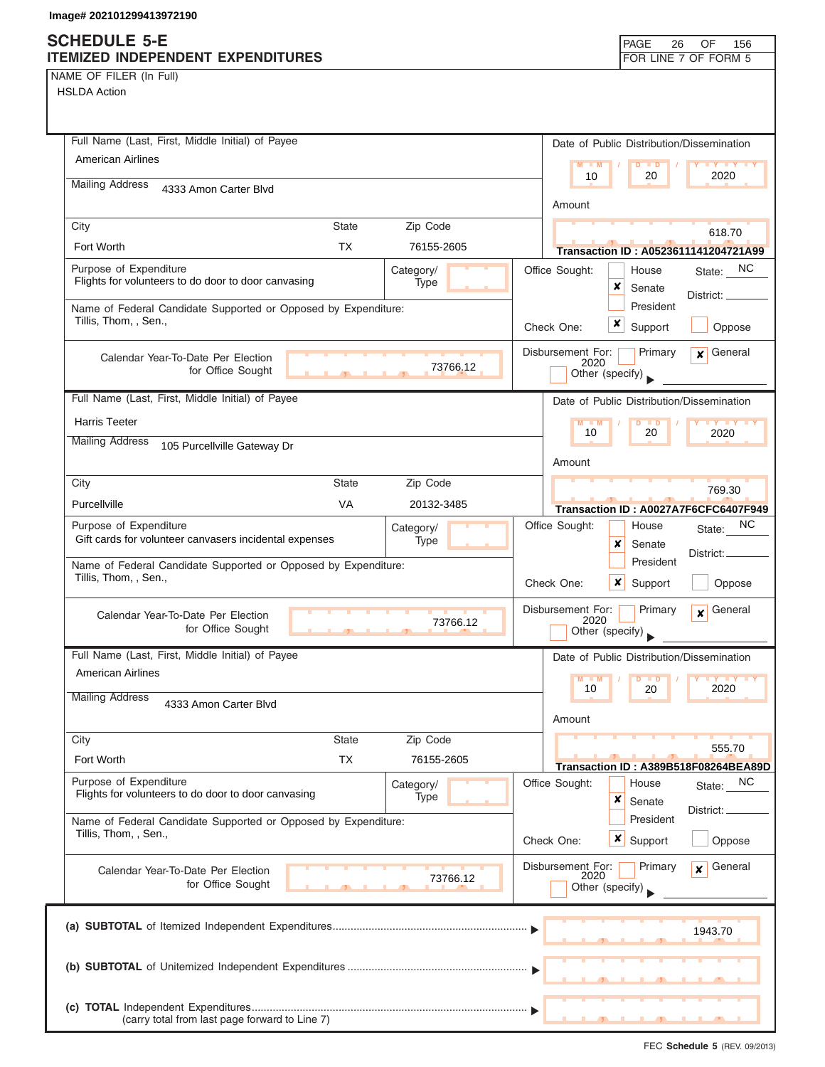NAME OF FILER (In Full)

| Full Name (Last, First, Middle Initial) of Payee                                                      | Date of Public Distribution/Dissemination                                          |
|-------------------------------------------------------------------------------------------------------|------------------------------------------------------------------------------------|
| American Airlines                                                                                     | M<br>$-1$ M<br><b>ID</b><br>2020<br>10<br>20                                       |
| <b>Mailing Address</b><br>4333 Amon Carter Blvd                                                       |                                                                                    |
| State                                                                                                 | Amount                                                                             |
| Zip Code<br>City<br>Fort Worth<br><b>TX</b><br>76155-2605                                             | 618.70                                                                             |
| Purpose of Expenditure                                                                                | Transaction ID: A0523611141204721A99                                               |
| Category/<br>Flights for volunteers to do door to door canvasing<br>Type                              | State: NC<br>Office Sought:<br>House<br>×<br>Senate                                |
| Name of Federal Candidate Supported or Opposed by Expenditure:                                        | District: _<br>President                                                           |
| Tillis, Thom, , Sen.,                                                                                 | x<br>Check One:<br>Support<br>Oppose                                               |
| Calendar Year-To-Date Per Election                                                                    | Disbursement For:<br>Primary<br>General<br>$\mathbf{x}$                            |
| 73766.12<br>for Office Sought                                                                         | 2020<br>Other (specify)                                                            |
| Full Name (Last, First, Middle Initial) of Payee                                                      | Date of Public Distribution/Dissemination                                          |
| <b>Harris Teeter</b>                                                                                  | $M - M$<br><b>D</b>                                                                |
| <b>Mailing Address</b><br>105 Purcellville Gateway Dr                                                 | 10<br>20<br>2020                                                                   |
|                                                                                                       | Amount                                                                             |
| <b>State</b><br>Zip Code<br>City                                                                      | 769.30                                                                             |
| <b>VA</b><br>Purcellville<br>20132-3485                                                               | Transaction ID: A0027A7F6CFC6407F949                                               |
| Purpose of Expenditure<br>Category/<br>Gift cards for volunteer canvasers incidental expenses<br>Type | NC.<br>Office Sought:<br>House<br>State:                                           |
| Name of Federal Candidate Supported or Opposed by Expenditure:                                        | x<br>Senate<br>District:<br>President                                              |
| Tillis, Thom, , Sen.,                                                                                 | Check One:<br>x<br>Support<br>Oppose                                               |
| Calendar Year-To-Date Per Election<br>73766.12<br>for Office Sought                                   | Disbursement For:<br>Primary<br>General<br>$\mathbf{x}$<br>2020<br>Other (specify) |
| Full Name (Last, First, Middle Initial) of Payee                                                      | Date of Public Distribution/Dissemination                                          |
| American Airlines                                                                                     | M<br>M<br>$\blacksquare$ D<br>10<br>2020<br>20                                     |
| <b>Mailing Address</b><br>4333 Amon Carter Blvd                                                       | Amount                                                                             |
| Zip Code<br><b>State</b><br>City                                                                      |                                                                                    |
| <b>TX</b><br>Fort Worth<br>76155-2605                                                                 | 555.70<br>Transaction ID: A389B518F08264BEA89D                                     |
| Purpose of Expenditure<br>Category/                                                                   | Office Sought:<br><sub>NC</sub><br>House<br>State:                                 |
| Flights for volunteers to do door to door canvasing<br>Type                                           | ×<br>Senate<br>District:                                                           |
| Name of Federal Candidate Supported or Opposed by Expenditure:<br>Tillis, Thom, , Sen.,               | President<br>$\boldsymbol{x}$<br>Check One:<br>Support<br>Oppose                   |
|                                                                                                       | Disbursement For:<br>General<br>Primary<br>$\mathbf{x}$                            |
| Calendar Year-To-Date Per Election<br>73766.12<br>for Office Sought                                   | 2020<br>Other (specify)                                                            |
|                                                                                                       | 1943.70                                                                            |
|                                                                                                       |                                                                                    |
|                                                                                                       |                                                                                    |
| (carry total from last page forward to Line 7)                                                        |                                                                                    |
|                                                                                                       |                                                                                    |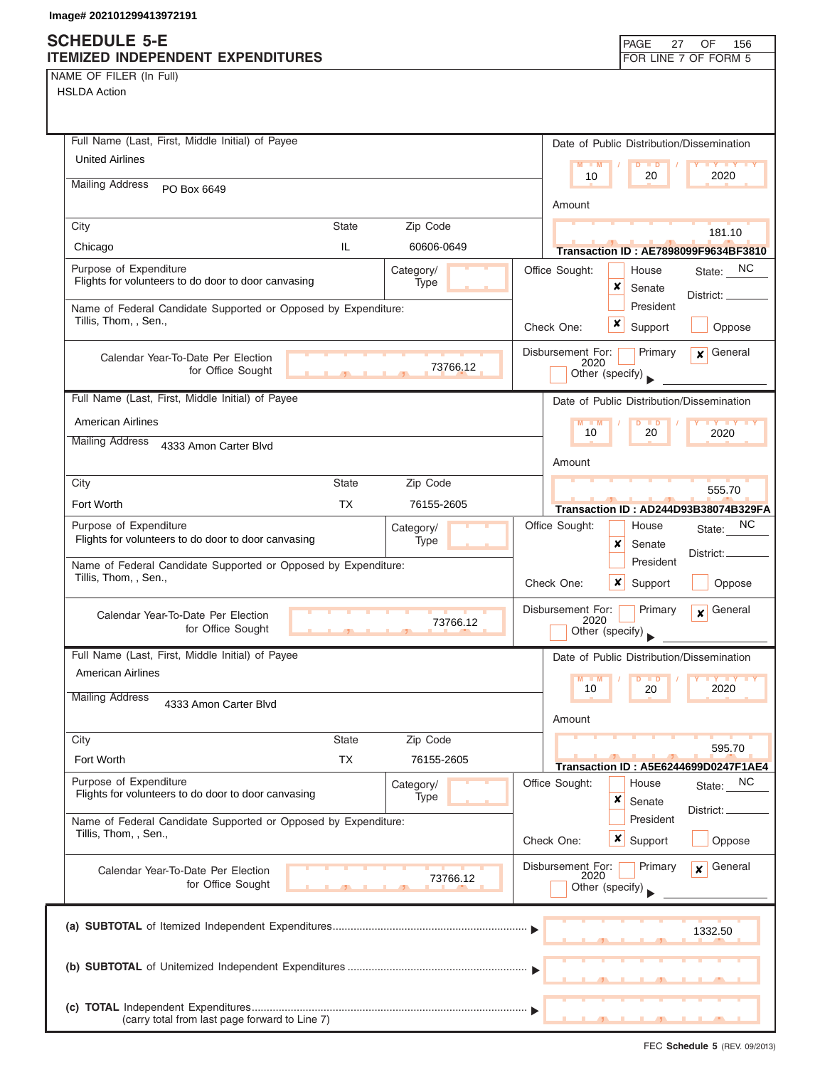## **SCHEDULE 5-E**

| <b>SCHEDULE 5-E</b><br>ITEMIZED INDEPENDENT EXPENDITURES                                           | PAGE<br>OF<br>27<br>156<br>FOR LINE 7 OF FORM 5                       |
|----------------------------------------------------------------------------------------------------|-----------------------------------------------------------------------|
| NAME OF FILER (In Full)                                                                            |                                                                       |
| <b>HSLDA Action</b>                                                                                |                                                                       |
|                                                                                                    |                                                                       |
| Full Name (Last, First, Middle Initial) of Payee                                                   | Date of Public Distribution/Dissemination                             |
| <b>United Airlines</b>                                                                             | $M - M$<br>$D$ $D$<br><b>TY TY TY</b>                                 |
| <b>Mailing Address</b><br>PO Box 6649                                                              | 10<br>20<br>2020                                                      |
|                                                                                                    | Amount                                                                |
| <b>State</b><br>Zip Code<br>City                                                                   | 181.10                                                                |
| IL<br>60606-0649<br>Chicago                                                                        | <b>Transaction ID: AE7898099F9634BF3810</b>                           |
| Purpose of Expenditure<br>Category/                                                                | Office Sought:<br>State: NC<br>House                                  |
| Flights for volunteers to do door to door canvasing<br>Type                                        | ×<br>Senate<br>District:                                              |
| Name of Federal Candidate Supported or Opposed by Expenditure:                                     | President                                                             |
| Tillis, Thom, , Sen.,                                                                              | x<br>Check One:<br>Support<br>Oppose                                  |
| Calendar Year-To-Date Per Election                                                                 | Disbursement For:<br>Primary<br>$\mathbf x$ General                   |
| 73766.12<br>for Office Sought                                                                      | 2020<br>Other (specify)                                               |
| Full Name (Last, First, Middle Initial) of Payee                                                   | Date of Public Distribution/Dissemination                             |
| <b>American Airlines</b>                                                                           | $M - M$<br>$\overline{D}$<br><b>TY TY TY</b><br>$\blacksquare$        |
| <b>Mailing Address</b>                                                                             | 20<br>2020<br>10                                                      |
| 4333 Amon Carter Blvd                                                                              | Amount                                                                |
| Zip Code<br>City<br><b>State</b>                                                                   |                                                                       |
| <b>TX</b><br>Fort Worth<br>76155-2605                                                              | 555.70                                                                |
| Purpose of Expenditure                                                                             | Transaction ID: AD244D93B38074B329FA<br>NC<br>Office Sought:<br>House |
| Category/<br>Flights for volunteers to do door to door canvasing<br>Type                           | State:<br>x<br>Senate                                                 |
| Name of Federal Candidate Supported or Opposed by Expenditure:                                     | District:<br>President                                                |
| Tillis, Thom, , Sen.,                                                                              | Check One:<br>x<br>Support<br>Oppose                                  |
|                                                                                                    | Primary<br>General<br>Disbursement For:                               |
| Calendar Year-To-Date Per Election<br>73766.12<br>for Office Sought                                | $\boldsymbol{x}$<br>2020<br>Other (specify)                           |
| Full Name (Last, First, Middle Initial) of Payee                                                   |                                                                       |
| American Airlines                                                                                  | Date of Public Distribution/Dissemination                             |
|                                                                                                    | $M - M$<br>10<br>20<br>2020                                           |
| <b>Mailing Address</b><br>4333 Amon Carter Blvd                                                    |                                                                       |
|                                                                                                    | Amount                                                                |
| <b>State</b><br>Zip Code<br>City<br><b>TX</b><br>Fort Worth<br>76155-2605                          | 595.70                                                                |
|                                                                                                    | Transaction ID: A5E6244699D0247F1AE4                                  |
| Purpose of Expenditure<br>Category/<br>Flights for volunteers to do door to door canvasing<br>Type | Office Sought:<br>NC<br>House<br>State:<br>×<br>Senate                |
| Name of Federal Candidate Supported or Opposed by Expenditure:                                     | District:<br>President                                                |
| Tillis, Thom, , Sen.,                                                                              | x<br>Check One:<br>Support<br>Oppose                                  |
|                                                                                                    |                                                                       |
| Calendar Year-To-Date Per Election<br>73766.12<br>for Office Sought                                | Disbursement For:<br>General<br>Primary<br>$\mathbf{x}$<br>2020       |
|                                                                                                    | Other (specify)                                                       |
|                                                                                                    |                                                                       |
|                                                                                                    | 1332.50                                                               |
|                                                                                                    |                                                                       |
|                                                                                                    |                                                                       |
|                                                                                                    |                                                                       |
| (carry total from last page forward to Line 7)                                                     |                                                                       |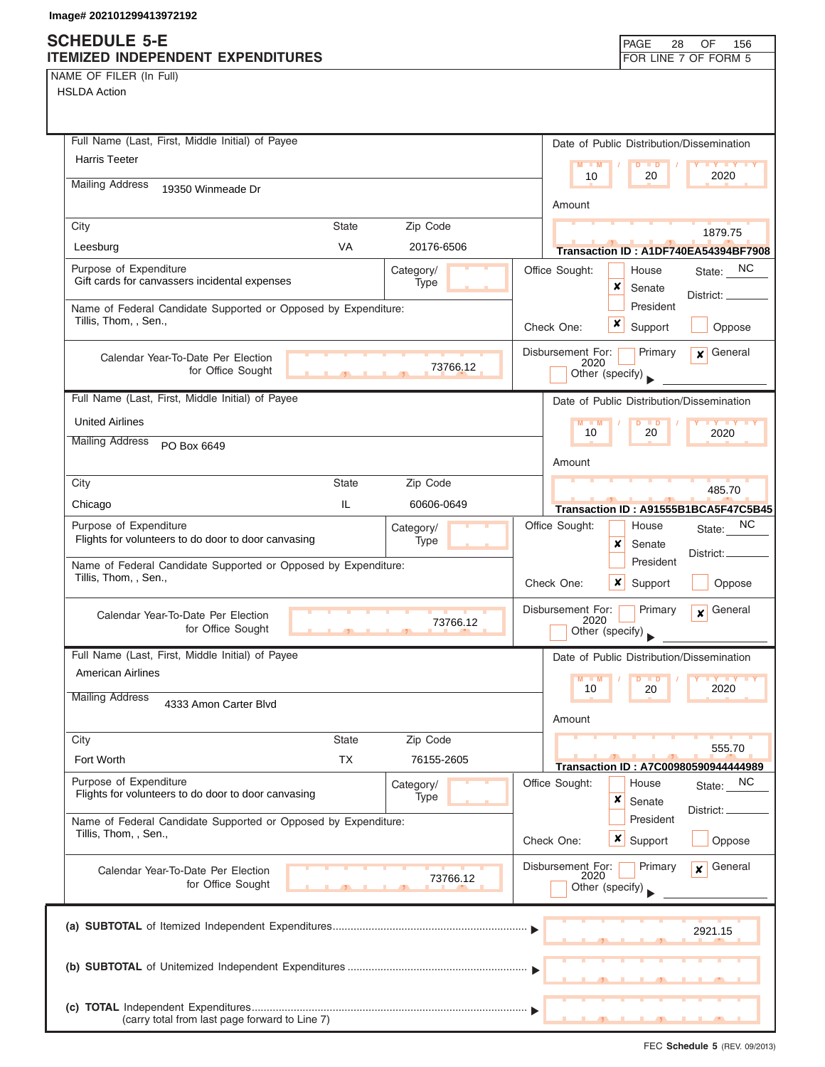## **SCHEDULE 5-E**

| SCHEDULE 5-E<br>ITEMIZED INDEPENDENT EXPENDITURES                                       |              |                   |                           | <b>PAGE</b><br>28                         | OF<br>156<br>FOR LINE 7 OF FORM 5    |
|-----------------------------------------------------------------------------------------|--------------|-------------------|---------------------------|-------------------------------------------|--------------------------------------|
| NAME OF FILER (In Full)<br><b>HSLDA Action</b>                                          |              |                   |                           |                                           |                                      |
|                                                                                         |              |                   |                           |                                           |                                      |
| Full Name (Last, First, Middle Initial) of Payee                                        |              |                   |                           | Date of Public Distribution/Dissemination |                                      |
| <b>Harris Teeter</b>                                                                    |              |                   | $M - M$                   | $D$ $\Box$ $D$                            | Y FY FY FY                           |
| <b>Mailing Address</b><br>19350 Winmeade Dr                                             |              |                   | 10                        | 20                                        | 2020                                 |
|                                                                                         |              |                   | Amount                    |                                           |                                      |
| City                                                                                    | <b>State</b> | Zip Code          |                           |                                           | 1879.75                              |
| Leesburg                                                                                | <b>VA</b>    | 20176-6506        |                           |                                           | Transaction ID: A1DF740EA54394BF7908 |
| Purpose of Expenditure<br>Gift cards for canvassers incidental expenses                 |              | Category/<br>Type | Office Sought:            | House<br>×<br>Senate                      | State: NC<br>District: __            |
| Name of Federal Candidate Supported or Opposed by Expenditure:<br>Tillis, Thom, , Sen., |              |                   | Check One:                | President<br>x<br>Support                 | Oppose                               |
| Calendar Year-To-Date Per Election<br>for Office Sought                                 |              | 73766.12          | Disbursement For:<br>2020 | Primary<br>Other (specify)                | General<br>$\mathbf{x}$              |
| Full Name (Last, First, Middle Initial) of Payee                                        |              |                   |                           | Date of Public Distribution/Dissemination |                                      |
| <b>United Airlines</b>                                                                  |              |                   | M                         | $\overline{D}$                            |                                      |
| <b>Mailing Address</b><br>PO Box 6649                                                   |              |                   | 10                        | 20                                        | 2020                                 |
|                                                                                         |              |                   | Amount                    |                                           |                                      |
| City                                                                                    | <b>State</b> | Zip Code          |                           |                                           | 485.70                               |
| Chicago                                                                                 | IL           | 60606-0649        |                           |                                           | Transaction ID: A91555B1BCA5F47C5B45 |
| Purpose of Expenditure<br>Flights for volunteers to do door to door canvasing           |              | Category/<br>Type | Office Sought:            | House<br>x<br>Senate                      | NC.<br>State:<br>District:           |
| Name of Federal Candidate Supported or Opposed by Expenditure:<br>Tillis, Thom, , Sen., |              |                   | Check One:                | President<br>×<br>Support                 | Oppose                               |
| Calendar Year-To-Date Per Election<br>for Office Sought                                 | $\mathbf{1}$ | 73766.12          | Disbursement For:<br>2020 | Primary<br>Other (specify)                | General<br>$\mathbf{x}$              |
| Full Name (Last, First, Middle Initial) of Payee                                        |              |                   |                           | Date of Public Distribution/Dissemination |                                      |
| <b>American Airlines</b>                                                                |              |                   | $M - M$<br>10             | 20                                        | 2020                                 |
| <b>Mailing Address</b><br>4333 Amon Carter Blvd                                         |              |                   | Amount                    |                                           |                                      |
| City                                                                                    | <b>State</b> | Zip Code          |                           |                                           | 555.70                               |
| Fort Worth                                                                              | <b>TX</b>    | 76155-2605        |                           |                                           | Transaction ID: A7C00980590944444989 |
| Purpose of Expenditure<br>Flights for volunteers to do door to door canvasing           |              | Category/<br>Type | Office Sought:            | House<br>×<br>Senate                      | NC<br>State:                         |
| Name of Federal Candidate Supported or Opposed by Expenditure:<br>Tillis, Thom, , Sen., |              |                   | Check One:                | President<br>x<br>Support                 | District: <sub>-</sub><br>Oppose     |
| Calendar Year-To-Date Per Election<br>for Office Sought                                 |              | 73766.12          | Disbursement For:<br>2020 | Primary<br>Other (specify)                | General<br>$\mathbf{x}$              |
|                                                                                         |              |                   |                           |                                           | 2921.15                              |
|                                                                                         |              |                   |                           |                                           |                                      |
| (carry total from last page forward to Line 7)                                          |              |                   |                           |                                           |                                      |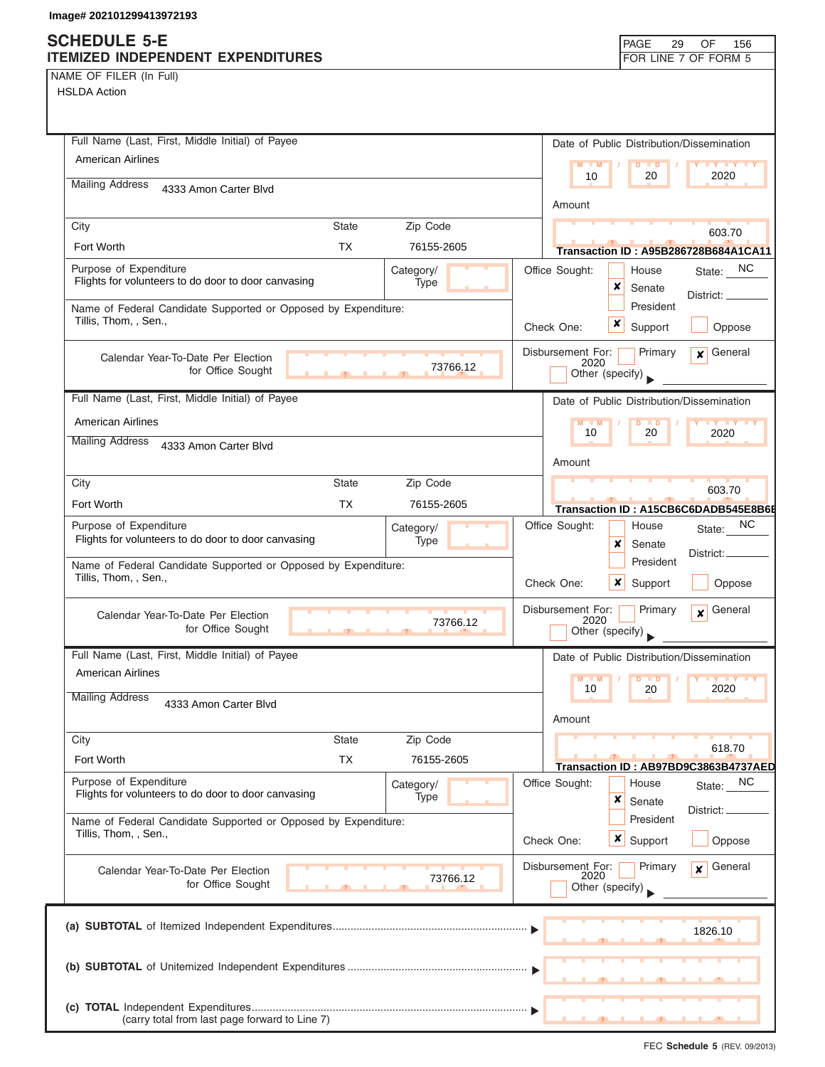# **SCHEDULE 5-E**

| NAME OF FILER (In Full) |  |  |
|-------------------------|--|--|
|-------------------------|--|--|

| SCHEDULE 5-E<br>ITEMIZED INDEPENDENT EXPENDITURES                                                         | PAGE<br>29<br>OF<br>156<br>FOR LINE 7 OF FORM 5                 |
|-----------------------------------------------------------------------------------------------------------|-----------------------------------------------------------------|
| NAME OF FILER (In Full)                                                                                   |                                                                 |
| <b>HSLDA Action</b>                                                                                       |                                                                 |
|                                                                                                           |                                                                 |
|                                                                                                           |                                                                 |
| Full Name (Last, First, Middle Initial) of Payee                                                          | Date of Public Distribution/Dissemination                       |
| <b>American Airlines</b>                                                                                  | $M - M$<br>$D$ $D$<br>20<br>2020<br>10                          |
| <b>Mailing Address</b><br>4333 Amon Carter Blvd                                                           |                                                                 |
|                                                                                                           | Amount                                                          |
| City<br><b>State</b><br>Zip Code                                                                          | 603.70                                                          |
| Fort Worth<br><b>TX</b><br>76155-2605                                                                     | Transaction ID: A95B286728B684A1CA11                            |
| Purpose of Expenditure<br>Category/<br>Flights for volunteers to do door to door canvasing<br>Type        | State: NC<br>Office Sought:<br>House<br>×<br>Senate             |
| Name of Federal Candidate Supported or Opposed by Expenditure:                                            | District:<br>President                                          |
| Tillis, Thom, , Sen.,                                                                                     | x<br>Check One:<br>Support<br>Oppose                            |
| Calendar Year-To-Date Per Election                                                                        | Disbursement For:<br>General<br>Primary<br>$\mathbf{x}$         |
| 73766.12<br>for Office Sought                                                                             | 2020<br>Other (specify)                                         |
| Full Name (Last, First, Middle Initial) of Payee                                                          |                                                                 |
|                                                                                                           | Date of Public Distribution/Dissemination                       |
| <b>American Airlines</b><br><b>Mailing Address</b>                                                        | $M = M$<br>$D$ $D$<br><b>TY TY TY</b><br>10<br>20<br>2020       |
| 4333 Amon Carter Blvd                                                                                     |                                                                 |
|                                                                                                           | Amount                                                          |
| City<br><b>State</b><br>Zip Code                                                                          | 603.70                                                          |
| Fort Worth<br><b>TX</b><br>76155-2605                                                                     | Transaction ID: A15CB6C6DADB545E8B6E                            |
| Purpose of Expenditure<br>Category/<br>Flights for volunteers to do door to door canvasing<br><b>Type</b> | NC.<br>Office Sought:<br>House<br>State:                        |
|                                                                                                           | x<br>Senate<br>District:<br>President                           |
| Name of Federal Candidate Supported or Opposed by Expenditure:<br>Tillis, Thom, , Sen.,                   | ×<br>Check One:<br>Support<br>Oppose                            |
|                                                                                                           |                                                                 |
| Calendar Year-To-Date Per Election<br>73766.12                                                            | Disbursement For:<br>Primary<br>General<br>$\mathbf{x}$<br>2020 |
| for Office Sought                                                                                         | Other (specify)                                                 |
| Full Name (Last, First, Middle Initial) of Payee                                                          | Date of Public Distribution/Dissemination                       |
| <b>American Airlines</b>                                                                                  | $M - M$<br>$\blacksquare$                                       |
| <b>Mailing Address</b><br>4333 Amon Carter Blvd                                                           | 2020<br>10<br>20                                                |
|                                                                                                           | Amount                                                          |
| Zip Code<br>City<br><b>State</b>                                                                          |                                                                 |
| <b>TX</b><br>Fort Worth<br>76155-2605                                                                     | 618.70<br>Transaction ID: AB97BD9C3863B4737AED                  |
| Purpose of Expenditure<br>Category/                                                                       | Office Sought:<br>NC<br>House<br>State:                         |
| Flights for volunteers to do door to door canvasing<br><b>Type</b>                                        | x<br>Senate                                                     |
| Name of Federal Candidate Supported or Opposed by Expenditure:                                            | District:<br>President                                          |
| Tillis, Thom, , Sen.,                                                                                     | x<br>Check One:<br>Support<br>Oppose                            |
|                                                                                                           | Disbursement For:<br>General<br>Primary<br>$\mathbf{x}$         |
| Calendar Year-To-Date Per Election<br>73766.12<br>for Office Sought                                       | 2020<br>Other (specify)                                         |
|                                                                                                           |                                                                 |
|                                                                                                           |                                                                 |
|                                                                                                           | 1826.10                                                         |
|                                                                                                           |                                                                 |
|                                                                                                           |                                                                 |
|                                                                                                           |                                                                 |
| (carry total from last page forward to Line 7)                                                            |                                                                 |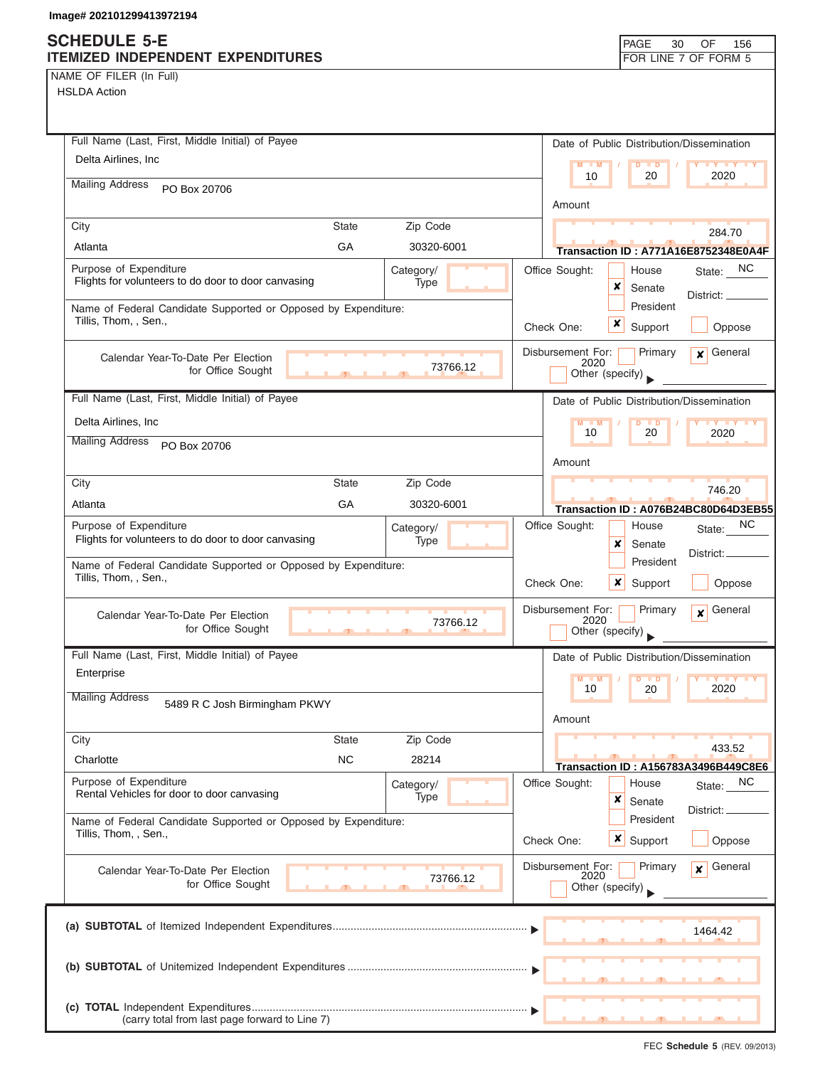## **SCHEDULE 5-E ITEMIZED INDEPENDENT EXPENDITURES FOR LINE 7 OF FORM 5**

NAME OF FILER (In Full) HSLDA Action

| Full Name (Last, First, Middle Initial) of Payee               |            | Date of Public Distribution/Dissemination                                    |
|----------------------------------------------------------------|------------|------------------------------------------------------------------------------|
| Delta Airlines, Inc                                            |            | $M - M$<br><b>TY TY TY</b><br>D<br>$\blacksquare$                            |
| <b>Mailing Address</b><br>PO Box 20706                         |            | 2020<br>10<br>20                                                             |
|                                                                |            | Amount                                                                       |
| City<br><b>State</b>                                           | Zip Code   | 284.70                                                                       |
| GA<br>Atlanta                                                  | 30320-6001 | Transaction ID: A771A16E8752348E0A4F                                         |
| Purpose of Expenditure                                         | Category/  | State: NC<br>Office Sought:<br>House                                         |
| Flights for volunteers to do door to door canvasing            | Type       | ×<br>Senate<br>District: _                                                   |
| Name of Federal Candidate Supported or Opposed by Expenditure: |            | President                                                                    |
| Tillis, Thom, , Sen.,                                          |            | x<br>Support<br>Check One:<br>Oppose                                         |
| Calendar Year-To-Date Per Election                             |            | General<br>Disbursement For:<br>Primary<br>$\mathbf{x}$                      |
| for Office Sought<br>$\overline{1}$                            | 73766.12   | 2020<br>Other (specify)                                                      |
| Full Name (Last, First, Middle Initial) of Payee               |            | Date of Public Distribution/Dissemination                                    |
| Delta Airlines, Inc                                            |            | $M - M$<br>$D$ $D$<br>$\mathbf{y}$ $\mathbf{y}$                              |
| <b>Mailing Address</b><br>PO Box 20706                         |            | 10<br>20<br>2020                                                             |
|                                                                |            | Amount                                                                       |
| City<br><b>State</b>                                           | Zip Code   | 746.20                                                                       |
| GA<br>Atlanta                                                  | 30320-6001 | Transaction ID: A076B24BC80D64D3EB55                                         |
| Purpose of Expenditure                                         | Category/  | ΝC<br>Office Sought:<br>House<br>State:                                      |
| Flights for volunteers to do door to door canvasing            | Type       | x<br>Senate                                                                  |
| Name of Federal Candidate Supported or Opposed by Expenditure: |            | District:<br>President                                                       |
| Tillis, Thom, , Sen.,                                          |            | Check One:<br>x<br>Support<br>Oppose                                         |
| Calendar Year-To-Date Per Election                             |            | Disbursement For:<br>Primary<br>General<br>$\mathbf{x}$                      |
| for Office Sought                                              | 73766.12   | 2020<br>Other (specify)                                                      |
| Full Name (Last, First, Middle Initial) of Payee               |            | Date of Public Distribution/Dissemination                                    |
| Enterprise                                                     |            | $M - M$<br>D<br>$\blacksquare$                                               |
| <b>Mailing Address</b>                                         |            | 2020<br>10<br>20                                                             |
| 5489 R C Josh Birmingham PKWY                                  |            | Amount                                                                       |
| City<br><b>State</b>                                           | Zip Code   |                                                                              |
| <b>NC</b><br>Charlotte                                         | 28214      | 433.52                                                                       |
| Purpose of Expenditure                                         | Category/  | <b>Transaction ID: A156783A3496B449C8E6</b><br>Office Sought:<br>NC<br>House |
| Rental Vehicles for door to door canvasing                     | Type       | State:<br>×<br>Senate                                                        |
| Name of Federal Candidate Supported or Opposed by Expenditure: |            | District:<br>President                                                       |
| Tillis, Thom, , Sen.,                                          |            | Check One:<br>x<br>Support<br>Oppose                                         |
|                                                                |            | Disbursement For:<br>Primary<br>General<br>$\mathbf{x}$                      |
| Calendar Year-To-Date Per Election<br>for Office Sought        | 73766.12   | 2020<br>Other (specify)                                                      |
|                                                                |            |                                                                              |
|                                                                |            |                                                                              |
|                                                                |            | 1464.42                                                                      |
|                                                                |            |                                                                              |
|                                                                |            |                                                                              |
|                                                                |            |                                                                              |
| (carry total from last page forward to Line 7)                 |            |                                                                              |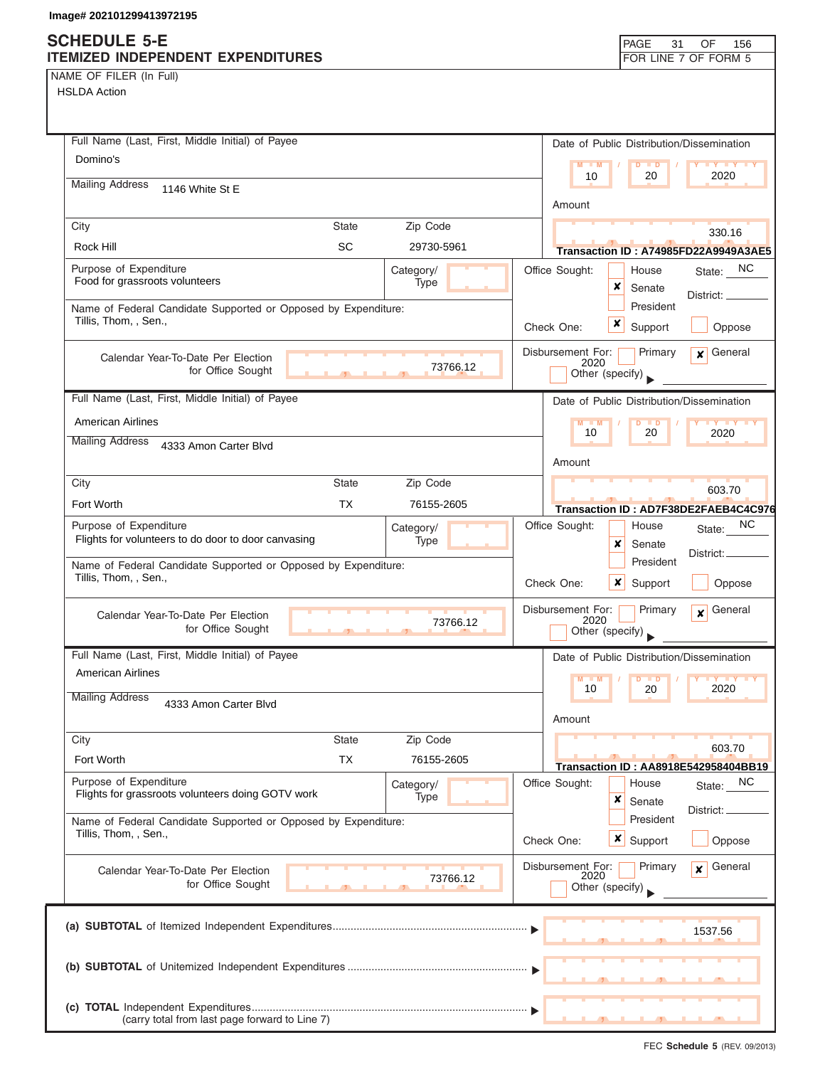NAME OF FILER (In Full)

| Full Name (Last, First, Middle Initial) of Payee                                        |                   | Date of Public Distribution/Dissemination                                              |
|-----------------------------------------------------------------------------------------|-------------------|----------------------------------------------------------------------------------------|
| Domino's                                                                                |                   | $M - M$<br>$D$ $D$<br>Y I Y I Y I Y                                                    |
| <b>Mailing Address</b><br>1146 White St E                                               |                   | 10<br>20<br>2020                                                                       |
|                                                                                         |                   | Amount                                                                                 |
| City<br><b>State</b>                                                                    | Zip Code          | 330.16                                                                                 |
| <b>SC</b><br>Rock Hill                                                                  | 29730-5961        | Transaction ID: A74985FD22A9949A3AE5                                                   |
| Purpose of Expenditure<br>Food for grassroots volunteers                                | Category/         | Office Sought:<br>State: NC<br>House                                                   |
|                                                                                         | Type              | ×<br>Senate<br>District:                                                               |
| Name of Federal Candidate Supported or Opposed by Expenditure:<br>Tillis, Thom, , Sen., |                   | President<br>×                                                                         |
|                                                                                         |                   | Support<br>Oppose<br>Check One:                                                        |
| Calendar Year-To-Date Per Election<br>for Office Sought                                 | 73766.12          | Disbursement For:<br>General<br>Primary<br>$\mathbf{x}$<br>2020<br>Other (specify)     |
| Full Name (Last, First, Middle Initial) of Payee                                        |                   | Date of Public Distribution/Dissemination                                              |
| <b>American Airlines</b>                                                                |                   | $D$ $D$<br>$M - M$                                                                     |
| <b>Mailing Address</b><br>4333 Amon Carter Blvd                                         |                   | 10<br>20<br>2020                                                                       |
|                                                                                         |                   | Amount                                                                                 |
| City<br><b>State</b>                                                                    | Zip Code          | 603.70                                                                                 |
| <b>TX</b><br>Fort Worth                                                                 | 76155-2605        | Transaction ID: AD7F38DE2FAEB4C4C976                                                   |
| Purpose of Expenditure<br>Flights for volunteers to do door to door canvasing           | Category/<br>Type | NC.<br>Office Sought:<br>House<br>State:<br>x<br>Senate                                |
| Name of Federal Candidate Supported or Opposed by Expenditure:<br>Tillis, Thom, , Sen., |                   | District:<br>President<br>Check One:<br>x<br>Support<br>Oppose                         |
| Calendar Year-To-Date Per Election<br>for Office Sought<br>$\mathbf{r}$                 | 73766.12          | Disbursement For:<br>General<br>Primary<br>$\boldsymbol{x}$<br>2020<br>Other (specify) |
| Full Name (Last, First, Middle Initial) of Payee                                        |                   | Date of Public Distribution/Dissemination                                              |
| <b>American Airlines</b>                                                                |                   | M<br>$Y$ $Y$<br>$\blacksquare$                                                         |
| <b>Mailing Address</b><br>4333 Amon Carter Blvd                                         |                   | 2020<br>10<br>20                                                                       |
|                                                                                         |                   | Amount                                                                                 |
| City<br><b>State</b>                                                                    | Zip Code          | 603.70                                                                                 |
| <b>TX</b><br>Fort Worth                                                                 | 76155-2605        | Transaction ID: AA8918E542958404BB19                                                   |
| Purpose of Expenditure<br>Flights for grassroots volunteers doing GOTV work             | Category/<br>Type | Office Sought:<br><b>NC</b><br>House<br>State:<br>×                                    |
| Name of Federal Candidate Supported or Opposed by Expenditure:                          |                   | Senate<br>District:<br>President                                                       |
| Tillis, Thom, , Sen.,                                                                   |                   | $x \mid$<br>Oppose<br>Check One:<br>Support                                            |
|                                                                                         |                   |                                                                                        |
| Calendar Year-To-Date Per Election<br>for Office Sought                                 | 73766.12          | Disbursement For:<br>Primary<br>General<br>$\boldsymbol{x}$<br>2020<br>Other (specify) |
|                                                                                         |                   |                                                                                        |
|                                                                                         |                   | 1537.56                                                                                |
|                                                                                         |                   |                                                                                        |
|                                                                                         |                   |                                                                                        |
|                                                                                         |                   |                                                                                        |
| (carry total from last page forward to Line 7)                                          |                   |                                                                                        |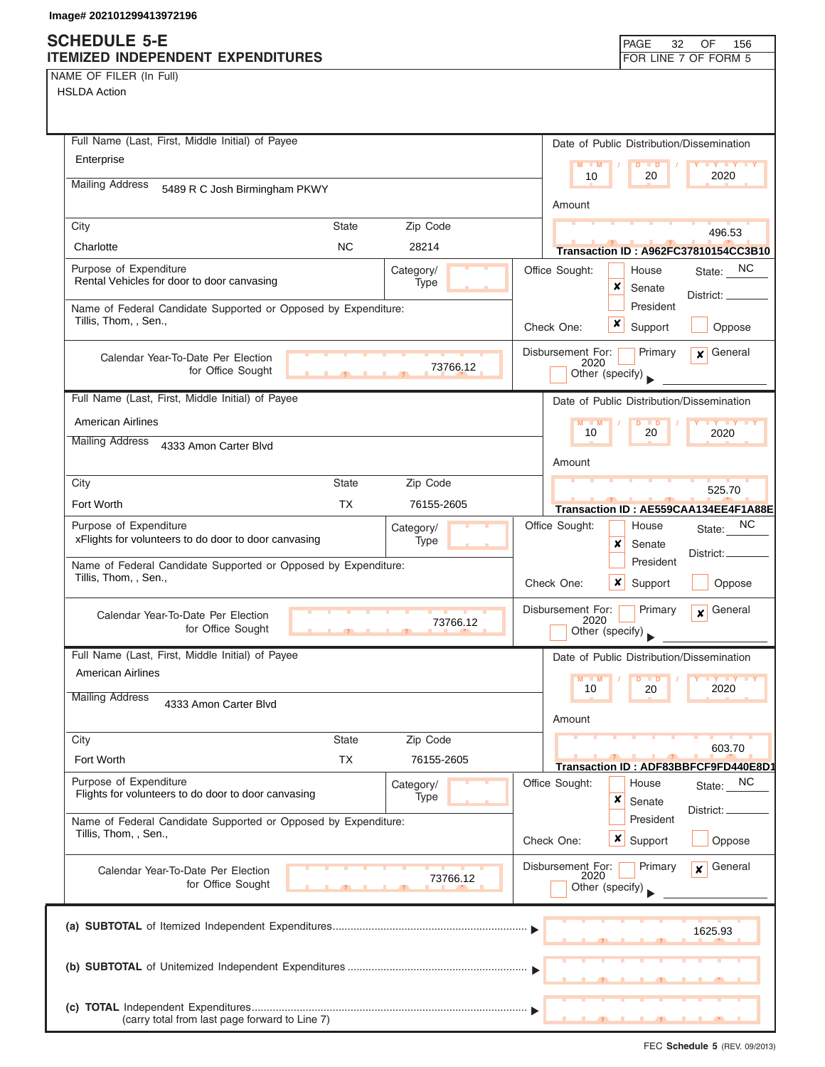NAME OF FILER (In Full) HSLDA Action

| Full Name (Last, First, Middle Initial) of Payee                                        |                |                          |            |                           | Date of Public Distribution/Dissemination |                                             |
|-----------------------------------------------------------------------------------------|----------------|--------------------------|------------|---------------------------|-------------------------------------------|---------------------------------------------|
| Enterprise                                                                              |                |                          |            | $M - M$                   | $D$ $D$                                   | <b>TY TY TY</b>                             |
| <b>Mailing Address</b><br>5489 R C Josh Birmingham PKWY                                 |                |                          |            | 10                        | 20                                        | 2020                                        |
|                                                                                         |                |                          |            | Amount                    |                                           |                                             |
| City                                                                                    | <b>State</b>   | Zip Code                 |            |                           |                                           | 496.53                                      |
| Charlotte                                                                               | <b>NC</b>      | 28214                    |            |                           |                                           | <b>Transaction ID: A962FC37810154CC3B10</b> |
| Purpose of Expenditure<br>Rental Vehicles for door to door canvasing                    |                | Category/<br><b>Type</b> |            | Office Sought:            | House<br>x                                | NC.<br>State:                               |
|                                                                                         |                |                          |            |                           | Senate<br>President                       | District: _                                 |
| Name of Federal Candidate Supported or Opposed by Expenditure:<br>Tillis, Thom, , Sen., |                |                          | Check One: |                           | ×<br>Support                              | Oppose                                      |
|                                                                                         |                |                          |            | Disbursement For:         | Primary                                   | General<br>$\mathbf{x}$                     |
| Calendar Year-To-Date Per Election<br>for Office Sought                                 |                | 73766.12                 |            | 2020                      | Other (specify)                           |                                             |
|                                                                                         |                |                          |            |                           |                                           |                                             |
| Full Name (Last, First, Middle Initial) of Payee                                        |                |                          |            |                           | Date of Public Distribution/Dissemination |                                             |
| <b>American Airlines</b><br><b>Mailing Address</b>                                      |                |                          |            | $M - M$<br>10             | D<br>$\blacksquare$<br>20                 | <b>TY TY TY</b><br>2020                     |
| 4333 Amon Carter Blvd                                                                   |                |                          |            | Amount                    |                                           |                                             |
| City                                                                                    | <b>State</b>   | Zip Code                 |            |                           |                                           |                                             |
| Fort Worth                                                                              | <b>TX</b>      | 76155-2605               |            |                           |                                           | 525.70                                      |
| Purpose of Expenditure                                                                  |                | Category/                |            | Office Sought:            | House                                     | Transaction ID: AE559CAA134EE4F1A88E<br>NC. |
| xFlights for volunteers to do door to door canvasing                                    |                | Type                     |            |                           | x<br>Senate                               | State:                                      |
| Name of Federal Candidate Supported or Opposed by Expenditure:                          |                |                          |            |                           | President                                 | District:                                   |
| Tillis, Thom, , Sen.,                                                                   |                |                          | Check One: |                           | ×<br>Support                              | Oppose                                      |
| Calendar Year-To-Date Per Election                                                      |                |                          |            | Disbursement For:         | Primary                                   | General<br>$\mathbf{x}$                     |
| for Office Sought                                                                       | $\overline{1}$ | 73766.12                 |            | 2020                      | Other (specify)                           |                                             |
| Full Name (Last, First, Middle Initial) of Payee                                        |                |                          |            |                           | Date of Public Distribution/Dissemination |                                             |
| <b>American Airlines</b>                                                                |                |                          |            | $M = M$                   | $D$ $D$                                   | <b>IY IY IY</b>                             |
| <b>Mailing Address</b><br>4333 Amon Carter Blvd                                         |                |                          |            | 10                        | 20                                        | 2020                                        |
|                                                                                         |                |                          |            | Amount                    |                                           |                                             |
| City                                                                                    | <b>State</b>   | Zip Code                 |            |                           |                                           | 603.70                                      |
| Fort Worth                                                                              | <b>TX</b>      | 76155-2605               |            |                           |                                           | Transaction ID: ADF83BBFCF9FD440E8D1        |
| Purpose of Expenditure<br>Flights for volunteers to do door to door canvasing           |                | Category/                |            | Office Sought:            | House                                     | NC.<br>State:                               |
|                                                                                         |                | Type                     |            |                           | ×<br>Senate                               | District:                                   |
| Name of Federal Candidate Supported or Opposed by Expenditure:<br>Tillis, Thom, , Sen., |                |                          |            |                           | President                                 |                                             |
|                                                                                         |                |                          | Check One: |                           | $x \mid$<br>Support                       | Oppose                                      |
| Calendar Year-To-Date Per Election                                                      |                | 73766.12                 |            | Disbursement For:<br>2020 | Primary                                   | General<br>$\mathbf{x}$                     |
| for Office Sought                                                                       |                |                          |            |                           | Other (specify)                           |                                             |
|                                                                                         |                |                          |            |                           |                                           |                                             |
|                                                                                         |                |                          |            |                           |                                           | 1625.93                                     |
|                                                                                         |                |                          |            |                           |                                           |                                             |
|                                                                                         |                |                          |            |                           |                                           |                                             |
|                                                                                         |                |                          |            |                           |                                           |                                             |
| (carry total from last page forward to Line 7)                                          |                |                          |            |                           |                                           |                                             |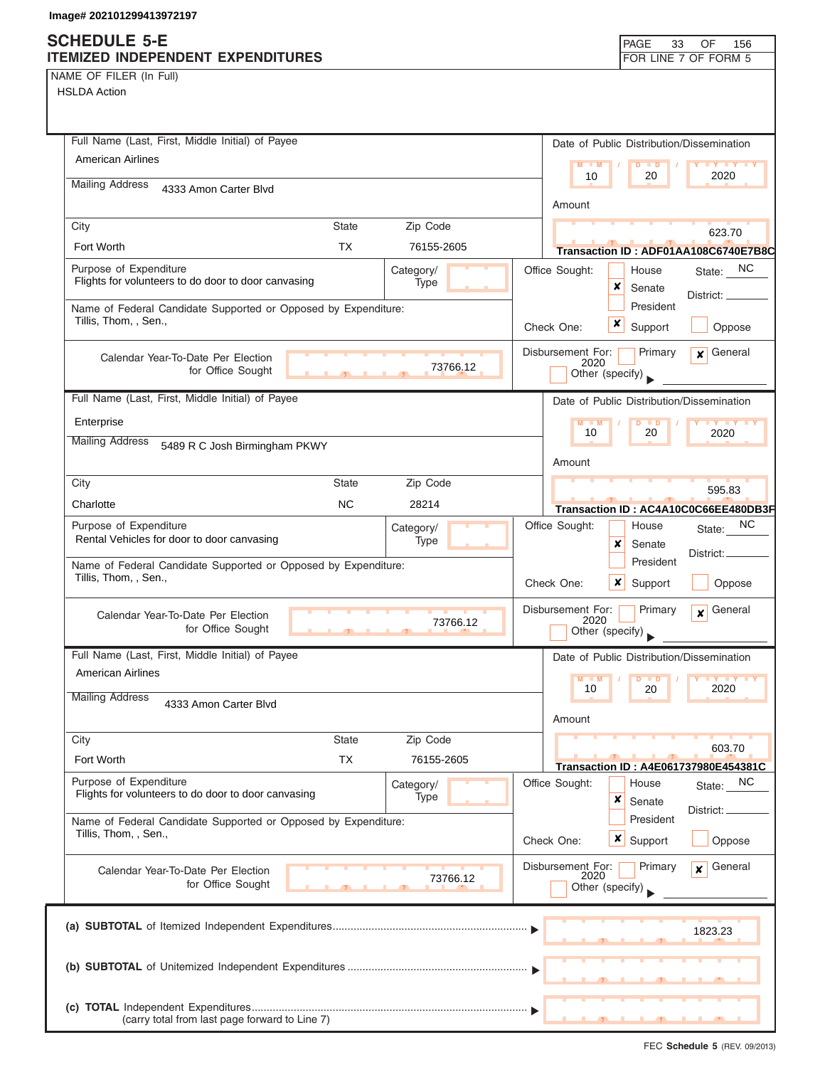# **SCHEDULE 5-E**

| SCHEDULE 5-E<br>ITEMIZED INDEPENDENT EXPENDITURES                                       |                                   |                   |            |                           | PAGE<br>33                                | OF<br>156<br>FOR LINE 7 OF FORM 5    |
|-----------------------------------------------------------------------------------------|-----------------------------------|-------------------|------------|---------------------------|-------------------------------------------|--------------------------------------|
| NAME OF FILER (In Full)                                                                 |                                   |                   |            |                           |                                           |                                      |
| <b>HSLDA Action</b>                                                                     |                                   |                   |            |                           |                                           |                                      |
|                                                                                         |                                   |                   |            |                           |                                           |                                      |
| Full Name (Last, First, Middle Initial) of Payee                                        |                                   |                   |            |                           |                                           |                                      |
| <b>American Airlines</b>                                                                |                                   |                   |            |                           | Date of Public Distribution/Dissemination |                                      |
|                                                                                         |                                   |                   |            | $M - M$<br>10             | $D$ $D$<br>20                             | <b>LY LY LY</b><br>2020              |
| <b>Mailing Address</b><br>4333 Amon Carter Blvd                                         |                                   |                   |            |                           |                                           |                                      |
|                                                                                         |                                   |                   |            | Amount                    |                                           |                                      |
| City                                                                                    | <b>State</b>                      | Zip Code          |            |                           |                                           | 623.70                               |
| Fort Worth                                                                              | <b>TX</b>                         | 76155-2605        |            |                           |                                           | Transaction ID: ADF01AA108C6740E7B8C |
| Purpose of Expenditure<br>Flights for volunteers to do door to door canvasing           |                                   | Category/<br>Type |            | Office Sought:            | House<br>x                                | State: NC                            |
| Name of Federal Candidate Supported or Opposed by Expenditure:                          |                                   |                   |            |                           | Senate<br>President                       | District: _                          |
| Tillis, Thom, , Sen.,                                                                   |                                   |                   | Check One: |                           | x<br>Support                              | Oppose                               |
|                                                                                         |                                   |                   |            |                           |                                           |                                      |
| Calendar Year-To-Date Per Election                                                      |                                   | 73766.12          |            | Disbursement For:<br>2020 | Primary                                   | General<br>$\mathbf{x}$              |
| for Office Sought                                                                       | <b>Contract Contract Contract</b> |                   |            |                           | Other (specify)                           |                                      |
| Full Name (Last, First, Middle Initial) of Payee                                        |                                   |                   |            |                           | Date of Public Distribution/Dissemination |                                      |
| Enterprise                                                                              |                                   |                   |            | $M - M$<br>10             | $D$ $D$<br>20                             | <b>TY TY TY</b><br>2020              |
| <b>Mailing Address</b><br>5489 R C Josh Birmingham PKWY                                 |                                   |                   |            |                           |                                           |                                      |
|                                                                                         |                                   |                   |            | Amount                    |                                           |                                      |
| City                                                                                    | <b>State</b>                      | Zip Code          |            |                           |                                           | 595.83                               |
| Charlotte                                                                               | <b>NC</b>                         | 28214             |            |                           |                                           | Transaction ID: AC4A10C0C66EE480DB3F |
| Purpose of Expenditure<br>Rental Vehicles for door to door canvasing                    |                                   | Category/         |            | Office Sought:            | House                                     | NC<br>State:                         |
|                                                                                         |                                   | <b>Type</b>       |            |                           | x<br>Senate<br>President                  | District:                            |
| Name of Federal Candidate Supported or Opposed by Expenditure:<br>Tillis, Thom, , Sen., |                                   |                   |            |                           |                                           |                                      |
|                                                                                         |                                   |                   | Check One: |                           | $\boldsymbol{x}$<br>Support               | Oppose                               |
| Calendar Year-To-Date Per Election                                                      |                                   | 73766.12          |            | Disbursement For:<br>2020 | Primary                                   | General<br>$\boldsymbol{x}$          |
| for Office Sought                                                                       |                                   |                   |            |                           | Other (specify)                           |                                      |
| Full Name (Last, First, Middle Initial) of Payee                                        |                                   |                   |            |                           | Date of Public Distribution/Dissemination |                                      |
| <b>American Airlines</b>                                                                |                                   |                   |            | $M - M$                   | $\blacksquare$                            |                                      |
| <b>Mailing Address</b><br>4333 Amon Carter Blvd                                         |                                   |                   |            | 10                        | 20                                        | 2020                                 |
|                                                                                         |                                   |                   |            | Amount                    |                                           |                                      |
| City                                                                                    | <b>State</b>                      | Zip Code          |            |                           |                                           | 603.70                               |
| Fort Worth                                                                              | <b>TX</b>                         | 76155-2605        |            |                           |                                           | Transaction ID: A4E061737980E454381C |
| Purpose of Expenditure<br>Flights for volunteers to do door to door canvasing           |                                   | Category/         |            | Office Sought:            | House                                     | State: NC                            |
|                                                                                         |                                   | Type              |            |                           | ×<br>Senate                               | District:                            |
| Name of Federal Candidate Supported or Opposed by Expenditure:<br>Tillis, Thom, , Sen., |                                   |                   |            |                           | President                                 |                                      |
|                                                                                         |                                   |                   | Check One: |                           | ×<br>Support                              | Oppose                               |
| Calendar Year-To-Date Per Election                                                      |                                   | 73766.12          |            | Disbursement For:<br>2020 | Primary                                   | General<br>$\mathbf{x}$              |
| for Office Sought                                                                       |                                   |                   |            |                           | Other (specify)                           |                                      |
|                                                                                         |                                   |                   |            |                           |                                           |                                      |
|                                                                                         |                                   |                   |            |                           |                                           | 1823.23                              |
|                                                                                         |                                   |                   |            |                           |                                           |                                      |
|                                                                                         |                                   |                   |            |                           |                                           |                                      |
|                                                                                         |                                   |                   |            |                           |                                           |                                      |
| (carry total from last page forward to Line 7)                                          |                                   |                   |            |                           |                                           |                                      |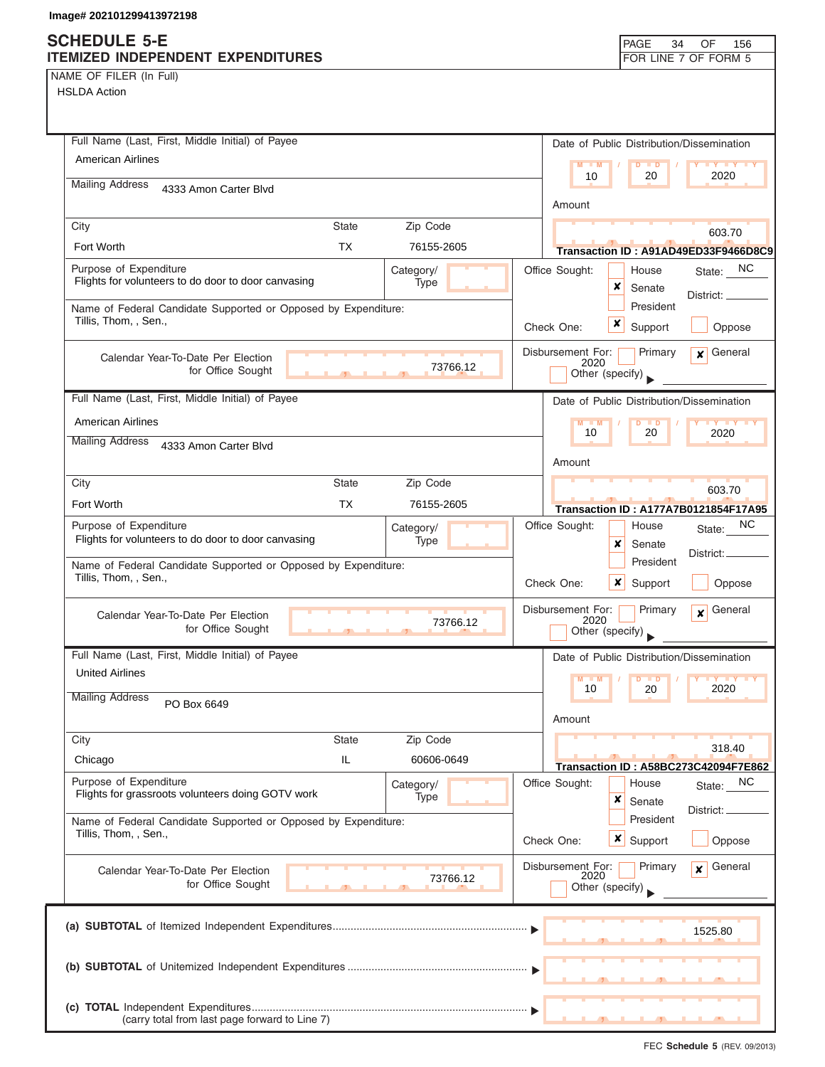NAME OF FILER (In Full)

HSLDA Action

| Full Name (Last, First, Middle Initial) of Payee                                                   | Date of Public Distribution/Dissemination                                              |
|----------------------------------------------------------------------------------------------------|----------------------------------------------------------------------------------------|
| American Airlines                                                                                  | $M - M$<br>$D$ $D$<br>$Y$ $Y$<br>10<br>20<br>2020                                      |
| <b>Mailing Address</b><br>4333 Amon Carter Blvd                                                    |                                                                                        |
|                                                                                                    | Amount                                                                                 |
| <b>State</b><br>Zip Code<br>City<br>Fort Worth<br><b>TX</b><br>76155-2605                          | 603.70                                                                                 |
| Purpose of Expenditure<br>Category/                                                                | Transaction ID: A91AD49ED33F9466D8C9<br>State: NC<br>Office Sought:<br>House           |
| Flights for volunteers to do door to door canvasing<br>Type                                        | ×<br>Senate                                                                            |
| Name of Federal Candidate Supported or Opposed by Expenditure:                                     | District:<br>President                                                                 |
| Tillis, Thom, , Sen.,                                                                              | x<br>Support<br>Oppose<br>Check One:                                                   |
| Calendar Year-To-Date Per Election                                                                 | Disbursement For:<br>General<br>Primary<br>$\mathbf{x}$                                |
| 73766.12<br>for Office Sought                                                                      | 2020<br>Other (specify)                                                                |
| Full Name (Last, First, Middle Initial) of Payee                                                   | Date of Public Distribution/Dissemination                                              |
| <b>American Airlines</b>                                                                           | $M - M$<br>$D$ $D$<br>$\mathbf{y}$ $\mathbf{y}$                                        |
| <b>Mailing Address</b><br>4333 Amon Carter Blvd                                                    | 10<br>20<br>2020                                                                       |
|                                                                                                    | Amount                                                                                 |
| City<br><b>State</b><br>Zip Code                                                                   | 603.70                                                                                 |
| <b>TX</b><br>Fort Worth<br>76155-2605                                                              | <b>Transaction ID: A177A7B0121854F17A95</b>                                            |
| Purpose of Expenditure<br>Category/<br>Flights for volunteers to do door to door canvasing<br>Type | NC.<br>Office Sought:<br>House<br>State:                                               |
|                                                                                                    | ×<br>Senate<br>District:<br>President                                                  |
| Name of Federal Candidate Supported or Opposed by Expenditure:<br>Tillis, Thom, , Sen.,            | $\boldsymbol{x}$<br>Check One:<br>Support<br>Oppose                                    |
| Calendar Year-To-Date Per Election<br>73766.12<br>for Office Sought                                | Disbursement For:<br>General<br>Primary<br>$\mathbf{x}$<br>2020<br>Other (specify)     |
| Full Name (Last, First, Middle Initial) of Payee                                                   | Date of Public Distribution/Dissemination                                              |
| <b>United Airlines</b>                                                                             | $M = M$<br><b>D</b><br>10<br>20<br>2020                                                |
| <b>Mailing Address</b><br>PO Box 6649                                                              | Amount                                                                                 |
| City<br><b>State</b><br>Zip Code                                                                   |                                                                                        |
| IL<br>Chicago<br>60606-0649                                                                        | 318.40<br>Transaction ID: A58BC273C42094F7E862                                         |
| Purpose of Expenditure<br>Category/<br>Flights for grassroots volunteers doing GOTV work<br>Type   | Office Sought:<br>NC<br>House<br>State:<br>×<br>Senate                                 |
| Name of Federal Candidate Supported or Opposed by Expenditure:<br>Tillis, Thom, , Sen.,            | District:<br>President<br>$\boldsymbol{\mathsf{x}}$<br>Check One:<br>Support<br>Oppose |
|                                                                                                    |                                                                                        |
| Calendar Year-To-Date Per Election<br>73766.12<br>for Office Sought                                | Disbursement For:<br>General<br>Primary<br>$\mathbf{x}$<br>2020<br>Other (specify)     |
|                                                                                                    | 1525.80                                                                                |
|                                                                                                    |                                                                                        |
| (carry total from last page forward to Line 7)                                                     |                                                                                        |

FEC **Schedule 5** (REV. 09/2013)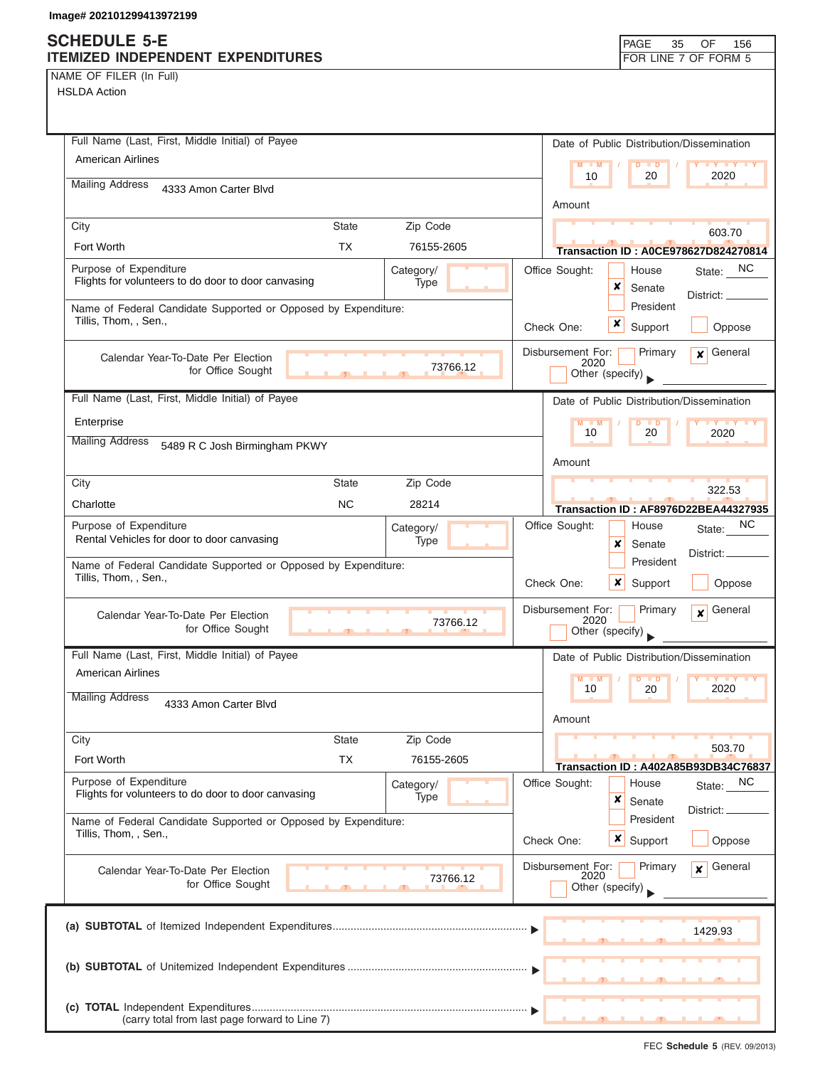HSLDA Action

| Full Name (Last, First, Middle Initial) of Payee                                        |                   |            |                           | Date of Public Distribution/Dissemination |                                                       |  |  |
|-----------------------------------------------------------------------------------------|-------------------|------------|---------------------------|-------------------------------------------|-------------------------------------------------------|--|--|
| <b>American Airlines</b>                                                                |                   |            | $M - M$                   | $D$ $D$                                   | <b>LY LY LY</b>                                       |  |  |
| <b>Mailing Address</b><br>4333 Amon Carter Blvd                                         |                   |            | 10                        | 20                                        | 2020                                                  |  |  |
|                                                                                         |                   |            | Amount                    |                                           |                                                       |  |  |
| City                                                                                    | <b>State</b>      | Zip Code   |                           |                                           | 603.70                                                |  |  |
| Fort Worth                                                                              | <b>TX</b>         | 76155-2605 |                           |                                           | <b>Transaction ID: A0CE978627D824270814</b>           |  |  |
| Purpose of Expenditure                                                                  |                   | Category/  | Office Sought:            | House                                     | State: NC                                             |  |  |
| Flights for volunteers to do door to door canvasing                                     |                   | Type       |                           | x<br>Senate                               | District:                                             |  |  |
| Name of Federal Candidate Supported or Opposed by Expenditure:<br>Tillis, Thom, , Sen., |                   |            |                           | President                                 |                                                       |  |  |
|                                                                                         |                   |            | Check One:                | x<br>Support                              | Oppose                                                |  |  |
| Calendar Year-To-Date Per Election                                                      |                   |            | Disbursement For:<br>2020 | Primary                                   | $x$ General                                           |  |  |
| for Office Sought                                                                       | <b>CONTRACTOR</b> | 73766.12   |                           | Other (specify)                           |                                                       |  |  |
| Full Name (Last, First, Middle Initial) of Payee                                        |                   |            |                           | Date of Public Distribution/Dissemination |                                                       |  |  |
| Enterprise                                                                              |                   |            | $M - M$                   | $D$ $D$                                   | <b>TY TY TY</b>                                       |  |  |
| <b>Mailing Address</b><br>5489 R C Josh Birmingham PKWY                                 |                   |            | 10                        | 20                                        | 2020                                                  |  |  |
|                                                                                         |                   |            | Amount                    |                                           |                                                       |  |  |
| City                                                                                    | <b>State</b>      | Zip Code   |                           |                                           | 322.53                                                |  |  |
| Charlotte                                                                               | <b>NC</b>         | 28214      |                           |                                           | <b>Transaction ID: AF8976D22BEA44327935</b>           |  |  |
| Purpose of Expenditure                                                                  |                   | Category/  | Office Sought:            | House                                     | NC.<br>State:                                         |  |  |
| Rental Vehicles for door to door canvasing                                              |                   | Type       |                           | ×<br>Senate                               |                                                       |  |  |
| Name of Federal Candidate Supported or Opposed by Expenditure:                          |                   |            |                           | President                                 | District:                                             |  |  |
| Tillis, Thom, , Sen.,                                                                   |                   |            | Check One:                | ×<br>Support                              | Oppose                                                |  |  |
| Calendar Year-To-Date Per Election                                                      |                   |            | Disbursement For:         | Primary                                   | General<br>$\mathbf{x}$                               |  |  |
| for Office Sought                                                                       | $\overline{1}$    | 73766.12   | 2020                      | Other (specify)                           |                                                       |  |  |
| Full Name (Last, First, Middle Initial) of Payee                                        |                   |            |                           | Date of Public Distribution/Dissemination |                                                       |  |  |
| <b>American Airlines</b>                                                                |                   |            | $M = M$                   | $D$ $D$                                   |                                                       |  |  |
| <b>Mailing Address</b>                                                                  |                   |            | 10                        | 20                                        | 2020                                                  |  |  |
| 4333 Amon Carter Blvd                                                                   |                   |            | Amount                    |                                           |                                                       |  |  |
| City                                                                                    | <b>State</b>      | Zip Code   |                           |                                           |                                                       |  |  |
| Fort Worth                                                                              | <b>TX</b>         | 76155-2605 |                           |                                           | 503.70                                                |  |  |
| Purpose of Expenditure                                                                  |                   | Category/  | Office Sought:            | House                                     | Transaction ID: A402A85B93DB34C76837<br>NC.<br>State: |  |  |
| Flights for volunteers to do door to door canvasing                                     |                   | Type       |                           | ×<br>Senate                               |                                                       |  |  |
| Name of Federal Candidate Supported or Opposed by Expenditure:                          |                   |            |                           | President                                 | District:                                             |  |  |
| Tillis, Thom, , Sen.,                                                                   |                   |            | Check One:                | <b>x</b> Support                          | Oppose                                                |  |  |
| Calendar Year-To-Date Per Election                                                      |                   |            | Disbursement For:         | Primary                                   | General<br>$\mathbf{x}$                               |  |  |
| for Office Sought                                                                       |                   | 73766.12   | 2020                      | Other (specify)                           |                                                       |  |  |
|                                                                                         |                   |            |                           |                                           |                                                       |  |  |
|                                                                                         |                   |            |                           |                                           | 1429.93                                               |  |  |
|                                                                                         |                   |            |                           |                                           |                                                       |  |  |
|                                                                                         |                   |            |                           |                                           |                                                       |  |  |
|                                                                                         |                   |            |                           |                                           |                                                       |  |  |
|                                                                                         |                   |            |                           |                                           |                                                       |  |  |
| (carry total from last page forward to Line 7)                                          |                   |            |                           |                                           |                                                       |  |  |

FEC **Schedule 5** (REV. 09/2013)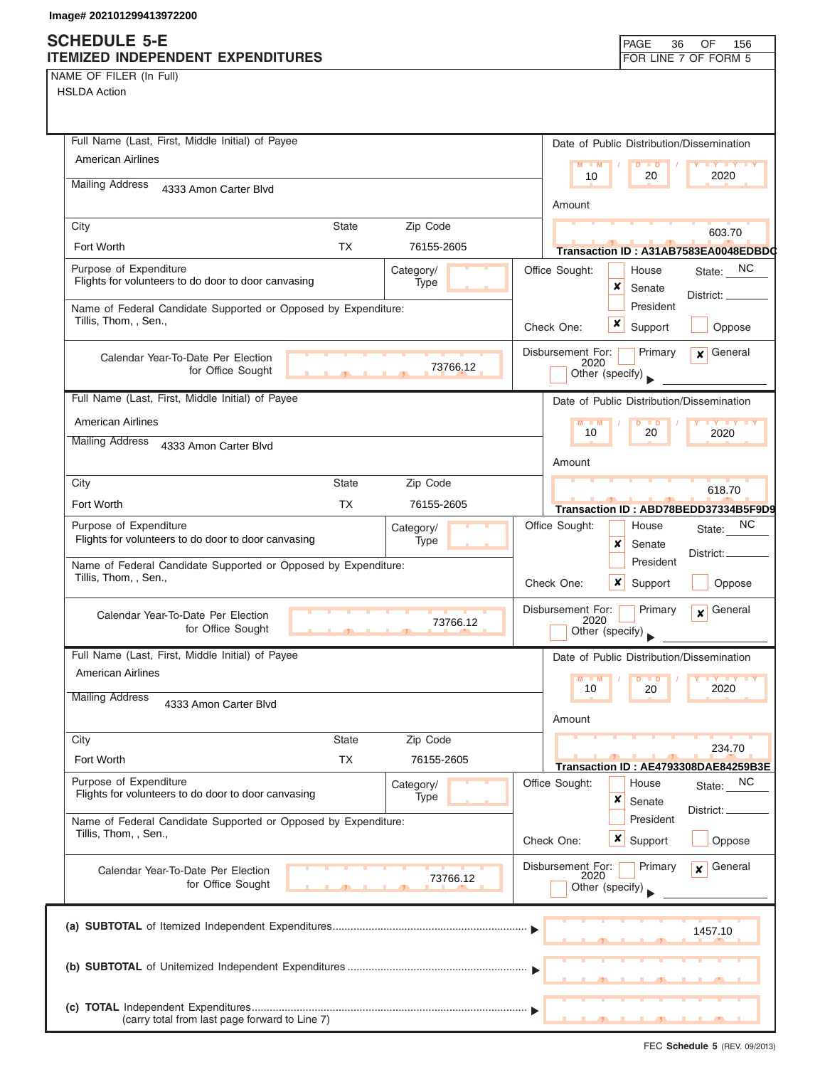NAME OF FILER (In Full)

| Full Name (Last, First, Middle Initial) of Payee                                        |              |                   |                   | Date of Public Distribution/Dissemination                                          |                               |                                                |  |
|-----------------------------------------------------------------------------------------|--------------|-------------------|-------------------|------------------------------------------------------------------------------------|-------------------------------|------------------------------------------------|--|
| <b>American Airlines</b>                                                                |              |                   |                   | $M - M$<br>10                                                                      | $D$ $D$<br>20                 | $Y$ $Y$<br>2020                                |  |
| <b>Mailing Address</b><br>4333 Amon Carter Blvd                                         |              |                   |                   |                                                                                    |                               |                                                |  |
|                                                                                         |              |                   |                   | Amount                                                                             |                               |                                                |  |
| City                                                                                    | <b>State</b> | Zip Code          |                   |                                                                                    |                               | 603.70                                         |  |
| Fort Worth                                                                              | <b>TX</b>    | 76155-2605        |                   |                                                                                    |                               | Transaction ID: A31AB7583EA0048EDBD0           |  |
| Purpose of Expenditure<br>Flights for volunteers to do door to door canvasing           |              | Category/<br>Type |                   | Office Sought:<br>x                                                                | House<br>Senate               | State: NC<br>District:                         |  |
| Name of Federal Candidate Supported or Opposed by Expenditure:<br>Tillis, Thom, , Sen., |              |                   |                   |                                                                                    | President                     |                                                |  |
|                                                                                         |              |                   |                   | Check One:                                                                         | $\boldsymbol{x}$<br>Support   | Oppose                                         |  |
| Calendar Year-To-Date Per Election<br>73766.12<br>for Office Sought                     |              |                   |                   | Disbursement For:<br>Primary<br>General<br>$\mathbf{x}$<br>2020<br>Other (specify) |                               |                                                |  |
| Full Name (Last, First, Middle Initial) of Payee                                        |              |                   |                   | Date of Public Distribution/Dissemination                                          |                               |                                                |  |
| <b>American Airlines</b>                                                                |              |                   |                   | $M - M$                                                                            | $D$ $D$                       | $\mathbf{y}$ $\mathbf{y}$                      |  |
| <b>Mailing Address</b><br>4333 Amon Carter Blvd                                         |              |                   |                   | 10                                                                                 | 20                            | 2020                                           |  |
|                                                                                         |              |                   |                   | Amount                                                                             |                               |                                                |  |
| City                                                                                    | State        | Zip Code          |                   |                                                                                    |                               | 618.70                                         |  |
| Fort Worth                                                                              | TX           | 76155-2605        |                   |                                                                                    |                               | Transaction ID: ABD78BEDD37334B5F9D9           |  |
| Purpose of Expenditure<br>Flights for volunteers to do door to door canvasing           |              | Category/<br>Type |                   | Office Sought:                                                                     | House                         | NC.<br>State:                                  |  |
|                                                                                         |              |                   |                   | x                                                                                  | Senate<br>President           | District: _                                    |  |
| Name of Federal Candidate Supported or Opposed by Expenditure:<br>Tillis, Thom, , Sen., |              |                   |                   | Check One:                                                                         | $\boldsymbol{x}$<br>Support   | Oppose                                         |  |
| Calendar Year-To-Date Per Election<br>for Office Sought                                 |              | 73766.12          |                   | Disbursement For:<br>2020<br>Other (specify)                                       | Primary                       | General<br>$\mathbf{x}$                        |  |
| Full Name (Last, First, Middle Initial) of Payee                                        |              |                   |                   | Date of Public Distribution/Dissemination                                          |                               |                                                |  |
| American Airlines                                                                       |              |                   |                   | $M - M$                                                                            | $D$ $D$                       |                                                |  |
| <b>Mailing Address</b><br>4333 Amon Carter Blyd                                         |              |                   |                   | 10<br>Amount                                                                       | 20                            | 2020                                           |  |
| City                                                                                    | <b>State</b> | Zip Code          |                   |                                                                                    |                               |                                                |  |
| Fort Worth                                                                              | <b>TX</b>    | 76155-2605        |                   |                                                                                    |                               | 234.70<br>Transaction ID: AE4793308DAE84259B3E |  |
| Purpose of Expenditure<br>Flights for volunteers to do door to door canvasing           |              | Category/<br>Type |                   | Office Sought:<br>x                                                                | House<br>Senate               | <sub>NC</sub><br>State:                        |  |
| Name of Federal Candidate Supported or Opposed by Expenditure:<br>Tillis, Thom, , Sen., |              |                   | Check One:        |                                                                                    | President<br>$x \mid$ Support | District:<br>Oppose                            |  |
|                                                                                         |              |                   | Disbursement For: |                                                                                    |                               |                                                |  |
| Calendar Year-To-Date Per Election<br>73766.12<br>for Office Sought                     |              |                   |                   | 2020<br>Other (specify)                                                            | Primary                       | General<br>$\mathbf{x}$                        |  |
|                                                                                         |              |                   |                   |                                                                                    |                               | 1457.10                                        |  |
|                                                                                         |              |                   |                   |                                                                                    |                               |                                                |  |
| (carry total from last page forward to Line 7)                                          |              |                   |                   |                                                                                    |                               |                                                |  |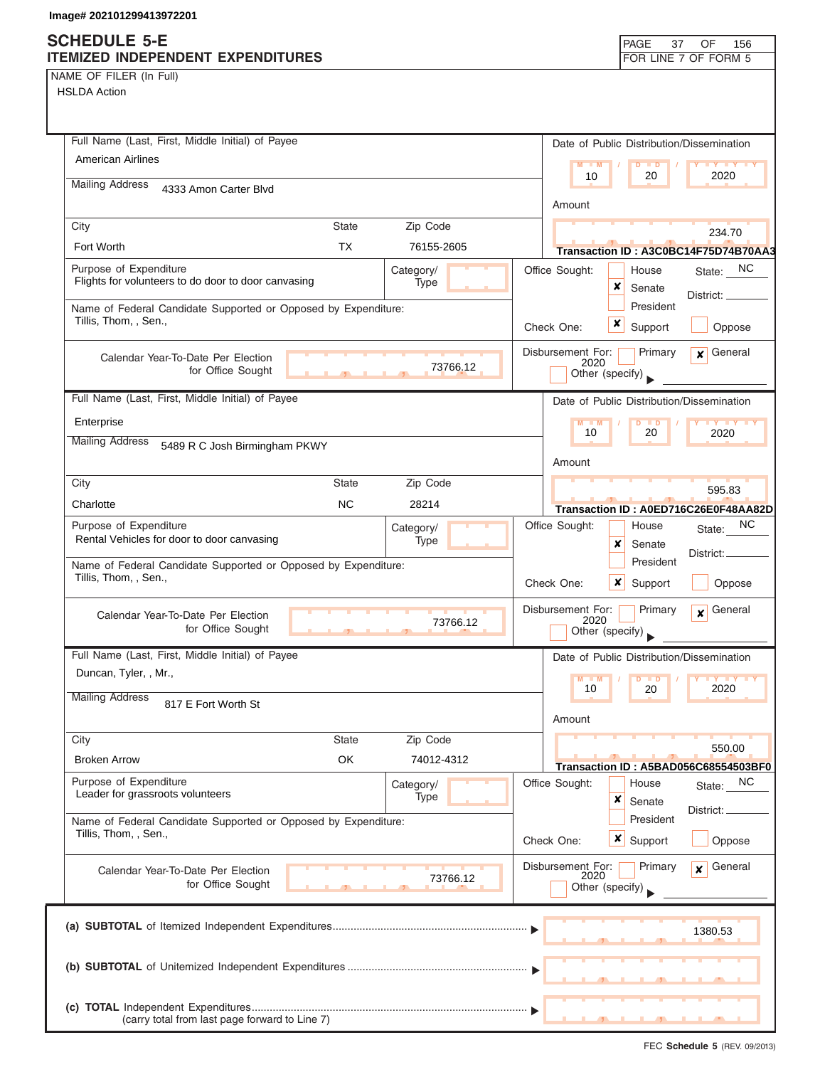| Full Name (Last, First, Middle Initial) of Payee                                        | Date of Public Distribution/Dissemination                             |
|-----------------------------------------------------------------------------------------|-----------------------------------------------------------------------|
| American Airlines                                                                       | $M - M$                                                               |
| <b>Mailing Address</b><br>4333 Amon Carter Blvd                                         | 10<br>20<br>2020                                                      |
|                                                                                         | Amount                                                                |
| City<br><b>State</b><br>Zip Code                                                        | 234.70                                                                |
| <b>TX</b><br>Fort Worth<br>76155-2605                                                   | Transaction ID: A3C0BC14F75D74B70AA3                                  |
| Purpose of Expenditure<br>Category/                                                     | NC<br>Office Sought:<br>House<br>State:                               |
| Flights for volunteers to do door to door canvasing<br>Type                             | ×<br>Senate<br>District:                                              |
| Name of Federal Candidate Supported or Opposed by Expenditure:                          | President                                                             |
| Tillis, Thom, , Sen.,                                                                   | x<br>Check One:<br>Support<br>Oppose                                  |
| Calendar Year-To-Date Per Election                                                      | Disbursement For:<br>General<br>Primary<br>$\mathbf{x}$               |
| 73766.12<br>for Office Sought                                                           | 2020<br>Other (specify)                                               |
| Full Name (Last, First, Middle Initial) of Payee                                        | Date of Public Distribution/Dissemination                             |
| Enterprise                                                                              | $M - M$                                                               |
| <b>Mailing Address</b>                                                                  | 10<br>20<br>2020                                                      |
| 5489 R C Josh Birmingham PKWY                                                           | Amount                                                                |
| City<br><b>State</b><br>Zip Code                                                        |                                                                       |
| Charlotte<br><b>NC</b><br>28214                                                         | 595.83                                                                |
| Purpose of Expenditure                                                                  | Transaction ID: A0ED716C26E0F48AA82D<br>NC<br>Office Sought:<br>House |
| Category/<br>Rental Vehicles for door to door canvasing<br>Type                         | State:<br>x<br>Senate                                                 |
| Name of Federal Candidate Supported or Opposed by Expenditure:                          | District:.<br>President                                               |
| Tillis, Thom, , Sen.,                                                                   | Check One:<br>x<br>Support<br>Oppose                                  |
|                                                                                         | Disbursement For:                                                     |
| Calendar Year-To-Date Per Election<br>73766.12<br>for Office Sought                     | General<br>Primary<br>$\mathbf{x}$<br>2020                            |
|                                                                                         | Other (specify)                                                       |
| Full Name (Last, First, Middle Initial) of Payee                                        | Date of Public Distribution/Dissemination                             |
| Duncan, Tyler, , Mr.,                                                                   | 2020<br>10<br>20                                                      |
| <b>Mailing Address</b><br>817 E Fort Worth St                                           |                                                                       |
|                                                                                         | Amount                                                                |
| Zip Code<br>City<br><b>State</b>                                                        | 550.00                                                                |
| OK<br><b>Broken Arrow</b><br>74012-4312                                                 | Transaction ID: A5BAD056C68554503BF0                                  |
| Purpose of Expenditure<br>Category/<br>Leader for grassroots volunteers                 | Office Sought:<br>NC<br>House<br>State:                               |
| Type                                                                                    | ×<br>Senate<br>District:                                              |
| Name of Federal Candidate Supported or Opposed by Expenditure:<br>Tillis, Thom, , Sen., | President                                                             |
|                                                                                         | x<br>Check One:<br>Support<br>Oppose                                  |
| Calendar Year-To-Date Per Election<br>73766.12                                          | General<br>Disbursement For:<br>Primary<br>$\mathbf{x}$<br>2020       |
| for Office Sought                                                                       | Other (specify)                                                       |
|                                                                                         |                                                                       |
|                                                                                         | 1380.53                                                               |
|                                                                                         |                                                                       |
|                                                                                         |                                                                       |
|                                                                                         |                                                                       |
|                                                                                         |                                                                       |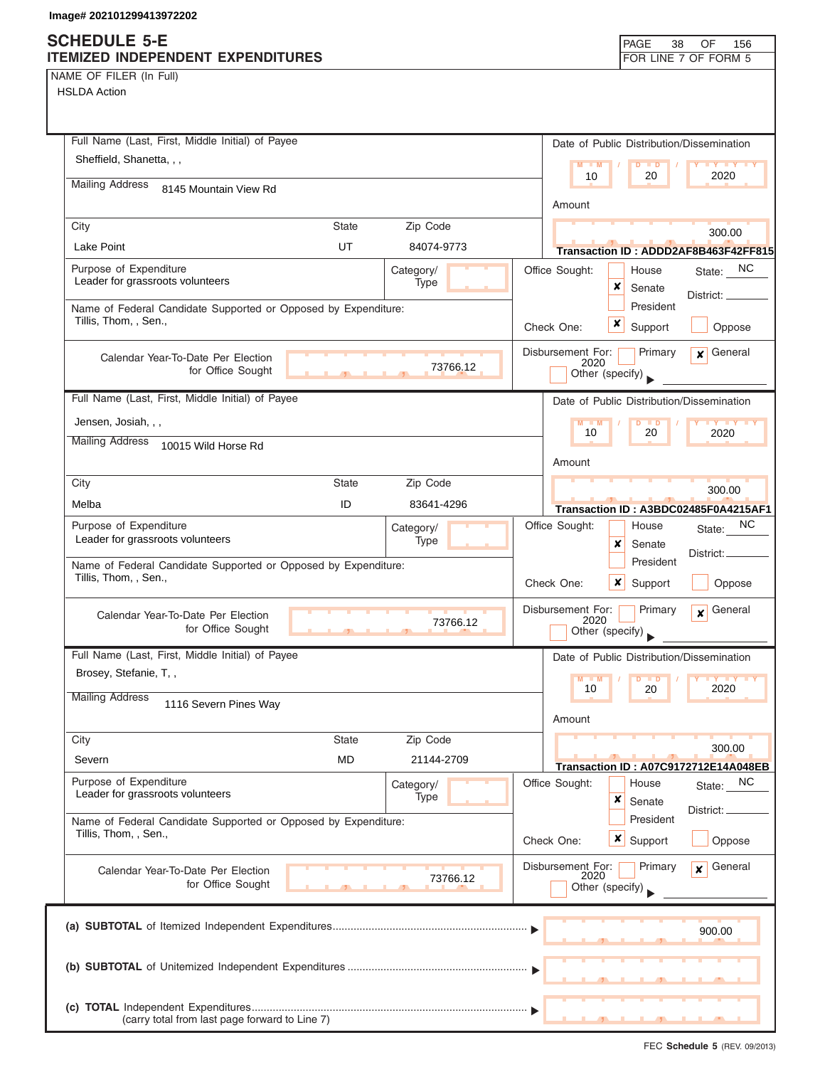# **SCHEDULE 5-E**

|  | NAME OF FILER (In Full) |  |
|--|-------------------------|--|
|  |                         |  |

| SCHEDULE 5-E<br>ITEMIZED INDEPENDENT EXPENDITURES                                       |              |                   |                   |                 |                  | PAGE<br>38           | 156<br>OF<br>FOR LINE 7 OF FORM 5         |
|-----------------------------------------------------------------------------------------|--------------|-------------------|-------------------|-----------------|------------------|----------------------|-------------------------------------------|
| NAME OF FILER (In Full)                                                                 |              |                   |                   |                 |                  |                      |                                           |
| <b>HSLDA Action</b>                                                                     |              |                   |                   |                 |                  |                      |                                           |
|                                                                                         |              |                   |                   |                 |                  |                      |                                           |
| Full Name (Last, First, Middle Initial) of Payee                                        |              |                   |                   |                 |                  |                      | Date of Public Distribution/Dissemination |
| Sheffield, Shanetta, , ,                                                                |              |                   |                   | $M - M$         |                  | $D$ $D$              | Y FY FY FY                                |
| <b>Mailing Address</b><br>8145 Mountain View Rd                                         |              |                   |                   | 10              |                  | 20                   | 2020                                      |
|                                                                                         |              |                   |                   | Amount          |                  |                      |                                           |
| City                                                                                    | State        | Zip Code          |                   |                 |                  |                      | 300.00                                    |
| <b>Lake Point</b>                                                                       | UT           | 84074-9773        |                   |                 |                  |                      | Transaction ID: ADDD2AF8B463F42FF815      |
| Purpose of Expenditure                                                                  |              | Category/         | Office Sought:    |                 |                  | House                | State: NC                                 |
| Leader for grassroots volunteers                                                        |              | Type              |                   |                 | x                | Senate               | District: __                              |
| Name of Federal Candidate Supported or Opposed by Expenditure:<br>Tillis, Thom, , Sen., |              |                   |                   |                 |                  | President            |                                           |
|                                                                                         |              |                   | Check One:        |                 | x                | Support              | Oppose                                    |
| Calendar Year-To-Date Per Election                                                      |              |                   | Disbursement For: | 2020            |                  | Primary              | $\mathbf x$ General                       |
| for Office Sought                                                                       |              | 73766.12          |                   | Other (specify) |                  |                      |                                           |
| Full Name (Last, First, Middle Initial) of Payee                                        |              |                   |                   |                 |                  |                      | Date of Public Distribution/Dissemination |
| Jensen, Josiah, , ,                                                                     |              |                   |                   | $M - M$         |                  | D<br>$\blacksquare$  | <b>LY LY LY</b>                           |
| <b>Mailing Address</b><br>10015 Wild Horse Rd                                           |              |                   |                   | 10              |                  | 20                   | 2020                                      |
|                                                                                         |              |                   |                   | Amount          |                  |                      |                                           |
| City                                                                                    | <b>State</b> | Zip Code          |                   |                 |                  |                      | 300.00                                    |
| Melba                                                                                   | ID           | 83641-4296        |                   |                 |                  |                      | Transaction ID: A3BDC02485F0A4215AF1      |
| Purpose of Expenditure                                                                  |              | Category/         | Office Sought:    |                 |                  | House                | NC.<br>State:                             |
| Leader for grassroots volunteers                                                        |              | <b>Type</b>       |                   |                 | ×                | Senate               | District:                                 |
| Name of Federal Candidate Supported or Opposed by Expenditure:<br>Tillis, Thom, , Sen., |              |                   |                   |                 |                  | President            |                                           |
|                                                                                         |              |                   | Check One:        |                 | ×                | Support              | Oppose                                    |
| Calendar Year-To-Date Per Election                                                      |              | 73766.12          | Disbursement For: | 2020            |                  | Primary              | General<br>$\mathbf{x}$                   |
| for Office Sought                                                                       |              |                   |                   | Other (specify) |                  |                      |                                           |
| Full Name (Last, First, Middle Initial) of Payee                                        |              |                   |                   |                 |                  |                      | Date of Public Distribution/Dissemination |
| Brosey, Stefanie, T,,                                                                   |              |                   |                   | M<br>10         |                  | $\blacksquare$<br>20 | 2020                                      |
| <b>Mailing Address</b><br>1116 Severn Pines Way                                         |              |                   |                   |                 |                  |                      |                                           |
|                                                                                         |              |                   |                   | Amount          |                  |                      |                                           |
| City                                                                                    | <b>State</b> | Zip Code          |                   |                 |                  |                      | 300.00                                    |
| Severn                                                                                  | <b>MD</b>    | 21144-2709        |                   |                 |                  |                      | Transaction ID: A07C9172712E14A048EB      |
| Purpose of Expenditure<br>Leader for grassroots volunteers                              |              | Category/<br>Type | Office Sought:    |                 |                  | House                | State: NC                                 |
|                                                                                         |              |                   |                   |                 | ×                | Senate               | District:                                 |
| Name of Federal Candidate Supported or Opposed by Expenditure:<br>Tillis, Thom, , Sen., |              |                   | Check One:        |                 | $\boldsymbol{x}$ | President<br>Support | Oppose                                    |
|                                                                                         |              |                   |                   |                 |                  |                      |                                           |
| Calendar Year-To-Date Per Election                                                      |              | 73766.12          | Disbursement For: | 2020            |                  | Primary              | General<br>$\mathbf{x}$                   |
| for Office Sought                                                                       |              |                   |                   | Other (specify) |                  |                      |                                           |
|                                                                                         |              |                   |                   |                 |                  |                      |                                           |
|                                                                                         |              |                   |                   |                 |                  |                      | 900.00                                    |
|                                                                                         |              |                   |                   |                 |                  |                      |                                           |
|                                                                                         |              |                   |                   |                 |                  |                      |                                           |
|                                                                                         |              |                   |                   |                 |                  |                      |                                           |
| (carry total from last page forward to Line 7)                                          |              |                   |                   |                 |                  |                      |                                           |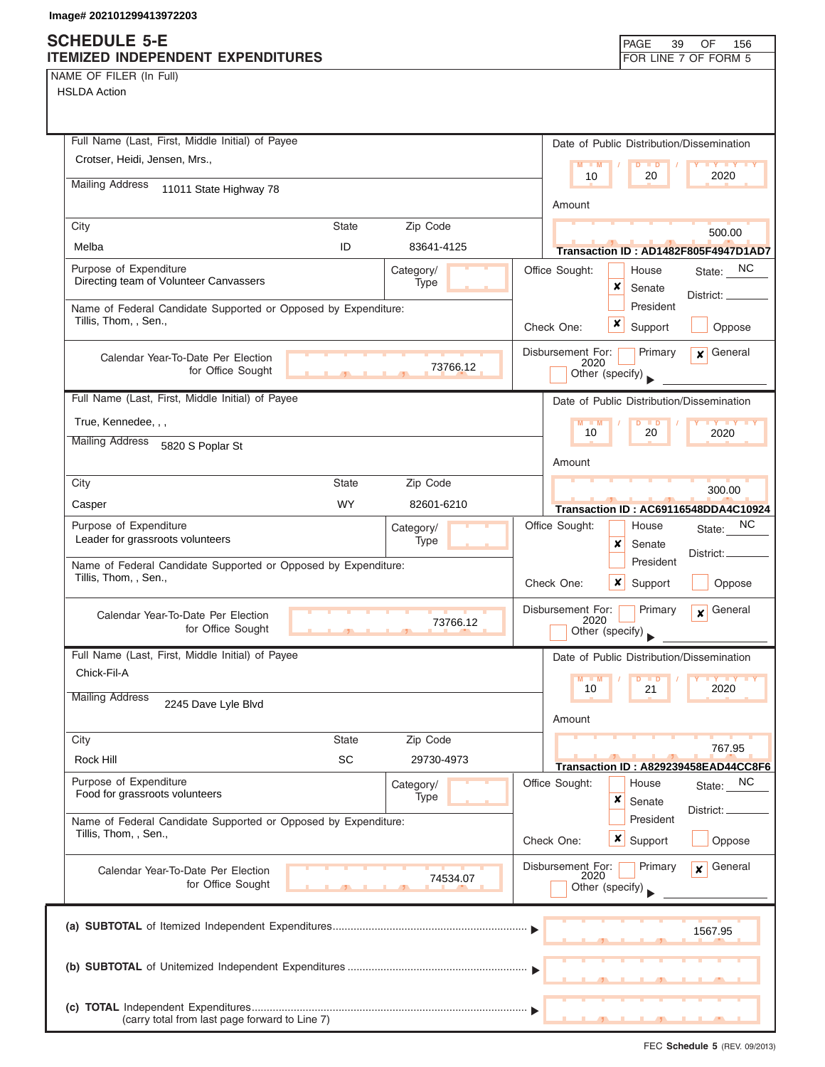### **SCHEDULE 5-E ITEMIZED INDEPENDENT EXPENDITURES FOR LINE 7 OF FORM 5**

| NAME OF FILER (In Full) |  |  |
|-------------------------|--|--|
|                         |  |  |

| Full Name (Last, First, Middle Initial) of Payee                                        |                          | Date of Public Distribution/Dissemination                              |
|-----------------------------------------------------------------------------------------|--------------------------|------------------------------------------------------------------------|
| Crotser, Heidi, Jensen, Mrs.,                                                           |                          | $M = M$<br>$D$ $D$<br><b>TY TY TY</b>                                  |
| <b>Mailing Address</b><br>11011 State Highway 78                                        |                          | 2020<br>10<br>20                                                       |
|                                                                                         |                          | Amount                                                                 |
| City                                                                                    | Zip Code<br><b>State</b> | 500.00                                                                 |
| Melba                                                                                   | ID<br>83641-4125         | Transaction ID: AD1482F805F4947D1AD7                                   |
| Purpose of Expenditure                                                                  | Category/                | Office Sought:<br>State: NC<br>House                                   |
| Directing team of Volunteer Canvassers                                                  | Type                     | ×<br>Senate                                                            |
| Name of Federal Candidate Supported or Opposed by Expenditure:                          |                          | District:<br>President                                                 |
| Tillis, Thom, , Sen.,                                                                   |                          | x<br>Support<br>Check One:<br>Oppose                                   |
|                                                                                         |                          | Disbursement For:<br>General<br>Primary                                |
| Calendar Year-To-Date Per Election<br>for Office Sought                                 | 73766.12                 | $\boldsymbol{x}$<br>2020                                               |
|                                                                                         | $\overline{1}$           | Other (specify)                                                        |
| Full Name (Last, First, Middle Initial) of Payee                                        |                          | Date of Public Distribution/Dissemination                              |
| True, Kennedee, , ,                                                                     |                          | $M - M$<br>$D$ $D$<br><b>TY TY TY</b>                                  |
| <b>Mailing Address</b><br>5820 S Poplar St                                              |                          | 10<br>20<br>2020                                                       |
|                                                                                         |                          | Amount                                                                 |
| City                                                                                    | Zip Code<br><b>State</b> |                                                                        |
| Casper                                                                                  | <b>WY</b><br>82601-6210  | 300.00                                                                 |
| Purpose of Expenditure                                                                  |                          | Transaction ID: AC69116548DDA4C10924<br>NC.<br>Office Sought:<br>House |
| Leader for grassroots volunteers                                                        | Category/<br>Type        | State:<br>x<br>Senate                                                  |
| Name of Federal Candidate Supported or Opposed by Expenditure:                          |                          | District: _<br>President                                               |
| Tillis, Thom, , Sen.,                                                                   |                          | Check One:<br>$\mathsf{x}$<br>Oppose<br>Support                        |
|                                                                                         |                          |                                                                        |
| Calendar Year-To-Date Per Election                                                      | 73766.12                 | Disbursement For:<br>Primary<br>General<br>$\mathbf{x}$<br>2020        |
| for Office Sought                                                                       |                          | Other (specify)                                                        |
| Full Name (Last, First, Middle Initial) of Payee                                        |                          | Date of Public Distribution/Dissemination                              |
| Chick-Fil-A                                                                             |                          | $M - M$<br>D<br>$\blacksquare$                                         |
| <b>Mailing Address</b>                                                                  |                          | 10<br>2020<br>21                                                       |
| 2245 Dave Lyle Blvd                                                                     |                          | Amount                                                                 |
| City                                                                                    | <b>State</b><br>Zip Code |                                                                        |
| Rock Hill                                                                               | SC<br>29730-4973         | 767.95                                                                 |
|                                                                                         |                          | Transaction ID: A829239458EAD44CC8F6                                   |
| Purpose of Expenditure<br>Food for grassroots volunteers                                | Category/<br>Type        | Office Sought:<br>NC<br>House<br>State:<br>×                           |
|                                                                                         |                          | Senate<br>District:                                                    |
| Name of Federal Candidate Supported or Opposed by Expenditure:<br>Tillis, Thom, , Sen., |                          | President                                                              |
|                                                                                         |                          | x<br>Check One:<br>Support<br>Oppose                                   |
| Calendar Year-To-Date Per Election                                                      |                          | General<br>Disbursement For:<br>Primary<br>x<br>2020                   |
| for Office Sought                                                                       | 74534.07                 | Other (specify)                                                        |
|                                                                                         |                          |                                                                        |
|                                                                                         |                          | 1567.95                                                                |
|                                                                                         |                          |                                                                        |
|                                                                                         |                          |                                                                        |
|                                                                                         |                          |                                                                        |
|                                                                                         |                          |                                                                        |
| (carry total from last page forward to Line 7)                                          |                          |                                                                        |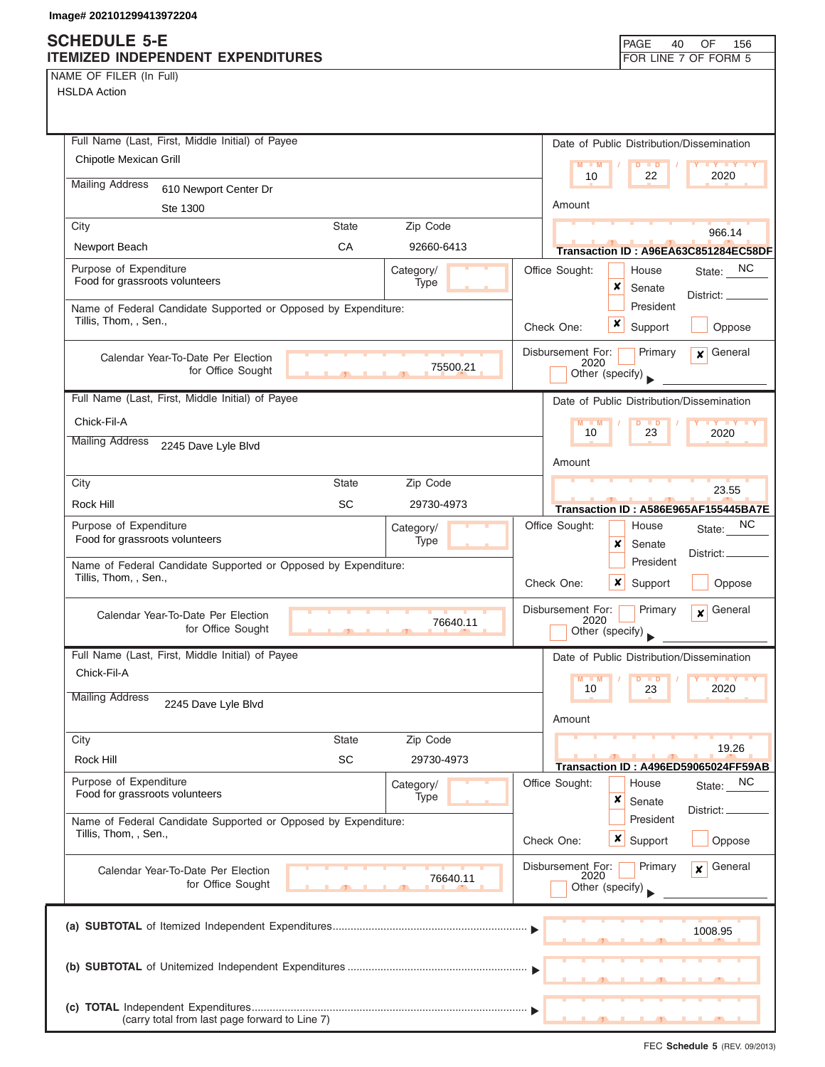NAME OF FILER (In Full)

HSLDA Action

| Full Name (Last, First, Middle Initial) of Payee                                        |            | Date of Public Distribution/Dissemination                       |
|-----------------------------------------------------------------------------------------|------------|-----------------------------------------------------------------|
| Chipotle Mexican Grill                                                                  |            | $M - M$<br>$D$ $\Box$ $D$                                       |
| <b>Mailing Address</b><br>610 Newport Center Dr                                         |            | 22<br>2020<br>10                                                |
| Ste 1300                                                                                |            | Amount                                                          |
| City<br>State                                                                           | Zip Code   |                                                                 |
| CA<br>Newport Beach                                                                     | 92660-6413 | 966.14<br>Transaction ID: A96EA63C851284EC58DF                  |
| Purpose of Expenditure                                                                  | Category/  | Office Sought:<br>State: NC<br>House                            |
| Food for grassroots volunteers                                                          | Type       | x<br>Senate                                                     |
| Name of Federal Candidate Supported or Opposed by Expenditure:                          |            | District: _<br>President                                        |
| Tillis, Thom, , Sen.,                                                                   |            | x<br>Check One:<br>Support<br>Oppose                            |
| Calendar Year-To-Date Per Election                                                      |            | Disbursement For:<br>General<br>Primary<br>x۱                   |
| for Office Sought                                                                       | 75500.21   | 2020<br>Other (specify)                                         |
| Full Name (Last, First, Middle Initial) of Payee                                        |            | Date of Public Distribution/Dissemination                       |
| Chick-Fil-A                                                                             |            | <b>TY TY TY</b><br>$M - M$<br>$D$ $D$                           |
| <b>Mailing Address</b><br>2245 Dave Lyle Blvd                                           |            | 10<br>23<br>2020                                                |
|                                                                                         |            | Amount                                                          |
| City<br><b>State</b>                                                                    | Zip Code   | 23.55                                                           |
| <b>SC</b><br>Rock Hill                                                                  | 29730-4973 | Transaction ID: A586E965AF155445BA7E                            |
| Purpose of Expenditure                                                                  | Category/  | NC<br>Office Sought:<br>House<br>State:                         |
| Food for grassroots volunteers                                                          | Type       | x<br>Senate                                                     |
| Name of Federal Candidate Supported or Opposed by Expenditure:<br>Tillis, Thom, , Sen., |            | District:<br>President<br>Check One:<br>Support<br>x<br>Oppose  |
|                                                                                         |            | Disbursement For:<br>General<br>Primary                         |
| Calendar Year-To-Date Per Election<br>for Office Sought<br>$\mathbf{r}$                 | 76640.11   | $\mathbf{x}$<br>2020<br>Other (specify)                         |
| Full Name (Last, First, Middle Initial) of Payee                                        |            | Date of Public Distribution/Dissemination                       |
| Chick-Fil-A                                                                             |            | M<br>$Y$ $Y$<br>M<br>$\blacksquare$                             |
| <b>Mailing Address</b><br>2245 Dave Lyle Blvd                                           |            | 10<br>2020<br>23                                                |
|                                                                                         |            | Amount                                                          |
| <b>State</b><br>City                                                                    | Zip Code   | 19.26                                                           |
| <b>SC</b><br>Rock Hill                                                                  | 29730-4973 | Transaction ID: A496ED59065024FF59AB                            |
| Purpose of Expenditure<br>Food for grassroots volunteers                                | Category/  | Office Sought:<br>NC<br>House<br>State:                         |
|                                                                                         | Type       | ×<br>Senate<br>District:                                        |
| Name of Federal Candidate Supported or Opposed by Expenditure:<br>Tillis, Thom, , Sen., |            | President                                                       |
|                                                                                         |            | ×<br>Check One:<br>Support<br>Oppose                            |
| Calendar Year-To-Date Per Election                                                      |            | Disbursement For:<br>General<br>Primary<br>$\mathbf{x}$<br>2020 |
| for Office Sought                                                                       | 76640.11   | Other (specify)                                                 |
|                                                                                         |            |                                                                 |
|                                                                                         |            | 1008.95                                                         |
|                                                                                         |            |                                                                 |
|                                                                                         |            |                                                                 |
|                                                                                         |            |                                                                 |
| (carry total from last page forward to Line 7)                                          |            |                                                                 |

FEC **Schedule 5** (REV. 09/2013)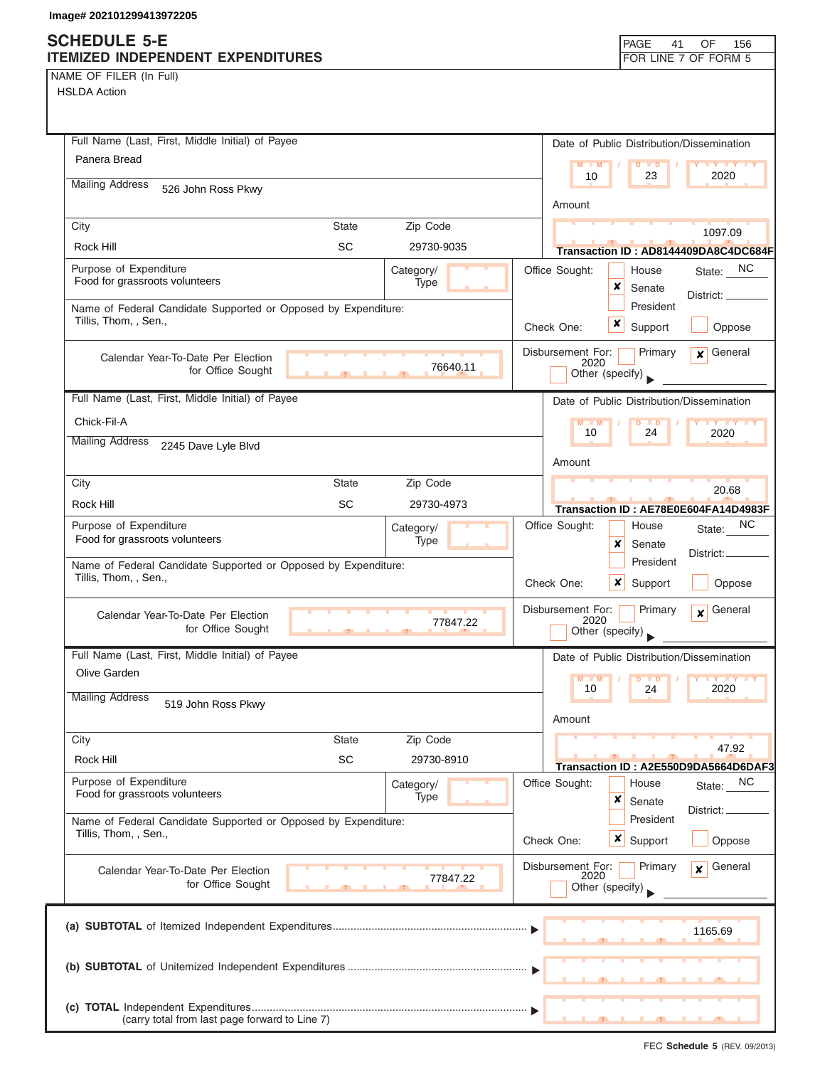# **SCHEDULE 5-E**

| NAME OF FILER (In Full) |  |  |
|-------------------------|--|--|
|-------------------------|--|--|

| <b>SCHEDULE 5-E</b><br>ITEMIZED INDEPENDENT EXPENDITURES                                |              |                   |            |                           | PAGE<br>41                                        | OF<br>156<br>FOR LINE 7 OF FORM 5          |
|-----------------------------------------------------------------------------------------|--------------|-------------------|------------|---------------------------|---------------------------------------------------|--------------------------------------------|
| NAME OF FILER (In Full)                                                                 |              |                   |            |                           |                                                   |                                            |
| <b>HSLDA Action</b>                                                                     |              |                   |            |                           |                                                   |                                            |
|                                                                                         |              |                   |            |                           |                                                   |                                            |
| Full Name (Last, First, Middle Initial) of Payee                                        |              |                   |            |                           |                                                   | Date of Public Distribution/Dissemination  |
| Panera Bread                                                                            |              |                   |            | $M - M$                   | $D$ $D$                                           | <b>TY TY TY</b>                            |
| <b>Mailing Address</b><br>526 John Ross Pkwy                                            |              |                   |            | 10                        | 23                                                | 2020                                       |
|                                                                                         |              |                   |            | Amount                    |                                                   |                                            |
| City                                                                                    | <b>State</b> | Zip Code          |            |                           |                                                   | 1097.09                                    |
| Rock Hill                                                                               | <b>SC</b>    | 29730-9035        |            |                           |                                                   | Transaction ID: AD8144409DA8C4DC684F       |
| Purpose of Expenditure                                                                  |              | Category/         |            | Office Sought:            | House                                             | State: NC                                  |
| Food for grassroots volunteers                                                          |              | Type              |            | ×                         | Senate                                            | District:                                  |
| Name of Federal Candidate Supported or Opposed by Expenditure:                          |              |                   |            |                           | President                                         |                                            |
| Tillis, Thom, , Sen.,                                                                   |              |                   | Check One: | x                         | Support                                           | Oppose                                     |
| Calendar Year-To-Date Per Election                                                      |              |                   |            | Disbursement For:         | Primary                                           | $\mathbf x$ General                        |
| for Office Sought                                                                       |              | 76640.11          |            | 2020<br>Other (specify)   |                                                   |                                            |
| Full Name (Last, First, Middle Initial) of Payee                                        |              |                   |            |                           |                                                   |                                            |
| Chick-Fil-A                                                                             |              |                   |            | $M - M$                   |                                                   | Date of Public Distribution/Dissemination  |
| <b>Mailing Address</b>                                                                  |              |                   |            | 10                        | $D$ $D$<br>24                                     | <b>TY TY TY</b><br>2020                    |
| 2245 Dave Lyle Blvd                                                                     |              |                   |            | Amount                    |                                                   |                                            |
| City                                                                                    | <b>State</b> | Zip Code          |            |                           |                                                   |                                            |
| Rock Hill                                                                               | <b>SC</b>    | 29730-4973        |            |                           |                                                   | 20.68                                      |
| Purpose of Expenditure                                                                  |              |                   |            | Office Sought:            | House                                             | Transaction ID: AE78E0E604FA14D4983F<br>NC |
| Food for grassroots volunteers                                                          |              | Category/<br>Type |            | x                         | Senate                                            | State:                                     |
| Name of Federal Candidate Supported or Opposed by Expenditure:                          |              |                   |            |                           | President                                         | District:                                  |
| Tillis, Thom, , Sen.,                                                                   |              |                   |            | Check One:                | x<br>Support                                      | Oppose                                     |
|                                                                                         |              |                   |            |                           | Primary                                           | General                                    |
| Calendar Year-To-Date Per Election<br>for Office Sought                                 |              | 77847.22          |            | Disbursement For:<br>2020 |                                                   | $\boldsymbol{x}$                           |
|                                                                                         |              |                   |            | Other (specify)           |                                                   |                                            |
| Full Name (Last, First, Middle Initial) of Payee<br>Olive Garden                        |              |                   |            |                           |                                                   | Date of Public Distribution/Dissemination  |
|                                                                                         |              |                   |            | $M - M$<br>10             | 24                                                | 2020                                       |
| <b>Mailing Address</b><br>519 John Ross Pkwy                                            |              |                   |            |                           |                                                   |                                            |
|                                                                                         |              |                   |            | Amount                    |                                                   |                                            |
| City                                                                                    | <b>State</b> | Zip Code          |            |                           |                                                   | 47.92                                      |
| Rock Hill                                                                               | <b>SC</b>    | 29730-8910        |            |                           |                                                   | Transaction ID: A2E550D9DA5664D6DAF3       |
| Purpose of Expenditure<br>Food for grassroots volunteers                                |              | Category/<br>Type |            | Office Sought:            | House                                             | NC<br>State:                               |
|                                                                                         |              |                   |            | ×                         | Senate                                            | District:                                  |
| Name of Federal Candidate Supported or Opposed by Expenditure:<br>Tillis, Thom, , Sen., |              |                   | Check One: |                           | President<br>$\boldsymbol{\mathsf{x}}$<br>Support | Oppose                                     |
|                                                                                         |              |                   |            |                           |                                                   |                                            |
| Calendar Year-To-Date Per Election                                                      |              | 77847.22          |            | Disbursement For:<br>2020 | Primary                                           | General<br>$\mathbf{x}$                    |
| for Office Sought                                                                       |              |                   |            | Other (specify)           |                                                   |                                            |
|                                                                                         |              |                   |            |                           |                                                   |                                            |
|                                                                                         |              |                   |            |                           |                                                   | 1165.69                                    |
|                                                                                         |              |                   |            |                           |                                                   |                                            |
|                                                                                         |              |                   |            |                           |                                                   |                                            |
|                                                                                         |              |                   |            |                           |                                                   |                                            |
| (carry total from last page forward to Line 7)                                          |              |                   |            |                           |                                                   |                                            |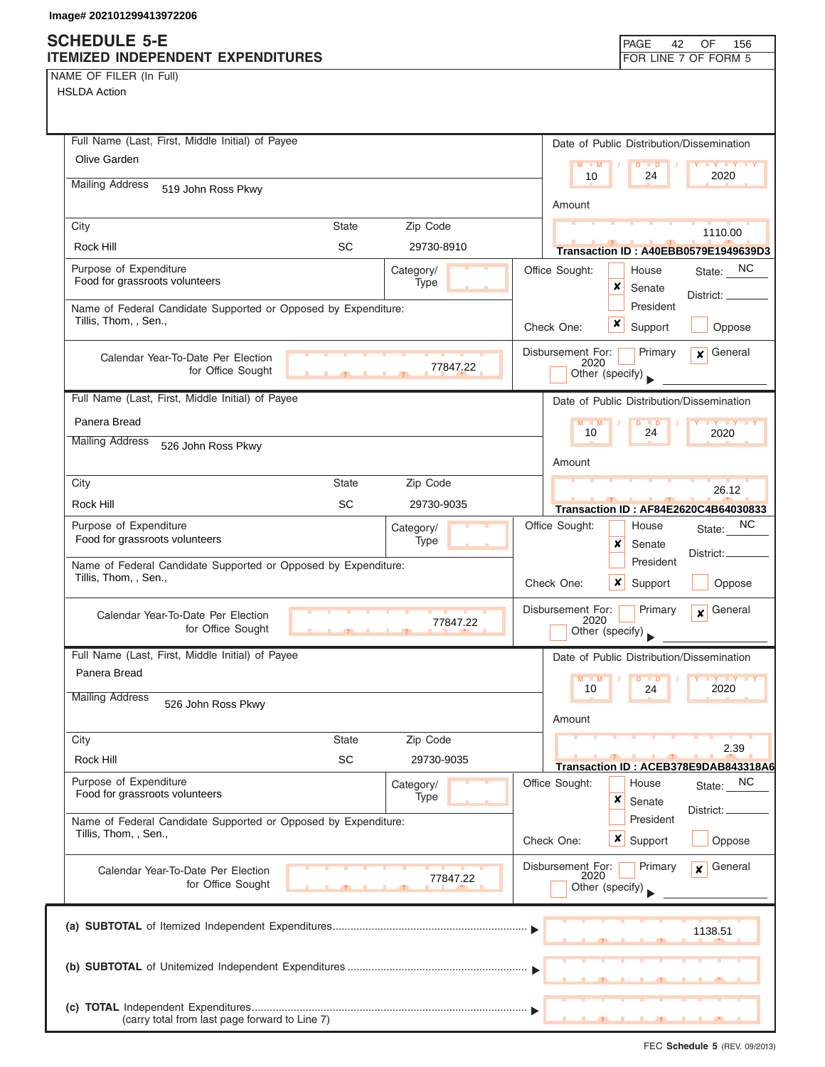# **SCHEDULE 5-E**

| NAME OF FILER (In Full) |  |  |
|-------------------------|--|--|
|-------------------------|--|--|

| ITEMIZED INDEPENDENT EXPENDITURES                                                       |              |                   |                           | FOR LINE 7 OF FORM 5                                        |
|-----------------------------------------------------------------------------------------|--------------|-------------------|---------------------------|-------------------------------------------------------------|
| NAME OF FILER (In Full)                                                                 |              |                   |                           |                                                             |
| <b>HSLDA Action</b>                                                                     |              |                   |                           |                                                             |
|                                                                                         |              |                   |                           |                                                             |
|                                                                                         |              |                   |                           |                                                             |
| Full Name (Last, First, Middle Initial) of Payee                                        |              |                   |                           | Date of Public Distribution/Dissemination                   |
| Olive Garden                                                                            |              |                   | $M - M$                   | $D$ $\Box$ $D$                                              |
| <b>Mailing Address</b><br>519 John Ross Pkwy                                            |              |                   | 10                        | 2020<br>24                                                  |
|                                                                                         |              |                   | Amount                    |                                                             |
| City                                                                                    | <b>State</b> | Zip Code          |                           |                                                             |
| Rock Hill                                                                               | <b>SC</b>    | 29730-8910        |                           | 1110.00                                                     |
|                                                                                         |              |                   |                           | Transaction ID: A40EBB0579E1949639D3                        |
| Purpose of Expenditure<br>Food for grassroots volunteers                                |              | Category/<br>Type | Office Sought:            | State: NC<br>House                                          |
|                                                                                         |              |                   | x                         | Senate<br>District:                                         |
| Name of Federal Candidate Supported or Opposed by Expenditure:<br>Tillis, Thom, , Sen., |              |                   |                           | President                                                   |
|                                                                                         |              |                   | x<br>Check One:           | Oppose<br>Support                                           |
| Calendar Year-To-Date Per Election                                                      |              |                   | Disbursement For:         | $\mathbf x$ General<br>Primary                              |
| for Office Sought                                                                       |              | 77847.22          | 2020<br>Other (specify)   |                                                             |
|                                                                                         |              |                   |                           |                                                             |
| Full Name (Last, First, Middle Initial) of Payee                                        |              |                   |                           | Date of Public Distribution/Dissemination                   |
| Panera Bread                                                                            |              |                   | $M - M$<br>10             | $D$ $D$<br>24<br>2020                                       |
| <b>Mailing Address</b><br>526 John Ross Pkwy                                            |              |                   |                           |                                                             |
|                                                                                         |              |                   | Amount                    |                                                             |
| City                                                                                    | <b>State</b> | Zip Code          |                           |                                                             |
| Rock Hill                                                                               | SC           | 29730-9035        |                           | 26.12                                                       |
| Purpose of Expenditure                                                                  |              |                   | Office Sought:            | <b>Transaction ID: AF84E2620C4B64030833</b><br>NC.<br>House |
| Food for grassroots volunteers                                                          |              | Category/<br>Type | ×                         | State:<br>Senate                                            |
|                                                                                         |              |                   |                           | District:<br>President                                      |
| Name of Federal Candidate Supported or Opposed by Expenditure:<br>Tillis, Thom, , Sen., |              |                   | Check One:<br>×           | Oppose                                                      |
|                                                                                         |              |                   |                           | Support                                                     |
| Calendar Year-To-Date Per Election                                                      |              |                   | Disbursement For:<br>2020 | General<br>Primary<br>$\mathbf{x}$                          |
| for Office Sought                                                                       | $\sim$       | 77847.22          | Other (specify)           |                                                             |
| Full Name (Last, First, Middle Initial) of Payee                                        |              |                   |                           | Date of Public Distribution/Dissemination                   |
| Panera Bread                                                                            |              |                   |                           |                                                             |
|                                                                                         |              |                   | $M - M$<br>10             | $Y = Y + Y$<br>$\blacksquare$<br>2020<br>24                 |
| <b>Mailing Address</b><br>526 John Ross Pkwy                                            |              |                   |                           |                                                             |
|                                                                                         |              |                   | Amount                    |                                                             |
| City                                                                                    | <b>State</b> | Zip Code          |                           | 2.39                                                        |
| Rock Hill                                                                               | <b>SC</b>    | 29730-9035        |                           | Transaction ID: ACEB378E9DAB843318A6                        |
| Purpose of Expenditure                                                                  |              | Category/         | Office Sought:            | NC<br>House<br>State:                                       |
| Food for grassroots volunteers                                                          |              | Type              | ×                         | Senate                                                      |
| Name of Federal Candidate Supported or Opposed by Expenditure:                          |              |                   |                           | District: <sub>-</sub><br>President                         |
| Tillis, Thom, , Sen.,                                                                   |              |                   | $x \mid$<br>Check One:    | Support<br>Oppose                                           |
|                                                                                         |              |                   |                           |                                                             |
| Calendar Year-To-Date Per Election                                                      |              | 77847.22          | Disbursement For:<br>2020 | General<br>Primary<br>$\mathbf{x}$                          |
| for Office Sought                                                                       |              |                   | Other (specify)           |                                                             |
|                                                                                         |              |                   |                           |                                                             |
|                                                                                         |              |                   |                           | 1138.51                                                     |
|                                                                                         |              |                   |                           |                                                             |
|                                                                                         |              |                   |                           |                                                             |
|                                                                                         |              |                   |                           |                                                             |
|                                                                                         |              |                   |                           |                                                             |
| (carry total from last page forward to Line 7)                                          |              |                   |                           |                                                             |

PAGE 42

OF 156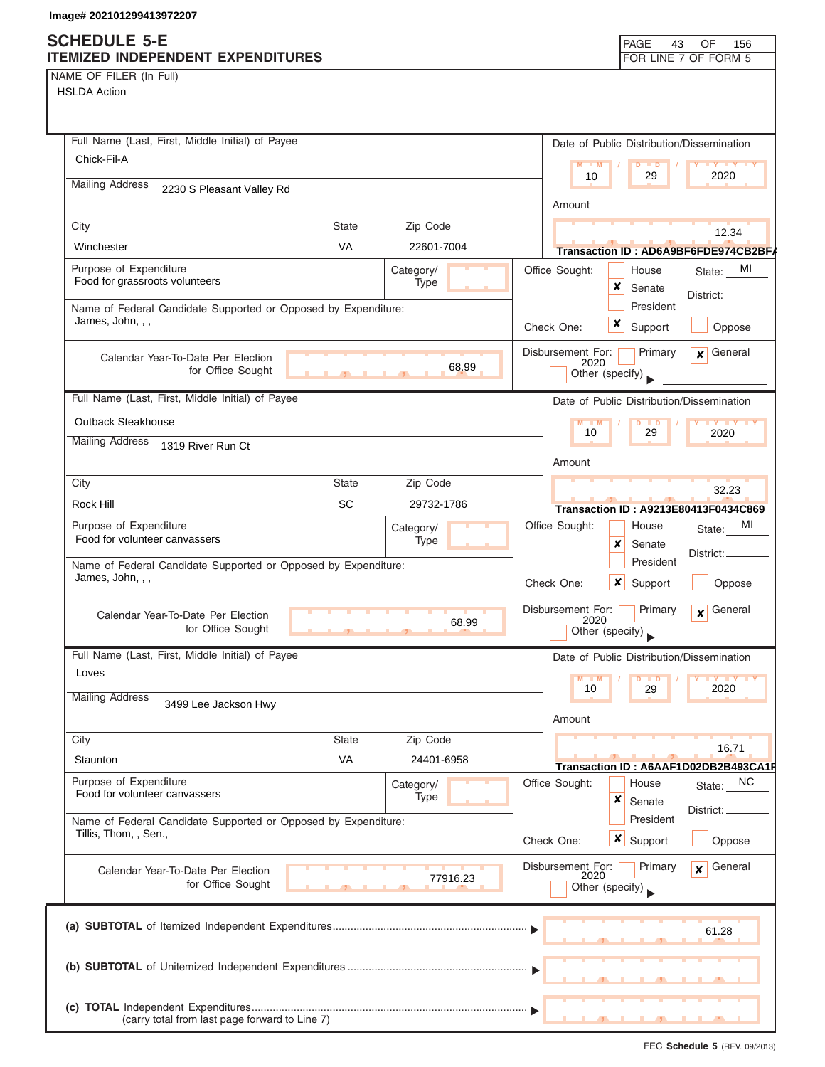NAME OF FILER (In Full)

| Full Name (Last, First, Middle Initial) of Payee               |                |            | Date of Public Distribution/Dissemination                    |
|----------------------------------------------------------------|----------------|------------|--------------------------------------------------------------|
| Chick-Fil-A                                                    |                |            | $M = M$<br>$D$ $D$<br><b>TY TY TY</b>                        |
| <b>Mailing Address</b><br>2230 S Pleasant Valley Rd            |                |            | 2020<br>10<br>29                                             |
|                                                                |                |            | Amount                                                       |
| City                                                           | <b>State</b>   | Zip Code   | 12.34                                                        |
| Winchester                                                     | VA             | 22601-7004 | Transaction ID: AD6A9BF6FDE974CB2BF/                         |
| Purpose of Expenditure                                         |                | Category/  | Office Sought:<br>MI<br>House<br>State:                      |
| Food for grassroots volunteers                                 |                | Type       | x<br>Senate<br>District: _                                   |
| Name of Federal Candidate Supported or Opposed by Expenditure: |                |            | President                                                    |
| James, John, , ,                                               |                |            | x<br>Support<br>Oppose<br>Check One:                         |
| Calendar Year-To-Date Per Election                             |                |            | $\mathbf x$ General<br>Disbursement For:<br>Primary<br>2020  |
| for Office Sought                                              | $\overline{1}$ | 68.99      | Other (specify)                                              |
| Full Name (Last, First, Middle Initial) of Payee               |                |            | Date of Public Distribution/Dissemination                    |
| Outback Steakhouse                                             |                |            | $M - M$<br>$D$ $D$<br><b>TY TY TY</b>                        |
| <b>Mailing Address</b><br>1319 River Run Ct                    |                |            | 29<br>10<br>2020                                             |
|                                                                |                |            | Amount                                                       |
| City                                                           | <b>State</b>   | Zip Code   | 32.23                                                        |
| Rock Hill                                                      | SC             | 29732-1786 | <b>Transaction ID: A9213E80413F0434C869</b>                  |
| Purpose of Expenditure                                         |                | Category/  | Office Sought:<br>MI<br>House<br>State:                      |
| Food for volunteer canvassers                                  |                | Type       | x<br>Senate<br>District:                                     |
| Name of Federal Candidate Supported or Opposed by Expenditure: |                |            | President                                                    |
| James, John, , ,                                               |                |            | Check One:<br><b>x</b> Support<br>Oppose                     |
| Calendar Year-To-Date Per Election                             |                |            | Disbursement For:<br>$\mathbf{x}$ General<br>Primary<br>2020 |
| for Office Sought                                              |                | 68.99      | Other (specify)                                              |
| Full Name (Last, First, Middle Initial) of Payee               |                |            | Date of Public Distribution/Dissemination                    |
| Loves                                                          |                |            | M<br>$\blacksquare$<br>D                                     |
| <b>Mailing Address</b><br>3499 Lee Jackson Hwy                 |                |            | 10<br>2020<br>29                                             |
|                                                                |                |            | Amount                                                       |
| City                                                           | <b>State</b>   | Zip Code   |                                                              |
| Staunton                                                       | VA             | 24401-6958 | 16.71<br>Transaction ID: A6AAF1D02DB2B493CA1F                |
| Purpose of Expenditure                                         |                | Category/  | Office Sought:<br>State: NC<br>House                         |
| Food for volunteer canvassers                                  |                | Type       | ×<br>Senate<br>District:                                     |
| Name of Federal Candidate Supported or Opposed by Expenditure: |                |            | President                                                    |
| Tillis, Thom, , Sen.,                                          |                |            | Check One:<br>×<br>Support<br>Oppose                         |
| Calendar Year-To-Date Per Election                             |                |            | General<br>Disbursement For:<br>Primary<br>$\mathbf{x}$      |
| for Office Sought                                              |                | 77916.23   | 2020<br>Other (specify)                                      |
|                                                                |                |            |                                                              |
|                                                                |                |            | 61.28                                                        |
|                                                                |                |            |                                                              |
|                                                                |                |            |                                                              |
|                                                                |                |            |                                                              |
| (carry total from last page forward to Line 7)                 |                |            |                                                              |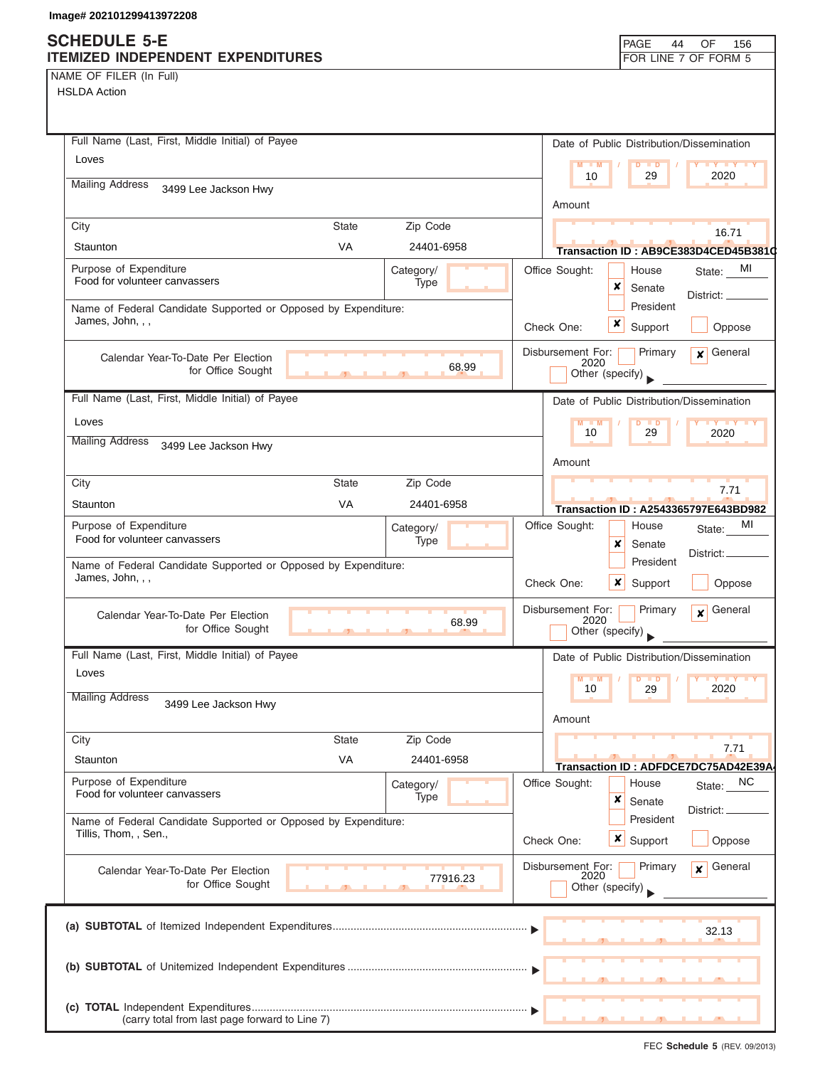(carry total from last page forward to Line 7)

NAME OF FILER (In Full)

| <b>HSLDA Action</b>                                                                |                               |            |            |                                              |                                           |                                      |
|------------------------------------------------------------------------------------|-------------------------------|------------|------------|----------------------------------------------|-------------------------------------------|--------------------------------------|
| Full Name (Last, First, Middle Initial) of Payee                                   |                               |            |            |                                              |                                           |                                      |
| Loves                                                                              |                               |            |            |                                              | Date of Public Distribution/Dissemination |                                      |
| <b>Mailing Address</b>                                                             |                               |            |            | $M - M$<br>10                                | $D$ $\Box$ $D$<br>29                      | <b>THE YEAR</b><br>2020              |
| 3499 Lee Jackson Hwy                                                               |                               |            |            | Amount                                       |                                           |                                      |
| City                                                                               | <b>State</b>                  | Zip Code   |            |                                              |                                           | 16.71                                |
| Staunton                                                                           | <b>VA</b>                     | 24401-6958 |            |                                              |                                           | Transaction ID: AB9CE383D4CED45B3810 |
| Purpose of Expenditure<br>Food for volunteer canvassers                            |                               | Category/  |            | Office Sought:                               | House                                     | State: MI                            |
|                                                                                    |                               | Type       |            |                                              | x<br>Senate                               | District: _                          |
| Name of Federal Candidate Supported or Opposed by Expenditure:<br>James, John, , , |                               |            |            |                                              | President                                 |                                      |
|                                                                                    |                               |            |            | Check One:                                   | $\boldsymbol{x}$<br>Support               | Oppose                               |
| Calendar Year-To-Date Per Election<br>for Office Sought                            | $\mathbf{J}$ and $\mathbf{J}$ | 68.99      |            | Disbursement For:<br>2020<br>Other (specify) | Primary                                   | $x$ General                          |
| Full Name (Last, First, Middle Initial) of Payee                                   |                               |            |            |                                              | Date of Public Distribution/Dissemination |                                      |
| Loves                                                                              |                               |            |            | $M - M$                                      | $D$ $D$                                   | <b>TY TY TY</b>                      |
| <b>Mailing Address</b><br>3499 Lee Jackson Hwy                                     |                               |            |            | 10                                           | 29                                        | 2020                                 |
|                                                                                    |                               |            |            | Amount                                       |                                           |                                      |
| City                                                                               | <b>State</b>                  | Zip Code   |            |                                              |                                           | 7.71                                 |
| Staunton                                                                           | <b>VA</b>                     | 24401-6958 |            |                                              |                                           | Transaction ID: A2543365797E643BD982 |
| Purpose of Expenditure                                                             |                               | Category/  |            | Office Sought:                               | House                                     | MI<br>State:                         |
| Food for volunteer canvassers                                                      |                               | Type       |            |                                              | x<br>Senate                               | District:                            |
| Name of Federal Candidate Supported or Opposed by Expenditure:                     |                               |            |            |                                              | President                                 |                                      |
| James, John, , ,                                                                   |                               |            |            | Check One:                                   | x<br>Support                              | Oppose                               |
| Calendar Year-To-Date Per Election<br>for Office Sought                            |                               | 68.99      |            | Disbursement For:<br>2020<br>Other (specify) | Primary                                   | $\mathbf x$ General                  |
| Full Name (Last, First, Middle Initial) of Payee                                   |                               |            |            |                                              | Date of Public Distribution/Dissemination |                                      |
| Loves                                                                              |                               |            |            | $M = M$                                      | $D$ $D$                                   |                                      |
| <b>Mailing Address</b><br>3499 Lee Jackson Hwy                                     |                               |            |            | 10                                           | ാവ                                        |                                      |
|                                                                                    |                               |            |            | Amount                                       |                                           |                                      |
| City                                                                               | <b>State</b>                  | Zip Code   |            |                                              |                                           | 7.71                                 |
| Staunton                                                                           | VA                            | 24401-6958 |            |                                              |                                           | Transaction ID: ADFDCE7DC75AD42E39A  |
| Purpose of Expenditure                                                             |                               | Category/  |            | Office Sought:                               | House                                     | NC<br>State:                         |
| Food for volunteer canvassers                                                      |                               | Type       |            |                                              | ×<br>Senate                               | District:                            |
| Name of Federal Candidate Supported or Opposed by Expenditure:                     |                               |            |            |                                              | President                                 |                                      |
| Tillis, Thom, , Sen.,                                                              |                               |            | Check One: |                                              | $\boldsymbol{\mathsf{x}}$<br>Support      | Oppose                               |
| Calendar Year-To-Date Per Election<br>for Office Sought                            |                               | 77916.23   |            | Disbursement For:<br>2020<br>Other (specify) | Primary                                   | General<br>$\mathbf{x}$              |
|                                                                                    |                               |            |            |                                              |                                           | 32.13                                |
|                                                                                    |                               |            |            |                                              |                                           |                                      |
| (carry total from last page forward to Line 7)                                     |                               |            |            |                                              |                                           |                                      |

FEC **Schedule 5** (REV. 09/2013)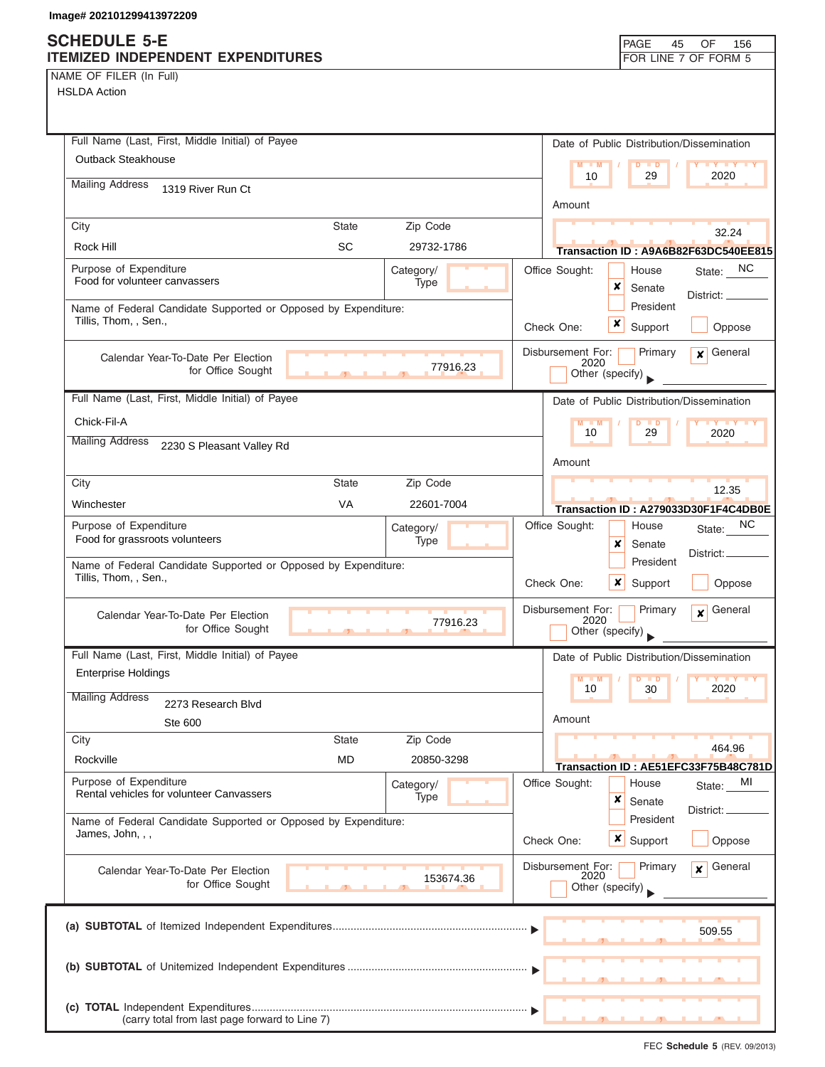NAME OF FILER (In Full)

| Full Name (Last, First, Middle Initial) of Payee                                        |            |                                              | Date of Public Distribution/Dissemination    |
|-----------------------------------------------------------------------------------------|------------|----------------------------------------------|----------------------------------------------|
| Outback Steakhouse                                                                      |            | $M - M$                                      | $D$ $D$<br><b>LY Y Y Y</b>                   |
| <b>Mailing Address</b><br>1319 River Run Ct                                             |            | 10                                           | 29<br>2020                                   |
|                                                                                         |            | Amount                                       |                                              |
| City<br><b>State</b>                                                                    | Zip Code   |                                              | 32.24                                        |
| <b>SC</b><br>Rock Hill                                                                  | 29732-1786 |                                              | Transaction ID: A9A6B82F63DC540EE815         |
| Purpose of Expenditure<br>Food for volunteer canvassers                                 | Category/  | Office Sought:                               | State: NC<br>House                           |
|                                                                                         | Type       | x                                            | Senate<br>District: $\overline{\phantom{a}}$ |
| Name of Federal Candidate Supported or Opposed by Expenditure:<br>Tillis, Thom, , Sen., |            | x                                            | President                                    |
|                                                                                         |            | Check One:                                   | Support<br>Oppose                            |
| Calendar Year-To-Date Per Election                                                      | 77916.23   | Disbursement For:<br>2020                    | Primary<br>General<br>$\mathbf{x}$           |
| for Office Sought<br>$\mathcal{F}$                                                      |            | Other (specify)                              |                                              |
| Full Name (Last, First, Middle Initial) of Payee                                        |            |                                              | Date of Public Distribution/Dissemination    |
| Chick-Fil-A                                                                             |            | $M - M$<br>10                                | <b>LY LY LY</b><br>$D$ $D$<br>29<br>2020     |
| <b>Mailing Address</b><br>2230 S Pleasant Valley Rd                                     |            |                                              |                                              |
|                                                                                         |            | Amount                                       |                                              |
| City<br><b>State</b>                                                                    | Zip Code   |                                              | 12.35                                        |
| <b>VA</b><br>Winchester                                                                 | 22601-7004 |                                              | Transaction ID: A279033D30F1F4C4DB0E         |
| Purpose of Expenditure<br>Food for grassroots volunteers                                | Category/  | Office Sought:                               | NС<br>House<br>State:                        |
|                                                                                         | Type       | x                                            | Senate<br>District:<br>President             |
| Name of Federal Candidate Supported or Opposed by Expenditure:<br>Tillis, Thom, , Sen., |            | ×<br>Check One:                              | Support<br>Oppose                            |
| Calendar Year-To-Date Per Election<br>for Office Sought                                 | 77916.23   | Disbursement For:<br>2020<br>Other (specify) | Primary<br>General<br>$\mathbf{x}$           |
| Full Name (Last, First, Middle Initial) of Payee                                        |            |                                              | Date of Public Distribution/Dissemination    |
| <b>Enterprise Holdings</b>                                                              |            | $M - M$                                      | $D$ $D$                                      |
| <b>Mailing Address</b><br>2273 Research Blvd                                            |            | 10                                           | 2020<br>30                                   |
| Ste 600                                                                                 |            | Amount                                       |                                              |
| City<br><b>State</b>                                                                    | Zip Code   |                                              | 464.96                                       |
| <b>MD</b><br>Rockville                                                                  | 20850-3298 |                                              | Transaction ID: AE51EFC33F75B48C781D         |
| Purpose of Expenditure<br>Rental vehicles for volunteer Canvassers                      | Category/  | Office Sought:<br>House                      | MI<br>State:                                 |
|                                                                                         | Type       | ×                                            | Senate<br>District:                          |
| Name of Federal Candidate Supported or Opposed by Expenditure:<br>James, John, , ,      |            |                                              | President                                    |
|                                                                                         |            | $x \mid$<br>Check One:                       | Support<br>Oppose                            |
| Calendar Year-To-Date Per Election                                                      | 153674.36  | Disbursement For:<br>2020                    | General<br>Primary<br>$\mathbf{x}$           |
| for Office Sought                                                                       |            | Other (specify)                              |                                              |
|                                                                                         |            |                                              |                                              |
|                                                                                         |            |                                              | 509.55                                       |
|                                                                                         |            |                                              |                                              |
|                                                                                         |            |                                              |                                              |
|                                                                                         |            |                                              |                                              |
| (carry total from last page forward to Line 7)                                          |            |                                              |                                              |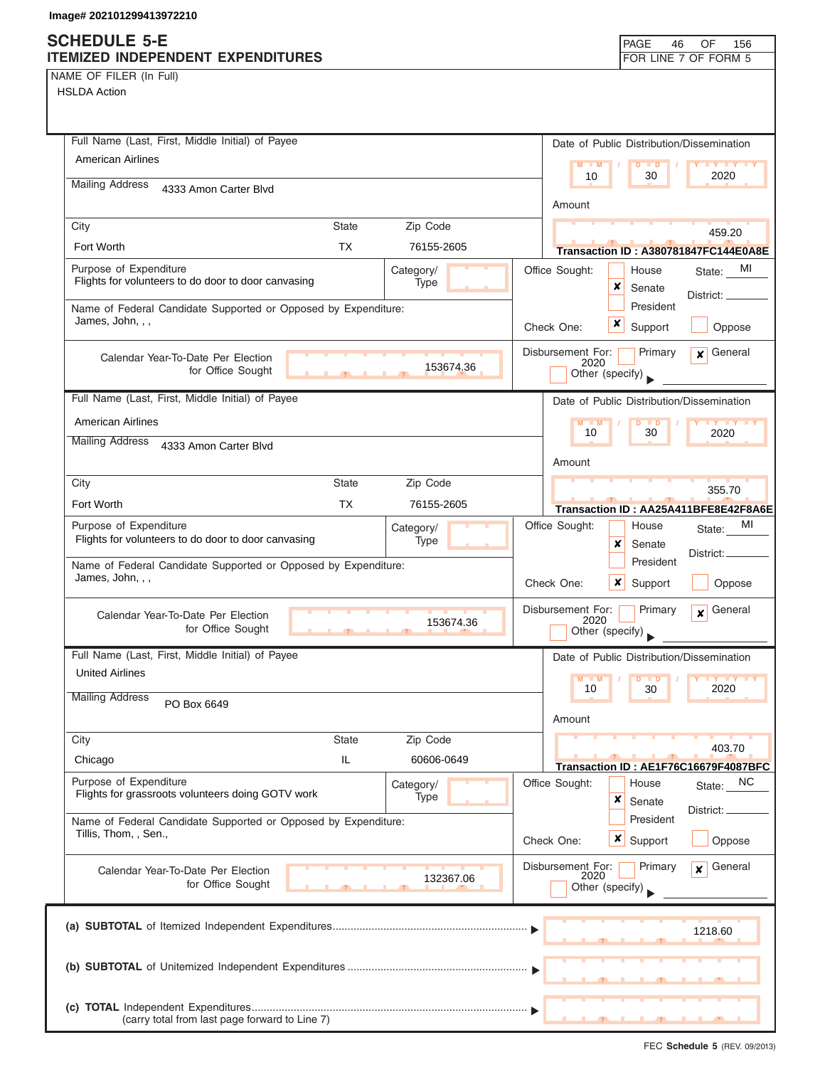## **SCHEDULE 5-E ITEMIZED INDEPENDENT EXPENDITURES**

|  | PAGE 46 OF 156       |  |
|--|----------------------|--|
|  | FOR LINE 7 OF FORM 5 |  |

NAME OF FILER (In Full)

| Full Name (Last, First, Middle Initial) of Payee                                                   | Date of Public Distribution/Dissemination                                          |
|----------------------------------------------------------------------------------------------------|------------------------------------------------------------------------------------|
| American Airlines                                                                                  | $M - M$<br>D<br>$\blacksquare$<br>$\mathbf{y}$ $\mathbf{y}$<br>10<br>30<br>2020    |
| <b>Mailing Address</b><br>4333 Amon Carter Blvd                                                    | Amount                                                                             |
| Zip Code<br>City<br><b>State</b>                                                                   |                                                                                    |
| Fort Worth<br>TX<br>76155-2605                                                                     | 459.20<br>Transaction ID: A380781847FC144E0A8E                                     |
| Purpose of Expenditure<br>Category/<br>Flights for volunteers to do door to door canvasing         | Office Sought:<br>MI<br>House<br>State:                                            |
| Type                                                                                               | x<br>Senate<br>District: __                                                        |
| Name of Federal Candidate Supported or Opposed by Expenditure:<br>James, John, , ,                 | President<br>x<br>Support<br>Oppose<br>Check One:                                  |
|                                                                                                    | Disbursement For:<br>Primary<br>$\mathbf x$ General                                |
| Calendar Year-To-Date Per Election<br>153674.36<br>for Office Sought                               | 2020<br>Other (specify)                                                            |
| Full Name (Last, First, Middle Initial) of Payee                                                   | Date of Public Distribution/Dissemination                                          |
| <b>American Airlines</b>                                                                           | $M - M$<br>$D$ $D$<br>$\mathbf{y}$ $\mathbf{y}$                                    |
| <b>Mailing Address</b><br>4333 Amon Carter Blvd                                                    | 10<br>30<br>2020                                                                   |
|                                                                                                    | Amount                                                                             |
| Zip Code<br>City<br><b>State</b>                                                                   | 355.70                                                                             |
| Fort Worth<br>TX<br>76155-2605                                                                     | Transaction ID: AA25A411BFE8E42F8A6E                                               |
| Purpose of Expenditure<br>Category/<br>Flights for volunteers to do door to door canvasing<br>Type | MI<br>Office Sought:<br>House<br>State:<br>x<br>Senate                             |
| Name of Federal Candidate Supported or Opposed by Expenditure:                                     | District:<br>President                                                             |
| James, John, , ,                                                                                   | Check One:<br>x<br>Support<br>Oppose                                               |
| Calendar Year-To-Date Per Election<br>153674.36<br>for Office Sought                               | General<br>Disbursement For:<br>Primary<br>$\mathbf{x}$<br>2020<br>Other (specify) |
| Full Name (Last, First, Middle Initial) of Payee                                                   | Date of Public Distribution/Dissemination                                          |
| <b>United Airlines</b>                                                                             | $M - M$<br><b>D</b><br>10<br>2020                                                  |
| <b>Mailing Address</b><br>PO Box 6649                                                              | 30<br>Amount                                                                       |
| City<br><b>State</b><br>Zip Code                                                                   |                                                                                    |
| IL<br>Chicago<br>60606-0649                                                                        | 403.70<br>Transaction ID: AE1F76C16679F4087BFC                                     |
| Purpose of Expenditure<br>Category/<br>Flights for grassroots volunteers doing GOTV work<br>Type   | Office Sought:<br>NC<br>House<br>State:<br>×<br>Senate                             |
| Name of Federal Candidate Supported or Opposed by Expenditure:                                     | District:<br>President                                                             |
| Tillis, Thom, , Sen.,                                                                              | $\boldsymbol{\mathsf{x}}$<br>Check One:<br>Support<br>Oppose                       |
| Calendar Year-To-Date Per Election<br>132367.06<br>for Office Sought                               | Disbursement For:<br>General<br>Primary<br>$\mathbf{x}$<br>2020<br>Other (specify) |
|                                                                                                    | 1218.60                                                                            |
|                                                                                                    |                                                                                    |
| (carry total from last page forward to Line 7)                                                     |                                                                                    |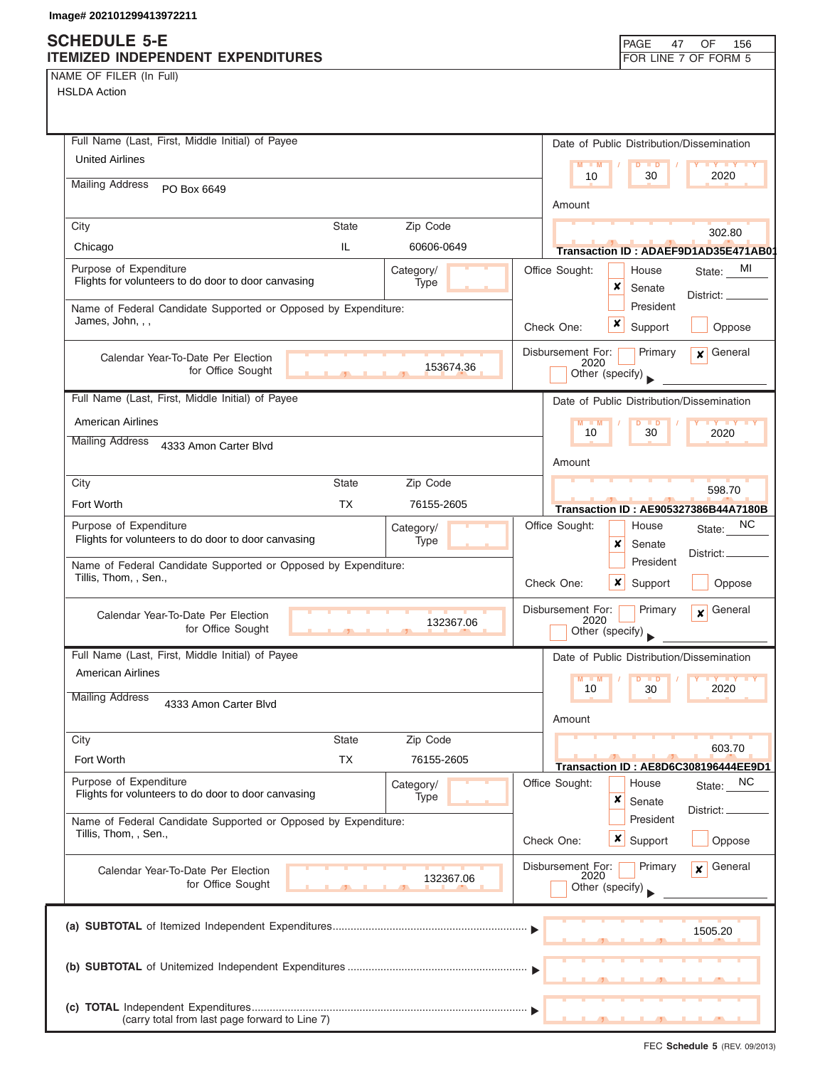### **SCHEDULE 5-E ITEMIZED INDEPENDENT EXPENDITURES FOR LINE 7 OF FORM 5**

NAME OF FILER (In Full) HSLDA Action

| Full Name (Last, First, Middle Initial) of Payee                                                          |                                                                                              |
|-----------------------------------------------------------------------------------------------------------|----------------------------------------------------------------------------------------------|
| <b>United Airlines</b>                                                                                    | Date of Public Distribution/Dissemination<br>M<br>$\blacksquare$                             |
| <b>Mailing Address</b><br>PO Box 6649                                                                     | 2020<br>10<br>30<br>Amount                                                                   |
| <b>State</b><br>Zip Code<br>City                                                                          | 302.80                                                                                       |
| IL<br>Chicago<br>60606-0649                                                                               | Transaction ID: ADAEF9D1AD35E471AB0                                                          |
| Purpose of Expenditure<br>Category/<br>Flights for volunteers to do door to door canvasing<br>Type        | Office Sought:<br>MI<br>House<br>State:<br>x<br>Senate<br>District: $\overline{\phantom{0}}$ |
| Name of Federal Candidate Supported or Opposed by Expenditure:<br>James, John, , ,                        | President<br>x<br>Check One:<br>Support<br>Oppose                                            |
| Calendar Year-To-Date Per Election<br>153674.36<br>for Office Sought                                      | Disbursement For:<br>Primary<br>General<br>$\mathbf{x}$<br>2020<br>Other (specify)           |
| Full Name (Last, First, Middle Initial) of Payee                                                          | Date of Public Distribution/Dissemination                                                    |
| <b>American Airlines</b>                                                                                  | $M - M$<br>30<br>10<br>2020                                                                  |
| <b>Mailing Address</b><br>4333 Amon Carter Blvd                                                           | Amount                                                                                       |
| <b>State</b><br>Zip Code<br>City                                                                          | 598.70                                                                                       |
| Fort Worth<br>TX<br>76155-2605                                                                            | <b>Transaction ID: AE905327386B44A7180B</b>                                                  |
| Purpose of Expenditure<br>Category/<br>Flights for volunteers to do door to door canvasing<br>Type        | NC.<br>Office Sought:<br>House<br>State:<br>x<br>Senate<br>District:                         |
| Name of Federal Candidate Supported or Opposed by Expenditure:<br>Tillis, Thom, , Sen.,                   | President<br>Check One:<br>x<br>Support<br>Oppose                                            |
| Calendar Year-To-Date Per Election<br>132367.06<br>for Office Sought<br>5.                                | Disbursement For:<br>Primary<br>General<br>$\mathbf{x}$<br>2020<br>Other (specify)           |
| Full Name (Last, First, Middle Initial) of Payee                                                          | Date of Public Distribution/Dissemination                                                    |
| American Airlines                                                                                         | M<br>$-M$<br>$\blacksquare$                                                                  |
| <b>Mailing Address</b><br>4333 Amon Carter Blvd                                                           | 10<br>2020<br>30<br>Amount                                                                   |
| Zip Code<br><b>State</b><br>City                                                                          |                                                                                              |
| Fort Worth<br><b>TX</b><br>76155-2605                                                                     | 603.70<br>Transaction ID: AE8D6C308196444EE9D1                                               |
| Purpose of Expenditure<br>Category/<br>Flights for volunteers to do door to door canvasing<br><b>Type</b> | Office Sought:<br><b>NC</b><br>House<br>State:<br>×<br>Senate                                |
| Name of Federal Candidate Supported or Opposed by Expenditure:<br>Tillis, Thom, , Sen.,                   | District:<br>President<br>$x \mid$ Support<br>Check One:<br>Oppose                           |
| Calendar Year-To-Date Per Election<br>132367.06<br>for Office Sought                                      | Disbursement For:<br>General<br>Primary<br>$\boldsymbol{x}$<br>2020<br>Other (specify)       |
|                                                                                                           | 1505.20                                                                                      |
|                                                                                                           |                                                                                              |
| (carry total from last page forward to Line 7)                                                            |                                                                                              |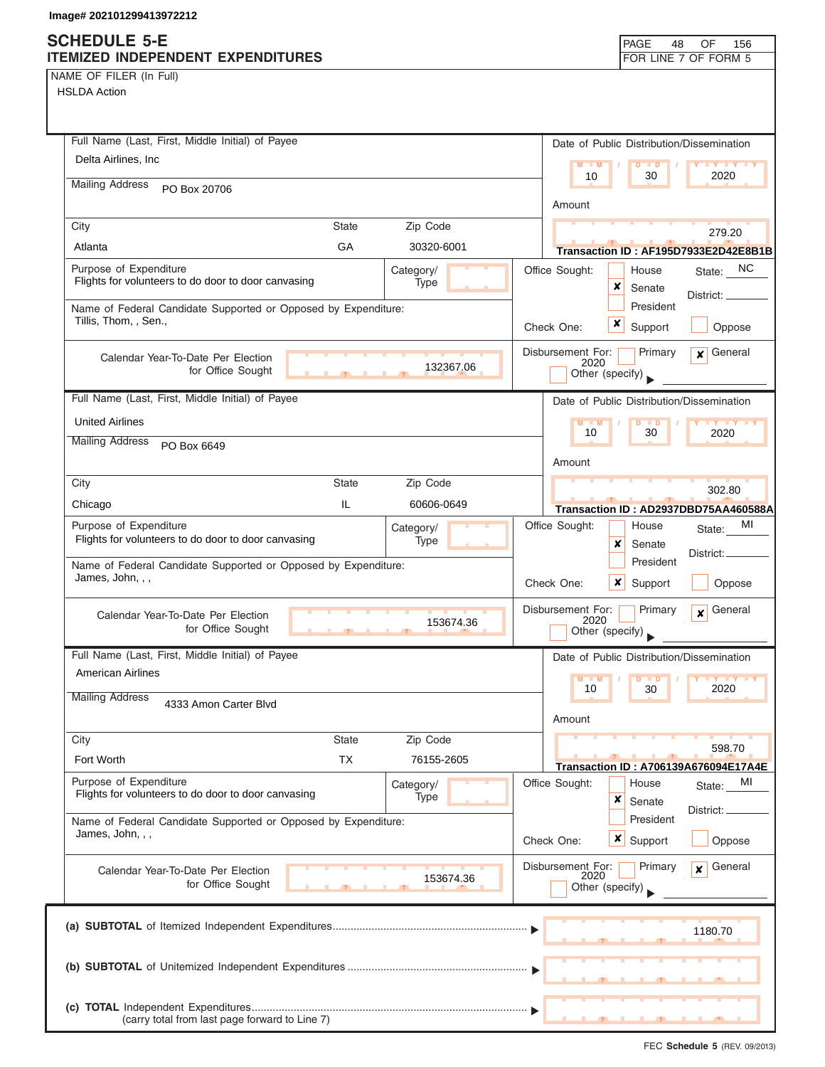# **SCHEDULE 5-E**

| NAME OF FILER (In Full) |  |  |
|-------------------------|--|--|
|-------------------------|--|--|

| <b>SUNEDULE 3-E</b><br>ITEMIZED INDEPENDENT EXPENDITURES                           |              |                   |                           | <b>PAGE</b><br>48                         | OF<br>156<br>FOR LINE 7 OF FORM 5           |
|------------------------------------------------------------------------------------|--------------|-------------------|---------------------------|-------------------------------------------|---------------------------------------------|
| NAME OF FILER (In Full)                                                            |              |                   |                           |                                           |                                             |
| <b>HSLDA Action</b>                                                                |              |                   |                           |                                           |                                             |
|                                                                                    |              |                   |                           |                                           |                                             |
|                                                                                    |              |                   |                           |                                           |                                             |
| Full Name (Last, First, Middle Initial) of Payee                                   |              |                   |                           | Date of Public Distribution/Dissemination |                                             |
| Delta Airlines, Inc.                                                               |              |                   | $M = M$<br>10             | $D$ $D$<br>30                             | <b>LY LY LY</b><br>2020                     |
| <b>Mailing Address</b><br>PO Box 20706                                             |              |                   |                           |                                           |                                             |
|                                                                                    |              |                   | Amount                    |                                           |                                             |
| City                                                                               | <b>State</b> | Zip Code          |                           |                                           | 279.20                                      |
| Atlanta                                                                            | GA           | 30320-6001        |                           |                                           | Transaction ID: AF195D7933E2D42E8B1B        |
| Purpose of Expenditure                                                             |              | Category/         | Office Sought:            | House                                     | State: NC                                   |
| Flights for volunteers to do door to door canvasing                                |              | Type              |                           | ×<br>Senate                               |                                             |
| Name of Federal Candidate Supported or Opposed by Expenditure:                     |              |                   |                           | President                                 | District: _                                 |
| Tillis, Thom, , Sen.,                                                              |              |                   | Check One:                | ×<br>Support                              | Oppose                                      |
|                                                                                    |              |                   |                           |                                           |                                             |
| Calendar Year-To-Date Per Election                                                 |              | 132367.06         | Disbursement For:<br>2020 | Primary                                   | General<br>$\mathbf{x}$                     |
| for Office Sought                                                                  |              |                   |                           | Other (specify)                           |                                             |
| Full Name (Last, First, Middle Initial) of Payee                                   |              |                   |                           | Date of Public Distribution/Dissemination |                                             |
| <b>United Airlines</b>                                                             |              |                   | $M - M$                   | $D$ $D$                                   | <b>LY LY LY</b>                             |
| <b>Mailing Address</b>                                                             |              |                   | 10                        | 30                                        | 2020                                        |
| PO Box 6649                                                                        |              |                   | Amount                    |                                           |                                             |
|                                                                                    |              |                   |                           |                                           |                                             |
| City                                                                               | <b>State</b> | Zip Code          |                           |                                           | 302.80                                      |
| Chicago                                                                            | IL.          | 60606-0649        |                           |                                           | Transaction ID: AD2937DBD75AA460588A        |
| Purpose of Expenditure<br>Flights for volunteers to do door to door canvasing      |              | Category/<br>Type | Office Sought:            | House                                     | МI<br>State:                                |
|                                                                                    |              |                   |                           | ×<br>Senate                               | District:                                   |
| Name of Federal Candidate Supported or Opposed by Expenditure:<br>James, John, , , |              |                   |                           | President                                 |                                             |
|                                                                                    |              |                   | Check One:                | ×<br>Support                              | Oppose                                      |
| Calendar Year-To-Date Per Election                                                 |              |                   | Disbursement For:         | Primary                                   | General<br>$\mathbf{x}$                     |
| for Office Sought                                                                  |              | 153674.36         | 2020                      | Other (specify)                           |                                             |
| Full Name (Last, First, Middle Initial) of Payee                                   |              |                   |                           |                                           |                                             |
| <b>American Airlines</b>                                                           |              |                   |                           | Date of Public Distribution/Dissemination |                                             |
|                                                                                    |              |                   | $M - M$<br>10             | D<br>$\blacksquare$<br>30                 | <b>TY TY TY</b><br>2020                     |
| <b>Mailing Address</b><br>4333 Amon Carter Blvd                                    |              |                   |                           |                                           |                                             |
|                                                                                    |              |                   | Amount                    |                                           |                                             |
| City                                                                               | <b>State</b> | Zip Code          |                           |                                           | 598.70                                      |
| Fort Worth                                                                         | <b>TX</b>    | 76155-2605        |                           |                                           | <b>Transaction ID: A706139A676094E17A4E</b> |
| Purpose of Expenditure                                                             |              | Category/         | Office Sought:            | House                                     | MI<br>State:                                |
| Flights for volunteers to do door to door canvasing                                |              | Type              |                           | ×<br>Senate                               | District: _                                 |
| Name of Federal Candidate Supported or Opposed by Expenditure:                     |              |                   |                           | President                                 |                                             |
| James, John, , ,                                                                   |              |                   | Check One:                | <b>x</b> Support                          | Oppose                                      |
|                                                                                    |              |                   |                           | Primary                                   | General<br>$\mathbf{x}$                     |
| Calendar Year-To-Date Per Election<br>for Office Sought                            |              | 153674.36         | Disbursement For:<br>2020 | Other (specify)                           |                                             |
|                                                                                    |              |                   |                           |                                           |                                             |
|                                                                                    |              |                   |                           |                                           |                                             |
|                                                                                    |              |                   |                           |                                           | 1180.70                                     |
|                                                                                    |              |                   |                           |                                           |                                             |
|                                                                                    |              |                   |                           |                                           |                                             |
|                                                                                    |              |                   |                           |                                           |                                             |
| (carry total from last page forward to Line 7)                                     |              |                   |                           | ┻<br>$\overline{\phantom{a}}$             | <u>.</u>                                    |
|                                                                                    |              |                   |                           |                                           |                                             |

┑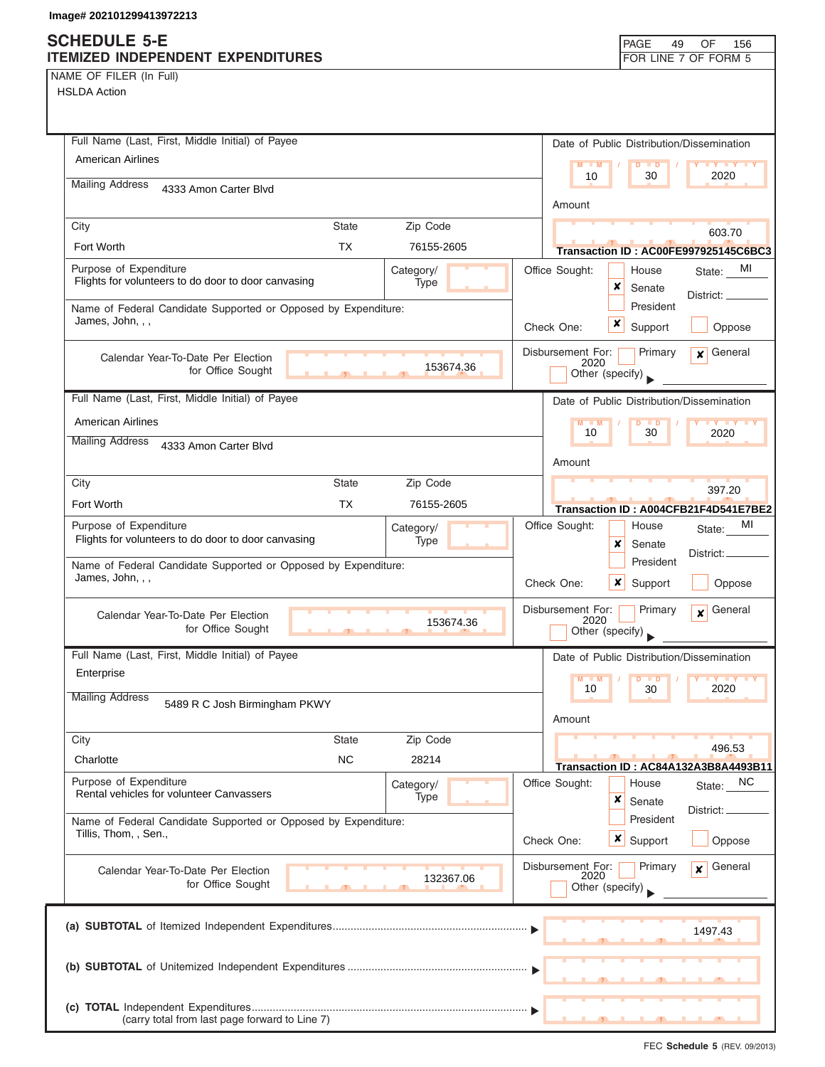## **SCHEDULE 5-E ITEMIZED INDEPENDENT EXPENDITURES**

| PAGE                 | 49 OF 156 |  |
|----------------------|-----------|--|
| FOR LINE 7 OF FORM 5 |           |  |

NAME OF FILER (In Full)

| Full Name (Last, First, Middle Initial) of Payee                                        |            | Date of Public Distribution/Dissemination                                                                                                     |
|-----------------------------------------------------------------------------------------|------------|-----------------------------------------------------------------------------------------------------------------------------------------------|
| <b>American Airlines</b>                                                                |            | $M - M$<br><b>TY TY TY</b><br>$D$ $D$                                                                                                         |
| <b>Mailing Address</b><br>4333 Amon Carter Blvd                                         |            | 2020<br>10<br>30                                                                                                                              |
|                                                                                         |            | Amount                                                                                                                                        |
| City<br><b>State</b>                                                                    | Zip Code   | 603.70                                                                                                                                        |
| <b>TX</b><br>Fort Worth                                                                 | 76155-2605 | Transaction ID: AC00FE997925145C6BC3                                                                                                          |
| Purpose of Expenditure                                                                  | Category/  | Office Sought:<br>MI<br>House<br>State:                                                                                                       |
| Flights for volunteers to do door to door canvasing                                     | Type       | ×<br>Senate<br>District: _                                                                                                                    |
| Name of Federal Candidate Supported or Opposed by Expenditure:<br>James, John, , ,      |            | President                                                                                                                                     |
|                                                                                         |            | x<br>Support<br>Check One:<br>Oppose                                                                                                          |
| Calendar Year-To-Date Per Election                                                      |            | General<br>Disbursement For:<br>Primary<br>$\mathbf{x}$<br>2020                                                                               |
| for Office Sought                                                                       | 153674.36  | Other (specify)                                                                                                                               |
| Full Name (Last, First, Middle Initial) of Payee                                        |            | Date of Public Distribution/Dissemination                                                                                                     |
| <b>American Airlines</b>                                                                |            | $M - M$<br>$D$ $D$<br>$\blacksquare$ $\blacksquare$ $\blacksquare$ $\blacksquare$ $\blacksquare$ $\blacksquare$ $\blacksquare$ $\blacksquare$ |
| <b>Mailing Address</b><br>4333 Amon Carter Blvd                                         |            | 10<br>30<br>2020                                                                                                                              |
|                                                                                         |            | Amount                                                                                                                                        |
| City<br><b>State</b>                                                                    | Zip Code   | 397.20                                                                                                                                        |
| Fort Worth<br><b>TX</b>                                                                 | 76155-2605 | Transaction ID: A004CFB21F4D541E7BE2                                                                                                          |
| Purpose of Expenditure                                                                  | Category/  | MI<br>Office Sought:<br>House<br>State:                                                                                                       |
| Flights for volunteers to do door to door canvasing                                     | Type       | x<br>Senate<br>District:                                                                                                                      |
| Name of Federal Candidate Supported or Opposed by Expenditure:<br>James, John, , ,      |            | President                                                                                                                                     |
|                                                                                         |            | Check One:<br>x<br>Support<br>Oppose                                                                                                          |
| Calendar Year-To-Date Per Election                                                      |            | Disbursement For:<br>General<br>Primary<br>$\mathbf{x}$<br>2020                                                                               |
| for Office Sought                                                                       | 153674.36  | Other (specify)                                                                                                                               |
| Full Name (Last, First, Middle Initial) of Payee                                        |            | Date of Public Distribution/Dissemination                                                                                                     |
| Enterprise                                                                              |            | $M - M$<br>D<br>$\blacksquare$                                                                                                                |
| <b>Mailing Address</b><br>5489 R C Josh Birmingham PKWY                                 |            | 2020<br>10<br>30                                                                                                                              |
|                                                                                         |            | Amount                                                                                                                                        |
| City<br><b>State</b>                                                                    | Zip Code   | 496.53                                                                                                                                        |
| <b>NC</b><br>Charlotte                                                                  | 28214      | Transaction ID: AC84A132A3B8A4493B11                                                                                                          |
| Purpose of Expenditure                                                                  | Category/  | Office Sought:<br>NC<br>House<br>State:                                                                                                       |
| Rental vehicles for volunteer Canvassers                                                | Type       | ×<br>Senate<br>District:                                                                                                                      |
| Name of Federal Candidate Supported or Opposed by Expenditure:<br>Tillis, Thom, , Sen., |            | President                                                                                                                                     |
|                                                                                         |            | Check One:<br>$\boldsymbol{\mathsf{x}}$<br>Support<br>Oppose                                                                                  |
| Calendar Year-To-Date Per Election                                                      |            | Disbursement For:<br>General<br>Primary<br>x<br>2020                                                                                          |
| for Office Sought                                                                       | 132367.06  | Other (specify)                                                                                                                               |
|                                                                                         |            |                                                                                                                                               |
|                                                                                         |            | 1497.43                                                                                                                                       |
|                                                                                         |            |                                                                                                                                               |
|                                                                                         |            |                                                                                                                                               |
|                                                                                         |            |                                                                                                                                               |
| (carry total from last page forward to Line 7)                                          |            |                                                                                                                                               |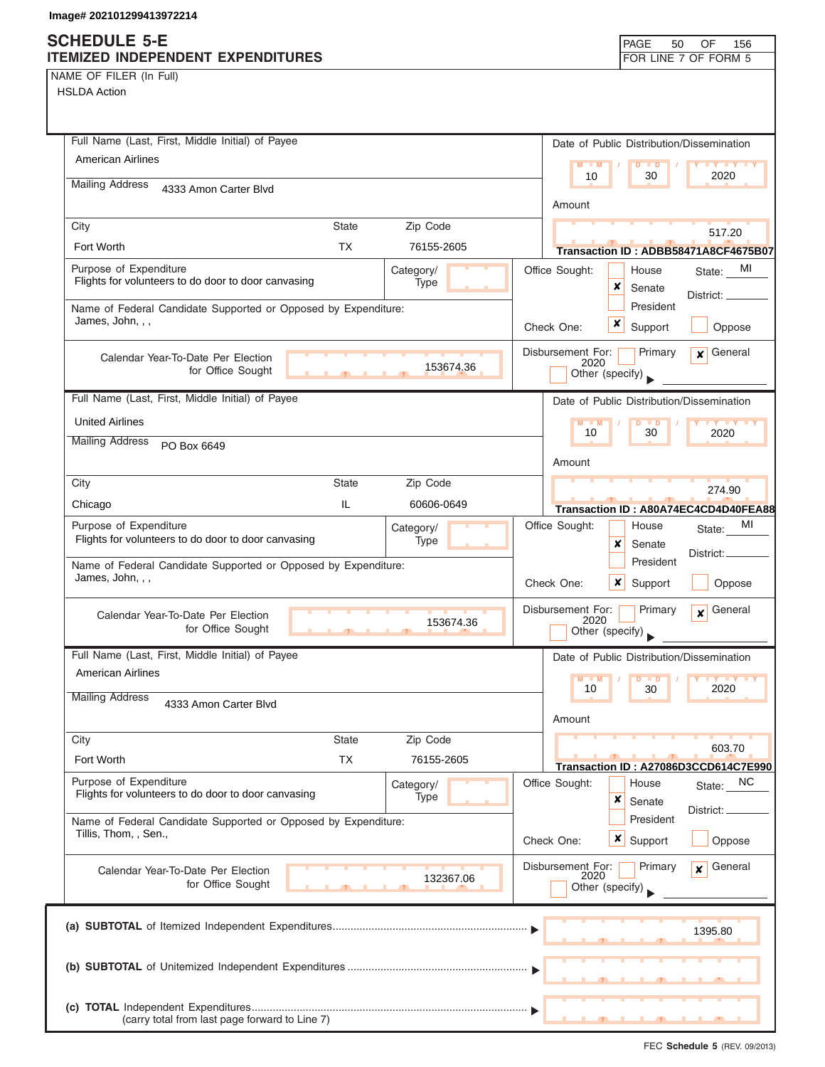NAME OF FILER (In Full)

| Full Name (Last, First, Middle Initial) of Payee                                   |                |            |                           |                             | Date of Public Distribution/Dissemination         |
|------------------------------------------------------------------------------------|----------------|------------|---------------------------|-----------------------------|---------------------------------------------------|
| <b>American Airlines</b>                                                           |                |            | $M = M$                   | $D$ $D$                     | <b>TY TY TY</b>                                   |
| <b>Mailing Address</b><br>4333 Amon Carter Blvd                                    |                |            | 10                        | 30                          | 2020                                              |
|                                                                                    |                |            | Amount                    |                             |                                                   |
| City                                                                               | <b>State</b>   | Zip Code   |                           |                             | 517.20                                            |
| Fort Worth                                                                         | <b>TX</b>      | 76155-2605 |                           |                             | Transaction ID: ADBB58471A8CF4675B07              |
| Purpose of Expenditure                                                             |                | Category/  | Office Sought:            | House                       | MI<br>State:                                      |
| Flights for volunteers to do door to door canvasing                                |                | Type       |                           | x<br>Senate                 | District:                                         |
| Name of Federal Candidate Supported or Opposed by Expenditure:<br>James, John, , , |                |            |                           | President                   |                                                   |
|                                                                                    |                |            | Check One:                | x<br>Support                | Oppose                                            |
| Calendar Year-To-Date Per Election                                                 |                |            | Disbursement For:<br>2020 | Primary                     | General<br>$\mathbf{x}$                           |
| for Office Sought                                                                  | $\overline{1}$ | 153674.36  | Other (specify)           |                             |                                                   |
| Full Name (Last, First, Middle Initial) of Payee                                   |                |            |                           |                             | Date of Public Distribution/Dissemination         |
| <b>United Airlines</b>                                                             |                |            | $M - M$                   | $D$ $D$                     | <b>TY TY</b>                                      |
| <b>Mailing Address</b><br>PO Box 6649                                              |                |            | 10                        | 30                          | 2020                                              |
|                                                                                    |                |            | Amount                    |                             |                                                   |
| City                                                                               | <b>State</b>   | Zip Code   |                           |                             | 274.90                                            |
| Chicago                                                                            | IL             | 60606-0649 |                           |                             | Transaction ID: A80A74EC4CD4D40FEA88              |
| Purpose of Expenditure                                                             |                | Category/  | Office Sought:            | House                       | MI<br>State:                                      |
| Flights for volunteers to do door to door canvasing                                |                | Type       |                           | x<br>Senate                 | District: _                                       |
| Name of Federal Candidate Supported or Opposed by Expenditure:                     |                |            |                           | President                   |                                                   |
| James, John, , ,                                                                   |                |            | Check One:                | $\boldsymbol{x}$<br>Support | Oppose                                            |
| Calendar Year-To-Date Per Election                                                 |                |            | Disbursement For:         | Primary                     | General<br>$\mathbf{x}$                           |
| for Office Sought                                                                  | $\mathcal{F}$  | 153674.36  | 2020<br>Other (specify)   |                             |                                                   |
| Full Name (Last, First, Middle Initial) of Payee                                   |                |            |                           |                             | Date of Public Distribution/Dissemination         |
| <b>American Airlines</b>                                                           |                |            | M                         | <b>TD</b>                   |                                                   |
| <b>Mailing Address</b>                                                             |                |            | 10                        | 30                          | 2020                                              |
| 4333 Amon Carter Blvd                                                              |                |            | Amount                    |                             |                                                   |
| City                                                                               | <b>State</b>   | Zip Code   |                           |                             |                                                   |
| Fort Worth                                                                         | <b>TX</b>      | 76155-2605 |                           |                             | 603.70                                            |
| Purpose of Expenditure                                                             |                | Category/  | Office Sought:            | House                       | Transaction ID: A27086D3CCD614C7E990<br>State: NC |
| Flights for volunteers to do door to door canvasing                                |                | Type       |                           | x<br>Senate                 |                                                   |
| Name of Federal Candidate Supported or Opposed by Expenditure:                     |                |            |                           | President                   | District:                                         |
| Tillis, Thom, , Sen.,                                                              |                |            | Check One:                | $x \mid$ Support            | Oppose                                            |
| Calendar Year-To-Date Per Election                                                 |                |            | Disbursement For:         | Primary                     | General<br>$\mathbf{x}$                           |
| for Office Sought                                                                  |                | 132367.06  | 2020<br>Other (specify)   |                             |                                                   |
|                                                                                    |                |            |                           |                             |                                                   |
|                                                                                    |                |            |                           |                             | 1395.80                                           |
|                                                                                    |                |            |                           |                             |                                                   |
|                                                                                    |                |            |                           |                             |                                                   |
|                                                                                    |                |            |                           |                             |                                                   |
|                                                                                    |                |            |                           |                             |                                                   |
| (carry total from last page forward to Line 7)                                     |                |            |                           |                             |                                                   |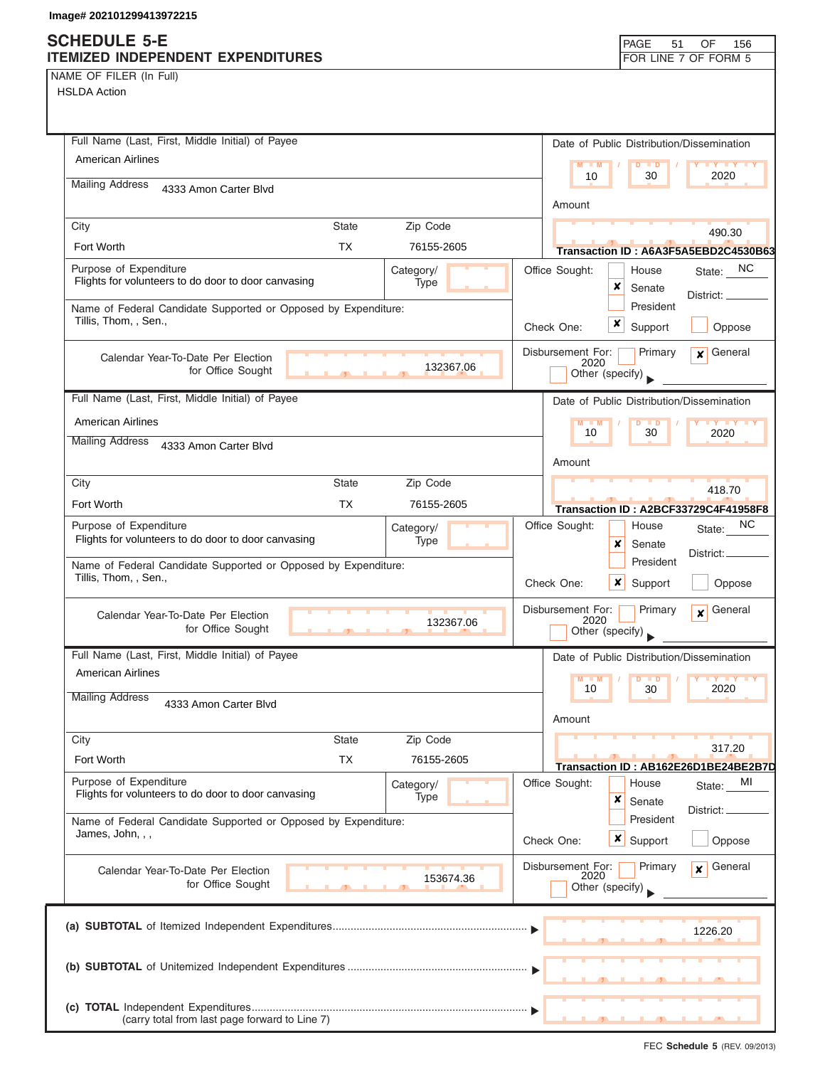## **SCHEDULE 5-E ITEMIZED INDEPENDENT EXPENDITURES**

| PAGE 51 OF 156       |  |  |
|----------------------|--|--|
| FOR LINE 7 OF FORM 5 |  |  |

NAME OF FILER (In Full)

HSLDA Action

| Full Name (Last, First, Middle Initial) of Payee                                        |                |            |                |                           |                             | Date of Public Distribution/Dissemination                                                                               |
|-----------------------------------------------------------------------------------------|----------------|------------|----------------|---------------------------|-----------------------------|-------------------------------------------------------------------------------------------------------------------------|
| American Airlines                                                                       |                |            |                | $M - M$                   | $D$ $D$                     | <b>TY TY TY</b>                                                                                                         |
| <b>Mailing Address</b><br>4333 Amon Carter Blvd                                         |                |            |                | 10                        | 30                          | 2020                                                                                                                    |
|                                                                                         |                |            |                | Amount                    |                             |                                                                                                                         |
| City                                                                                    | <b>State</b>   | Zip Code   |                |                           |                             | 490.30                                                                                                                  |
| Fort Worth                                                                              | <b>TX</b>      | 76155-2605 |                |                           |                             | Transaction ID: A6A3F5A5EBD2C4530B63                                                                                    |
| Purpose of Expenditure                                                                  |                | Category/  | Office Sought: |                           | House                       | State: NC                                                                                                               |
| Flights for volunteers to do door to door canvasing                                     |                | Type       |                |                           | x<br>Senate                 | District: __                                                                                                            |
| Name of Federal Candidate Supported or Opposed by Expenditure:<br>Tillis, Thom, , Sen., |                |            |                |                           | President                   |                                                                                                                         |
|                                                                                         |                |            | Check One:     |                           | x<br>Support                | Oppose                                                                                                                  |
| Calendar Year-To-Date Per Election                                                      |                |            |                | Disbursement For:<br>2020 | Primary                     | General<br>$\mathbf{x}$                                                                                                 |
| for Office Sought                                                                       | $\overline{1}$ | 132367.06  |                | Other (specify)           |                             |                                                                                                                         |
| Full Name (Last, First, Middle Initial) of Payee                                        |                |            |                |                           |                             | Date of Public Distribution/Dissemination                                                                               |
| <b>American Airlines</b>                                                                |                |            |                | $M - M$                   | $D$ $D$                     | $\blacksquare$ $\blacksquare$ $\blacksquare$ $\blacksquare$ $\blacksquare$ $\blacksquare$ $\blacksquare$ $\blacksquare$ |
| <b>Mailing Address</b><br>4333 Amon Carter Blvd                                         |                |            |                | 10                        | 30                          | 2020                                                                                                                    |
|                                                                                         |                |            |                | Amount                    |                             |                                                                                                                         |
| City                                                                                    | <b>State</b>   | Zip Code   |                |                           |                             | 418.70                                                                                                                  |
| Fort Worth                                                                              | <b>TX</b>      | 76155-2605 |                |                           |                             | Transaction ID: A2BCF33729C4F41958F8                                                                                    |
| Purpose of Expenditure                                                                  |                | Category/  | Office Sought: |                           | House                       | ΝC<br>State:                                                                                                            |
| Flights for volunteers to do door to door canvasing                                     |                | Type       |                |                           | x<br>Senate                 | District:.                                                                                                              |
| Name of Federal Candidate Supported or Opposed by Expenditure:                          |                |            |                |                           | President                   |                                                                                                                         |
| Tillis, Thom, , Sen.,                                                                   |                |            | Check One:     |                           | $\boldsymbol{x}$<br>Support | Oppose                                                                                                                  |
| Calendar Year-To-Date Per Election                                                      |                |            |                | Disbursement For:         | Primary                     | General<br>$\mathbf{x}$                                                                                                 |
| for Office Sought                                                                       |                | 132367.06  |                | 2020<br>Other (specify)   |                             |                                                                                                                         |
| Full Name (Last, First, Middle Initial) of Payee                                        |                |            |                |                           |                             | Date of Public Distribution/Dissemination                                                                               |
| <b>American Airlines</b>                                                                |                |            |                | M<br>$\blacksquare$       | D<br>$\blacksquare$         | $\mathbf{V}$ $\mathbf{V}$                                                                                               |
| <b>Mailing Address</b>                                                                  |                |            |                | 10                        | 30                          | 2020                                                                                                                    |
| 4333 Amon Carter Blvd                                                                   |                |            |                | Amount                    |                             |                                                                                                                         |
| City                                                                                    | <b>State</b>   | Zip Code   |                |                           |                             |                                                                                                                         |
| Fort Worth                                                                              | <b>TX</b>      | 76155-2605 |                |                           |                             | 317.20                                                                                                                  |
| Purpose of Expenditure                                                                  |                | Category/  | Office Sought: |                           | House                       | Transaction ID: AB162E26D1BE24BE2B7D<br>MI<br>State:                                                                    |
| Flights for volunteers to do door to door canvasing                                     |                | Type       |                |                           | ×<br>Senate                 |                                                                                                                         |
| Name of Federal Candidate Supported or Opposed by Expenditure:                          |                |            |                |                           | President                   | District:                                                                                                               |
| James, John, , ,                                                                        |                |            | Check One:     |                           | $x \mid$ Support            | Oppose                                                                                                                  |
| Calendar Year-To-Date Per Election                                                      |                |            |                | Disbursement For:         | Primary                     | General<br>$\mathbf{x}$                                                                                                 |
| for Office Sought                                                                       |                | 153674.36  |                | 2020<br>Other (specify)   |                             |                                                                                                                         |
|                                                                                         |                |            |                |                           |                             |                                                                                                                         |
|                                                                                         |                |            |                |                           |                             | 1226.20                                                                                                                 |
|                                                                                         |                |            |                |                           |                             |                                                                                                                         |
|                                                                                         |                |            |                |                           |                             |                                                                                                                         |
|                                                                                         |                |            |                |                           |                             |                                                                                                                         |
|                                                                                         |                |            |                |                           |                             |                                                                                                                         |
| (carry total from last page forward to Line 7)                                          |                |            |                |                           |                             |                                                                                                                         |

FEC **Schedule 5** (REV. 09/2013)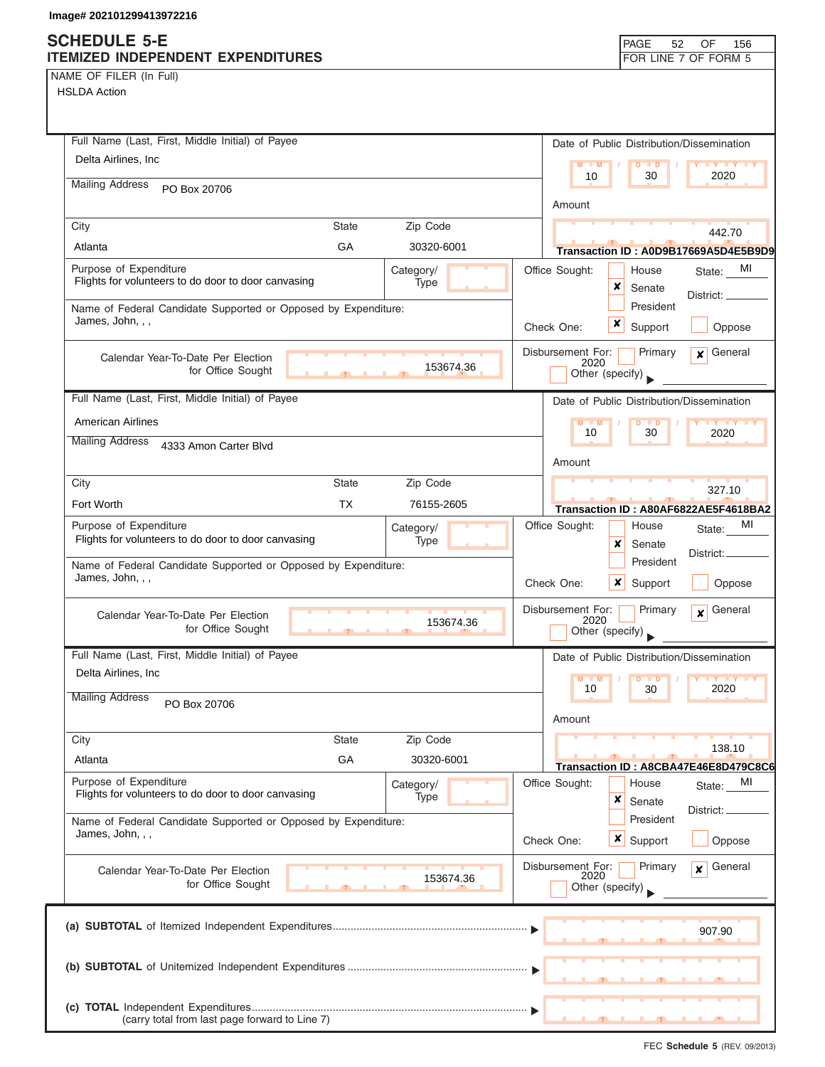# **SCHEDULE 5-E**

| NAME OF FILER (In Full) |  |  |
|-------------------------|--|--|
|-------------------------|--|--|

| <b>SUNEDULE 3-E</b>                                                                |              |                   |                           | <b>PAGE</b><br>52                         | OF<br>156                            |
|------------------------------------------------------------------------------------|--------------|-------------------|---------------------------|-------------------------------------------|--------------------------------------|
| ITEMIZED INDEPENDENT EXPENDITURES                                                  |              |                   |                           |                                           | FOR LINE 7 OF FORM 5                 |
| NAME OF FILER (In Full)<br><b>HSLDA Action</b>                                     |              |                   |                           |                                           |                                      |
|                                                                                    |              |                   |                           |                                           |                                      |
|                                                                                    |              |                   |                           |                                           |                                      |
| Full Name (Last, First, Middle Initial) of Payee                                   |              |                   |                           | Date of Public Distribution/Dissemination |                                      |
| Delta Airlines, Inc.                                                               |              |                   | $M - M$                   | D<br>$\blacksquare$                       | <b>LY LY LY</b>                      |
| <b>Mailing Address</b><br>PO Box 20706                                             |              |                   | 10                        | 30                                        | 2020                                 |
|                                                                                    |              |                   | Amount                    |                                           |                                      |
| City                                                                               | <b>State</b> | Zip Code          |                           |                                           |                                      |
| Atlanta                                                                            | GA           | 30320-6001        |                           |                                           | 442.70                               |
|                                                                                    |              |                   |                           |                                           | Transaction ID: A0D9B17669A5D4E5B9D9 |
| Purpose of Expenditure<br>Flights for volunteers to do door to door canvasing      |              | Category/<br>Type | Office Sought:            | House<br>×                                | MI<br>State:                         |
|                                                                                    |              |                   |                           | Senate<br>President                       | District: _                          |
| Name of Federal Candidate Supported or Opposed by Expenditure:<br>James, John, , , |              |                   |                           | x                                         |                                      |
|                                                                                    |              |                   | Check One:                | Support                                   | Oppose                               |
| Calendar Year-To-Date Per Election                                                 |              |                   | Disbursement For:<br>2020 | Primary                                   | General<br>$\mathbf{x}$              |
| for Office Sought                                                                  |              | 153674.36         |                           | Other (specify)                           |                                      |
| Full Name (Last, First, Middle Initial) of Payee                                   |              |                   |                           | Date of Public Distribution/Dissemination |                                      |
| <b>American Airlines</b>                                                           |              |                   | $M - M$                   |                                           | <b>TY TY TY</b>                      |
| <b>Mailing Address</b>                                                             |              |                   | 10                        | $\blacksquare$<br>30                      | 2020                                 |
| 4333 Amon Carter Blvd                                                              |              |                   |                           |                                           |                                      |
|                                                                                    |              |                   | Amount                    |                                           |                                      |
| City                                                                               | <b>State</b> | Zip Code          |                           |                                           | 327.10                               |
| Fort Worth                                                                         | <b>TX</b>    | 76155-2605        |                           |                                           | Transaction ID: A80AF6822AE5F4618BA2 |
| Purpose of Expenditure<br>Flights for volunteers to do door to door canvasing      |              | Category/<br>Type | Office Sought:            | House                                     | MI<br>State:                         |
|                                                                                    |              |                   |                           | x<br>Senate                               | District:                            |
| Name of Federal Candidate Supported or Opposed by Expenditure:<br>James, John, , , |              |                   |                           | President                                 |                                      |
|                                                                                    |              |                   | Check One:                | ×<br>Support                              | Oppose                               |
| Calendar Year-To-Date Per Election                                                 |              |                   | Disbursement For:<br>2020 | Primary                                   | General<br>$\boldsymbol{x}$          |
| for Office Sought                                                                  |              | 153674.36         |                           | Other (specify)                           |                                      |
| Full Name (Last, First, Middle Initial) of Payee                                   |              |                   |                           | Date of Public Distribution/Dissemination |                                      |
| Delta Airlines, Inc                                                                |              |                   | $M - M$                   |                                           | <b>LY LY</b>                         |
| <b>Mailing Address</b>                                                             |              |                   | 10                        | $\overline{D}$<br>$\blacksquare$<br>30    | 2020                                 |
| PO Box 20706                                                                       |              |                   |                           |                                           |                                      |
|                                                                                    |              |                   | Amount                    |                                           |                                      |
| City                                                                               | <b>State</b> | Zip Code          |                           |                                           | 138.10                               |
| Atlanta                                                                            | GA           | 30320-6001        |                           |                                           | Transaction ID: A8CBA47E46E8D479C8C6 |
| Purpose of Expenditure<br>Flights for volunteers to do door to door canvasing      |              | Category/         | Office Sought:            | House                                     | MI<br>State:                         |
|                                                                                    |              | Type              |                           | x<br>Senate                               | District: _                          |
| Name of Federal Candidate Supported or Opposed by Expenditure:                     |              |                   |                           | President                                 |                                      |
| James, John, , ,                                                                   |              |                   | Check One:                | $x \mid$ Support                          | Oppose                               |
| Calendar Year-To-Date Per Election                                                 |              |                   | Disbursement For:         | Primary                                   | General<br>x                         |
| for Office Sought                                                                  |              | 153674.36         | 2020                      | Other (specify)                           |                                      |
|                                                                                    |              |                   |                           |                                           |                                      |
|                                                                                    |              |                   |                           |                                           |                                      |
|                                                                                    |              |                   |                           |                                           | 907.90                               |
|                                                                                    |              |                   |                           |                                           |                                      |
|                                                                                    |              |                   |                           |                                           |                                      |
|                                                                                    |              |                   |                           |                                           |                                      |
| (carry total from last page forward to Line 7)                                     |              |                   |                           |                                           |                                      |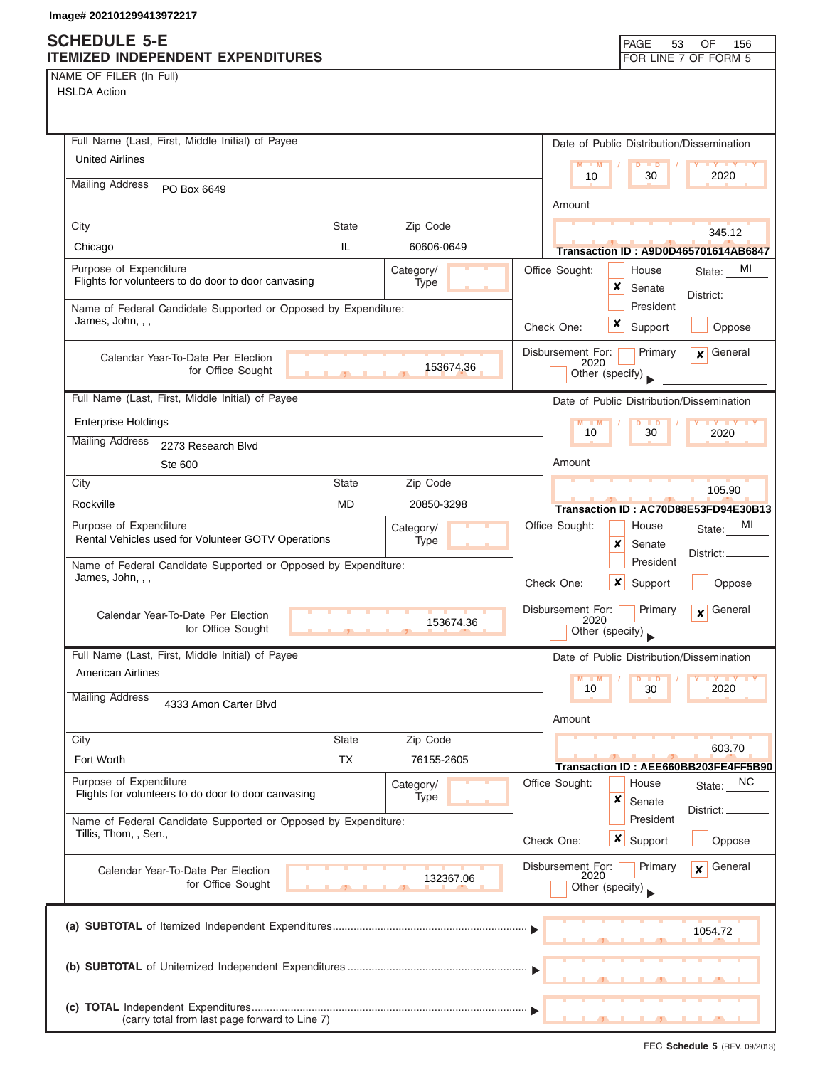### **SCHEDULE 5-E ITEMIZED INDEPENDENT EXPENDITURES FOR LINE 7 OF FORM 5**

NAME OF FILER (In Full)

| Full Name (Last, First, Middle Initial) of Payee                                           | Date of Public Distribution/Dissemination                                    |  |  |
|--------------------------------------------------------------------------------------------|------------------------------------------------------------------------------|--|--|
| <b>United Airlines</b>                                                                     | $M = M$<br>$D$ $D$<br><b>TY TY TY</b><br>2020<br>10<br>30                    |  |  |
| <b>Mailing Address</b><br>PO Box 6649                                                      |                                                                              |  |  |
|                                                                                            | Amount                                                                       |  |  |
| City<br><b>State</b><br>Zip Code                                                           | 345.12                                                                       |  |  |
| IL.<br>60606-0649<br>Chicago                                                               | Transaction ID: A9D0D465701614AB6847                                         |  |  |
| Purpose of Expenditure<br>Category/<br>Flights for volunteers to do door to door canvasing | MI<br>Office Sought:<br>House<br>State:                                      |  |  |
| Type                                                                                       | ×<br>Senate<br>District:                                                     |  |  |
| Name of Federal Candidate Supported or Opposed by Expenditure:<br>James, John, , ,         | President                                                                    |  |  |
|                                                                                            | x<br>Support<br>Check One:<br>Oppose                                         |  |  |
| Calendar Year-To-Date Per Election                                                         | Disbursement For:<br>$x$ General<br>Primary<br>2020                          |  |  |
| 153674.36<br>for Office Sought<br>$\overline{1}$                                           | Other (specify)                                                              |  |  |
| Full Name (Last, First, Middle Initial) of Payee                                           | Date of Public Distribution/Dissemination                                    |  |  |
| <b>Enterprise Holdings</b>                                                                 | $M - M$<br>$D$ $D$<br>$Y + Y + Y$                                            |  |  |
| <b>Mailing Address</b><br>2273 Research Blvd                                               | 30<br>10<br>2020                                                             |  |  |
| Ste 600                                                                                    | Amount                                                                       |  |  |
| Zip Code<br>City<br><b>State</b>                                                           | 105.90                                                                       |  |  |
| <b>MD</b><br>Rockville<br>20850-3298                                                       | Transaction ID: AC70D88E53FD94E30B13                                         |  |  |
| Purpose of Expenditure<br>Category/                                                        | MI<br>Office Sought:<br>House<br>State:                                      |  |  |
| Rental Vehicles used for Volunteer GOTV Operations<br>Type                                 | x<br>Senate<br>District: _                                                   |  |  |
| Name of Federal Candidate Supported or Opposed by Expenditure:                             | President                                                                    |  |  |
| James, John, , ,                                                                           | Check One:<br>$\boldsymbol{x}$<br>Support<br>Oppose                          |  |  |
| Calendar Year-To-Date Per Election                                                         | Disbursement For:<br>Primary<br>General<br>$\mathbf{x}$                      |  |  |
| 153674.36<br>for Office Sought<br>$\overline{1}$                                           | 2020<br>Other (specify)                                                      |  |  |
| Full Name (Last, First, Middle Initial) of Payee                                           | Date of Public Distribution/Dissemination                                    |  |  |
| <b>American Airlines</b>                                                                   | M<br>D<br>$\blacksquare$                                                     |  |  |
| <b>Mailing Address</b>                                                                     | 10<br>2020<br>30                                                             |  |  |
| 4333 Amon Carter Blvd                                                                      | Amount                                                                       |  |  |
| City<br><b>State</b><br>Zip Code                                                           |                                                                              |  |  |
| <b>TX</b><br>Fort Worth<br>76155-2605                                                      | 603.70                                                                       |  |  |
| Purpose of Expenditure<br>Category/                                                        | Transaction ID: AEE660BB203FE4FF5B90<br>Office Sought:<br>State: NC<br>House |  |  |
| Flights for volunteers to do door to door canvasing<br>Type                                | x<br>Senate                                                                  |  |  |
| Name of Federal Candidate Supported or Opposed by Expenditure:                             | District:<br>President                                                       |  |  |
| Tillis, Thom, , Sen.,                                                                      | Check One:<br>$\boldsymbol{\mathsf{x}}$<br>Support<br>Oppose                 |  |  |
|                                                                                            | General<br>Disbursement For:<br>Primary<br>$\mathbf{x}$                      |  |  |
| Calendar Year-To-Date Per Election<br>132367.06<br>for Office Sought                       | 2020<br>Other (specify)                                                      |  |  |
|                                                                                            |                                                                              |  |  |
|                                                                                            |                                                                              |  |  |
|                                                                                            |                                                                              |  |  |
|                                                                                            |                                                                              |  |  |
|                                                                                            |                                                                              |  |  |
|                                                                                            |                                                                              |  |  |
| (carry total from last page forward to Line 7)                                             |                                                                              |  |  |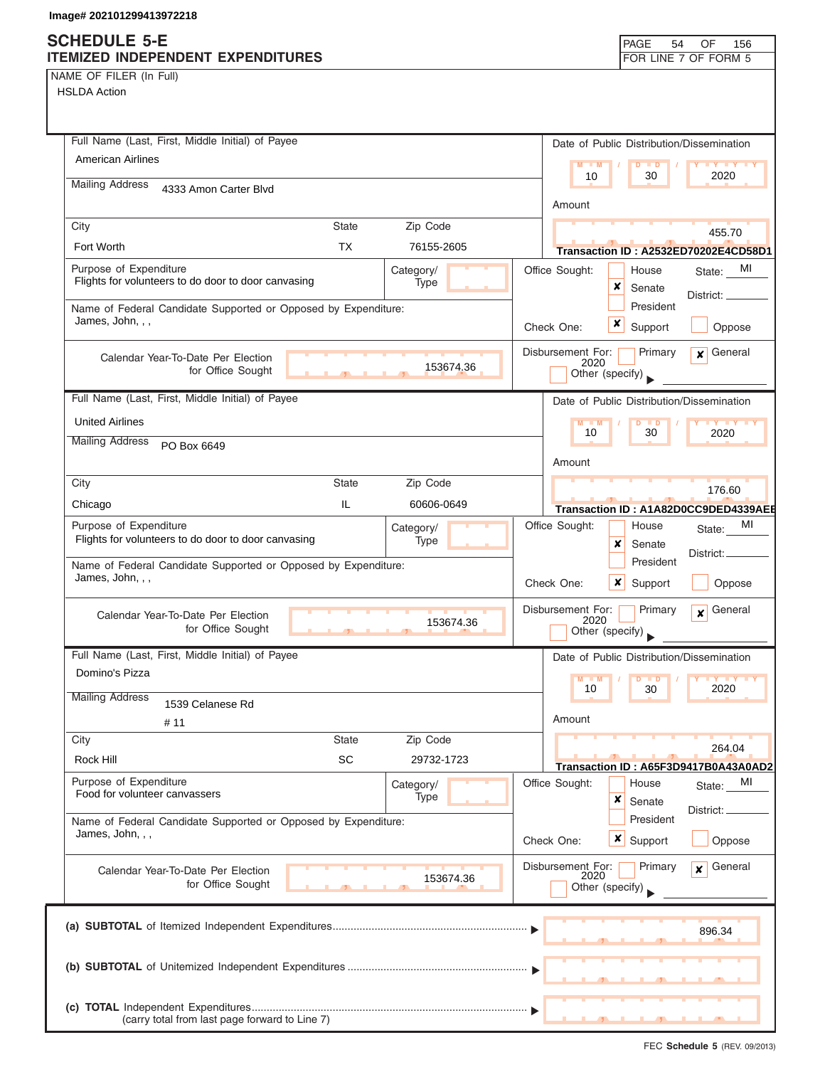NAME OF FILER (In Full)

| Full Name (Last, First, Middle Initial) of Payee                                   |              |            |           |                           |                  |                      | Date of Public Distribution/Dissemination |
|------------------------------------------------------------------------------------|--------------|------------|-----------|---------------------------|------------------|----------------------|-------------------------------------------|
| <b>American Airlines</b>                                                           |              |            |           | M<br>$-1$ M               | D                | $\Box$               | <b>LY LY L</b>                            |
| <b>Mailing Address</b><br>4333 Amon Carter Blvd                                    |              |            |           | 10                        |                  | 30                   | 2020                                      |
|                                                                                    |              |            |           | Amount                    |                  |                      |                                           |
| City                                                                               | <b>State</b> | Zip Code   |           |                           |                  |                      | 455.70                                    |
| Fort Worth                                                                         | TX           | 76155-2605 |           |                           |                  |                      | Transaction ID: A2532ED70202E4CD58D1      |
| Purpose of Expenditure                                                             |              | Category/  |           | Office Sought:            |                  | House                | MI<br>State:                              |
| Flights for volunteers to do door to door canvasing                                |              | Type       |           |                           | ×                | Senate               | District: _                               |
| Name of Federal Candidate Supported or Opposed by Expenditure:<br>James, John, , , |              |            |           |                           |                  | President            |                                           |
|                                                                                    |              |            |           | Check One:                | x                | Support              | Oppose                                    |
| Calendar Year-To-Date Per Election                                                 |              |            |           | Disbursement For:<br>2020 |                  | Primary              | General<br>$\mathbf{x}$                   |
| for Office Sought                                                                  |              |            | 153674.36 |                           | Other (specify)  |                      |                                           |
| Full Name (Last, First, Middle Initial) of Payee                                   |              |            |           |                           |                  |                      | Date of Public Distribution/Dissemination |
| <b>United Airlines</b>                                                             |              |            |           | $M - M$                   |                  | $D$ $D$              | $\mathbf{y}$ $\mathbf{y}$ $\mathbf{y}$    |
| <b>Mailing Address</b><br>PO Box 6649                                              |              |            |           | 10                        |                  | 30                   | 2020                                      |
|                                                                                    |              |            |           | Amount                    |                  |                      |                                           |
| City                                                                               | <b>State</b> | Zip Code   |           |                           |                  |                      | 176.60                                    |
| Chicago                                                                            | IL.          | 60606-0649 |           |                           |                  |                      | Transaction ID: A1A82D0CC9DED4339AEE      |
| Purpose of Expenditure                                                             |              | Category/  |           | Office Sought:            |                  | House                | МI<br>State:                              |
| Flights for volunteers to do door to door canvasing                                |              | Type       |           |                           | x                | Senate               | District:                                 |
| Name of Federal Candidate Supported or Opposed by Expenditure:<br>James, John, , , |              |            |           | Check One:                | $\boldsymbol{x}$ | President<br>Support | Oppose                                    |
|                                                                                    |              |            |           |                           |                  |                      |                                           |
| Calendar Year-To-Date Per Election<br>for Office Sought                            |              |            | 153674.36 | Disbursement For:<br>2020 | Other (specify)  | Primary              | General<br>$\mathbf{x}$                   |
| Full Name (Last, First, Middle Initial) of Payee                                   |              |            |           |                           |                  |                      | Date of Public Distribution/Dissemination |
| Domino's Pizza                                                                     |              |            |           | $M - M$                   |                  | $D$ $D$              | <b>TY YY</b>                              |
| <b>Mailing Address</b><br>1539 Celanese Rd                                         |              |            |           | 10                        |                  | 30                   | 2020                                      |
| # 11                                                                               |              |            |           | Amount                    |                  |                      |                                           |
| City                                                                               | <b>State</b> | Zip Code   |           |                           |                  |                      | 264.04                                    |
| Rock Hill                                                                          | <b>SC</b>    | 29732-1723 |           |                           |                  |                      | Transaction ID: A65F3D9417B0A43A0AD2      |
| Purpose of Expenditure<br>Food for volunteer canvassers                            |              | Category/  |           | Office Sought:            |                  | House                | MI<br>State:                              |
|                                                                                    |              | Type       |           |                           | x                | Senate               | District: _                               |
| Name of Federal Candidate Supported or Opposed by Expenditure:<br>James, John, , , |              |            |           |                           |                  | President            |                                           |
|                                                                                    |              |            |           | Check One:                | $x \mid$ Support |                      | Oppose                                    |
| Calendar Year-To-Date Per Election                                                 |              |            | 153674.36 | Disbursement For:<br>2020 |                  | Primary              | General<br>$\boldsymbol{x}$               |
| for Office Sought                                                                  |              |            |           |                           | Other (specify)  |                      |                                           |
|                                                                                    |              |            |           |                           |                  |                      |                                           |
|                                                                                    |              |            |           |                           |                  |                      | 896.34                                    |
|                                                                                    |              |            |           |                           |                  |                      |                                           |
|                                                                                    |              |            |           |                           |                  |                      |                                           |
|                                                                                    |              |            |           |                           |                  |                      |                                           |
| (carry total from last page forward to Line 7)                                     |              |            |           |                           |                  |                      |                                           |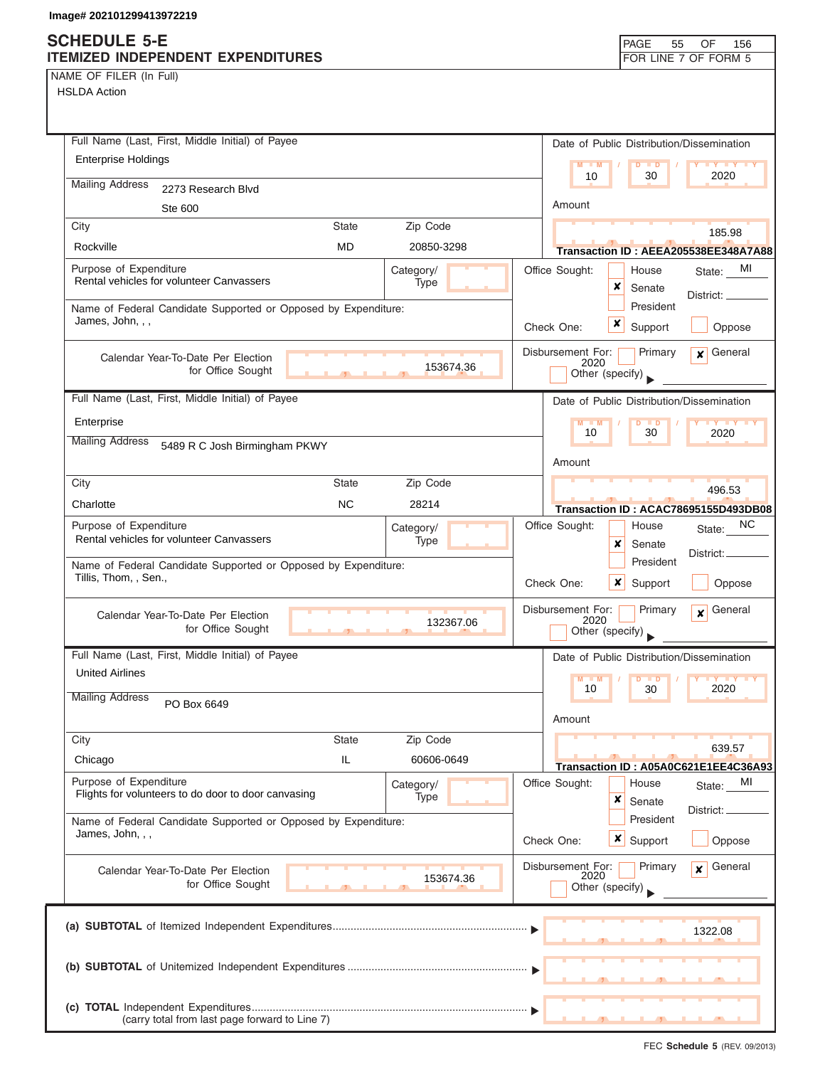### **SCHEDULE 5-E ITEMIZED INDEPENDENT EXPENDITURES FOR LINE 7 OF FORM 5**

NAME OF FILER (In Full)

| Full Name (Last, First, Middle Initial) of Payee                                        | Date of Public Distribution/Dissemination                                          |
|-----------------------------------------------------------------------------------------|------------------------------------------------------------------------------------|
| <b>Enterprise Holdings</b>                                                              | $M - M$<br>$D$ $D$                                                                 |
| <b>Mailing Address</b><br>2273 Research Blvd                                            | 2020<br>10<br>30                                                                   |
| Ste 600                                                                                 | Amount                                                                             |
| Zip Code<br>City<br><b>State</b>                                                        |                                                                                    |
| Rockville<br><b>MD</b><br>20850-3298                                                    | 185.98<br>Transaction ID: AEEA205538EE348A7A88                                     |
| Purpose of Expenditure<br>Category/                                                     | Office Sought:<br>MI<br>House<br>State:                                            |
| Rental vehicles for volunteer Canvassers<br>Type                                        | ×<br>Senate                                                                        |
| Name of Federal Candidate Supported or Opposed by Expenditure:                          | District:<br>President                                                             |
| James, John, , ,                                                                        | x<br>Check One:<br>Support<br>Oppose                                               |
| Calendar Year-To-Date Per Election                                                      | Disbursement For:<br>General<br>Primary<br>$\mathbf{x}$                            |
| 153674.36<br>for Office Sought                                                          | 2020<br>Other (specify)                                                            |
| Full Name (Last, First, Middle Initial) of Payee                                        | Date of Public Distribution/Dissemination                                          |
| Enterprise                                                                              | $M - M$<br><b>TY TY TY</b>                                                         |
| <b>Mailing Address</b><br>5489 R C Josh Birmingham PKWY                                 | 30<br>10<br>2020                                                                   |
|                                                                                         | Amount                                                                             |
| Zip Code<br>City<br><b>State</b>                                                        | 496.53                                                                             |
| Charlotte<br><b>NC</b><br>28214                                                         | Transaction ID: ACAC78695155D493DB08                                               |
| Purpose of Expenditure<br>Category/                                                     | ΝC<br>Office Sought:<br>House<br>State:                                            |
| Rental vehicles for volunteer Canvassers<br>Type                                        | ×<br>Senate<br>District:                                                           |
| Name of Federal Candidate Supported or Opposed by Expenditure:<br>Tillis, Thom, , Sen., | President<br>x<br>Check One:<br>Support<br>Oppose                                  |
| Calendar Year-To-Date Per Election<br>132367.06<br>for Office Sought                    | Disbursement For:<br>General<br>Primary<br>$\mathbf{x}$<br>2020<br>Other (specify) |
| Full Name (Last, First, Middle Initial) of Payee                                        | Date of Public Distribution/Dissemination                                          |
| <b>United Airlines</b>                                                                  | M                                                                                  |
| <b>Mailing Address</b><br>PO Box 6649                                                   | 10<br>30<br>2020                                                                   |
|                                                                                         | Amount                                                                             |
| City<br>State<br>Zip Code                                                               | 639.57                                                                             |
| IL<br>Chicago<br>60606-0649                                                             | Transaction ID: A05A0C621E1EE4C36A93                                               |
| Purpose of Expenditure<br>Category/                                                     | Office Sought:<br>House<br>MI<br>State:                                            |
| Flights for volunteers to do door to door canvasing<br>Type                             | ×<br>Senate<br>District:                                                           |
| Name of Federal Candidate Supported or Opposed by Expenditure:<br>James, John, , ,      | President                                                                          |
|                                                                                         | $\boldsymbol{x}$<br>Check One:<br>Support<br>Oppose                                |
| Calendar Year-To-Date Per Election                                                      | Disbursement For:<br>General<br>Primary<br>$\mathbf{x}$<br>2020                    |
| 153674.36<br>for Office Sought                                                          | Other (specify)                                                                    |
|                                                                                         |                                                                                    |
|                                                                                         | 1322.08                                                                            |
|                                                                                         |                                                                                    |
|                                                                                         |                                                                                    |
|                                                                                         |                                                                                    |
| (carry total from last page forward to Line 7)                                          |                                                                                    |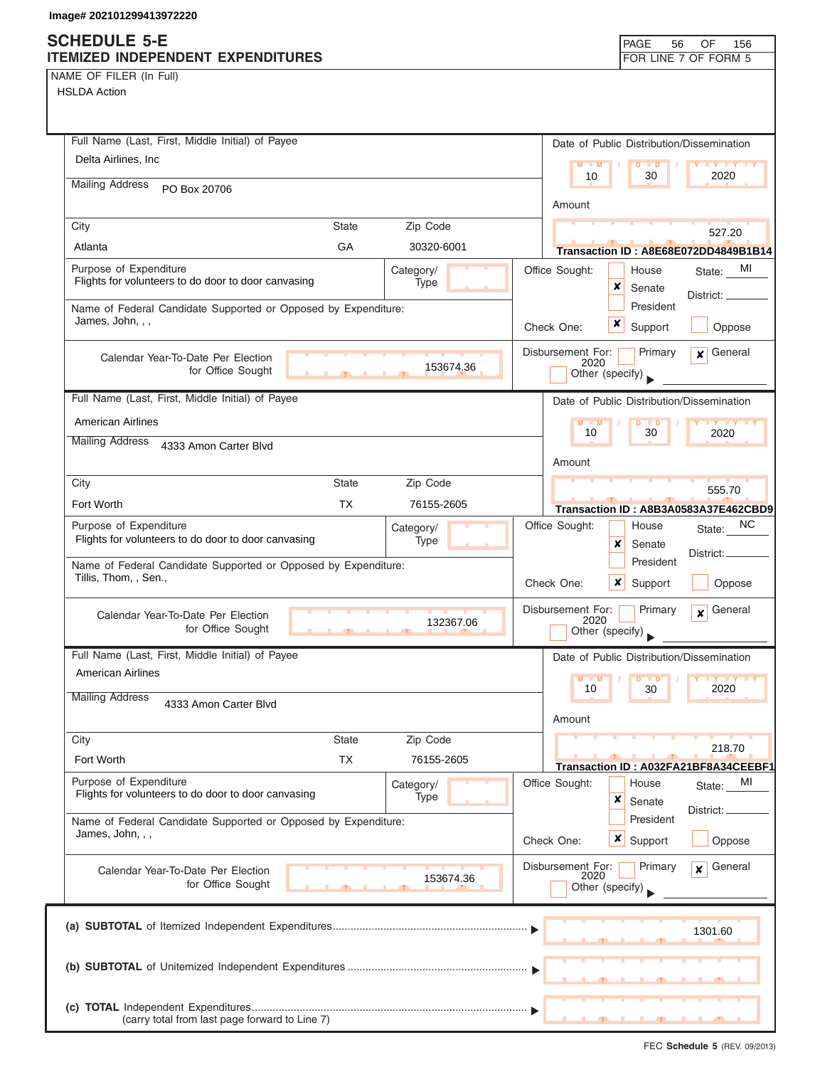# **SCHEDULE 5-E**

| <b>SUNEDULE 3-E</b><br>ITEMIZED INDEPENDENT EXPENDITURES                           |              |                   |                           | <b>PAGE</b><br>56                          | OF<br>156<br>FOR LINE 7 OF FORM 5              |
|------------------------------------------------------------------------------------|--------------|-------------------|---------------------------|--------------------------------------------|------------------------------------------------|
| NAME OF FILER (In Full)                                                            |              |                   |                           |                                            |                                                |
| <b>HSLDA Action</b>                                                                |              |                   |                           |                                            |                                                |
|                                                                                    |              |                   |                           |                                            |                                                |
| Full Name (Last, First, Middle Initial) of Payee                                   |              |                   |                           |                                            |                                                |
| Delta Airlines, Inc.                                                               |              |                   |                           | Date of Public Distribution/Dissemination  |                                                |
|                                                                                    |              |                   |                           | $M = M$<br>$D$ $D$<br>10<br>30             | <b>LY LY LY</b><br>2020                        |
| <b>Mailing Address</b><br>PO Box 20706                                             |              |                   |                           |                                            |                                                |
|                                                                                    |              |                   | Amount                    |                                            |                                                |
| City                                                                               | <b>State</b> | Zip Code          |                           |                                            | 527.20                                         |
| Atlanta                                                                            | GA           | 30320-6001        |                           |                                            | Transaction ID: A8E68E072DD4849B1B14           |
| Purpose of Expenditure<br>Flights for volunteers to do door to door canvasing      |              | Category/<br>Type | Office Sought:            | House                                      | MI<br>State:                                   |
|                                                                                    |              |                   |                           | ×<br>Senate                                | District: _                                    |
| Name of Federal Candidate Supported or Opposed by Expenditure:<br>James, John, , , |              |                   |                           | President<br>×                             |                                                |
|                                                                                    |              |                   | Check One:                | Support                                    | Oppose                                         |
| Calendar Year-To-Date Per Election                                                 |              |                   | Disbursement For:         | Primary<br>2020                            | General<br>$\mathbf{x}$                        |
| for Office Sought                                                                  |              | 153674.36         |                           | Other (specify)                            |                                                |
| Full Name (Last, First, Middle Initial) of Payee                                   |              |                   |                           | Date of Public Distribution/Dissemination  |                                                |
| <b>American Airlines</b>                                                           |              |                   |                           | $M - M$<br>$D$ $D$                         | <b>LY LY LY</b>                                |
| <b>Mailing Address</b><br>4333 Amon Carter Blvd                                    |              |                   |                           | 10<br>30                                   | 2020                                           |
|                                                                                    |              |                   | Amount                    |                                            |                                                |
| City                                                                               | <b>State</b> | Zip Code          |                           |                                            |                                                |
| Fort Worth                                                                         | <b>TX</b>    | 76155-2605        |                           |                                            | 555.70<br>Transaction ID: A8B3A0583A37E462CBD9 |
| Purpose of Expenditure                                                             |              | Category/         | Office Sought:            | House                                      | NC.<br>State:                                  |
| Flights for volunteers to do door to door canvasing                                |              | Type              |                           | ×<br>Senate                                |                                                |
| Name of Federal Candidate Supported or Opposed by Expenditure:                     |              |                   |                           | President                                  | District:                                      |
| Tillis, Thom, , Sen.,                                                              |              |                   | Check One:                | ×<br>Support                               | Oppose                                         |
|                                                                                    |              |                   | Disbursement For:         | Primary                                    | General<br>$\mathbf{x}$                        |
| Calendar Year-To-Date Per Election<br>for Office Sought                            |              | 132367.06         |                           | 2020<br>Other (specify)                    |                                                |
|                                                                                    |              |                   |                           |                                            |                                                |
| Full Name (Last, First, Middle Initial) of Payee                                   |              |                   |                           | Date of Public Distribution/Dissemination  |                                                |
| <b>American Airlines</b>                                                           |              |                   |                           | $M - M$<br>D<br>$\blacksquare$<br>10<br>30 | <b>TY TY TY</b><br>2020                        |
| <b>Mailing Address</b><br>4333 Amon Carter Blvd                                    |              |                   |                           |                                            |                                                |
|                                                                                    |              |                   | Amount                    |                                            |                                                |
| City                                                                               | <b>State</b> | Zip Code          |                           |                                            | 218.70                                         |
| Fort Worth                                                                         | <b>TX</b>    | 76155-2605        |                           | Transaction ID: A032FA21BF8A34CEEBF1       |                                                |
| Purpose of Expenditure                                                             |              | Category/         | Office Sought:            | House                                      | МI<br>State:                                   |
| Flights for volunteers to do door to door canvasing                                |              | Type              |                           | ×<br>Senate                                | District: _                                    |
| Name of Federal Candidate Supported or Opposed by Expenditure:                     |              |                   |                           | President                                  |                                                |
| James, John, , ,                                                                   |              |                   | Check One:                | <b>x</b> Support                           | Oppose                                         |
| Calendar Year-To-Date Per Election                                                 |              |                   | Disbursement For:<br>2020 | Primary                                    | General<br>$\mathbf{x}$                        |
| for Office Sought                                                                  |              | 153674.36         |                           | Other (specify)                            |                                                |
|                                                                                    |              |                   |                           |                                            |                                                |
|                                                                                    |              |                   |                           |                                            | 1301.60                                        |
|                                                                                    |              |                   |                           |                                            |                                                |
|                                                                                    |              |                   |                           |                                            |                                                |
|                                                                                    |              |                   |                           |                                            |                                                |
| (carry total from last page forward to Line 7)                                     |              |                   |                           | ┸<br>$\overline{\phantom{a}}$              | <u>____</u>                                    |
|                                                                                    |              |                   |                           |                                            |                                                |

┑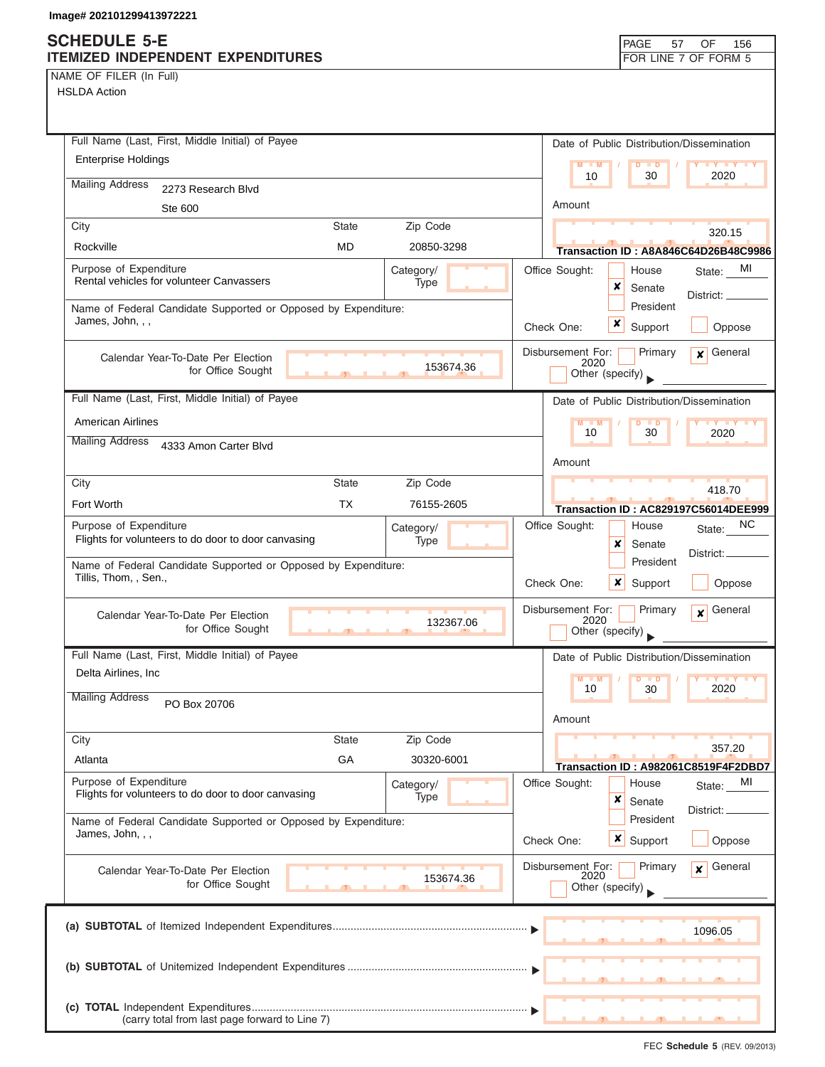### **SCHEDULE 5-E ITEMIZED INDEPENDENT EXPENDITURES FOR LINE 7 OF FORM 5**

| Full Name (Last, First, Middle Initial) of Payee                                                   | Date of Public Distribution/Dissemination                                              |
|----------------------------------------------------------------------------------------------------|----------------------------------------------------------------------------------------|
| <b>Enterprise Holdings</b>                                                                         | $M - M$<br>$D$ $D$<br>$Y$ $Y$                                                          |
| <b>Mailing Address</b><br>2273 Research Blvd                                                       | 2020<br>10<br>30                                                                       |
| Ste 600                                                                                            | Amount                                                                                 |
| Zip Code<br>City<br><b>State</b>                                                                   | 320.15                                                                                 |
| Rockville<br><b>MD</b><br>20850-3298                                                               | Transaction ID: A8A846C64D26B48C9986                                                   |
| Purpose of Expenditure<br>Category/                                                                | Office Sought:<br>MI<br>House<br>State:                                                |
| Rental vehicles for volunteer Canvassers<br>Type                                                   | x<br>Senate<br>District: _                                                             |
| Name of Federal Candidate Supported or Opposed by Expenditure:                                     | President                                                                              |
| James, John, , ,                                                                                   | x<br>Check One:<br>Support<br>Oppose                                                   |
| Calendar Year-To-Date Per Election<br>153674.36<br>for Office Sought                               | Disbursement For:<br>Primary<br>General<br>x<br>2020<br>Other (specify)                |
| Full Name (Last, First, Middle Initial) of Payee                                                   | Date of Public Distribution/Dissemination                                              |
| <b>American Airlines</b>                                                                           | $M - M$<br>D<br><b>TY TY TY</b><br>$\blacksquare$                                      |
| <b>Mailing Address</b><br>4333 Amon Carter Blvd                                                    | 30<br>2020<br>10                                                                       |
|                                                                                                    | Amount                                                                                 |
| Zip Code<br>City<br><b>State</b>                                                                   | 418.70                                                                                 |
| <b>TX</b><br>Fort Worth<br>76155-2605                                                              | <b>Transaction ID: AC829197C56014DEE999</b>                                            |
| Purpose of Expenditure<br>Category/<br>Flights for volunteers to do door to door canvasing<br>Type | Office Sought:<br>NC.<br>House<br>State:<br>×<br>Senate<br>District: _                 |
| Name of Federal Candidate Supported or Opposed by Expenditure:<br>Tillis, Thom, , Sen.,            | President<br>Check One:<br>x<br>Support<br>Oppose                                      |
| Calendar Year-To-Date Per Election<br>132367.06<br>for Office Sought<br>$\mathbf{L}$               | General<br>Disbursement For:<br>Primary<br>$\boldsymbol{x}$<br>2020<br>Other (specify) |
| Full Name (Last, First, Middle Initial) of Payee                                                   | Date of Public Distribution/Dissemination                                              |
| Delta Airlines, Inc.                                                                               | M                                                                                      |
| <b>Mailing Address</b><br>PO Box 20706                                                             | 10<br>2020<br>30                                                                       |
|                                                                                                    | Amount                                                                                 |
| <b>State</b><br>Zip Code<br>City                                                                   | 357.20                                                                                 |
| GA<br>Atlanta<br>30320-6001                                                                        | Transaction ID: A982061C8519F4F2DBD7                                                   |
| Purpose of Expenditure<br>Category/<br>Flights for volunteers to do door to door canvasing<br>Type | Office Sought:<br>House<br>MI<br>State:<br>×<br>Senate                                 |
| Name of Federal Candidate Supported or Opposed by Expenditure:<br>James, John, , ,                 | District:<br>President                                                                 |
|                                                                                                    | x<br>Check One:<br>Support<br>Oppose                                                   |
| Calendar Year-To-Date Per Election<br>153674.36<br>for Office Sought                               | General<br>Disbursement For:<br>Primary<br>¥<br>2020<br>Other (specify)                |
|                                                                                                    |                                                                                        |
|                                                                                                    | 1096.05                                                                                |
|                                                                                                    |                                                                                        |
|                                                                                                    |                                                                                        |
| (carry total from last page forward to Line 7)                                                     |                                                                                        |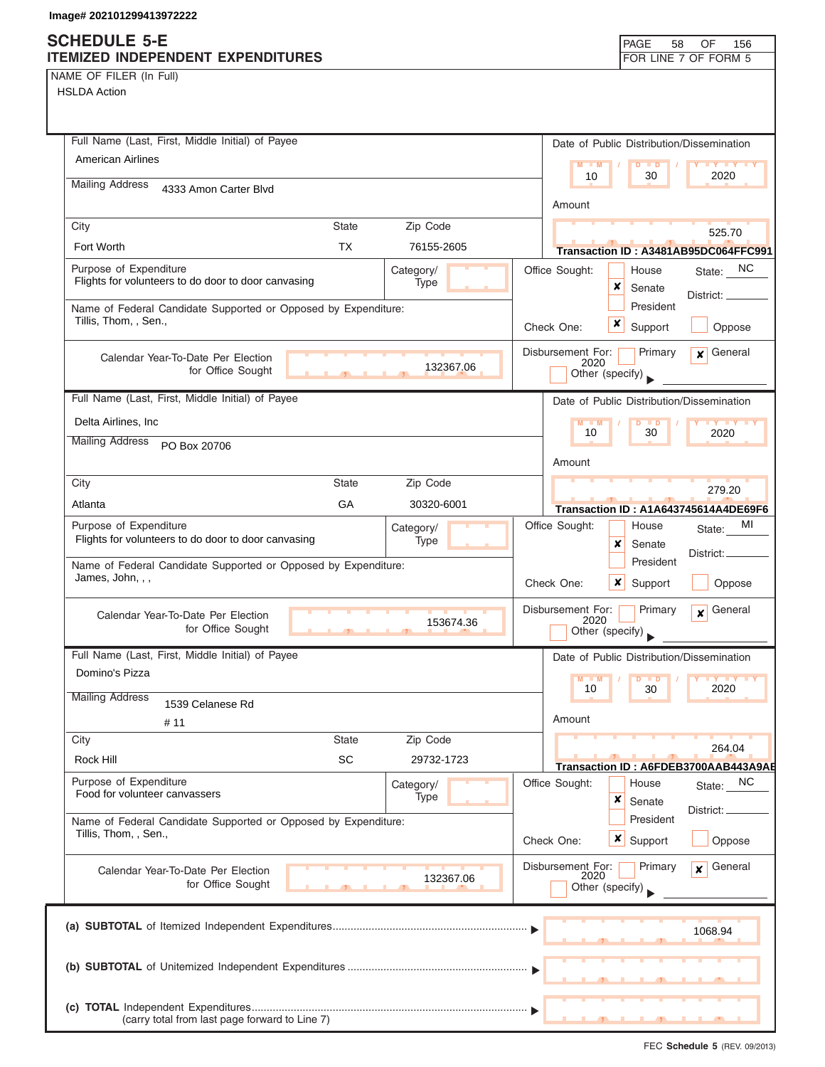NAME OF FILER (In Full)

| Full Name (Last, First, Middle Initial) of Payee               |              |                   |                       | Date of Public Distribution/Dissemination |                                            |
|----------------------------------------------------------------|--------------|-------------------|-----------------------|-------------------------------------------|--------------------------------------------|
| American Airlines                                              |              |                   | M<br>$\blacksquare$ M | $\blacksquare$<br>D                       |                                            |
| <b>Mailing Address</b><br>4333 Amon Carter Blvd                |              |                   | 10                    | 30                                        | 2020                                       |
|                                                                |              |                   | Amount                |                                           |                                            |
| City                                                           | <b>State</b> | Zip Code          |                       |                                           | 525.70                                     |
| Fort Worth                                                     | TX.          | 76155-2605        |                       |                                           | Transaction ID: A3481AB95DC064FFC991       |
| Purpose of Expenditure                                         |              | Category/         | Office Sought:        | House                                     | State: NC                                  |
| Flights for volunteers to do door to door canvasing            |              | Type              |                       | x<br>Senate                               | Distict:                                   |
| Name of Federal Candidate Supported or Opposed by Expenditure: |              |                   |                       | President                                 |                                            |
| Tillis, Thom, , Sen.,                                          |              |                   | Check One:            | x<br>Support                              | Oppose                                     |
| Calendar Year-To-Date Per Election                             |              |                   | Disbursement For:     | Primary                                   | $\mathbf x$ General                        |
| for Office Sought                                              |              | 132367.06         | 2020                  | Other (specify)                           |                                            |
| Full Name (Last, First, Middle Initial) of Payee               |              |                   |                       | Date of Public Distribution/Dissemination |                                            |
| Delta Airlines, Inc                                            |              |                   | $M - M$               | $D$ $D$                                   | <b>TY TY TY</b>                            |
| <b>Mailing Address</b><br>PO Box 20706                         |              |                   | 10                    | 30                                        | 2020                                       |
|                                                                |              |                   | Amount                |                                           |                                            |
| City                                                           | <b>State</b> | Zip Code          |                       |                                           | 279.20                                     |
| Atlanta                                                        | GA           | 30320-6001        |                       |                                           | Transaction ID: A1A643745614A4DE69F6       |
| Purpose of Expenditure                                         |              | Category/         | Office Sought:        | House                                     | MI<br>State:                               |
| Flights for volunteers to do door to door canvasing            |              | Type              |                       | x<br>Senate                               |                                            |
| Name of Federal Candidate Supported or Opposed by Expenditure: |              |                   |                       | President                                 | District:                                  |
| James, John, , ,                                               |              |                   | Check One:            | $\boldsymbol{\mathsf{x}}$<br>Support      | Oppose                                     |
| Calendar Year-To-Date Per Election                             |              |                   | Disbursement For:     | Primary                                   | General<br>$\mathbf{x}$                    |
| for Office Sought                                              |              | 153674.36         | 2020                  | Other (specify)                           |                                            |
| Full Name (Last, First, Middle Initial) of Payee               |              |                   |                       | Date of Public Distribution/Dissemination |                                            |
| Domino's Pizza                                                 |              |                   | $M - M$               | $\overline{D}$<br>$\blacksquare$          | <b>LY LY</b>                               |
| <b>Mailing Address</b>                                         |              |                   | 10                    | 30                                        | 2020                                       |
| 1539 Celanese Rd                                               |              |                   | Amount                |                                           |                                            |
| # 11<br>City                                                   | <b>State</b> | Zip Code          |                       |                                           |                                            |
| Rock Hill                                                      | SC           | 29732-1723        |                       |                                           | 264.04                                     |
| Purpose of Expenditure                                         |              |                   | Office Sought:        | House                                     | Transaction ID: A6FDEB3700AAB443A9AE<br>NC |
| Food for volunteer canvassers                                  |              | Category/<br>Type |                       | x<br>Senate                               | State:                                     |
| Name of Federal Candidate Supported or Opposed by Expenditure: |              |                   |                       | President                                 | District:                                  |
| Tillis, Thom, , Sen.,                                          |              |                   | Check One:            | <b>x</b> Support                          | Oppose                                     |
|                                                                |              |                   | Disbursement For:     | Primary                                   | General                                    |
| Calendar Year-To-Date Per Election<br>for Office Sought        |              | 132367.06         | 2020                  | Other (specify)                           | $\mathbf{x}$                               |
|                                                                |              |                   |                       |                                           |                                            |
|                                                                |              |                   |                       |                                           |                                            |
|                                                                |              |                   |                       |                                           | 1068.94                                    |
|                                                                |              |                   |                       |                                           |                                            |
|                                                                |              |                   |                       |                                           |                                            |
|                                                                |              |                   |                       |                                           |                                            |
| (carry total from last page forward to Line 7)                 |              |                   |                       |                                           |                                            |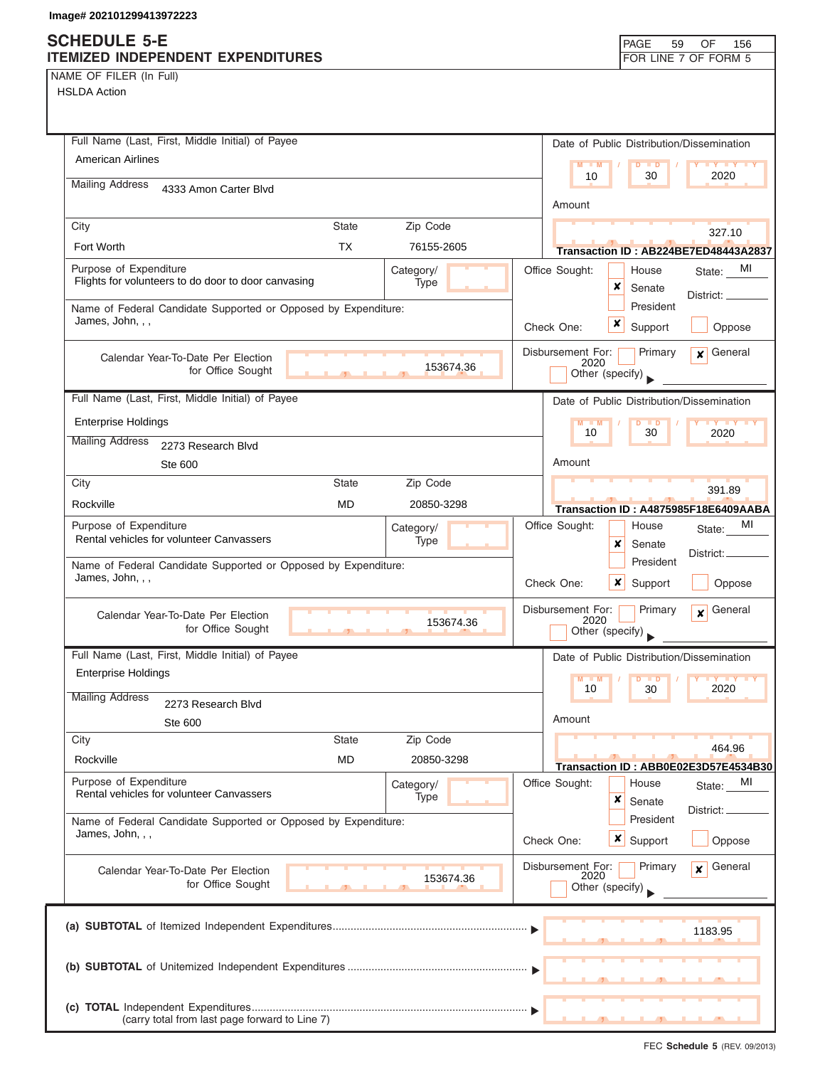NAME OF FILER (In Full)

| Full Name (Last, First, Middle Initial) of Payee                                                   | Date of Public Distribution/Dissemination                                          |
|----------------------------------------------------------------------------------------------------|------------------------------------------------------------------------------------|
| <b>American Airlines</b>                                                                           | $M - M$<br>D<br>$\blacksquare$<br>$Y$ $Y$<br>2020<br>10<br>30                      |
| <b>Mailing Address</b><br>4333 Amon Carter Blvd                                                    |                                                                                    |
|                                                                                                    | Amount                                                                             |
| City<br>Zip Code<br><b>State</b><br><b>TX</b><br>Fort Worth                                        | 327.10                                                                             |
| 76155-2605                                                                                         | Transaction ID: AB224BE7ED48443A2837                                               |
| Purpose of Expenditure<br>Category/<br>Flights for volunteers to do door to door canvasing<br>Type | Office Sought:<br>MI<br>House<br>State:<br>×<br>Senate                             |
| Name of Federal Candidate Supported or Opposed by Expenditure:                                     | District: ____<br>President                                                        |
| James, John, , ,                                                                                   | x<br>Support<br>Check One:<br>Oppose                                               |
| Calendar Year-To-Date Per Election                                                                 | Disbursement For:<br>Primary<br>General<br>$\mathbf{x}$<br>2020                    |
| 153674.36<br>for Office Sought                                                                     | Other (specify)                                                                    |
| Full Name (Last, First, Middle Initial) of Payee                                                   | Date of Public Distribution/Dissemination                                          |
| <b>Enterprise Holdings</b>                                                                         | $M - M$<br>$\overline{D}$<br>$\blacksquare$<br><b>IV IV</b><br>30<br>10<br>2020    |
| <b>Mailing Address</b><br>2273 Research Blvd                                                       |                                                                                    |
| Ste 600                                                                                            | Amount                                                                             |
| <b>State</b><br>Zip Code<br>City                                                                   | 391.89                                                                             |
| Rockville<br><b>MD</b><br>20850-3298                                                               | Transaction ID: A4875985F18E6409AABA                                               |
| Purpose of Expenditure<br>Category/<br>Rental vehicles for volunteer Canvassers<br>Type            | MI<br>Office Sought:<br>House<br>State:                                            |
|                                                                                                    | x<br>Senate<br>District:<br>President                                              |
| Name of Federal Candidate Supported or Opposed by Expenditure:<br>James, John, , ,                 | Check One:<br>x<br>Support<br>Oppose                                               |
| Calendar Year-To-Date Per Election<br>153674.36<br>for Office Sought                               | Disbursement For:<br>General<br>Primary<br>$\mathbf{x}$<br>2020<br>Other (specify) |
| Full Name (Last, First, Middle Initial) of Payee                                                   | Date of Public Distribution/Dissemination                                          |
| <b>Enterprise Holdings</b>                                                                         | $M - M$<br>D<br>$\blacksquare$                                                     |
| <b>Mailing Address</b><br>2273 Research Blvd                                                       | 10<br>30<br>2020                                                                   |
| Ste 600                                                                                            | Amount                                                                             |
| City<br><b>State</b><br>Zip Code                                                                   | 464.96                                                                             |
| Rockville<br><b>MD</b><br>20850-3298                                                               | Transaction ID: ABB0E02E3D57E4534B30                                               |
| Purpose of Expenditure<br>Category/<br>Rental vehicles for volunteer Canvassers<br>Type            | Office Sought:<br>MI<br>House<br>State:                                            |
|                                                                                                    | ×<br>Senate<br>District:<br>President                                              |
| Name of Federal Candidate Supported or Opposed by Expenditure:<br>James, John, , ,                 | Check One:<br>$\boldsymbol{x}$<br>Support<br>Oppose                                |
| Calendar Year-To-Date Per Election<br>153674.36                                                    | Disbursement For:<br>Primary<br>General<br>x<br>2020                               |
| for Office Sought                                                                                  | Other (specify)                                                                    |
|                                                                                                    | 1183.95                                                                            |
|                                                                                                    |                                                                                    |
|                                                                                                    |                                                                                    |
|                                                                                                    |                                                                                    |
| (carry total from last page forward to Line 7)                                                     |                                                                                    |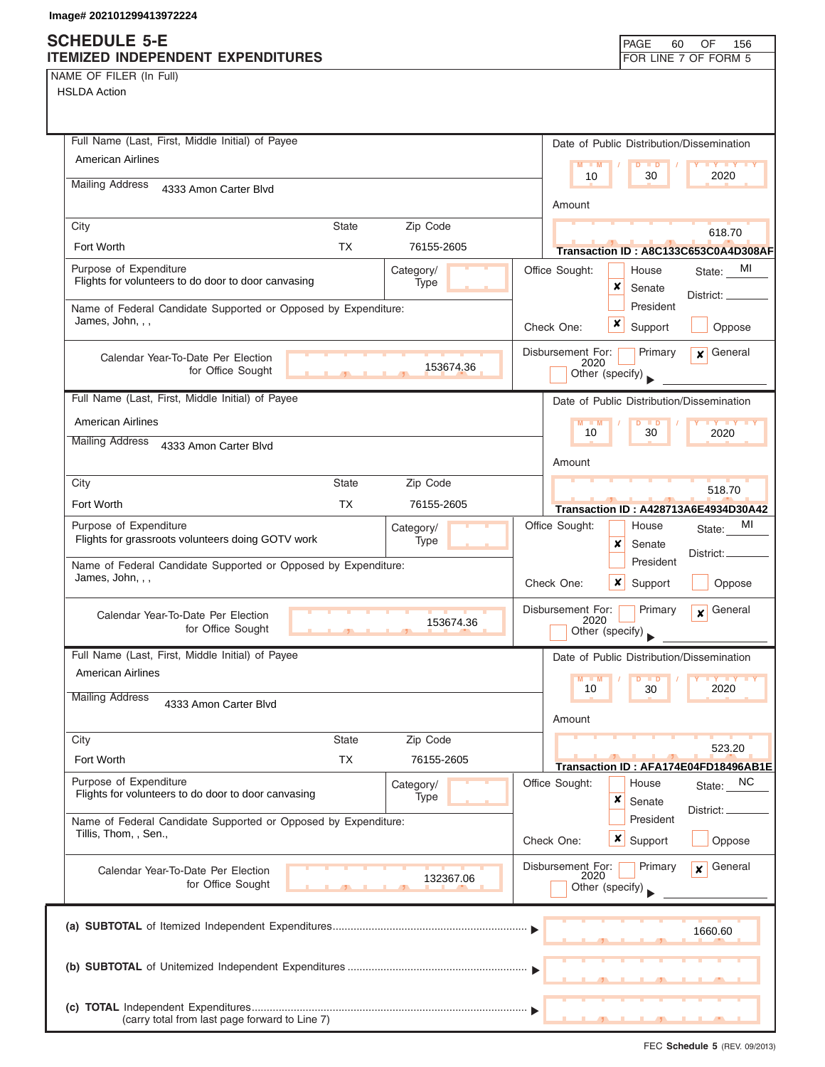NAME OF FILER (In Full)

| Full Name (Last, First, Middle Initial) of Payee                                           | Date of Public Distribution/Dissemination                                    |
|--------------------------------------------------------------------------------------------|------------------------------------------------------------------------------|
| <b>American Airlines</b>                                                                   | $M = M$<br>$D$ $D$<br><b>TY TY TY</b><br>2020                                |
| <b>Mailing Address</b><br>4333 Amon Carter Blvd                                            | 10<br>30                                                                     |
|                                                                                            | Amount                                                                       |
| City<br><b>State</b>                                                                       | Zip Code<br>618.70                                                           |
| <b>TX</b><br>Fort Worth                                                                    | 76155-2605<br>Transaction ID: A8C133C653C0A4D308AF                           |
| Purpose of Expenditure<br>Category/<br>Flights for volunteers to do door to door canvasing | MI<br>Office Sought:<br>House<br>State:<br>Type                              |
|                                                                                            | ×<br>Senate<br>District:<br>President                                        |
| Name of Federal Candidate Supported or Opposed by Expenditure:<br>James, John, , ,         | ×<br>Support<br>Check One:<br>Oppose                                         |
|                                                                                            |                                                                              |
| Calendar Year-To-Date Per Election<br>for Office Sought                                    | General<br>Disbursement For:<br>Primary<br>$\mathbf{x}$<br>2020<br>153674.36 |
| $\overline{1}$                                                                             | Other (specify)                                                              |
| Full Name (Last, First, Middle Initial) of Payee                                           | Date of Public Distribution/Dissemination                                    |
| <b>American Airlines</b>                                                                   | $M - M$<br>$D$ $D$<br><b>TY TY TY</b><br>30<br>10<br>2020                    |
| <b>Mailing Address</b><br>4333 Amon Carter Blvd                                            |                                                                              |
|                                                                                            | Amount                                                                       |
| City<br><b>State</b>                                                                       | Zip Code<br>518.70                                                           |
| Fort Worth<br>ТX                                                                           | 76155-2605<br>Transaction ID: A428713A6E4934D30A42                           |
| Purpose of Expenditure<br>Category/<br>Flights for grassroots volunteers doing GOTV work   | MI<br>Office Sought:<br>House<br>State:<br>Type                              |
|                                                                                            | x<br>Senate<br>District:<br>President                                        |
| Name of Federal Candidate Supported or Opposed by Expenditure:<br>James, John, , ,         | Check One:<br>$\boldsymbol{\mathsf{x}}$<br>Support<br>Oppose                 |
|                                                                                            |                                                                              |
| Calendar Year-To-Date Per Election<br>for Office Sought                                    | Disbursement For:<br>General<br>Primary<br>$\mathbf{x}$<br>2020<br>153674.36 |
|                                                                                            | Other (specify)                                                              |
| Full Name (Last, First, Middle Initial) of Payee                                           | Date of Public Distribution/Dissemination                                    |
| <b>American Airlines</b>                                                                   | $M - M$<br>D<br>$\blacksquare$<br>10<br>30<br>2020                           |
| <b>Mailing Address</b><br>4333 Amon Carter Blvd                                            |                                                                              |
|                                                                                            | Amount                                                                       |
| City<br><b>State</b>                                                                       | Zip Code<br>523.20                                                           |
| <b>TX</b><br>Fort Worth                                                                    | 76155-2605<br>Transaction ID: AFA174E04FD18496AB1E                           |
| Purpose of Expenditure<br>Category/<br>Flights for volunteers to do door to door canvasing | Office Sought:<br>NC<br>House<br>State:<br>Type<br>×                         |
|                                                                                            | Senate<br>District:<br>President                                             |
| Name of Federal Candidate Supported or Opposed by Expenditure:<br>Tillis, Thom, , Sen.,    | Check One:<br>x<br>Support<br>Oppose                                         |
|                                                                                            |                                                                              |
| Calendar Year-To-Date Per Election<br>for Office Sought                                    | Disbursement For:<br>General<br>Primary<br>$\mathbf{x}$<br>2020<br>132367.06 |
|                                                                                            | Other (specify)                                                              |
|                                                                                            |                                                                              |
|                                                                                            | 1660.60                                                                      |
|                                                                                            |                                                                              |
|                                                                                            |                                                                              |
|                                                                                            |                                                                              |
| (carry total from last page forward to Line 7)                                             |                                                                              |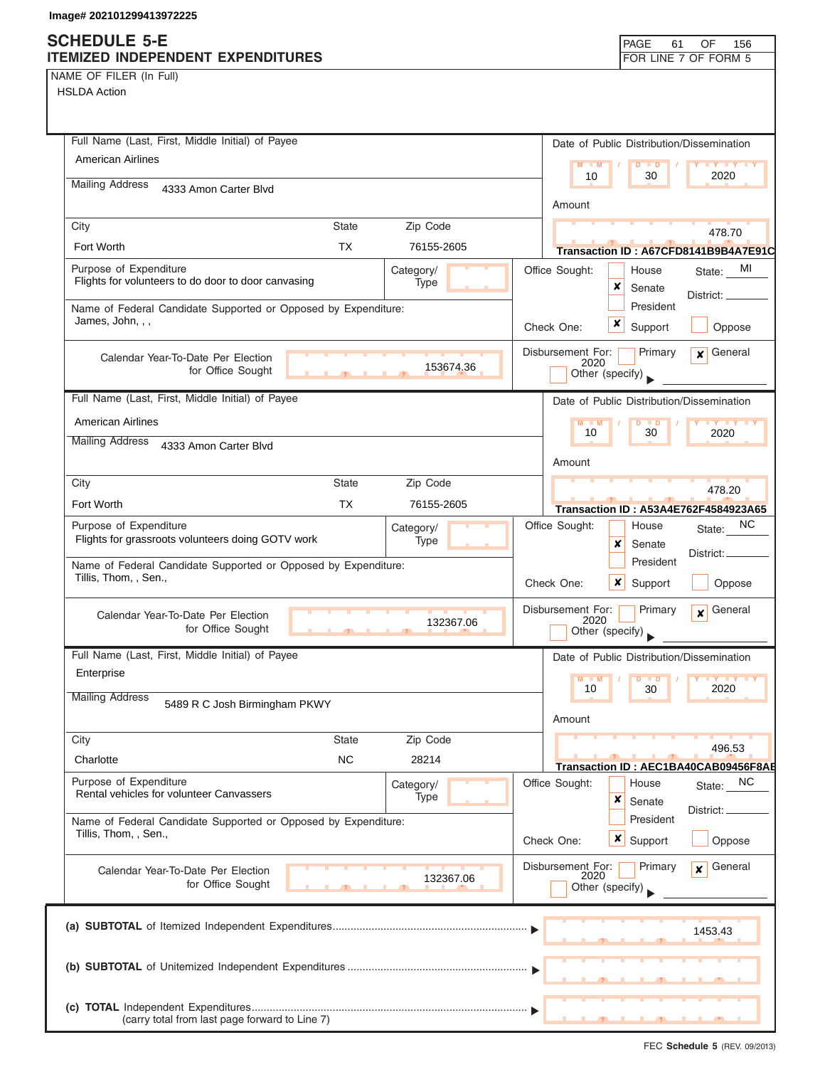## **SCHEDULE 5-E ITEMIZED INDEPENDENT EXPENDITURES**

| PAGE 61              | OF 156 |  |
|----------------------|--------|--|
| FOR LINE 7 OF FORM 5 |        |  |

NAME OF FILER (In Full)

| Full Name (Last, First, Middle Initial) of Payee                                                   | Date of Public Distribution/Dissemination                                        |
|----------------------------------------------------------------------------------------------------|----------------------------------------------------------------------------------|
| <b>American Airlines</b>                                                                           | $M - M$<br>$\blacksquare$<br>10<br>30<br>2020                                    |
| <b>Mailing Address</b><br>4333 Amon Carter Blvd                                                    |                                                                                  |
|                                                                                                    | Amount                                                                           |
| <b>State</b><br>Zip Code<br>City                                                                   | 478.70                                                                           |
| <b>TX</b><br>Fort Worth<br>76155-2605                                                              | Transaction ID: A67CFD8141B9B4A7E91C                                             |
| Purpose of Expenditure<br>Category/<br>Flights for volunteers to do door to door canvasing<br>Type | MI<br>Office Sought:<br>House<br>State:<br>x                                     |
| Name of Federal Candidate Supported or Opposed by Expenditure:                                     | Senate<br>District: _<br>President                                               |
| James, John, , ,                                                                                   | x<br>Check One:<br>Oppose<br>Support                                             |
|                                                                                                    | General<br>Disbursement For:<br>Primary<br>$\mathbf{x}$                          |
| Calendar Year-To-Date Per Election<br>153674.36<br>for Office Sought                               | 2020<br>Other (specify)                                                          |
|                                                                                                    |                                                                                  |
| Full Name (Last, First, Middle Initial) of Payee                                                   | Date of Public Distribution/Dissemination                                        |
| <b>American Airlines</b>                                                                           | $M - M$<br>$\blacksquare$<br>10<br>30<br>2020                                    |
| <b>Mailing Address</b><br>4333 Amon Carter Blvd                                                    |                                                                                  |
| State<br>Zip Code<br>City                                                                          | Amount                                                                           |
| Fort Worth<br><b>TX</b><br>76155-2605                                                              | 478.20                                                                           |
| Purpose of Expenditure                                                                             | Transaction ID: A53A4E762F4584923A65<br><sub>NC</sub><br>Office Sought:<br>House |
| Category/<br>Flights for grassroots volunteers doing GOTV work<br>Type                             | State:<br>x<br>Senate                                                            |
| Name of Federal Candidate Supported or Opposed by Expenditure:                                     | District:<br>President                                                           |
| Tillis, Thom, , Sen.,                                                                              | Check One:<br>x<br>Support<br>Oppose                                             |
| Calendar Year-To-Date Per Election                                                                 | Disbursement For:<br>Primary<br>General<br>$\mathbf{x}$                          |
| 132367.06<br>for Office Sought                                                                     | 2020<br>Other (specify)                                                          |
| Full Name (Last, First, Middle Initial) of Payee                                                   | Date of Public Distribution/Dissemination                                        |
| Enterprise                                                                                         | M<br>M<br>$\blacksquare$                                                         |
| <b>Mailing Address</b><br>5489 R C Josh Birmingham PKWY                                            | 2020<br>10<br>30                                                                 |
|                                                                                                    | Amount                                                                           |
| Zip Code<br>City<br><b>State</b>                                                                   | 496.53                                                                           |
| <b>NC</b><br>Charlotte<br>28214                                                                    | Transaction ID: AEC1BA40CAB09456F8AB                                             |
| Purpose of Expenditure<br>Category/                                                                | Office Sought:<br><sub>NC</sub><br>House<br>State:                               |
| Rental vehicles for volunteer Canvassers<br>Type                                                   | ×<br>Senate<br>District:                                                         |
| Name of Federal Candidate Supported or Opposed by Expenditure:<br>Tillis, Thom, , Sen.,            | President                                                                        |
|                                                                                                    | $\mathsf{x}$<br>Support<br>Check One:<br>Oppose                                  |
| Calendar Year-To-Date Per Election<br>132367.06                                                    | Disbursement For:<br>General<br>Primary<br>$\mathbf{x}$<br>2020                  |
| for Office Sought                                                                                  | Other (specify)                                                                  |
|                                                                                                    |                                                                                  |
|                                                                                                    | 1453.43                                                                          |
|                                                                                                    |                                                                                  |
|                                                                                                    |                                                                                  |
|                                                                                                    |                                                                                  |
| (carry total from last page forward to Line 7)                                                     |                                                                                  |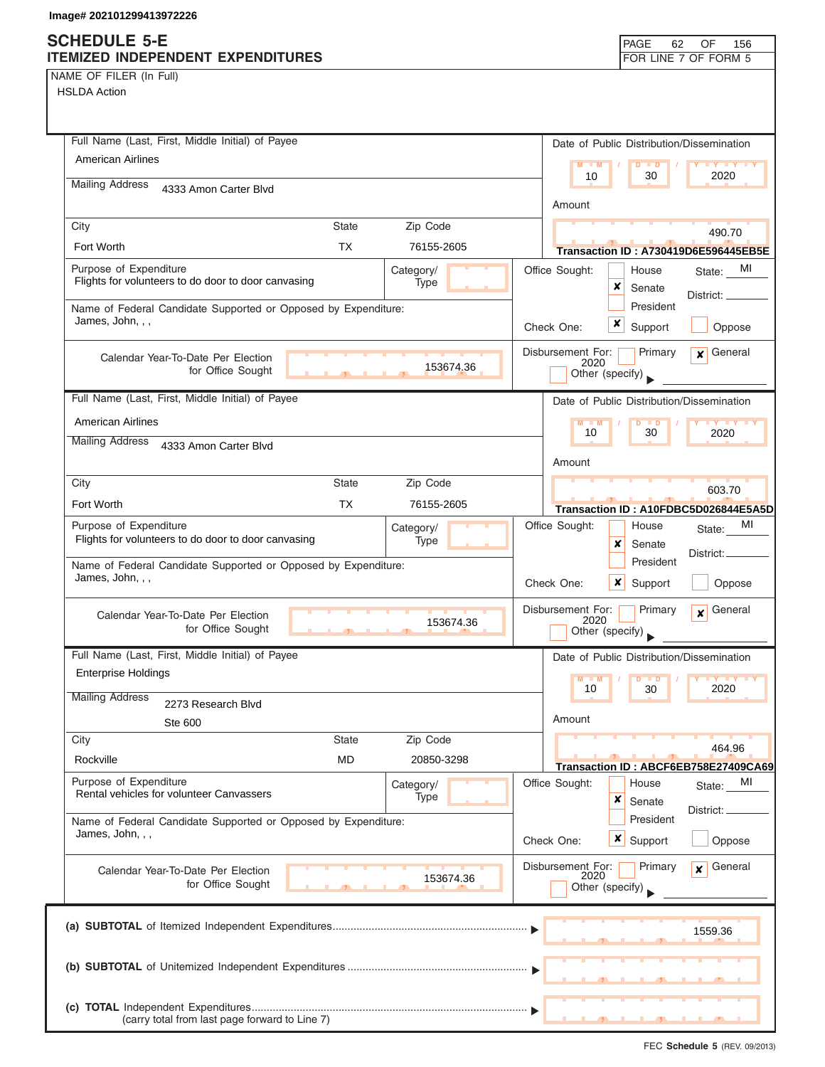| Full Name (Last, First, Middle Initial) of Payee                                   |              |                   |                |                           | Date of Public Distribution/Dissemination |                                                |
|------------------------------------------------------------------------------------|--------------|-------------------|----------------|---------------------------|-------------------------------------------|------------------------------------------------|
| <b>American Airlines</b>                                                           |              |                   |                | $M - M$                   | $\overline{D}$<br>$\blacksquare$          | <b>TY TY</b>                                   |
| <b>Mailing Address</b><br>4333 Amon Carter Blvd                                    |              |                   |                | 10                        | 30                                        | 2020                                           |
|                                                                                    |              |                   |                | Amount                    |                                           |                                                |
| City                                                                               | <b>State</b> | Zip Code          |                |                           |                                           | 490.70                                         |
| Fort Worth                                                                         | <b>TX</b>    | 76155-2605        |                |                           |                                           | Transaction ID: A730419D6E596445EB5E           |
| Purpose of Expenditure                                                             |              | Category/         | Office Sought: |                           | House                                     | MI<br>State:                                   |
| Flights for volunteers to do door to door canvasing                                |              | Type              |                |                           | x<br>Senate                               | District: _                                    |
| Name of Federal Candidate Supported or Opposed by Expenditure:                     |              |                   |                |                           | President                                 |                                                |
| James, John, , ,                                                                   |              |                   | Check One:     |                           | x<br>Support                              | Oppose                                         |
| Calendar Year-To-Date Per Election                                                 |              |                   |                | Disbursement For:         | Primary                                   | $x$ General                                    |
| for Office Sought                                                                  |              | 153674.36         |                | 2020<br>Other (specify)   |                                           |                                                |
| Full Name (Last, First, Middle Initial) of Payee                                   |              |                   |                |                           |                                           |                                                |
|                                                                                    |              |                   |                |                           | Date of Public Distribution/Dissemination |                                                |
| <b>American Airlines</b><br><b>Mailing Address</b>                                 |              |                   |                | $M - M$<br>10             | $D$ $D$<br>30                             | <b>LY LY LY</b><br>2020                        |
| 4333 Amon Carter Blvd                                                              |              |                   |                |                           |                                           |                                                |
|                                                                                    | <b>State</b> |                   |                | Amount                    |                                           |                                                |
| City                                                                               |              | Zip Code          |                |                           |                                           | 603.70                                         |
| Fort Worth                                                                         | <b>TX</b>    | 76155-2605        |                |                           |                                           | Transaction ID: A10FDBC5D026844E5A5D           |
| Purpose of Expenditure<br>Flights for volunteers to do door to door canvasing      |              | Category/<br>Type | Office Sought: |                           | House                                     | MI<br>State:                                   |
|                                                                                    |              |                   |                |                           | ×<br>Senate<br>President                  | District:                                      |
| Name of Federal Candidate Supported or Opposed by Expenditure:<br>James, John, , , |              |                   | Check One:     |                           | x<br>Support                              | Oppose                                         |
|                                                                                    |              |                   |                |                           |                                           |                                                |
| Calendar Year-To-Date Per Election                                                 |              | 153674.36         |                | Disbursement For:<br>2020 | Primary                                   | General<br>$\mathbf{x}$                        |
| for Office Sought                                                                  | 45           |                   |                | Other (specify)           |                                           |                                                |
| Full Name (Last, First, Middle Initial) of Payee                                   |              |                   |                |                           | Date of Public Distribution/Dissemination |                                                |
| <b>Enterprise Holdings</b>                                                         |              |                   |                | $M - M$                   | $D$ $D$                                   | $Y$ $Y$                                        |
| <b>Mailing Address</b><br>2273 Research Blvd                                       |              |                   |                | 10                        | 30                                        | 2020                                           |
| Ste 600                                                                            |              |                   |                | Amount                    |                                           |                                                |
| City                                                                               | <b>State</b> | Zip Code          |                |                           |                                           |                                                |
| Rockville                                                                          | MD           | 20850-3298        |                |                           |                                           | 464.96<br>Transaction ID: ABCF6EB758E27409CA69 |
| Purpose of Expenditure                                                             |              | Category/         | Office Sought: |                           | House                                     | MI<br>State:                                   |
| Rental vehicles for volunteer Canvassers                                           |              | Type              |                |                           | ×<br>Senate                               |                                                |
| Name of Federal Candidate Supported or Opposed by Expenditure:                     |              |                   |                |                           | President                                 | District: <sub>-</sub>                         |
| James, John, , ,                                                                   |              |                   | Check One:     |                           | $\boldsymbol{\mathsf{x}}$  <br>Support    | Oppose                                         |
| Calendar Year-To-Date Per Election                                                 |              |                   |                | Disbursement For:         | Primary                                   | General<br>$\mathbf{x}$                        |
| for Office Sought                                                                  |              | 153674.36         |                | 2020<br>Other (specify)   |                                           |                                                |
|                                                                                    |              |                   |                |                           |                                           |                                                |
|                                                                                    |              |                   |                |                           |                                           | 1559.36                                        |
|                                                                                    |              |                   |                |                           |                                           |                                                |
|                                                                                    |              |                   |                |                           |                                           |                                                |
|                                                                                    |              |                   |                |                           |                                           |                                                |
|                                                                                    |              |                   |                |                           |                                           |                                                |
| (carry total from last page forward to Line 7)                                     |              |                   |                |                           |                                           |                                                |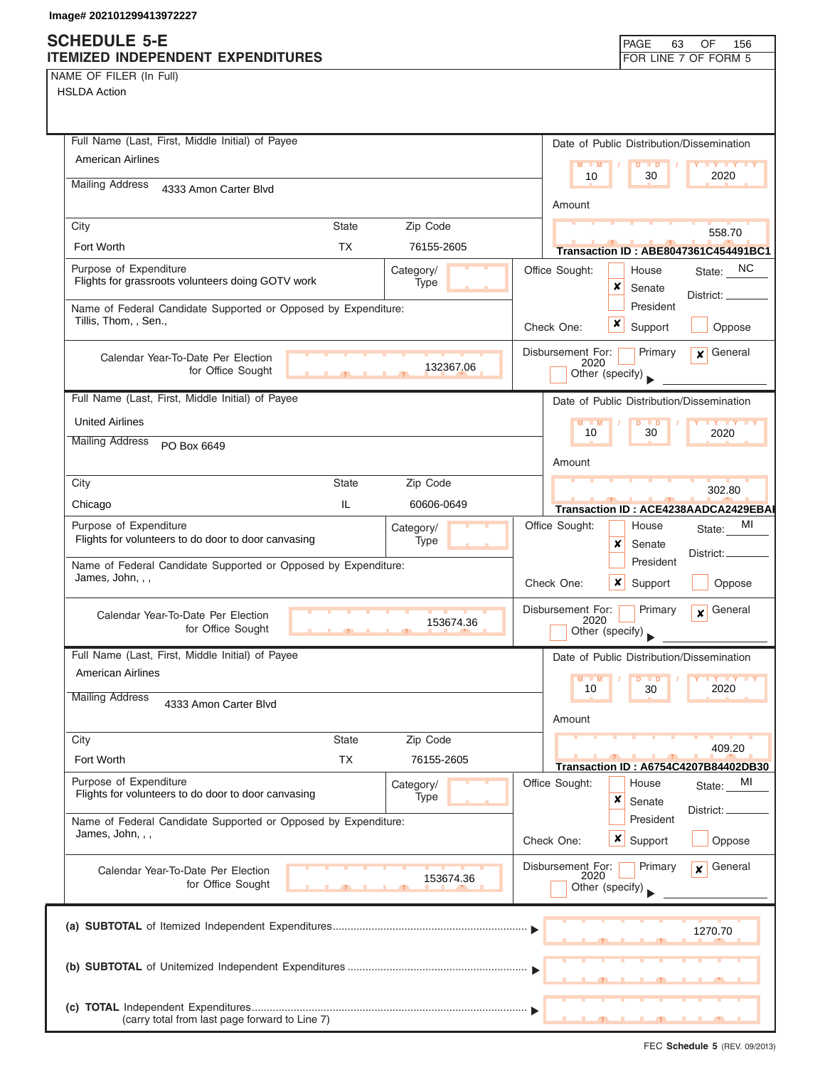NAME OF FILER (In Full)

| Full Name (Last, First, Middle Initial) of Payee                                        |              |            |  |                                | Date of Public Distribution/Dissemination      |
|-----------------------------------------------------------------------------------------|--------------|------------|--|--------------------------------|------------------------------------------------|
| American Airlines                                                                       |              |            |  | M<br>M<br>$\overline{D}$       | $\blacksquare$<br><b>TY TY</b>                 |
| <b>Mailing Address</b><br>4333 Amon Carter Blvd                                         |              |            |  | 10                             | 2020<br>30                                     |
|                                                                                         |              |            |  | Amount                         |                                                |
| City                                                                                    | <b>State</b> | Zip Code   |  |                                | 558.70                                         |
| Fort Worth                                                                              | TX           | 76155-2605 |  |                                | <b>Transaction ID: ABE8047361C454491BC1</b>    |
| Purpose of Expenditure                                                                  |              | Category/  |  | Office Sought:<br>House        | State: NC                                      |
| Flights for grassroots volunteers doing GOTV work                                       |              | Type       |  | ×<br>Senate                    | District: __                                   |
| Name of Federal Candidate Supported or Opposed by Expenditure:<br>Tillis, Thom, , Sen., |              |            |  |                                | President                                      |
|                                                                                         |              |            |  | ×<br>Support<br>Check One:     | Oppose                                         |
| Calendar Year-To-Date Per Election                                                      |              |            |  | Disbursement For:<br>2020      | $\mathbf x$ General<br>Primary                 |
| for Office Sought                                                                       | $-1$         | 132367.06  |  | Other (specify)                |                                                |
| Full Name (Last, First, Middle Initial) of Payee                                        |              |            |  |                                | Date of Public Distribution/Dissemination      |
| <b>United Airlines</b>                                                                  |              |            |  | $M - M$<br>$D$ $D$             | <b>TY TY TY</b>                                |
| <b>Mailing Address</b><br>PO Box 6649                                                   |              |            |  | 10                             | 30<br>2020                                     |
|                                                                                         |              |            |  | Amount                         |                                                |
| City                                                                                    | <b>State</b> | Zip Code   |  |                                | 302.80                                         |
| Chicago                                                                                 | IL.          | 60606-0649 |  |                                | Transaction ID: ACE4238AADCA2429EBAI           |
| Purpose of Expenditure                                                                  |              | Category/  |  | Office Sought:<br>House        | MI<br>State:                                   |
| Flights for volunteers to do door to door canvasing                                     |              | Type       |  | x<br>Senate                    | District:                                      |
| Name of Federal Candidate Supported or Opposed by Expenditure:                          |              |            |  |                                | President                                      |
| James, John, , ,                                                                        |              |            |  | $\boldsymbol{x}$<br>Check One: | Oppose<br>Support                              |
| Calendar Year-To-Date Per Election                                                      |              |            |  | Disbursement For:              | $\mathbf{x}$ General<br>Primary                |
| for Office Sought                                                                       |              | 153674.36  |  | 2020<br>Other (specify)        |                                                |
| Full Name (Last, First, Middle Initial) of Payee                                        |              |            |  |                                | Date of Public Distribution/Dissemination      |
| <b>American Airlines</b>                                                                |              |            |  | $M - M$<br>$\overline{D}$      | $\blacksquare$<br><b>IY YY</b>                 |
| <b>Mailing Address</b><br>4333 Amon Carter Blvd                                         |              |            |  | 10                             | 30<br>2020                                     |
|                                                                                         |              |            |  | Amount                         |                                                |
| City                                                                                    | <b>State</b> | Zip Code   |  |                                |                                                |
| Fort Worth                                                                              | <b>TX</b>    | 76155-2605 |  |                                | 409.20<br>Transaction ID: A6754C4207B84402DB30 |
| Purpose of Expenditure                                                                  |              | Category/  |  | Office Sought:<br>House        | MI<br>State:                                   |
| Flights for volunteers to do door to door canvasing                                     |              | Type       |  | ×<br>Senate                    |                                                |
| Name of Federal Candidate Supported or Opposed by Expenditure:                          |              |            |  |                                | District:<br>President                         |
| James, John, , ,                                                                        |              |            |  | <b>x</b> Support<br>Check One: | Oppose                                         |
| Calendar Year-To-Date Per Election                                                      |              |            |  | Disbursement For:              | General<br>Primary<br>$\mathbf{x}$             |
| for Office Sought                                                                       |              | 153674.36  |  | 2020<br>Other (specify)        |                                                |
|                                                                                         |              |            |  |                                |                                                |
|                                                                                         |              |            |  |                                | 1270.70                                        |
|                                                                                         |              |            |  |                                |                                                |
|                                                                                         |              |            |  |                                |                                                |
|                                                                                         |              |            |  |                                |                                                |
| (carry total from last page forward to Line 7)                                          |              |            |  |                                |                                                |
|                                                                                         |              |            |  |                                |                                                |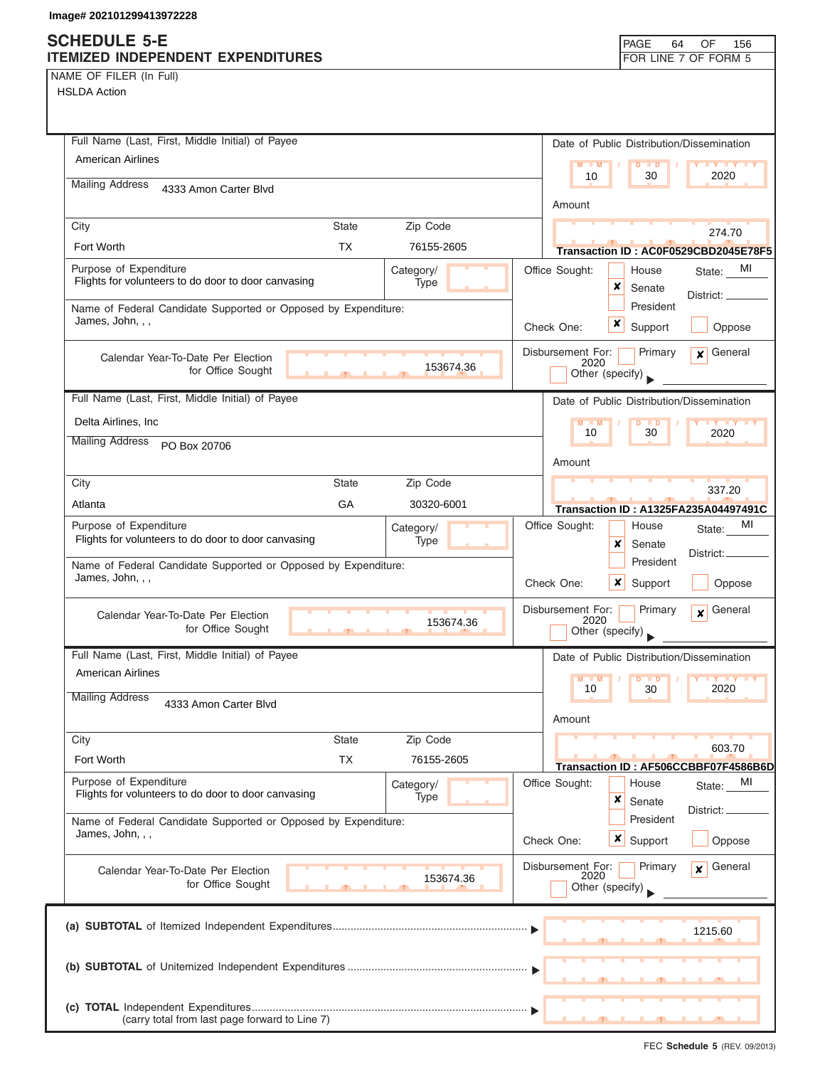|  | NAME OF FILER (In Full) |  |
|--|-------------------------|--|
|  |                         |  |

| Full Name (Last, First, Middle Initial) of Payee                                                           | Date of Public Distribution/Dissemination                                          |
|------------------------------------------------------------------------------------------------------------|------------------------------------------------------------------------------------|
| <b>American Airlines</b>                                                                                   | $M - M$<br>$D$ $D$<br><b>THE YEAR</b>                                              |
| <b>Mailing Address</b><br>4333 Amon Carter Blvd                                                            | 2020<br>30<br>10                                                                   |
|                                                                                                            | Amount                                                                             |
| Zip Code<br>City<br><b>State</b>                                                                           | 274.70                                                                             |
| <b>TX</b><br>Fort Worth<br>76155-2605                                                                      | Transaction ID: AC0F0529CBD2045E78F5                                               |
| Purpose of Expenditure<br>Category/<br>Flights for volunteers to do door to door canvasing<br><b>Type</b>  | Office Sought:<br>State: MI<br>House<br>×<br>Senate<br>District: _____             |
| Name of Federal Candidate Supported or Opposed by Expenditure:<br>James, John, , ,                         | President<br>x<br>Check One:<br>Support<br>Oppose                                  |
| Calendar Year-To-Date Per Election<br>153674.36<br>for Office Sought                                       | Primary<br>General<br>Disbursement For:<br>$\mathbf{x}$<br>2020<br>Other (specify) |
| Full Name (Last, First, Middle Initial) of Payee                                                           | Date of Public Distribution/Dissemination                                          |
| Delta Airlines, Inc.                                                                                       | $\blacksquare$                                                                     |
| <b>Mailing Address</b><br>PO Box 20706                                                                     | 10<br>30<br>2020                                                                   |
|                                                                                                            | Amount                                                                             |
| City<br><b>State</b><br>Zip Code                                                                           | 337.20                                                                             |
| GA<br>Atlanta<br>30320-6001                                                                                | <b>Transaction ID: A1325FA235A04497491C</b>                                        |
| Purpose of Expenditure<br>Category/<br>Flights for volunteers to do door to door canvasing<br>Type         | МI<br>Office Sought:<br>House<br>State:<br>x<br>Senate<br>District:                |
| Name of Federal Candidate Supported or Opposed by Expenditure:<br>James, John, , ,                         | President<br>Check One:<br>x<br>Support<br>Oppose                                  |
| Calendar Year-To-Date Per Election<br>153674.36<br>for Office Sought<br><b><i><u>B</u> B B B B B B</i></b> | Disbursement For:<br>General<br>Primary<br>$\mathbf{x}$<br>2020<br>Other (specify) |
| Full Name (Last, First, Middle Initial) of Payee                                                           | Date of Public Distribution/Dissemination                                          |
| <b>American Airlines</b>                                                                                   | <b>M</b><br>$\blacksquare$<br>2020<br>10<br>30                                     |
| <b>Mailing Address</b><br>4333 Amon Carter Blvd                                                            | Amount                                                                             |
| Zip Code<br>City<br><b>State</b>                                                                           |                                                                                    |
| <b>TX</b><br>Fort Worth<br>76155-2605                                                                      | 603.70                                                                             |
| Purpose of Expenditure<br>Category/<br>Flights for volunteers to do door to door canvasing<br>Type         | Transaction ID: AF506CCBBF07F4586B6D<br>Office Sought:<br>MI<br>House<br>State:    |
| Name of Federal Candidate Supported or Opposed by Expenditure:<br>James, John, , ,                         | ×<br>Senate<br>District: _<br>President                                            |
|                                                                                                            | x<br>Oppose<br>Check One:<br>Support                                               |
| Calendar Year-To-Date Per Election<br>153674.36<br>for Office Sought                                       | Disbursement For:<br>General<br>Primary<br>$\mathbf{x}$<br>2020<br>Other (specify) |
|                                                                                                            | 1215.60                                                                            |
|                                                                                                            |                                                                                    |
| (carry total from last page forward to Line 7)                                                             |                                                                                    |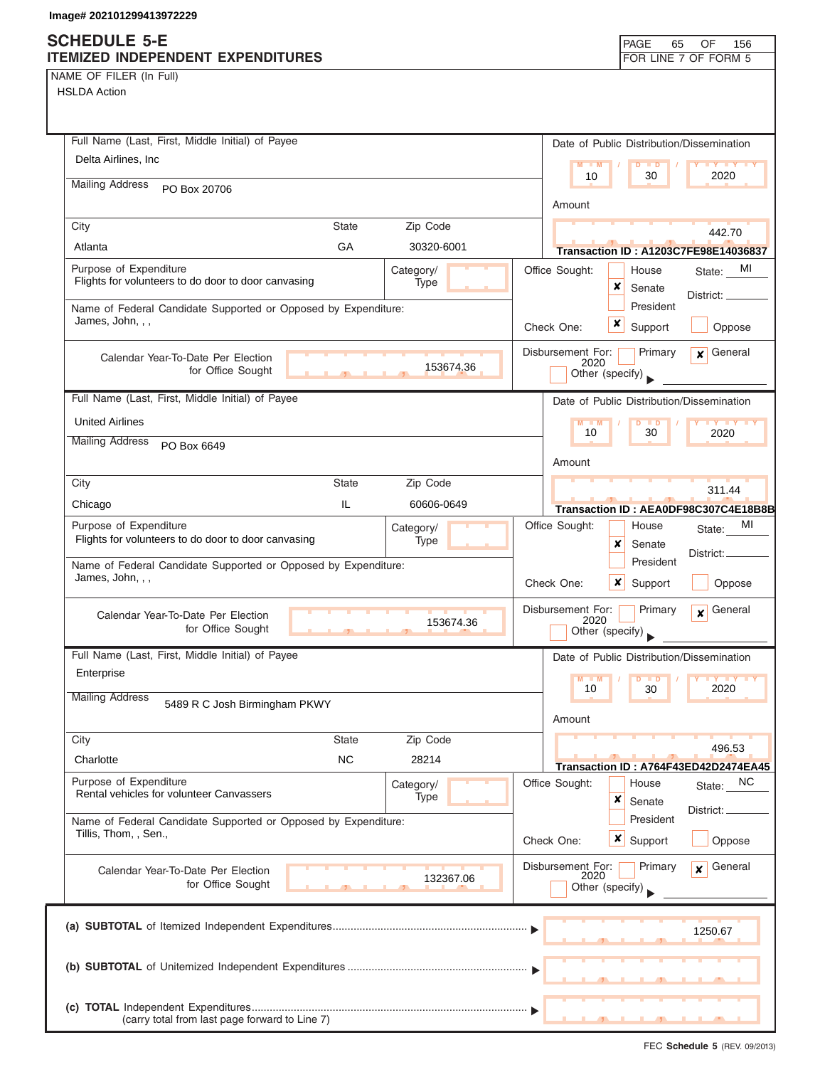## **SCHEDULE 5-E**

| ITEMIZED INDEPENDENT EXPENDITURES                                                       | FOR LINE 7 OF FORM 5                                              |
|-----------------------------------------------------------------------------------------|-------------------------------------------------------------------|
| NAME OF FILER (In Full)                                                                 |                                                                   |
| <b>HSLDA Action</b>                                                                     |                                                                   |
|                                                                                         |                                                                   |
|                                                                                         |                                                                   |
| Full Name (Last, First, Middle Initial) of Payee                                        | Date of Public Distribution/Dissemination                         |
| Delta Airlines, Inc                                                                     | $\overline{D}$<br>M<br>M<br>$\blacksquare$<br>$Y$ $Y$<br>30<br>10 |
| <b>Mailing Address</b><br>PO Box 20706                                                  | 2020                                                              |
|                                                                                         | Amount                                                            |
| City<br><b>State</b><br>Zip Code                                                        |                                                                   |
| GA<br>30320-6001<br>Atlanta                                                             | 442.70<br>Transaction ID: A1203C7FE98E14036837                    |
| Purpose of Expenditure                                                                  | Office Sought:<br>State: MI<br>House                              |
| Category/<br>Flights for volunteers to do door to door canvasing<br>Type                | ×<br>Senate                                                       |
| Name of Federal Candidate Supported or Opposed by Expenditure:                          | District: __<br>President                                         |
| James, John, , ,                                                                        | ×<br>Oppose<br>Check One:                                         |
|                                                                                         | Support                                                           |
| Calendar Year-To-Date Per Election                                                      | Disbursement For:<br>Primary<br>General<br>$\mathbf{x}$<br>2020   |
| 153674.36<br>for Office Sought                                                          | Other (specify)                                                   |
| Full Name (Last, First, Middle Initial) of Payee                                        | Date of Public Distribution/Dissemination                         |
|                                                                                         |                                                                   |
| <b>United Airlines</b>                                                                  | D<br>$\blacksquare$<br>30<br>10<br>2020                           |
| <b>Mailing Address</b><br>PO Box 6649                                                   |                                                                   |
|                                                                                         | Amount                                                            |
| State<br>Zip Code<br>City                                                               | 311.44                                                            |
| IL<br>Chicago<br>60606-0649                                                             | Transaction ID: AEA0DF98C307C4E18B8B                              |
| Purpose of Expenditure<br>Category/                                                     | Office Sought:<br>MI<br>House<br>State:                           |
| Flights for volunteers to do door to door canvasing<br><b>Type</b>                      | x<br>Senate                                                       |
| Name of Federal Candidate Supported or Opposed by Expenditure:                          | District:<br>President                                            |
| James, John, , ,                                                                        | Oppose<br>Check One:<br>x<br>Support                              |
|                                                                                         | Disbursement For:<br>Primary<br>General                           |
| Calendar Year-To-Date Per Election<br>153674.36<br>for Office Sought                    | $\boldsymbol{x}$<br>2020                                          |
| a.<br>$\mathbf{A}$                                                                      | Other (specify)                                                   |
| Full Name (Last, First, Middle Initial) of Payee                                        | Date of Public Distribution/Dissemination                         |
| Enterprise                                                                              | $Y + Y$<br>$M - M$<br>$\blacksquare$                              |
| <b>Mailing Address</b><br>5489 R C Josh Birmingham PKWY                                 | 2020<br>10<br>30                                                  |
|                                                                                         | Amount                                                            |
| Zip Code<br>City<br><b>State</b>                                                        |                                                                   |
| <b>NC</b><br>Charlotte<br>28214                                                         | 496.53                                                            |
|                                                                                         | Transaction ID: A764F43ED42D2474EA45                              |
| Purpose of Expenditure<br>Category/<br>Rental vehicles for volunteer Canvassers<br>Type | Office Sought:<br>NC<br>House<br>State:                           |
|                                                                                         | ×<br>Senate<br>District: _                                        |
| Name of Federal Candidate Supported or Opposed by Expenditure:<br>Tillis, Thom, , Sen., | President                                                         |
|                                                                                         | <b>x</b> Support<br>Oppose<br>Check One:                          |
| Calendar Year-To-Date Per Election                                                      | Disbursement For:<br>General<br>Primary<br>$\mathbf{x}$           |
| 132367.06<br>for Office Sought                                                          | 2020<br>Other (specify)                                           |
|                                                                                         |                                                                   |
|                                                                                         |                                                                   |
|                                                                                         | 1250.67                                                           |
|                                                                                         |                                                                   |
|                                                                                         |                                                                   |
|                                                                                         |                                                                   |
| (carry total from last page forward to Line 7)                                          |                                                                   |

PAGE 65

OF 156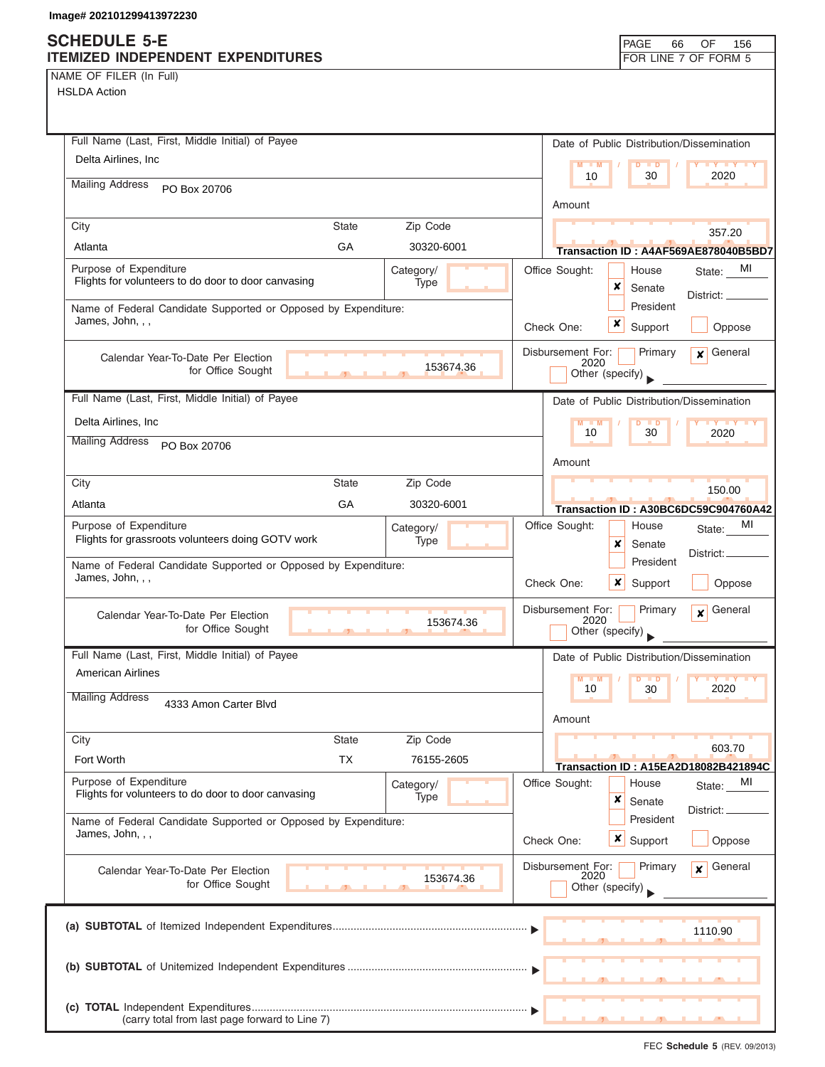### **SCHEDULE 5-E ITEMIZED INDEPENDENT EXPENDITURES FOR LINE 7 OF FORM 5**

NAME OF FILER (In Full) HSLDA Action

| Full Name (Last, First, Middle Initial) of Payee                                     | Date of Public Distribution/Dissemination                                              |
|--------------------------------------------------------------------------------------|----------------------------------------------------------------------------------------|
| Delta Airlines, Inc.                                                                 | $M - M$<br><b>D</b><br>2020<br>10<br>30                                                |
| <b>Mailing Address</b><br>PO Box 20706                                               | Amount                                                                                 |
| Zip Code<br>City<br><b>State</b>                                                     |                                                                                        |
| GA<br>Atlanta<br>30320-6001                                                          | 357.20<br>Transaction ID: A4AF569AE878040B5BD7                                         |
| Purpose of Expenditure<br>Category/                                                  | Office Sought:<br>MI<br>House<br>State:                                                |
| Flights for volunteers to do door to door canvasing<br>Type                          | ×<br>Senate                                                                            |
| Name of Federal Candidate Supported or Opposed by Expenditure:                       | District:<br>President                                                                 |
| James, John, , ,                                                                     | x<br>Check One:<br>Support<br>Oppose                                                   |
| Calendar Year-To-Date Per Election<br>153674.36<br>for Office Sought                 | General<br>Disbursement For:<br>Primary<br>$\boldsymbol{x}$<br>2020<br>Other (specify) |
| Full Name (Last, First, Middle Initial) of Payee                                     | Date of Public Distribution/Dissemination                                              |
| Delta Airlines, Inc.                                                                 | M                                                                                      |
| <b>Mailing Address</b><br>PO Box 20706                                               | 10<br>30<br>2020                                                                       |
|                                                                                      | Amount                                                                                 |
| Zip Code<br>City<br><b>State</b>                                                     | 150.00                                                                                 |
| GA<br>Atlanta<br>30320-6001                                                          | Transaction ID: A30BC6DC59C904760A42                                                   |
| Purpose of Expenditure<br>Category/                                                  | Office Sought:<br>MI<br>House<br>State:                                                |
| Flights for grassroots volunteers doing GOTV work<br>Type                            | x<br>Senate<br>District:                                                               |
| Name of Federal Candidate Supported or Opposed by Expenditure:                       | President                                                                              |
| James, John, , ,                                                                     | ×<br>Check One:<br>Support<br>Oppose                                                   |
| Calendar Year-To-Date Per Election<br>153674.36<br>for Office Sought<br>$\mathbf{J}$ | Disbursement For:<br>General<br>Primary<br>$\mathbf{x}$<br>2020<br>Other (specify)     |
| Full Name (Last, First, Middle Initial) of Payee                                     | Date of Public Distribution/Dissemination                                              |
| American Airlines                                                                    | M                                                                                      |
| <b>Mailing Address</b>                                                               | 10<br>30<br>2020                                                                       |
| 4333 Amon Carter Blvd                                                                | Amount                                                                                 |
| Zip Code<br>City<br>State                                                            | 603.70                                                                                 |
| <b>TX</b><br>Fort Worth<br>76155-2605                                                | <b>Transaction ID: A15EA2D18082B421894C</b>                                            |
| Purpose of Expenditure<br>Category/                                                  | Office Sought:<br>MI<br>House<br>State:                                                |
| Flights for volunteers to do door to door canvasing<br>Type                          | ×<br>Senate                                                                            |
| Name of Federal Candidate Supported or Opposed by Expenditure:                       | District:<br>President                                                                 |
| James, John, , ,                                                                     | ×<br>Check One:<br>Support<br>Oppose                                                   |
| Calendar Year-To-Date Per Election                                                   | Disbursement For:<br>General<br>Primary<br>$\mathbf{x}$<br>2020                        |
| 153674.36<br>for Office Sought                                                       | Other (specify)                                                                        |
|                                                                                      |                                                                                        |
|                                                                                      | 1110.90                                                                                |
|                                                                                      |                                                                                        |
|                                                                                      |                                                                                        |
|                                                                                      |                                                                                        |
| (carry total from last page forward to Line 7)                                       |                                                                                        |

FEC **Schedule 5** (REV. 09/2013)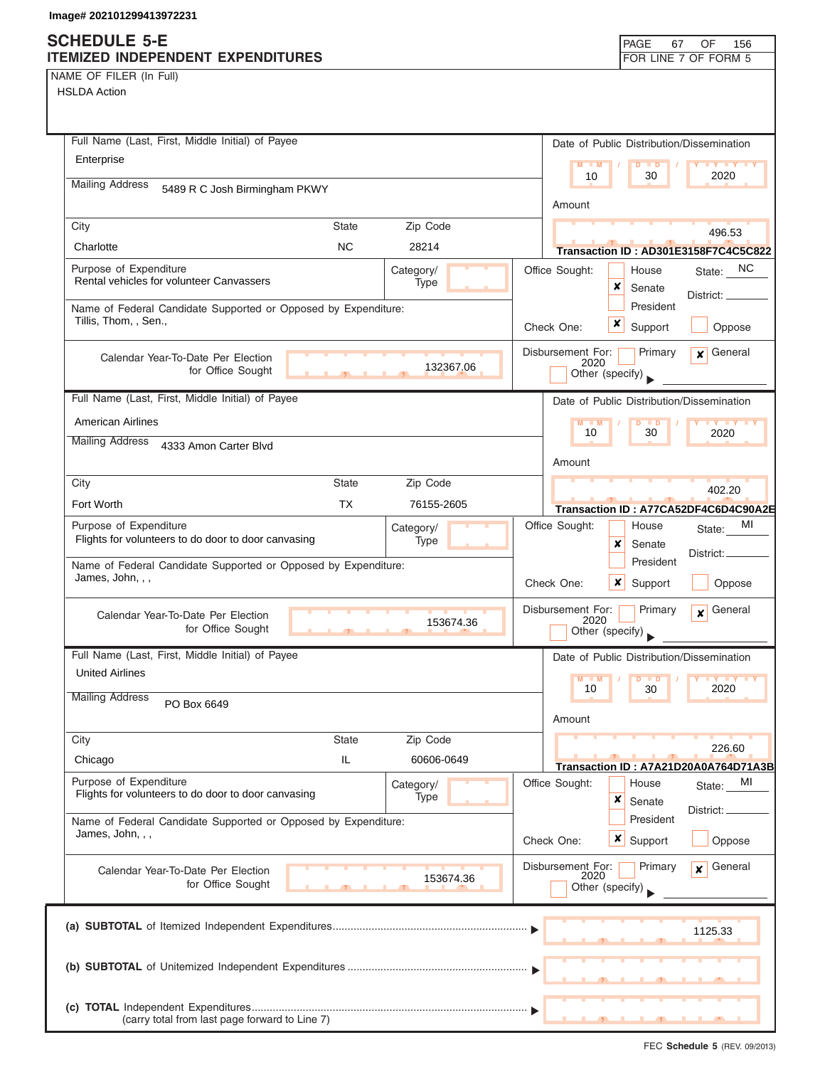### **SCHEDULE 5-E ITEMIZED INDEPENDENT EXPENDITURES FOR LINE 7 OF FORM 5**

| NAME OF FILER (In Full) |  |  |
|-------------------------|--|--|
|-------------------------|--|--|

| Full Name (Last, First, Middle Initial) of Payee                                                   | Date of Public Distribution/Dissemination                             |
|----------------------------------------------------------------------------------------------------|-----------------------------------------------------------------------|
| Enterprise                                                                                         | $M - M$<br>D<br><b>D</b><br>10<br>30<br>2020                          |
| <b>Mailing Address</b><br>5489 R C Josh Birmingham PKWY                                            |                                                                       |
|                                                                                                    | Amount                                                                |
| City<br><b>State</b><br>Zip Code                                                                   | 496.53                                                                |
| Charlotte<br><b>NC</b><br>28214                                                                    | Transaction ID: AD301E3158F7C4C5C822                                  |
| Purpose of Expenditure<br>Category/<br>Rental vehicles for volunteer Canvassers<br>Type            | NC.<br>Office Sought:<br>House<br>State:<br>×                         |
| Name of Federal Candidate Supported or Opposed by Expenditure:                                     | Senate<br>District: __<br>President                                   |
| Tillis, Thom, , Sen.,                                                                              | x<br>Check One:<br>Support<br>Oppose                                  |
|                                                                                                    | Disbursement For:<br>General<br>Primary<br>$\mathbf{x}$               |
| Calendar Year-To-Date Per Election<br>132367.06<br>for Office Sought                               | 2020<br>Other (specify)                                               |
|                                                                                                    |                                                                       |
| Full Name (Last, First, Middle Initial) of Payee                                                   | Date of Public Distribution/Dissemination                             |
| <b>American Airlines</b>                                                                           | 10<br>30<br>2020                                                      |
| <b>Mailing Address</b><br>4333 Amon Carter Blvd                                                    |                                                                       |
| <b>State</b><br>Zip Code<br>City                                                                   | Amount                                                                |
| <b>TX</b><br>Fort Worth<br>76155-2605                                                              | 402.20                                                                |
| Purpose of Expenditure                                                                             | Transaction ID: A77CA52DF4C6D4C90A2E<br>MI<br>Office Sought:<br>House |
| Category/<br>Flights for volunteers to do door to door canvasing<br>Type                           | State:<br>×<br>Senate                                                 |
| Name of Federal Candidate Supported or Opposed by Expenditure:                                     | District:<br>President                                                |
| James, John, , ,                                                                                   | Check One:<br>x<br>Support<br>Oppose                                  |
| Calendar Year-To-Date Per Election                                                                 | Disbursement For:<br>Primary<br>General<br>$\mathbf{x}$               |
| 153674.36<br>for Office Sought<br>$-92$<br><b>In</b>                                               | 2020<br>Other (specify)                                               |
| Full Name (Last, First, Middle Initial) of Payee                                                   | Date of Public Distribution/Dissemination                             |
| <b>United Airlines</b>                                                                             | M<br>$Y$ $Y$<br>M<br>2020<br>10<br>30                                 |
| <b>Mailing Address</b><br>PO Box 6649                                                              |                                                                       |
|                                                                                                    | Amount                                                                |
| Zip Code<br>City<br>State                                                                          | 226.60                                                                |
| Chicago<br>IL.<br>60606-0649                                                                       | Transaction ID: A7A21D20A0A764D71A3B                                  |
| Purpose of Expenditure<br>Category/<br>Flights for volunteers to do door to door canvasing<br>Type | Office Sought:<br>MI<br>House<br>State:<br>×                          |
| Name of Federal Candidate Supported or Opposed by Expenditure:                                     | Senate<br>District:<br>President                                      |
| James, John, , ,                                                                                   | ×<br>Check One:<br>Support<br>Oppose                                  |
| Calendar Year-To-Date Per Election                                                                 | Disbursement For:<br>General<br>Primary<br>$\mathbf{x}$<br>2020       |
| 153674.36<br>for Office Sought                                                                     | Other (specify)                                                       |
|                                                                                                    |                                                                       |
|                                                                                                    | 1125.33                                                               |
|                                                                                                    |                                                                       |
|                                                                                                    |                                                                       |
|                                                                                                    |                                                                       |
| (carry total from last page forward to Line 7)                                                     |                                                                       |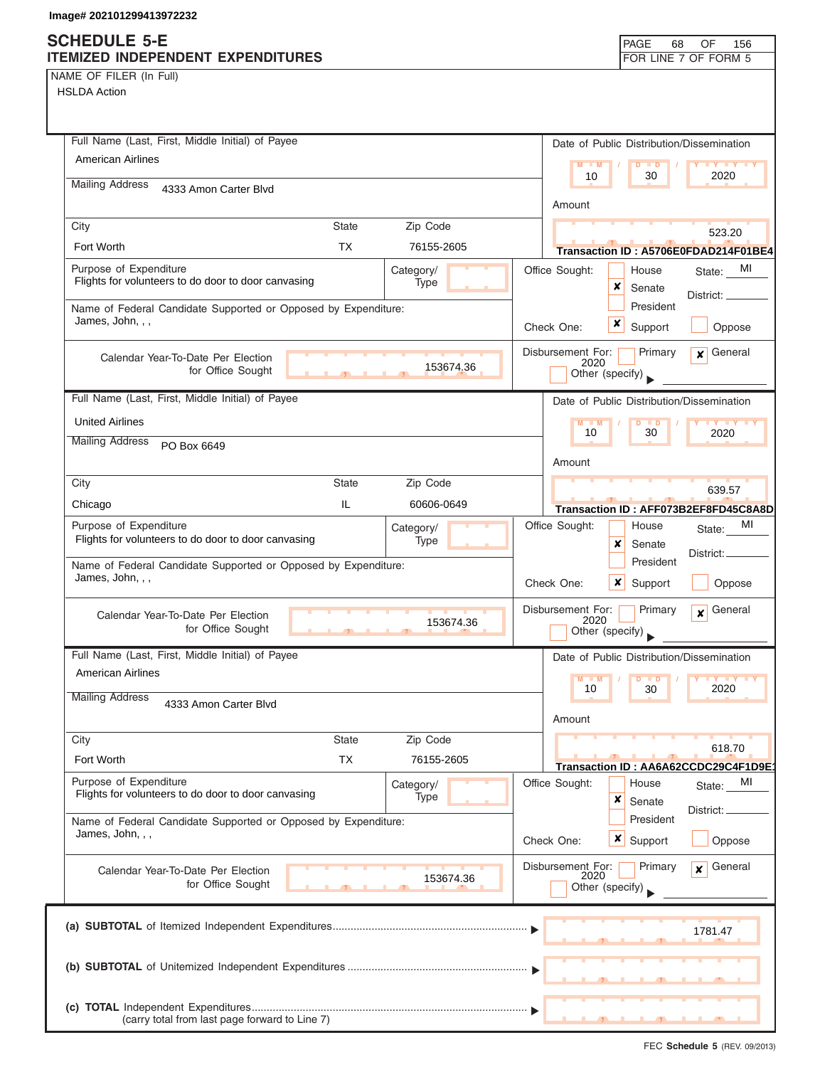NAME OF FILER (In Full)

| Full Name (Last, First, Middle Initial) of Payee                                   |                     |                   |  |                           | Date of Public Distribution/Dissemination |                                               |
|------------------------------------------------------------------------------------|---------------------|-------------------|--|---------------------------|-------------------------------------------|-----------------------------------------------|
| <b>American Airlines</b>                                                           |                     |                   |  | $M - M$                   | $D$ $D$                                   | <b>LY Y Y Y</b>                               |
| <b>Mailing Address</b><br>4333 Amon Carter Blvd                                    |                     |                   |  | 10                        | 30                                        | 2020                                          |
|                                                                                    |                     |                   |  | Amount                    |                                           |                                               |
| City                                                                               | <b>State</b>        | Zip Code          |  |                           |                                           | 523.20                                        |
| Fort Worth                                                                         | <b>TX</b>           | 76155-2605        |  |                           |                                           | Transaction ID: A5706E0FDAD214F01BE4          |
| Purpose of Expenditure<br>Flights for volunteers to do door to door canvasing      |                     | Category/<br>Type |  | Office Sought:            | House                                     | MI<br>State:                                  |
|                                                                                    |                     |                   |  |                           | x<br>Senate<br>President                  | District:                                     |
| Name of Federal Candidate Supported or Opposed by Expenditure:<br>James, John, , , |                     |                   |  | Check One:                | x<br>Support                              | Oppose                                        |
|                                                                                    |                     |                   |  | Disbursement For:         | Primary                                   | General<br>$\mathbf{x}$                       |
| Calendar Year-To-Date Per Election<br>for Office Sought                            | $\mathbf{F}$<br>ЦÚ. | 153674.36         |  | 2020                      | Other (specify)                           |                                               |
| Full Name (Last, First, Middle Initial) of Payee                                   |                     |                   |  |                           |                                           |                                               |
| <b>United Airlines</b>                                                             |                     |                   |  |                           | Date of Public Distribution/Dissemination |                                               |
| <b>Mailing Address</b>                                                             |                     |                   |  | $M - M$<br>10             | D<br>$\blacksquare$<br>30                 | <b>TY TY TY</b><br>2020                       |
| PO Box 6649                                                                        |                     |                   |  | Amount                    |                                           |                                               |
| City                                                                               | <b>State</b>        | Zip Code          |  |                           |                                           | 639.57                                        |
| Chicago                                                                            | IL                  | 60606-0649        |  |                           |                                           | Transaction ID: AFF073B2EF8FD45C8A8D          |
| Purpose of Expenditure                                                             |                     | Category/         |  | Office Sought:            | House                                     | MI<br>State:                                  |
| Flights for volunteers to do door to door canvasing                                |                     | Type              |  |                           | x<br>Senate                               | District:                                     |
| Name of Federal Candidate Supported or Opposed by Expenditure:<br>James, John, , , |                     |                   |  |                           | President                                 |                                               |
|                                                                                    |                     |                   |  | Check One:                | ×<br>Support                              | Oppose                                        |
| Calendar Year-To-Date Per Election<br>for Office Sought                            |                     | 153674.36         |  | Disbursement For:<br>2020 | Primary<br>Other (specify)                | General<br>$\mathbf{x}$                       |
|                                                                                    |                     |                   |  |                           |                                           |                                               |
| Full Name (Last, First, Middle Initial) of Payee<br><b>American Airlines</b>       |                     |                   |  |                           | Date of Public Distribution/Dissemination |                                               |
| <b>Mailing Address</b>                                                             |                     |                   |  | $M - M$<br>10             | $D$ $D$<br>30                             | <b>III</b> Y<br>2020                          |
| 4333 Amon Carter Blvd                                                              |                     |                   |  | Amount                    |                                           |                                               |
| City                                                                               | <b>State</b>        | Zip Code          |  |                           |                                           |                                               |
| Fort Worth                                                                         | <b>TX</b>           | 76155-2605        |  |                           |                                           | 618.70<br>Transaction ID: AA6A62CCDC29C4F1D9E |
| Purpose of Expenditure                                                             |                     | Category/         |  | Office Sought:            | House                                     | MI<br>State:                                  |
| Flights for volunteers to do door to door canvasing                                |                     | Type              |  |                           | ×<br>Senate                               | District:                                     |
| Name of Federal Candidate Supported or Opposed by Expenditure:<br>James, John, , , |                     |                   |  |                           | President                                 |                                               |
|                                                                                    |                     |                   |  | Check One:                | $x \mid$<br>Support                       | Oppose                                        |
| Calendar Year-To-Date Per Election                                                 |                     | 153674.36         |  | Disbursement For:<br>2020 | Primary                                   | General<br>$\mathbf{x}$                       |
| for Office Sought                                                                  |                     |                   |  |                           | Other (specify)                           |                                               |
|                                                                                    |                     |                   |  |                           |                                           |                                               |
|                                                                                    |                     |                   |  |                           |                                           | 1781.47                                       |
|                                                                                    |                     |                   |  |                           |                                           |                                               |
|                                                                                    |                     |                   |  |                           |                                           |                                               |
| (carry total from last page forward to Line 7)                                     |                     |                   |  |                           |                                           |                                               |
|                                                                                    |                     |                   |  |                           |                                           |                                               |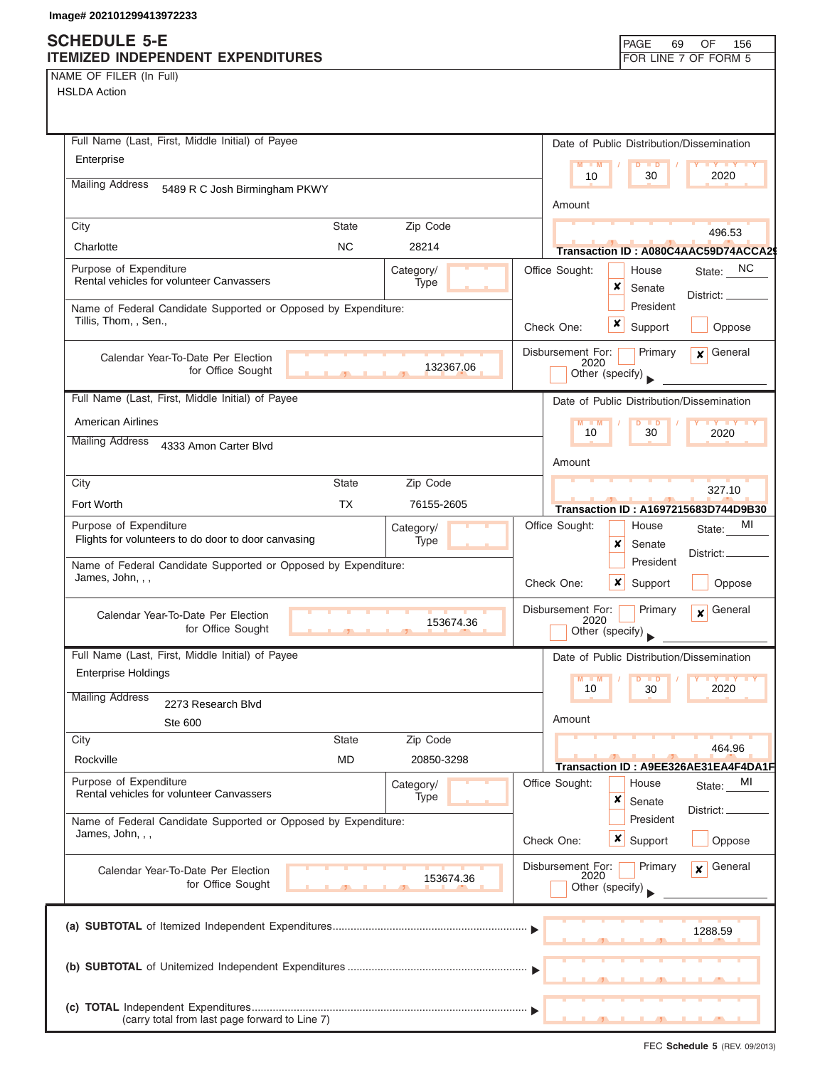| NAME OF FILER (In Full) |  |
|-------------------------|--|
|-------------------------|--|

| Full Name (Last, First, Middle Initial) of Payee                                        | Date of Public Distribution/Dissemination                    |
|-----------------------------------------------------------------------------------------|--------------------------------------------------------------|
| Enterprise                                                                              | $M - M$<br>$D$ $D$<br><b>TY TY</b>                           |
| <b>Mailing Address</b><br>5489 R C Josh Birmingham PKWY                                 | 2020<br>10<br>30                                             |
|                                                                                         | Amount                                                       |
| Zip Code<br>City<br><b>State</b>                                                        | 496.53                                                       |
| <b>NC</b><br>Charlotte<br>28214                                                         | Transaction ID: A080C4AAC59D74ACCA29                         |
| Purpose of Expenditure<br>Category/                                                     | State: NC<br>Office Sought:<br>House                         |
| Rental vehicles for volunteer Canvassers<br>Type                                        | ×<br>Senate<br>District: _                                   |
| Name of Federal Candidate Supported or Opposed by Expenditure:<br>Tillis, Thom, , Sen., | President                                                    |
|                                                                                         | ×<br>Support<br>Oppose<br>Check One:                         |
| Calendar Year-To-Date Per Election                                                      | $\mathbf x$ General<br>Disbursement For:<br>Primary<br>2020  |
| 132367.06<br>for Office Sought<br>$\overline{1}$                                        | Other (specify)                                              |
| Full Name (Last, First, Middle Initial) of Payee                                        | Date of Public Distribution/Dissemination                    |
| <b>American Airlines</b>                                                                | $M - M$<br><b>DUD</b><br>$Y = Y - Y$                         |
| <b>Mailing Address</b><br>4333 Amon Carter Blvd                                         | 10<br>30<br>2020                                             |
|                                                                                         | Amount                                                       |
| City<br><b>State</b><br>Zip Code                                                        |                                                              |
| Fort Worth<br><b>TX</b><br>76155-2605                                                   | 327.10<br>Transaction ID: A1697215683D744D9B30               |
| Purpose of Expenditure<br>Category/                                                     | MI<br>Office Sought:<br>House<br>State:                      |
| Flights for volunteers to do door to door canvasing<br>Type                             | x<br>Senate                                                  |
| Name of Federal Candidate Supported or Opposed by Expenditure:                          | District:<br>President                                       |
| James, John, , ,                                                                        | Check One:<br>$\boldsymbol{\mathsf{x}}$<br>Support<br>Oppose |
|                                                                                         | Disbursement For:<br>$\mathbf{x}$ General<br>Primary         |
| Calendar Year-To-Date Per Election<br>153674.36<br>for Office Sought                    | 2020<br>Other (specify)                                      |
| Full Name (Last, First, Middle Initial) of Payee                                        | Date of Public Distribution/Dissemination                    |
| <b>Enterprise Holdings</b>                                                              |                                                              |
| <b>Mailing Address</b>                                                                  | M<br>$\blacksquare$<br><b>IV Y</b><br>D<br>10<br>30<br>2020  |
| 2273 Research Blvd                                                                      | Amount                                                       |
| Ste 600<br>City<br><b>State</b><br>Zip Code                                             |                                                              |
| <b>MD</b><br>Rockville<br>20850-3298                                                    | 464.96                                                       |
| Purpose of Expenditure                                                                  | Transaction ID: A9EE326AE31EA4F4DA1F                         |
| Category/<br>Rental vehicles for volunteer Canvassers<br>Type                           | Office Sought:<br>MI<br>House<br>State:<br>×<br>Senate       |
| Name of Federal Candidate Supported or Opposed by Expenditure:                          | District:<br>President                                       |
| James, John, , ,                                                                        | <b>x</b> Support<br>Check One:<br>Oppose                     |
|                                                                                         | Disbursement For:<br>General<br>Primary                      |
| Calendar Year-To-Date Per Election<br>153674.36<br>for Office Sought                    | $\mathbf{x}$<br>2020                                         |
|                                                                                         | Other (specify)                                              |
|                                                                                         |                                                              |
|                                                                                         | 1288.59                                                      |
|                                                                                         |                                                              |
|                                                                                         |                                                              |
|                                                                                         |                                                              |
| (carry total from last page forward to Line 7)                                          |                                                              |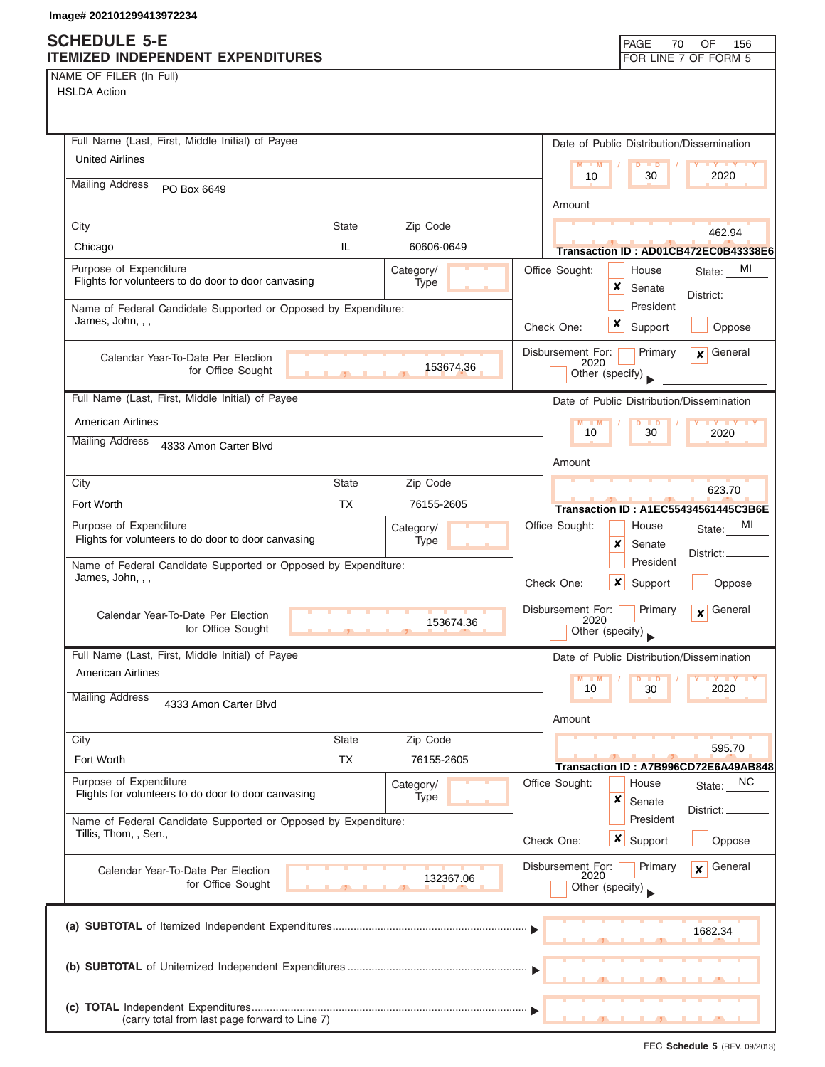## **SCHEDULE 5-E**

| ITEMIZED INDEPENDENT EXPENDITURES                                                                  | FOR LINE 7 OF FORM 5                                                |
|----------------------------------------------------------------------------------------------------|---------------------------------------------------------------------|
| NAME OF FILER (In Full)                                                                            |                                                                     |
| <b>HSLDA Action</b>                                                                                |                                                                     |
|                                                                                                    |                                                                     |
|                                                                                                    |                                                                     |
| Full Name (Last, First, Middle Initial) of Payee                                                   | Date of Public Distribution/Dissemination                           |
| <b>United Airlines</b>                                                                             | $M - M$<br>$D$ $\Box$ $D$                                           |
| <b>Mailing Address</b><br>PO Box 6649                                                              | 30<br>2020<br>10                                                    |
|                                                                                                    | Amount                                                              |
| Zip Code<br>City<br><b>State</b>                                                                   |                                                                     |
| IL<br>Chicago<br>60606-0649                                                                        | 462.94                                                              |
|                                                                                                    | Transaction ID: AD01CB472EC0B43338E6                                |
| Purpose of Expenditure<br>Category/<br>Flights for volunteers to do door to door canvasing<br>Type | Office Sought:<br>State: MI<br>House<br>×                           |
|                                                                                                    | Senate<br>District: _____                                           |
| Name of Federal Candidate Supported or Opposed by Expenditure:<br>James, John, , ,                 | President<br>x                                                      |
|                                                                                                    | Check One:<br>Support<br>Oppose                                     |
| Calendar Year-To-Date Per Election                                                                 | General<br>Disbursement For:<br>Primary<br>$\mathbf{x}$             |
| 153674.36<br>for Office Sought                                                                     | 2020<br>Other (specify)                                             |
|                                                                                                    |                                                                     |
| Full Name (Last, First, Middle Initial) of Payee                                                   | Date of Public Distribution/Dissemination                           |
| <b>American Airlines</b>                                                                           | $D$ $D$<br>10<br>30<br>2020                                         |
| <b>Mailing Address</b><br>4333 Amon Carter Blvd                                                    |                                                                     |
|                                                                                                    | Amount                                                              |
| <b>State</b><br>Zip Code<br>City                                                                   | 623.70                                                              |
| Fort Worth<br><b>TX</b><br>76155-2605                                                              | <b>Transaction ID: A1EC55434561445C3B6E</b>                         |
| Purpose of Expenditure                                                                             | Office Sought:<br>MI<br>House                                       |
| Category/<br>Flights for volunteers to do door to door canvasing<br>Type                           | State:<br>×<br>Senate                                               |
|                                                                                                    | District:<br>President                                              |
| Name of Federal Candidate Supported or Opposed by Expenditure:<br>James, John, , ,                 | x                                                                   |
|                                                                                                    | Oppose<br>Check One:<br>Support                                     |
| Calendar Year-To-Date Per Election                                                                 | General<br>Disbursement For:<br>Primary<br>$\boldsymbol{x}$<br>2020 |
| 153674.36<br>for Office Sought<br>$\mathbf{1}$ and $\mathbf{1}$ and $\mathbf{1}$                   | Other (specify)                                                     |
| Full Name (Last, First, Middle Initial) of Payee                                                   | Date of Public Distribution/Dissemination                           |
| American Airlines                                                                                  |                                                                     |
|                                                                                                    | $Y$ $Y$<br>$M - M$<br>$\blacksquare$<br>2020<br>10<br>30            |
| <b>Mailing Address</b><br>4333 Amon Carter Blvd                                                    |                                                                     |
|                                                                                                    | Amount                                                              |
| Zip Code<br><b>State</b><br>City                                                                   | 595.70                                                              |
| Fort Worth<br>ТX<br>76155-2605                                                                     | Transaction ID: A7B996CD72E6A49AB848                                |
| Purpose of Expenditure<br>Category/                                                                | Office Sought:<br>NC<br>House<br>State:                             |
| Flights for volunteers to do door to door canvasing<br>Type                                        | ×<br>Senate                                                         |
| Name of Federal Candidate Supported or Opposed by Expenditure:                                     | District: _<br>President                                            |
| Tillis, Thom, , Sen.,                                                                              | $x \mid$ Support<br>Oppose<br>Check One:                            |
|                                                                                                    |                                                                     |
| Calendar Year-To-Date Per Election<br>132367.06                                                    | Disbursement For:<br>General<br>Primary<br>$\mathbf{x}$<br>2020     |
| for Office Sought                                                                                  | Other (specify)                                                     |
|                                                                                                    |                                                                     |
|                                                                                                    | 1682.34                                                             |
|                                                                                                    |                                                                     |
|                                                                                                    |                                                                     |
|                                                                                                    |                                                                     |
|                                                                                                    |                                                                     |
| (carry total from last page forward to Line 7)                                                     |                                                                     |

PAGE 70

OF 156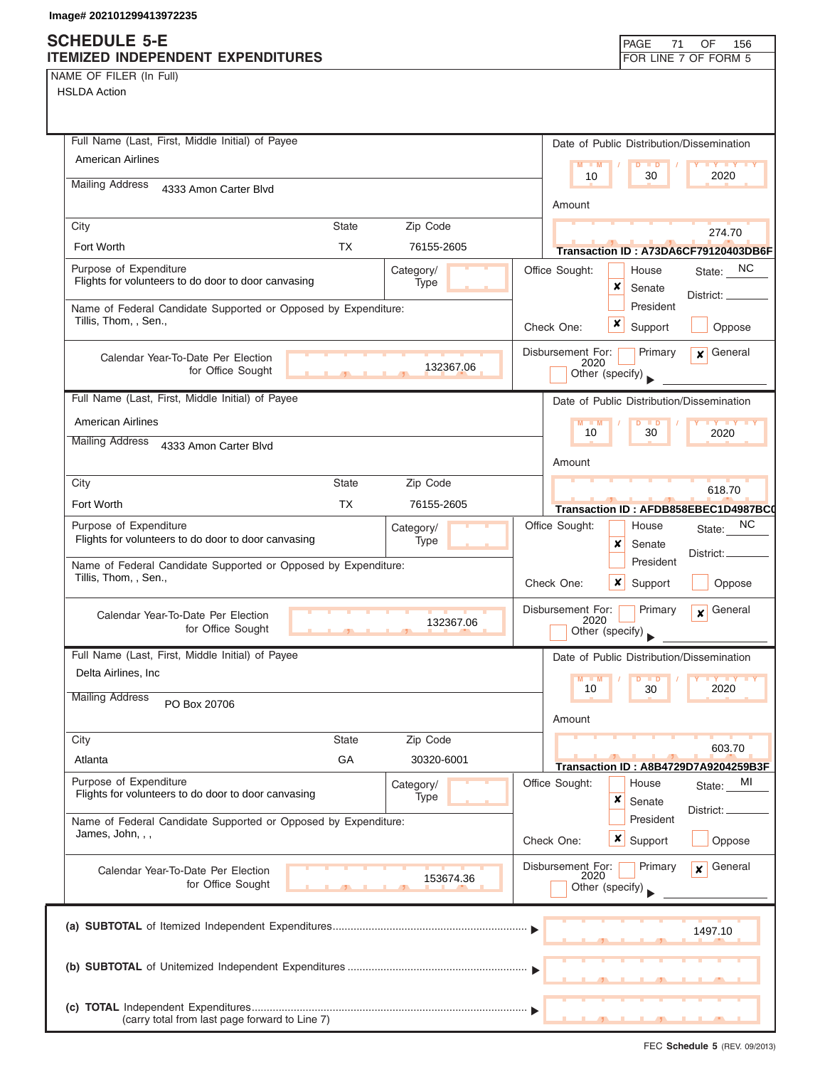## **SCH**

| NAME OF FILER (In Full) |  |  |
|-------------------------|--|--|

| <b>SCHEDULE 5-E</b><br><b>ITEMIZED INDEPENDENT EXPENDITURES</b>          | PAGE<br>71<br>OF<br>156<br>FOR LINE 7 OF FORM 5                        |
|--------------------------------------------------------------------------|------------------------------------------------------------------------|
| NAME OF FILER (In Full)                                                  |                                                                        |
| <b>HSLDA Action</b>                                                      |                                                                        |
|                                                                          |                                                                        |
| Full Name (Last, First, Middle Initial) of Payee                         | Date of Public Distribution/Dissemination                              |
| American Airlines                                                        | <b>IV V V V</b><br>$M - M$<br>D<br>$\blacksquare$                      |
| <b>Mailing Address</b><br>4333 Amon Carter Blvd                          | 10<br>30<br>2020                                                       |
|                                                                          | Amount                                                                 |
| <b>State</b><br>Zip Code<br>City                                         |                                                                        |
| Fort Worth<br><b>TX</b><br>76155-2605                                    | 274.70                                                                 |
| Purpose of Expenditure                                                   | Transaction ID: A73DA6CF79120403DB6F<br>Office Sought:                 |
| Category/<br>Flights for volunteers to do door to door canvasing<br>Type | State: NC<br>House<br>×<br>Senate                                      |
| Name of Federal Candidate Supported or Opposed by Expenditure:           | District:<br>President                                                 |
| Tillis, Thom, , Sen.,                                                    | x<br>Check One:<br>Support<br>Oppose                                   |
|                                                                          |                                                                        |
| Calendar Year-To-Date Per Election<br>132367.06                          | Disbursement For:<br>Primary<br>General<br>$\mathbf{x}$<br>2020        |
| for Office Sought                                                        | Other (specify)                                                        |
| Full Name (Last, First, Middle Initial) of Payee                         | Date of Public Distribution/Dissemination                              |
| <b>American Airlines</b>                                                 | $Y = Y + Y$<br>$M - M$                                                 |
| <b>Mailing Address</b><br>4333 Amon Carter Blvd                          | 10<br>30<br>2020                                                       |
|                                                                          | Amount                                                                 |
| Zip Code<br><b>State</b><br>City                                         |                                                                        |
| Fort Worth<br><b>TX</b><br>76155-2605                                    | 618.70                                                                 |
| Purpose of Expenditure                                                   | Transaction ID: AFDB858EBEC1D4987BC0<br>Office Sought:<br>NC.<br>House |
| Category/<br>Flights for volunteers to do door to door canvasing<br>Type | State:<br>×<br>Senate                                                  |
| Name of Federal Candidate Supported or Opposed by Expenditure:           | District:<br>President                                                 |
| Tillis, Thom, , Sen.,                                                    | Check One:<br>$\boldsymbol{x}$<br>Support<br>Oppose                    |
|                                                                          |                                                                        |
| Calendar Year-To-Date Per Election<br>132367.06                          | Disbursement For:<br>Primary<br>General<br>X<br>2020                   |
| for Office Sought                                                        | Other (specify)                                                        |
| Full Name (Last, First, Middle Initial) of Payee                         | Date of Public Distribution/Dissemination                              |
| Delta Airlines, Inc                                                      | $M - M$<br><b>IY IY IY</b><br>$\overline{D}$<br><b>D</b>               |
| <b>Mailing Address</b><br>PO Box 20706                                   | 2020<br>10<br>30                                                       |
|                                                                          | Amount                                                                 |
| Zip Code<br>City<br><b>State</b>                                         |                                                                        |
| GA<br>Atlanta<br>30320-6001                                              | 603.70                                                                 |
| Purpose of Expenditure                                                   | Transaction ID: A8B4729D7A9204259B3F<br>Office Sought:<br>MI<br>House  |
| Category/<br>Flights for volunteers to do door to door canvasing<br>Type | State:<br>×<br>Senate                                                  |
| Name of Federal Candidate Supported or Opposed by Expenditure:           | District:<br>President                                                 |
| James, John, , ,                                                         | $x \mid$ Support<br>Oppose<br>Check One:                               |
|                                                                          |                                                                        |
| Calendar Year-To-Date Per Election<br>153674.36<br>for Office Sought     | Disbursement For:<br>General<br>Primary<br>$\boldsymbol{x}$<br>2020    |
|                                                                          | Other (specify)                                                        |
|                                                                          |                                                                        |
|                                                                          | 1497.10                                                                |
|                                                                          |                                                                        |
|                                                                          |                                                                        |

**(c) TOTAL** Independent Expenditures ............................................................................................ ▼ (carry total from last page forward to Line 7)

▲ ▲ ▲ , , .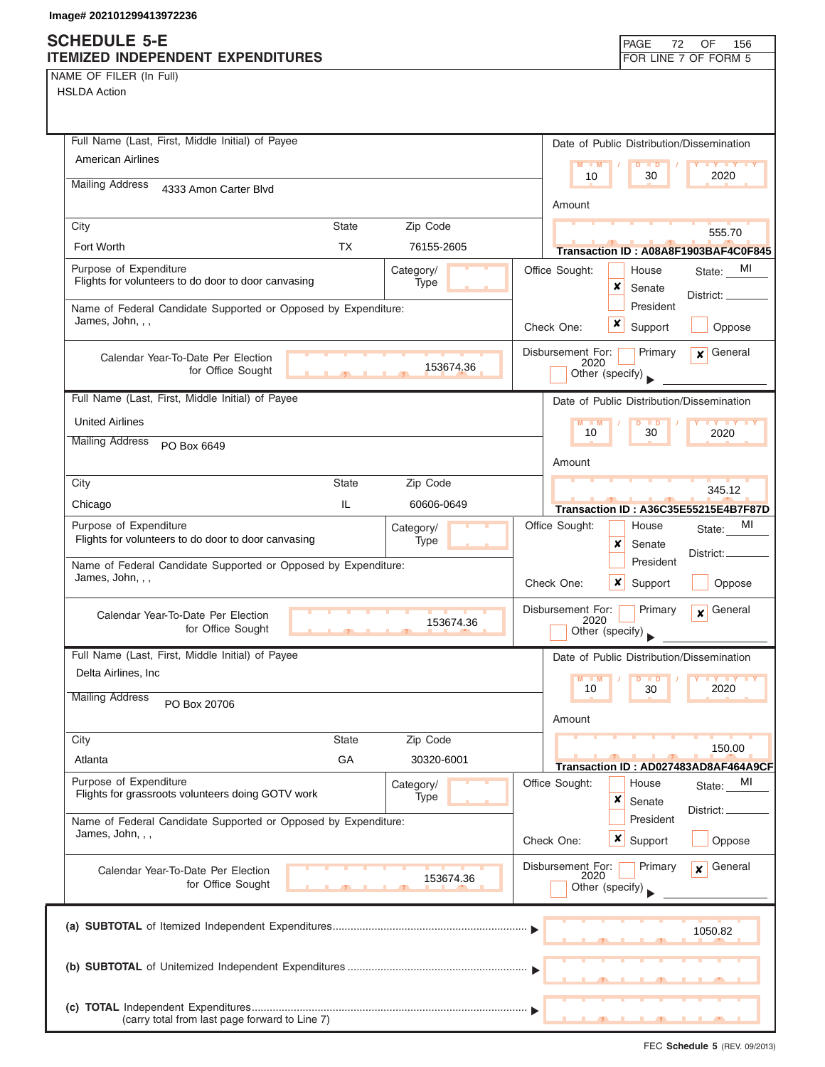|  | NAME OF FILER (In Full) |  |
|--|-------------------------|--|
|  |                         |  |

HSLDA Action

| Full Name (Last, First, Middle Initial) of Payee                                                   | Date of Public Distribution/Dissemination                                                      |
|----------------------------------------------------------------------------------------------------|------------------------------------------------------------------------------------------------|
| <b>American Airlines</b>                                                                           | $M = M$<br>$\blacksquare$<br>30<br>2020<br>10                                                  |
| <b>Mailing Address</b><br>4333 Amon Carter Blvd                                                    | Amount                                                                                         |
| Zip Code<br><b>State</b><br>City                                                                   | 555.70                                                                                         |
| Fort Worth<br><b>TX</b><br>76155-2605                                                              | Transaction ID: A08A8F1903BAF4C0F845                                                           |
| Purpose of Expenditure<br>Category/<br>Flights for volunteers to do door to door canvasing<br>Type | Office Sought:<br>MI<br>House<br>State:<br>×<br>Senate<br>District:                            |
| Name of Federal Candidate Supported or Opposed by Expenditure:<br>James, John, , ,                 | President<br>×<br>Check One:<br>Support<br>Oppose                                              |
| Calendar Year-To-Date Per Election<br>153674.36<br>for Office Sought                               | Disbursement For:<br>General<br>Primary<br>x<br>2020<br>Other (specify)                        |
| Full Name (Last, First, Middle Initial) of Payee                                                   | Date of Public Distribution/Dissemination                                                      |
| <b>United Airlines</b>                                                                             | M<br>$\blacksquare$ M<br>10<br>30<br>2020                                                      |
| <b>Mailing Address</b><br>PO Box 6649                                                              | Amount                                                                                         |
| Zip Code<br>City<br><b>State</b>                                                                   |                                                                                                |
| IL<br>60606-0649<br>Chicago                                                                        | 345.12                                                                                         |
| Purpose of Expenditure<br>Category/<br>Flights for volunteers to do door to door canvasing<br>Type | Transaction ID: A36C35E55215E4B7F87D<br>Office Sought:<br>MI<br>House<br>State:<br>x<br>Senate |
| Name of Federal Candidate Supported or Opposed by Expenditure:<br>James, John, , ,                 | District:<br>President<br>×<br>Check One:<br>Support<br>Oppose                                 |
| Calendar Year-To-Date Per Election<br>153674.36<br>for Office Sought<br>5.                         | General<br>Disbursement For:<br>Primary<br>$\mathbf{x}$<br>2020<br>Other (specify)             |
| Full Name (Last, First, Middle Initial) of Payee                                                   | Date of Public Distribution/Dissemination                                                      |
| Delta Airlines, Inc                                                                                | M<br>10<br>30<br>2020                                                                          |
| <b>Mailing Address</b><br>PO Box 20706                                                             | Amount                                                                                         |
| Zip Code<br>City<br><b>State</b>                                                                   |                                                                                                |
| GA<br>Atlanta<br>30320-6001                                                                        | 150.00                                                                                         |
| Purpose of Expenditure<br>Category/                                                                | Transaction ID: AD027483AD8AF464A9CF<br>Office Sought:<br>House<br>MI<br>State:                |
| Flights for grassroots volunteers doing GOTV work<br>Type                                          | ×<br>Senate<br>District: <sub>-</sub>                                                          |
| Name of Federal Candidate Supported or Opposed by Expenditure:<br>James, John, , ,                 | President<br><b>x</b> Support<br>Check One:<br>Oppose                                          |
| Calendar Year-To-Date Per Election<br>153674.36<br>for Office Sought                               | Disbursement For:<br>General<br>Primary<br>$\mathbf{x}$<br>2020<br>Other (specify)             |
|                                                                                                    | 1050.82                                                                                        |
|                                                                                                    |                                                                                                |
| (carry total from last page forward to Line 7)                                                     |                                                                                                |

FEC **Schedule 5** (REV. 09/2013)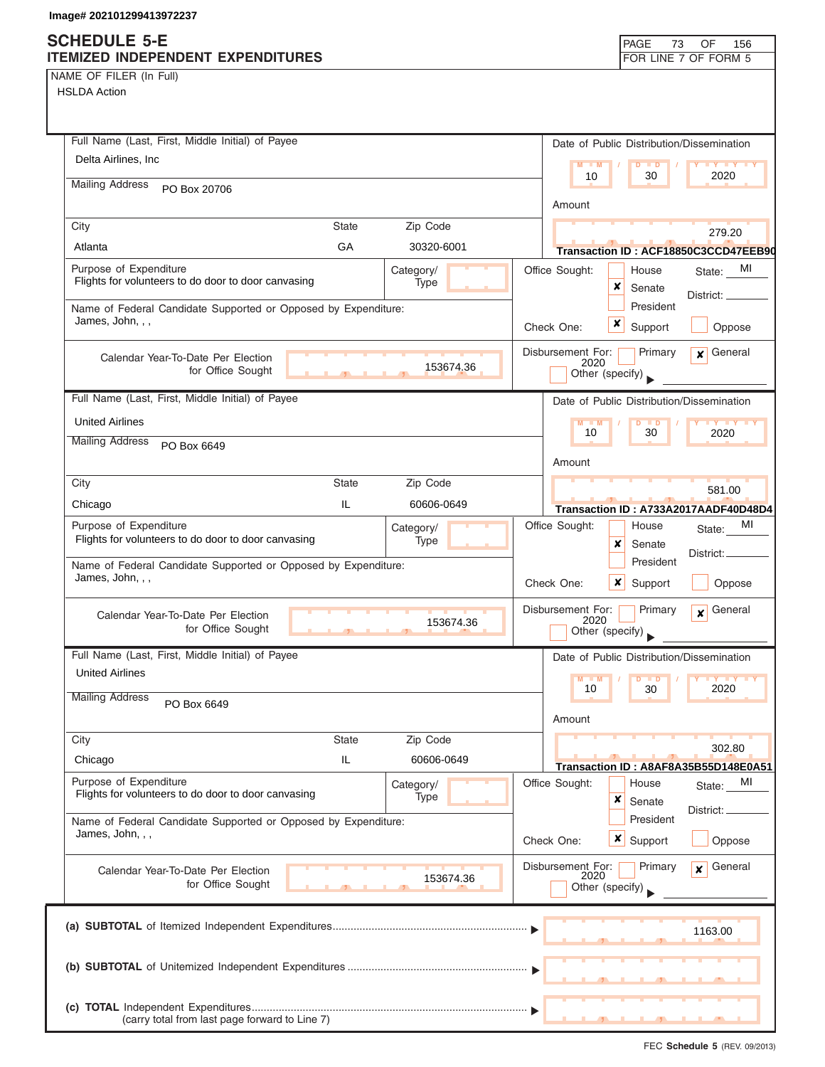### **SCHEDULE 5-E ITEMIZED INDEPENDENT EXPENDITURES FOR LINE 7 OF FORM 5**

NAME OF FILER (In Full) HSLDA Action

| Full Name (Last, First, Middle Initial) of Payee                                   |            | Date of Public Distribution/Dissemination                              |
|------------------------------------------------------------------------------------|------------|------------------------------------------------------------------------|
| Delta Airlines, Inc                                                                |            | $M - M$<br>$D$ $D$<br>$Y$ $Y$                                          |
| <b>Mailing Address</b><br>PO Box 20706                                             |            | 2020<br>10<br>30                                                       |
|                                                                                    |            | Amount                                                                 |
| City<br>State                                                                      | Zip Code   | 279.20                                                                 |
| GA<br>Atlanta                                                                      | 30320-6001 | Transaction ID: ACF18850C3CCD47EEB90                                   |
| Purpose of Expenditure<br>Flights for volunteers to do door to door canvasing      | Category/  | Office Sought:<br>MI<br>House<br>State:                                |
|                                                                                    | Type       | x<br>Senate<br>District: _____                                         |
| Name of Federal Candidate Supported or Opposed by Expenditure:<br>James, John, , , |            | President<br>x                                                         |
|                                                                                    |            | Check One:<br>Support<br>Oppose                                        |
| Calendar Year-To-Date Per Election<br>for Office Sought                            | 153674.36  | Primary<br>$x$ General<br>Disbursement For:<br>2020<br>Other (specify) |
| Full Name (Last, First, Middle Initial) of Payee                                   |            |                                                                        |
| <b>United Airlines</b>                                                             |            | Date of Public Distribution/Dissemination<br>M<br>D<br>$\blacksquare$  |
| <b>Mailing Address</b>                                                             |            | <b>TY TY</b><br>10<br>30<br>2020                                       |
| PO Box 6649                                                                        |            | Amount                                                                 |
| <b>State</b><br>City                                                               | Zip Code   |                                                                        |
| IL<br>Chicago                                                                      | 60606-0649 | 581.00<br>Transaction ID: A733A2017AADF40D48D4                         |
| Purpose of Expenditure                                                             | Category/  | Office Sought:<br>MI<br>House<br>State:                                |
| Flights for volunteers to do door to door canvasing                                | Type       | x<br>Senate                                                            |
| Name of Federal Candidate Supported or Opposed by Expenditure:                     |            | District:_<br>President                                                |
| James, John, , ,                                                                   |            | Check One:<br>x<br>Support<br>Oppose                                   |
| Calendar Year-To-Date Per Election                                                 |            | Disbursement For:<br>General<br>Primary<br>$\mathbf{x}$                |
| for Office Sought<br>$\mathbf{A}$                                                  | 153674.36  | 2020<br>Other (specify)                                                |
| Full Name (Last, First, Middle Initial) of Payee                                   |            | Date of Public Distribution/Dissemination                              |
| <b>United Airlines</b>                                                             |            | $M - M$<br>$\blacksquare$                                              |
| <b>Mailing Address</b><br>PO Box 6649                                              |            | 2020<br>10<br>30                                                       |
|                                                                                    |            | Amount                                                                 |
| <b>State</b><br>City                                                               | Zip Code   | 302.80                                                                 |
| IL<br>Chicago                                                                      | 60606-0649 | Transaction ID: A8AF8A35B55D148E0A51                                   |
| Purpose of Expenditure                                                             | Category/  | Office Sought:<br>MI<br>House<br>State:                                |
| Flights for volunteers to do door to door canvasing                                | Type       | ×<br>Senate<br>District:                                               |
| Name of Federal Candidate Supported or Opposed by Expenditure:<br>James, John, , , |            | President                                                              |
|                                                                                    |            | x<br>Support<br>Oppose<br>Check One:                                   |
| Calendar Year-To-Date Per Election                                                 |            | Disbursement For:<br>Primary<br>General<br>¥<br>2020                   |
| for Office Sought                                                                  | 153674.36  | Other (specify)                                                        |
|                                                                                    |            |                                                                        |
|                                                                                    |            | 1163.00                                                                |
|                                                                                    |            |                                                                        |
|                                                                                    |            |                                                                        |
|                                                                                    |            |                                                                        |
| (carry total from last page forward to Line 7)                                     |            |                                                                        |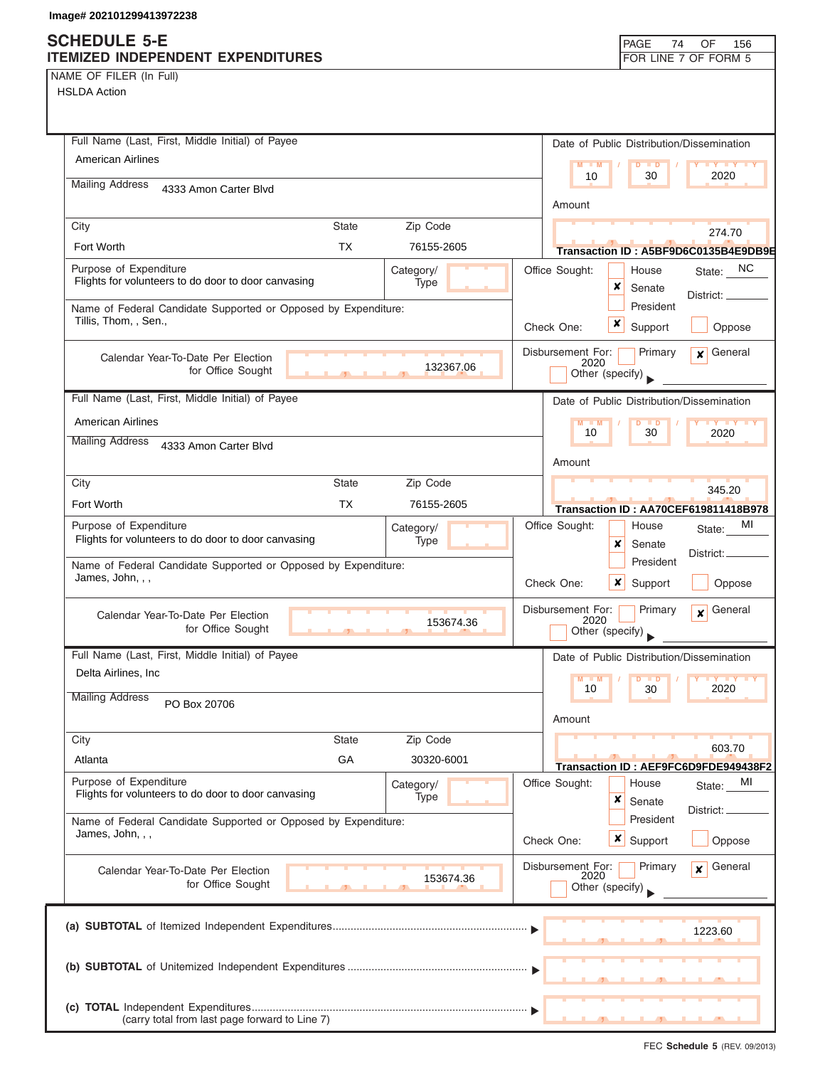NAME OF FILER (In Full)

| Full Name (Last, First, Middle Initial) of Payee                                           | Date of Public Distribution/Dissemination                       |
|--------------------------------------------------------------------------------------------|-----------------------------------------------------------------|
| <b>American Airlines</b>                                                                   | $M = M$<br>$D$ $D$<br><b>TY TY TY</b>                           |
| <b>Mailing Address</b><br>4333 Amon Carter Blvd                                            | 2020<br>10<br>30                                                |
|                                                                                            | Amount                                                          |
| City<br><b>State</b><br>Zip Code                                                           | 274.70                                                          |
| <b>TX</b><br>Fort Worth<br>76155-2605                                                      | Transaction ID: A5BF9D6C0135B4E9DB9E                            |
| Purpose of Expenditure<br>Category/<br>Flights for volunteers to do door to door canvasing | State: NC<br>Office Sought:<br>House                            |
| Type                                                                                       | x<br>Senate<br>District: __                                     |
| Name of Federal Candidate Supported or Opposed by Expenditure:<br>Tillis, Thom, , Sen.,    | President                                                       |
|                                                                                            | x<br>Support<br>Check One:<br>Oppose                            |
| Calendar Year-To-Date Per Election                                                         | General<br>Disbursement For:<br>Primary<br>$\mathbf{x}$<br>2020 |
| 132367.06<br>for Office Sought<br>$\overline{1}$                                           | Other (specify)                                                 |
| Full Name (Last, First, Middle Initial) of Payee                                           | Date of Public Distribution/Dissemination                       |
| <b>American Airlines</b>                                                                   | $M - M$<br>$D$ $D$<br>$Y$ $Y$                                   |
| <b>Mailing Address</b><br>4333 Amon Carter Blvd                                            | 30<br>10<br>2020                                                |
|                                                                                            | Amount                                                          |
| City<br><b>State</b><br>Zip Code                                                           | 345.20                                                          |
| TX.<br>Fort Worth<br>76155-2605                                                            | Transaction ID: AA70CEF619811418B978                            |
| Purpose of Expenditure<br>Category/                                                        | Office Sought:<br>MI<br>House<br>State:                         |
| Flights for volunteers to do door to door canvasing<br>Type                                | x<br>Senate<br>District: _                                      |
| Name of Federal Candidate Supported or Opposed by Expenditure:<br>James, John, , ,         | President                                                       |
|                                                                                            | Check One:<br>$\boldsymbol{x}$<br>Support<br>Oppose             |
| Calendar Year-To-Date Per Election                                                         | Disbursement For:<br>General<br>Primary<br>$\mathbf{x}$<br>2020 |
| 153674.36<br>for Office Sought<br>$\overline{1}$                                           | Other (specify)                                                 |
| Full Name (Last, First, Middle Initial) of Payee                                           | Date of Public Distribution/Dissemination                       |
| Delta Airlines, Inc                                                                        | M<br><b>TD</b>                                                  |
| <b>Mailing Address</b><br>PO Box 20706                                                     | 10<br>2020<br>30                                                |
|                                                                                            | Amount                                                          |
| City<br><b>State</b><br>Zip Code                                                           | 603.70                                                          |
| GA<br>Atlanta<br>30320-6001                                                                | Transaction ID: AEF9FC6D9FDE949438F2                            |
| Purpose of Expenditure<br>Category/                                                        | Office Sought:<br>House<br>MI<br>State:                         |
| Flights for volunteers to do door to door canvasing<br>Type                                | x<br>Senate<br>District:                                        |
| Name of Federal Candidate Supported or Opposed by Expenditure:<br>James, John, , ,         | President                                                       |
|                                                                                            | $x \mid$ Support<br>Oppose<br>Check One:                        |
| Calendar Year-To-Date Per Election                                                         | Disbursement For:<br>Primary<br>General<br>$\mathbf{x}$<br>2020 |
| 153674.36<br>for Office Sought                                                             | Other (specify)                                                 |
|                                                                                            |                                                                 |
|                                                                                            | 1223.60                                                         |
|                                                                                            |                                                                 |
|                                                                                            |                                                                 |
|                                                                                            |                                                                 |
| (carry total from last page forward to Line 7)                                             |                                                                 |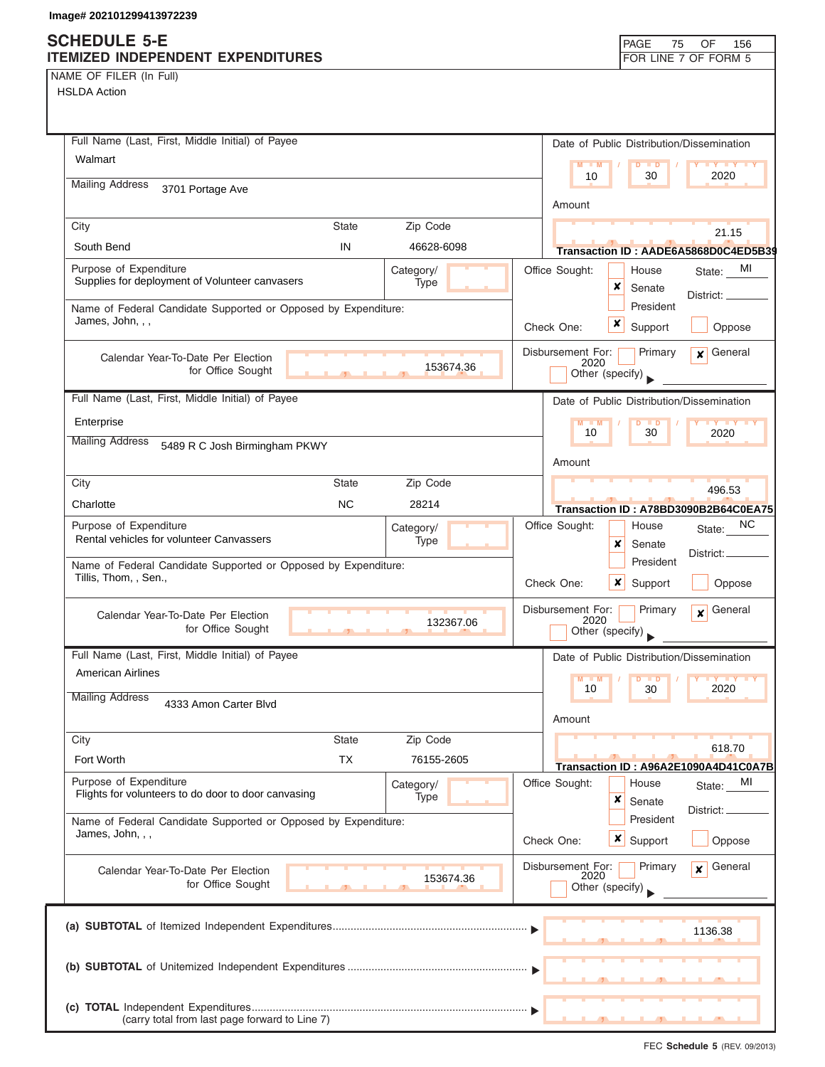NAME OF FILER (In Full) HSLDA Action

| Full Name (Last, First, Middle Initial) of Payee                                        |              |                   |                                              | Date of Public Distribution/Dissemination |                                                      |
|-----------------------------------------------------------------------------------------|--------------|-------------------|----------------------------------------------|-------------------------------------------|------------------------------------------------------|
| Walmart                                                                                 |              |                   | $M = M$                                      | $D$ $D$                                   | $Y$ $Y$ $Y$ $Y$                                      |
| <b>Mailing Address</b><br>3701 Portage Ave                                              |              |                   | 10                                           | 30                                        | 2020                                                 |
|                                                                                         |              |                   | Amount                                       |                                           |                                                      |
| City                                                                                    | <b>State</b> | Zip Code          |                                              |                                           | 21.15                                                |
| South Bend                                                                              | IN           | 46628-6098        |                                              |                                           | Transaction ID: AADE6A5868D0C4ED5B39                 |
| Purpose of Expenditure<br>Supplies for deployment of Volunteer canvasers                |              | Category/<br>Type | Office Sought:                               | House<br>x<br>Senate                      | MI<br>State:<br>District: _                          |
| Name of Federal Candidate Supported or Opposed by Expenditure:<br>James, John, , ,      |              |                   | Check One:                                   | President<br>x<br>Support                 | Oppose                                               |
| Calendar Year-To-Date Per Election<br>for Office Sought                                 |              | 153674.36         | Disbursement For:<br>2020<br>Other (specify) | Primary                                   | $x$ General                                          |
| Full Name (Last, First, Middle Initial) of Payee                                        |              |                   |                                              | Date of Public Distribution/Dissemination |                                                      |
| Enterprise                                                                              |              |                   | $M - M$                                      | D<br>$\blacksquare$                       | <b>TY TY TY</b>                                      |
| <b>Mailing Address</b><br>5489 R C Josh Birmingham PKWY                                 |              |                   | 10                                           | 30                                        | 2020                                                 |
|                                                                                         |              |                   | Amount                                       |                                           |                                                      |
| City                                                                                    | <b>State</b> | Zip Code          |                                              |                                           | 496.53                                               |
| Charlotte                                                                               | <b>NC</b>    | 28214             |                                              |                                           | Transaction ID: A78BD3090B2B64C0EA75                 |
| Purpose of Expenditure<br>Rental vehicles for volunteer Canvassers                      |              | Category/<br>Type | Office Sought:                               | House<br>×<br>Senate                      | NC.<br>State:<br>District:                           |
| Name of Federal Candidate Supported or Opposed by Expenditure:<br>Tillis, Thom, , Sen., |              |                   | Check One:                                   | President<br>x<br>Support                 | Oppose                                               |
| Calendar Year-To-Date Per Election<br>for Office Sought                                 | $\mathbf{J}$ | 132367.06         | Disbursement For:<br>2020<br>Other (specify) | Primary                                   | General<br>$\mathbf{x}$                              |
| Full Name (Last, First, Middle Initial) of Payee                                        |              |                   |                                              | Date of Public Distribution/Dissemination |                                                      |
| <b>American Airlines</b>                                                                |              |                   | M                                            |                                           |                                                      |
| <b>Mailing Address</b><br>4333 Amon Carter Blvd                                         |              |                   | 10<br>Amount                                 | 30                                        | 2020                                                 |
| City                                                                                    | <b>State</b> | Zip Code          |                                              |                                           |                                                      |
| Fort Worth                                                                              | <b>TX</b>    | 76155-2605        |                                              |                                           | 618.70                                               |
| Purpose of Expenditure                                                                  |              | Category/         | Office Sought:                               | House                                     | Transaction ID: A96A2E1090A4D41C0A7B<br>MI<br>State: |
| Flights for volunteers to do door to door canvasing                                     |              | Type              |                                              | ×<br>Senate                               | District:                                            |
| Name of Federal Candidate Supported or Opposed by Expenditure:<br>James, John, , ,      |              |                   | Check One:                                   | President<br>$x \mid$<br>Support          | Oppose                                               |
| Calendar Year-To-Date Per Election<br>for Office Sought                                 |              | 153674.36         | Disbursement For:<br>2020<br>Other (specify) | Primary                                   | General<br>$\mathbf{x}$                              |
|                                                                                         |              |                   |                                              |                                           |                                                      |
|                                                                                         |              |                   |                                              |                                           | 1136.38                                              |
|                                                                                         |              |                   |                                              |                                           |                                                      |
| (carry total from last page forward to Line 7)                                          |              |                   |                                              |                                           |                                                      |

FEC **Schedule 5** (REV. 09/2013)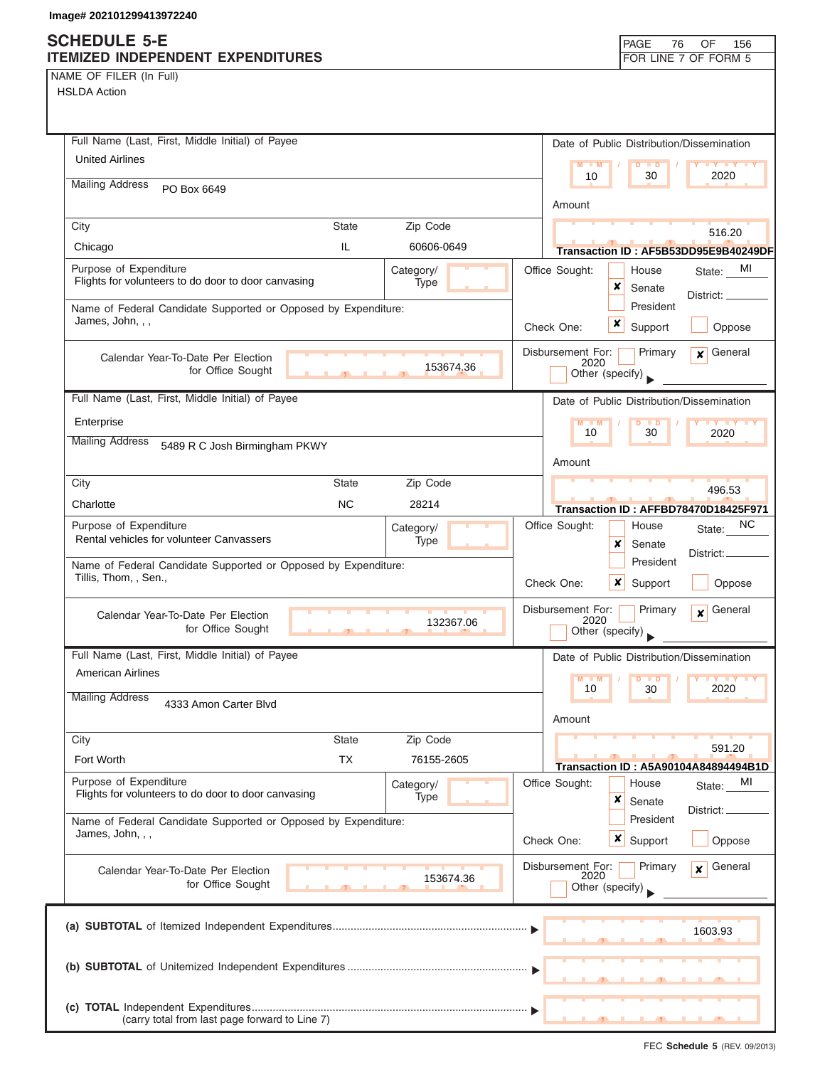# **SCHEDULE 5-E**

| NAME OF FILER (In Full) |  |  |
|-------------------------|--|--|
|-------------------------|--|--|

| <b>SUNEDULE 3-E</b><br>ITEMIZED INDEPENDENT EXPENDITURES                           |              |                   |                           |                         | <b>PAGE</b><br>76        | OF<br>156<br>FOR LINE 7 OF FORM 5         |
|------------------------------------------------------------------------------------|--------------|-------------------|---------------------------|-------------------------|--------------------------|-------------------------------------------|
| NAME OF FILER (In Full)                                                            |              |                   |                           |                         |                          |                                           |
| <b>HSLDA Action</b>                                                                |              |                   |                           |                         |                          |                                           |
|                                                                                    |              |                   |                           |                         |                          |                                           |
|                                                                                    |              |                   |                           |                         |                          |                                           |
| Full Name (Last, First, Middle Initial) of Payee                                   |              |                   |                           |                         |                          | Date of Public Distribution/Dissemination |
| <b>United Airlines</b>                                                             |              |                   |                           | $M = M$                 | $D$ $D$                  | <b>LY LY LY</b>                           |
| <b>Mailing Address</b><br>PO Box 6649                                              |              |                   |                           | 10                      | 30                       | 2020                                      |
|                                                                                    |              |                   | Amount                    |                         |                          |                                           |
| City                                                                               | <b>State</b> | Zip Code          |                           |                         |                          |                                           |
| Chicago                                                                            | IL.          | 60606-0649        |                           |                         |                          | 516.20                                    |
|                                                                                    |              |                   |                           |                         |                          | Transaction ID: AF5B53DD95E9B40249DF      |
| Purpose of Expenditure<br>Flights for volunteers to do door to door canvasing      |              | Category/<br>Type | Office Sought:            | ×                       | House                    | MI<br>State:                              |
|                                                                                    |              |                   |                           |                         | Senate<br>President      | District: _                               |
| Name of Federal Candidate Supported or Opposed by Expenditure:<br>James, John, , , |              |                   |                           |                         |                          |                                           |
|                                                                                    |              |                   | Check One:                | x                       | Support                  | Oppose                                    |
| Calendar Year-To-Date Per Election                                                 |              |                   | Disbursement For:         |                         | Primary                  | General<br>$\mathbf{x}$                   |
| for Office Sought                                                                  |              | 153674.36         |                           | 2020<br>Other (specify) |                          |                                           |
| Full Name (Last, First, Middle Initial) of Payee                                   |              |                   |                           |                         |                          |                                           |
|                                                                                    |              |                   |                           |                         |                          | Date of Public Distribution/Dissemination |
| Enterprise                                                                         |              |                   |                           | $M - M$<br>10           | $D$ $D$<br>30            | <b>LY LY LY</b><br>2020                   |
| <b>Mailing Address</b><br>5489 R C Josh Birmingham PKWY                            |              |                   |                           |                         |                          |                                           |
|                                                                                    |              |                   | Amount                    |                         |                          |                                           |
| City                                                                               | <b>State</b> | Zip Code          |                           |                         |                          | 496.53                                    |
| Charlotte                                                                          | <b>NC</b>    | 28214             |                           |                         |                          | Transaction ID: AFFBD78470D18425F971      |
| Purpose of Expenditure                                                             |              | Category/         | Office Sought:            |                         | House                    | NC.<br>State:                             |
| Rental vehicles for volunteer Canvassers                                           |              | Type              |                           | ×                       | Senate                   |                                           |
| Name of Federal Candidate Supported or Opposed by Expenditure:                     |              |                   |                           |                         | President                | District:                                 |
| Tillis, Thom, , Sen.,                                                              |              |                   | Check One:                | ×                       | Support                  | Oppose                                    |
|                                                                                    |              |                   |                           |                         |                          |                                           |
| Calendar Year-To-Date Per Election                                                 |              | 132367.06         | Disbursement For:         | 2020                    | Primary                  | General<br>$\mathbf{x}$                   |
| for Office Sought                                                                  |              |                   |                           | Other (specify)         |                          |                                           |
| Full Name (Last, First, Middle Initial) of Payee                                   |              |                   |                           |                         |                          | Date of Public Distribution/Dissemination |
| <b>American Airlines</b>                                                           |              |                   |                           | $M - M$                 | D<br>$\blacksquare$      | <b>LY LY</b>                              |
| <b>Mailing Address</b><br>4333 Amon Carter Blvd                                    |              |                   |                           | 10                      | 30                       | 2020                                      |
|                                                                                    |              |                   | Amount                    |                         |                          |                                           |
| City                                                                               | <b>State</b> | Zip Code          |                           |                         |                          |                                           |
| Fort Worth                                                                         | <b>TX</b>    | 76155-2605        |                           |                         |                          | 591.20                                    |
|                                                                                    |              |                   |                           |                         |                          | Transaction ID: A5A90104A84894494B1D      |
| Purpose of Expenditure<br>Flights for volunteers to do door to door canvasing      |              | Category/<br>Type | Office Sought:            |                         | House                    | MI<br>State:                              |
|                                                                                    |              |                   |                           | ×                       | Senate                   | District: _                               |
| Name of Federal Candidate Supported or Opposed by Expenditure:<br>James, John, , , |              |                   |                           |                         | President                |                                           |
|                                                                                    |              |                   | Check One:                |                         | $x \mid$ Support         | Oppose                                    |
| Calendar Year-To-Date Per Election                                                 |              |                   | Disbursement For:<br>2020 |                         | Primary                  | General<br>$\mathbf{x}$                   |
| for Office Sought                                                                  |              | 153674.36         |                           | Other (specify)         |                          |                                           |
|                                                                                    |              |                   |                           |                         |                          |                                           |
|                                                                                    |              |                   |                           |                         |                          | 1603.93                                   |
|                                                                                    |              |                   |                           |                         |                          |                                           |
|                                                                                    |              |                   |                           |                         |                          |                                           |
|                                                                                    |              |                   |                           |                         |                          |                                           |
|                                                                                    |              |                   |                           |                         |                          |                                           |
| (carry total from last page forward to Line 7)                                     |              |                   |                           |                         | $\overline{\phantom{a}}$ | <u>.</u>                                  |

┑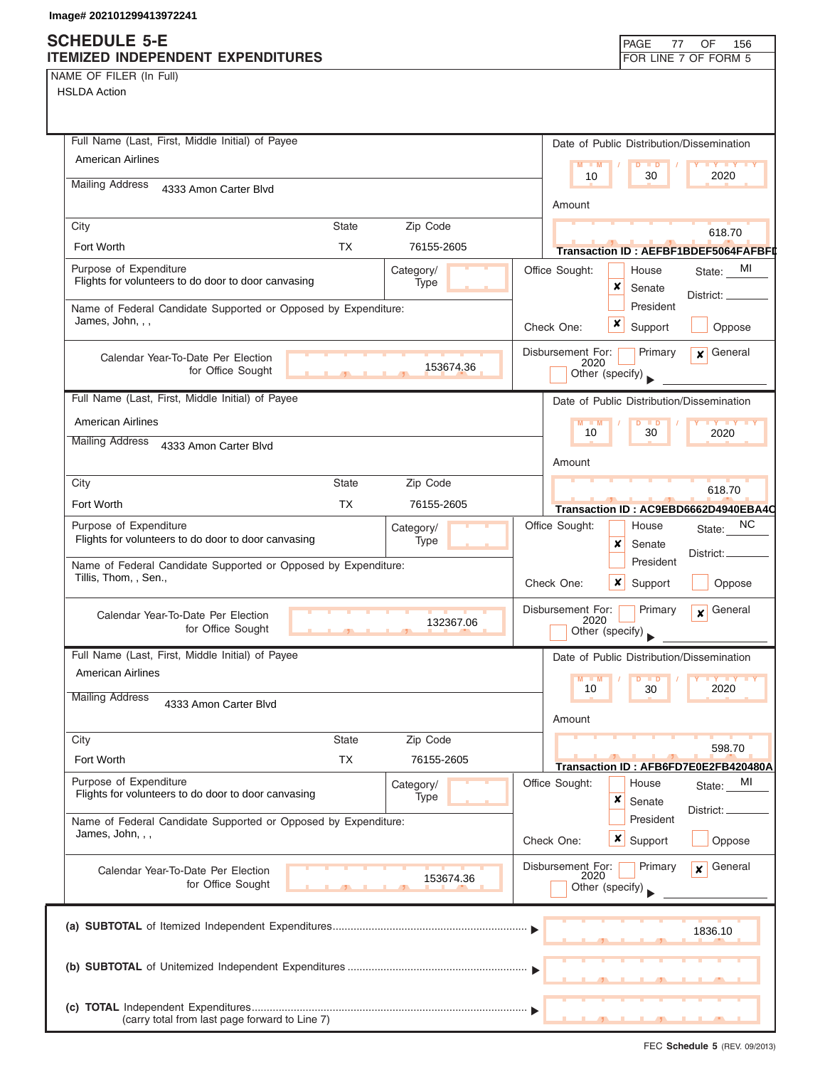## **SCHEDULE 5-E ITEMIZED INDEPENDENT EXPENDITURES**

|                      |  | PAGE 77 OF 156 |  |
|----------------------|--|----------------|--|
| FOR LINE 7 OF FORM 5 |  |                |  |

NAME OF FILER (In Full)

| <b>HSLDA Action</b> |  |
|---------------------|--|
|---------------------|--|

| Full Name (Last, First, Middle Initial) of Payee                                        |                          | Date of Public Distribution/Dissemination                             |
|-----------------------------------------------------------------------------------------|--------------------------|-----------------------------------------------------------------------|
| American Airlines                                                                       |                          | $M = M$<br>$D$ $\Box$ $D$<br><b>LY Y Y Y</b>                          |
| <b>Mailing Address</b><br>4333 Amon Carter Blvd                                         |                          | 10<br>30<br>2020                                                      |
|                                                                                         |                          | Amount                                                                |
| City                                                                                    | <b>State</b><br>Zip Code | 618.70                                                                |
| Fort Worth                                                                              | <b>TX</b><br>76155-2605  | Transaction ID: AEFBF1BDEF5064FAFBFI                                  |
| Purpose of Expenditure<br>Flights for volunteers to do door to door canvasing           | Category/                | Office Sought:<br>State: MI<br>House                                  |
|                                                                                         | Type                     | x<br>Senate<br>District: _                                            |
| Name of Federal Candidate Supported or Opposed by Expenditure:<br>James, John, , ,      |                          | President                                                             |
|                                                                                         |                          | Check One:<br>Support<br>Oppose                                       |
| Calendar Year-To-Date Per Election                                                      | 153674.36                | Disbursement For:<br>General<br>Primary<br>$\mathsf{x}$  <br>2020     |
| for Office Sought                                                                       | $\mathbf{r}$             | Other (specify)                                                       |
| Full Name (Last, First, Middle Initial) of Payee                                        |                          | Date of Public Distribution/Dissemination                             |
| <b>American Airlines</b>                                                                |                          | $M - M$<br><b>TY TY TY</b><br>D<br>$\blacksquare$<br>10<br>30<br>2020 |
| <b>Mailing Address</b><br>4333 Amon Carter Blvd                                         |                          |                                                                       |
|                                                                                         |                          | Amount                                                                |
| City                                                                                    | <b>State</b><br>Zip Code | 618.70                                                                |
| Fort Worth                                                                              | TX.<br>76155-2605        | Transaction ID: AC9EBD6662D4940EBA4C                                  |
| Purpose of Expenditure<br>Flights for volunteers to do door to door canvasing           | Category/<br>Type        | NC<br>Office Sought:<br>House<br>State:                               |
|                                                                                         |                          | x<br>Senate<br>District:<br>President                                 |
| Name of Federal Candidate Supported or Opposed by Expenditure:<br>Tillis, Thom, , Sen., |                          | $\boldsymbol{x}$<br>Oppose<br>Check One:<br>Support                   |
|                                                                                         |                          | Disbursement For:<br>Primary<br>General<br>$\mathbf{x}$               |
| Calendar Year-To-Date Per Election<br>for Office Sought                                 | 132367.06                | 2020<br>Other (specify)                                               |
| Full Name (Last, First, Middle Initial) of Payee                                        |                          | Date of Public Distribution/Dissemination                             |
| <b>American Airlines</b>                                                                |                          | M<br>M<br>D<br>$\blacksquare$<br>$\mathbf{u}$<br>2020<br>10           |
| <b>Mailing Address</b><br>4333 Amon Carter Blvd                                         |                          | 30                                                                    |
|                                                                                         |                          | Amount                                                                |
| City                                                                                    | Zip Code<br><b>State</b> | 598.70                                                                |
| Fort Worth                                                                              | <b>TX</b><br>76155-2605  | Transaction ID: AFB6FD7E0E2FB420480A                                  |
| Purpose of Expenditure<br>Flights for volunteers to do door to door canvasing           | Category/<br>Type        | Office Sought:<br>House<br>MI<br>State:<br>×                          |
| Name of Federal Candidate Supported or Opposed by Expenditure:                          |                          | Senate<br>District:<br>President                                      |
| James, John, , ,                                                                        |                          | x  <br>Check One:<br>Support<br>Oppose                                |
|                                                                                         |                          |                                                                       |
| Calendar Year-To-Date Per Election<br>for Office Sought                                 | 153674.36                | Disbursement For:<br>General<br>Primary<br>$\mathbf{x}$<br>2020       |
|                                                                                         |                          | Other (specify)                                                       |
|                                                                                         |                          |                                                                       |
|                                                                                         |                          | 1836.10                                                               |
|                                                                                         |                          |                                                                       |
|                                                                                         |                          |                                                                       |
|                                                                                         |                          |                                                                       |
| (carry total from last page forward to Line 7)                                          |                          |                                                                       |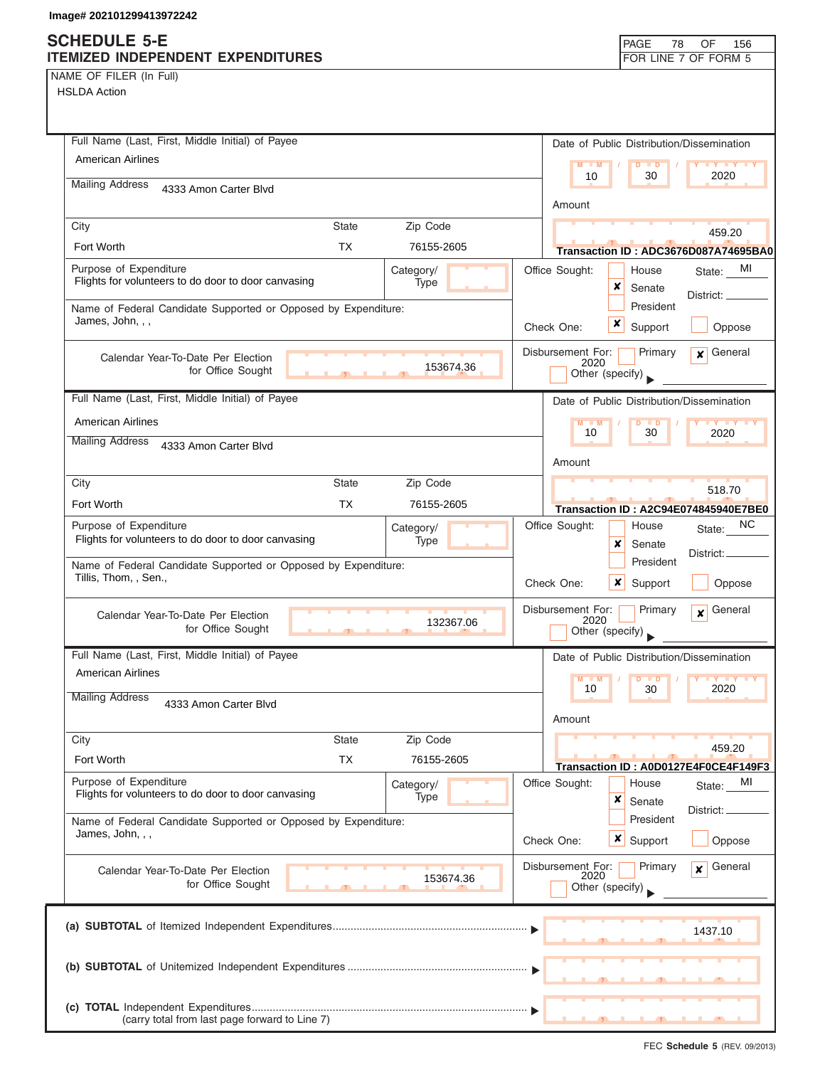NAME OF FILER (In Full)

HSLDA Action

| Full Name (Last, First, Middle Initial) of Payee                                                   | Date of Public Distribution/Dissemination                                                    |
|----------------------------------------------------------------------------------------------------|----------------------------------------------------------------------------------------------|
| <b>American Airlines</b>                                                                           | $M - M$<br>D<br>$\blacksquare$<br>$Y$ $Y$<br>2020<br>10<br>30                                |
| <b>Mailing Address</b><br>4333 Amon Carter Blvd                                                    |                                                                                              |
|                                                                                                    | Amount                                                                                       |
| City<br><b>State</b><br>Zip Code                                                                   | 459.20                                                                                       |
| Fort Worth<br><b>TX</b><br>76155-2605                                                              | Transaction ID: ADC3676D087A74695BA0                                                         |
| Purpose of Expenditure<br>Category/<br>Flights for volunteers to do door to door canvasing<br>Type | Office Sought:<br>MI<br>House<br>State:<br>×<br>Senate                                       |
| Name of Federal Candidate Supported or Opposed by Expenditure:                                     | District: _____<br>President                                                                 |
| James, John, , ,                                                                                   | x<br>Support<br>Oppose<br>Check One:                                                         |
|                                                                                                    | Disbursement For:<br>General<br>Primary<br>$\mathbf{x}$                                      |
| Calendar Year-To-Date Per Election<br>153674.36<br>for Office Sought                               | 2020<br>Other (specify)                                                                      |
| Full Name (Last, First, Middle Initial) of Payee                                                   |                                                                                              |
|                                                                                                    | Date of Public Distribution/Dissemination                                                    |
| <b>American Airlines</b><br><b>Mailing Address</b>                                                 | $M - M$<br>D<br>$\mathbf{y}$ $\mathbf{y}$ $\mathbf{y}$<br>$\blacksquare$<br>10<br>30<br>2020 |
| 4333 Amon Carter Blvd                                                                              | Amount                                                                                       |
| <b>State</b><br>Zip Code<br>City                                                                   |                                                                                              |
| Fort Worth<br>ТX<br>76155-2605                                                                     | 518.70                                                                                       |
| Purpose of Expenditure<br>Category/                                                                | Transaction ID: A2C94E074845940E7BE0<br>NС<br>Office Sought:<br>House                        |
| Flights for volunteers to do door to door canvasing<br>Type                                        | State:<br>×<br>Senate                                                                        |
| Name of Federal Candidate Supported or Opposed by Expenditure:                                     | District: _<br>President                                                                     |
| Tillis, Thom, , Sen.,                                                                              | Check One:<br>x<br>Support<br>Oppose                                                         |
| Calendar Year-To-Date Per Election                                                                 | Disbursement For:<br>Primary<br>General<br>$\mathbf{x}$                                      |
| 132367.06<br>for Office Sought                                                                     | 2020<br>Other (specify)                                                                      |
| Full Name (Last, First, Middle Initial) of Payee                                                   | Date of Public Distribution/Dissemination                                                    |
| American Airlines                                                                                  | $M$ $M$<br>$\blacksquare$                                                                    |
| <b>Mailing Address</b><br>4333 Amon Carter Blvd                                                    | 10<br>30<br>2020                                                                             |
|                                                                                                    | Amount                                                                                       |
| Zip Code<br>City<br><b>State</b>                                                                   | 459.20                                                                                       |
| Fort Worth<br><b>TX</b><br>76155-2605                                                              | Transaction ID: A0D0127E4F0CE4F149F3                                                         |
| Purpose of Expenditure<br>Category/                                                                | Office Sought:<br>MI<br>House<br>State:                                                      |
| Flights for volunteers to do door to door canvasing<br><b>Type</b>                                 | ×<br>Senate<br>District:                                                                     |
| Name of Federal Candidate Supported or Opposed by Expenditure:<br>James, John, , ,                 | President                                                                                    |
|                                                                                                    | $\boldsymbol{\mathsf{x}}$  <br>Check One:<br>Support<br>Oppose                               |
| Calendar Year-To-Date Per Election<br>153674.36                                                    | Disbursement For:<br>Primary<br>General<br>$\mathbf{x}$<br>2020                              |
| for Office Sought                                                                                  | Other (specify)                                                                              |
|                                                                                                    |                                                                                              |
|                                                                                                    | 1437.10                                                                                      |
|                                                                                                    |                                                                                              |
|                                                                                                    |                                                                                              |
|                                                                                                    |                                                                                              |
| (carry total from last page forward to Line 7)                                                     |                                                                                              |

FEC **Schedule 5** (REV. 09/2013)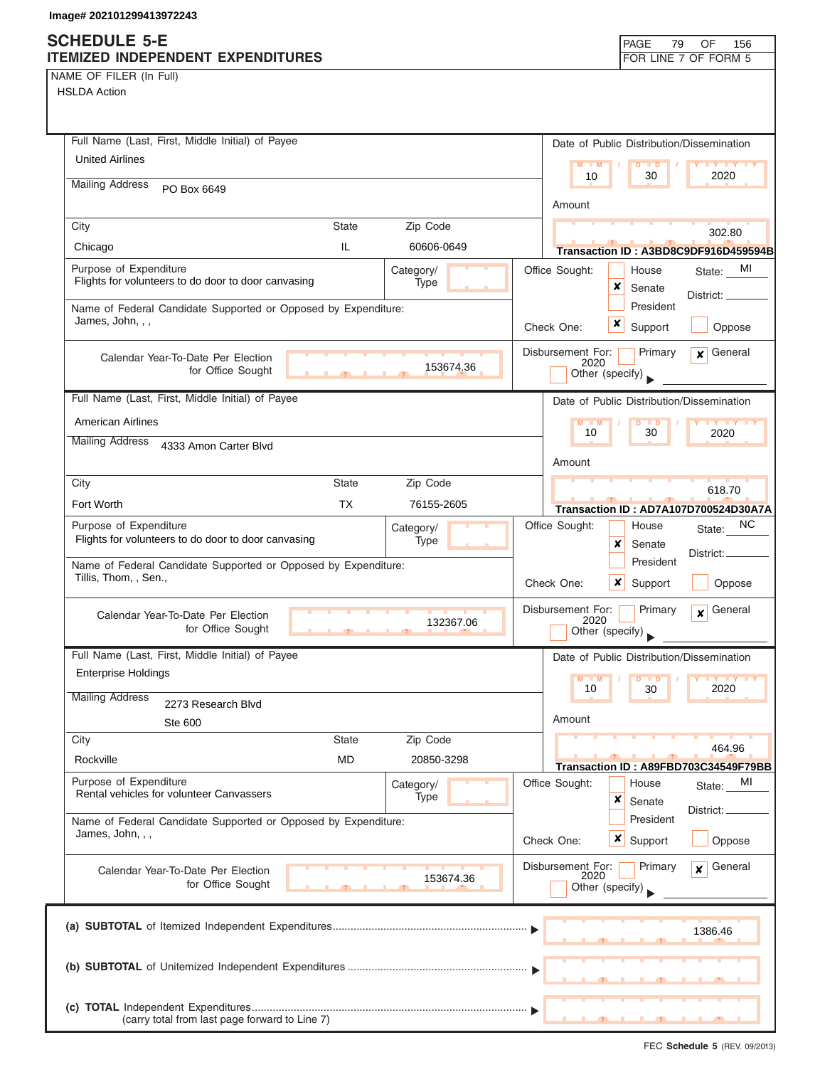### **SCHEDULE 5-E ITEMIZED INDEPENDENT EXPENDITURES FOR LINE 7 OF FORM 5**

NAME OF FILER (In Full) HSLDA Action

| Full Name (Last, First, Middle Initial) of Payee                                        | Date of Public Distribution/Dissemination                                       |
|-----------------------------------------------------------------------------------------|---------------------------------------------------------------------------------|
| <b>United Airlines</b>                                                                  | $M - M$<br>D<br>$\blacksquare$<br>$\mathbf{y}$ $\mathbf{y}$<br>2020<br>10<br>30 |
| <b>Mailing Address</b><br>PO Box 6649                                                   |                                                                                 |
|                                                                                         | Amount                                                                          |
| City<br><b>State</b><br>Zip Code<br>IL.<br>Chicago<br>60606-0649                        | 302.80                                                                          |
| Purpose of Expenditure<br>Category/                                                     | Transaction ID: A3BD8C9DF916D459594B<br>Office Sought:<br>MI<br>House           |
| Flights for volunteers to do door to door canvasing<br>Type                             | State:<br>×<br>Senate                                                           |
| Name of Federal Candidate Supported or Opposed by Expenditure:                          | District:<br>President                                                          |
| James, John, , ,                                                                        | x<br>Check One:<br>Support<br>Oppose                                            |
| Calendar Year-To-Date Per Election<br>153674.36                                         | Disbursement For:<br>Primary<br>General<br>$\mathbf{x}$<br>2020                 |
| for Office Sought                                                                       | Other (specify)                                                                 |
| Full Name (Last, First, Middle Initial) of Payee                                        | Date of Public Distribution/Dissemination                                       |
| <b>American Airlines</b>                                                                | $M - M$<br>$\overline{D}$<br>$\blacksquare$<br>30<br>10<br>2020                 |
| <b>Mailing Address</b><br>4333 Amon Carter Blvd                                         |                                                                                 |
|                                                                                         | Amount                                                                          |
| City<br><b>State</b><br>Zip Code<br>Fort Worth<br>TX.<br>76155-2605                     | 618.70                                                                          |
| Purpose of Expenditure                                                                  | Transaction ID: AD7A107D700524D30A7A<br>NC<br>Office Sought:<br>House           |
| Category/<br>Flights for volunteers to do door to door canvasing<br>Type                | State:<br>×<br>Senate                                                           |
| Name of Federal Candidate Supported or Opposed by Expenditure:                          | District: _<br>President                                                        |
| Tillis, Thom, , Sen.,                                                                   | Check One:<br>x<br>Support<br>Oppose                                            |
| Calendar Year-To-Date Per Election                                                      | Disbursement For:<br>General<br>Primary<br>$\mathbf{x}$<br>2020                 |
| 132367.06<br>for Office Sought                                                          | Other (specify)                                                                 |
| Full Name (Last, First, Middle Initial) of Payee                                        | Date of Public Distribution/Dissemination                                       |
| <b>Enterprise Holdings</b>                                                              | $M - M$<br>$D$ $D$<br>2020<br>10<br>30                                          |
| <b>Mailing Address</b><br>2273 Research Blvd                                            |                                                                                 |
| <b>Ste 600</b>                                                                          | Amount                                                                          |
| City<br><b>State</b><br>Zip Code                                                        | 464.96                                                                          |
| <b>MD</b><br>Rockville<br>20850-3298                                                    | Transaction ID: A89FBD703C34549F79BB                                            |
| Purpose of Expenditure<br>Category/<br>Rental vehicles for volunteer Canvassers<br>Type | Office Sought:<br>MI<br>House<br>State:<br>×<br>Senate                          |
| Name of Federal Candidate Supported or Opposed by Expenditure:                          | District: _<br>President                                                        |
| James, John, , ,                                                                        | Check One:<br><b>x</b> Support<br>Oppose                                        |
| Calendar Year-To-Date Per Election                                                      | Disbursement For:<br>General<br>Primary<br>¥                                    |
| 153674.36<br>for Office Sought                                                          | 2020<br>Other (specify)                                                         |
|                                                                                         |                                                                                 |
|                                                                                         | 1386.46                                                                         |
|                                                                                         |                                                                                 |
|                                                                                         |                                                                                 |
|                                                                                         |                                                                                 |
| (carry total from last page forward to Line 7)                                          |                                                                                 |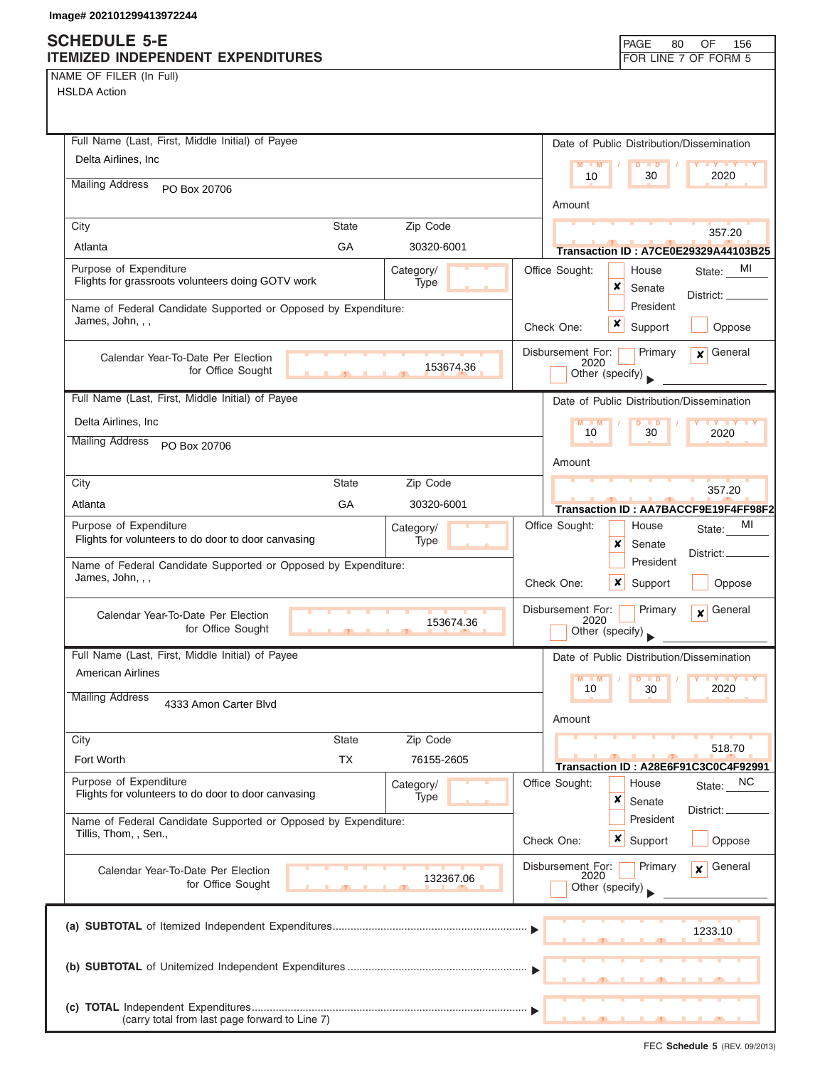## **SCHEDULE 5-E**

| <b>ITEMIZED INDEPENDENT EXPENDITURES</b>                                                   | FOR LINE 7 OF FORM 5                                                       |
|--------------------------------------------------------------------------------------------|----------------------------------------------------------------------------|
| NAME OF FILER (In Full)                                                                    |                                                                            |
| <b>HSLDA Action</b>                                                                        |                                                                            |
|                                                                                            |                                                                            |
|                                                                                            |                                                                            |
| Full Name (Last, First, Middle Initial) of Payee                                           | Date of Public Distribution/Dissemination                                  |
| Delta Airlines, Inc.                                                                       | $M = M$<br>$D$ $\Box$ $D$<br><b>Y Y Y Y Y</b>                              |
| <b>Mailing Address</b><br>PO Box 20706                                                     | 10<br>30<br>2020                                                           |
|                                                                                            | Amount                                                                     |
| Zip Code<br>City<br><b>State</b>                                                           |                                                                            |
| GA<br>Atlanta<br>30320-6001                                                                | 357.20                                                                     |
| Purpose of Expenditure                                                                     | Transaction ID: A7CE0E29329A44103B25<br>MI                                 |
| Category/<br>Flights for grassroots volunteers doing GOTV work<br>Type                     | Office Sought:<br>House<br>State:<br>×<br>Senate                           |
|                                                                                            | District: __<br>President                                                  |
| Name of Federal Candidate Supported or Opposed by Expenditure:<br>James, John, , ,         | x                                                                          |
|                                                                                            | Support<br>Oppose<br>Check One:                                            |
| Calendar Year-To-Date Per Election                                                         | $x$ General<br>Disbursement For:<br>Primary<br>2020                        |
| 153674.36<br>for Office Sought                                                             | Other (specify)                                                            |
| Full Name (Last, First, Middle Initial) of Payee                                           |                                                                            |
|                                                                                            | Date of Public Distribution/Dissemination                                  |
| Delta Airlines, Inc                                                                        | $M - M$<br>$D$ $D$<br>10<br>30<br>2020                                     |
| <b>Mailing Address</b><br>PO Box 20706                                                     |                                                                            |
|                                                                                            | Amount                                                                     |
| <b>State</b><br>Zip Code<br>City                                                           | 357.20                                                                     |
| GA<br>30320-6001<br>Atlanta                                                                | Transaction ID: AA7BACCF9E19F4FF98F2                                       |
| Purpose of Expenditure<br>Category/                                                        | Office Sought:<br>MI<br>House<br>State:                                    |
| Flights for volunteers to do door to door canvasing<br>Type                                | x<br>Senate                                                                |
| Name of Federal Candidate Supported or Opposed by Expenditure:                             | District:.<br>President                                                    |
| James, John, , ,                                                                           | Check One:<br>x<br>Oppose<br>Support                                       |
|                                                                                            |                                                                            |
| Calendar Year-To-Date Per Election<br>153674.36                                            | General<br>Disbursement For:<br>Primary<br>$\overline{\mathbf{x}}$<br>2020 |
| for Office Sought<br>$\mathbf{r}$                                                          | Other (specify)                                                            |
| Full Name (Last, First, Middle Initial) of Payee                                           | Date of Public Distribution/Dissemination                                  |
| American Airlines                                                                          | $Y = Y = Y$<br>$M - M$                                                     |
| <b>Mailing Address</b>                                                                     | 2020<br>10<br>30                                                           |
| 4333 Amon Carter Blvd                                                                      | Amount                                                                     |
|                                                                                            |                                                                            |
| Zip Code<br><b>State</b><br>City                                                           | 518.70                                                                     |
| <b>TX</b><br>Fort Worth<br>76155-2605                                                      | Transaction ID: A28E6F91C3C0C4F92991                                       |
| Purpose of Expenditure<br>Category/<br>Flights for volunteers to do door to door canvasing | Office Sought:<br>NC<br>House<br>State:                                    |
| Type                                                                                       | ×<br>Senate<br>District: <sub>-</sub>                                      |
| Name of Federal Candidate Supported or Opposed by Expenditure:                             | President                                                                  |
| Tillis, Thom, , Sen.,                                                                      | x<br>Support<br>Check One:<br>Oppose                                       |
| Calendar Year-To-Date Per Election                                                         | Disbursement For:<br>Primary<br>General<br>$\mathbf{x}$                    |
| 132367.06<br>for Office Sought                                                             | 2020<br>Other (specify)                                                    |
|                                                                                            |                                                                            |
|                                                                                            |                                                                            |
|                                                                                            | 1233.10                                                                    |
|                                                                                            |                                                                            |
|                                                                                            |                                                                            |
|                                                                                            |                                                                            |
|                                                                                            |                                                                            |
| (carry total from last page forward to Line 7)                                             |                                                                            |

PAGE 80

OF 156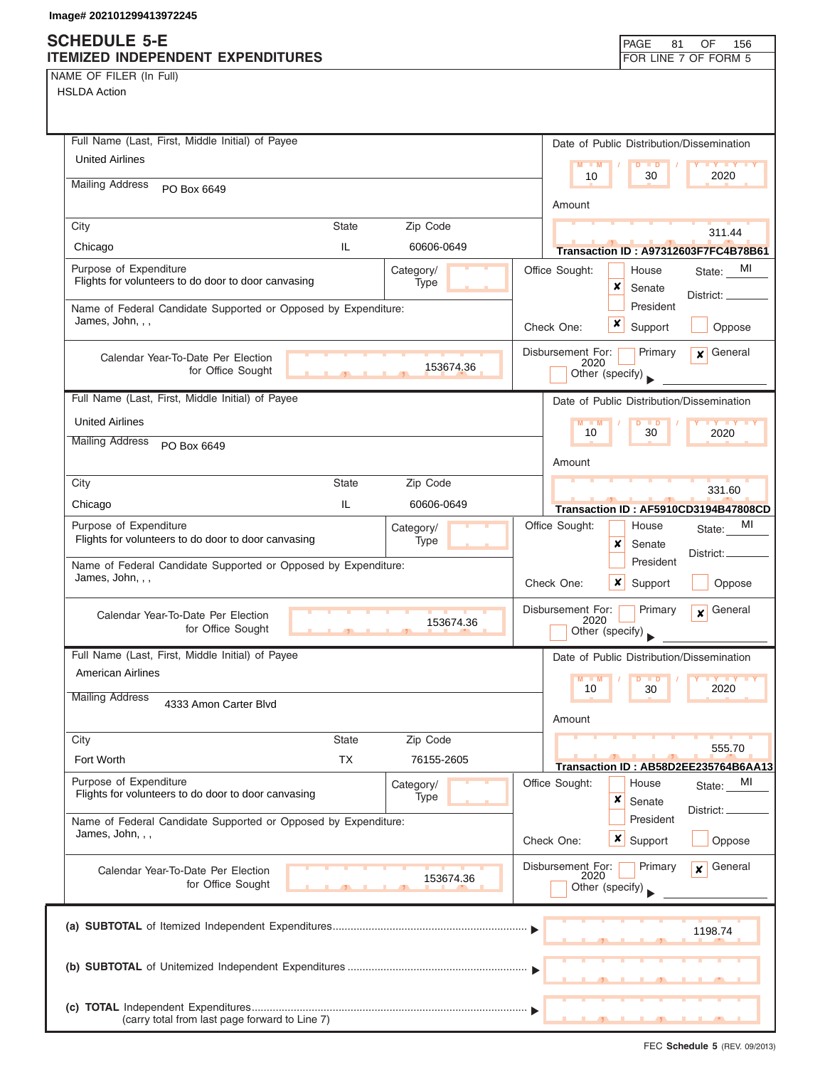### **SCHEDULE 5-E ITEMIZED INDEPENDENT EXPENDITURES FOR LINE 7 OF FORM 5**

| NAME OF FILER (In Full)                                                                                                                         |                   |                                              |                                  |                                      |
|-------------------------------------------------------------------------------------------------------------------------------------------------|-------------------|----------------------------------------------|----------------------------------|--------------------------------------|
| <b>HSLDA Action</b>                                                                                                                             |                   |                                              |                                  |                                      |
|                                                                                                                                                 |                   |                                              |                                  |                                      |
| Full Name (Last, First, Middle Initial) of Payee                                                                                                |                   | Date of Public Distribution/Dissemination    |                                  |                                      |
| <b>United Airlines</b>                                                                                                                          |                   | $M - M$                                      | $\overline{D}$<br>$\blacksquare$ | $Y$ $Y$                              |
| <b>Mailing Address</b><br>PO Box 6649                                                                                                           |                   | 10                                           | 30                               | 2020                                 |
|                                                                                                                                                 |                   | Amount                                       |                                  |                                      |
| City<br><b>State</b>                                                                                                                            | Zip Code          |                                              |                                  | 311.44                               |
| Chicago<br>IL                                                                                                                                   | 60606-0649        |                                              |                                  | Transaction ID: A97312603F7FC4B78B61 |
| Purpose of Expenditure<br>Flights for volunteers to do door to door canvasing                                                                   | Category/<br>Type | Office Sought:<br>x                          | House<br>Senate                  | State: MI                            |
| Name of Federal Candidate Supported or Opposed by Expenditure:<br>James, John, , ,                                                              |                   | x<br>Check One:                              | President<br>Support             | District: _<br>Oppose                |
| Calendar Year-To-Date Per Election<br>for Office Sought                                                                                         | 153674.36         | Disbursement For:<br>2020<br>Other (specify) | Primary                          | General<br>$\mathbf{x}$              |
| Full Name (Last, First, Middle Initial) of Payee                                                                                                |                   | Date of Public Distribution/Dissemination    |                                  |                                      |
| <b>United Airlines</b>                                                                                                                          |                   | 10                                           | $\blacksquare$<br>30             | 2020                                 |
| <b>Mailing Address</b><br>PO Box 6649                                                                                                           |                   | Amount                                       |                                  |                                      |
| City<br><b>State</b>                                                                                                                            | Zip Code          |                                              |                                  | 331.60                               |
| IL<br>Chicago                                                                                                                                   | 60606-0649        |                                              |                                  | Transaction ID: AF5910CD3194B47808CD |
| Purpose of Expenditure<br>Flights for volunteers to do door to door canvasing<br>Name of Federal Candidate Supported or Opposed by Expenditure: | Category/<br>Type | Office Sought:<br>x                          | House<br>Senate<br>President     | MI<br>State:<br>District:            |
| James, John, , ,                                                                                                                                |                   | Check One:<br>x                              | Support                          | Oppose                               |
| Calendar Year-To-Date Per Election<br>for Office Sought<br>$\overline{\phantom{a}}$                                                             | 153674.36         | Disbursement For:<br>2020<br>Other (specify) | Primary                          | General<br>$\mathbf{x}$              |
| Full Name (Last, First, Middle Initial) of Payee                                                                                                |                   | Date of Public Distribution/Dissemination    |                                  |                                      |
| American Airlines                                                                                                                               |                   | M<br>M<br>10                                 | D<br>$\blacksquare$<br>30        | $- Y$<br>$\mathbf{y}$<br>2020        |
| <b>Mailing Address</b><br>4333 Amon Carter Blvd                                                                                                 |                   | Amount                                       |                                  |                                      |
| <b>State</b><br>City                                                                                                                            | Zip Code          |                                              |                                  | 555.70                               |
| <b>TX</b><br>Fort Worth                                                                                                                         | 76155-2605        |                                              |                                  | Transaction ID: AB58D2EE235764B6AA13 |
| Purpose of Expenditure                                                                                                                          | Category/         | Office Sought:                               | House                            | MI<br>State:                         |
| Flights for volunteers to do door to door canvasing<br>Name of Federal Candidate Supported or Opposed by Expenditure:                           | Type              | ×                                            | Senate<br>President              | District:                            |
| James, John, , ,                                                                                                                                |                   | $\boldsymbol{x}$<br>Check One:               | Support                          | Oppose                               |
| Calendar Year-To-Date Per Election<br>for Office Sought                                                                                         | 153674.36         | Disbursement For:<br>2020<br>Other (specify) | Primary                          | General<br>$\mathbf{x}$              |
|                                                                                                                                                 |                   |                                              |                                  | 1198.74                              |
|                                                                                                                                                 |                   |                                              |                                  |                                      |
| (carry total from last page forward to Line 7)                                                                                                  |                   |                                              |                                  |                                      |

PAGE 81 OF 156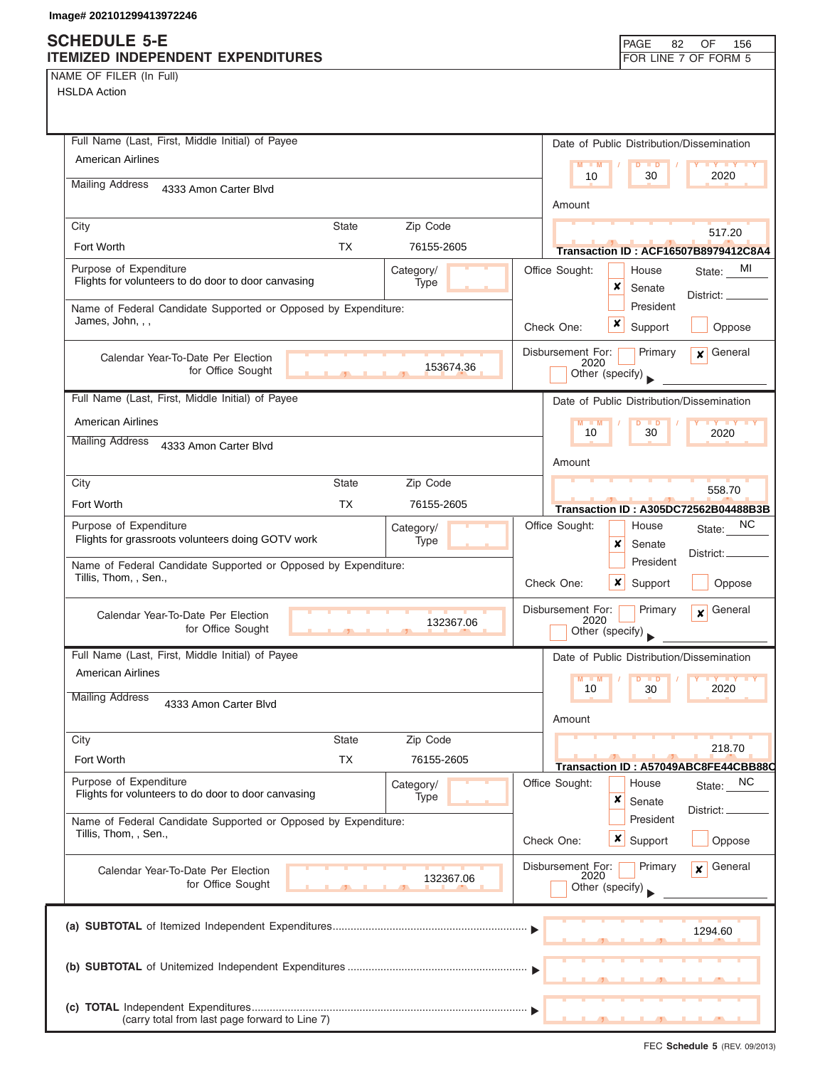| NAME OF FILER (In Full) |  |  |
|-------------------------|--|--|

| Full Name (Last, First, Middle Initial) of Payee                                                 | Date of Public Distribution/Dissemination                                              |
|--------------------------------------------------------------------------------------------------|----------------------------------------------------------------------------------------|
| <b>American Airlines</b>                                                                         | $M - M$<br>$\blacksquare$<br>$\mathbf{y}$ $\mathbf{y}$<br>10<br>30<br>2020             |
| <b>Mailing Address</b><br>4333 Amon Carter Blvd                                                  |                                                                                        |
| City<br><b>State</b><br>Zip Code                                                                 | Amount                                                                                 |
| <b>TX</b><br>Fort Worth<br>76155-2605                                                            | 517.20                                                                                 |
| Purpose of Expenditure<br>Category/                                                              | <b>Transaction ID: ACF16507B8979412C8A4</b><br>Office Sought:<br>MI<br>House<br>State: |
| Flights for volunteers to do door to door canvasing<br>Type                                      | ×<br>Senate                                                                            |
| Name of Federal Candidate Supported or Opposed by Expenditure:                                   | District: ____<br>President                                                            |
| James, John, , ,                                                                                 | x<br>Oppose<br>Check One:<br>Support                                                   |
| Calendar Year-To-Date Per Election                                                               | Disbursement For:<br>General<br>Primary<br>$\mathbf{x}$<br>2020                        |
| 153674.36<br>for Office Sought                                                                   | Other (specify)                                                                        |
| Full Name (Last, First, Middle Initial) of Payee                                                 | Date of Public Distribution/Dissemination                                              |
| <b>American Airlines</b>                                                                         | M<br>$- M$<br>D<br>$\blacksquare$                                                      |
| <b>Mailing Address</b><br>4333 Amon Carter Blvd                                                  | 10<br>30<br>2020                                                                       |
|                                                                                                  | Amount                                                                                 |
| <b>State</b><br>Zip Code<br>City                                                                 | 558.70                                                                                 |
| Fort Worth<br>TX.<br>76155-2605                                                                  | Transaction ID: A305DC72562B04488B3B                                                   |
| Purpose of Expenditure<br>Category/<br>Flights for grassroots volunteers doing GOTV work<br>Type | ΝC<br>Office Sought:<br>House<br>State:<br>x                                           |
| Name of Federal Candidate Supported or Opposed by Expenditure:                                   | Senate<br>District:<br>President                                                       |
| Tillis, Thom, , Sen.,                                                                            | Check One:<br>x<br>Support<br>Oppose                                                   |
| Calendar Year-To-Date Per Election<br>132367.06<br>for Office Sought                             | Disbursement For:<br>Primary<br>General<br>$\mathbf{x}$<br>2020<br>Other (specify)     |
| Full Name (Last, First, Middle Initial) of Payee                                                 | Date of Public Distribution/Dissemination                                              |
| American Airlines                                                                                | $M$ $M$<br>$\blacksquare$                                                              |
| <b>Mailing Address</b><br>4333 Amon Carter Blvd                                                  | 10<br>30<br>2020<br>Amount                                                             |
| City<br><b>State</b><br>Zip Code                                                                 |                                                                                        |
| Fort Worth<br><b>TX</b><br>76155-2605                                                            | 218.70<br>Transaction ID: A57049ABC8FE44CBB88C                                         |
| Purpose of Expenditure<br>Category/                                                              | Office Sought:<br>NC.<br>House<br>State:                                               |
| Flights for volunteers to do door to door canvasing<br>Type                                      | ×<br>Senate<br>District:                                                               |
| Name of Federal Candidate Supported or Opposed by Expenditure:<br>Tillis, Thom, , Sen.,          | President<br>Check One:<br>$\boldsymbol{\mathsf{x}}$  <br>Support<br>Oppose            |
|                                                                                                  | Disbursement For:<br>Primary<br>General<br>$\mathbf{x}$                                |
| Calendar Year-To-Date Per Election<br>132367.06<br>for Office Sought                             | 2020<br>Other (specify)                                                                |
|                                                                                                  | 1294.60                                                                                |
|                                                                                                  |                                                                                        |
|                                                                                                  |                                                                                        |
| (carry total from last page forward to Line 7)                                                   |                                                                                        |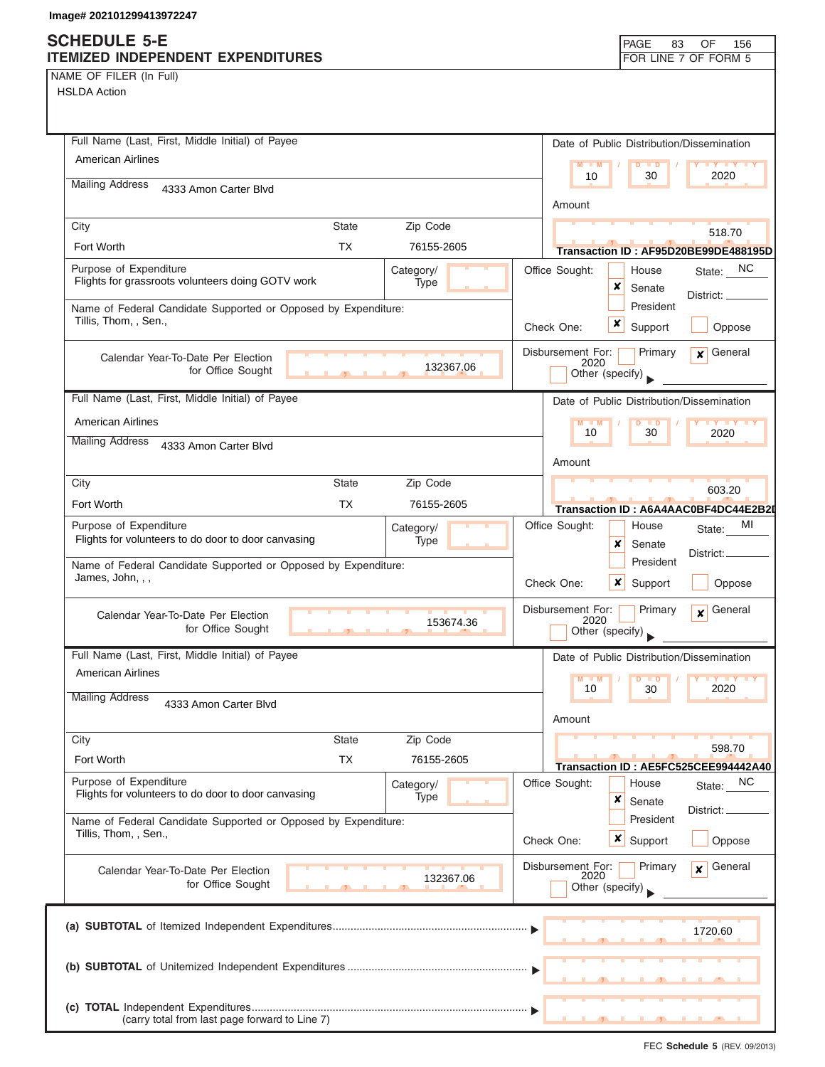NAME OF FILER (In Full)

HSLDA Action

| Full Name (Last, First, Middle Initial) of Payee                                                   | Date of Public Distribution/Dissemination                                          |
|----------------------------------------------------------------------------------------------------|------------------------------------------------------------------------------------|
| <b>American Airlines</b>                                                                           | $M = M$<br>$D$ $D$<br>2020<br>10<br>30                                             |
| <b>Mailing Address</b><br>4333 Amon Carter Blvd                                                    |                                                                                    |
|                                                                                                    | Amount                                                                             |
| State<br>Zip Code<br>City<br><b>TX</b><br>Fort Worth<br>76155-2605                                 | 518.70                                                                             |
| Purpose of Expenditure                                                                             | Transaction ID: AF95D20BE99DE488195D<br>Office Sought:                             |
| Category/<br>Flights for grassroots volunteers doing GOTV work<br>Type                             | State: NC<br>House<br>×<br>Senate                                                  |
| Name of Federal Candidate Supported or Opposed by Expenditure:                                     | District: _<br>President                                                           |
| Tillis, Thom, , Sen.,                                                                              | x<br>Check One:<br>Support<br>Oppose                                               |
| Calendar Year-To-Date Per Election                                                                 | General<br>Disbursement For:<br>Primary<br>$\mathsf{x}$                            |
| 132367.06<br>for Office Sought                                                                     | 2020<br>Other (specify)                                                            |
| Full Name (Last, First, Middle Initial) of Payee                                                   | Date of Public Distribution/Dissemination                                          |
| American Airlines                                                                                  | $M - M$<br><b>TELEVIS</b><br>$\blacksquare$                                        |
| <b>Mailing Address</b><br>4333 Amon Carter Blvd                                                    | 10<br>30<br>2020                                                                   |
|                                                                                                    | Amount                                                                             |
| <b>State</b><br>Zip Code<br>City                                                                   | 603.20                                                                             |
| Fort Worth<br><b>TX</b><br>76155-2605                                                              | Transaction ID: A6A4AAC0BF4DC44E2B2I                                               |
| Purpose of Expenditure<br>Category/<br>Flights for volunteers to do door to door canvasing<br>Type | Office Sought:<br>МI<br>House<br>State:                                            |
| Name of Federal Candidate Supported or Opposed by Expenditure:                                     | x<br>Senate<br>District:<br>President                                              |
| James, John, , ,                                                                                   | Check One:<br>x<br>Support<br>Oppose                                               |
| Calendar Year-To-Date Per Election<br>153674.36<br>for Office Sought                               | Disbursement For:<br>Primary<br>General<br>$\mathbf{x}$<br>2020<br>Other (specify) |
| Full Name (Last, First, Middle Initial) of Payee                                                   | Date of Public Distribution/Dissemination                                          |
| <b>American Airlines</b>                                                                           | M<br>$Y$ $Y$<br>M<br>$\blacksquare$<br>2020                                        |
| <b>Mailing Address</b><br>4333 Amon Carter Blvd                                                    | 10<br>30<br>Amount                                                                 |
| Zip Code<br>City<br><b>State</b>                                                                   |                                                                                    |
| Fort Worth<br><b>TX</b><br>76155-2605                                                              | 598.70<br>Transaction ID: AE5FC525CEE994442A40                                     |
| Purpose of Expenditure<br>Category/<br>Flights for volunteers to do door to door canvasing         | Office Sought:<br>NC<br>House<br>State:                                            |
| Type                                                                                               | ×<br>Senate<br>District:                                                           |
| Name of Federal Candidate Supported or Opposed by Expenditure:<br>Tillis, Thom, , Sen.,            | President<br>Check One:<br>$\boldsymbol{x}$<br>Support<br>Oppose                   |
| Calendar Year-To-Date Per Election<br>132367.06<br>for Office Sought                               | Disbursement For:<br>General<br>Primary<br>$\mathbf{x}$<br>2020                    |
|                                                                                                    | Other (specify)                                                                    |
|                                                                                                    | 1720.60                                                                            |
|                                                                                                    |                                                                                    |
| (carry total from last page forward to Line 7)                                                     |                                                                                    |

FEC **Schedule 5** (REV. 09/2013)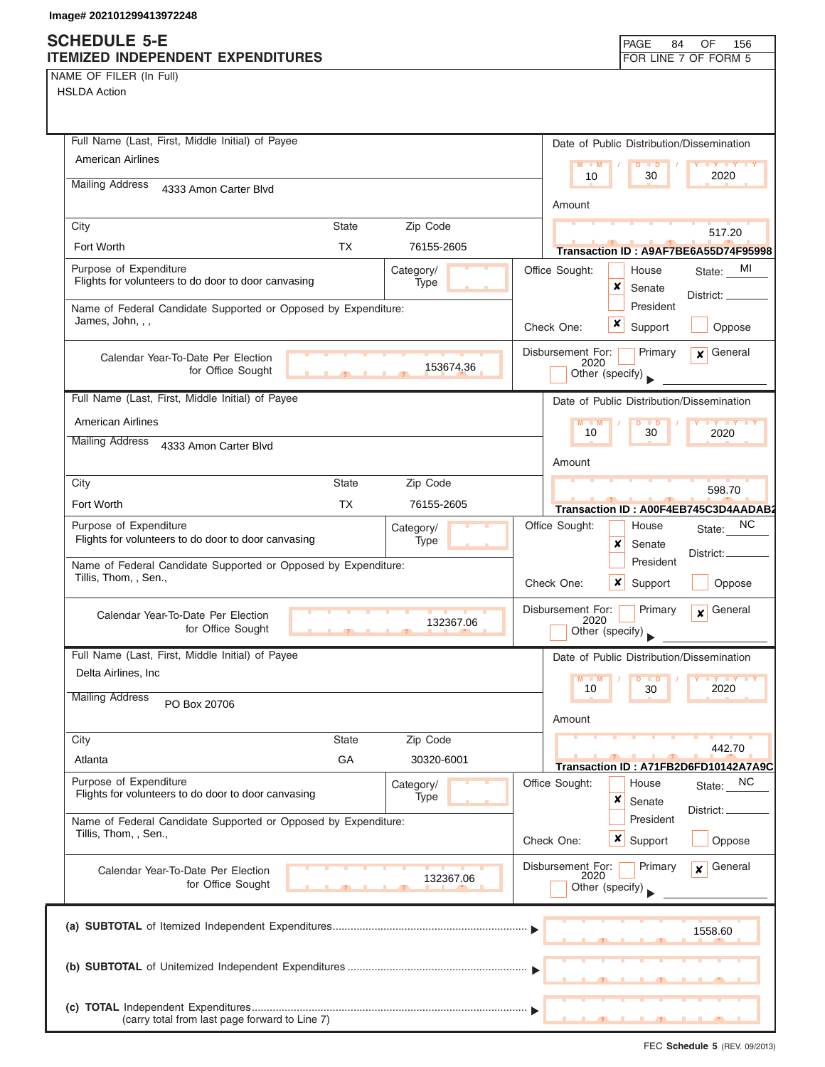NAME OF FILER (In Full)

| Full Name (Last, First, Middle Initial) of Payee                                        | Date of Public Distribution/Dissemination                       |
|-----------------------------------------------------------------------------------------|-----------------------------------------------------------------|
| <b>American Airlines</b>                                                                | $M - M$<br>$D$ $D$<br><b>TY TY TY</b>                           |
| <b>Mailing Address</b><br>4333 Amon Carter Blvd                                         | 10<br>30<br>2020                                                |
|                                                                                         | Amount                                                          |
| Zip Code<br>City<br><b>State</b>                                                        | 517.20                                                          |
| <b>TX</b><br>Fort Worth<br>76155-2605                                                   | Transaction ID: A9AF7BE6A55D74F95998                            |
| Purpose of Expenditure<br>Category/                                                     | Office Sought:<br>MI<br>House<br>State:                         |
| Flights for volunteers to do door to door canvasing<br>Type                             | x<br>Senate<br>District:                                        |
| Name of Federal Candidate Supported or Opposed by Expenditure:<br>James, John, , ,      | President                                                       |
|                                                                                         | x<br>Support<br>Check One:<br>Oppose                            |
| Calendar Year-To-Date Per Election                                                      | General<br>Disbursement For:<br>Primary<br>$\mathbf{x}$<br>2020 |
| 153674.36<br>for Office Sought                                                          | Other (specify)                                                 |
| Full Name (Last, First, Middle Initial) of Payee                                        | Date of Public Distribution/Dissemination                       |
| <b>American Airlines</b>                                                                | $M - M$<br>$D$ $D$<br>$\mathbf{Y}$ $\mathbf{Y}$                 |
| <b>Mailing Address</b><br>4333 Amon Carter Blvd                                         | 30<br>10<br>2020                                                |
|                                                                                         | Amount                                                          |
| City<br><b>State</b><br>Zip Code                                                        | 598.70                                                          |
| Fort Worth<br>TX.<br>76155-2605                                                         | Transaction ID: A00F4EB745C3D4AADAB2                            |
| Purpose of Expenditure<br>Category/                                                     | ΝC<br>Office Sought:<br>House<br>State:                         |
| Flights for volunteers to do door to door canvasing<br>Type                             | x<br>Senate<br>District:                                        |
| Name of Federal Candidate Supported or Opposed by Expenditure:                          | President                                                       |
| Tillis, Thom, , Sen.,                                                                   | Check One:<br>$\boldsymbol{x}$<br>Support<br>Oppose             |
| Calendar Year-To-Date Per Election                                                      | Disbursement For:<br>General<br>Primary<br>$\mathbf{x}$<br>2020 |
| 132367.06<br>for Office Sought                                                          | Other (specify)                                                 |
| Full Name (Last, First, Middle Initial) of Payee                                        | Date of Public Distribution/Dissemination                       |
| Delta Airlines, Inc                                                                     | M<br>$\blacksquare$<br>D<br>$\blacksquare$                      |
| <b>Mailing Address</b><br>PO Box 20706                                                  | 10<br>2020<br>30                                                |
|                                                                                         | Amount                                                          |
| City<br><b>State</b><br>Zip Code                                                        | 442.70                                                          |
| GA<br>Atlanta<br>30320-6001                                                             | Transaction ID: A71FB2D6FD10142A7A9C                            |
| Purpose of Expenditure<br>Category/                                                     | Office Sought:<br>NC<br>House<br>State:                         |
| Flights for volunteers to do door to door canvasing<br>Type                             | x<br>Senate<br>District:                                        |
| Name of Federal Candidate Supported or Opposed by Expenditure:<br>Tillis, Thom, , Sen., | President                                                       |
|                                                                                         | $x \mid$ Support<br>Check One:<br>Oppose                        |
| Calendar Year-To-Date Per Election                                                      | Disbursement For:<br>General<br>Primary<br>$\mathbf{x}$<br>2020 |
| 132367.06<br>for Office Sought                                                          | Other (specify)                                                 |
|                                                                                         |                                                                 |
|                                                                                         | 1558.60                                                         |
|                                                                                         |                                                                 |
|                                                                                         |                                                                 |
|                                                                                         |                                                                 |
| (carry total from last page forward to Line 7)                                          |                                                                 |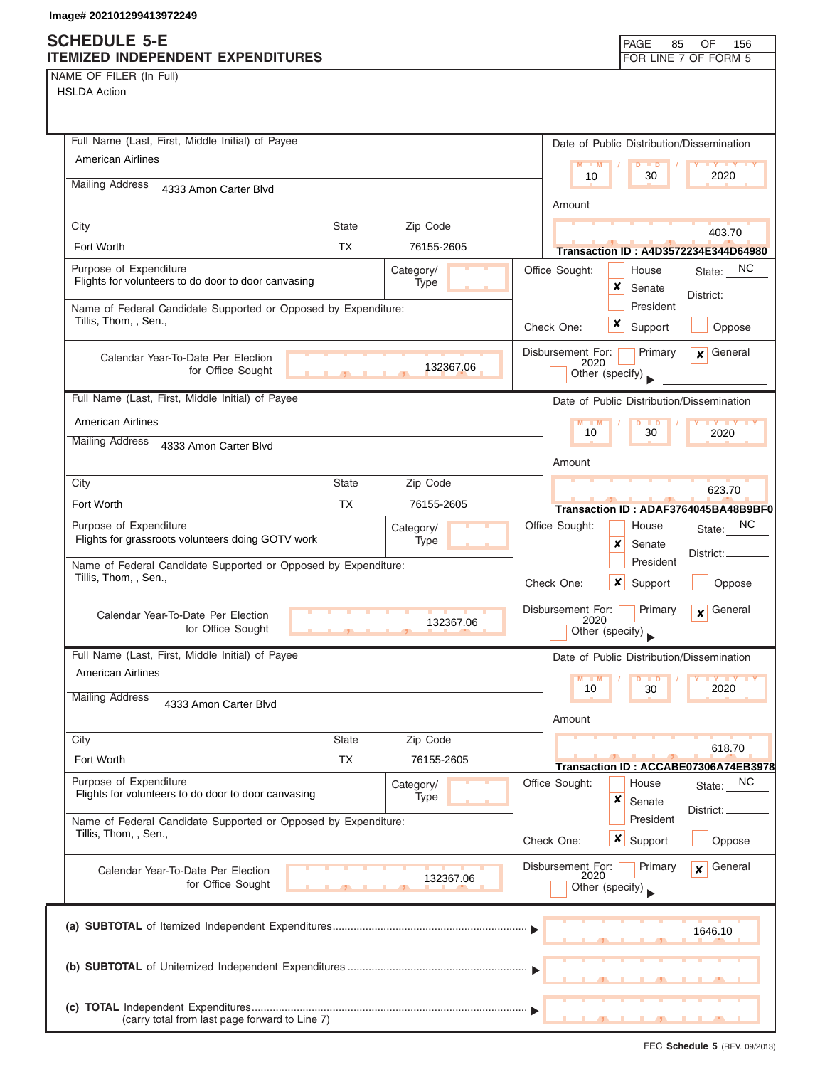NAME OF FILER (In Full)

| Full Name (Last, First, Middle Initial) of Payee                                                   | Date of Public Distribution/Dissemination                       |  |  |  |
|----------------------------------------------------------------------------------------------------|-----------------------------------------------------------------|--|--|--|
| <b>American Airlines</b>                                                                           | $M = M$<br>$D$ $D$<br><b>TY TY TY</b>                           |  |  |  |
| <b>Mailing Address</b><br>4333 Amon Carter Blvd                                                    | 10<br>30<br>2020                                                |  |  |  |
|                                                                                                    | Amount                                                          |  |  |  |
| City<br><b>State</b><br>Zip Code                                                                   | 403.70                                                          |  |  |  |
| <b>TX</b><br>Fort Worth<br>76155-2605                                                              | <b>Transaction ID: A4D3572234E344D64980</b>                     |  |  |  |
| Purpose of Expenditure<br>Category/<br>Flights for volunteers to do door to door canvasing<br>Type | Office Sought:<br>State: NC<br>House                            |  |  |  |
|                                                                                                    | x<br>Senate<br>District:<br>President                           |  |  |  |
| Name of Federal Candidate Supported or Opposed by Expenditure:<br>Tillis, Thom, , Sen.,            | x<br>Support<br>Check One:                                      |  |  |  |
|                                                                                                    | Oppose                                                          |  |  |  |
| Calendar Year-To-Date Per Election<br>132367.06                                                    | Disbursement For:<br>General<br>Primary<br>$\mathbf{x}$<br>2020 |  |  |  |
| for Office Sought                                                                                  | Other (specify)                                                 |  |  |  |
| Full Name (Last, First, Middle Initial) of Payee                                                   | Date of Public Distribution/Dissemination                       |  |  |  |
| <b>American Airlines</b>                                                                           | $M - M$<br>$D$ $D$<br><b>TY TY</b><br>10<br>30<br>2020          |  |  |  |
| <b>Mailing Address</b><br>4333 Amon Carter Blvd                                                    |                                                                 |  |  |  |
|                                                                                                    | Amount                                                          |  |  |  |
| City<br><b>State</b><br>Zip Code                                                                   | 623.70                                                          |  |  |  |
| Fort Worth<br><b>TX</b><br>76155-2605                                                              | Transaction ID: ADAF3764045BA48B9BF0                            |  |  |  |
| Purpose of Expenditure<br>Category/                                                                | <b>NC</b><br>Office Sought:<br>House<br>State:                  |  |  |  |
| Flights for grassroots volunteers doing GOTV work<br>Type                                          | x<br>Senate<br>District: _                                      |  |  |  |
| Name of Federal Candidate Supported or Opposed by Expenditure:<br>Tillis, Thom, , Sen.,            | President                                                       |  |  |  |
|                                                                                                    | Check One:<br>$\boldsymbol{\mathsf{x}}$<br>Oppose<br>Support    |  |  |  |
| Calendar Year-To-Date Per Election<br>132367.06                                                    | Disbursement For:<br>Primary<br>General<br>$\mathbf{x}$<br>2020 |  |  |  |
| for Office Sought<br>$\mathbf{F}$                                                                  | Other (specify)                                                 |  |  |  |
| Full Name (Last, First, Middle Initial) of Payee                                                   | Date of Public Distribution/Dissemination                       |  |  |  |
| <b>American Airlines</b>                                                                           | M<br>M<br><b>D</b><br>10<br>2020                                |  |  |  |
| <b>Mailing Address</b><br>4333 Amon Carter Blvd                                                    | 30                                                              |  |  |  |
|                                                                                                    | Amount                                                          |  |  |  |
| City<br><b>State</b><br>Zip Code                                                                   | 618.70                                                          |  |  |  |
| <b>TX</b><br>Fort Worth<br>76155-2605                                                              | Transaction ID: ACCABE07306A74EB3978                            |  |  |  |
| Purpose of Expenditure<br>Category/<br>Flights for volunteers to do door to door canvasing         | Office Sought:<br>NC<br>House<br>State:                         |  |  |  |
| Type                                                                                               | x<br>Senate<br>District:                                        |  |  |  |
| Name of Federal Candidate Supported or Opposed by Expenditure:<br>Tillis, Thom, , Sen.,            | President                                                       |  |  |  |
|                                                                                                    | <b>x</b> Support<br>Oppose<br>Check One:                        |  |  |  |
| Calendar Year-To-Date Per Election<br>132367.06                                                    | Disbursement For:<br>Primary<br>General<br>$\mathbf{x}$<br>2020 |  |  |  |
| for Office Sought                                                                                  | Other (specify)                                                 |  |  |  |
|                                                                                                    |                                                                 |  |  |  |
|                                                                                                    | 1646.10                                                         |  |  |  |
|                                                                                                    |                                                                 |  |  |  |
|                                                                                                    |                                                                 |  |  |  |
|                                                                                                    |                                                                 |  |  |  |
| (carry total from last page forward to Line 7)                                                     |                                                                 |  |  |  |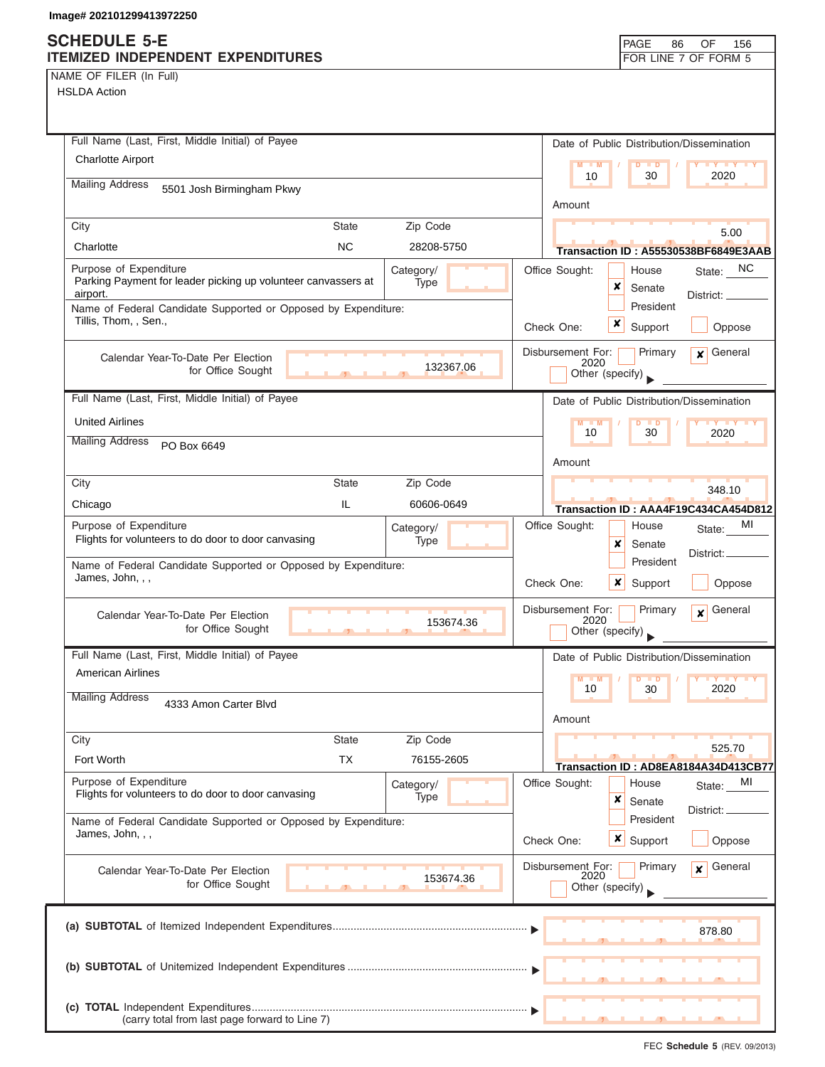| Full Name (Last, First, Middle Initial) of Payee                                                             | Date of Public Distribution/Dissemination                                          |  |  |  |
|--------------------------------------------------------------------------------------------------------------|------------------------------------------------------------------------------------|--|--|--|
| <b>Charlotte Airport</b>                                                                                     | $M - M$<br>$D$ $D$<br><b>TY TY</b>                                                 |  |  |  |
| <b>Mailing Address</b><br>5501 Josh Birmingham Pkwy                                                          | 2020<br>10<br>30                                                                   |  |  |  |
|                                                                                                              | Amount                                                                             |  |  |  |
| Zip Code<br>City<br><b>State</b>                                                                             | 5.00                                                                               |  |  |  |
| <b>NC</b><br>Charlotte<br>28208-5750                                                                         | Transaction ID: A55530538BF6849E3AAB                                               |  |  |  |
| Purpose of Expenditure<br>Category/<br>Parking Payment for leader picking up volunteer canvassers at<br>Type | State: NC<br>Office Sought:<br>House<br>×<br>Senate                                |  |  |  |
| airport.<br>Name of Federal Candidate Supported or Opposed by Expenditure:                                   | District: _____<br>President                                                       |  |  |  |
| Tillis, Thom, , Sen.,                                                                                        | x<br>Check One:<br>Support<br>Oppose                                               |  |  |  |
| Calendar Year-To-Date Per Election<br>132367.06<br>for Office Sought                                         | Primary<br>General<br>Disbursement For:<br>$\mathbf{x}$<br>2020<br>Other (specify) |  |  |  |
| Full Name (Last, First, Middle Initial) of Payee                                                             | Date of Public Distribution/Dissemination                                          |  |  |  |
| <b>United Airlines</b>                                                                                       | D<br>$\blacksquare$                                                                |  |  |  |
| <b>Mailing Address</b><br>PO Box 6649                                                                        | 30<br>10<br>2020                                                                   |  |  |  |
|                                                                                                              | Amount                                                                             |  |  |  |
| City<br><b>State</b><br>Zip Code                                                                             | 348.10                                                                             |  |  |  |
| IL<br>Chicago<br>60606-0649                                                                                  | Transaction ID: AAA4F19C434CA454D812                                               |  |  |  |
| Purpose of Expenditure<br>Category/<br>Flights for volunteers to do door to door canvasing<br>Type           | Office Sought:<br>МI<br>House<br>State:<br>x<br>Senate                             |  |  |  |
| Name of Federal Candidate Supported or Opposed by Expenditure:<br>James, John, , ,                           | District:<br>President<br>Check One:<br>x<br>Support<br>Oppose                     |  |  |  |
| Calendar Year-To-Date Per Election<br>153674.36<br>for Office Sought                                         | General<br>Disbursement For:<br>Primary<br>$\mathbf{x}$<br>2020<br>Other (specify) |  |  |  |
| Full Name (Last, First, Middle Initial) of Payee                                                             | Date of Public Distribution/Dissemination                                          |  |  |  |
| <b>American Airlines</b>                                                                                     | $M - M$<br>$\blacksquare$                                                          |  |  |  |
| <b>Mailing Address</b><br>4333 Amon Carter Blvd                                                              | 2020<br>10<br>30                                                                   |  |  |  |
|                                                                                                              | Amount                                                                             |  |  |  |
| Zip Code<br><b>State</b><br>City<br><b>TX</b><br>Fort Worth<br>76155-2605                                    | 525.70                                                                             |  |  |  |
|                                                                                                              | Transaction ID: AD8EA8184A34D413CB77                                               |  |  |  |
| Purpose of Expenditure<br>Category/<br>Flights for volunteers to do door to door canvasing<br>Type           | Office Sought:<br>MI<br>House<br>State:<br>×<br>Senate                             |  |  |  |
| Name of Federal Candidate Supported or Opposed by Expenditure:                                               | District:<br>President                                                             |  |  |  |
| James, John, , ,                                                                                             | x<br>Check One:<br>Support<br>Oppose                                               |  |  |  |
| Calendar Year-To-Date Per Election                                                                           | Disbursement For:<br>Primary<br>General<br>x<br>2020                               |  |  |  |
| 153674.36<br>for Office Sought                                                                               | Other (specify)                                                                    |  |  |  |
|                                                                                                              |                                                                                    |  |  |  |
|                                                                                                              | 878.80                                                                             |  |  |  |
|                                                                                                              |                                                                                    |  |  |  |
|                                                                                                              |                                                                                    |  |  |  |
|                                                                                                              |                                                                                    |  |  |  |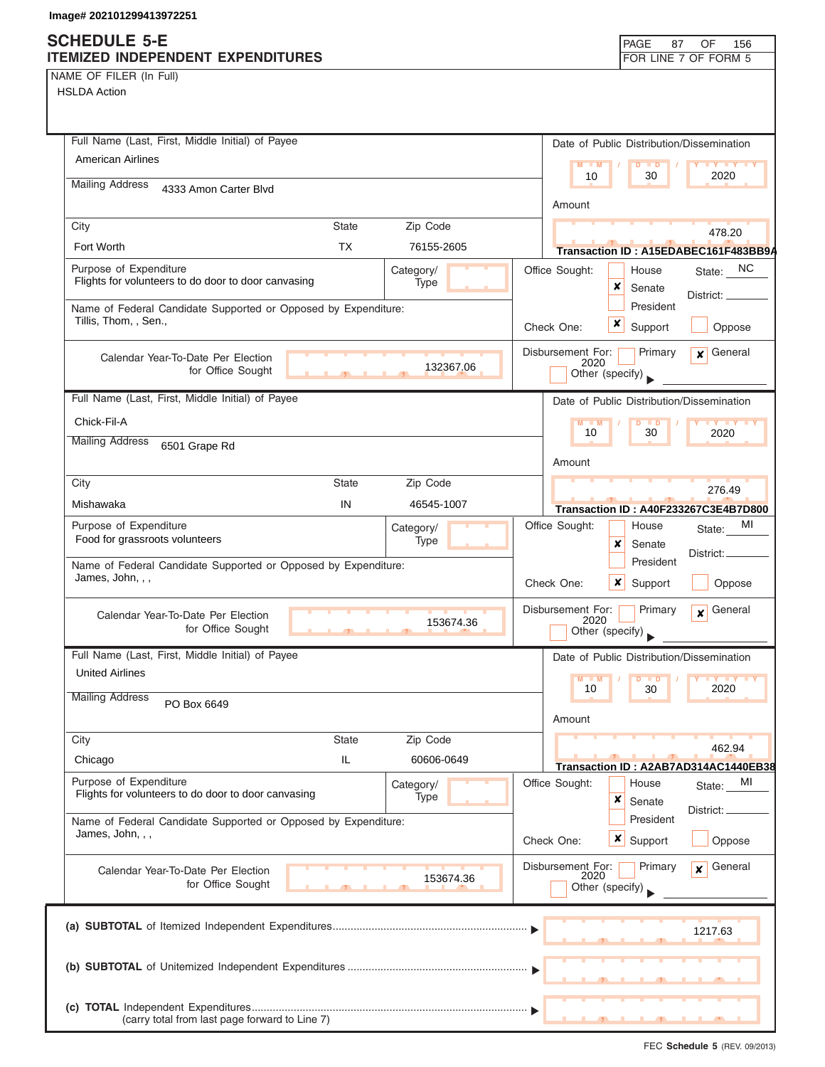|  | NAME OF FILER (In Full) |  |
|--|-------------------------|--|
|  |                         |  |

| Full Name (Last, First, Middle Initial) of Payee<br>American Airlines                              | Date of Public Distribution/Dissemination                                              |
|----------------------------------------------------------------------------------------------------|----------------------------------------------------------------------------------------|
|                                                                                                    | <b>LY TY LY</b><br>$M - M$<br>D<br>$\blacksquare$<br>10<br>30<br>2020                  |
| <b>Mailing Address</b><br>4333 Amon Carter Blvd                                                    |                                                                                        |
|                                                                                                    | Amount                                                                                 |
| City<br><b>State</b><br>Zip Code                                                                   | 478.20                                                                                 |
| <b>TX</b><br>Fort Worth<br>76155-2605                                                              | Transaction ID: A15EDABEC161F483BB9A                                                   |
| Purpose of Expenditure<br>Category/<br>Flights for volunteers to do door to door canvasing<br>Type | State: NC<br>Office Sought:<br>House<br>x<br>Senate<br>District: _____                 |
| Name of Federal Candidate Supported or Opposed by Expenditure:<br>Tillis, Thom, , Sen.,            | President<br>$\boldsymbol{x}$<br>Check One:<br>Support<br>Oppose                       |
| Calendar Year-To-Date Per Election<br>132367.06<br>for Office Sought<br>$\overline{1}$             | Disbursement For:<br>Primary<br>$x$ General<br>2020<br>Other (specify)                 |
| Full Name (Last, First, Middle Initial) of Payee                                                   | Date of Public Distribution/Dissemination                                              |
| Chick-Fil-A                                                                                        | M<br>$- M$<br>D<br>$\blacksquare$<br><b>IV Y Y Y</b>                                   |
| <b>Mailing Address</b><br>6501 Grape Rd                                                            | 10<br>30<br>2020                                                                       |
|                                                                                                    | Amount                                                                                 |
| City<br><b>State</b><br>Zip Code                                                                   | 276.49                                                                                 |
| Mishawaka<br>IN<br>46545-1007                                                                      | Transaction ID: A40F233267C3E4B7D800                                                   |
| Purpose of Expenditure<br>Category/<br>Food for grassroots volunteers<br>Type                      | Office Sought:<br>MI<br>House<br>State:<br>x<br>Senate                                 |
|                                                                                                    | District:<br>President                                                                 |
| Name of Federal Candidate Supported or Opposed by Expenditure:<br>James, John, , ,                 | ×<br>Check One:<br>Support<br>Oppose                                                   |
| Calendar Year-To-Date Per Election<br>153674.36<br>for Office Sought<br>$\overline{1}$             | Disbursement For:<br>Primary<br>General<br>$\mathbf{x}$<br>2020<br>Other (specify)     |
| Full Name (Last, First, Middle Initial) of Payee                                                   | Date of Public Distribution/Dissemination                                              |
| <b>United Airlines</b>                                                                             | $M - M$<br>$D$ $D$<br><b>IV IV IV</b><br>2020<br>10<br>30                              |
| <b>Mailing Address</b><br>PO Box 6649                                                              | Amount                                                                                 |
| City<br><b>State</b><br>Zip Code                                                                   | 462.94                                                                                 |
| IL<br>60606-0649<br>Chicago                                                                        | Transaction ID: A2AB7AD314AC1440EB38                                                   |
| Purpose of Expenditure<br>Category/<br>Flights for volunteers to do door to door canvasing<br>Type | Office Sought:<br>MI<br>House<br>State:<br>×<br>Senate                                 |
| Name of Federal Candidate Supported or Opposed by Expenditure:<br>James, John, , ,                 | District:<br>President                                                                 |
|                                                                                                    | <b>x</b> Support<br>Oppose<br>Check One:                                               |
| Calendar Year-To-Date Per Election<br>153674.36<br>for Office Sought                               | Disbursement For:<br>2020<br>General<br>Primary<br>$\boldsymbol{x}$<br>Other (specify) |
|                                                                                                    | 1217.63                                                                                |
|                                                                                                    |                                                                                        |
| (carry total from last page forward to Line 7)                                                     |                                                                                        |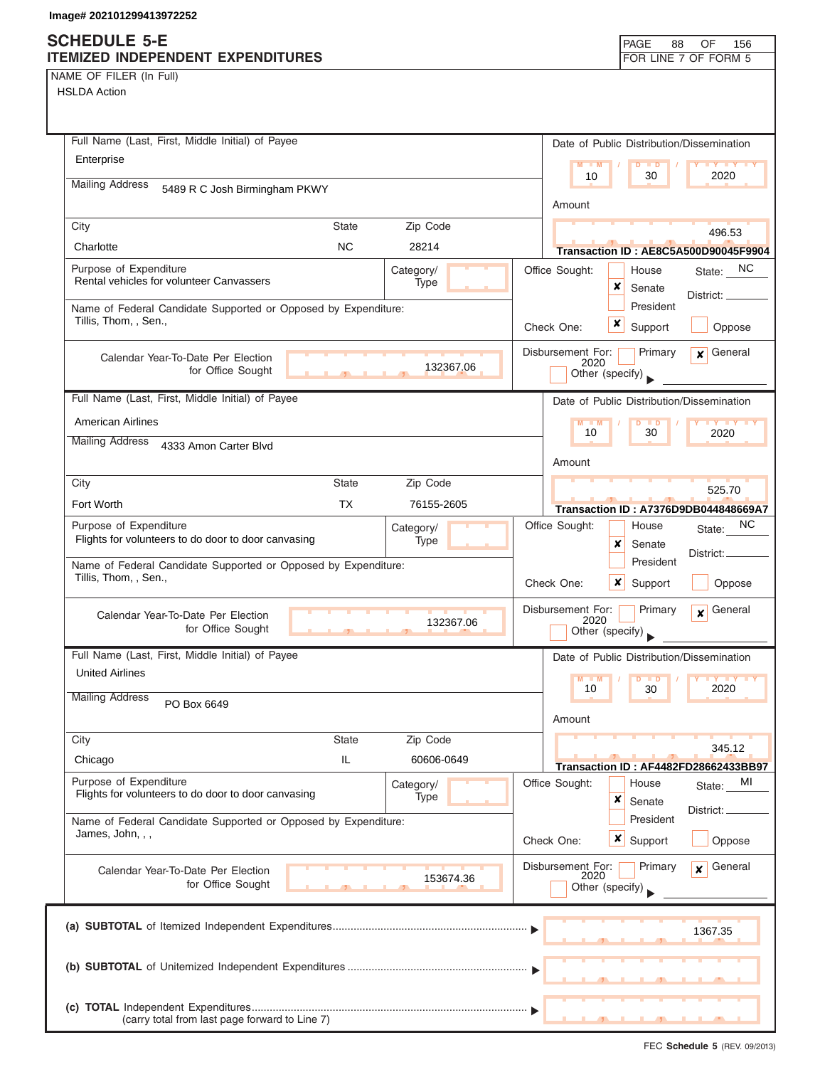| NAME OF FILER (In Full) |  |  |
|-------------------------|--|--|
|                         |  |  |

| ושוטה השביטו                                                                            |                                                                     |
|-----------------------------------------------------------------------------------------|---------------------------------------------------------------------|
| Full Name (Last, First, Middle Initial) of Payee                                        | Date of Public Distribution/Dissemination                           |
| Enterprise                                                                              | $M - M$                                                             |
| <b>Mailing Address</b><br>5489 R C Josh Birmingham PKWY                                 | 10<br>30<br>2020                                                    |
|                                                                                         | Amount                                                              |
| Zip Code<br>City<br>State                                                               | 496.53                                                              |
| <b>NC</b><br>Charlotte<br>28214                                                         | Transaction ID: AE8C5A500D90045F9904                                |
| Purpose of Expenditure<br>Category/<br>Rental vehicles for volunteer Canvassers<br>Type | State: NC<br>Office Sought:<br>House                                |
|                                                                                         | ×<br>Senate<br>District: _                                          |
| Name of Federal Candidate Supported or Opposed by Expenditure:<br>Tillis, Thom, , Sen., | President<br>x                                                      |
|                                                                                         | Check One:<br>Support<br>Oppose                                     |
| Calendar Year-To-Date Per Election<br>132367.06                                         | General<br>Disbursement For:<br>Primary<br>$\boldsymbol{x}$<br>2020 |
| for Office Sought                                                                       | Other (specify)                                                     |
| Full Name (Last, First, Middle Initial) of Payee                                        | Date of Public Distribution/Dissemination                           |
| <b>American Airlines</b>                                                                | $M - M$                                                             |
| <b>Mailing Address</b><br>4333 Amon Carter Blvd                                         | 10<br>30<br>2020                                                    |
|                                                                                         | Amount                                                              |
| <b>State</b><br>Zip Code<br>City                                                        | 525.70                                                              |
| Fort Worth<br>TX<br>76155-2605                                                          | Transaction ID: A7376D9DB044848669A7                                |
| Purpose of Expenditure<br>Category/                                                     | NC<br>Office Sought:<br>House<br>State:                             |
| Flights for volunteers to do door to door canvasing<br>Type                             | ×<br>Senate<br>District:                                            |
| Name of Federal Candidate Supported or Opposed by Expenditure:<br>Tillis, Thom, , Sen., | President                                                           |
|                                                                                         | x<br>Check One:<br>Support<br>Oppose                                |
| Calendar Year-To-Date Per Election                                                      | Disbursement For:<br>Primary<br>General<br>$\mathbf{x}$<br>2020     |
| 132367.06<br>for Office Sought                                                          | Other (specify)                                                     |
| Full Name (Last, First, Middle Initial) of Payee                                        | Date of Public Distribution/Dissemination                           |
| <b>United Airlines</b>                                                                  | M                                                                   |
| <b>Mailing Address</b><br>PO Box 6649                                                   | 2020<br>10<br>30                                                    |
|                                                                                         | Amount                                                              |
| Zip Code<br>City<br><b>State</b>                                                        |                                                                     |
| IL<br>60606-0649<br>Chicago                                                             | 345.12<br>Transaction ID: AF4482FD28662433BB97                      |
| Purpose of Expenditure<br>Category/                                                     | Office Sought:<br>House<br>MI<br>State:                             |
| Flights for volunteers to do door to door canvasing<br>Type                             | ×<br>Senate<br>District:                                            |
| Name of Federal Candidate Supported or Opposed by Expenditure:                          | President                                                           |
| James, John, , ,                                                                        | $\boldsymbol{\mathsf{x}}$<br>Check One:<br>Support<br>Oppose        |
| Calendar Year-To-Date Per Election                                                      | Disbursement For:<br>General<br>Primary<br>$\mathbf{x}$             |
| 153674.36<br>for Office Sought                                                          | 2020<br>Other (specify)                                             |
|                                                                                         |                                                                     |
|                                                                                         | 1367.35                                                             |
|                                                                                         |                                                                     |
|                                                                                         |                                                                     |
|                                                                                         |                                                                     |
| (carry total from last page forward to Line 7)                                          |                                                                     |
|                                                                                         |                                                                     |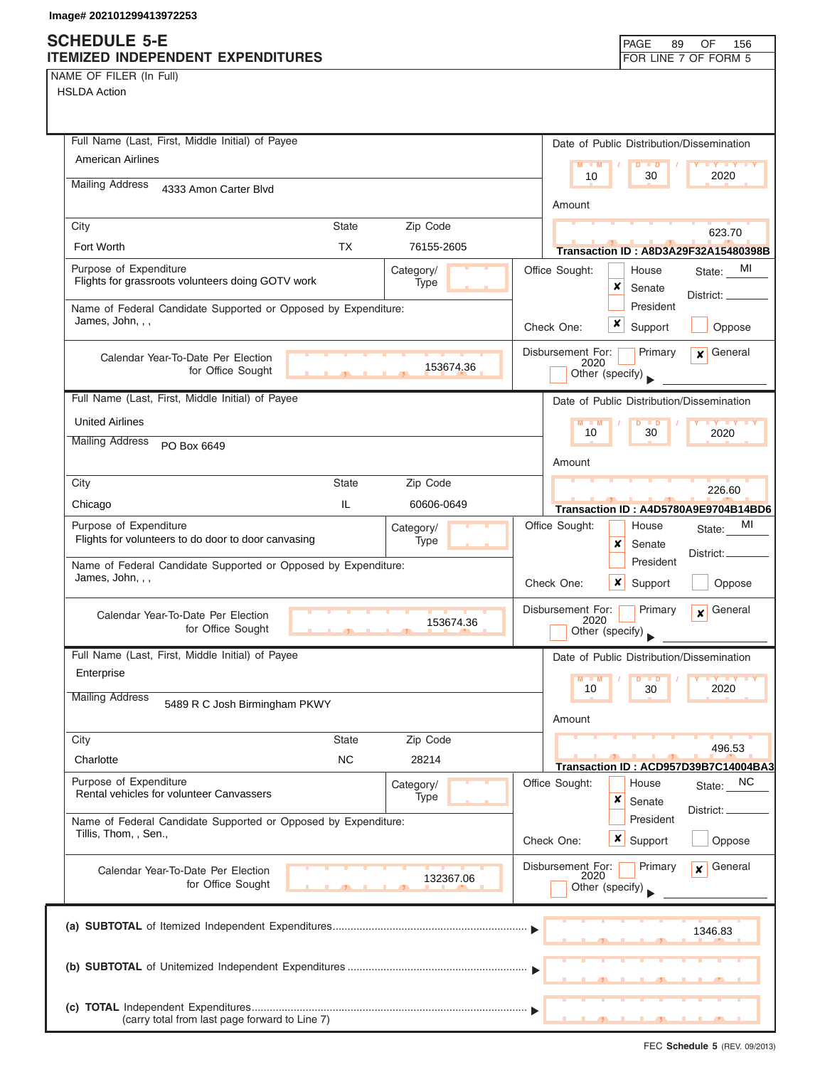NAME OF FILER (In Full)

| Full Name (Last, First, Middle Initial) of Payee                                                 | Date of Public Distribution/Dissemination                                       |
|--------------------------------------------------------------------------------------------------|---------------------------------------------------------------------------------|
| <b>American Airlines</b>                                                                         | $M - M$<br>D<br>$\blacksquare$<br>$Y$ $Y$<br>2020<br>10<br>30                   |
| <b>Mailing Address</b><br>4333 Amon Carter Blvd                                                  |                                                                                 |
|                                                                                                  | Amount                                                                          |
| City<br>Zip Code<br><b>State</b>                                                                 | 623.70                                                                          |
| <b>TX</b><br>Fort Worth<br>76155-2605                                                            | <b>Transaction ID: A8D3A29F32A15480398B</b>                                     |
| Purpose of Expenditure<br>Category/<br>Flights for grassroots volunteers doing GOTV work<br>Type | Office Sought:<br>MI<br>House<br>State:<br>×<br>Senate                          |
| Name of Federal Candidate Supported or Opposed by Expenditure:                                   | District: ____<br>President                                                     |
| James, John, , ,                                                                                 | x<br>Support<br>Oppose<br>Check One:                                            |
|                                                                                                  | Disbursement For:<br>Primary<br>General<br>$\mathbf{x}$                         |
| Calendar Year-To-Date Per Election<br>153674.36<br>for Office Sought                             | 2020<br>Other (specify)                                                         |
| Full Name (Last, First, Middle Initial) of Payee                                                 |                                                                                 |
|                                                                                                  | Date of Public Distribution/Dissemination                                       |
| <b>United Airlines</b><br><b>Mailing Address</b>                                                 | $M - M$<br>$\overline{D}$<br>$\blacksquare$<br><b>IV IV</b><br>30<br>10<br>2020 |
| PO Box 6649                                                                                      | Amount                                                                          |
| City<br><b>State</b><br>Zip Code                                                                 |                                                                                 |
| IL.<br>60606-0649<br>Chicago                                                                     | 226.60                                                                          |
| Purpose of Expenditure<br>Category/                                                              | Transaction ID: A4D5780A9E9704B14BD6<br>MI<br>Office Sought:<br>House<br>State: |
| Flights for volunteers to do door to door canvasing<br>Type                                      | x<br>Senate                                                                     |
| Name of Federal Candidate Supported or Opposed by Expenditure:                                   | District:_<br>President                                                         |
| James, John, , ,                                                                                 | Check One:<br>x<br>Support<br>Oppose                                            |
| Calendar Year-To-Date Per Election                                                               | Disbursement For:<br>General<br>Primary<br>$\mathbf{x}$                         |
| 153674.36<br>for Office Sought                                                                   | 2020<br>Other (specify)                                                         |
| Full Name (Last, First, Middle Initial) of Payee                                                 | Date of Public Distribution/Dissemination                                       |
| Enterprise                                                                                       | $M - M$<br>D<br>$\blacksquare$                                                  |
| <b>Mailing Address</b><br>5489 R C Josh Birmingham PKWY                                          | 10<br>30<br>2020                                                                |
|                                                                                                  | Amount                                                                          |
| Zip Code<br>City<br><b>State</b>                                                                 | 496.53                                                                          |
| NC<br>28214<br>Charlotte                                                                         | Transaction ID: ACD957D39B7C14004BA3                                            |
| Purpose of Expenditure<br>Category/<br>Rental vehicles for volunteer Canvassers                  | Office Sought:<br>NC<br>House<br>State:                                         |
| Type                                                                                             | ×<br>Senate<br>District:                                                        |
| Name of Federal Candidate Supported or Opposed by Expenditure:<br>Tillis, Thom, , Sen.,          | President                                                                       |
|                                                                                                  | Check One:<br>$\boldsymbol{x}$<br>Support<br>Oppose                             |
| Calendar Year-To-Date Per Election<br>132367.06                                                  | Disbursement For:<br>Primary<br>General<br>x<br>2020                            |
| for Office Sought                                                                                | Other (specify)                                                                 |
|                                                                                                  |                                                                                 |
|                                                                                                  | 1346.83                                                                         |
|                                                                                                  |                                                                                 |
|                                                                                                  |                                                                                 |
|                                                                                                  |                                                                                 |
| (carry total from last page forward to Line 7)                                                   |                                                                                 |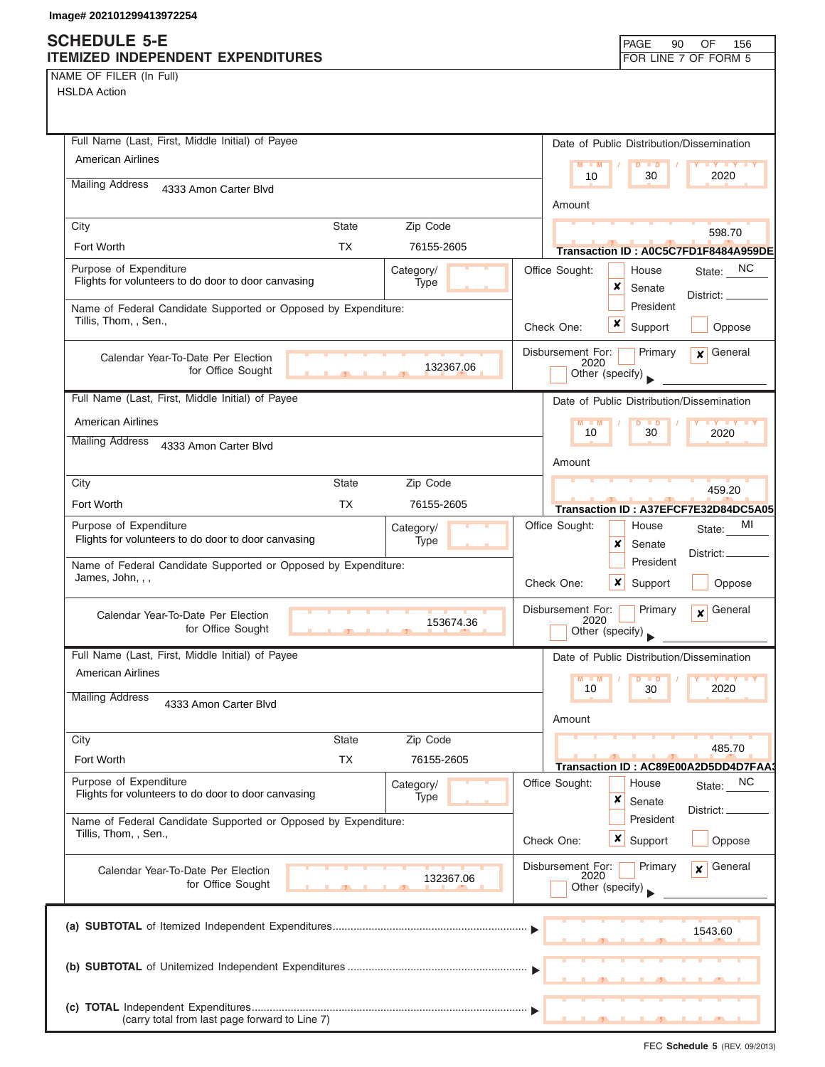NAME OF FILER (In Full)

| Full Name (Last, First, Middle Initial) of Payee                                        |              |                   |                |                                              |                     | Date of Public Distribution/Dissemination                   |
|-----------------------------------------------------------------------------------------|--------------|-------------------|----------------|----------------------------------------------|---------------------|-------------------------------------------------------------|
| <b>American Airlines</b>                                                                |              |                   |                | $M - M$<br>$\blacksquare$                    |                     |                                                             |
| <b>Mailing Address</b><br>4333 Amon Carter Blvd                                         |              |                   |                | 10                                           | 30                  | 2020                                                        |
|                                                                                         |              |                   |                | Amount                                       |                     |                                                             |
| City                                                                                    | <b>State</b> | Zip Code          |                |                                              |                     | 598.70                                                      |
| Fort Worth                                                                              | TX.          | 76155-2605        |                |                                              |                     | Transaction ID: A0C5C7FD1F8484A959DE                        |
| Purpose of Expenditure<br>Flights for volunteers to do door to door canvasing           |              | Category/<br>Type | Office Sought: |                                              | House               | State: NC                                                   |
|                                                                                         |              |                   |                | x                                            | Senate<br>President | District: _                                                 |
| Name of Federal Candidate Supported or Opposed by Expenditure:<br>Tillis, Thom, , Sen., |              |                   | Check One:     | x                                            | Support             | Oppose                                                      |
|                                                                                         |              |                   |                | Disbursement For:                            |                     |                                                             |
| Calendar Year-To-Date Per Election<br>for Office Sought                                 |              | 132367.06         |                | 2020<br>Other (specify)                      | Primary             | General<br>$\mathbf{x}$                                     |
|                                                                                         |              |                   |                |                                              |                     |                                                             |
| Full Name (Last, First, Middle Initial) of Payee                                        |              |                   |                |                                              |                     | Date of Public Distribution/Dissemination                   |
| American Airlines                                                                       |              |                   |                | $M - M$<br>10                                | $D$ $D$<br>30       | $\mathbf{Y}$ $\mathbf{Y}$ $\mathbf{Y}$ $\mathbf{Y}$<br>2020 |
| <b>Mailing Address</b><br>4333 Amon Carter Blvd                                         |              |                   |                |                                              |                     |                                                             |
|                                                                                         |              |                   |                | Amount                                       |                     |                                                             |
| City                                                                                    | <b>State</b> | Zip Code          |                |                                              |                     | 459.20                                                      |
| Fort Worth                                                                              | <b>TX</b>    | 76155-2605        |                |                                              |                     | Transaction ID: A37EFCF7E32D84DC5A05                        |
| Purpose of Expenditure<br>Flights for volunteers to do door to door canvasing           |              | Category/<br>Type | Office Sought: | x                                            | House<br>Senate     | MI<br>State:                                                |
| Name of Federal Candidate Supported or Opposed by Expenditure:                          |              |                   |                |                                              | President           | District:                                                   |
| James, John, , ,                                                                        |              |                   | Check One:     | $\boldsymbol{x}$                             | Support             | Oppose                                                      |
| Calendar Year-To-Date Per Election<br>for Office Sought                                 |              | 153674.36         |                | Disbursement For:<br>2020<br>Other (specify) | Primary             | General<br>$\mathbf{x}$                                     |
| Full Name (Last, First, Middle Initial) of Payee                                        |              |                   |                |                                              |                     | Date of Public Distribution/Dissemination                   |
| <b>American Airlines</b>                                                                |              |                   |                | $M - M$                                      | D<br>$\blacksquare$ | $Y$ $Y$                                                     |
| <b>Mailing Address</b><br>4333 Amon Carter Blvd                                         |              |                   |                | 10<br>Amount                                 | 30                  | 2020                                                        |
| City                                                                                    | <b>State</b> | Zip Code          |                |                                              |                     |                                                             |
| Fort Worth                                                                              | <b>TX</b>    | 76155-2605        |                |                                              |                     | 485.70                                                      |
| Purpose of Expenditure                                                                  |              | Category/         | Office Sought: |                                              | House               | Transaction ID: AC89E00A2D5DD4D7FAA<br>NC                   |
| Flights for volunteers to do door to door canvasing                                     |              | Type              |                | ×                                            | Senate              | State:                                                      |
| Name of Federal Candidate Supported or Opposed by Expenditure:                          |              |                   |                |                                              | President           | District:                                                   |
| Tillis, Thom, , Sen.,                                                                   |              |                   | Check One:     |                                              | $x \mid$ Support    | Oppose                                                      |
| Calendar Year-To-Date Per Election                                                      |              |                   |                | Disbursement For:<br>2020                    | Primary             | General<br>$\mathbf{x}$                                     |
| for Office Sought                                                                       |              | 132367.06         |                | Other (specify)                              |                     |                                                             |
|                                                                                         |              |                   |                |                                              |                     |                                                             |
|                                                                                         |              |                   |                |                                              |                     | 1543.60                                                     |
|                                                                                         |              |                   |                |                                              |                     |                                                             |
|                                                                                         |              |                   |                |                                              |                     |                                                             |
| (carry total from last page forward to Line 7)                                          |              |                   |                |                                              |                     |                                                             |
|                                                                                         |              |                   |                |                                              |                     |                                                             |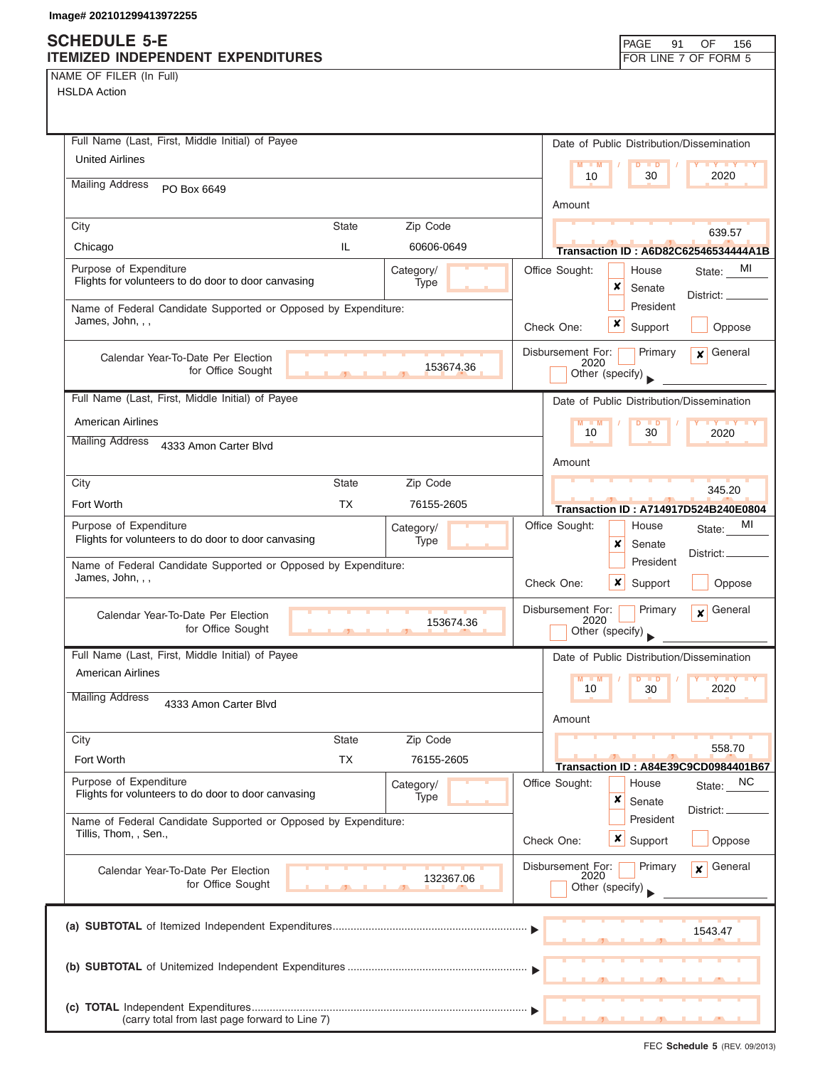# **SCHEDULE 5-E**

| NAME OF FILER (In Full) |  |  |
|-------------------------|--|--|
|-------------------------|--|--|

| SCHEDULE 5-E<br><b>ITEMIZED INDEPENDENT EXPENDITURES</b>                                |              |                   |            |                           | PAGE                                   | 91<br>OF<br>156<br>FOR LINE 7 OF FORM 5        |
|-----------------------------------------------------------------------------------------|--------------|-------------------|------------|---------------------------|----------------------------------------|------------------------------------------------|
| NAME OF FILER (In Full)<br><b>HSLDA Action</b>                                          |              |                   |            |                           |                                        |                                                |
| Full Name (Last, First, Middle Initial) of Payee                                        |              |                   |            |                           |                                        | Date of Public Distribution/Dissemination      |
| <b>United Airlines</b>                                                                  |              |                   |            | M<br>$-M$<br>10           | $\overline{D}$<br>$\blacksquare$<br>30 | 2020                                           |
| <b>Mailing Address</b><br>PO Box 6649                                                   |              |                   |            | Amount                    |                                        |                                                |
| City                                                                                    | <b>State</b> | Zip Code          |            |                           |                                        | 639.57                                         |
| Chicago                                                                                 | IL           | 60606-0649        |            |                           |                                        | <b>Transaction ID: A6D82C62546534444A1B</b>    |
| Purpose of Expenditure<br>Flights for volunteers to do door to door canvasing           |              | Category/<br>Type |            | Office Sought:            | House<br>×<br>Senate                   | State: MI                                      |
| Name of Federal Candidate Supported or Opposed by Expenditure:<br>James, John, , ,      |              |                   | Check One: |                           | President<br>x<br>Support              | District: __<br>Oppose                         |
| Calendar Year-To-Date Per Election<br>for Office Sought                                 |              | 153674.36         |            | Disbursement For:<br>2020 | Primary<br>Other (specify)             | General<br>$\mathbf{x}$                        |
| Full Name (Last, First, Middle Initial) of Payee                                        |              |                   |            |                           |                                        | Date of Public Distribution/Dissemination      |
| <b>American Airlines</b>                                                                |              |                   |            |                           | D<br>$\Box$                            |                                                |
| <b>Mailing Address</b><br>4333 Amon Carter Blvd                                         |              |                   |            | 10                        | 30                                     | 2020                                           |
|                                                                                         |              |                   |            | Amount                    |                                        |                                                |
| City                                                                                    | <b>State</b> | Zip Code          |            |                           |                                        | 345.20                                         |
| Fort Worth                                                                              | <b>TX</b>    | 76155-2605        |            |                           |                                        | Transaction ID: A714917D524B240E0804           |
| Purpose of Expenditure<br>Flights for volunteers to do door to door canvasing           |              | Category/<br>Type |            | Office Sought:            | House<br>x<br>Senate                   | MI<br>State:<br>District:                      |
| Name of Federal Candidate Supported or Opposed by Expenditure:<br>James, John, , ,      |              |                   |            | Check One:                | President<br>x<br>Support              | Oppose                                         |
| Calendar Year-To-Date Per Election<br>for Office Sought                                 | $\mathbf{r}$ | 153674.36         |            | Disbursement For:<br>2020 | Primary<br>Other (specify)             | General<br>$\boldsymbol{x}$                    |
| Full Name (Last, First, Middle Initial) of Payee                                        |              |                   |            |                           |                                        | Date of Public Distribution/Dissemination      |
| <b>American Airlines</b>                                                                |              |                   |            | $M - M$<br>10             | $\blacksquare$ D<br>30                 | 2020                                           |
| <b>Mailing Address</b><br>4333 Amon Carter Blvd                                         |              |                   |            | Amount                    |                                        |                                                |
| City                                                                                    | <b>State</b> | Zip Code          |            |                           |                                        |                                                |
| Fort Worth                                                                              | TX           | 76155-2605        |            |                           |                                        | 558.70<br>Transaction ID: A84E39C9CD0984401B67 |
| Purpose of Expenditure<br>Flights for volunteers to do door to door canvasing           |              | Category/<br>Type |            | Office Sought:            | House<br>×<br>Senate                   | <sub>NC</sub><br>State:                        |
| Name of Federal Candidate Supported or Opposed by Expenditure:<br>Tillis, Thom, , Sen., |              |                   | Check One: |                           | President<br><b>x</b> Support          | District: _<br>Oppose                          |
| Calendar Year-To-Date Per Election<br>for Office Sought                                 |              | 132367.06         |            | Disbursement For:<br>2020 | Primary<br>Other (specify)             | General<br>$\mathbf{x}$                        |
|                                                                                         |              |                   |            |                           |                                        | 1543.47                                        |
|                                                                                         |              |                   |            |                           |                                        |                                                |
| (carry total from last page forward to Line 7)                                          |              |                   |            |                           |                                        |                                                |

⅂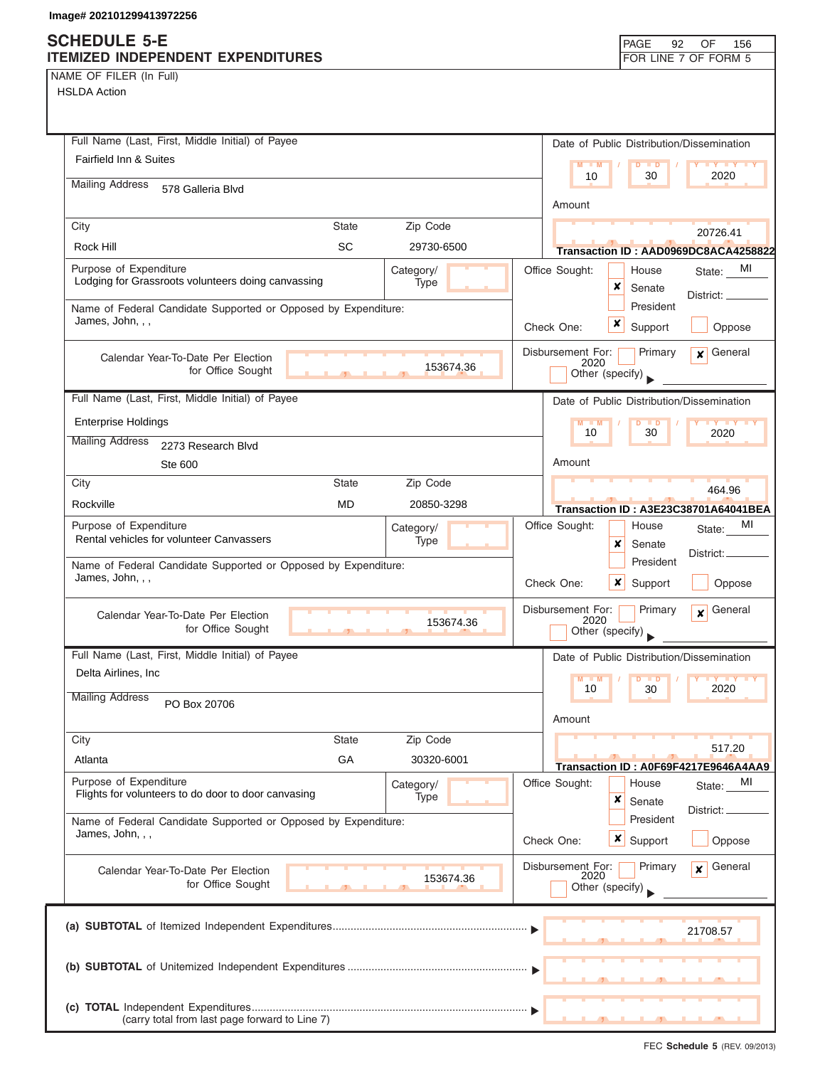OF 156

NAME OF FILER (In Full) HSLDA Action

| Full Name (Last, First, Middle Initial) of Payee                                                  | Date of Public Distribution/Dissemination                                          |
|---------------------------------------------------------------------------------------------------|------------------------------------------------------------------------------------|
| <b>Fairfield Inn &amp; Suites</b>                                                                 | $M - M$<br><b>LY LY LY</b><br>$D$ $D$<br>10<br>30<br>2020                          |
| <b>Mailing Address</b><br>578 Galleria Blvd                                                       | Amount                                                                             |
| <b>State</b><br>Zip Code                                                                          |                                                                                    |
| City<br>SC<br>Rock Hill<br>29730-6500                                                             | 20726.41                                                                           |
|                                                                                                   | Transaction ID: AAD0969DC8ACA4258822                                               |
| Purpose of Expenditure<br>Category/<br>Lodging for Grassroots volunteers doing canvassing<br>Type | Office Sought:<br>MI<br>House<br>State:<br>x<br>Senate<br>District: _              |
| Name of Federal Candidate Supported or Opposed by Expenditure:<br>James, John, , ,                | President<br>x<br>Support<br>Check One:<br>Oppose                                  |
|                                                                                                   |                                                                                    |
| Calendar Year-To-Date Per Election<br>153674.36<br>for Office Sought                              | Disbursement For:<br>$x$ General<br>Primary<br>2020<br>Other (specify)             |
| Full Name (Last, First, Middle Initial) of Payee                                                  | Date of Public Distribution/Dissemination                                          |
| <b>Enterprise Holdings</b>                                                                        | $M - M$<br><b>TY TY TY</b><br><b>D</b>                                             |
| <b>Mailing Address</b><br>2273 Research Blvd                                                      | 10<br>30<br>2020                                                                   |
| Ste 600                                                                                           | Amount                                                                             |
| Zip Code<br>City<br><b>State</b>                                                                  | 464.96                                                                             |
| Rockville<br><b>MD</b><br>20850-3298                                                              | Transaction ID: A3E23C38701A64041BEA                                               |
| Purpose of Expenditure<br>Category/                                                               | MI<br>Office Sought:<br>House<br>State:                                            |
| Rental vehicles for volunteer Canvassers<br>Type                                                  | ×<br>Senate                                                                        |
| Name of Federal Candidate Supported or Opposed by Expenditure:                                    | District:<br>President                                                             |
| James, John, , ,                                                                                  | Check One:<br>x<br>Support<br>Oppose                                               |
| Calendar Year-To-Date Per Election<br>153674.36<br>for Office Sought                              | Disbursement For:<br>Primary<br>General<br>$\mathbf{x}$<br>2020<br>Other (specify) |
| Full Name (Last, First, Middle Initial) of Payee                                                  | Date of Public Distribution/Dissemination                                          |
| Delta Airlines, Inc.                                                                              | $M - M$<br><b>IY IY IY</b><br>D<br>$\blacksquare$<br>2020<br>10<br>30              |
| <b>Mailing Address</b><br>PO Box 20706                                                            | Amount                                                                             |
| Zip Code<br>City<br><b>State</b>                                                                  |                                                                                    |
| GA<br>Atlanta<br>30320-6001                                                                       | 517.20                                                                             |
| Purpose of Expenditure<br>Category/<br>Flights for volunteers to do door to door canvasing        | Transaction ID: A0F69F4217E9646A4AA9<br>Office Sought:<br>House<br>MI<br>State:    |
| Type                                                                                              | ×<br>Senate<br>District:                                                           |
| Name of Federal Candidate Supported or Opposed by Expenditure:<br>James, John, , ,                | President<br>$\boldsymbol{x}$<br>Support<br>Oppose<br>Check One:                   |
| Calendar Year-To-Date Per Election<br>153674.36<br>for Office Sought                              | Disbursement For:<br>General<br>Primary<br>$\mathbf{x}$<br>2020<br>Other (specify) |
|                                                                                                   | 21708.57                                                                           |
|                                                                                                   |                                                                                    |
| (carry total from last page forward to Line 7)                                                    |                                                                                    |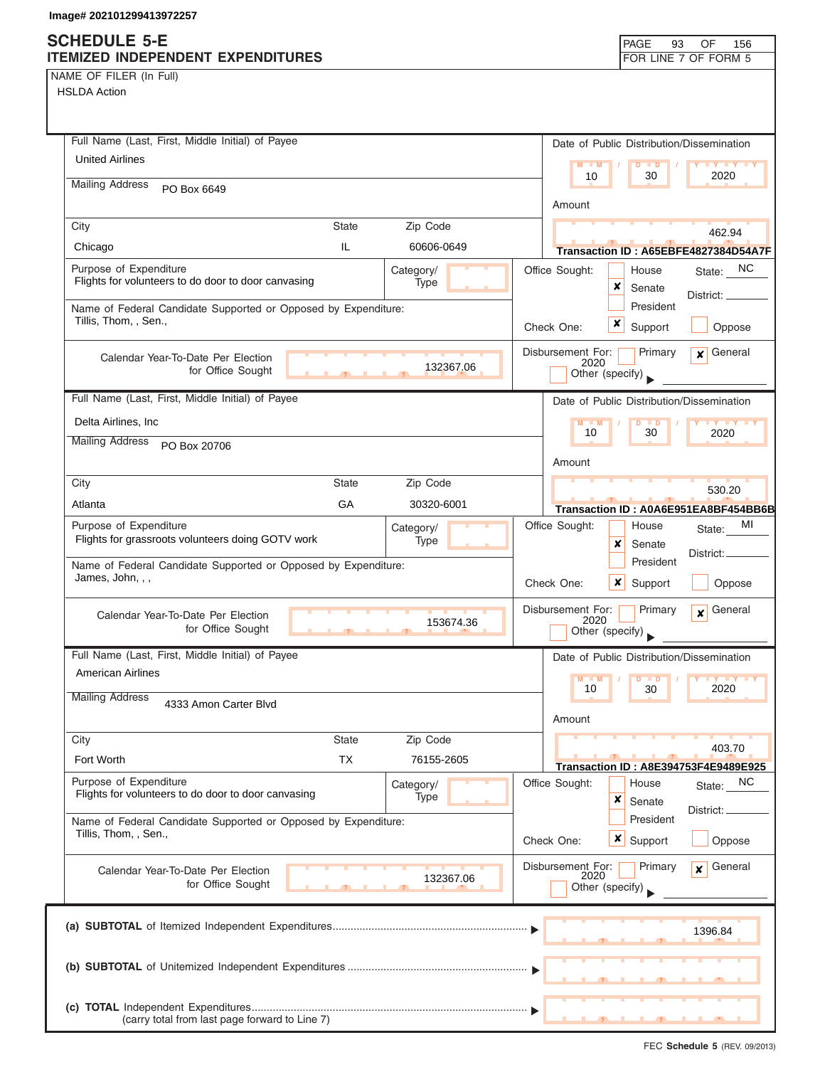## **SCHEDULE 5-E**

| NAME OF FILER (In Full) |  |  |
|-------------------------|--|--|
|-------------------------|--|--|

| <b>ITEMIZED INDEPENDENT EXPENDITURES</b>                                                           | FOR LINE 7 OF FORM 5                                                       |
|----------------------------------------------------------------------------------------------------|----------------------------------------------------------------------------|
| NAME OF FILER (In Full)                                                                            |                                                                            |
| <b>HSLDA Action</b>                                                                                |                                                                            |
|                                                                                                    |                                                                            |
|                                                                                                    |                                                                            |
| Full Name (Last, First, Middle Initial) of Payee<br><b>United Airlines</b>                         | Date of Public Distribution/Dissemination                                  |
|                                                                                                    | $M = M$<br>$D$ $\Box$ $D$<br><b>Y Y Y Y Y</b><br>10<br>30<br>2020          |
| <b>Mailing Address</b><br>PO Box 6649                                                              |                                                                            |
|                                                                                                    | Amount                                                                     |
| Zip Code<br>City<br><b>State</b>                                                                   | 462.94                                                                     |
| IL.<br>Chicago<br>60606-0649                                                                       | Transaction ID: A65EBFE4827384D54A7F                                       |
| Purpose of Expenditure<br>Category/                                                                | State: NC<br>Office Sought:<br>House                                       |
| Flights for volunteers to do door to door canvasing<br>Type                                        | ×<br>Senate                                                                |
| Name of Federal Candidate Supported or Opposed by Expenditure:                                     | District: ____<br>President                                                |
| Tillis, Thom, , Sen.,                                                                              | x<br>Support<br>Oppose<br>Check One:                                       |
|                                                                                                    |                                                                            |
| Calendar Year-To-Date Per Election                                                                 | $x$ General<br>Disbursement For:<br>Primary<br>2020                        |
| 132367.06<br>for Office Sought                                                                     | Other (specify)                                                            |
| Full Name (Last, First, Middle Initial) of Payee                                                   | Date of Public Distribution/Dissemination                                  |
| Delta Airlines, Inc                                                                                |                                                                            |
|                                                                                                    | $M - M$<br>$D$ $D$<br>10<br>30<br>2020                                     |
| <b>Mailing Address</b><br>PO Box 20706                                                             |                                                                            |
|                                                                                                    | Amount                                                                     |
| <b>State</b><br>Zip Code<br>City                                                                   | 530.20                                                                     |
| GA<br>30320-6001<br>Atlanta                                                                        | Transaction ID: A0A6E951EA8BF454BB6B                                       |
| Purpose of Expenditure<br>Category/                                                                | Office Sought:<br>MI<br>House<br>State:                                    |
| Flights for grassroots volunteers doing GOTV work<br>Type                                          | x<br>Senate                                                                |
| Name of Federal Candidate Supported or Opposed by Expenditure:                                     | District:.<br>President                                                    |
| James, John, , ,                                                                                   | Check One:<br>x<br>Oppose<br>Support                                       |
|                                                                                                    |                                                                            |
| Calendar Year-To-Date Per Election<br>153674.36                                                    | General<br>Disbursement For:<br>Primary<br>$\overline{\mathbf{x}}$<br>2020 |
| for Office Sought<br>$\mathbf{r}$                                                                  | Other (specify)                                                            |
| Full Name (Last, First, Middle Initial) of Payee                                                   | Date of Public Distribution/Dissemination                                  |
| American Airlines                                                                                  | $Y = Y = Y$<br>$M - M$                                                     |
| <b>Mailing Address</b><br>4333 Amon Carter Blvd                                                    | 2020<br>10<br>30                                                           |
|                                                                                                    | Amount                                                                     |
| Zip Code<br><b>State</b><br>City                                                                   |                                                                            |
| <b>TX</b><br>Fort Worth<br>76155-2605                                                              | 403.70                                                                     |
|                                                                                                    | Transaction ID: A8E394753F4E9489E925                                       |
| Purpose of Expenditure<br>Category/<br>Flights for volunteers to do door to door canvasing<br>Type | Office Sought:<br>NC<br>House<br>State:                                    |
|                                                                                                    | ×<br>Senate<br>District: <sub>-</sub>                                      |
| Name of Federal Candidate Supported or Opposed by Expenditure:<br>Tillis, Thom, , Sen.,            | President                                                                  |
|                                                                                                    | x<br>Support<br>Check One:<br>Oppose                                       |
| Calendar Year-To-Date Per Election                                                                 | Disbursement For:<br>Primary<br>General<br>$\mathbf{x}$                    |
| 132367.06<br>for Office Sought                                                                     | 2020<br>Other (specify)                                                    |
|                                                                                                    |                                                                            |
|                                                                                                    |                                                                            |
|                                                                                                    | 1396.84                                                                    |
|                                                                                                    |                                                                            |
|                                                                                                    |                                                                            |
|                                                                                                    |                                                                            |
| (carry total from last page forward to Line 7)                                                     |                                                                            |

PAGE 93

OF 156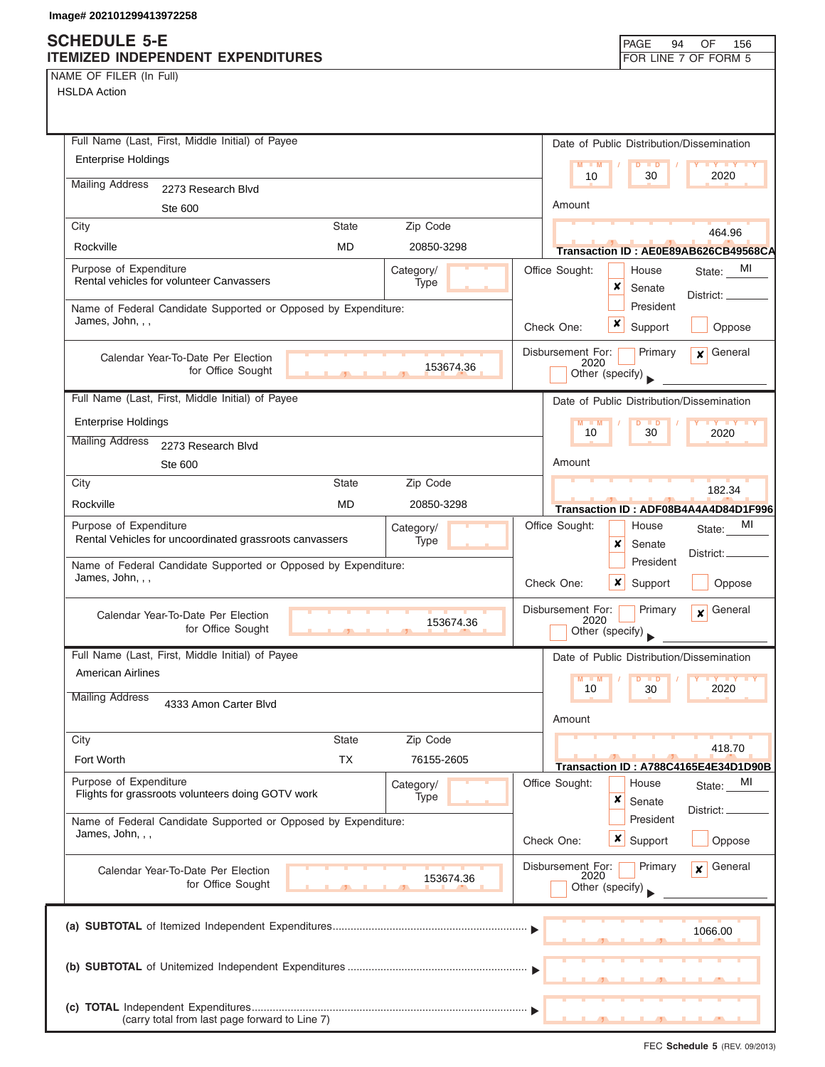NAME OF FILER (In Full)

| Full Name (Last, First, Middle Initial) of Payee                                   |                |                   |                           | Date of Public Distribution/Dissemination |                                                                                                          |
|------------------------------------------------------------------------------------|----------------|-------------------|---------------------------|-------------------------------------------|----------------------------------------------------------------------------------------------------------|
| <b>Enterprise Holdings</b>                                                         |                |                   | $M - M$                   | $\blacksquare$                            |                                                                                                          |
| <b>Mailing Address</b><br>2273 Research Blvd                                       |                |                   | 10                        | 30                                        | 2020                                                                                                     |
| Ste 600                                                                            |                |                   | Amount                    |                                           |                                                                                                          |
| City                                                                               | <b>State</b>   | Zip Code          |                           |                                           | 464.96                                                                                                   |
| Rockville                                                                          | MD             | 20850-3298        |                           |                                           | Transaction ID:AE0E89AB626CB49568CA                                                                      |
| Purpose of Expenditure<br>Rental vehicles for volunteer Canvassers                 |                | Category/<br>Type | Office Sought:            | House<br>x<br>Senate                      | MI<br>State:                                                                                             |
| Name of Federal Candidate Supported or Opposed by Expenditure:                     |                |                   |                           | President                                 | District: _                                                                                              |
| James, John, , ,                                                                   |                |                   | Check One:                | x<br>Support                              | Oppose                                                                                                   |
| Calendar Year-To-Date Per Election<br>for Office Sought                            | $\overline{1}$ | 153674.36         | Disbursement For:<br>2020 | Primary<br>Other (specify)                | $\mathbf x$ General                                                                                      |
| Full Name (Last, First, Middle Initial) of Payee                                   |                |                   |                           | Date of Public Distribution/Dissemination |                                                                                                          |
| <b>Enterprise Holdings</b>                                                         |                |                   | $M - M$                   | $D$ $D$                                   | $\blacksquare$ $\blacksquare$ $\blacksquare$ $\blacksquare$ $\blacksquare$ $\blacksquare$ $\blacksquare$ |
| <b>Mailing Address</b><br>2273 Research Blvd                                       |                |                   | 10                        | 30                                        | 2020                                                                                                     |
| Ste 600                                                                            |                |                   | Amount                    |                                           |                                                                                                          |
| City                                                                               | State          | Zip Code          |                           |                                           | 182.34                                                                                                   |
| Rockville                                                                          | MD             | 20850-3298        |                           |                                           | Transaction ID: ADF08B4A4A4D84D1F996                                                                     |
| Purpose of Expenditure                                                             |                | Category/         | Office Sought:            | House                                     | MI<br>State:                                                                                             |
| Rental Vehicles for uncoordinated grassroots canvassers                            |                | Type              |                           | x<br>Senate                               |                                                                                                          |
| Name of Federal Candidate Supported or Opposed by Expenditure:<br>James, John, , , |                |                   | Check One:                | President<br>$\boldsymbol{x}$<br>Support  | District:<br>Oppose                                                                                      |
| Calendar Year-To-Date Per Election<br>for Office Sought                            |                | 153674.36         | Disbursement For:<br>2020 | Primary<br>Other (specify)                | General<br>$\mathbf{x}$                                                                                  |
| Full Name (Last, First, Middle Initial) of Payee                                   |                |                   |                           | Date of Public Distribution/Dissemination |                                                                                                          |
| <b>American Airlines</b>                                                           |                |                   | $M - M$<br>10             | $\overline{D}$<br>$\blacksquare$<br>30    | $Y$ $Y$<br>2020                                                                                          |
| <b>Mailing Address</b><br>4333 Amon Carter Blvd                                    |                |                   | Amount                    |                                           |                                                                                                          |
| City                                                                               | <b>State</b>   | Zip Code          |                           |                                           |                                                                                                          |
| Fort Worth                                                                         | <b>TX</b>      | 76155-2605        |                           |                                           | 418.70                                                                                                   |
| Purpose of Expenditure                                                             |                | Category/         | Office Sought:            | House                                     | Transaction ID: A788C4165E4E34D1D90B<br>MI<br>State:                                                     |
| Flights for grassroots volunteers doing GOTV work                                  |                | Type              |                           | ×<br>Senate                               |                                                                                                          |
| Name of Federal Candidate Supported or Opposed by Expenditure:                     |                |                   |                           | President                                 | District:                                                                                                |
| James, John, , ,                                                                   |                |                   | Check One:                | <b>x</b> Support                          | Oppose                                                                                                   |
| Calendar Year-To-Date Per Election<br>for Office Sought                            |                | 153674.36         | Disbursement For:<br>2020 | Primary<br>Other (specify)                | General<br>$\boldsymbol{x}$                                                                              |
|                                                                                    |                |                   |                           |                                           |                                                                                                          |
|                                                                                    |                |                   |                           |                                           | 1066.00                                                                                                  |
|                                                                                    |                |                   |                           |                                           |                                                                                                          |
| (carry total from last page forward to Line 7)                                     |                |                   |                           |                                           |                                                                                                          |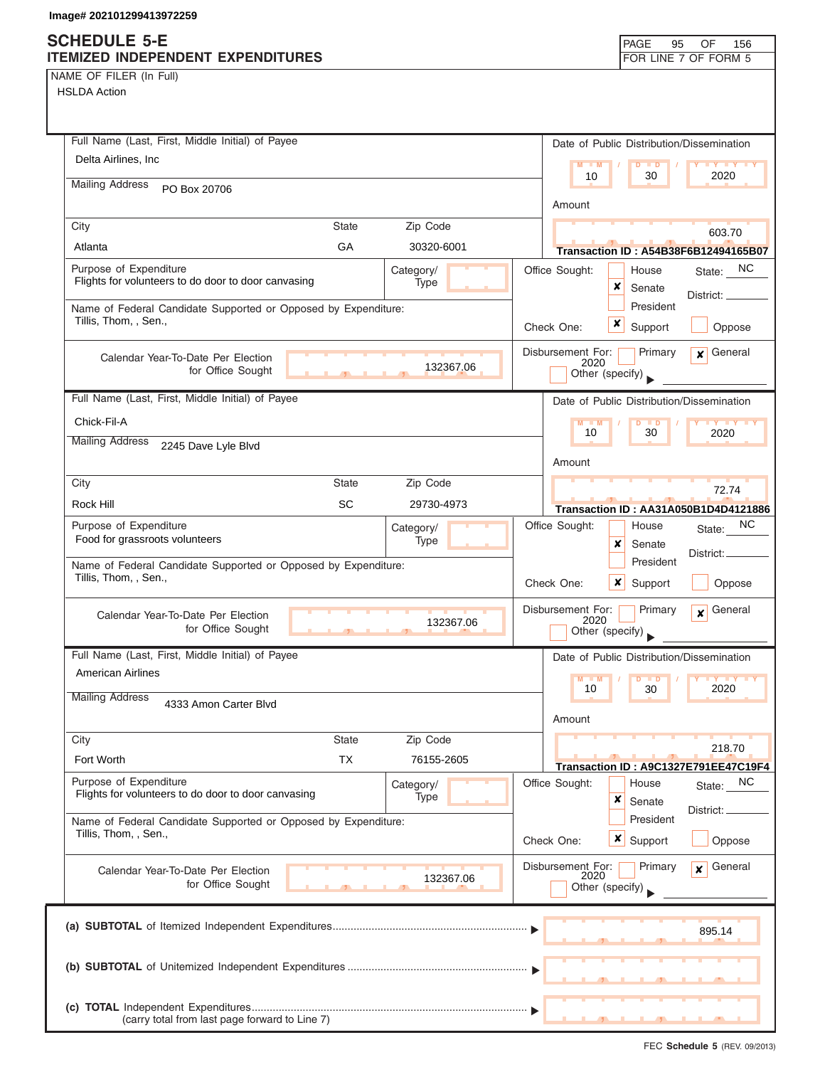### **SCHEDULE 5-E ITEMIZED INDEPENDENT EXPENDITURES FOR LINE 7 OF FORM 5**

**(c) TOTAL** Independent Expenditures ............................................................................................

(carry total from last page forward to Line 7)

| NAME OF FILER (In Full)                                                                 |              |                   |                           |                                           |                                      |
|-----------------------------------------------------------------------------------------|--------------|-------------------|---------------------------|-------------------------------------------|--------------------------------------|
| <b>HSLDA Action</b>                                                                     |              |                   |                           |                                           |                                      |
|                                                                                         |              |                   |                           |                                           |                                      |
| Full Name (Last, First, Middle Initial) of Payee                                        |              |                   |                           |                                           |                                      |
| Delta Airlines, Inc                                                                     |              |                   |                           | Date of Public Distribution/Dissemination |                                      |
|                                                                                         |              |                   | 10                        | 30                                        | 2020                                 |
| <b>Mailing Address</b><br>PO Box 20706                                                  |              |                   |                           |                                           |                                      |
|                                                                                         |              |                   | Amount                    |                                           |                                      |
| City                                                                                    | State        | Zip Code          |                           |                                           | 603.70                               |
| Atlanta                                                                                 | GA           | 30320-6001        |                           |                                           | Transaction ID: A54B38F6B12494165B07 |
| Purpose of Expenditure<br>Flights for volunteers to do door to door canvasing           |              | Category/         | Office Sought:            | House                                     | <sub>NC</sub><br>State:              |
|                                                                                         |              | Type              |                           | ×<br>Senate                               | District:                            |
| Name of Federal Candidate Supported or Opposed by Expenditure:<br>Tillis, Thom, , Sen., |              |                   |                           | President                                 |                                      |
|                                                                                         |              |                   | Check One:                | x<br>Support                              | Oppose                               |
| Calendar Year-To-Date Per Election                                                      |              |                   | Disbursement For:         | Primary                                   | General<br>$\boldsymbol{x}$          |
| for Office Sought                                                                       |              | 132367.06         | 2020                      | Other (specify)                           |                                      |
| Full Name (Last, First, Middle Initial) of Payee                                        |              |                   |                           | Date of Public Distribution/Dissemination |                                      |
|                                                                                         |              |                   |                           |                                           |                                      |
| Chick-Fil-A<br><b>Mailing Address</b>                                                   |              |                   | $M - M$<br>10             | 30                                        | 2020                                 |
| 2245 Dave Lyle Blvd                                                                     |              |                   |                           |                                           |                                      |
|                                                                                         |              |                   | Amount                    |                                           |                                      |
| City                                                                                    | <b>State</b> | Zip Code          |                           |                                           | 72.74                                |
| Rock Hill                                                                               | SC           | 29730-4973        |                           |                                           | Transaction ID: AA31A050B1D4D4121886 |
| Purpose of Expenditure<br>Food for grassroots volunteers                                |              | Category/<br>Type | Office Sought:            | House                                     | NC.<br>State:                        |
|                                                                                         |              |                   |                           | ×<br>Senate                               | District:                            |
| Name of Federal Candidate Supported or Opposed by Expenditure:<br>Tillis, Thom, , Sen., |              |                   |                           | President                                 |                                      |
|                                                                                         |              |                   | Check One:                | x<br>Support                              | Oppose                               |
| Calendar Year-To-Date Per Election                                                      |              |                   | Disbursement For:<br>2020 | Primary                                   | General<br>X                         |
| for Office Sought                                                                       |              | 132367.06         |                           | Other (specify)                           |                                      |
| Full Name (Last, First, Middle Initial) of Payee                                        |              |                   |                           | Date of Public Distribution/Dissemination |                                      |
| <b>American Airlines</b>                                                                |              |                   | M<br>M                    | . ∍                                       |                                      |
| <b>Mailing Address</b>                                                                  |              |                   | 10                        | 30                                        | 2020                                 |
| 4333 Amon Carter Blvd                                                                   |              |                   | Amount                    |                                           |                                      |
| City                                                                                    | <b>State</b> | Zip Code          |                           |                                           |                                      |
| Fort Worth                                                                              | <b>TX</b>    | 76155-2605        |                           |                                           | 218.70                               |
| Purpose of Expenditure                                                                  |              |                   |                           |                                           | Transaction ID: A9C1327E791EE47C19F4 |
| Flights for volunteers to do door to door canvasing                                     |              | Category/<br>Type | Office Sought:            | House<br>×<br>Senate                      | NC<br>State:                         |
| Name of Federal Candidate Supported or Opposed by Expenditure:                          |              |                   |                           | President                                 | District:                            |
| Tillis, Thom, , Sen.,                                                                   |              |                   | Check One:                | x<br>Support                              | Oppose                               |
|                                                                                         |              |                   |                           |                                           |                                      |
| Calendar Year-To-Date Per Election<br>for Office Sought                                 |              | 132367.06         | Disbursement For:<br>2020 | Primary                                   | General<br>$\mathbf{x}$              |
|                                                                                         |              |                   |                           | Other (specify)                           |                                      |
|                                                                                         |              |                   |                           |                                           |                                      |
|                                                                                         |              |                   |                           |                                           | 895.14                               |
|                                                                                         |              |                   |                           |                                           |                                      |
|                                                                                         |              |                   |                           |                                           |                                      |

FEC **Schedule 5** (REV. 09/2013)

▲ ▲ ▲ , , .

…… ▶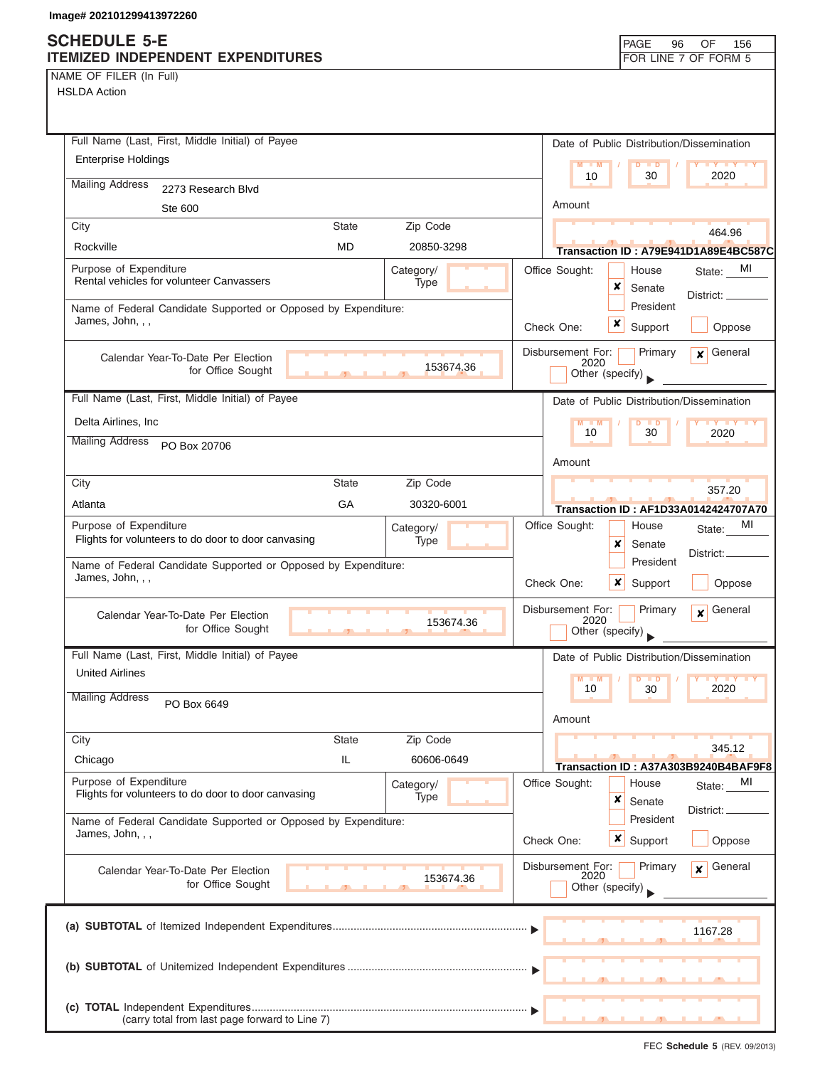NAME OF FILER (In Full)

|                            | Full Name (Last, First, Middle Initial) of Payee               |                                             |            |           |                           |                  |                     | Date of Public Distribution/Dissemination      |  |
|----------------------------|----------------------------------------------------------------|---------------------------------------------|------------|-----------|---------------------------|------------------|---------------------|------------------------------------------------|--|
| <b>Enterprise Holdings</b> |                                                                |                                             |            |           | $M - M$                   |                  | D<br>$\blacksquare$ | <b>TY TY TY</b>                                |  |
| <b>Mailing Address</b>     | 2273 Research Blvd                                             |                                             |            |           | 10                        |                  | 30                  | 2020                                           |  |
|                            | Ste 600                                                        |                                             |            |           | Amount                    |                  |                     |                                                |  |
| City                       |                                                                | <b>State</b>                                | Zip Code   |           |                           |                  |                     | 464.96                                         |  |
| Rockville                  |                                                                | MD                                          | 20850-3298 |           |                           |                  |                     | Transaction ID: A79E941D1A89E4BC587C           |  |
| Purpose of Expenditure     |                                                                |                                             | Category/  |           | Office Sought:            |                  | House               | MI<br>State:                                   |  |
|                            | Rental vehicles for volunteer Canvassers                       |                                             | Type       |           |                           | ×                | Senate              | District: __                                   |  |
|                            | Name of Federal Candidate Supported or Opposed by Expenditure: |                                             |            |           |                           |                  | President           |                                                |  |
| James, John, , ,           |                                                                |                                             |            |           | Check One:                | x                | Support             | Oppose                                         |  |
|                            | Calendar Year-To-Date Per Election                             |                                             |            |           | Disbursement For:         |                  | Primary             | General<br>$\mathbf{x}$                        |  |
|                            | for Office Sought                                              | <b>The Contract of Contract of Contract</b> |            | 153674.36 | 2020<br>Other (specify)   |                  |                     |                                                |  |
|                            | Full Name (Last, First, Middle Initial) of Payee               |                                             |            |           |                           |                  |                     | Date of Public Distribution/Dissemination      |  |
| Delta Airlines, Inc        |                                                                |                                             |            |           | $M - M$                   |                  | D<br>$\blacksquare$ |                                                |  |
| <b>Mailing Address</b>     | PO Box 20706                                                   |                                             |            |           | 10                        |                  | 30                  | 2020                                           |  |
|                            |                                                                |                                             |            |           | Amount                    |                  |                     |                                                |  |
| City                       |                                                                | <b>State</b>                                | Zip Code   |           |                           |                  |                     | 357.20                                         |  |
| Atlanta                    |                                                                | GA                                          | 30320-6001 |           |                           |                  |                     | <b>Transaction ID: AF1D33A0142424707A70</b>    |  |
| Purpose of Expenditure     |                                                                |                                             | Category/  |           | Office Sought:            |                  | House               | MI<br>State:                                   |  |
|                            | Flights for volunteers to do door to door canvasing            |                                             | Type       |           |                           | x                | Senate              | District:                                      |  |
|                            | Name of Federal Candidate Supported or Opposed by Expenditure: |                                             |            |           |                           |                  | President           |                                                |  |
| James, John, , ,           |                                                                |                                             |            |           | Check One:                | $\boldsymbol{x}$ | Support             | Oppose                                         |  |
|                            | Calendar Year-To-Date Per Election                             |                                             |            |           | Disbursement For:<br>2020 |                  | Primary             | General<br>$\mathbf{x}$                        |  |
|                            | for Office Sought                                              | $\mathbf{F}$                                |            | 153674.36 | Other (specify)           |                  |                     |                                                |  |
|                            | Full Name (Last, First, Middle Initial) of Payee               |                                             |            |           |                           |                  |                     | Date of Public Distribution/Dissemination      |  |
| <b>United Airlines</b>     |                                                                |                                             |            |           | $M - M$                   |                  | $D$ $D$             | <b>IV IV IV</b>                                |  |
| <b>Mailing Address</b>     | PO Box 6649                                                    |                                             |            |           | 10                        |                  | 30                  | 2020                                           |  |
|                            |                                                                |                                             |            |           | Amount                    |                  |                     |                                                |  |
| City                       |                                                                | <b>State</b>                                | Zip Code   |           |                           |                  |                     |                                                |  |
| Chicago                    |                                                                | IL                                          | 60606-0649 |           |                           |                  |                     | 345.12<br>Transaction ID: A37A303B9240B4BAF9F8 |  |
| Purpose of Expenditure     |                                                                |                                             | Category/  |           | Office Sought:            |                  | House               | MI<br>State:                                   |  |
|                            | Flights for volunteers to do door to door canvasing            |                                             | Type       |           |                           | ×                | Senate              | District:                                      |  |
|                            | Name of Federal Candidate Supported or Opposed by Expenditure: |                                             |            |           |                           |                  | President           |                                                |  |
| James, John, , ,           |                                                                |                                             |            |           | Check One:                |                  | <b>x</b> Support    | Oppose                                         |  |
|                            | Calendar Year-To-Date Per Election                             |                                             |            |           | Disbursement For:<br>2020 |                  | Primary             | General<br>$\boldsymbol{x}$                    |  |
|                            | for Office Sought                                              |                                             |            | 153674.36 | Other (specify)           |                  |                     |                                                |  |
|                            |                                                                |                                             |            |           |                           |                  |                     |                                                |  |
|                            |                                                                |                                             |            |           |                           |                  |                     | 1167.28                                        |  |
|                            |                                                                |                                             |            |           |                           |                  |                     |                                                |  |
|                            |                                                                |                                             |            |           |                           |                  |                     |                                                |  |
|                            |                                                                |                                             |            |           |                           |                  |                     |                                                |  |
|                            | (carry total from last page forward to Line 7)                 |                                             |            |           |                           |                  |                     |                                                |  |
|                            |                                                                |                                             |            |           |                           |                  |                     |                                                |  |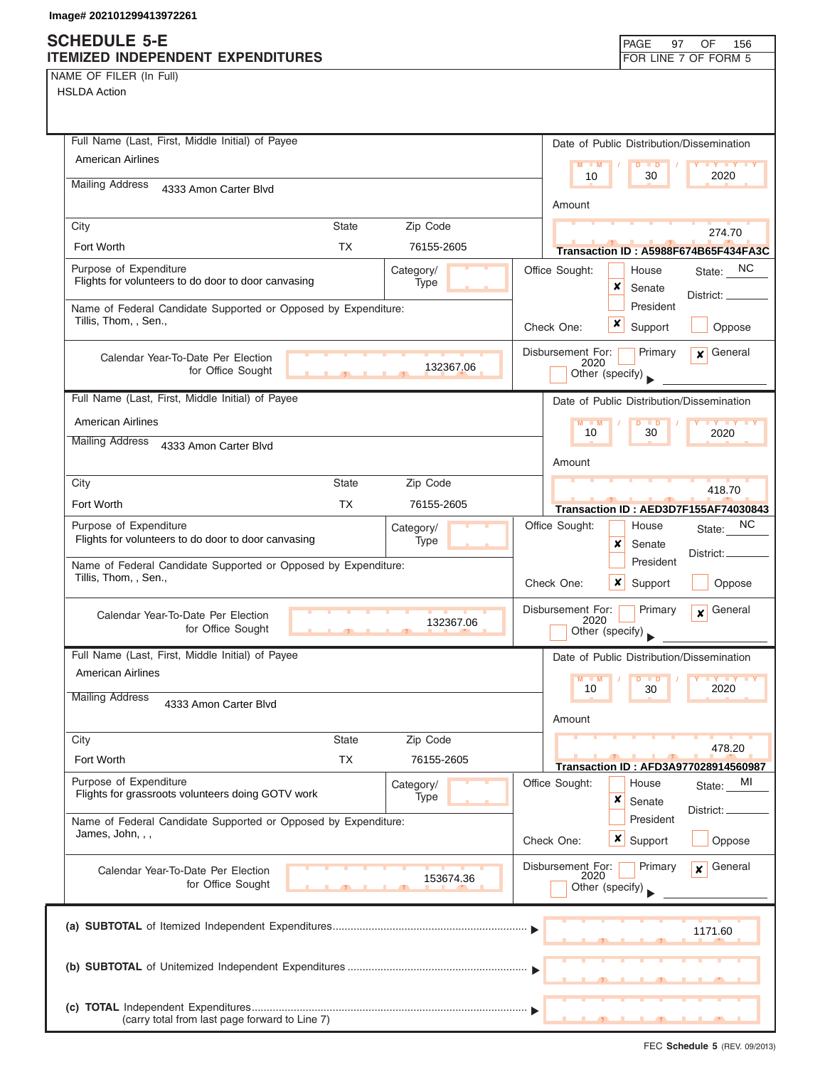| Full Name (Last, First, Middle Initial) of Payee                                                          | Date of Public Distribution/Dissemination                                          |
|-----------------------------------------------------------------------------------------------------------|------------------------------------------------------------------------------------|
| American Airlines                                                                                         | $M - M$<br>$\blacksquare$<br>30<br>2020<br>10                                      |
| <b>Mailing Address</b><br>4333 Amon Carter Blvd                                                           |                                                                                    |
|                                                                                                           | Amount                                                                             |
| <b>State</b><br>City<br>Zip Code<br><b>TX</b><br><b>Fort Worth</b>                                        | 274.70                                                                             |
| 76155-2605                                                                                                | Transaction ID: A5988F674B65F434FA3C                                               |
| Purpose of Expenditure<br>Category/<br>Flights for volunteers to do door to door canvasing<br><b>Type</b> | State: NC<br>Office Sought:<br>House<br>×<br>Senate                                |
| Name of Federal Candidate Supported or Opposed by Expenditure:                                            | District: _<br>President                                                           |
| Tillis, Thom, , Sen.,                                                                                     | x<br>Check One:<br>Support<br>Oppose                                               |
| Calendar Year-To-Date Per Election                                                                        | Disbursement For:<br>Primary<br>General<br>$\mathbf{x}$                            |
| 132367.06<br>for Office Sought                                                                            | 2020<br>Other (specify)                                                            |
| Full Name (Last, First, Middle Initial) of Payee                                                          | Date of Public Distribution/Dissemination                                          |
| <b>American Airlines</b>                                                                                  | $M - M$                                                                            |
| <b>Mailing Address</b><br>4333 Amon Carter Blvd                                                           | 10<br>30<br>2020                                                                   |
|                                                                                                           | Amount                                                                             |
| <b>State</b><br>Zip Code<br>City                                                                          | 418.70                                                                             |
| Fort Worth<br>TX<br>76155-2605                                                                            | Transaction ID: AED3D7F155AF74030843                                               |
| Purpose of Expenditure<br>Category/<br>Flights for volunteers to do door to door canvasing<br>Type        | NC.<br>Office Sought:<br>House<br>State:                                           |
|                                                                                                           | x<br>Senate<br>District:.<br>President                                             |
| Name of Federal Candidate Supported or Opposed by Expenditure:<br>Tillis, Thom, , Sen.,                   | Check One:<br>x<br>Support<br>Oppose                                               |
| Calendar Year-To-Date Per Election<br>132367.06<br>for Office Sought                                      | Disbursement For:<br>Primary<br>General<br>$\mathbf{x}$<br>2020<br>Other (specify) |
| Full Name (Last, First, Middle Initial) of Payee                                                          | Date of Public Distribution/Dissemination                                          |
| American Airlines                                                                                         | $\blacksquare$                                                                     |
| <b>Mailing Address</b><br>4333 Amon Carter Blvd                                                           | 2020<br>10<br>30<br>Amount                                                         |
| Zip Code<br>City<br><b>State</b>                                                                          |                                                                                    |
| <b>TX</b><br>Fort Worth<br>76155-2605                                                                     | 478.20<br>Transaction ID: AFD3A977028914560987                                     |
| Purpose of Expenditure<br>Category/                                                                       | Office Sought:<br>MI<br>House<br>State:                                            |
| Flights for grassroots volunteers doing GOTV work<br>Type                                                 | ×<br>Senate<br>District:                                                           |
| Name of Federal Candidate Supported or Opposed by Expenditure:<br>James, John, , ,                        | President<br>x<br>Check One:<br>Support<br>Oppose                                  |
| Calendar Year-To-Date Per Election                                                                        | Disbursement For:<br>General<br>Primary<br>$\mathbf{x}$                            |
| 153674.36<br>for Office Sought                                                                            | 2020<br>Other (specify)                                                            |
|                                                                                                           | 1171.60                                                                            |
|                                                                                                           |                                                                                    |
|                                                                                                           |                                                                                    |
|                                                                                                           |                                                                                    |
| (carry total from last page forward to Line 7)                                                            |                                                                                    |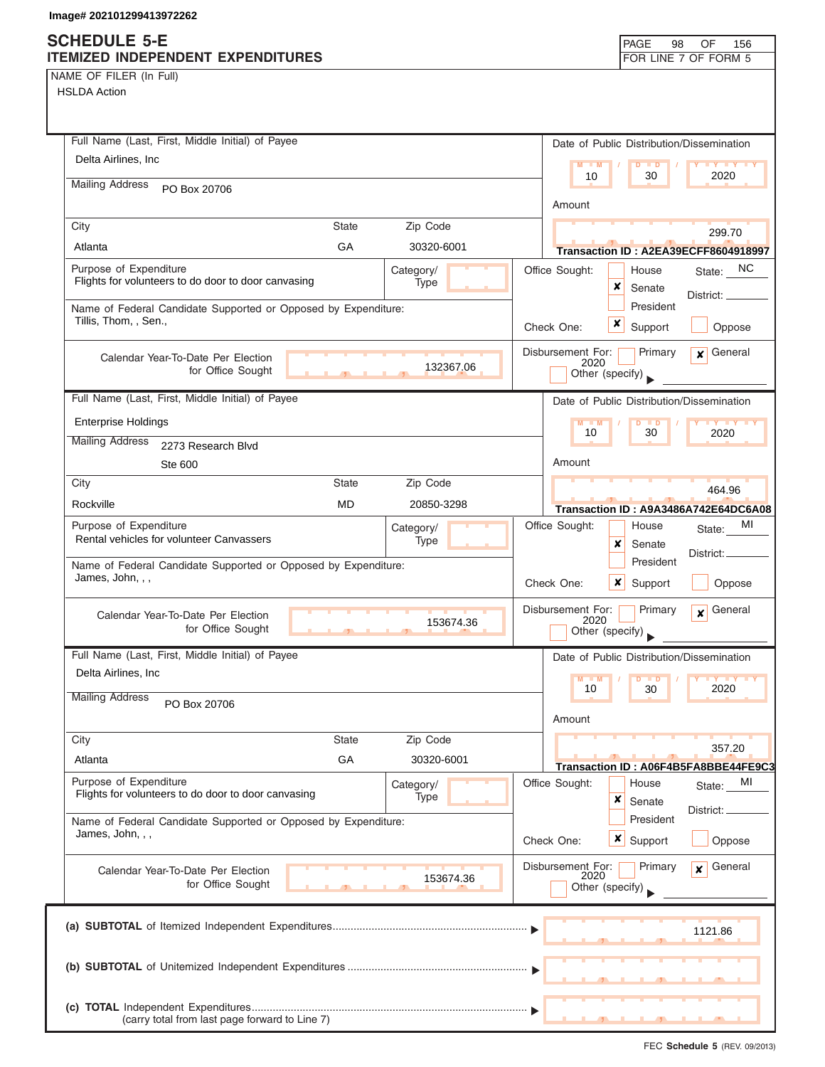### **SCHEDULE 5-E ITEMIZED INDEPENDENT EXPENDITURES FOR LINE 7 OF FORM 5**

NAME OF FILER (In Full)

| <b>HSLDA Action</b>                                                  |                                                                                    |
|----------------------------------------------------------------------|------------------------------------------------------------------------------------|
| Full Name (Last, First, Middle Initial) of Payee                     |                                                                                    |
| Delta Airlines, Inc.                                                 | Date of Public Distribution/Dissemination                                          |
|                                                                      | $M - M$<br><b>LY LY LY</b><br>$D$ $D$<br>10<br>30<br>2020                          |
| <b>Mailing Address</b><br>PO Box 20706                               | Amount                                                                             |
| <b>State</b><br>Zip Code<br>City                                     | 299.70                                                                             |
| GA<br>Atlanta<br>30320-6001                                          | Transaction ID: A2EA39ECFF8604918997                                               |
| Purpose of Expenditure<br>Category/                                  | Office Sought:<br>State: NC<br>House                                               |
| Flights for volunteers to do door to door canvasing<br>Type          | x<br>Senate<br>District: _                                                         |
| Name of Federal Candidate Supported or Opposed by Expenditure:       | President                                                                          |
| Tillis, Thom, , Sen.,                                                | x<br>Check One:<br>Support<br>Oppose                                               |
| Calendar Year-To-Date Per Election<br>132367.06                      | Disbursement For:<br>Primary<br>$\mathbf x$ General<br>2020                        |
| for Office Sought                                                    | Other (specify)                                                                    |
| Full Name (Last, First, Middle Initial) of Payee                     | Date of Public Distribution/Dissemination                                          |
| <b>Enterprise Holdings</b>                                           | <b>IV Y Y Y</b><br>$M - M$<br>$\blacksquare$                                       |
| <b>Mailing Address</b><br>2273 Research Blvd                         | 10<br>30<br>2020                                                                   |
| Ste 600                                                              | Amount                                                                             |
| Zip Code<br>City<br><b>State</b>                                     |                                                                                    |
| <b>MD</b><br>Rockville<br>20850-3298                                 | 464.96<br>Transaction ID: A9A3486A742E64DC6A08                                     |
| Purpose of Expenditure<br>Category/                                  | MI<br>Office Sought:<br>House<br>State:                                            |
| Rental vehicles for volunteer Canvassers<br>Type                     | x<br>Senate                                                                        |
| Name of Federal Candidate Supported or Opposed by Expenditure:       | District:<br>President                                                             |
| James, John, , ,                                                     | Check One:<br>x<br>Oppose<br>Support                                               |
| Calendar Year-To-Date Per Election<br>153674.36<br>for Office Sought | Disbursement For:<br>General<br>Primary<br>$\mathbf{x}$<br>2020<br>Other (specify) |
| Full Name (Last, First, Middle Initial) of Payee                     | Date of Public Distribution/Dissemination                                          |
| Delta Airlines, Inc                                                  | $M - M$<br>$D$ $D$                                                                 |
| <b>Mailing Address</b><br>PO Box 20706                               | 2020<br>10<br>30                                                                   |
|                                                                      | Amount                                                                             |
| Zip Code<br>City<br><b>State</b>                                     |                                                                                    |
| GA<br>Atlanta<br>30320-6001                                          | 357.20                                                                             |
| Purpose of Expenditure<br>Category/                                  | Transaction ID: A06F4B5FA8BBE44FE9C3<br>Office Sought:<br>House<br>MI              |
| Flights for volunteers to do door to door canvasing<br>Type          | State:<br>×<br>Senate                                                              |
| Name of Federal Candidate Supported or Opposed by Expenditure:       | District:<br>President                                                             |
| James, John, , ,                                                     | $\boldsymbol{x}$<br>Check One:<br>Support<br>Oppose                                |
| Calendar Year-To-Date Per Election<br>153674.36<br>for Office Sought | Disbursement For:<br>General<br>Primary<br>$\mathbf{x}$<br>2020<br>Other (specify) |
|                                                                      | 1121.86                                                                            |
|                                                                      |                                                                                    |
|                                                                      |                                                                                    |
|                                                                      |                                                                                    |
| (carry total from last page forward to Line 7)                       |                                                                                    |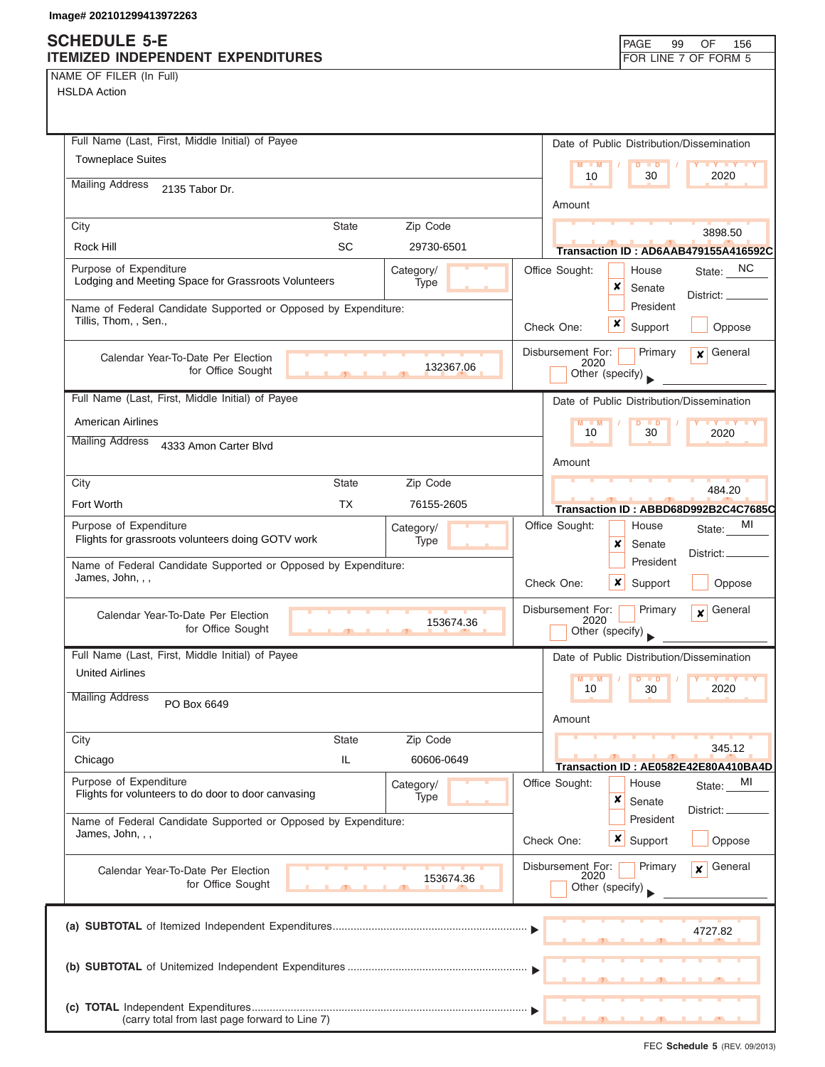# **SCHEDULE 5-E**

| SCHEDULE 5-E<br><b>ITEMIZED INDEPENDENT EXPENDITURES</b>                                |                                |                   |                |                             | PAGE                                     | 99<br>OF<br>156<br>FOR LINE 7 OF FORM 5         |
|-----------------------------------------------------------------------------------------|--------------------------------|-------------------|----------------|-----------------------------|------------------------------------------|-------------------------------------------------|
| NAME OF FILER (In Full)<br><b>HSLDA Action</b>                                          |                                |                   |                |                             |                                          |                                                 |
| Full Name (Last, First, Middle Initial) of Payee                                        |                                |                   |                |                             |                                          | Date of Public Distribution/Dissemination       |
| <b>Towneplace Suites</b>                                                                |                                |                   |                | M<br>$\blacksquare$ M<br>10 | $\overline{D}$<br>$\blacksquare$<br>30   | 2020                                            |
| <b>Mailing Address</b><br>2135 Tabor Dr.                                                |                                |                   |                |                             |                                          |                                                 |
| City                                                                                    | <b>State</b>                   | Zip Code          |                | Amount                      |                                          |                                                 |
| Rock Hill                                                                               | <b>SC</b>                      | 29730-6501        |                |                             |                                          | 3898.50<br>Transaction ID: AD6AAB479155A416592C |
| Purpose of Expenditure<br>Lodging and Meeting Space for Grassroots Volunteers           |                                | Category/<br>Type |                | Office Sought:              | House<br>×<br>Senate                     | State: NC                                       |
| Name of Federal Candidate Supported or Opposed by Expenditure:<br>Tillis, Thom, , Sen., |                                |                   | Check One:     |                             | President<br>×<br>Support                | District:<br>Oppose                             |
| Calendar Year-To-Date Per Election<br>for Office Sought                                 |                                | 132367.06         |                | Disbursement For:<br>2020   | Primary<br>Other (specify)               | General<br>$\overline{\mathbf{x}}$              |
| Full Name (Last, First, Middle Initial) of Payee                                        |                                |                   |                |                             |                                          | Date of Public Distribution/Dissemination       |
| <b>American Airlines</b>                                                                |                                |                   |                | 10                          | $D$ $D$<br>30                            | 2020                                            |
| <b>Mailing Address</b><br>4333 Amon Carter Blvd                                         |                                |                   |                | Amount                      |                                          |                                                 |
| City                                                                                    | <b>State</b>                   | Zip Code          |                |                             |                                          |                                                 |
| Fort Worth                                                                              | <b>TX</b>                      | 76155-2605        |                |                             |                                          | 484.20<br>Transaction ID: ABBD68D992B2C4C7685C  |
| Purpose of Expenditure<br>Flights for grassroots volunteers doing GOTV work             |                                | Category/<br>Type |                | Office Sought:              | House<br>×<br>Senate                     | МI<br>State:                                    |
| Name of Federal Candidate Supported or Opposed by Expenditure:<br>James, John, , ,      |                                |                   | Check One:     |                             | President<br>×<br>Support                | District:<br>Oppose                             |
| Calendar Year-To-Date Per Election<br>for Office Sought                                 | a.<br>$\overline{\phantom{a}}$ | 153674.36         |                | Disbursement For:<br>2020   | Primary<br>Other (specify)               | General<br>$\boldsymbol{x}$                     |
| Full Name (Last, First, Middle Initial) of Payee                                        |                                |                   |                |                             |                                          | Date of Public Distribution/Dissemination       |
| <b>United Airlines</b>                                                                  |                                |                   |                | $M - M$<br>10               | $\blacksquare$<br>30                     | 2020                                            |
| <b>Mailing Address</b><br>PO Box 6649                                                   |                                |                   |                | Amount                      |                                          |                                                 |
| City                                                                                    | <b>State</b>                   | Zip Code          |                |                             |                                          | 345.12                                          |
| Chicago                                                                                 | IL                             | 60606-0649        |                |                             |                                          | Transaction ID: AE0582E42E80A410BA4D            |
| Purpose of Expenditure<br>Flights for volunteers to do door to door canvasing           |                                | Category/<br>Type | Office Sought: |                             | House<br>×<br>Senate                     | MI<br>State:<br>District: _                     |
| Name of Federal Candidate Supported or Opposed by Expenditure:<br>James, John, , ,      |                                |                   | Check One:     |                             | President<br>$\boldsymbol{x}$<br>Support | Oppose                                          |
| Calendar Year-To-Date Per Election<br>for Office Sought                                 |                                | 153674.36         |                | Disbursement For:<br>2020   | Primary<br>Other (specify)               | General<br>$\mathbf{x}$                         |
|                                                                                         |                                |                   |                |                             |                                          | 4727.82                                         |
|                                                                                         |                                |                   |                |                             |                                          |                                                 |
| (carry total from last page forward to Line 7)                                          |                                |                   |                |                             |                                          |                                                 |

FEC **Schedule 5** (REV. 09/2013)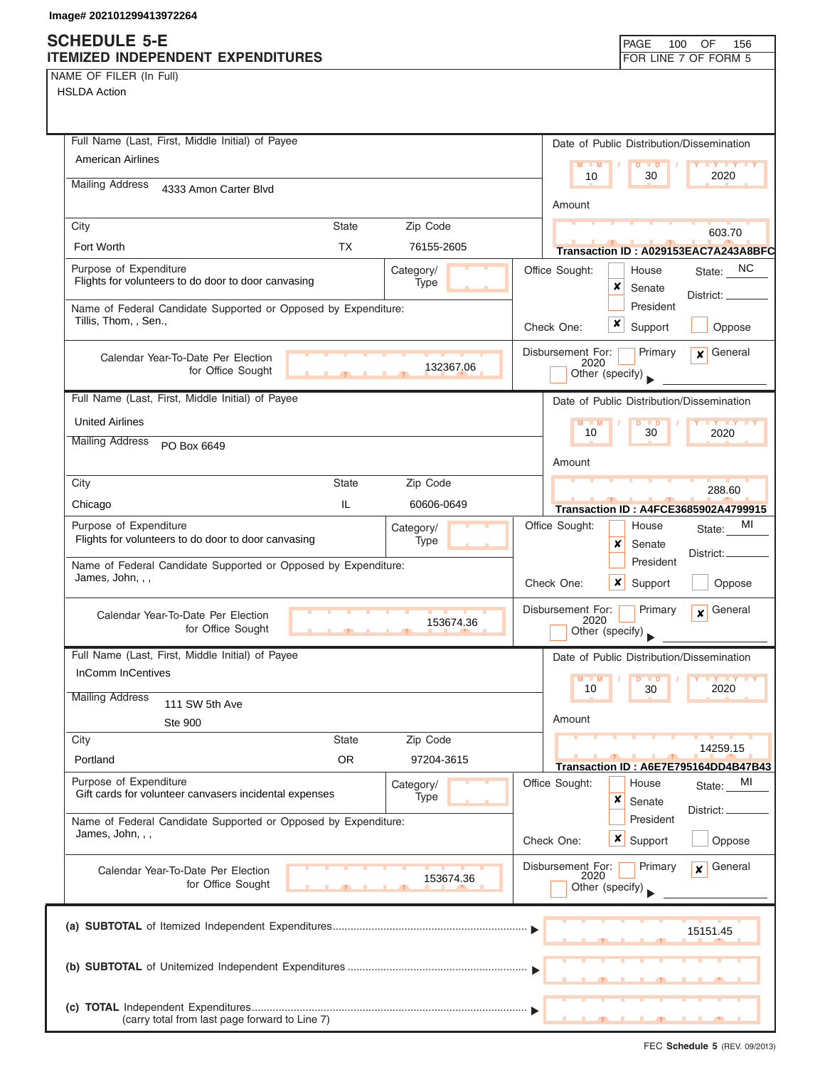NAME OF FILER (In Full)

| Full Name (Last, First, Middle Initial) of Payee                                        | Date of Public Distribution/Dissemination                                                                                                     |
|-----------------------------------------------------------------------------------------|-----------------------------------------------------------------------------------------------------------------------------------------------|
| American Airlines                                                                       | $M - M$<br>$D$ $D$<br><b>TY TY TY</b>                                                                                                         |
| <b>Mailing Address</b><br>4333 Amon Carter Blvd                                         | 10<br>30<br>2020                                                                                                                              |
|                                                                                         | Amount                                                                                                                                        |
| City<br><b>State</b><br>Zip Code                                                        | 603.70                                                                                                                                        |
| <b>TX</b><br>Fort Worth<br>76155-2605                                                   | Transaction ID: A029153EAC7A243A8BFC                                                                                                          |
| Purpose of Expenditure<br>Category/                                                     | State: NC<br>Office Sought:<br>House                                                                                                          |
| Flights for volunteers to do door to door canvasing<br>Type                             | x<br>Senate<br>District: _                                                                                                                    |
| Name of Federal Candidate Supported or Opposed by Expenditure:<br>Tillis, Thom, , Sen., | President                                                                                                                                     |
|                                                                                         | x<br>Support<br>Check One:<br>Oppose                                                                                                          |
| Calendar Year-To-Date Per Election                                                      | General<br>Disbursement For:<br>Primary<br>$\mathbf{x}$<br>2020                                                                               |
| 132367.06<br>for Office Sought                                                          | Other (specify)                                                                                                                               |
| Full Name (Last, First, Middle Initial) of Payee                                        | Date of Public Distribution/Dissemination                                                                                                     |
| <b>United Airlines</b>                                                                  | $M - M$<br>$D$ $D$<br>$\blacksquare$ $\blacksquare$ $\blacksquare$ $\blacksquare$ $\blacksquare$ $\blacksquare$ $\blacksquare$ $\blacksquare$ |
| <b>Mailing Address</b><br>PO Box 6649                                                   | 30<br>10<br>2020                                                                                                                              |
|                                                                                         | Amount                                                                                                                                        |
| City<br><b>State</b><br>Zip Code                                                        | 288.60                                                                                                                                        |
| IL.<br>60606-0649<br>Chicago                                                            | <b>Transaction ID: A4FCE3685902A4799915</b>                                                                                                   |
| Purpose of Expenditure<br>Category/                                                     | Office Sought:<br>МI<br>House<br>State:                                                                                                       |
| Flights for volunteers to do door to door canvasing<br>Type                             | x<br>Senate<br>District:                                                                                                                      |
| Name of Federal Candidate Supported or Opposed by Expenditure:<br>James, John, , ,      | President                                                                                                                                     |
|                                                                                         | Check One:<br>$\boldsymbol{x}$<br>Support<br>Oppose                                                                                           |
| Calendar Year-To-Date Per Election                                                      | Disbursement For:<br>General<br>Primary<br>$\mathbf{x}$<br>2020                                                                               |
| 153674.36<br>for Office Sought                                                          | Other (specify)                                                                                                                               |
| Full Name (Last, First, Middle Initial) of Payee                                        | Date of Public Distribution/Dissemination                                                                                                     |
| <b>InComm InCentives</b>                                                                | M<br>$\blacksquare$<br>D<br>$\blacksquare$<br>$\mathbf{V}$ $\mathbf{V}$                                                                       |
| <b>Mailing Address</b><br>111 SW 5th Ave                                                | 10<br>2020<br>30                                                                                                                              |
| <b>Ste 900</b>                                                                          | Amount                                                                                                                                        |
| City<br><b>State</b><br>Zip Code                                                        | 14259.15                                                                                                                                      |
| <b>OR</b><br>Portland<br>97204-3615                                                     | Transaction ID: A6E7E795164DD4B47B43                                                                                                          |
| Purpose of Expenditure<br>Category/                                                     | Office Sought:<br>MI<br>House<br>State:                                                                                                       |
| Gift cards for volunteer canvasers incidental expenses<br>Type                          | x<br>Senate<br>District:                                                                                                                      |
| Name of Federal Candidate Supported or Opposed by Expenditure:                          | President                                                                                                                                     |
| James, John, , ,                                                                        | Check One:<br>$x \mid$ Support<br>Oppose                                                                                                      |
| Calendar Year-To-Date Per Election                                                      | Disbursement For:<br>General<br>Primary<br>$\mathbf{x}$<br>2020                                                                               |
| 153674.36<br>for Office Sought                                                          | Other (specify)                                                                                                                               |
|                                                                                         |                                                                                                                                               |
|                                                                                         | 15151.45                                                                                                                                      |
|                                                                                         |                                                                                                                                               |
|                                                                                         |                                                                                                                                               |
|                                                                                         |                                                                                                                                               |
| (carry total from last page forward to Line 7)                                          |                                                                                                                                               |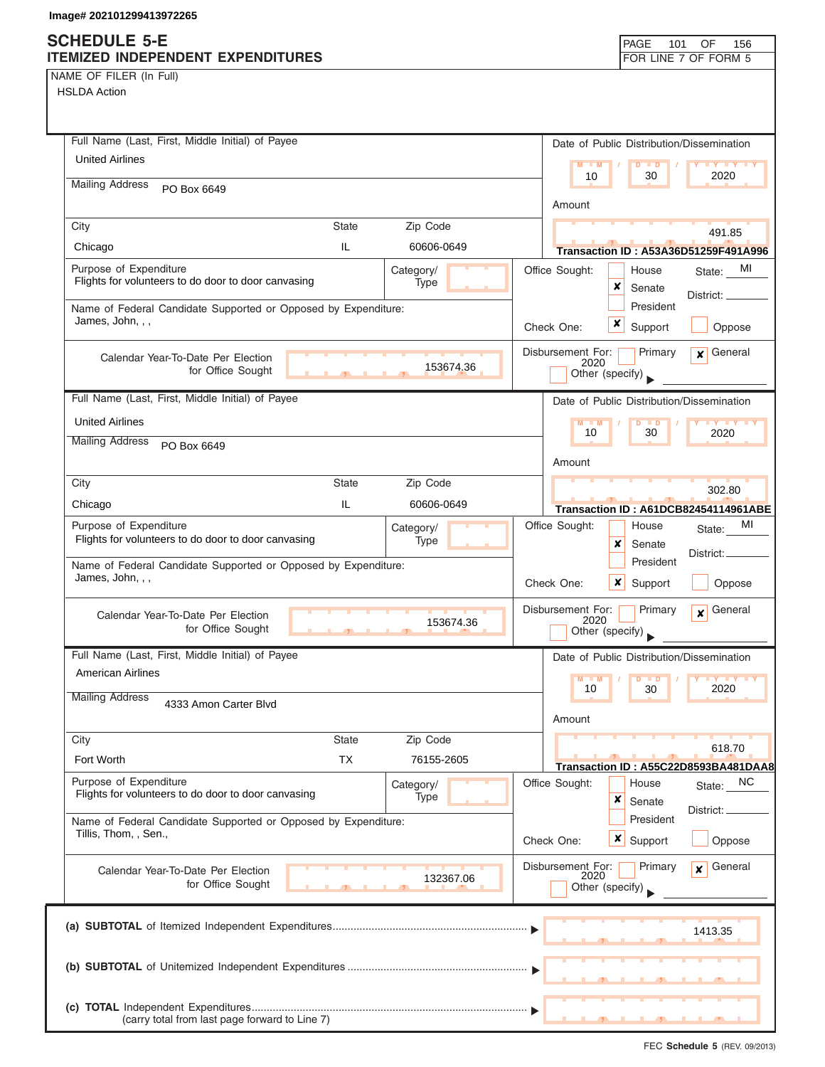# **SCHEDULE 5-E**

| NAME OF FILER (In Full) |  |  |
|-------------------------|--|--|
|-------------------------|--|--|

| <b>ITEMIZED INDEPENDENT EXPENDITURES</b>                                                           | FOR LINE 7 OF FORM 5                                            |
|----------------------------------------------------------------------------------------------------|-----------------------------------------------------------------|
| NAME OF FILER (In Full)                                                                            |                                                                 |
| <b>HSLDA Action</b>                                                                                |                                                                 |
|                                                                                                    |                                                                 |
|                                                                                                    |                                                                 |
| Full Name (Last, First, Middle Initial) of Payee                                                   | Date of Public Distribution/Dissemination                       |
| <b>United Airlines</b>                                                                             | $M - M$<br>$D$ $\Box$ $D$<br><b>TY TY</b>                       |
| <b>Mailing Address</b><br>PO Box 6649                                                              | 30<br>2020<br>10                                                |
|                                                                                                    | Amount                                                          |
| Zip Code<br>City<br><b>State</b>                                                                   |                                                                 |
| IL<br>Chicago<br>60606-0649                                                                        | 491.85<br><b>Transaction ID: A53A36D51259F491A996</b>           |
| Purpose of Expenditure                                                                             | Office Sought:<br>State: MI<br>House                            |
| Category/<br>Flights for volunteers to do door to door canvasing<br>Type                           | ×<br>Senate                                                     |
| Name of Federal Candidate Supported or Opposed by Expenditure:                                     | District: _____<br>President                                    |
| James, John, , ,                                                                                   | x<br>Check One:                                                 |
|                                                                                                    | Support<br>Oppose                                               |
| Calendar Year-To-Date Per Election                                                                 | General<br>Disbursement For:<br>Primary<br>$\mathbf{x}$<br>2020 |
| 153674.36<br>for Office Sought                                                                     | Other (specify)                                                 |
| Full Name (Last, First, Middle Initial) of Payee                                                   | Date of Public Distribution/Dissemination                       |
|                                                                                                    |                                                                 |
| <b>United Airlines</b>                                                                             | $D$ $D$<br>10<br>30<br>2020                                     |
| <b>Mailing Address</b><br>PO Box 6649                                                              |                                                                 |
|                                                                                                    | Amount                                                          |
| <b>State</b><br>Zip Code<br>City                                                                   | 302.80                                                          |
| IL.<br>Chicago<br>60606-0649                                                                       | Transaction ID: A61DCB82454114961ABE                            |
| Purpose of Expenditure<br>Category/                                                                | Office Sought:<br>MI<br>House<br>State:                         |
| Flights for volunteers to do door to door canvasing<br>Type                                        | ×<br>Senate                                                     |
| Name of Federal Candidate Supported or Opposed by Expenditure:                                     | District:<br>President                                          |
| James, John, , ,                                                                                   | Check One:<br>Oppose<br>x<br>Support                            |
|                                                                                                    | General<br>Disbursement For:<br>Primary                         |
| Calendar Year-To-Date Per Election<br>153674.36<br>for Office Sought                               | $\boldsymbol{x}$<br>2020                                        |
| $\mathbf{r}$ and $\mathbf{r}$                                                                      | Other (specify)                                                 |
| Full Name (Last, First, Middle Initial) of Payee                                                   | Date of Public Distribution/Dissemination                       |
| American Airlines                                                                                  | $Y$ $Y$<br>$M - M$<br>$\blacksquare$                            |
| <b>Mailing Address</b><br>4333 Amon Carter Blvd                                                    | 2020<br>10<br>30                                                |
|                                                                                                    | Amount                                                          |
| Zip Code<br><b>State</b><br>City                                                                   |                                                                 |
| Fort Worth<br>ТX<br>76155-2605                                                                     | 618.70                                                          |
|                                                                                                    | Transaction ID: A55C22D8593BA481DAA8                            |
| Purpose of Expenditure<br>Category/<br>Flights for volunteers to do door to door canvasing<br>Type | Office Sought:<br>NC<br>House<br>State:                         |
|                                                                                                    | ×<br>Senate<br>District: _                                      |
| Name of Federal Candidate Supported or Opposed by Expenditure:<br>Tillis, Thom, , Sen.,            | President                                                       |
|                                                                                                    | <b>x</b> Support<br>Oppose<br>Check One:                        |
| Calendar Year-To-Date Per Election                                                                 | Disbursement For:<br>General<br>Primary<br>$\mathbf{x}$         |
| 132367.06<br>for Office Sought                                                                     | 2020<br>Other (specify)                                         |
|                                                                                                    |                                                                 |
|                                                                                                    |                                                                 |
|                                                                                                    | 1413.35                                                         |
|                                                                                                    |                                                                 |
|                                                                                                    |                                                                 |
|                                                                                                    |                                                                 |
| (carry total from last page forward to Line 7)                                                     |                                                                 |

PAGE 101 OF 156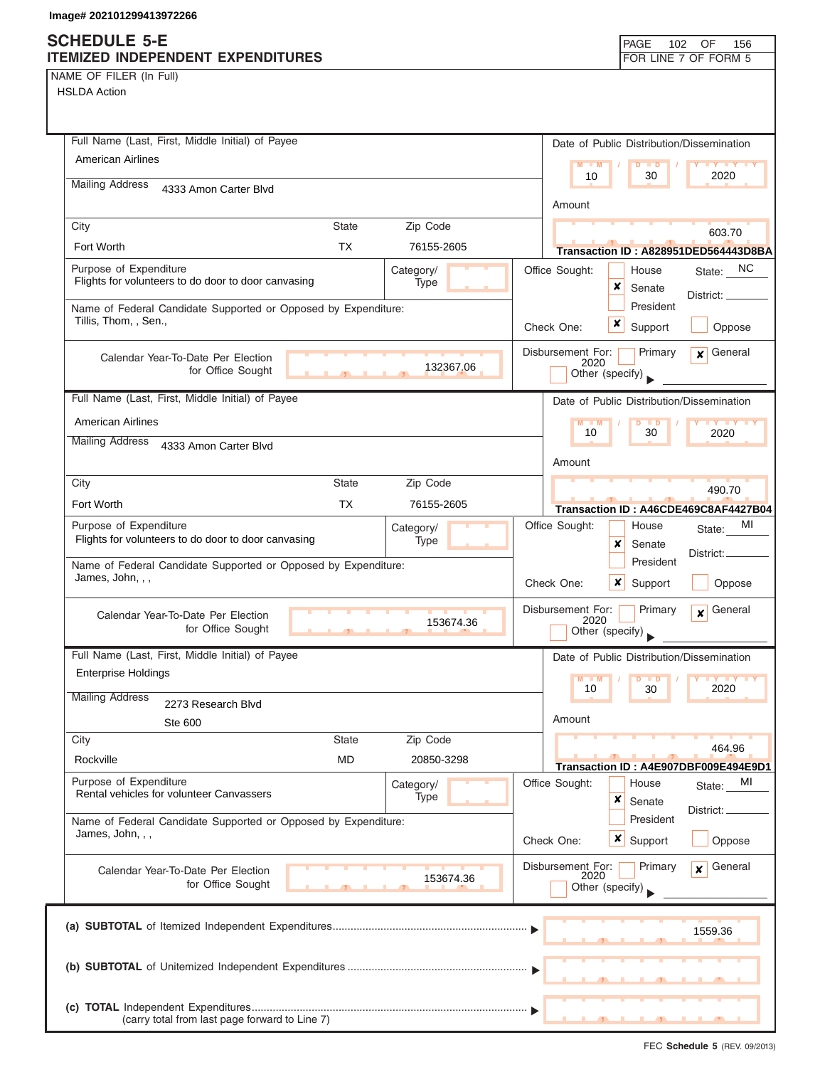NAME OF FILER (In Full)

HSLDA Action

| Full Name (Last, First, Middle Initial) of Payee                                        |                          | Date of Public Distribution/Dissemination                                          |
|-----------------------------------------------------------------------------------------|--------------------------|------------------------------------------------------------------------------------|
| American Airlines                                                                       |                          | $M - M$<br>$D$ $D$<br>$Y$ $Y$<br>10<br>30<br>2020                                  |
| <b>Mailing Address</b><br>4333 Amon Carter Blvd                                         |                          |                                                                                    |
|                                                                                         |                          | Amount                                                                             |
| <b>State</b><br>City<br>Fort Worth<br><b>TX</b>                                         | Zip Code<br>76155-2605   | 603.70                                                                             |
|                                                                                         |                          | Transaction ID: A828951DED564443D8BA                                               |
| Purpose of Expenditure<br>Flights for volunteers to do door to door canvasing           | Category/<br>Type        | <b>NC</b><br>Office Sought:<br>House<br>State:<br>×<br>Senate<br>District: ____    |
| Name of Federal Candidate Supported or Opposed by Expenditure:<br>Tillis, Thom, , Sen., |                          | President<br>x<br>Support<br>Check One:                                            |
|                                                                                         |                          | Oppose                                                                             |
| Calendar Year-To-Date Per Election<br>for Office Sought                                 | 132367.06                | Disbursement For:<br>General<br>Primary<br>$\mathbf{x}$<br>2020<br>Other (specify) |
| Full Name (Last, First, Middle Initial) of Payee                                        |                          | Date of Public Distribution/Dissemination                                          |
| <b>American Airlines</b>                                                                |                          | $M - M$<br>$\mathbf{y}$ $\mathbf{y}$<br>Þ<br>$\blacksquare$                        |
| <b>Mailing Address</b><br>4333 Amon Carter Blvd                                         |                          | 10<br>30<br>2020                                                                   |
|                                                                                         |                          | Amount                                                                             |
| City<br><b>State</b>                                                                    | Zip Code                 | 490.70                                                                             |
| Fort Worth<br><b>TX</b>                                                                 | 76155-2605               | Transaction ID: A46CDE469C8AF4427B04                                               |
| Purpose of Expenditure<br>Flights for volunteers to do door to door canvasing           | Category/<br>Type        | МI<br>Office Sought:<br>House<br>State:<br>×<br>Senate                             |
| Name of Federal Candidate Supported or Opposed by Expenditure:<br>James, John, , ,      |                          | District: _<br>President<br>Check One:<br>x<br>Support<br>Oppose                   |
| Calendar Year-To-Date Per Election<br>for Office Sought                                 | 153674.36                | Disbursement For:<br>General<br>Primary<br>$\mathbf{x}$<br>2020<br>Other (specify) |
| Full Name (Last, First, Middle Initial) of Payee                                        |                          | Date of Public Distribution/Dissemination                                          |
| <b>Enterprise Holdings</b>                                                              |                          | $M - M$<br><b>D</b>                                                                |
| <b>Mailing Address</b><br>2273 Research Blvd                                            |                          | 10<br>30<br>2020                                                                   |
| Ste 600                                                                                 |                          | Amount                                                                             |
| City<br><b>State</b>                                                                    | Zip Code                 | 464.96                                                                             |
| <b>MD</b><br>Rockville                                                                  | 20850-3298               | Transaction ID: A4E907DBF009E494E9D1                                               |
| Purpose of Expenditure<br>Rental vehicles for volunteer Canvassers                      | Category/<br><b>Type</b> | Office Sought:<br>House<br>MI<br>State:<br>×<br>Senate<br>District:                |
| Name of Federal Candidate Supported or Opposed by Expenditure:<br>James, John, , ,      |                          | President<br>$\boldsymbol{\mathsf{x}}$<br>Check One:<br>Support<br>Oppose          |
| Calendar Year-To-Date Per Election<br>for Office Sought                                 | 153674.36                | Disbursement For:<br>General<br>Primary<br>$\mathbf{x}$<br>2020<br>Other (specify) |
|                                                                                         |                          | 1559.36                                                                            |
|                                                                                         |                          |                                                                                    |
| (carry total from last page forward to Line 7)                                          |                          |                                                                                    |

FEC **Schedule 5** (REV. 09/2013)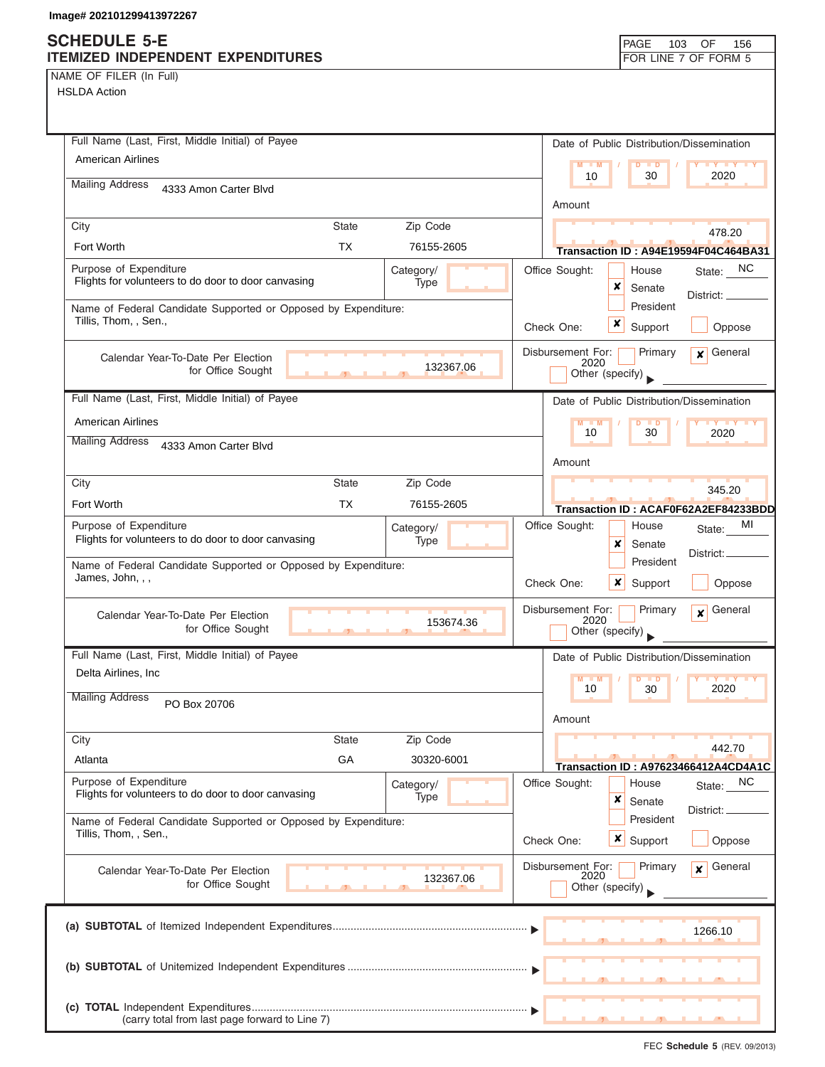| NAME OF FILER (In Full) |  |  |
|-------------------------|--|--|
|-------------------------|--|--|

| Full Name (Last, First, Middle Initial) of Payee                                                      | Date of Public Distribution/Dissemination                                          |
|-------------------------------------------------------------------------------------------------------|------------------------------------------------------------------------------------|
| <b>American Airlines</b>                                                                              | $M - M$<br>$D$ $D$<br>$\mathbf{y}$ $\mathbf{y}$                                    |
| <b>Mailing Address</b><br>4333 Amon Carter Blvd                                                       | 2020<br>30<br>10                                                                   |
|                                                                                                       | Amount                                                                             |
| Zip Code<br>City<br><b>State</b>                                                                      | 478.20                                                                             |
| <b>TX</b><br>Fort Worth<br>76155-2605                                                                 | Transaction ID: A94E19594F04C464BA31                                               |
| Purpose of Expenditure<br>Category/<br>Flights for volunteers to do door to door canvasing<br>Type    | State: NC<br>Office Sought:<br>House<br>×<br>Senate                                |
| Name of Federal Candidate Supported or Opposed by Expenditure:                                        | District:<br>President                                                             |
| Tillis, Thom, , Sen.,                                                                                 | x<br>Check One:<br>Support<br>Oppose                                               |
| Calendar Year-To-Date Per Election<br>132367.06<br>for Office Sought                                  | Disbursement For:<br>Primary<br>General<br>$\mathbf{x}$<br>2020<br>Other (specify) |
| Full Name (Last, First, Middle Initial) of Payee                                                      | Date of Public Distribution/Dissemination                                          |
| <b>American Airlines</b>                                                                              | D<br>M<br><b>ID</b>                                                                |
| <b>Mailing Address</b><br>4333 Amon Carter Blvd                                                       | 30<br>10<br>2020                                                                   |
|                                                                                                       | Amount                                                                             |
| Zip Code<br>City<br><b>State</b>                                                                      | 345.20                                                                             |
| Fort Worth<br><b>TX</b><br>76155-2605                                                                 | Transaction ID: ACAF0F62A2EF84233BDD                                               |
| Purpose of Expenditure<br>Category/<br>Flights for volunteers to do door to door canvasing<br>Type    | Office Sought:<br>MI<br>House<br>State:<br>x<br>Senate                             |
| Name of Federal Candidate Supported or Opposed by Expenditure:                                        | District: _<br>President                                                           |
| James, John, , ,                                                                                      | Check One:<br>x<br>Support<br>Oppose                                               |
| Calendar Year-To-Date Per Election<br>153674.36<br>for Office Sought<br>$\mathbf{r}$ and $\mathbf{r}$ | General<br>Disbursement For:<br>Primary<br>$\mathbf{x}$<br>2020<br>Other (specify) |
| Full Name (Last, First, Middle Initial) of Payee                                                      | Date of Public Distribution/Dissemination                                          |
| Delta Airlines, Inc.                                                                                  | M<br>$\blacksquare$                                                                |
| <b>Mailing Address</b><br>PO Box 20706                                                                | 2020<br>10<br>30                                                                   |
|                                                                                                       | Amount                                                                             |
| City<br>State<br>Zip Code                                                                             | 442.70                                                                             |
| GA<br>Atlanta<br>30320-6001                                                                           | Transaction ID: A97623466412A4CD4A1C                                               |
| Purpose of Expenditure<br>Category/<br>Flights for volunteers to do door to door canvasing            | Office Sought:<br>NC<br>House<br>State:                                            |
| Type                                                                                                  | ×<br>Senate<br>District:                                                           |
| Name of Federal Candidate Supported or Opposed by Expenditure:<br>Tillis, Thom, , Sen.,               | President                                                                          |
|                                                                                                       | x<br>Support<br>Check One:<br>Oppose                                               |
| Calendar Year-To-Date Per Election<br>132367.06                                                       | Disbursement For:<br>General<br>Primary<br>¥<br>2020                               |
| for Office Sought                                                                                     | Other (specify)                                                                    |
|                                                                                                       |                                                                                    |
|                                                                                                       | 1266.10                                                                            |
|                                                                                                       |                                                                                    |
|                                                                                                       |                                                                                    |
|                                                                                                       |                                                                                    |
| (carry total from last page forward to Line 7)                                                        |                                                                                    |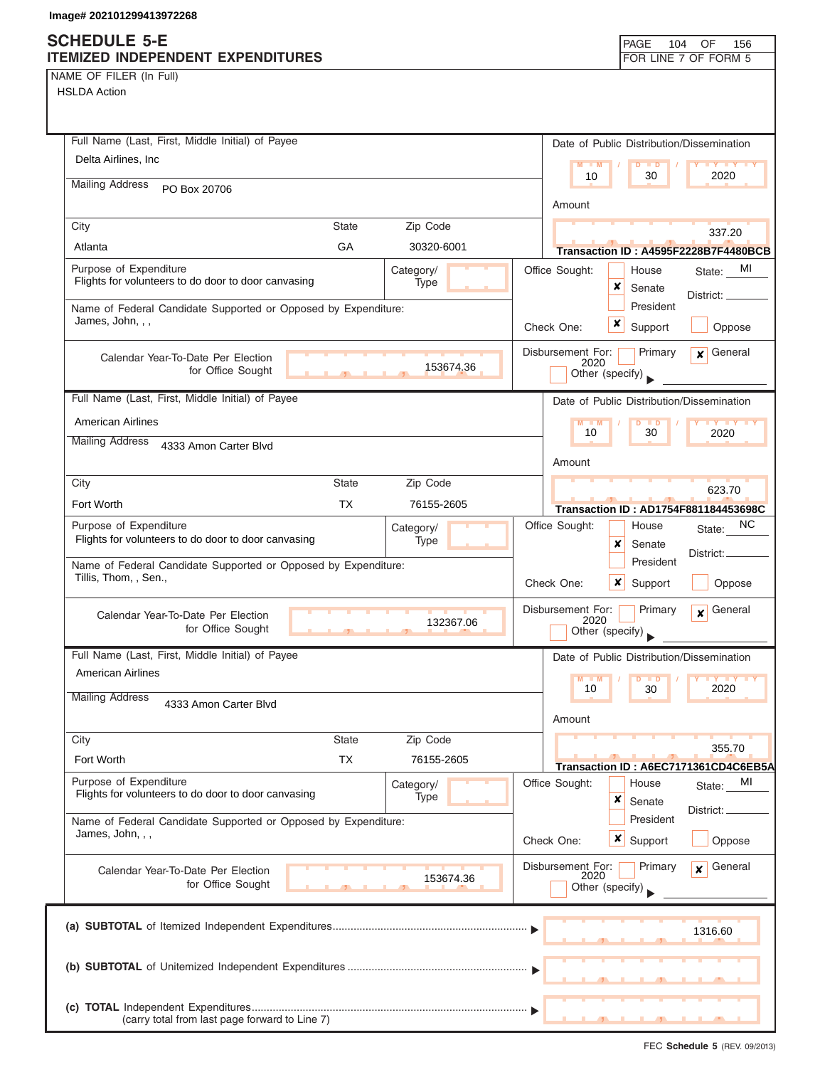# **SCHEDULE 5-E**

| <b>SUNEDULE 3-E</b><br>ITEMIZED INDEPENDENT EXPENDITURES       | PAGE<br>104<br>OF<br>156<br>FOR LINE 7 OF FORM 5                    |
|----------------------------------------------------------------|---------------------------------------------------------------------|
|                                                                |                                                                     |
| NAME OF FILER (In Full)<br><b>HSLDA Action</b>                 |                                                                     |
|                                                                |                                                                     |
|                                                                |                                                                     |
| Full Name (Last, First, Middle Initial) of Payee               | Date of Public Distribution/Dissemination                           |
| Delta Airlines, Inc.                                           | $M - M$<br><b>LY LY LY</b><br>$D$ $D$                               |
| <b>Mailing Address</b>                                         | 2020<br>10<br>30                                                    |
| PO Box 20706                                                   | Amount                                                              |
|                                                                |                                                                     |
| Zip Code<br>City<br><b>State</b>                               | 337.20                                                              |
| GA<br>30320-6001<br>Atlanta                                    | Transaction ID: A4595F2228B7F4480BCB                                |
| Purpose of Expenditure<br>Category/                            | Office Sought:<br>MI<br>House<br>State:                             |
| Flights for volunteers to do door to door canvasing<br>Type    | ×<br>Senate<br>District: _                                          |
| Name of Federal Candidate Supported or Opposed by Expenditure: | President                                                           |
| James, John, , ,                                               | ×<br>Support<br>Check One:<br>Oppose                                |
|                                                                |                                                                     |
| Calendar Year-To-Date Per Election<br>153674.36                | Disbursement For:<br>General<br>Primary<br>$\mathbf{x}$<br>2020     |
| for Office Sought                                              | Other (specify)                                                     |
| Full Name (Last, First, Middle Initial) of Payee               | Date of Public Distribution/Dissemination                           |
| <b>American Airlines</b>                                       | $M - M$<br><b>LY LY LY</b><br>$D$ $D$                               |
| <b>Mailing Address</b>                                         | 2020<br>10<br>30                                                    |
| 4333 Amon Carter Blvd                                          |                                                                     |
|                                                                | Amount                                                              |
| <b>State</b><br>Zip Code<br>City                               | 623.70                                                              |
| <b>TX</b><br>Fort Worth<br>76155-2605                          | Transaction ID: AD1754F881184453698C                                |
| Purpose of Expenditure<br>Category/                            | Office Sought:<br>NC.<br>House<br>State:                            |
| Flights for volunteers to do door to door canvasing<br>Type    | ×<br>Senate                                                         |
| Name of Federal Candidate Supported or Opposed by Expenditure: | District:<br>President                                              |
| Tillis, Thom, , Sen.,                                          | ×<br>Oppose<br>Check One:<br>Support                                |
|                                                                |                                                                     |
| Calendar Year-To-Date Per Election<br>132367.06                | Disbursement For:<br>Primary<br>General<br>$\boldsymbol{x}$<br>2020 |
| for Office Sought                                              | Other (specify)                                                     |
| Full Name (Last, First, Middle Initial) of Payee               | Date of Public Distribution/Dissemination                           |
| <b>American Airlines</b>                                       | $M - M$<br><b>TY TY TY</b><br>$\overline{D}$<br>$\blacksquare$      |
| <b>Mailing Address</b>                                         | 2020<br>10<br>30                                                    |
| 4333 Amon Carter Blvd                                          |                                                                     |
|                                                                | Amount                                                              |
| Zip Code<br>City<br><b>State</b>                               | 355.70                                                              |
| <b>TX</b><br>Fort Worth<br>76155-2605                          | Transaction ID: A6EC7171361CD4C6EB5A                                |
| Purpose of Expenditure<br>Category/                            | Office Sought:<br>MI<br>House<br>State:                             |
| Flights for volunteers to do door to door canvasing<br>Type    | ×<br>Senate                                                         |
| Name of Federal Candidate Supported or Opposed by Expenditure: | District: _<br>President                                            |
| James, John, , ,                                               | $x \mid$ Support<br>Oppose<br>Check One:                            |
|                                                                |                                                                     |
| Calendar Year-To-Date Per Election<br>153674.36                | General<br>Disbursement For:<br>Primary<br>$\mathbf{x}$<br>2020     |
| for Office Sought                                              | Other (specify)                                                     |
|                                                                |                                                                     |
|                                                                | 1316.60                                                             |
|                                                                |                                                                     |
|                                                                |                                                                     |
|                                                                |                                                                     |
|                                                                |                                                                     |
| (carry total from last page forward to Line 7)                 | <u>_________________</u><br>$\overline{\phantom{a}}$                |

⅂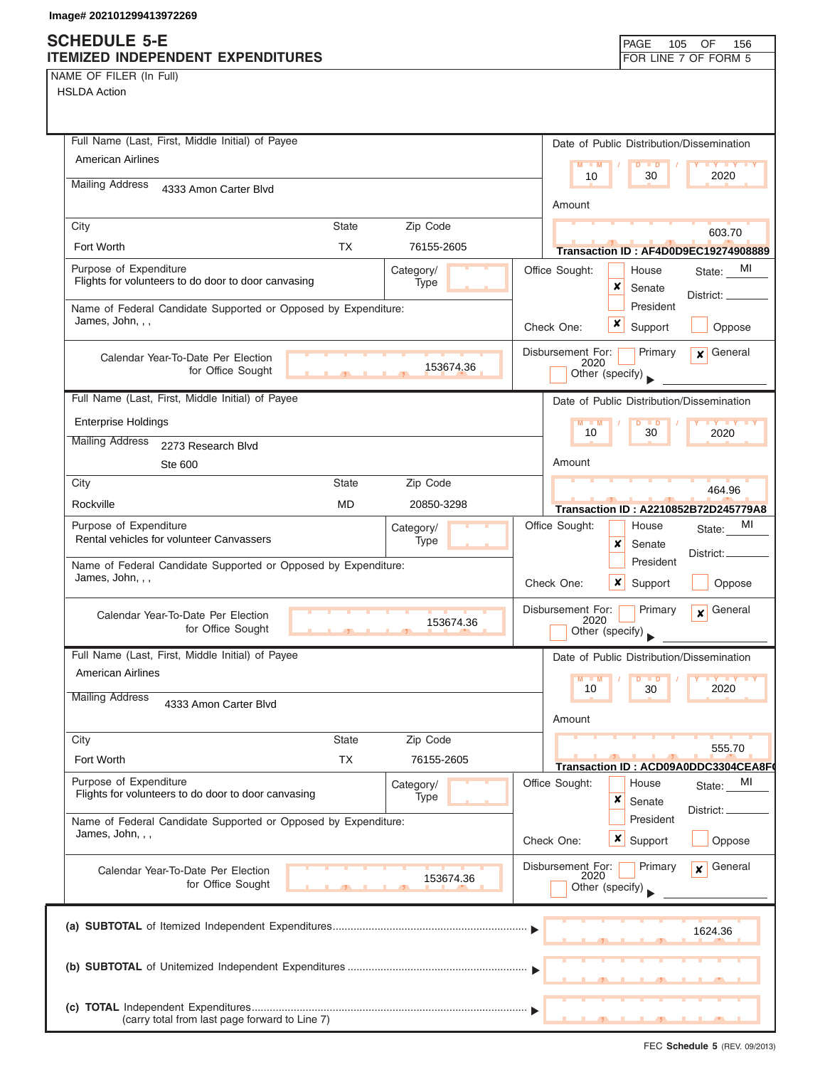NAME OF FILER (In Full)

| Full Name (Last, First, Middle Initial) of Payee                                   |                |                   | Date of Public Distribution/Dissemination                            |  |
|------------------------------------------------------------------------------------|----------------|-------------------|----------------------------------------------------------------------|--|
| <b>American Airlines</b>                                                           |                |                   | $M = M$<br><b>LY LY LY</b><br>$D$ $D$                                |  |
| <b>Mailing Address</b><br>4333 Amon Carter Blvd                                    |                |                   | 2020<br>10<br>30                                                     |  |
|                                                                                    |                |                   | Amount                                                               |  |
| City                                                                               | <b>State</b>   | Zip Code          | 603.70                                                               |  |
| Fort Worth                                                                         | <b>TX</b>      | 76155-2605        | Transaction ID : AF4D0D9EC19274908889                                |  |
| Purpose of Expenditure<br>Flights for volunteers to do door to door canvasing      |                | Category/<br>Type | Office Sought:<br>MI<br>House<br>State:                              |  |
|                                                                                    |                |                   | x<br>Senate<br>District: ____                                        |  |
| Name of Federal Candidate Supported or Opposed by Expenditure:<br>James, John, , , |                |                   | President<br>x                                                       |  |
|                                                                                    |                |                   | Support<br>Oppose<br>Check One:                                      |  |
| Calendar Year-To-Date Per Election                                                 |                | 153674.36         | $\mathbf x$ General<br>Disbursement For:<br>Primary<br>2020          |  |
| for Office Sought                                                                  | $\overline{1}$ |                   | Other (specify)                                                      |  |
| Full Name (Last, First, Middle Initial) of Payee                                   |                |                   | Date of Public Distribution/Dissemination                            |  |
| <b>Enterprise Holdings</b>                                                         |                |                   | $M - M$<br>$D$ $D$<br><b>IV Y Y Y</b>                                |  |
| <b>Mailing Address</b><br>2273 Research Blvd                                       |                |                   | 10<br>30<br>2020                                                     |  |
| Ste 600                                                                            |                |                   | Amount                                                               |  |
| City                                                                               | <b>State</b>   | Zip Code          | 464.96                                                               |  |
| Rockville                                                                          | <b>MD</b>      | 20850-3298        | Transaction ID: A2210852B72D245779A8                                 |  |
| Purpose of Expenditure                                                             |                | Category/         | Office Sought:<br>MI<br>House<br>State:                              |  |
| Rental vehicles for volunteer Canvassers                                           |                | Type              | x<br>Senate<br>District:                                             |  |
| Name of Federal Candidate Supported or Opposed by Expenditure:<br>James, John, , , |                |                   | President                                                            |  |
|                                                                                    |                |                   | Check One:<br><b>x</b> Support<br>Oppose                             |  |
| Calendar Year-To-Date Per Election                                                 |                |                   | Disbursement For:<br>$\mathbf{x}$ General<br>Primary<br>2020         |  |
| for Office Sought                                                                  |                | 153674.36         | Other (specify)                                                      |  |
| Full Name (Last, First, Middle Initial) of Payee                                   |                |                   | Date of Public Distribution/Dissemination                            |  |
| <b>American Airlines</b>                                                           |                |                   | M<br>$Y$ $Y$<br>$\blacksquare$ M<br>$\overline{D}$<br>$\blacksquare$ |  |
| <b>Mailing Address</b><br>4333 Amon Carter Blvd                                    |                |                   | 10<br>30<br>2020                                                     |  |
|                                                                                    |                |                   | Amount                                                               |  |
| City                                                                               | <b>State</b>   | Zip Code          |                                                                      |  |
| Fort Worth                                                                         | <b>TX</b>      | 76155-2605        | 555.70<br>Transaction ID: ACD09A0DDC3304CEA8F                        |  |
| Purpose of Expenditure                                                             |                | Category/         | Office Sought:<br>MI<br>House<br>State:                              |  |
| Flights for volunteers to do door to door canvasing                                |                | Type              | ×<br>Senate<br>District:                                             |  |
| Name of Federal Candidate Supported or Opposed by Expenditure:                     |                |                   | President                                                            |  |
| James, John, , ,                                                                   |                |                   | $\boldsymbol{\mathsf{x}}$<br>Check One:<br>Support<br>Oppose         |  |
| Calendar Year-To-Date Per Election                                                 |                |                   | Disbursement For:<br>General<br>Primary<br>x                         |  |
| for Office Sought                                                                  |                | 153674.36         | 2020<br>Other (specify)                                              |  |
|                                                                                    |                |                   |                                                                      |  |
|                                                                                    |                |                   | 1624.36                                                              |  |
|                                                                                    |                |                   |                                                                      |  |
|                                                                                    |                |                   |                                                                      |  |
|                                                                                    |                |                   |                                                                      |  |
| (carry total from last page forward to Line 7)                                     |                |                   |                                                                      |  |
|                                                                                    |                |                   |                                                                      |  |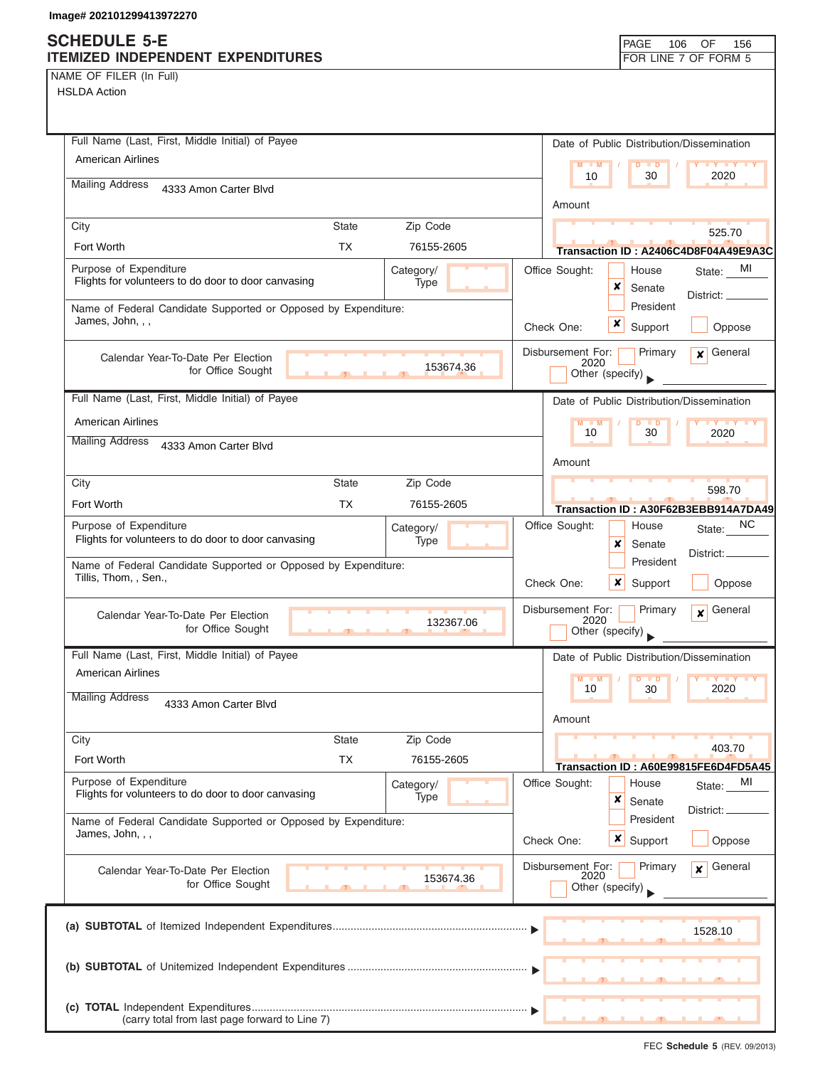|  | NAME OF FILER (In Full) |  |
|--|-------------------------|--|
|  |                         |  |

| Full Name (Last, First, Middle Initial) of Payee                                                   | Date of Public Distribution/Dissemination                                          |
|----------------------------------------------------------------------------------------------------|------------------------------------------------------------------------------------|
| <b>American Airlines</b>                                                                           | $M - M$<br>$\blacksquare$                                                          |
| <b>Mailing Address</b><br>4333 Amon Carter Blvd                                                    | 2020<br>10<br>30                                                                   |
|                                                                                                    | Amount                                                                             |
| Zip Code<br><b>State</b><br>City                                                                   | 525.70                                                                             |
| Fort Worth<br><b>TX</b><br>76155-2605                                                              | Transaction ID: A2406C4D8F04A49E9A3C                                               |
| Purpose of Expenditure<br>Category/<br>Flights for volunteers to do door to door canvasing<br>Type | Office Sought:<br>MI<br>House<br>State:<br>x<br>Senate                             |
| Name of Federal Candidate Supported or Opposed by Expenditure:<br>James, John, , ,                 | District:<br>President                                                             |
|                                                                                                    | ×<br>Check One:<br>Support<br>Oppose                                               |
| Calendar Year-To-Date Per Election<br>153674.36<br>for Office Sought<br>$\overline{1}$             | Disbursement For:<br>General<br>Primary<br>$\mathbf{x}$<br>2020<br>Other (specify) |
| Full Name (Last, First, Middle Initial) of Payee                                                   | Date of Public Distribution/Dissemination                                          |
| <b>American Airlines</b>                                                                           | $M - M$<br><b>LY LY LY</b>                                                         |
| <b>Mailing Address</b><br>4333 Amon Carter Blvd                                                    | 10<br>30<br>2020                                                                   |
|                                                                                                    | Amount                                                                             |
| State<br>Zip Code<br>City                                                                          | 598.70                                                                             |
| Fort Worth<br>TX<br>76155-2605                                                                     | Transaction ID: A30F62B3EBB914A7DA49                                               |
| Purpose of Expenditure<br>Category/<br>Flights for volunteers to do door to door canvasing<br>Type | ΝC<br>Office Sought:<br>House<br>State:<br>×<br>Senate                             |
| Name of Federal Candidate Supported or Opposed by Expenditure:<br>Tillis, Thom, , Sen.,            | District:<br>President<br>Check One:<br>x<br>Support<br>Oppose                     |
| Calendar Year-To-Date Per Election<br>132367.06<br>for Office Sought                               | Disbursement For:<br>General<br>Primary<br>$\mathbf{x}$<br>2020<br>Other (specify) |
| Full Name (Last, First, Middle Initial) of Payee                                                   | Date of Public Distribution/Dissemination                                          |
| American Airlines                                                                                  |                                                                                    |
| <b>Mailing Address</b><br>4333 Amon Carter Blvd                                                    | 10<br>30<br>2020                                                                   |
|                                                                                                    | Amount                                                                             |
| Zip Code<br><b>State</b><br>City                                                                   | 403.70                                                                             |
| <b>TX</b><br>Fort Worth<br>76155-2605                                                              | Transaction ID: A60E99815FE6D4FD5A45                                               |
| Purpose of Expenditure<br>Category/<br>Flights for volunteers to do door to door canvasing<br>Type | Office Sought:<br>House<br>MI<br>State:<br>×<br>Senate                             |
| Name of Federal Candidate Supported or Opposed by Expenditure:                                     | District:<br>President                                                             |
| James, John, , ,                                                                                   | x<br>Check One:<br>Support<br>Oppose                                               |
| Calendar Year-To-Date Per Election<br>153674.36<br>for Office Sought                               | General<br>Disbursement For:<br>Primary<br>x<br>2020<br>Other (specify)            |
|                                                                                                    | 1528.10                                                                            |
|                                                                                                    |                                                                                    |
|                                                                                                    |                                                                                    |
| (carry total from last page forward to Line 7)                                                     |                                                                                    |
|                                                                                                    |                                                                                    |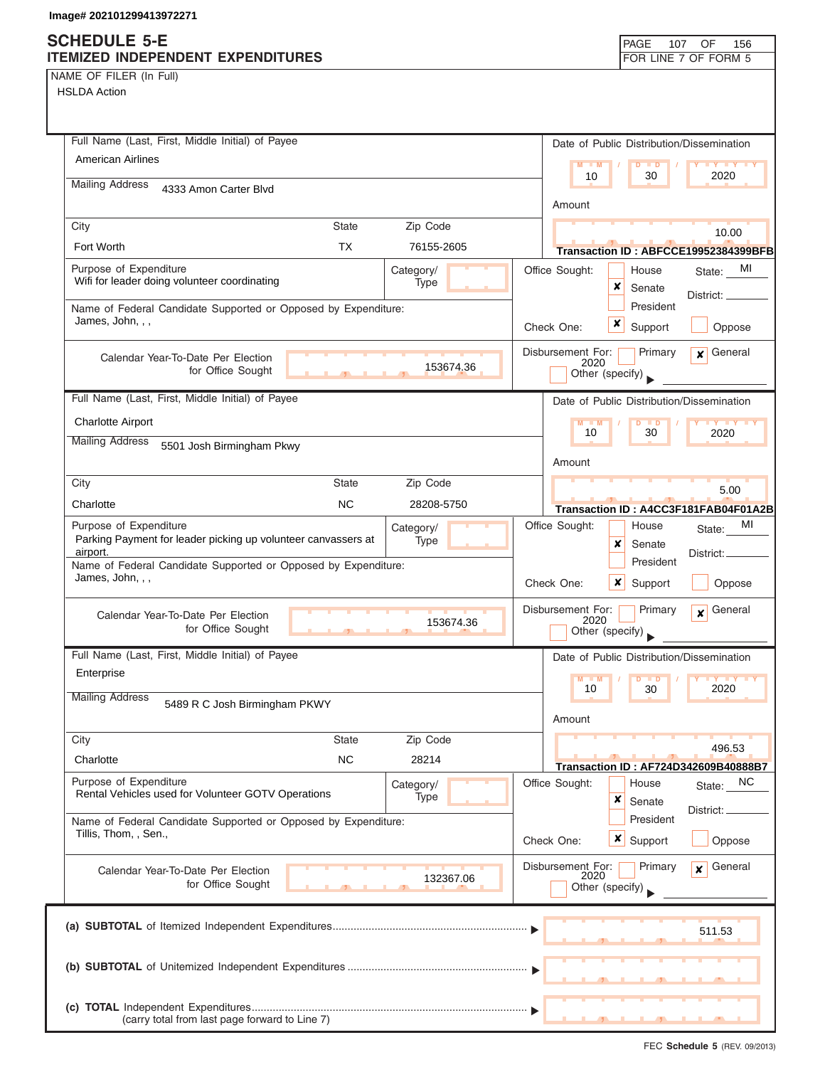# **SCHEDULE 5-E**

|  | NAME OF FILER (In Full) |  |
|--|-------------------------|--|

| SCHEDULE 5-E<br>ITEMIZED INDEPENDENT EXPENDITURES                                       |                                           |                   |                                              | <b>PAGE</b><br>107<br>OF<br>156<br>FOR LINE 7 OF FORM 5              |
|-----------------------------------------------------------------------------------------|-------------------------------------------|-------------------|----------------------------------------------|----------------------------------------------------------------------|
| NAME OF FILER (In Full)                                                                 |                                           |                   |                                              |                                                                      |
| <b>HSLDA Action</b>                                                                     |                                           |                   |                                              |                                                                      |
|                                                                                         |                                           |                   |                                              |                                                                      |
| Full Name (Last, First, Middle Initial) of Payee                                        |                                           |                   |                                              | Date of Public Distribution/Dissemination                            |
| <b>American Airlines</b>                                                                |                                           |                   | $M - M$<br>10                                | Y FY FY FY<br>$D$ $D$<br>2020<br>30                                  |
| <b>Mailing Address</b><br>4333 Amon Carter Blvd                                         |                                           |                   | Amount                                       |                                                                      |
| City                                                                                    | <b>State</b>                              | Zip Code          |                                              | 10.00                                                                |
| Fort Worth                                                                              | ТX                                        | 76155-2605        |                                              | Transaction ID: ABFCCE19952384399BFB                                 |
| Purpose of Expenditure<br>Wifi for leader doing volunteer coordinating                  |                                           | Category/<br>Type | Office Sought:<br>×                          | MI<br>House<br>State:<br>Senate                                      |
| Name of Federal Candidate Supported or Opposed by Expenditure:                          |                                           |                   |                                              | District: _<br>President                                             |
| James, John, , ,                                                                        |                                           |                   | x<br>Check One:                              | Support<br>Oppose                                                    |
| Calendar Year-To-Date Per Election<br>for Office Sought                                 |                                           | 153674.36         | Disbursement For:<br>2020<br>Other (specify) | General<br>Primary<br>$\mathbf{x}$                                   |
| Full Name (Last, First, Middle Initial) of Payee                                        |                                           |                   |                                              | Date of Public Distribution/Dissemination                            |
| <b>Charlotte Airport</b>                                                                |                                           |                   | M<br>10                                      | $\blacksquare$                                                       |
| <b>Mailing Address</b><br>5501 Josh Birmingham Pkwy                                     |                                           |                   |                                              | 30<br>2020                                                           |
|                                                                                         |                                           |                   | Amount                                       |                                                                      |
| City                                                                                    | <b>State</b>                              | Zip Code          |                                              | 5.00                                                                 |
| Charlotte<br>Purpose of Expenditure                                                     | NC.                                       | 28208-5750        |                                              | Transaction ID: A4CC3F181FAB04F01A2B<br>MI                           |
| Parking Payment for leader picking up volunteer canvassers at<br>airport.               |                                           | Category/<br>Type | Office Sought:<br>x                          | House<br>State:<br>Senate                                            |
| Name of Federal Candidate Supported or Opposed by Expenditure:                          |                                           |                   |                                              | District:<br>President                                               |
| James, John, , ,                                                                        |                                           |                   | Check One:<br>x                              | Support<br>Oppose                                                    |
| Calendar Year-To-Date Per Election                                                      |                                           | 153674.36         | Disbursement For:<br>2020                    | Primary<br>General<br>$\boldsymbol{x}$                               |
| for Office Sought                                                                       | <b>The Co</b><br>$\overline{\phantom{a}}$ |                   | Other (specify)                              |                                                                      |
| Full Name (Last, First, Middle Initial) of Payee                                        |                                           |                   |                                              | Date of Public Distribution/Dissemination                            |
| Enterprise                                                                              |                                           |                   | $M - M$<br>10                                | $\blacksquare$<br>2020<br>30                                         |
| <b>Mailing Address</b><br>5489 R C Josh Birmingham PKWY                                 |                                           |                   | Amount                                       |                                                                      |
| City                                                                                    | <b>State</b>                              | Zip Code          |                                              |                                                                      |
| Charlotte                                                                               | <b>NC</b>                                 | 28214             |                                              | 496.53                                                               |
| Purpose of Expenditure                                                                  |                                           | Category/         | Office Sought:                               | <b>Transaction ID: AF724D342609B40888B7</b><br>NC<br>House<br>State: |
| Rental Vehicles used for Volunteer GOTV Operations                                      |                                           | Type              | ×                                            | Senate<br>District: _                                                |
| Name of Federal Candidate Supported or Opposed by Expenditure:<br>Tillis, Thom, , Sen., |                                           |                   | Check One:                                   | President<br>$x \mid$ Support<br>Oppose                              |
| Calendar Year-To-Date Per Election                                                      |                                           |                   | Disbursement For:                            | General<br>Primary<br>x                                              |
| for Office Sought                                                                       |                                           | 132367.06         | 2020<br>Other (specify)                      |                                                                      |
|                                                                                         |                                           |                   |                                              | 511.53                                                               |
|                                                                                         |                                           |                   |                                              |                                                                      |
|                                                                                         |                                           |                   |                                              |                                                                      |
|                                                                                         |                                           |                   |                                              |                                                                      |
| (carry total from last page forward to Line 7)                                          |                                           |                   |                                              |                                                                      |

FEC **Schedule 5** (REV. 09/2013)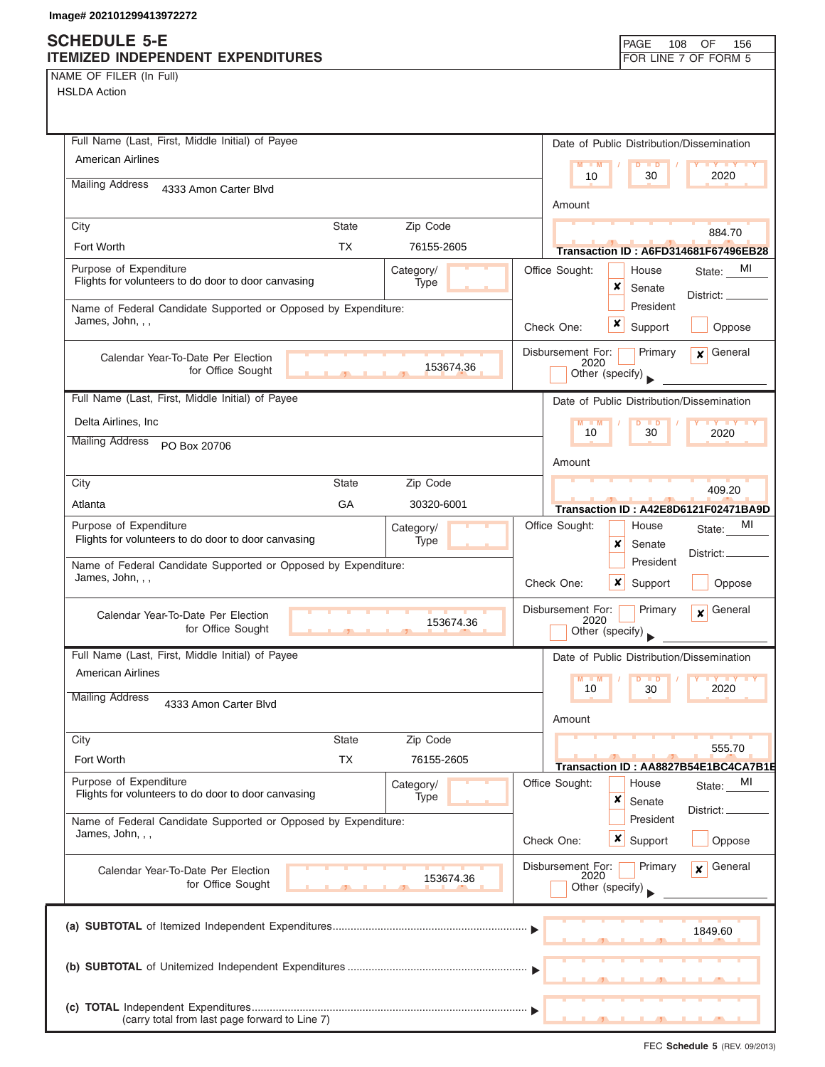## **SCHEDULE 5-E**

| <b>SCHEDULE 5-E</b><br>ITEMIZED INDEPENDENT EXPENDITURES                                                  | PAGE<br>OF<br>156<br>108<br>FOR LINE 7 OF FORM 5                                       |
|-----------------------------------------------------------------------------------------------------------|----------------------------------------------------------------------------------------|
| NAME OF FILER (In Full)<br><b>HSLDA Action</b>                                                            |                                                                                        |
|                                                                                                           |                                                                                        |
| Full Name (Last, First, Middle Initial) of Payee                                                          | Date of Public Distribution/Dissemination                                              |
| <b>American Airlines</b>                                                                                  | $M - M$<br><b>LY LY LY</b><br>2020<br>10<br>30                                         |
| <b>Mailing Address</b><br>4333 Amon Carter Blvd                                                           |                                                                                        |
| Zip Code<br><b>State</b><br>City                                                                          | Amount                                                                                 |
| Fort Worth<br><b>TX</b><br>76155-2605                                                                     | 884.70<br>Transaction ID: A6FD314681F67496EB28                                         |
| Purpose of Expenditure<br>Category/<br>Flights for volunteers to do door to door canvasing<br><b>Type</b> | Office Sought:<br>MI<br>House<br>State:<br>×<br>Senate                                 |
| Name of Federal Candidate Supported or Opposed by Expenditure:<br>James, John, , ,                        | District:<br>President<br>×<br>Check One:<br>Support<br>Oppose                         |
| Calendar Year-To-Date Per Election<br>153674.36<br>for Office Sought                                      | Disbursement For:<br>$x$ General<br>Primary<br>2020<br>Other (specify)                 |
| Full Name (Last, First, Middle Initial) of Payee                                                          | Date of Public Distribution/Dissemination                                              |
| Delta Airlines, Inc                                                                                       | $M - M$<br><b>TY TY TY</b><br>D                                                        |
| <b>Mailing Address</b><br>PO Box 20706                                                                    | 30<br>10<br>2020                                                                       |
|                                                                                                           | Amount                                                                                 |
| <b>State</b><br>Zip Code<br>City<br>GA<br>30320-6001<br>Atlanta                                           | 409.20                                                                                 |
| Purpose of Expenditure<br>Category/                                                                       | Transaction ID: A42E8D6121F02471BA9D<br>Office Sought:<br>MI<br>House                  |
| Flights for volunteers to do door to door canvasing<br>Type                                               | State:<br>x<br>Senate<br>District: _                                                   |
| Name of Federal Candidate Supported or Opposed by Expenditure:<br>James, John, , ,                        | President<br>×<br>Check One:<br>Support<br>Oppose                                      |
| Calendar Year-To-Date Per Election<br>153674.36<br>for Office Sought                                      | Disbursement For:<br>General<br>Primary<br>$\boldsymbol{x}$<br>2020<br>Other (specify) |
| Full Name (Last, First, Middle Initial) of Payee                                                          | Date of Public Distribution/Dissemination                                              |
| <b>American Airlines</b>                                                                                  | $M - M$<br>D<br>$\blacksquare$<br>10<br>30<br>2020                                     |
| <b>Mailing Address</b><br>4333 Amon Carter Blvd                                                           | Amount                                                                                 |
| State<br>Zip Code<br>City                                                                                 |                                                                                        |
| Fort Worth<br><b>TX</b><br>76155-2605                                                                     | 555.70<br>Transaction ID: AA8827B54E1BC4CA7B1E                                         |
| Purpose of Expenditure<br>Category/<br>Flights for volunteers to do door to door canvasing<br>Type        | Office Sought:<br>House<br>MI<br>State:<br>×<br>Senate                                 |
| Name of Federal Candidate Supported or Opposed by Expenditure:<br>James, John, , ,                        | District: _<br>President<br><b>x</b> Support<br>Check One:<br>Oppose                   |
| Calendar Year-To-Date Per Election<br>153674.36<br>for Office Sought                                      | Disbursement For:<br>Primary<br>General<br>x<br>2020<br>Other (specify)                |
|                                                                                                           | 1849.60                                                                                |
|                                                                                                           |                                                                                        |
| (carry total from last page forward to Line 7)                                                            |                                                                                        |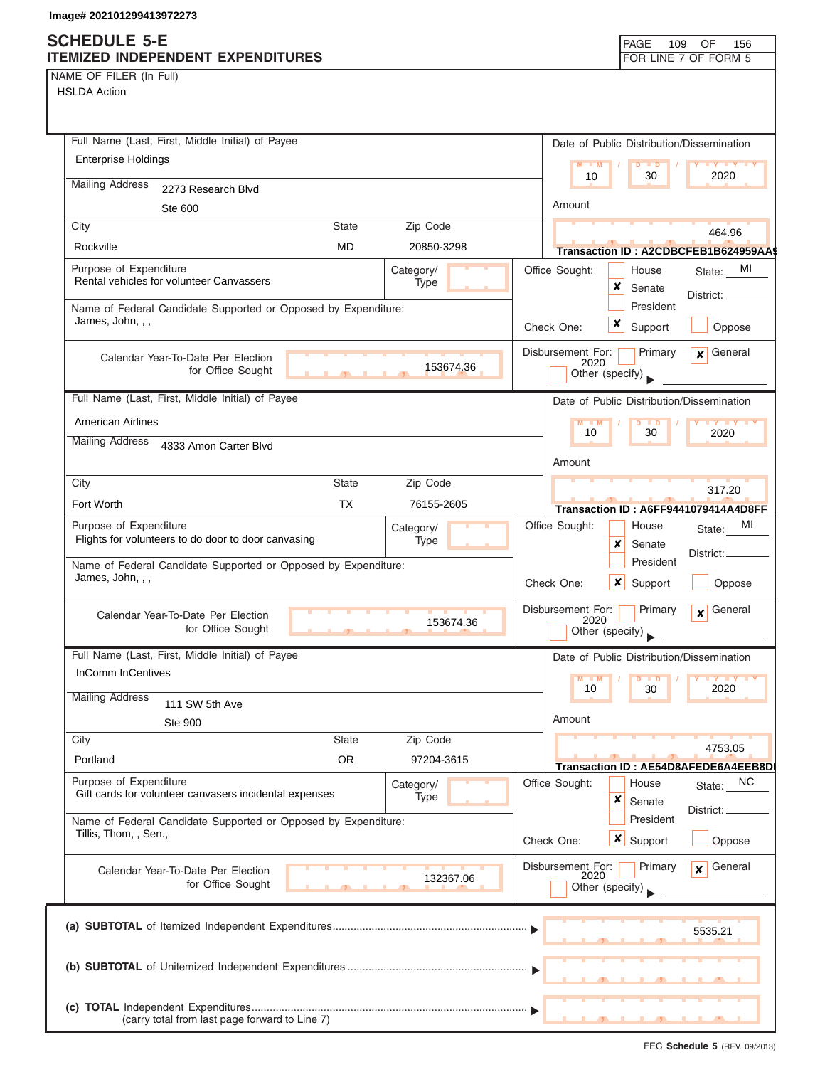### **SCHEDULE 5-E ITEMIZED INDEPENDENT EXPENDITURES FOR LINE 7 OF FORM 5**

NAME OF FILER (In Full)

| Full Name (Last, First, Middle Initial) of Payee                            | Date of Public Distribution/Dissemination                             |
|-----------------------------------------------------------------------------|-----------------------------------------------------------------------|
| <b>Enterprise Holdings</b>                                                  | $M - M$<br>$D$ $\Box$ $D$<br>Y FY FY FY                               |
| <b>Mailing Address</b><br>2273 Research Blvd                                | 2020<br>10<br>30                                                      |
| Ste 600                                                                     | Amount                                                                |
| Zip Code<br>City<br><b>State</b>                                            |                                                                       |
| <b>MD</b><br>Rockville<br>20850-3298                                        | 464.96<br>Transaction ID: A2CDBCFEB1B624959AA                         |
| Purpose of Expenditure<br>Category/                                         | Office Sought:<br>State: MI<br>House                                  |
| Rental vehicles for volunteer Canvassers<br>Type                            | x<br>Senate                                                           |
| Name of Federal Candidate Supported or Opposed by Expenditure:              | District: __<br>President                                             |
| James, John, , ,                                                            | x<br>Support<br>Oppose<br>Check One:                                  |
| Calendar Year-To-Date Per Election                                          | Disbursement For:<br>Primary<br>$\mathbf x$ General                   |
| 153674.36<br>for Office Sought                                              | 2020<br>Other (specify)                                               |
| Full Name (Last, First, Middle Initial) of Payee                            | Date of Public Distribution/Dissemination                             |
| <b>American Airlines</b>                                                    | $M - M$<br>D<br>$\blacksquare$<br><b>TY TY TY</b>                     |
| <b>Mailing Address</b><br>4333 Amon Carter Blvd                             | 30<br>10<br>2020                                                      |
|                                                                             | Amount                                                                |
| City<br><b>State</b><br>Zip Code                                            |                                                                       |
| Fort Worth<br><b>TX</b><br>76155-2605                                       | 317.20<br>Transaction ID: A6FF9441079414A4D8FF                        |
| Purpose of Expenditure<br>Category/                                         | Office Sought:<br>MI<br>House<br>State:                               |
| Flights for volunteers to do door to door canvasing<br>Type                 | x<br>Senate                                                           |
| Name of Federal Candidate Supported or Opposed by Expenditure:              | District:_<br>President                                               |
| James, John, , ,                                                            | Check One:<br>x<br>Support<br>Oppose                                  |
| Calendar Year-To-Date Per Election                                          | General<br>Disbursement For:<br>Primary<br>$\mathbf{x}$               |
| 153674.36<br>for Office Sought                                              | 2020<br>Other (specify)                                               |
| Full Name (Last, First, Middle Initial) of Payee                            | Date of Public Distribution/Dissemination                             |
| <b>InComm InCentives</b>                                                    | $M - M$<br>D<br>$\blacksquare$                                        |
| <b>Mailing Address</b>                                                      | 10<br>2020<br>30                                                      |
| 111 SW 5th Ave                                                              | Amount                                                                |
| <b>Ste 900</b><br>City<br><b>State</b><br>Zip Code                          |                                                                       |
| <b>OR</b><br>Portland<br>97204-3615                                         | 4753.05                                                               |
| Purpose of Expenditure                                                      | Transaction ID: AE54D8AFEDE6A4EEB8DI<br>Office Sought:<br>House<br>NC |
| Category/<br>Gift cards for volunteer canvasers incidental expenses<br>Type | State:<br>×<br>Senate                                                 |
| Name of Federal Candidate Supported or Opposed by Expenditure:              | District:<br>President                                                |
| Tillis, Thom, , Sen.,                                                       | x<br>Check One:<br>Support<br>Oppose                                  |
|                                                                             | Disbursement For:<br>Primary<br>General<br>$\mathbf{x}$               |
| Calendar Year-To-Date Per Election<br>132367.06<br>for Office Sought        | 2020<br>Other (specify)                                               |
|                                                                             |                                                                       |
|                                                                             | 5535.21                                                               |
|                                                                             |                                                                       |
|                                                                             |                                                                       |
|                                                                             |                                                                       |
|                                                                             |                                                                       |
| (carry total from last page forward to Line 7)                              |                                                                       |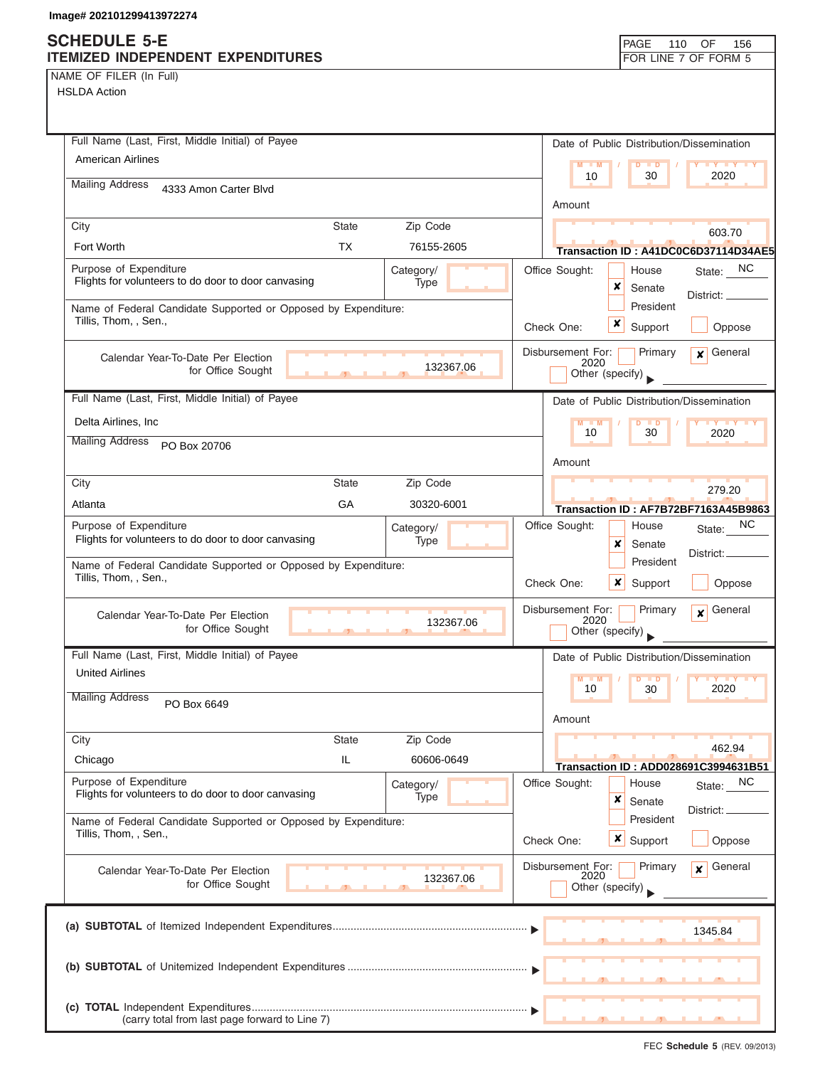NAME OF FILER (In Full)

| Full Name (Last, First, Middle Initial) of Payee                                                   | Date of Public Distribution/Dissemination                                          |
|----------------------------------------------------------------------------------------------------|------------------------------------------------------------------------------------|
| <b>American Airlines</b>                                                                           | $-1$ M<br>$\blacksquare$                                                           |
| <b>Mailing Address</b><br>4333 Amon Carter Blvd                                                    | 2020<br>10<br>30                                                                   |
|                                                                                                    | Amount                                                                             |
| Zip Code<br><b>State</b><br>City                                                                   | 603.70                                                                             |
| Fort Worth<br><b>TX</b><br>76155-2605                                                              | Transaction ID: A41DC0C6D37114D34AE5                                               |
| Purpose of Expenditure<br>Category/<br>Flights for volunteers to do door to door canvasing<br>Type | State: NC<br>Office Sought:<br>House                                               |
|                                                                                                    | ×<br>Senate<br>District:                                                           |
| Name of Federal Candidate Supported or Opposed by Expenditure:<br>Tillis, Thom, , Sen.,            | President<br>×<br>Support<br>Check One:                                            |
|                                                                                                    | Oppose                                                                             |
| Calendar Year-To-Date Per Election<br>132367.06                                                    | General<br>Disbursement For:<br>Primary<br>$\mathbf{x}$<br>2020                    |
| for Office Sought                                                                                  | Other (specify)                                                                    |
| Full Name (Last, First, Middle Initial) of Payee                                                   | Date of Public Distribution/Dissemination                                          |
| Delta Airlines, Inc                                                                                | $M - M$<br>$D$ $D$<br><b>TY TY TY</b><br>10<br>30<br>2020                          |
| <b>Mailing Address</b><br>PO Box 20706                                                             |                                                                                    |
|                                                                                                    | Amount                                                                             |
| Zip Code<br>City<br><b>State</b>                                                                   | 279.20                                                                             |
| GA<br>30320-6001<br>Atlanta                                                                        | Transaction ID: AF7B72BF7163A45B9863                                               |
| Purpose of Expenditure<br>Category/<br>Flights for volunteers to do door to door canvasing<br>Type | NC.<br>Office Sought:<br>House<br>State:                                           |
|                                                                                                    | x<br>Senate<br>District:<br>President                                              |
| Name of Federal Candidate Supported or Opposed by Expenditure:<br>Tillis, Thom, , Sen.,            | $\boldsymbol{\mathsf{x}}$<br>Check One:<br>Support<br>Oppose                       |
| Calendar Year-To-Date Per Election<br>132367.06<br>for Office Sought                               | Disbursement For:<br>General<br>Primary<br>$\mathbf{x}$<br>2020<br>Other (specify) |
| Full Name (Last, First, Middle Initial) of Payee                                                   | Date of Public Distribution/Dissemination                                          |
| <b>United Airlines</b>                                                                             | $M - M$<br>$\overline{D}$<br>$Y$ $Y$<br>$\blacksquare$                             |
| <b>Mailing Address</b><br>PO Box 6649                                                              | 10<br>30<br>2020                                                                   |
| City<br><b>State</b><br>Zip Code                                                                   | Amount                                                                             |
| IL<br>60606-0649<br>Chicago                                                                        | 462.94                                                                             |
| Purpose of Expenditure                                                                             | Transaction ID: ADD028691C3994631B51                                               |
| Category/<br>Flights for volunteers to do door to door canvasing<br>Type                           | Office Sought:<br>NC<br>House<br>State:<br>×<br>Senate                             |
| Name of Federal Candidate Supported or Opposed by Expenditure:                                     | District:<br>President                                                             |
| Tillis, Thom, , Sen.,                                                                              | Check One:<br>$\boldsymbol{\mathsf{x}}$<br>Support<br>Oppose                       |
| Calendar Year-To-Date Per Election<br>132367.06                                                    | Disbursement For:<br>General<br>Primary<br>$\mathbf{x}$<br>2020                    |
| for Office Sought                                                                                  | Other (specify)                                                                    |
|                                                                                                    | 1345.84                                                                            |
|                                                                                                    |                                                                                    |
|                                                                                                    |                                                                                    |
| (carry total from last page forward to Line 7)                                                     |                                                                                    |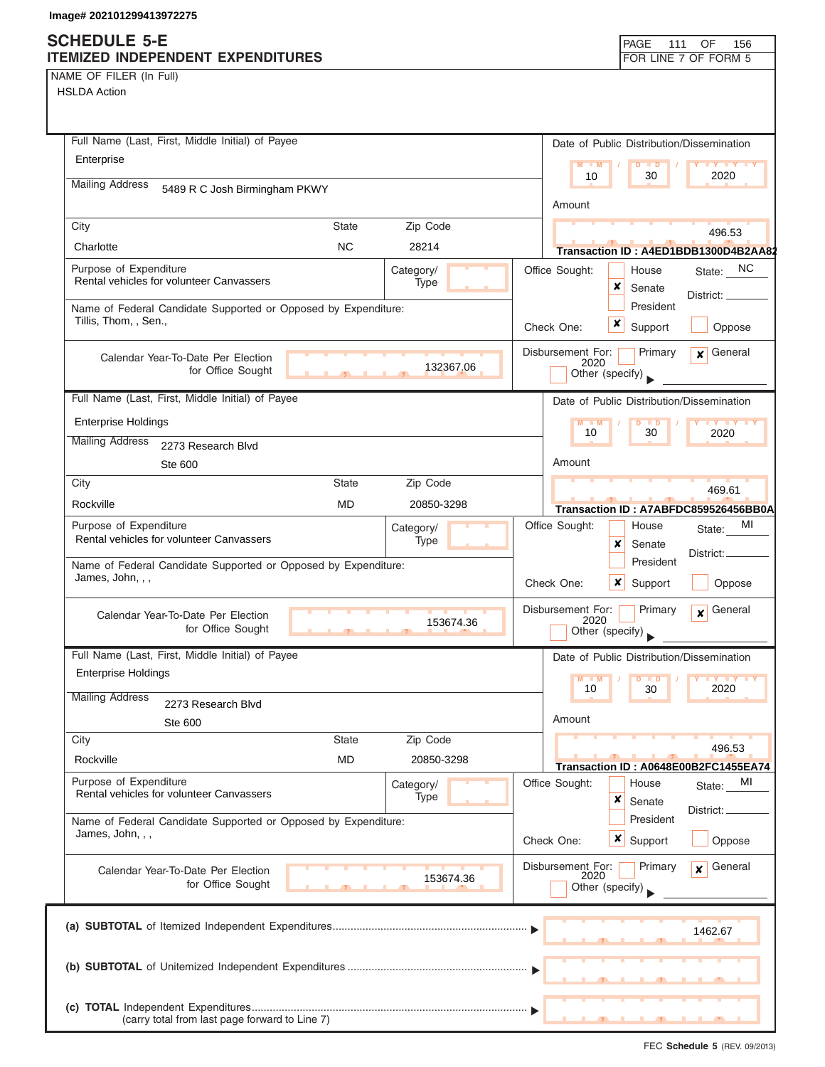### **SCHEDULE 5-E ITEMIZED INDEPENDENT EXPENDITURES FOR LINE 7 OF FORM 5**

| NAME OF FILER (In Full) |  |  |  |  |  |
|-------------------------|--|--|--|--|--|
|-------------------------|--|--|--|--|--|

| Full Name (Last, First, Middle Initial) of Payee                                        |                             | Date of Public Distribution/Dissemination               |                             |
|-----------------------------------------------------------------------------------------|-----------------------------|---------------------------------------------------------|-----------------------------|
| Enterprise                                                                              |                             | M<br>$-M$<br><b>D</b>                                   | <b>TEY</b>                  |
| <b>Mailing Address</b>                                                                  |                             | 10<br>30                                                | 2020                        |
| 5489 R C Josh Birmingham PKWY                                                           |                             | Amount                                                  |                             |
| City                                                                                    | Zip Code<br><b>State</b>    |                                                         | 496.53                      |
| Charlotte                                                                               | <b>NC</b><br>28214          | Transaction ID: A4ED1BDB1300D4B2AA82                    |                             |
| Purpose of Expenditure<br>Rental vehicles for volunteer Canvassers                      | Category/<br>Type           | Office Sought:<br>House<br>×<br>Senate                  | State: NC<br>District:      |
| Name of Federal Candidate Supported or Opposed by Expenditure:<br>Tillis, Thom, , Sen., |                             | President<br>x<br>Check One:<br>Support                 | Oppose                      |
| Calendar Year-To-Date Per Election<br>for Office Sought                                 | 132367.06                   | Disbursement For:<br>Primary<br>2020<br>Other (specify) | General<br>$\mathbf{x}$     |
| Full Name (Last, First, Middle Initial) of Payee                                        |                             | Date of Public Distribution/Dissemination               |                             |
| <b>Enterprise Holdings</b>                                                              |                             |                                                         |                             |
| <b>Mailing Address</b><br>2273 Research Blvd                                            |                             | 10<br>30                                                | 2020                        |
| Ste 600                                                                                 |                             | Amount                                                  |                             |
| City                                                                                    | Zip Code<br><b>State</b>    |                                                         | 469.61                      |
| Rockville                                                                               | <b>MD</b><br>20850-3298     | Transaction ID: A7ABFDC859526456BB0A                    |                             |
| Purpose of Expenditure                                                                  | Category/                   | Office Sought:<br>House                                 | MI<br>State:                |
| Rental vehicles for volunteer Canvassers                                                | Type                        | x<br>Senate                                             |                             |
| Name of Federal Candidate Supported or Opposed by Expenditure:<br>James, John, , ,      |                             | President<br>×<br>Check One:<br>Support                 | District:<br>Oppose         |
| Calendar Year-To-Date Per Election<br>for Office Sought                                 | 153674.36<br>$\overline{1}$ | Disbursement For:<br>Primary<br>2020<br>Other (specify) | General<br>$\mathbf{x}$     |
| Full Name (Last, First, Middle Initial) of Payee                                        |                             | Date of Public Distribution/Dissemination               |                             |
| <b>Enterprise Holdings</b>                                                              |                             | M<br>10<br>30                                           | 2020                        |
| <b>Mailing Address</b><br>2273 Research Blvd<br>Ste 600                                 |                             | Amount                                                  |                             |
| City                                                                                    | Zip Code<br><b>State</b>    |                                                         |                             |
| Rockville                                                                               | <b>MD</b><br>20850-3298     | Transaction ID: A0648E00B2FC1455EA74                    | 496.53                      |
| Purpose of Expenditure                                                                  | Category/                   | Office Sought:<br>House                                 | MI<br>State:                |
| Rental vehicles for volunteer Canvassers                                                | Type                        | ×<br>Senate                                             | District:                   |
| Name of Federal Candidate Supported or Opposed by Expenditure:<br>James, John, , ,      |                             | President<br><b>x</b> Support<br>Check One:             | Oppose                      |
| Calendar Year-To-Date Per Election                                                      |                             | Disbursement For:<br>Primary                            | General<br>$\boldsymbol{x}$ |
| for Office Sought                                                                       | 153674.36                   | 2020<br>Other (specify)                                 |                             |
|                                                                                         |                             |                                                         | 1462.67                     |
|                                                                                         |                             |                                                         |                             |
| (carry total from last page forward to Line 7)                                          |                             |                                                         |                             |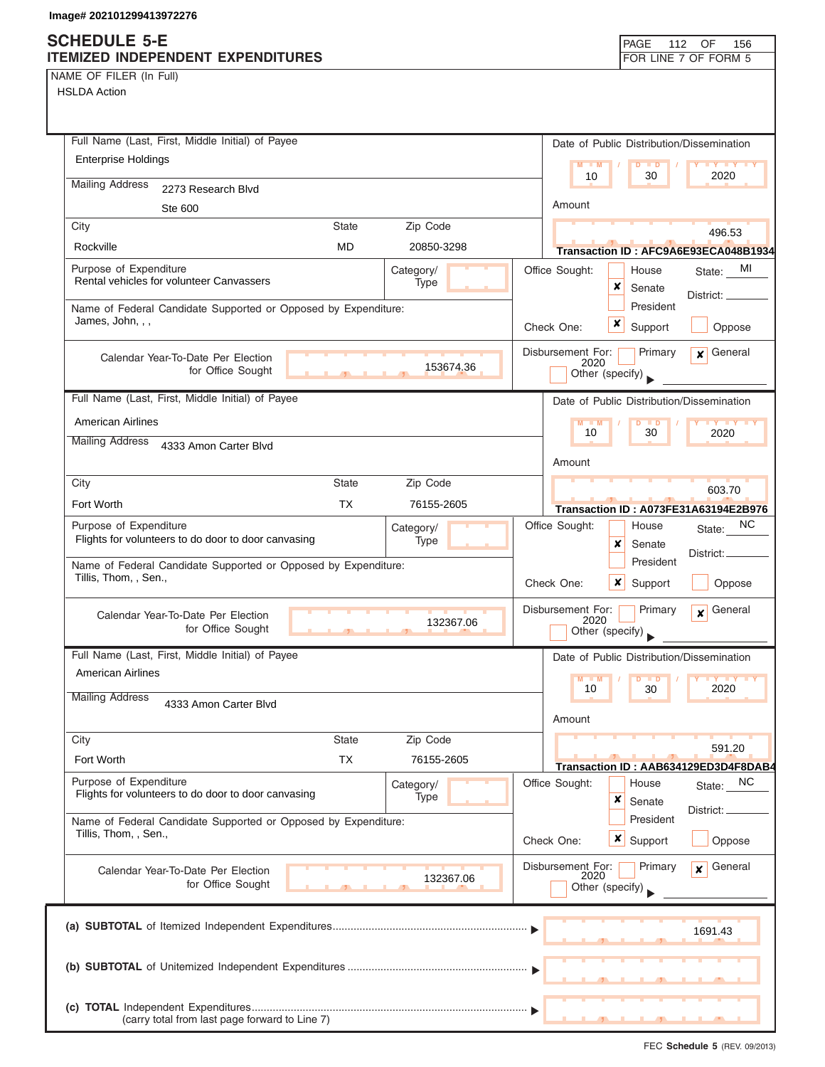### **SCHEDULE 5-E ITEMIZED INDEPENDENT EXPENDITURES FOR LINE 7 OF FORM 5**

| PAGE 112                 |  | ( )F |  |
|--------------------------|--|------|--|
| <b>FOR LINE 7 OF FOR</b> |  |      |  |
|                          |  |      |  |

156

NAME OF FILER (In Full)

| Full Name (Last, First, Middle Initial) of Payee                                        | Date of Public Distribution/Dissemination                                  |
|-----------------------------------------------------------------------------------------|----------------------------------------------------------------------------|
| <b>Enterprise Holdings</b>                                                              | $M - M$<br>$\overline{D}$<br>$\blacksquare$                                |
| <b>Mailing Address</b><br>2273 Research Blvd                                            | 10<br>30<br>2020                                                           |
| Ste 600                                                                                 | Amount                                                                     |
| City<br><b>State</b><br>Zip Code                                                        |                                                                            |
| Rockville<br><b>MD</b><br>20850-3298                                                    | 496.53<br>Transaction ID: AFC9A6E93ECA048B1934                             |
| Purpose of Expenditure<br>Category/                                                     | Office Sought:<br>MI<br>House<br>State:                                    |
| Rental vehicles for volunteer Canvassers<br>Type                                        | ×<br>Senate                                                                |
| Name of Federal Candidate Supported or Opposed by Expenditure:                          | District: __<br>President                                                  |
| James, John, , ,                                                                        | x<br>Oppose<br>Check One:<br>Support                                       |
| Calendar Year-To-Date Per Election                                                      | Disbursement For:<br>Primary<br>General<br>$\mathbf{x}$<br>2020            |
| 153674.36<br>for Office Sought                                                          | Other (specify)                                                            |
| Full Name (Last, First, Middle Initial) of Payee                                        | Date of Public Distribution/Dissemination                                  |
| <b>American Airlines</b>                                                                | $D$ $D$                                                                    |
| <b>Mailing Address</b><br>4333 Amon Carter Blvd                                         | 30<br>10<br>2020                                                           |
|                                                                                         | Amount                                                                     |
| City<br><b>State</b><br>Zip Code                                                        | 603.70                                                                     |
| <b>TX</b><br>Fort Worth<br>76155-2605                                                   | <b>Transaction ID: A073FE31A63194E2B976</b>                                |
| Purpose of Expenditure<br>Category/                                                     | Office Sought:<br>NC<br>House<br>State:                                    |
| Flights for volunteers to do door to door canvasing<br>Type                             | x<br>Senate                                                                |
| Name of Federal Candidate Supported or Opposed by Expenditure:<br>Tillis, Thom, , Sen., | District:.<br>President<br>Check One:<br>x<br>Support<br>Oppose            |
| Calendar Year-To-Date Per Election<br>132367.06                                         | General<br>Disbursement For:<br>Primary<br>$\overline{\mathbf{x}}$<br>2020 |
| for Office Sought<br><b>The Contract Contract Contract Contract</b>                     | Other (specify)                                                            |
| Full Name (Last, First, Middle Initial) of Payee                                        | Date of Public Distribution/Dissemination                                  |
| <b>American Airlines</b>                                                                | M<br>$\overline{\phantom{a}}$<br>$\blacksquare$                            |
| <b>Mailing Address</b><br>4333 Amon Carter Blvd                                         | 10<br>30<br>2020                                                           |
|                                                                                         | Amount                                                                     |
| Zip Code<br>City<br><b>State</b>                                                        | 591.20                                                                     |
| <b>TX</b><br>Fort Worth<br>76155-2605                                                   | Transaction ID: AAB634129ED3D4F8DAB4                                       |
| Purpose of Expenditure<br>Category/                                                     | <b>NC</b><br>Office Sought:<br>House<br>State:                             |
| Flights for volunteers to do door to door canvasing<br>Type                             | ×<br>Senate<br>District:                                                   |
| Name of Federal Candidate Supported or Opposed by Expenditure:                          | President                                                                  |
| Tillis, Thom, , Sen.,                                                                   | $\boldsymbol{x}$<br>Check One:<br>Support<br>Oppose                        |
| Calendar Year-To-Date Per Election                                                      | Disbursement For:<br>General<br>Primary<br>x<br>2020                       |
| 132367.06<br>for Office Sought                                                          | Other (specify)                                                            |
|                                                                                         |                                                                            |
|                                                                                         | 1691.43                                                                    |
|                                                                                         |                                                                            |
|                                                                                         |                                                                            |
|                                                                                         |                                                                            |
| (carry total from last page forward to Line 7)                                          |                                                                            |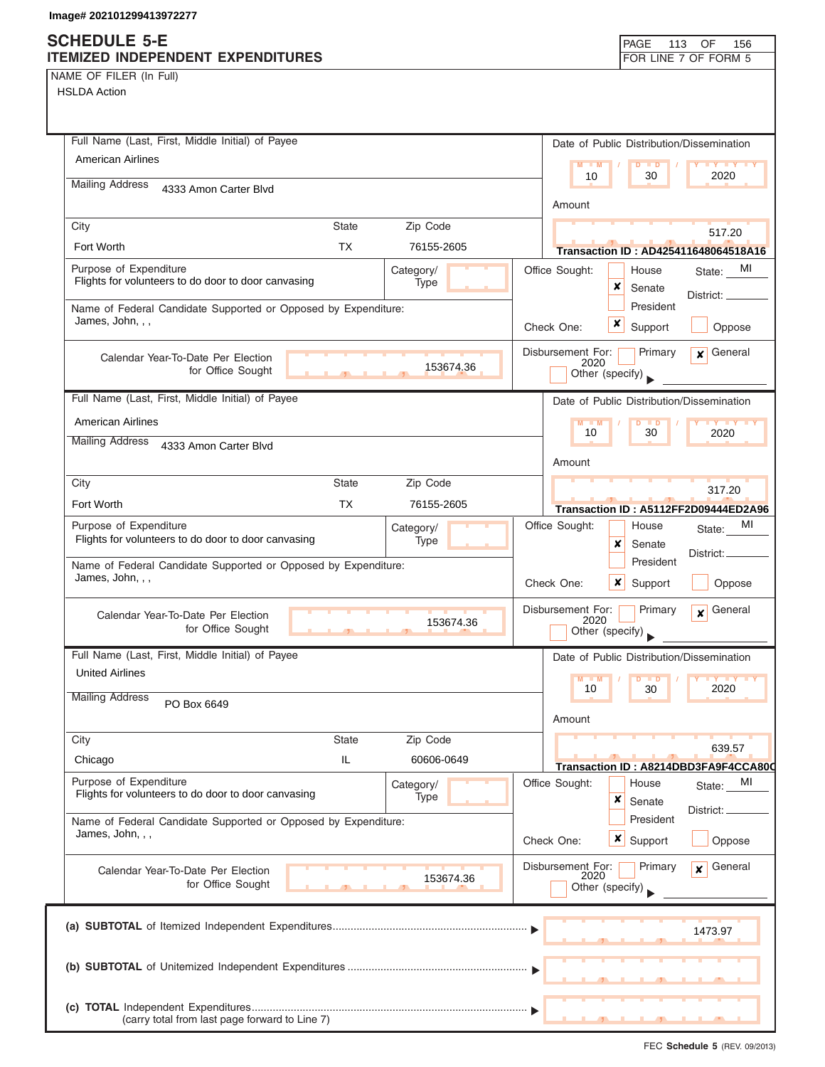## **SCHEDULE 5-E**

| <b>SCHEDULE 5-E</b><br>ITEMIZED INDEPENDENT EXPENDITURES                                           | PAGE<br>113<br>OF<br>156<br>FOR LINE 7 OF FORM 5                                                      |
|----------------------------------------------------------------------------------------------------|-------------------------------------------------------------------------------------------------------|
| NAME OF FILER (In Full)<br><b>HSLDA Action</b>                                                     |                                                                                                       |
| Full Name (Last, First, Middle Initial) of Payee<br><b>American Airlines</b>                       | Date of Public Distribution/Dissemination<br>$M - M$<br>$Y$ $Y$ $Y$ $Y$<br>$\blacksquare$             |
| <b>Mailing Address</b><br>4333 Amon Carter Blvd                                                    | 2020<br>10<br>30<br>Amount                                                                            |
| Zip Code<br><b>State</b><br>City<br>Fort Worth<br><b>TX</b><br>76155-2605                          | 517.20                                                                                                |
| Purpose of Expenditure<br>Category/<br>Flights for volunteers to do door to door canvasing<br>Type | <b>Transaction ID: AD425411648064518A16</b><br>Office Sought:<br>MI<br>House<br>State:<br>×<br>Senate |
| Name of Federal Candidate Supported or Opposed by Expenditure:<br>James, John, , ,                 | District:<br>President<br>×<br>Support<br>Check One:<br>Oppose                                        |
| Calendar Year-To-Date Per Election<br>153674.36<br>for Office Sought                               | Disbursement For:<br>General<br>Primary<br>$\mathbf{x}$<br>2020<br>Other (specify)                    |
| Full Name (Last, First, Middle Initial) of Payee                                                   | Date of Public Distribution/Dissemination                                                             |
| <b>American Airlines</b>                                                                           | $M - M$<br>$\mathbf{Y}$ $\mathbf{Y}$ $\mathbf{Y}$ $\mathbf{Y}$ $\mathbf{Y}$<br>ъ<br>30<br>10<br>2020  |
| <b>Mailing Address</b><br>4333 Amon Carter Blvd                                                    | Amount                                                                                                |
| <b>State</b><br>Zip Code<br>City                                                                   | 317.20                                                                                                |
| <b>TX</b><br>Fort Worth<br>76155-2605                                                              | Transaction ID: A5112FF2D09444ED2A96                                                                  |
| Purpose of Expenditure<br>Category/<br>Flights for volunteers to do door to door canvasing<br>Type | Office Sought:<br>МI<br>House<br>State:<br>x<br>Senate<br>District:                                   |
| Name of Federal Candidate Supported or Opposed by Expenditure:<br>James, John, , ,                 | President<br>Check One:<br>×<br>Support<br>Oppose                                                     |
| Calendar Year-To-Date Per Election<br>153674.36<br>for Office Sought                               | Disbursement For:<br>Primary<br>General<br>$\boldsymbol{x}$<br>2020<br>Other (specify)                |
| Full Name (Last, First, Middle Initial) of Payee                                                   | Date of Public Distribution/Dissemination                                                             |
| <b>United Airlines</b>                                                                             | $M - M$<br>D<br>$\blacksquare$<br>10<br>30<br>2020                                                    |
| <b>Mailing Address</b><br>PO Box 6649                                                              | Amount                                                                                                |
| <b>State</b><br>Zip Code<br>City<br>IL<br>60606-0649<br>Chicago                                    | 639.57                                                                                                |
| Purpose of Expenditure<br>Category/<br>Flights for volunteers to do door to door canvasing<br>Type | Transaction ID: A8214DBD3FA9F4CCA800<br>Office Sought:<br>House<br>MI<br>State:<br>×<br>Senate        |
| Name of Federal Candidate Supported or Opposed by Expenditure:<br>James, John, , ,                 | District: _<br>President<br>Check One:<br>x<br>Support<br>Oppose                                      |
| Calendar Year-To-Date Per Election<br>153674.36<br>for Office Sought                               | Disbursement For:<br>Primary<br>General<br>$\mathbf{x}$<br>2020<br>Other (specify)                    |
|                                                                                                    | 1473.97                                                                                               |
|                                                                                                    |                                                                                                       |
| (carry total from last page forward to Line 7)                                                     |                                                                                                       |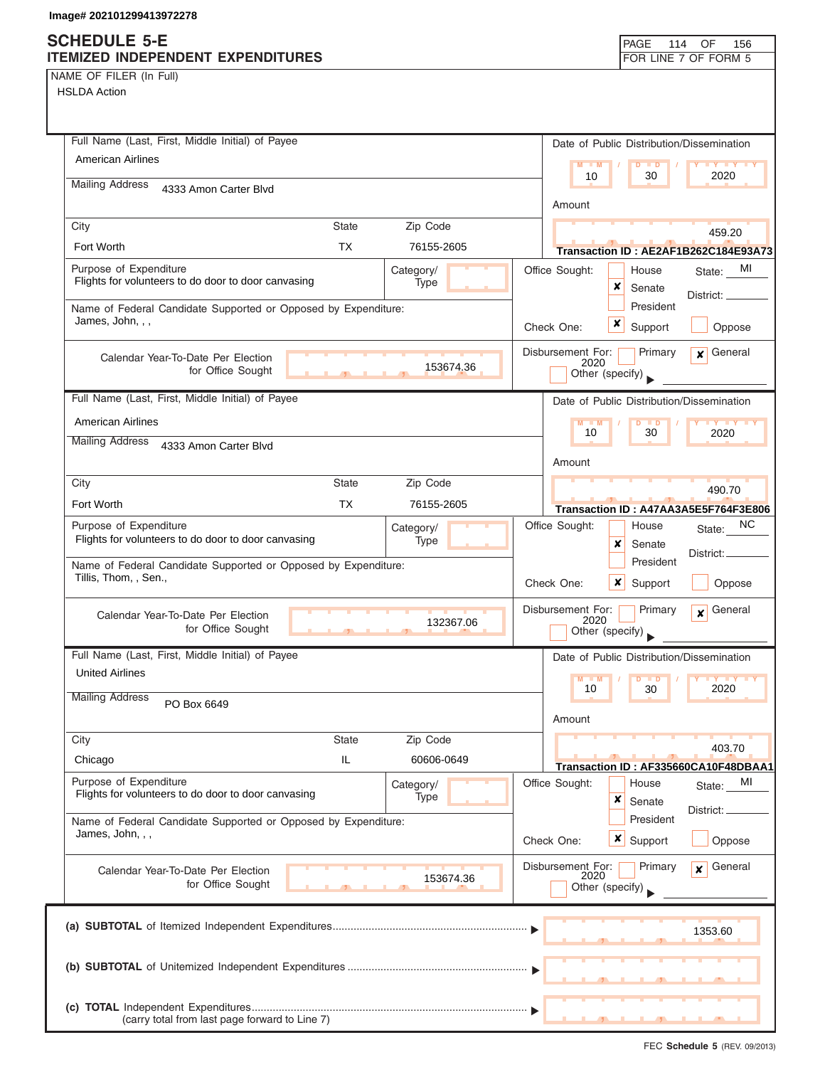## **SCHE**

| NAME OF FILER (In Full) |  |  |
|-------------------------|--|--|
|-------------------------|--|--|

| <b>SCHEDULE 5-E</b><br><b>ITEMIZED INDEPENDENT EXPENDITURES</b>                                           | PAGE<br>114<br>OF<br>156<br>FOR LINE 7 OF FORM 5                                   |
|-----------------------------------------------------------------------------------------------------------|------------------------------------------------------------------------------------|
| NAME OF FILER (In Full)<br><b>HSLDA Action</b>                                                            |                                                                                    |
| Full Name (Last, First, Middle Initial) of Payee                                                          | Date of Public Distribution/Dissemination                                          |
| American Airlines                                                                                         | $M - M$<br><b>IY IY IY</b><br>$\blacksquare$                                       |
| <b>Mailing Address</b><br>4333 Amon Carter Blvd                                                           | 10<br>30<br>2020                                                                   |
|                                                                                                           | Amount                                                                             |
| Zip Code<br>City<br>State                                                                                 | 459.20                                                                             |
| Fort Worth<br><b>TX</b><br>76155-2605                                                                     | Transaction ID: AE2AF1B262C184E93A73                                               |
| Purpose of Expenditure<br>Category/<br>Flights for volunteers to do door to door canvasing<br>Type        | Office Sought:<br>MI<br>House<br>State:<br>×<br>Senate<br>District: _              |
| Name of Federal Candidate Supported or Opposed by Expenditure:<br>James, John, , ,                        | President<br>×<br>Check One:<br>Support<br>Oppose                                  |
| Calendar Year-To-Date Per Election<br>153674.36<br>for Office Sought                                      | Disbursement For:<br>Primary<br>General<br>$\mathbf{x}$<br>2020<br>Other (specify) |
| Full Name (Last, First, Middle Initial) of Payee                                                          | Date of Public Distribution/Dissemination                                          |
| <b>American Airlines</b>                                                                                  | $M - M$<br>. D                                                                     |
| <b>Mailing Address</b><br>4333 Amon Carter Blvd                                                           | 10<br>30<br>2020<br>Amount                                                         |
| Zip Code<br><b>State</b><br>City                                                                          | 490.70                                                                             |
| Fort Worth<br>TX<br>76155-2605                                                                            | Transaction ID: A47AA3A5E5F764F3E806                                               |
| Purpose of Expenditure<br>Category/<br>Flights for volunteers to do door to door canvasing<br><b>Type</b> | NC.<br>Office Sought:<br>House<br>State:<br>x<br>Senate<br>District:               |
| Name of Federal Candidate Supported or Opposed by Expenditure:<br>Tillis, Thom, , Sen.,                   | President<br>×<br>Check One:<br>Support<br>Oppose                                  |
| Calendar Year-To-Date Per Election<br>132367.06<br>for Office Sought                                      | General<br>Disbursement For:<br>Primary<br>$\mathbf{x}$<br>2020<br>Other (specify) |
| Full Name (Last, First, Middle Initial) of Payee                                                          | Date of Public Distribution/Dissemination                                          |
| <b>United Airlines</b>                                                                                    | $M - M$<br>$D$ $D$<br>$Y$ $Y$                                                      |
| <b>Mailing Address</b><br>PO Box 6649                                                                     | 2020<br>10<br>30                                                                   |
|                                                                                                           | Amount                                                                             |
| Zip Code<br>City<br><b>State</b>                                                                          | 403.70                                                                             |
| IL<br>Chicago<br>60606-0649                                                                               | Transaction ID: AF335660CA10F48DBAA1                                               |
| Purpose of Expenditure<br>Category/<br>Flights for volunteers to do door to door canvasing<br>Type        | Office Sought:<br>House<br>МI<br>State:<br>×<br>Senate<br>District: _              |
| Name of Federal Candidate Supported or Opposed by Expenditure:<br>James, John, , ,                        | President<br>Check One:<br><b>x</b> Support<br>Oppose                              |
| Calendar Year-To-Date Per Election<br>153674.36<br>for Office Sought                                      | Disbursement For:<br>Primary<br>General<br>$\mathbf{x}$<br>2020<br>Other (specify) |
|                                                                                                           | 1353.60                                                                            |
|                                                                                                           |                                                                                    |

**(c) TOTAL** Independent Expenditures ............................................................................................ ▼ (carry total from last page forward to Line 7)

▲ ▲ ▲ , , .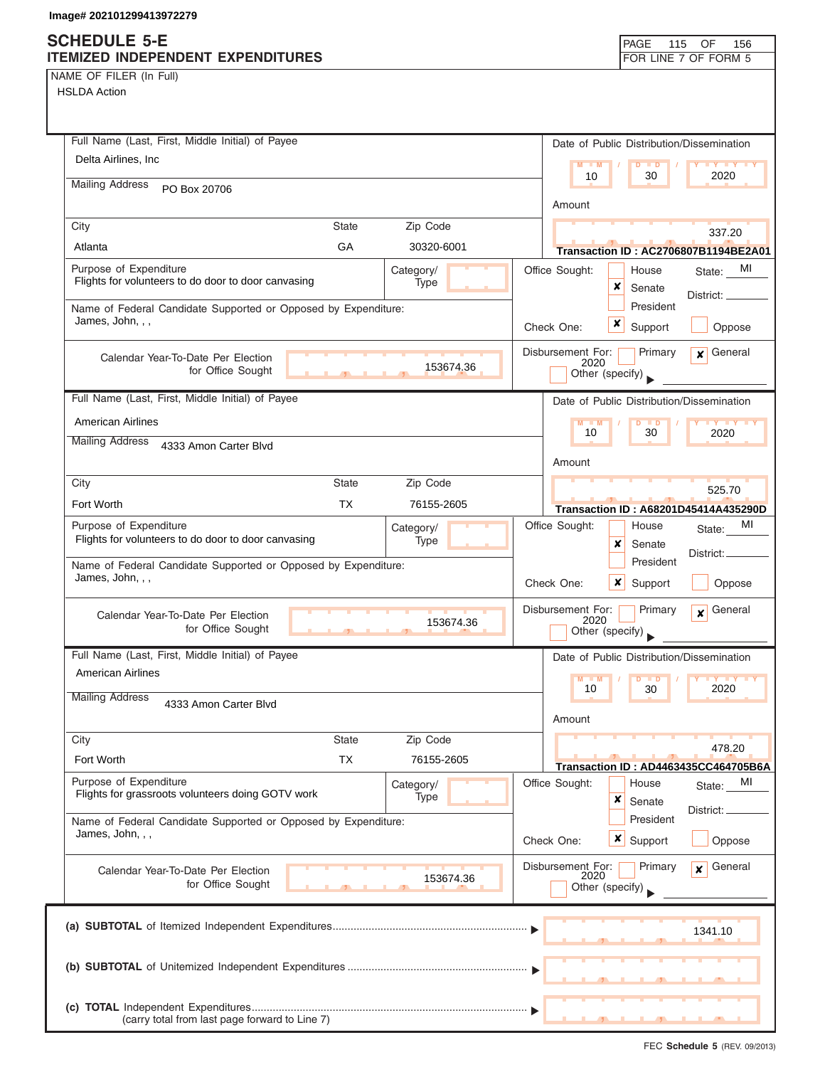## **SCHEDULE 5-E**

| NAME OF FILER (In Full) |  |  |
|-------------------------|--|--|
|-------------------------|--|--|

| SCHEDULE 5-E<br><b>ITEMIZED INDEPENDENT EXPENDITURES</b>                           |                                |                   |            |                           | PAGE<br>115                               | 156<br>OF<br>FOR LINE 7 OF FORM 5           |
|------------------------------------------------------------------------------------|--------------------------------|-------------------|------------|---------------------------|-------------------------------------------|---------------------------------------------|
| NAME OF FILER (In Full)                                                            |                                |                   |            |                           |                                           |                                             |
| <b>HSLDA Action</b>                                                                |                                |                   |            |                           |                                           |                                             |
|                                                                                    |                                |                   |            |                           |                                           |                                             |
|                                                                                    |                                |                   |            |                           |                                           |                                             |
| Full Name (Last, First, Middle Initial) of Payee                                   |                                |                   |            |                           | Date of Public Distribution/Dissemination |                                             |
| Delta Airlines, Inc.                                                               |                                |                   |            | M<br>M<br>10              | D<br>$\blacksquare$<br>30                 | <b>TY TY</b><br>2020                        |
| <b>Mailing Address</b><br>PO Box 20706                                             |                                |                   |            |                           |                                           |                                             |
|                                                                                    |                                |                   |            | Amount                    |                                           |                                             |
| City                                                                               | <b>State</b>                   | Zip Code          |            |                           |                                           | 337.20                                      |
| Atlanta                                                                            | GA                             | 30320-6001        |            |                           |                                           | Transaction ID: AC2706807B1194BE2A01        |
| Purpose of Expenditure                                                             |                                | Category/         |            | Office Sought:            | House                                     | MI<br>State:                                |
| Flights for volunteers to do door to door canvasing                                |                                | Type              |            |                           | x<br>Senate                               | District: _                                 |
| Name of Federal Candidate Supported or Opposed by Expenditure:                     |                                |                   |            |                           | President                                 |                                             |
| James, John, , ,                                                                   |                                |                   | Check One: |                           | x<br>Support                              | Oppose                                      |
| Calendar Year-To-Date Per Election                                                 |                                |                   |            | Disbursement For:         | Primary                                   | General<br>$\mathbf{x}$                     |
| for Office Sought                                                                  |                                | 153674.36         |            | 2020                      | Other (specify)                           |                                             |
|                                                                                    |                                |                   |            |                           |                                           |                                             |
| Full Name (Last, First, Middle Initial) of Payee                                   |                                |                   |            |                           | Date of Public Distribution/Dissemination |                                             |
| <b>American Airlines</b>                                                           |                                |                   |            | M<br>10                   | 30                                        | 2020                                        |
| <b>Mailing Address</b><br>4333 Amon Carter Blvd                                    |                                |                   |            |                           |                                           |                                             |
|                                                                                    |                                |                   |            | Amount                    |                                           |                                             |
| City                                                                               | State                          | Zip Code          |            |                           |                                           | 525.70                                      |
| Fort Worth                                                                         | TX                             | 76155-2605        |            |                           |                                           | <b>Transaction ID: A68201D45414A435290D</b> |
| Purpose of Expenditure                                                             |                                | Category/         |            | Office Sought:            | House                                     | МI<br>State:                                |
| Flights for volunteers to do door to door canvasing                                |                                | Type              |            |                           | x<br>Senate                               | District:                                   |
| Name of Federal Candidate Supported or Opposed by Expenditure:<br>James, John, , , |                                |                   |            |                           | President                                 |                                             |
|                                                                                    |                                |                   | Check One: |                           | ×<br>Support                              | Oppose                                      |
| Calendar Year-To-Date Per Election                                                 |                                |                   |            | Disbursement For:         | Primary                                   | General<br>×                                |
| for Office Sought                                                                  | $\overline{1}$<br><u>. n. </u> | 153674.36         |            | 2020                      | Other (specify)                           |                                             |
| Full Name (Last, First, Middle Initial) of Payee                                   |                                |                   |            |                           | Date of Public Distribution/Dissemination |                                             |
| <b>American Airlines</b>                                                           |                                |                   |            | $M - M$                   |                                           |                                             |
| <b>Mailing Address</b>                                                             |                                |                   |            | 10                        | $\blacksquare$<br>30                      | <b>TELY</b><br><b>TEY</b><br>2020           |
| 4333 Amon Carter Blvd                                                              |                                |                   |            |                           |                                           |                                             |
|                                                                                    |                                |                   |            | Amount                    |                                           |                                             |
| City                                                                               | <b>State</b>                   | Zip Code          |            |                           |                                           | 478.20                                      |
| Fort Worth                                                                         | ТX                             | 76155-2605        |            |                           |                                           | Transaction ID: AD4463435CC464705B6A        |
| Purpose of Expenditure<br>Flights for grassroots volunteers doing GOTV work        |                                | Category/<br>Type |            | Office Sought:            | House                                     | MI<br>State:                                |
|                                                                                    |                                |                   |            |                           | ×<br>Senate                               | District: _                                 |
| Name of Federal Candidate Supported or Opposed by Expenditure:<br>James, John, , , |                                |                   |            |                           | President                                 |                                             |
|                                                                                    |                                |                   | Check One: |                           | x<br>Support                              | Oppose                                      |
| Calendar Year-To-Date Per Election                                                 |                                | 153674.36         |            | Disbursement For:<br>2020 | Primary                                   | General<br>$\mathbf{x}$                     |
| for Office Sought                                                                  |                                |                   |            |                           | Other (specify)                           |                                             |
|                                                                                    |                                |                   |            |                           |                                           |                                             |
|                                                                                    |                                |                   |            |                           |                                           | 1341.10                                     |
|                                                                                    |                                |                   |            |                           |                                           |                                             |
|                                                                                    |                                |                   |            |                           |                                           |                                             |
|                                                                                    |                                |                   |            |                           |                                           |                                             |
|                                                                                    |                                |                   |            |                           |                                           |                                             |
| (carry total from last page forward to Line 7)                                     |                                |                   |            |                           |                                           |                                             |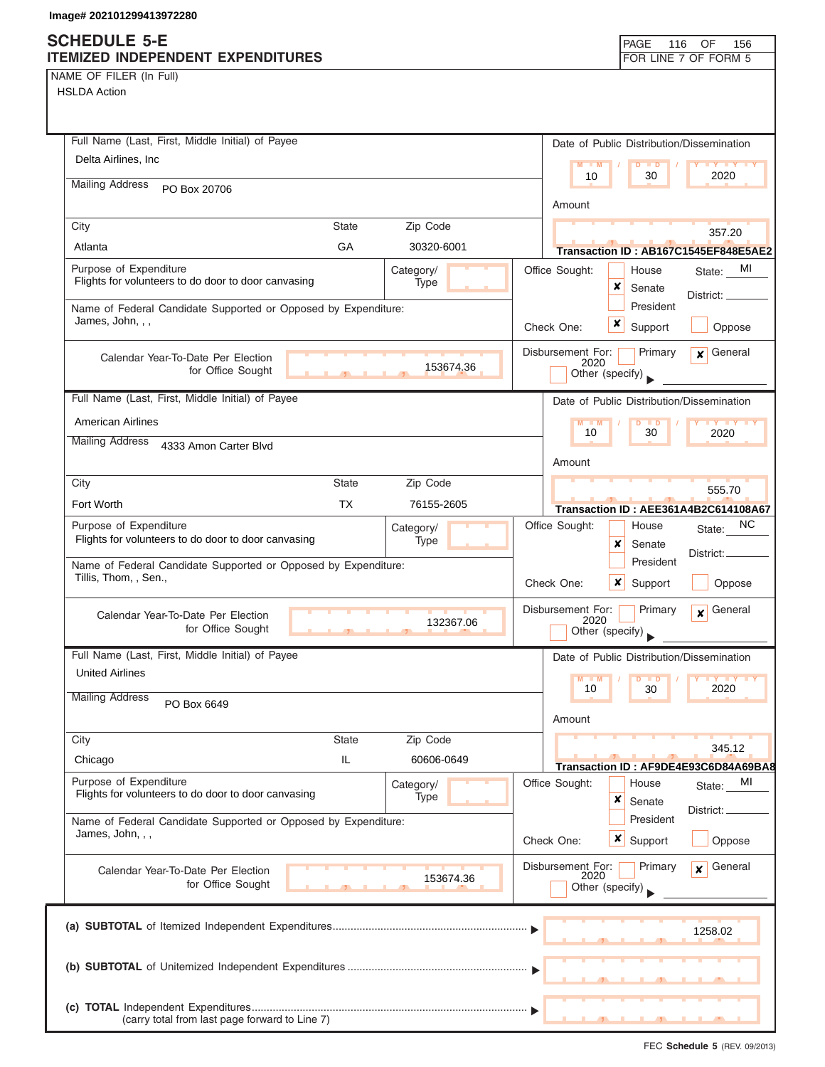# **SCHEDULE 5-E**

| NAME OF FILER (In Full) |  |  |
|-------------------------|--|--|
|-------------------------|--|--|

| <b>SCHEDULE 5-E</b>                                                                |              |                   |                           |               | <b>PAGE</b>      | 116                  | OF<br>156                                 |
|------------------------------------------------------------------------------------|--------------|-------------------|---------------------------|---------------|------------------|----------------------|-------------------------------------------|
| ITEMIZED INDEPENDENT EXPENDITURES                                                  |              |                   |                           |               |                  |                      | FOR LINE 7 OF FORM 5                      |
| NAME OF FILER (In Full)                                                            |              |                   |                           |               |                  |                      |                                           |
| <b>HSLDA Action</b>                                                                |              |                   |                           |               |                  |                      |                                           |
|                                                                                    |              |                   |                           |               |                  |                      |                                           |
| Full Name (Last, First, Middle Initial) of Payee                                   |              |                   |                           |               |                  |                      | Date of Public Distribution/Dissemination |
| Delta Airlines, Inc                                                                |              |                   |                           |               |                  |                      |                                           |
|                                                                                    |              |                   |                           | $M = M$<br>10 |                  | $D$ $D$<br>30        | <b>LY LY LY</b><br>2020                   |
| <b>Mailing Address</b><br>PO Box 20706                                             |              |                   |                           |               |                  |                      |                                           |
|                                                                                    |              |                   |                           | Amount        |                  |                      |                                           |
| City                                                                               | <b>State</b> | Zip Code          |                           |               |                  |                      | 357.20                                    |
| Atlanta                                                                            | GA           | 30320-6001        |                           |               |                  |                      | Transaction ID: AB167C1545EF848E5AE2      |
|                                                                                    |              |                   |                           |               |                  |                      |                                           |
| Purpose of Expenditure<br>Flights for volunteers to do door to door canvasing      |              | Category/<br>Type | Office Sought:            |               |                  | House                | State: MI                                 |
|                                                                                    |              |                   |                           |               | ×                | Senate               | District: _                               |
| Name of Federal Candidate Supported or Opposed by Expenditure:<br>James, John, , , |              |                   |                           |               |                  | President            |                                           |
|                                                                                    |              |                   | Check One:                |               | x                | Support              | Oppose                                    |
|                                                                                    |              |                   | Disbursement For:         |               |                  | Primary              | General<br>$\mathbf{x}$                   |
| Calendar Year-To-Date Per Election<br>for Office Sought                            |              | 153674.36         |                           | 2020          | Other (specify)  |                      |                                           |
|                                                                                    |              |                   |                           |               |                  |                      |                                           |
| Full Name (Last, First, Middle Initial) of Payee                                   |              |                   |                           |               |                  |                      | Date of Public Distribution/Dissemination |
| <b>American Airlines</b>                                                           |              |                   |                           | $M - M$       | D                | $\blacksquare$       | <b>TY TY TY</b>                           |
| <b>Mailing Address</b>                                                             |              |                   |                           | 10            |                  | 30                   | 2020                                      |
| 4333 Amon Carter Blvd                                                              |              |                   |                           |               |                  |                      |                                           |
|                                                                                    |              |                   |                           | Amount        |                  |                      |                                           |
| City                                                                               | <b>State</b> | Zip Code          |                           |               |                  |                      | 555.70                                    |
| Fort Worth                                                                         | <b>TX</b>    | 76155-2605        |                           |               |                  |                      | Transaction ID: AEE361A4B2C614108A67      |
| Purpose of Expenditure                                                             |              | Category/         | Office Sought:            |               |                  | House                | NC.<br>State:                             |
| Flights for volunteers to do door to door canvasing                                |              | Type              |                           |               | x                | Senate               |                                           |
| Name of Federal Candidate Supported or Opposed by Expenditure:                     |              |                   |                           |               |                  | President            | District:                                 |
| Tillis, Thom, , Sen.,                                                              |              |                   | Check One:                |               | ×                | Support              | Oppose                                    |
|                                                                                    |              |                   |                           |               |                  |                      |                                           |
| Calendar Year-To-Date Per Election                                                 |              |                   | Disbursement For:         | 2020          |                  | Primary              | General<br>$\mathbf{x}$                   |
| for Office Sought                                                                  |              | 132367.06         |                           |               | Other (specify)  |                      |                                           |
| Full Name (Last, First, Middle Initial) of Payee                                   |              |                   |                           |               |                  |                      | Date of Public Distribution/Dissemination |
| <b>United Airlines</b>                                                             |              |                   |                           |               |                  |                      |                                           |
|                                                                                    |              |                   |                           | $M - M$<br>10 | D                | $\blacksquare$<br>30 | <b>TY TY TY</b><br>2020                   |
| <b>Mailing Address</b><br>PO Box 6649                                              |              |                   |                           |               |                  |                      |                                           |
|                                                                                    |              |                   |                           | Amount        |                  |                      |                                           |
| City                                                                               | <b>State</b> | Zip Code          |                           |               |                  |                      |                                           |
| Chicago                                                                            | IL           | 60606-0649        |                           |               |                  |                      | 345.12                                    |
|                                                                                    |              |                   |                           |               |                  |                      | Transaction ID: AF9DE4E93C6D84A69BA8      |
| Purpose of Expenditure<br>Flights for volunteers to do door to door canvasing      |              | Category/<br>Type | Office Sought:            |               |                  | House                | MI<br>State:                              |
|                                                                                    |              |                   |                           |               | ×                | Senate               | District: _                               |
| Name of Federal Candidate Supported or Opposed by Expenditure:                     |              |                   |                           |               |                  | President            |                                           |
| James, John, , ,                                                                   |              |                   | Check One:                |               | $x \mid$ Support |                      | Oppose                                    |
|                                                                                    |              |                   |                           |               |                  | Primary              | General<br>$\mathbf{x}$                   |
| Calendar Year-To-Date Per Election<br>for Office Sought                            |              | 153674.36         | Disbursement For:<br>2020 |               |                  |                      |                                           |
|                                                                                    |              |                   |                           |               | Other (specify)  |                      |                                           |
|                                                                                    |              |                   |                           |               |                  |                      |                                           |
|                                                                                    |              |                   |                           |               |                  |                      | 1258.02                                   |
|                                                                                    |              |                   |                           |               |                  |                      |                                           |
|                                                                                    |              |                   |                           |               |                  |                      |                                           |
|                                                                                    |              |                   |                           |               |                  |                      |                                           |
|                                                                                    |              |                   |                           |               |                  |                      |                                           |
| (carry total from last page forward to Line 7)                                     |              |                   |                           |               |                  |                      |                                           |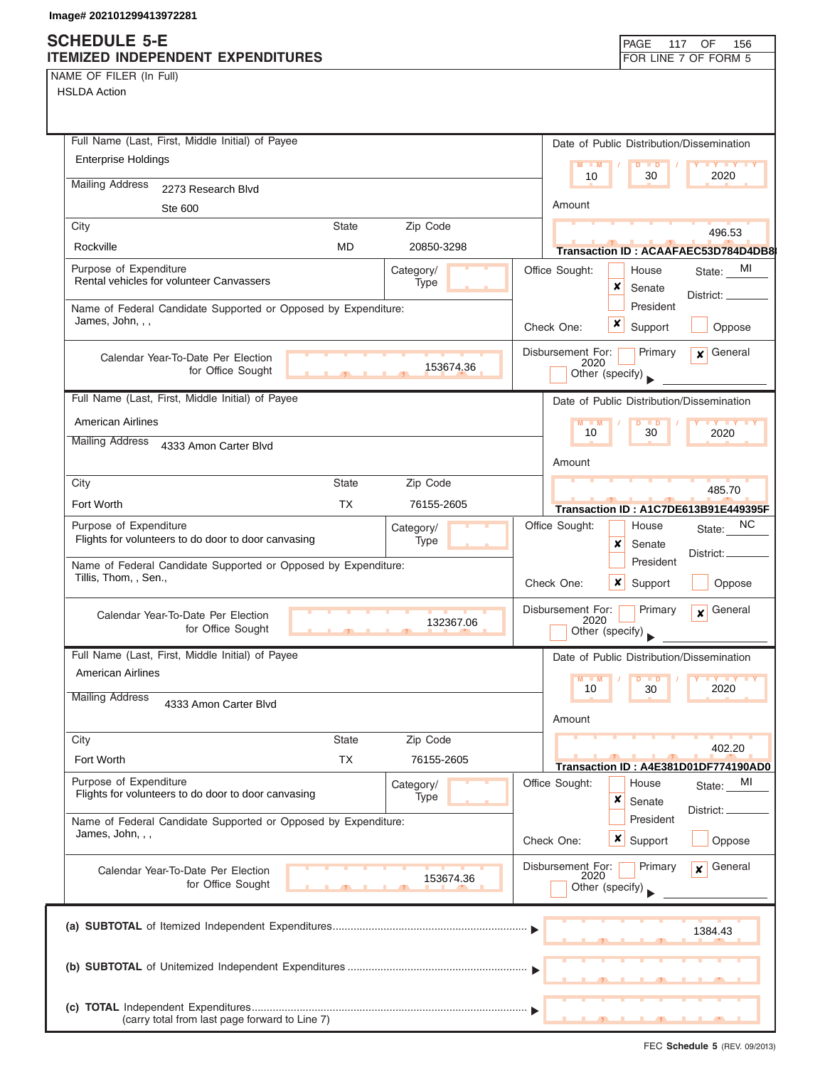NAME OF FILER (In Full)

| Full Name (Last, First, Middle Initial) of Payee                                       | Date of Public Distribution/Dissemination                                          |
|----------------------------------------------------------------------------------------|------------------------------------------------------------------------------------|
| <b>Enterprise Holdings</b>                                                             | $M = M$<br>D<br>$\blacksquare$<br><b>TY TY TY</b>                                  |
| <b>Mailing Address</b><br>2273 Research Blvd                                           | 10<br>30<br>2020                                                                   |
| Ste 600                                                                                | Amount                                                                             |
| Zip Code<br>City<br><b>State</b>                                                       |                                                                                    |
| Rockville<br><b>MD</b><br>20850-3298                                                   | 496.53<br><b>Transaction ID: ACAAFAEC53D784D4DB8</b>                               |
| Purpose of Expenditure<br>Category/                                                    | Office Sought:<br>State: MI<br>House                                               |
| Rental vehicles for volunteer Canvassers<br>Type                                       | x<br>Senate<br>District: _                                                         |
| Name of Federal Candidate Supported or Opposed by Expenditure:                         | President                                                                          |
| James, John, , ,                                                                       | x<br>Support<br>Oppose<br>Check One:                                               |
| Calendar Year-To-Date Per Election                                                     | Disbursement For:<br>Primary<br>$\mathbf x$ General                                |
| 153674.36<br>for Office Sought                                                         | 2020<br>Other (specify)                                                            |
| Full Name (Last, First, Middle Initial) of Payee                                       |                                                                                    |
| American Airlines                                                                      | Date of Public Distribution/Dissemination                                          |
| <b>Mailing Address</b>                                                                 | $M - M$<br>$D$ $D$<br><b>LY LY LY</b><br>30<br>10<br>2020                          |
| 4333 Amon Carter Blvd                                                                  | Amount                                                                             |
| Zip Code<br>City<br><b>State</b>                                                       |                                                                                    |
| <b>TX</b><br>Fort Worth<br>76155-2605                                                  | 485.70                                                                             |
| Purpose of Expenditure                                                                 | Transaction ID: A1C7DE613B91E449395F<br><b>NC</b><br>Office Sought:                |
| Category/<br>Flights for volunteers to do door to door canvasing<br>Type               | House<br>State:<br>x<br>Senate                                                     |
| Name of Federal Candidate Supported or Opposed by Expenditure:                         | District:_<br>President                                                            |
| Tillis, Thom, , Sen.,                                                                  | ×<br>Check One:<br>Support<br>Oppose                                               |
| Calendar Year-To-Date Per Election<br>132367.06<br>for Office Sought<br>$\overline{1}$ | Primary<br>General<br>Disbursement For:<br>$\mathbf{x}$<br>2020<br>Other (specify) |
| Full Name (Last, First, Middle Initial) of Payee                                       | Date of Public Distribution/Dissemination                                          |
| <b>American Airlines</b>                                                               | M<br>$\blacksquare$                                                                |
| <b>Mailing Address</b><br>4333 Amon Carter Blvd                                        | 2020<br>10<br>30                                                                   |
|                                                                                        | Amount                                                                             |
| <b>State</b><br>Zip Code<br>City                                                       |                                                                                    |
| Fort Worth<br>ТX<br>76155-2605                                                         | 402.20<br>Transaction ID: A4E381D01DF774190AD0                                     |
| Purpose of Expenditure<br>Category/                                                    | Office Sought:<br>MI<br>House<br>State:                                            |
| Flights for volunteers to do door to door canvasing<br>Type                            | ×<br>Senate                                                                        |
| Name of Federal Candidate Supported or Opposed by Expenditure:                         | District:<br>President                                                             |
| James, John, , ,                                                                       | x<br>Oppose<br>Check One:<br>Support                                               |
| Calendar Year-To-Date Per Election                                                     | Disbursement For:<br>Primary<br>General<br>$\mathbf{x}$                            |
| 153674.36<br>for Office Sought                                                         | 2020<br>Other (specify)                                                            |
|                                                                                        |                                                                                    |
|                                                                                        | 1384.43                                                                            |
|                                                                                        |                                                                                    |
|                                                                                        |                                                                                    |
|                                                                                        |                                                                                    |
|                                                                                        |                                                                                    |
| (carry total from last page forward to Line 7)                                         |                                                                                    |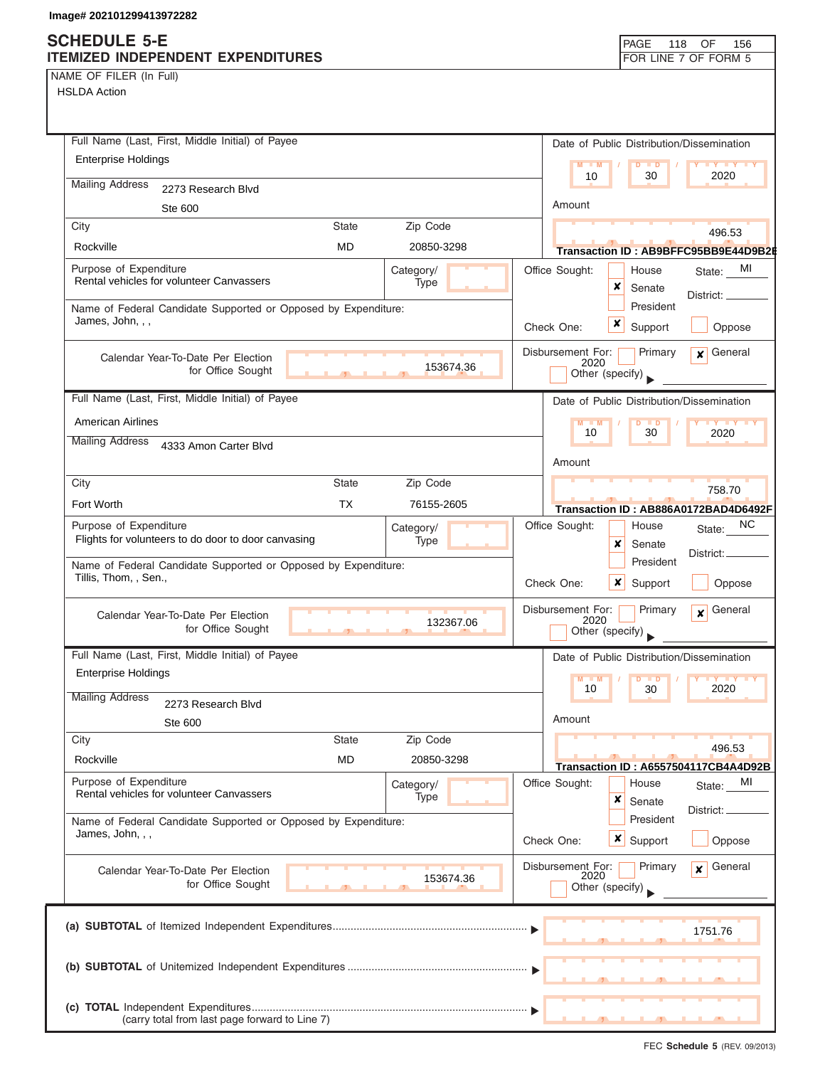NAME OF FILER (In Full)

| Full Name (Last, First, Middle Initial) of Payee                                                   | Date of Public Distribution/Dissemination                                          |
|----------------------------------------------------------------------------------------------------|------------------------------------------------------------------------------------|
| <b>Enterprise Holdings</b>                                                                         | $\overline{\mathsf{M}}$<br>$Y$ $Y$<br>M<br>$\blacksquare$                          |
| <b>Mailing Address</b>                                                                             | 2020<br>10<br>30                                                                   |
| 2273 Research Blvd                                                                                 | Amount                                                                             |
| Ste 600<br>Zip Code<br><b>State</b><br>City                                                        |                                                                                    |
| Rockville<br>MD<br>20850-3298                                                                      | 496.53                                                                             |
|                                                                                                    | Transaction ID:AB9BFFC95BB9E44D9B2I                                                |
| Purpose of Expenditure<br>Category/<br>Rental vehicles for volunteer Canvassers<br>Type            | Office Sought:<br>MI<br>House<br>State:<br>x<br>Senate<br>District:<br>President   |
| Name of Federal Candidate Supported or Opposed by Expenditure:<br>James, John, , ,                 | ×<br>Check One:<br>Support<br>Oppose                                               |
| Calendar Year-To-Date Per Election<br>153674.36<br>for Office Sought                               | Disbursement For:<br>$\mathbf x$ General<br>Primary<br>2020<br>Other (specify)     |
| Full Name (Last, First, Middle Initial) of Payee                                                   | Date of Public Distribution/Dissemination                                          |
| American Airlines                                                                                  | M<br><b>TY TY TY</b><br>$\blacksquare$                                             |
| <b>Mailing Address</b><br>4333 Amon Carter Blvd                                                    | 10<br>30<br>2020                                                                   |
|                                                                                                    | Amount                                                                             |
| Zip Code<br>City<br><b>State</b>                                                                   | 758.70                                                                             |
| <b>TX</b><br>Fort Worth<br>76155-2605                                                              | Transaction ID: AB886A0172BAD4D6492F                                               |
| Purpose of Expenditure<br>Category/<br>Flights for volunteers to do door to door canvasing<br>Type | NC<br>Office Sought:<br>House<br>State:<br>×<br>Senate                             |
| Name of Federal Candidate Supported or Opposed by Expenditure:<br>Tillis, Thom, , Sen.,            | District:<br>President<br>x<br>Check One:<br>Support<br>Oppose                     |
| Calendar Year-To-Date Per Election<br>132367.06<br>for Office Sought<br>$\mathcal{F}$              | Disbursement For:<br>General<br>Primary<br>$\mathbf{x}$<br>2020<br>Other (specify) |
| Full Name (Last, First, Middle Initial) of Payee                                                   | Date of Public Distribution/Dissemination                                          |
| <b>Enterprise Holdings</b>                                                                         | M<br>$\blacksquare$<br>$Y$ $Y$<br>$\blacksquare$<br>10<br>30<br>2020               |
| <b>Mailing Address</b><br>2273 Research Blvd<br>Ste 600                                            | Amount                                                                             |
| City<br><b>State</b><br>Zip Code                                                                   |                                                                                    |
| <b>MD</b><br>Rockville<br>20850-3298                                                               | 496.53<br>Transaction ID: A6557504117CB4A4D92B                                     |
| Purpose of Expenditure<br>Category/                                                                | Office Sought:<br>House<br>MI<br>State:                                            |
| Rental vehicles for volunteer Canvassers<br>Type                                                   | ×<br>Senate                                                                        |
| Name of Federal Candidate Supported or Opposed by Expenditure:                                     | District:<br>President                                                             |
| James, John, , ,                                                                                   | <b>x</b> Support<br>Check One:<br>Oppose                                           |
| Calendar Year-To-Date Per Election<br>153674.36<br>for Office Sought                               | Disbursement For:<br>General<br>Primary<br>$\mathbf{x}$<br>2020<br>Other (specify) |
|                                                                                                    | 1751.76                                                                            |
|                                                                                                    |                                                                                    |
| (carry total from last page forward to Line 7)                                                     |                                                                                    |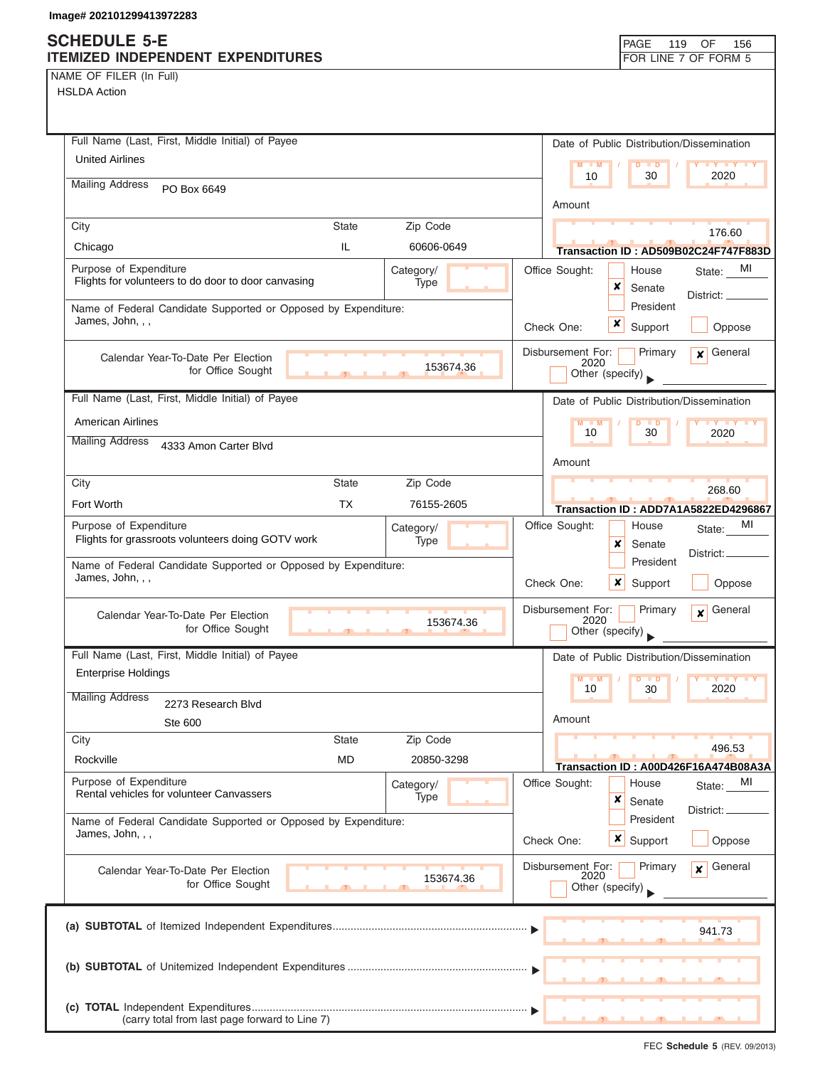### **SCHEDULE 5-E ITEMIZED INDEPENDENT EXPENDITURES FOR LINE 7 OF FORM 5**

NAME OF FILER (In Full)

| Full Name (Last, First, Middle Initial) of Payee                                   |            | Date of Public Distribution/Dissemination                       |
|------------------------------------------------------------------------------------|------------|-----------------------------------------------------------------|
| <b>United Airlines</b>                                                             |            | $M - M$<br><b>TY TY TY</b><br>$D$ $D$                           |
| <b>Mailing Address</b><br>PO Box 6649                                              |            | 10<br>30<br>2020                                                |
|                                                                                    |            | Amount                                                          |
| City<br><b>State</b>                                                               | Zip Code   | 176.60                                                          |
| IL.<br>Chicago                                                                     | 60606-0649 | Transaction ID: AD509B02C24F747F883D                            |
| Purpose of Expenditure<br>Flights for volunteers to do door to door canvasing      | Category/  | Office Sought:<br>MI<br>House<br>State:                         |
|                                                                                    | Type       | x<br>Senate<br>District: _                                      |
| Name of Federal Candidate Supported or Opposed by Expenditure:<br>James, John, , , |            | President                                                       |
|                                                                                    |            | x<br>Check One:<br>Support<br>Oppose                            |
| Calendar Year-To-Date Per Election                                                 |            | Primary<br>$x$ General<br>Disbursement For:<br>2020             |
| for Office Sought                                                                  | 153674.36  | Other (specify)                                                 |
| Full Name (Last, First, Middle Initial) of Payee                                   |            | Date of Public Distribution/Dissemination                       |
| <b>American Airlines</b>                                                           |            | D<br>$\blacksquare$                                             |
| <b>Mailing Address</b><br>4333 Amon Carter Blvd                                    |            | 10<br>2020<br>30                                                |
|                                                                                    |            | Amount                                                          |
| City<br><b>State</b>                                                               | Zip Code   | 268.60                                                          |
| Fort Worth<br>TX                                                                   | 76155-2605 | Transaction ID: ADD7A1A5822ED4296867                            |
| Purpose of Expenditure                                                             | Category/  | MI<br>Office Sought:<br>House<br>State:                         |
| Flights for grassroots volunteers doing GOTV work                                  | Type       | x<br>Senate<br>District:                                        |
| Name of Federal Candidate Supported or Opposed by Expenditure:<br>James, John, , , |            | President                                                       |
|                                                                                    |            | x<br>Oppose<br>Check One:<br>Support                            |
| Calendar Year-To-Date Per Election                                                 |            | General<br>Disbursement For:<br>Primary<br>$\mathbf{x}$<br>2020 |
| for Office Sought<br>$\overline{1}$<br><b>A</b>                                    | 153674.36  | Other (specify)                                                 |
| Full Name (Last, First, Middle Initial) of Payee                                   |            | Date of Public Distribution/Dissemination                       |
| <b>Enterprise Holdings</b>                                                         |            | $M - M$<br>$D$ $D$<br><b>IV IV</b>                              |
| <b>Mailing Address</b><br>2273 Research Blvd                                       |            | 2020<br>10<br>30                                                |
| Ste 600                                                                            |            | Amount                                                          |
| City<br><b>State</b>                                                               | Zip Code   | 496.53                                                          |
| <b>MD</b><br>Rockville                                                             | 20850-3298 | Transaction ID: A00D426F16A474B08A3A                            |
| Purpose of Expenditure                                                             | Category/  | Office Sought:<br>MI<br>House<br>State:                         |
| Rental vehicles for volunteer Canvassers                                           | Type       | ×<br>Senate<br>District:                                        |
| Name of Federal Candidate Supported or Opposed by Expenditure:<br>James, John, , , |            | President                                                       |
|                                                                                    |            | <b>x</b> Support<br>Oppose<br>Check One:                        |
| Calendar Year-To-Date Per Election                                                 |            | Disbursement For:<br>2020<br>General<br>Primary<br>$\mathbf{x}$ |
| for Office Sought                                                                  | 153674.36  | Other (specify)                                                 |
|                                                                                    |            |                                                                 |
|                                                                                    |            | 941.73                                                          |
|                                                                                    |            |                                                                 |
|                                                                                    |            |                                                                 |
|                                                                                    |            |                                                                 |
| (carry total from last page forward to Line 7)                                     |            |                                                                 |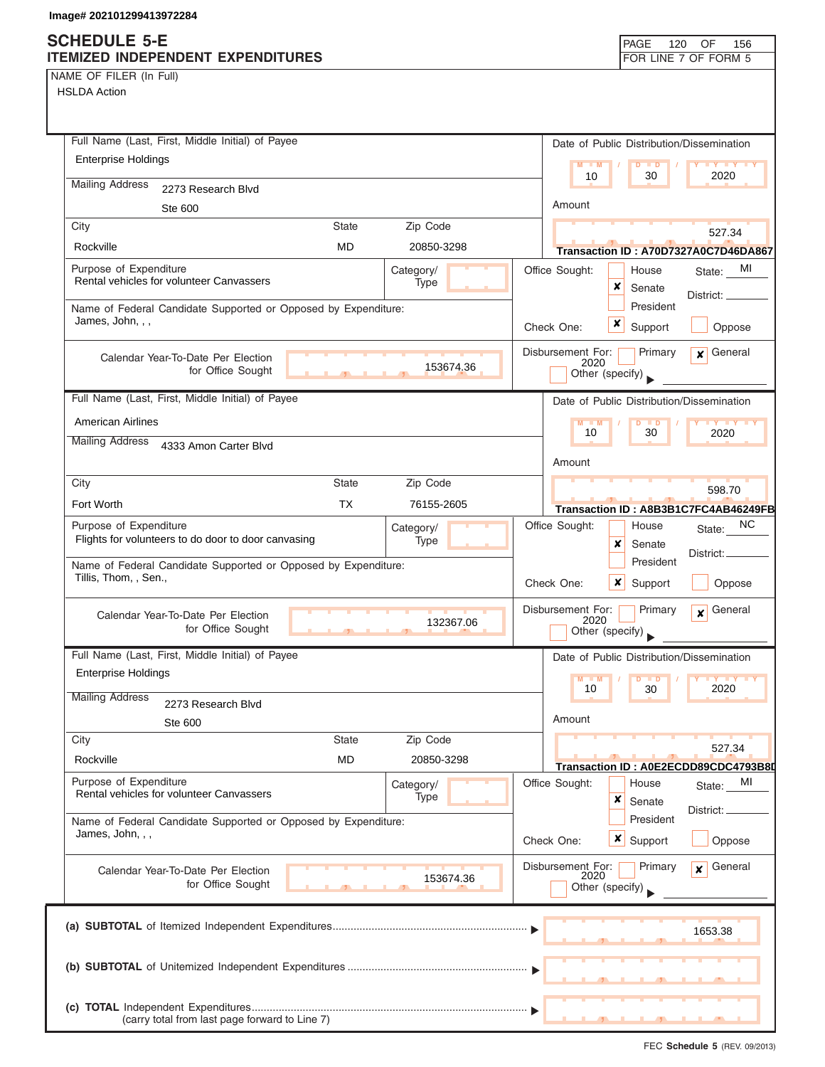NAME OF FILER (In Full)

| Full Name (Last, First, Middle Initial) of Payee                                                   | Date of Public Distribution/Dissemination                                          |
|----------------------------------------------------------------------------------------------------|------------------------------------------------------------------------------------|
| <b>Enterprise Holdings</b>                                                                         | $M - M$<br>$D$ $D$<br><b>TY TY TY</b>                                              |
| <b>Mailing Address</b><br>2273 Research Blvd                                                       | 10<br>30<br>2020                                                                   |
| Ste 600                                                                                            | Amount                                                                             |
| Zip Code<br>City<br><b>State</b>                                                                   | 527.34                                                                             |
| <b>MD</b><br>Rockville<br>20850-3298                                                               | Transaction ID: A70D7327A0C7D46DA867                                               |
| Purpose of Expenditure<br>Category/                                                                | Office Sought:<br>State: MI<br>House                                               |
| Rental vehicles for volunteer Canvassers<br>Type                                                   | x<br>Senate<br>District: __                                                        |
| Name of Federal Candidate Supported or Opposed by Expenditure:                                     | President                                                                          |
| James, John, , ,                                                                                   | x<br>Support<br>Check One:<br>Oppose                                               |
| Calendar Year-To-Date Per Election<br>153674.36<br>for Office Sought                               | Disbursement For:<br>Primary<br>$x$ General<br>2020<br>Other (specify)             |
| Full Name (Last, First, Middle Initial) of Payee                                                   | Date of Public Distribution/Dissemination                                          |
| <b>American Airlines</b>                                                                           | $M - M$<br>$\overline{D}$<br><b>THEY LITY LITY</b><br>$\blacksquare$               |
| <b>Mailing Address</b><br>4333 Amon Carter Blvd                                                    | 10<br>30<br>2020                                                                   |
|                                                                                                    | Amount                                                                             |
| Zip Code<br>City<br><b>State</b>                                                                   | 598.70                                                                             |
| <b>TX</b><br>Fort Worth<br>76155-2605                                                              | Transaction ID: A8B3B1C7FC4AB46249FB                                               |
| Purpose of Expenditure<br>Category/<br>Flights for volunteers to do door to door canvasing<br>Type | Office Sought:<br><sub>NC</sub><br>House<br>State:<br>×<br>Senate                  |
| Name of Federal Candidate Supported or Opposed by Expenditure:<br>Tillis, Thom, , Sen.,            | District: _<br>President<br>x<br>Check One:<br>Support<br>Oppose                   |
| Calendar Year-To-Date Per Election<br>132367.06<br>for Office Sought<br>$\mathbf{y}$               | Disbursement For:<br>Primary<br>General<br>$\mathbf{x}$<br>2020<br>Other (specify) |
| Full Name (Last, First, Middle Initial) of Payee                                                   | Date of Public Distribution/Dissemination                                          |
| <b>Enterprise Holdings</b>                                                                         | M                                                                                  |
| <b>Mailing Address</b><br>2273 Research Blvd                                                       | 10<br>30<br>2020                                                                   |
| Ste 600                                                                                            | Amount                                                                             |
| <b>State</b><br>Zip Code<br>City                                                                   |                                                                                    |
| <b>MD</b><br>Rockville<br>20850-3298                                                               | 527.34<br>Transaction ID: A0E2ECDD89CDC4793B80                                     |
| Purpose of Expenditure<br>Category/                                                                | Office Sought:<br>MI<br>House<br>State:                                            |
| Rental vehicles for volunteer Canvassers<br>Type                                                   | ×<br>Senate<br>District:                                                           |
| Name of Federal Candidate Supported or Opposed by Expenditure:                                     | President                                                                          |
| James, John, , ,                                                                                   | $\boldsymbol{x}$<br>Support<br>Check One:<br>Oppose                                |
| Calendar Year-To-Date Per Election                                                                 | Disbursement For:<br>Primary<br>General<br>$\mathbf{x}$                            |
| 153674.36<br>for Office Sought                                                                     | 2020<br>Other (specify)                                                            |
|                                                                                                    | 1653.38                                                                            |
|                                                                                                    |                                                                                    |
|                                                                                                    |                                                                                    |
| (carry total from last page forward to Line 7)                                                     |                                                                                    |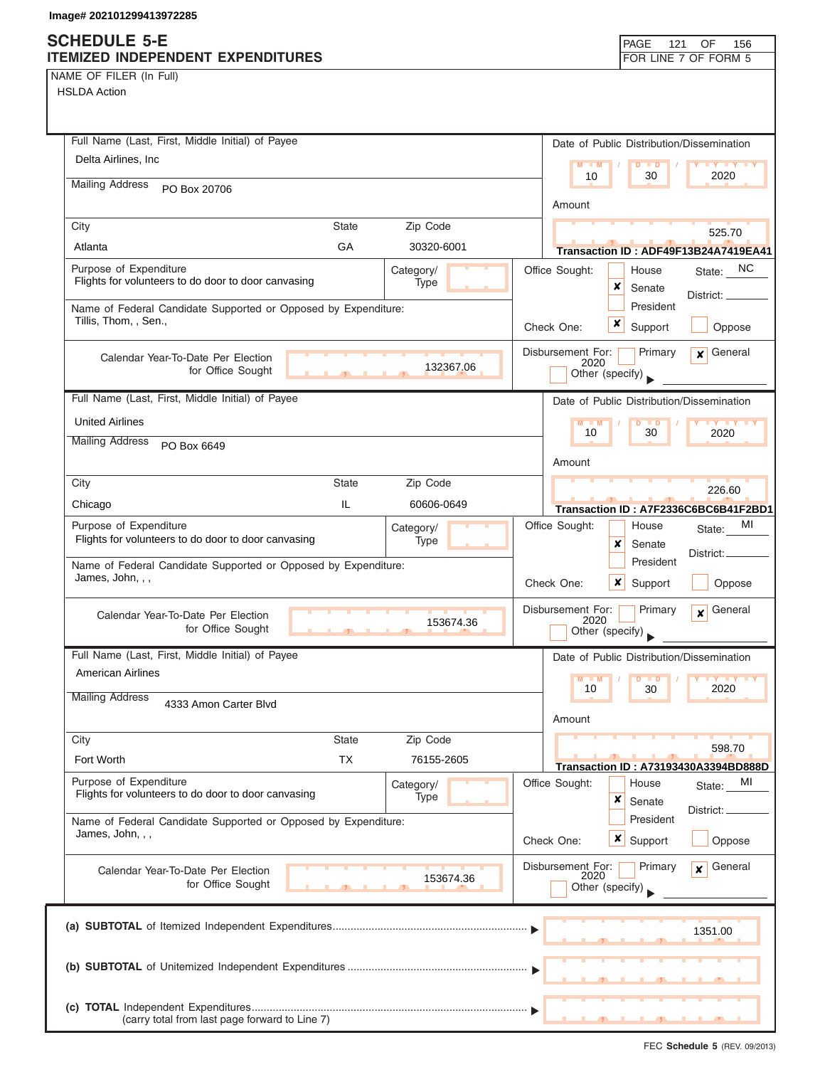### **SCHEDULE 5-E ITEMIZED INDEPENDENT EXPENDITURES FOR LINE 7 OF FORM 5**

NAME OF FILER (In Full) HSLDA Action

| HSLDA ACtion                                                                                       |                                                                                    |
|----------------------------------------------------------------------------------------------------|------------------------------------------------------------------------------------|
| Full Name (Last, First, Middle Initial) of Payee                                                   | Date of Public Distribution/Dissemination                                          |
| Delta Airlines, Inc.                                                                               | $M - M$<br>$D$ $D$<br>$Y$ $Y$<br>10<br>30<br>2020                                  |
| <b>Mailing Address</b><br>PO Box 20706                                                             | Amount                                                                             |
| Zip Code<br><b>State</b><br>City                                                                   |                                                                                    |
| GA<br>30320-6001<br>Atlanta                                                                        | 525.70<br>Transaction ID: ADF49F13B24A7419EA41                                     |
| Purpose of Expenditure<br>Category/<br>Flights for volunteers to do door to door canvasing<br>Type | <b>NC</b><br>Office Sought:<br>House<br>State:<br>×<br>Senate                      |
| Name of Federal Candidate Supported or Opposed by Expenditure:                                     | District: _<br>President                                                           |
| Tillis, Thom, , Sen.,                                                                              | x<br>Support<br>Oppose<br>Check One:                                               |
| Calendar Year-To-Date Per Election<br>132367.06<br>for Office Sought                               | Disbursement For:<br>Primary<br>General<br>$\mathbf{x}$<br>2020<br>Other (specify) |
| Full Name (Last, First, Middle Initial) of Payee                                                   | Date of Public Distribution/Dissemination                                          |
| <b>United Airlines</b>                                                                             | $M - M$<br>$\mathbf{y}$ $\mathbf{y}$<br>D<br><b>D</b><br>10<br>30<br>2020          |
| <b>Mailing Address</b><br>PO Box 6649                                                              | Amount                                                                             |
| City<br><b>State</b><br>Zip Code                                                                   | 226.60                                                                             |
| IL<br>60606-0649<br>Chicago                                                                        | Transaction ID: A7F2336C6BC6B41F2BD1                                               |
| Purpose of Expenditure<br>Category/<br>Flights for volunteers to do door to door canvasing<br>Type | МI<br>Office Sought:<br>House<br>State:<br>×<br>Senate<br>District:                |
| Name of Federal Candidate Supported or Opposed by Expenditure:<br>James, John, , ,                 | President<br>Check One:<br>×<br>Support<br>Oppose                                  |
| Calendar Year-To-Date Per Election<br>153674.36<br>for Office Sought                               | Disbursement For:<br>Primary<br>General<br>$\mathbf{x}$<br>2020<br>Other (specify) |
| Full Name (Last, First, Middle Initial) of Payee                                                   | Date of Public Distribution/Dissemination                                          |
| <b>American Airlines</b>                                                                           | $M - M$<br>10<br>30<br>2020                                                        |
| <b>Mailing Address</b><br>4333 Amon Carter Blvd                                                    | Amount                                                                             |
| Zip Code<br>City<br><b>State</b>                                                                   |                                                                                    |
| <b>TX</b><br>Fort Worth<br>76155-2605                                                              | 598.70<br><b>Transaction ID: A73193430A3394BD888D</b>                              |
| Purpose of Expenditure<br>Category/<br>Flights for volunteers to do door to door canvasing         | Office Sought:<br>House<br>MI<br>State:                                            |
| Type                                                                                               | ×<br>Senate<br>District:<br>President                                              |
| Name of Federal Candidate Supported or Opposed by Expenditure:<br>James, John, , ,                 | $\boldsymbol{\mathsf{x}}$<br>Check One:<br>Support<br>Oppose                       |
| Calendar Year-To-Date Per Election<br>153674.36<br>for Office Sought                               | Disbursement For:<br>Primary<br>General<br>$\mathbf{x}$<br>2020<br>Other (specify) |
|                                                                                                    | 1351.00                                                                            |
|                                                                                                    |                                                                                    |
| (carry total from last page forward to Line 7)                                                     |                                                                                    |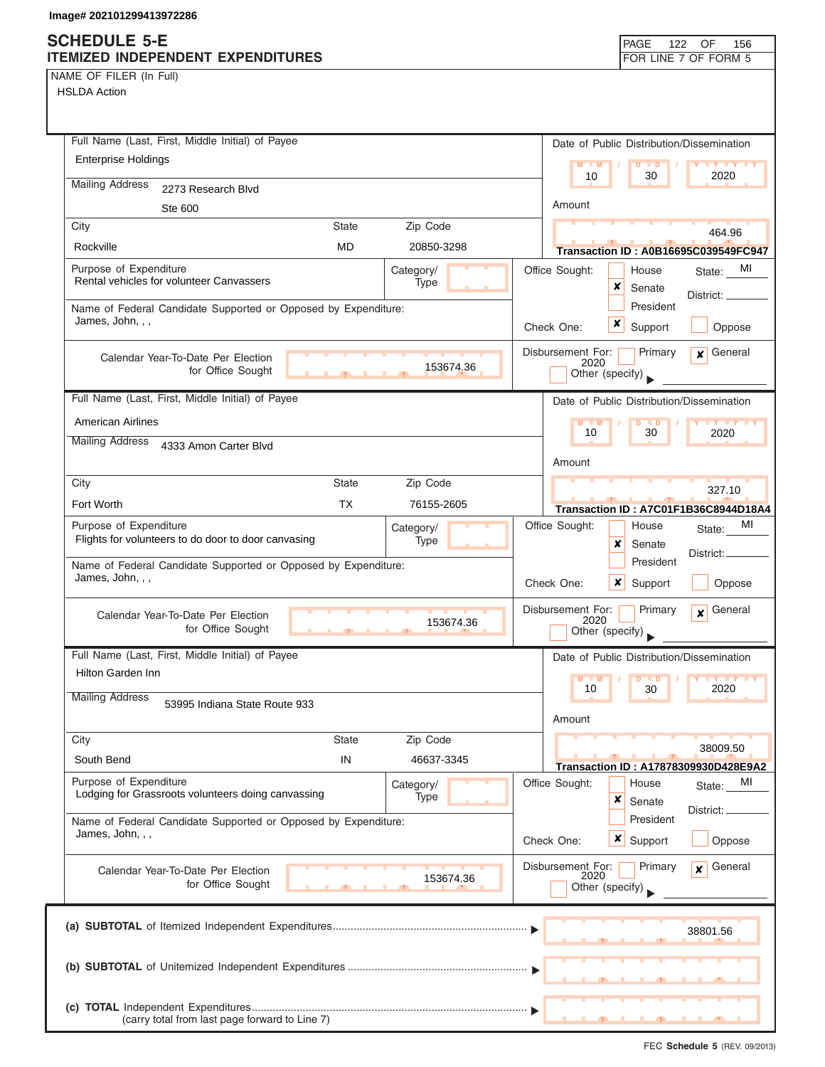NAME OF FILER (In Full)

HSLDA Action

| Full Name (Last, First, Middle Initial) of Payee                                                              | Date of Public Distribution/Dissemination                                          |
|---------------------------------------------------------------------------------------------------------------|------------------------------------------------------------------------------------|
| <b>Enterprise Holdings</b>                                                                                    | $M - M$<br>$D$ $D$<br><b>LY LY LY</b>                                              |
| <b>Mailing Address</b><br>2273 Research Blvd                                                                  | 10<br>30<br>2020                                                                   |
| Ste 600                                                                                                       | Amount                                                                             |
| City<br><b>State</b><br>Zip Code                                                                              | 464.96                                                                             |
| <b>MD</b><br>Rockville<br>20850-3298                                                                          | <b>Transaction ID: A0B16695C039549FC947</b>                                        |
| Purpose of Expenditure<br>Category/                                                                           | Office Sought:<br>MI<br>House<br>State:                                            |
| Rental vehicles for volunteer Canvassers<br>Type                                                              | x<br>Senate<br>District: _                                                         |
| Name of Federal Candidate Supported or Opposed by Expenditure:                                                | President                                                                          |
| James, John, , ,                                                                                              | x<br>Check One:<br>Support<br>Oppose                                               |
| Calendar Year-To-Date Per Election                                                                            | Disbursement For:<br>General<br>Primary<br>$\mathbf{x}$                            |
| 153674.36<br>for Office Sought<br>$\mathbf{A}$                                                                | 2020<br>Other (specify)                                                            |
| Full Name (Last, First, Middle Initial) of Payee                                                              | Date of Public Distribution/Dissemination                                          |
| <b>American Airlines</b>                                                                                      | $M = M$<br><b>IV Y Y Y</b><br>D<br>$\blacksquare$                                  |
| <b>Mailing Address</b><br>4333 Amon Carter Blvd                                                               | 10<br>30<br>2020                                                                   |
|                                                                                                               | Amount                                                                             |
| Zip Code<br>City<br><b>State</b>                                                                              | 327.10                                                                             |
| <b>TX</b><br>Fort Worth<br>76155-2605                                                                         | Transaction ID: A7C01F1B36C8944D18A4                                               |
| Purpose of Expenditure<br>Category/                                                                           | Office Sought:<br>MI<br>House<br>State:                                            |
| Flights for volunteers to do door to door canvasing<br>Type                                                   | x<br>Senate<br>District:                                                           |
| Name of Federal Candidate Supported or Opposed by Expenditure:<br>James, John, , ,                            | President<br>Check One:<br>x<br>Support<br>Oppose                                  |
| Calendar Year-To-Date Per Election<br>153674.36<br>for Office Sought<br><b>The Contract Contract Contract</b> | Disbursement For:<br>Primary<br>General<br>$\mathbf{x}$<br>2020<br>Other (specify) |
| Full Name (Last, First, Middle Initial) of Payee                                                              | Date of Public Distribution/Dissemination                                          |
| Hilton Garden Inn                                                                                             | $\overline{\mathbf{y}}$<br>M<br>$\blacksquare$                                     |
| <b>Mailing Address</b><br>53995 Indiana State Route 933                                                       | 2020<br>10<br>30                                                                   |
|                                                                                                               | Amount                                                                             |
| Zip Code<br>City<br><b>State</b>                                                                              | 38009.50                                                                           |
| South Bend<br>IN<br>46637-3345                                                                                | Transaction ID: A17878309930D428E9A2                                               |
| Purpose of Expenditure<br>Category/                                                                           | Office Sought:<br>House<br>MI<br>State:                                            |
| Lodging for Grassroots volunteers doing canvassing<br>Type                                                    | ×<br>Senate<br>District:                                                           |
| Name of Federal Candidate Supported or Opposed by Expenditure:<br>James, John, , ,                            | President                                                                          |
|                                                                                                               | x<br>Oppose<br>Check One:<br>Support                                               |
| Calendar Year-To-Date Per Election                                                                            | Disbursement For:<br>General<br>Primary<br>$\mathbf{x}$<br>2020                    |
| 153674.36<br>for Office Sought                                                                                | Other (specify)                                                                    |
|                                                                                                               |                                                                                    |
|                                                                                                               | 38801.56                                                                           |
|                                                                                                               |                                                                                    |
|                                                                                                               |                                                                                    |
|                                                                                                               |                                                                                    |
| (carry total from last page forward to Line 7)                                                                |                                                                                    |

FEC **Schedule 5** (REV. 09/2013)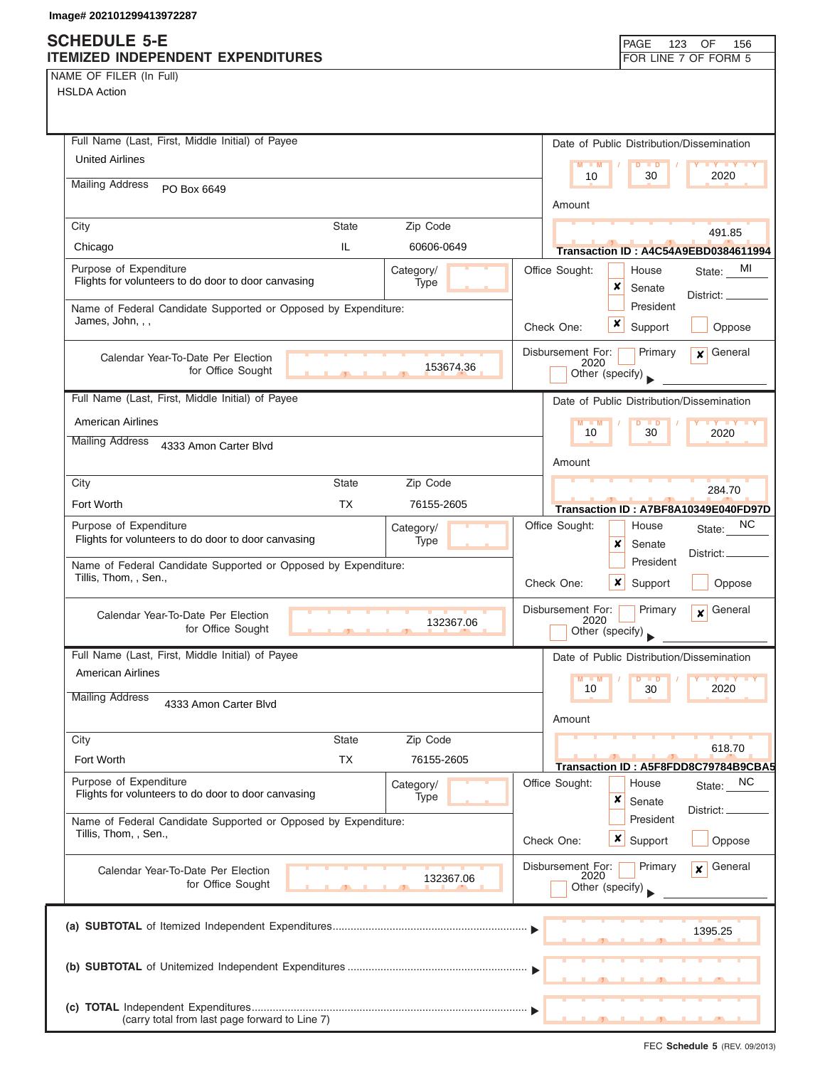## **SCHEDULE 5-E**

| NAME OF FILER (In Full) |  |  |
|-------------------------|--|--|
|-------------------------|--|--|

| ITEMIZED INDEPENDENT EXPENDITURES                                                                 | FOR LINE 7 OF FORM 5                                               |
|---------------------------------------------------------------------------------------------------|--------------------------------------------------------------------|
| NAME OF FILER (In Full)                                                                           |                                                                    |
| <b>HSLDA Action</b>                                                                               |                                                                    |
|                                                                                                   |                                                                    |
| Full Name (Last, First, Middle Initial) of Payee                                                  | Date of Public Distribution/Dissemination                          |
| <b>United Airlines</b>                                                                            |                                                                    |
|                                                                                                   | $M - M$<br>$D$ $\Box$ $D$<br>Y Y Y Y Y<br>2020<br>10<br>30         |
| <b>Mailing Address</b><br>PO Box 6649                                                             |                                                                    |
|                                                                                                   | Amount                                                             |
| <b>State</b><br>Zip Code<br>City                                                                  | 491.85                                                             |
| IL.<br>Chicago<br>60606-0649                                                                      | Transaction ID: A4C54A9EBD0384611994                               |
| Purpose of Expenditure<br>Category/                                                               | Office Sought:<br>State: MI<br>House                               |
| Flights for volunteers to do door to door canvasing<br>Type                                       | ×<br>Senate<br>District:                                           |
| Name of Federal Candidate Supported or Opposed by Expenditure:                                    | President                                                          |
| James, John, , ,                                                                                  | x<br>Check One:<br>Support<br>Oppose                               |
| Calendar Year-To-Date Per Election                                                                | $\overline{\mathbf{x}}$ General<br>Disbursement For:<br>Primary    |
| 153674.36<br>for Office Sought                                                                    | 2020<br>Other (specify)                                            |
|                                                                                                   |                                                                    |
| Full Name (Last, First, Middle Initial) of Payee                                                  | Date of Public Distribution/Dissemination                          |
| <b>American Airlines</b>                                                                          | $M - M$<br>D<br>$\blacksquare$<br>30<br>10<br>2020                 |
| <b>Mailing Address</b><br>4333 Amon Carter Blvd                                                   |                                                                    |
|                                                                                                   | Amount                                                             |
| City<br><b>State</b><br>Zip Code                                                                  | 284.70                                                             |
| <b>TX</b><br>Fort Worth<br>76155-2605                                                             | Transaction ID: A7BF8A10349E040FD97D                               |
| Purpose of Expenditure<br>Category/                                                               | NC.<br>Office Sought:<br>House<br>State:                           |
| Flights for volunteers to do door to door canvasing<br>Type                                       | ×<br>Senate<br>District:                                           |
| Name of Federal Candidate Supported or Opposed by Expenditure:                                    | President                                                          |
| Tillis, Thom, , Sen.,                                                                             | Check One:<br>Oppose<br>x<br>Support                               |
|                                                                                                   | Disbursement For:<br>Primary<br>General<br>$\boldsymbol{x}$        |
| Calendar Year-To-Date Per Election<br>132367.06<br>for Office Sought<br>$\mathbf{1}$ $\mathbf{1}$ | 2020<br>Other (specify)                                            |
|                                                                                                   |                                                                    |
| Full Name (Last, First, Middle Initial) of Payee                                                  | Date of Public Distribution/Dissemination                          |
| American Airlines                                                                                 | <b>TY TY</b><br>$M$ $M$<br>D<br>$\blacksquare$<br>2020<br>10<br>30 |
| <b>Mailing Address</b><br>4333 Amon Carter Blvd                                                   |                                                                    |
|                                                                                                   | Amount                                                             |
| Zip Code<br><b>State</b><br>City                                                                  | 618.70                                                             |
| <b>TX</b><br>Fort Worth<br>76155-2605                                                             | Transaction ID: A5F8FDD8C79784B9CBA5                               |
| Purpose of Expenditure<br>Category/                                                               | <b>NC</b><br>Office Sought:<br>House<br>State:                     |
| Flights for volunteers to do door to door canvasing<br>Type                                       | ×<br>Senate                                                        |
| Name of Federal Candidate Supported or Opposed by Expenditure:                                    | District: _<br>President                                           |
| Tillis, Thom, , Sen.,                                                                             | $\boldsymbol{x}$<br>Support<br>Check One:<br>Oppose                |
|                                                                                                   | Disbursement For:<br>Primary<br>General                            |
| Calendar Year-To-Date Per Election<br>132367.06<br>for Office Sought                              | $\mathbf{x}$<br>2020                                               |
|                                                                                                   | Other (specify)                                                    |
|                                                                                                   |                                                                    |
|                                                                                                   | 1395.25                                                            |
|                                                                                                   |                                                                    |
|                                                                                                   |                                                                    |
|                                                                                                   |                                                                    |
| (carry total from last page forward to Line 7)                                                    |                                                                    |

FEC **Schedule 5** (REV. 09/2013)

PAGE 123 OF 156

I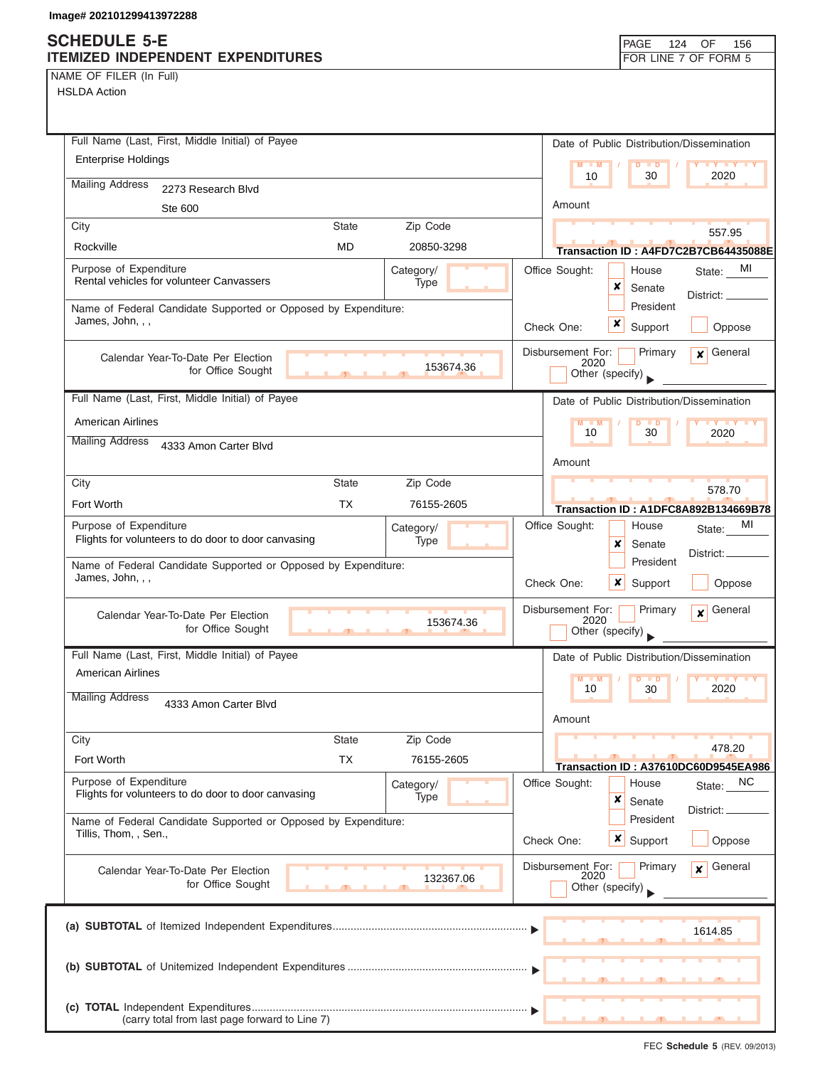NAME OF FILER (In Full)

HSLDA Action

| Full Name (Last, First, Middle Initial) of Payee                                                          | Date of Public Distribution/Dissemination                                          |
|-----------------------------------------------------------------------------------------------------------|------------------------------------------------------------------------------------|
| <b>Enterprise Holdings</b>                                                                                | $M - M$<br>$\overline{D}$<br>$\blacksquare$<br><b>TY TY TY</b>                     |
| <b>Mailing Address</b><br>2273 Research Blvd                                                              | 2020<br>10<br>30                                                                   |
| Ste 600                                                                                                   | Amount                                                                             |
| Zip Code<br>City<br><b>State</b>                                                                          |                                                                                    |
| Rockville<br><b>MD</b><br>20850-3298                                                                      | 557.95<br>Transaction ID: A4FD7C2B7CB64435088E                                     |
| Purpose of Expenditure<br>Category/                                                                       | Office Sought:<br>State: MI<br>House                                               |
| Rental vehicles for volunteer Canvassers<br>Type                                                          | ×<br>Senate                                                                        |
| Name of Federal Candidate Supported or Opposed by Expenditure:                                            | District:<br>President                                                             |
| James, John, , ,                                                                                          | x<br>Check One:<br>Support<br>Oppose                                               |
| Calendar Year-To-Date Per Election<br>153674.36<br>for Office Sought<br>$\mathbf{F}$<br>- 11              | Disbursement For:<br>General<br>Primary<br>$\mathbf{x}$<br>2020<br>Other (specify) |
| Full Name (Last, First, Middle Initial) of Payee                                                          | Date of Public Distribution/Dissemination                                          |
| <b>American Airlines</b>                                                                                  | $M - M$<br>D<br><b>TY TY TY</b>                                                    |
| <b>Mailing Address</b><br>4333 Amon Carter Blvd                                                           | 10<br>30<br>2020                                                                   |
|                                                                                                           | Amount                                                                             |
| Zip Code<br>City<br><b>State</b>                                                                          | 578.70                                                                             |
| <b>TX</b><br>Fort Worth<br>76155-2605                                                                     | Transaction ID: A1DFC8A892B134669B78                                               |
| Purpose of Expenditure<br>Category/<br>Flights for volunteers to do door to door canvasing<br><b>Type</b> | Office Sought:<br>МI<br>House<br>State:<br>x<br>Senate                             |
| Name of Federal Candidate Supported or Opposed by Expenditure:<br>James, John, , ,                        | District:<br>President<br>Check One:<br>×<br>Support<br>Oppose                     |
| Calendar Year-To-Date Per Election<br>153674.36<br>for Office Sought<br>$\mathbf{F}$                      | Disbursement For:<br>General<br>Primary<br>$\mathbf{x}$<br>2020<br>Other (specify) |
| Full Name (Last, First, Middle Initial) of Payee                                                          | Date of Public Distribution/Dissemination                                          |
| <b>American Airlines</b>                                                                                  | M                                                                                  |
| <b>Mailing Address</b><br>4333 Amon Carter Blvd                                                           | 10<br>2020<br>30                                                                   |
|                                                                                                           | Amount                                                                             |
| <b>State</b><br>Zip Code<br>City                                                                          | 478.20                                                                             |
| <b>TX</b><br>Fort Worth<br>76155-2605                                                                     | Transaction ID: A37610DC60D9545EA986                                               |
| Purpose of Expenditure<br>Category/                                                                       | Office Sought:<br>House<br><b>NC</b><br>State:                                     |
| Flights for volunteers to do door to door canvasing<br>Type                                               | ×<br>Senate<br>District:                                                           |
| Name of Federal Candidate Supported or Opposed by Expenditure:                                            | President                                                                          |
| Tillis, Thom, , Sen.,                                                                                     | $\boldsymbol{\mathsf{x}}$<br>Check One:<br>Support<br>Oppose                       |
| Calendar Year-To-Date Per Election                                                                        | General<br>Disbursement For:<br>Primary<br>$\mathbf{x}$<br>2020                    |
| 132367.06<br>for Office Sought                                                                            | Other (specify)                                                                    |
|                                                                                                           |                                                                                    |
|                                                                                                           | 1614.85                                                                            |
|                                                                                                           |                                                                                    |
|                                                                                                           |                                                                                    |
|                                                                                                           |                                                                                    |
| (carry total from last page forward to Line 7)                                                            |                                                                                    |

FEC **Schedule 5** (REV. 09/2013)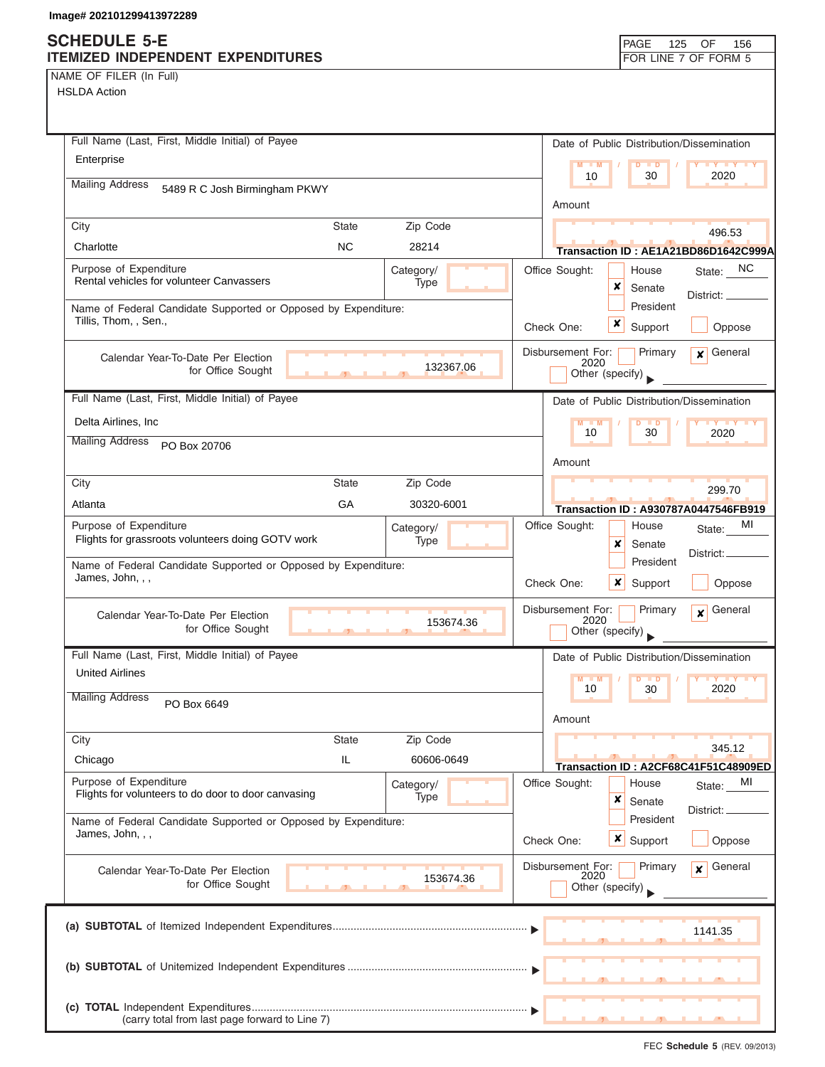(carry total from last page forward to Line 7)

NAME OF FILER (In Full) HSLDA Action

| TULUA AUTUH                                                                             |              |                   |                                              |                      |                                      |
|-----------------------------------------------------------------------------------------|--------------|-------------------|----------------------------------------------|----------------------|--------------------------------------|
| Full Name (Last, First, Middle Initial) of Payee                                        |              |                   | Date of Public Distribution/Dissemination    |                      |                                      |
| Enterprise                                                                              |              |                   | M<br>10                                      | 30                   | 2020                                 |
| <b>Mailing Address</b><br>5489 R C Josh Birmingham PKWY                                 |              |                   |                                              |                      |                                      |
|                                                                                         |              |                   | Amount                                       |                      |                                      |
| City                                                                                    | State        | Zip Code          |                                              |                      | 496.53                               |
| Charlotte                                                                               | <b>NC</b>    | 28214             |                                              |                      | Transaction ID: AE1A21BD86D1642C999A |
| Purpose of Expenditure<br>Rental vehicles for volunteer Canvassers                      |              | Category/<br>Type | Office Sought:<br>×                          | House<br>Senate      | State: NC<br>District: _             |
| Name of Federal Candidate Supported or Opposed by Expenditure:<br>Tillis, Thom, , Sen., |              |                   | x<br>Check One:                              | President<br>Support | Oppose                               |
| Calendar Year-To-Date Per Election<br>for Office Sought                                 |              | 132367.06         | Disbursement For:<br>2020<br>Other (specify) | Primary              | General<br>$\mathbf{x}$              |
| Full Name (Last, First, Middle Initial) of Payee                                        |              |                   | Date of Public Distribution/Dissemination    |                      |                                      |
| Delta Airlines, Inc.                                                                    |              |                   | $M - M$                                      |                      |                                      |
| <b>Mailing Address</b><br>PO Box 20706                                                  |              |                   | 10                                           | 30                   | 2020                                 |
|                                                                                         |              |                   | Amount                                       |                      |                                      |
| City                                                                                    | <b>State</b> | Zip Code          |                                              |                      | 299.70                               |
| Atlanta                                                                                 | GA           | 30320-6001        | <b>Transaction ID: A930787A0447546FB919</b>  |                      |                                      |
| Purpose of Expenditure<br>Flights for grassroots volunteers doing GOTV work             |              | Category/<br>Type | Office Sought:<br>x                          | House<br>Senate      | MI<br>State:<br>District:            |
| Name of Federal Candidate Supported or Opposed by Expenditure:<br>James, John, , ,      |              |                   | Check One:<br>x                              | President<br>Support | Oppose                               |
| Calendar Year-To-Date Per Election<br>for Office Sought                                 |              | 153674.36         | Disbursement For:<br>2020<br>Other (specify) | Primary              | General<br>$\mathbf{x}$              |
| Full Name (Last, First, Middle Initial) of Payee                                        |              |                   | Date of Public Distribution/Dissemination    |                      |                                      |
| <b>United Airlines</b>                                                                  |              |                   | M<br>10                                      | 30                   | 2020                                 |
| <b>Mailing Address</b><br>PO Box 6649                                                   |              |                   | Amount                                       |                      |                                      |
| City                                                                                    | <b>State</b> | Zip Code          |                                              |                      | 345.12                               |
| Chicago                                                                                 | IL           | 60606-0649        | Transaction ID: A2CF68C41F51C48909ED         |                      |                                      |
| Purpose of Expenditure<br>Flights for volunteers to do door to door canvasing           |              | Category/<br>Type | Office Sought:                               | House                | MI<br>State:                         |
|                                                                                         |              |                   | ×                                            | Senate<br>President  | District:                            |
| Name of Federal Candidate Supported or Opposed by Expenditure:<br>James, John, , ,      |              |                   | $x \mid$<br>Check One:                       | Support              | Oppose                               |
| Calendar Year-To-Date Per Election<br>for Office Sought                                 |              | 153674.36         | Disbursement For:<br>2020<br>Other (specify) | Primary              | General<br>$\boldsymbol{x}$          |
|                                                                                         |              |                   |                                              |                      | 1141.35                              |
|                                                                                         |              |                   |                                              |                      |                                      |
|                                                                                         |              |                   |                                              |                      |                                      |

▲ ▲ ▲ , , .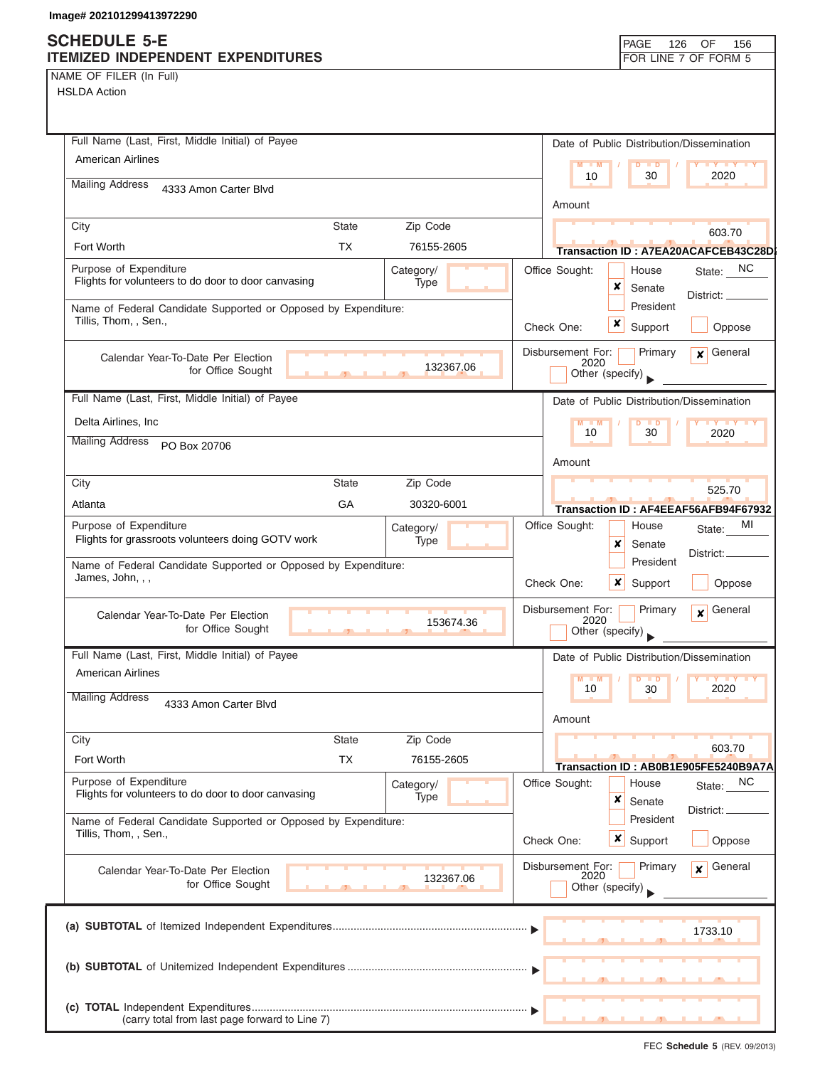NAME OF FILER (In Full)

| Full Name (Last, First, Middle Initial) of Payee               |               |            | Date of Public Distribution/Dissemination  |                     |
|----------------------------------------------------------------|---------------|------------|--------------------------------------------|---------------------|
| <b>American Airlines</b>                                       |               |            | $M - M$<br>$\blacksquare$<br>D             | <b>LY LY</b>        |
| <b>Mailing Address</b><br>4333 Amon Carter Blvd                |               |            | 10<br>30                                   | 2020                |
|                                                                |               |            | Amount                                     |                     |
| City                                                           | <b>State</b>  | Zip Code   |                                            | 603.70              |
| Fort Worth                                                     | <b>TX</b>     | 76155-2605 | Transaction ID: A7EA20ACAFCEB43C28D        |                     |
| Purpose of Expenditure                                         |               | Category/  | Office Sought:<br>House                    | State: NC           |
| Flights for volunteers to do door to door canvasing            |               | Type       | ×<br>Senate                                | District: _         |
| Name of Federal Candidate Supported or Opposed by Expenditure: |               |            | President                                  |                     |
| Tillis, Thom, , Sen.,                                          |               |            | x<br>Support<br>Check One:                 | Oppose              |
| Calendar Year-To-Date Per Election                             |               |            | Disbursement For:<br>Primary<br>2020       | $x$ General         |
| for Office Sought                                              | $\mathcal{L}$ | 132367.06  | Other (specify)                            |                     |
| Full Name (Last, First, Middle Initial) of Payee               |               |            | Date of Public Distribution/Dissemination  |                     |
| Delta Airlines, Inc                                            |               |            | $M - M$<br>$D$ $D$                         | <b>IVITY TY</b>     |
| <b>Mailing Address</b><br>PO Box 20706                         |               |            | 10<br>30                                   | 2020                |
|                                                                |               |            | Amount                                     |                     |
| City                                                           | <b>State</b>  | Zip Code   |                                            | 525.70              |
| Atlanta                                                        | GA            | 30320-6001 | Transaction ID: AF4EEAF56AFB94F67932       |                     |
| Purpose of Expenditure                                         |               | Category/  | Office Sought:<br>House                    | МI<br>State:        |
| Flights for grassroots volunteers doing GOTV work              |               | Type       | x<br>Senate                                | District:           |
| Name of Federal Candidate Supported or Opposed by Expenditure: |               |            | President                                  |                     |
| James, John, , ,                                               |               |            | $x$ Support<br>Check One:                  | Oppose              |
| Calendar Year-To-Date Per Election                             |               |            | Disbursement For:<br>Primary               | $\mathbf x$ General |
| for Office Sought                                              |               | 153674.36  | 2020<br>Other (specify)                    |                     |
| Full Name (Last, First, Middle Initial) of Payee               |               |            | Date of Public Distribution/Dissemination  |                     |
| <b>American Airlines</b>                                       |               |            | M<br>M<br>$\overline{D}$<br>$\blacksquare$ | <b>IV Y</b>         |
| <b>Mailing Address</b><br>4333 Amon Carter Blvd                |               |            | 10<br>30                                   | 2020                |
|                                                                |               |            | Amount                                     |                     |
| City                                                           | <b>State</b>  | Zip Code   |                                            |                     |
| Fort Worth                                                     | <b>TX</b>     | 76155-2605 | Transaction ID: AB0B1E905FE5240B9A7A       | 603.70              |
| Purpose of Expenditure                                         |               | Category/  | Office Sought:<br>House                    | <b>NC</b><br>State: |
| Flights for volunteers to do door to door canvasing            |               | Type       | ×<br>Senate                                |                     |
| Name of Federal Candidate Supported or Opposed by Expenditure: |               |            | President                                  | District:           |
| Tillis, Thom., Sen.,                                           |               |            | x<br>Check One:<br>Support                 | Oppose              |
| Calendar Year-To-Date Per Election                             |               |            | Disbursement For:<br>Primary               | General<br>x        |
| for Office Sought                                              |               | 132367.06  | 2020<br>Other (specify)                    |                     |
|                                                                |               |            |                                            |                     |
|                                                                |               |            |                                            | 1733.10             |
|                                                                |               |            |                                            |                     |
|                                                                |               |            |                                            |                     |
|                                                                |               |            |                                            |                     |
| (carry total from last page forward to Line 7)                 |               |            |                                            |                     |
|                                                                |               |            |                                            |                     |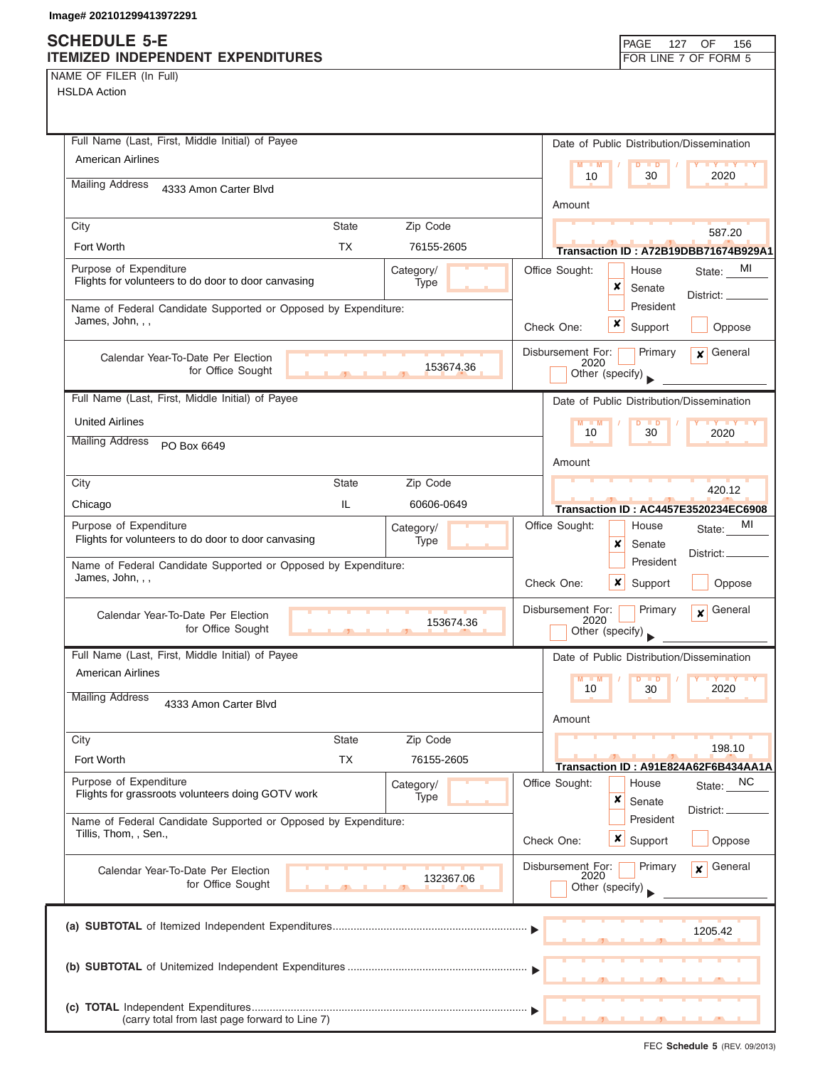## **SCHEDULE 5-E**

|  | NAME OF FILER (In Full) |  |
|--|-------------------------|--|
|  |                         |  |

| SCHEDULE 5-E<br><b>ITEMIZED INDEPENDENT EXPENDITURES</b>                                |                     |                          |                |                           | PAGE<br>127                               | 156<br>OF<br>FOR LINE 7 OF FORM 5                 |
|-----------------------------------------------------------------------------------------|---------------------|--------------------------|----------------|---------------------------|-------------------------------------------|---------------------------------------------------|
| NAME OF FILER (In Full)<br><b>HSLDA Action</b>                                          |                     |                          |                |                           |                                           |                                                   |
| Full Name (Last, First, Middle Initial) of Payee                                        |                     |                          |                |                           | Date of Public Distribution/Dissemination |                                                   |
| <b>American Airlines</b>                                                                |                     |                          |                | M<br>$-M$<br>10           | $\overline{D}$<br>$\blacksquare$<br>30    | 2020                                              |
| <b>Mailing Address</b><br>4333 Amon Carter Blvd                                         |                     |                          |                | Amount                    |                                           |                                                   |
| City                                                                                    | <b>State</b>        | Zip Code                 |                |                           |                                           | 587.20                                            |
| Fort Worth                                                                              | <b>TX</b>           | 76155-2605               |                |                           |                                           | Transaction ID: A72B19DBB71674B929A1              |
| Purpose of Expenditure<br>Flights for volunteers to do door to door canvasing           |                     | Category/<br>Type        |                | Office Sought:            | House<br>×<br>Senate                      | State: MI                                         |
| Name of Federal Candidate Supported or Opposed by Expenditure:<br>James, John, , ,      |                     |                          | Check One:     |                           | President<br>x<br>Support                 | District: __<br>Oppose                            |
| Calendar Year-To-Date Per Election<br>for Office Sought                                 |                     | 153674.36                |                | Disbursement For:<br>2020 | Primary<br>Other (specify)                | General<br>$\mathbf{x}$                           |
| Full Name (Last, First, Middle Initial) of Payee                                        |                     |                          |                |                           | Date of Public Distribution/Dissemination |                                                   |
| <b>United Airlines</b>                                                                  |                     |                          |                |                           | D<br>$\Box$                               |                                                   |
| <b>Mailing Address</b><br>PO Box 6649                                                   |                     |                          |                | 10                        | 30                                        | 2020                                              |
|                                                                                         |                     |                          |                | Amount                    |                                           |                                                   |
| City                                                                                    | <b>State</b><br>IL. | Zip Code                 |                |                           |                                           | 420.12                                            |
| Chicago<br>Purpose of Expenditure                                                       |                     | 60606-0649               |                | Office Sought:            | House                                     | <b>Transaction ID: AC4457E3520234EC6908</b><br>MI |
| Flights for volunteers to do door to door canvasing                                     |                     | Category/<br><b>Type</b> |                |                           | x<br>Senate                               | State:                                            |
| Name of Federal Candidate Supported or Opposed by Expenditure:<br>James, John, , ,      |                     |                          | Check One:     |                           | President<br>x<br>Support                 | District:<br>Oppose                               |
|                                                                                         |                     |                          |                |                           |                                           |                                                   |
| Calendar Year-To-Date Per Election<br>for Office Sought                                 | $\mathbf{r}$        | 153674.36                |                | Disbursement For:<br>2020 | Primary<br>Other (specify)                | General<br>$\boldsymbol{x}$                       |
| Full Name (Last, First, Middle Initial) of Payee                                        |                     |                          |                |                           | Date of Public Distribution/Dissemination |                                                   |
| <b>American Airlines</b>                                                                |                     |                          |                | $M - M$<br>10             | $\blacksquare$ D<br>30                    | <b>TY TY</b><br>2020                              |
| <b>Mailing Address</b><br>4333 Amon Carter Blvd                                         |                     |                          |                | Amount                    |                                           |                                                   |
| City                                                                                    | <b>State</b>        | Zip Code                 |                |                           |                                           | 198.10                                            |
| Fort Worth                                                                              | ТX                  | 76155-2605               |                |                           |                                           | Transaction ID: A91E824A62F6B434AA1A              |
| Purpose of Expenditure<br>Flights for grassroots volunteers doing GOTV work             |                     | Category/<br>Type        | Office Sought: |                           | House<br>×<br>Senate                      | NC<br>State:                                      |
| Name of Federal Candidate Supported or Opposed by Expenditure:<br>Tillis, Thom, , Sen., |                     |                          | Check One:     |                           | President<br><b>x</b> Support             | District: _<br>Oppose                             |
| Calendar Year-To-Date Per Election<br>for Office Sought                                 |                     | 132367.06                |                | Disbursement For:<br>2020 | Primary<br>Other (specify)                | General<br>$\mathbf{x}$                           |
|                                                                                         |                     |                          |                |                           |                                           | 1205.42                                           |
|                                                                                         |                     |                          |                |                           |                                           |                                                   |
| (carry total from last page forward to Line 7)                                          |                     |                          |                |                           |                                           |                                                   |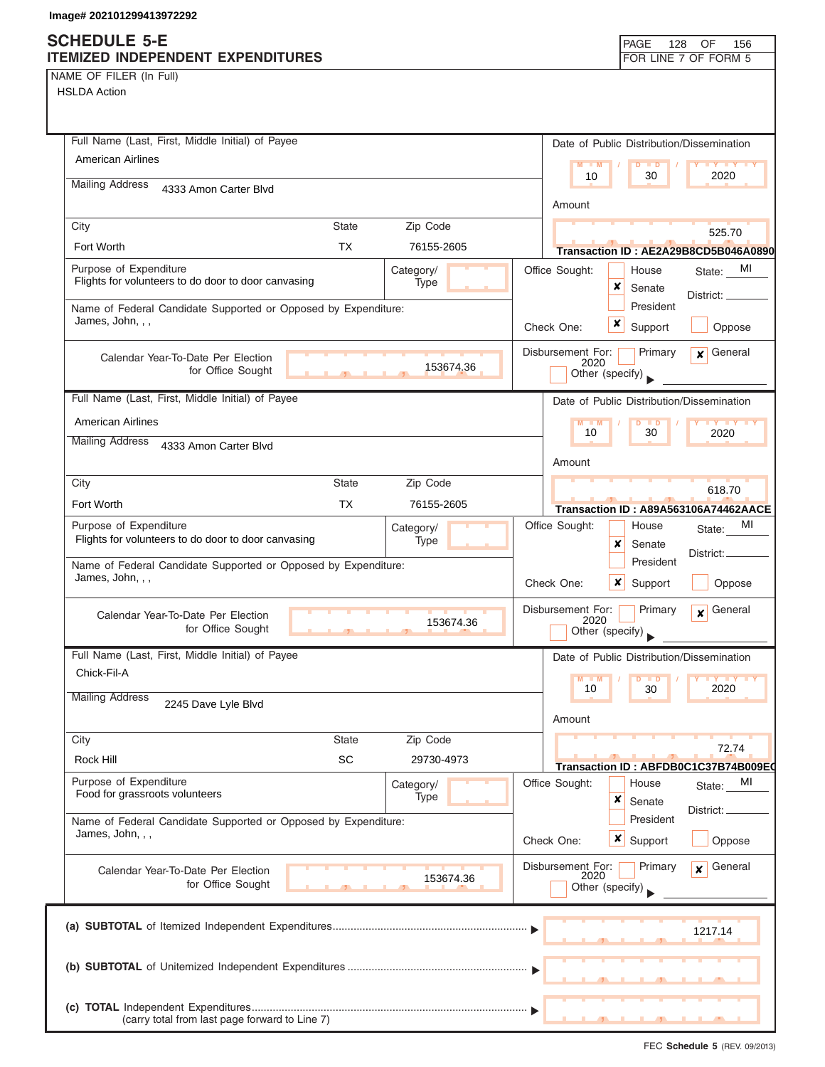## **S**<br>ITI

|  | NAME OF FILER (In Full) |  |
|--|-------------------------|--|
|  |                         |  |

| SCHEDULE 5-E<br>ITEMIZED INDEPENDENT EXPENDITURES                                  |              |                          |            |                           | PAGE                      | 128       | OF<br>156<br>FOR LINE 7 OF FORM 5                    |
|------------------------------------------------------------------------------------|--------------|--------------------------|------------|---------------------------|---------------------------|-----------|------------------------------------------------------|
| NAME OF FILER (In Full)<br><b>HSLDA Action</b>                                     |              |                          |            |                           |                           |           |                                                      |
| Full Name (Last, First, Middle Initial) of Payee                                   |              |                          |            |                           |                           |           | Date of Public Distribution/Dissemination            |
| <b>American Airlines</b>                                                           |              |                          |            | $M - M$<br>10             | $D$ $D$<br>30             |           | $\mathbf{y}$ $\mathbf{y}$<br>2020                    |
| <b>Mailing Address</b><br>4333 Amon Carter Blvd                                    |              |                          |            |                           |                           |           |                                                      |
|                                                                                    |              |                          |            | Amount                    |                           |           |                                                      |
| City                                                                               | <b>State</b> | Zip Code                 |            |                           |                           |           | 525.70                                               |
| Fort Worth                                                                         | <b>TX</b>    | 76155-2605               |            |                           |                           |           | Transaction ID: AE2A29B8CD5B046A0890                 |
| Purpose of Expenditure<br>Flights for volunteers to do door to door canvasing      |              | Category/<br>Type        |            | Office Sought:            | House<br>×<br>Senate      |           | State: MI<br>District: __                            |
| Name of Federal Candidate Supported or Opposed by Expenditure:<br>James, John, , , |              |                          |            | Check One:                | President<br>x<br>Support |           | Oppose                                               |
| Calendar Year-To-Date Per Election<br>for Office Sought                            |              | 153674.36                |            | Disbursement For:<br>2020 | Other (specify)           | Primary   | General<br>$\mathbf{x}$                              |
| Full Name (Last, First, Middle Initial) of Payee                                   |              |                          |            |                           |                           |           | Date of Public Distribution/Dissemination            |
| <b>American Airlines</b>                                                           |              |                          |            | $M - M$                   | $\Box$                    |           |                                                      |
| <b>Mailing Address</b><br>4333 Amon Carter Blvd                                    |              |                          |            | 10                        | 30                        |           | 2020                                                 |
|                                                                                    |              |                          |            | Amount                    |                           |           |                                                      |
| City                                                                               | <b>State</b> | Zip Code                 |            |                           |                           |           | 618.70                                               |
| Fort Worth                                                                         | <b>TX</b>    | 76155-2605               |            |                           |                           |           | Transaction ID: A89A563106A74462AACE                 |
| Purpose of Expenditure<br>Flights for volunteers to do door to door canvasing      |              | Category/<br>Type        |            | Office Sought:            | House<br>x<br>Senate      |           | MI<br>State:<br>District:                            |
| Name of Federal Candidate Supported or Opposed by Expenditure:<br>James, John, , , |              |                          |            | Check One:                | x<br>Support              | President | Oppose                                               |
| Calendar Year-To-Date Per Election<br>for Office Sought                            | $\mathbf{1}$ | 153674.36                |            | Disbursement For:<br>2020 | Other (specify)           | Primary   | General<br>$\overline{\mathbf{x}}$                   |
| Full Name (Last, First, Middle Initial) of Payee                                   |              |                          |            |                           |                           |           | Date of Public Distribution/Dissemination            |
| Chick-Fil-A<br><b>Mailing Address</b>                                              |              |                          |            | $M - M$<br>10             | D<br>$\blacksquare$<br>30 |           | $Y$ $Y$<br>2020                                      |
| 2245 Dave Lyle Blvd                                                                |              |                          |            | Amount                    |                           |           |                                                      |
| City                                                                               | <b>State</b> | Zip Code                 |            |                           |                           |           |                                                      |
| Rock Hill                                                                          | SC           | 29730-4973               |            |                           |                           |           | 72.74                                                |
| Purpose of Expenditure<br>Food for grassroots volunteers                           |              | Category/<br><b>Type</b> |            | Office Sought:            | House<br>x<br>Senate      |           | Transaction ID: ABFDB0C1C37B74B009E0<br>MI<br>State: |
| Name of Federal Candidate Supported or Opposed by Expenditure:<br>James, John, , , |              |                          | Check One: |                           | President<br>×<br>Support |           | District:<br>Oppose                                  |
| Calendar Year-To-Date Per Election<br>for Office Sought                            |              | 153674.36                |            | Disbursement For:<br>2020 | Other (specify)           | Primary   | General<br>$\mathbf{x}$                              |
|                                                                                    |              |                          |            |                           |                           |           | 1217.14                                              |
|                                                                                    |              |                          |            |                           |                           |           |                                                      |
| (carry total from last page forward to Line 7)                                     |              |                          |            |                           |                           |           |                                                      |

FEC **Schedule 5** (REV. 09/2013)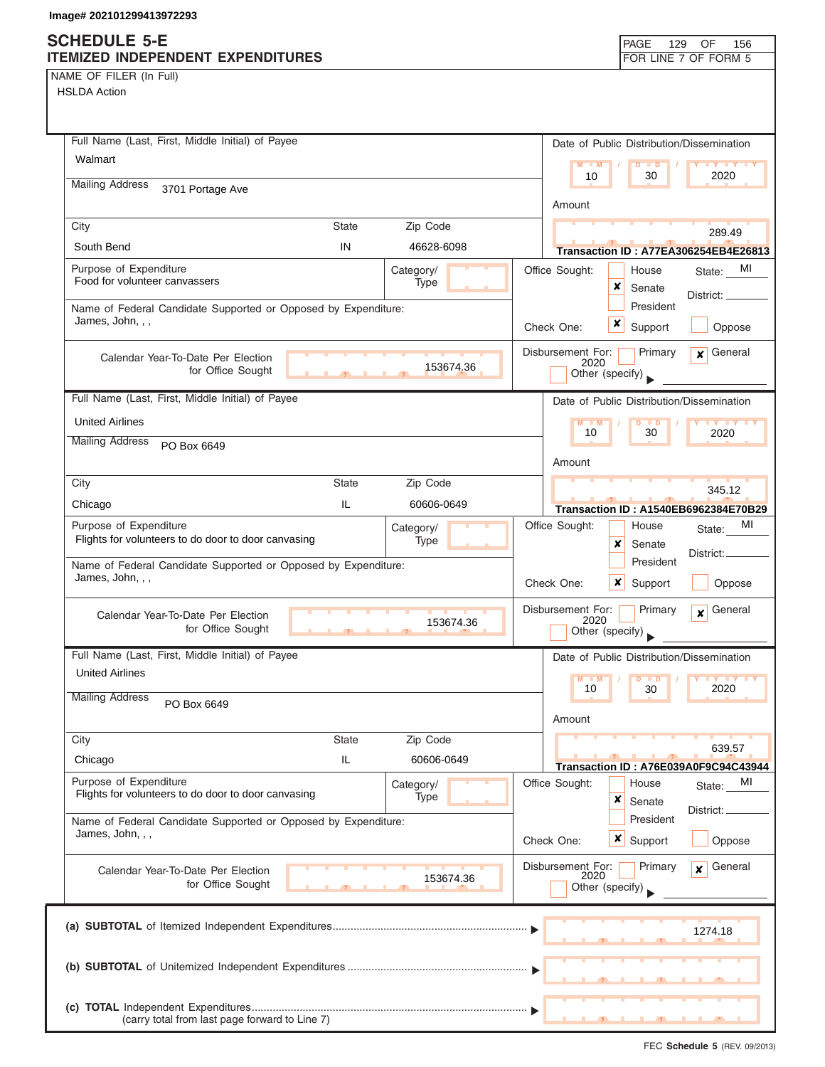NAME OF FILER (In Full) HSLDA Action

| NJLDA ACIION                                                                       |                   |                                                                                    |
|------------------------------------------------------------------------------------|-------------------|------------------------------------------------------------------------------------|
| Full Name (Last, First, Middle Initial) of Payee                                   |                   | Date of Public Distribution/Dissemination                                          |
| Walmart                                                                            |                   | M<br>. D<br>10<br>30<br>2020                                                       |
| <b>Mailing Address</b><br>3701 Portage Ave                                         |                   | Amount                                                                             |
| City<br><b>State</b>                                                               | Zip Code          |                                                                                    |
| South Bend<br>IN                                                                   | 46628-6098        | 289.49<br>Transaction ID: A77EA306254EB4E26813                                     |
| Purpose of Expenditure<br>Food for volunteer canvassers                            | Category/<br>Type | MI<br>Office Sought:<br>House<br>State:<br>×<br>Senate<br>District: _              |
| Name of Federal Candidate Supported or Opposed by Expenditure:<br>James, John, , , |                   | President<br>x<br>Check One:<br>Support<br>Oppose                                  |
| Calendar Year-To-Date Per Election<br>for Office Sought                            | 153674.36         | Disbursement For:<br>Primary<br>General<br>$\mathbf{x}$<br>2020<br>Other (specify) |
| Full Name (Last, First, Middle Initial) of Payee                                   |                   | Date of Public Distribution/Dissemination                                          |
| <b>United Airlines</b>                                                             |                   | 10<br>30<br>2020                                                                   |
| <b>Mailing Address</b><br>PO Box 6649                                              |                   | Amount                                                                             |
| City<br><b>State</b>                                                               | Zip Code          |                                                                                    |
| IL<br>Chicago                                                                      | 60606-0649        | 345.12<br>Transaction ID: A1540EB6962384E70B29                                     |
| Purpose of Expenditure<br>Flights for volunteers to do door to door canvasing      | Category/<br>Type | MI<br>Office Sought:<br>House<br>State:<br>×<br>Senate                             |
| Name of Federal Candidate Supported or Opposed by Expenditure:<br>James, John, , , |                   | District:<br>President<br>Check One:<br>x<br>Oppose<br>Support                     |
| Calendar Year-To-Date Per Election<br>for Office Sought<br>$\overline{1}$          | 153674.36         | General<br>Disbursement For:<br>Primary<br>$\mathbf{x}$<br>2020<br>Other (specify) |
| Full Name (Last, First, Middle Initial) of Payee                                   |                   | Date of Public Distribution/Dissemination                                          |
| <b>United Airlines</b>                                                             |                   | M<br>10<br>30<br>2020                                                              |
| <b>Mailing Address</b><br>PO Box 6649                                              |                   | Amount                                                                             |
| City<br><b>State</b>                                                               | Zip Code          |                                                                                    |
| Chicago<br>IL.                                                                     | 60606-0649        | 639.57<br>Transaction ID: A76E039A0F9C94C43944                                     |
| Purpose of Expenditure<br>Flights for volunteers to do door to door canvasing      | Category/         | Office Sought:<br>House<br>MI<br>State:                                            |
| Name of Federal Candidate Supported or Opposed by Expenditure:                     | Type              | ×<br>Senate<br>District:<br>President                                              |
| James, John, , ,                                                                   |                   | $\boldsymbol{x}$<br>Check One:<br>Support<br>Oppose                                |
| Calendar Year-To-Date Per Election<br>for Office Sought                            | 153674.36         | General<br>Disbursement For:<br>Primary<br>$\mathbf{x}$<br>2020<br>Other (specify) |
|                                                                                    |                   | 1274.18                                                                            |
|                                                                                    |                   |                                                                                    |
| (carry total from last page forward to Line 7)                                     |                   |                                                                                    |

FEC **Schedule 5** (REV. 09/2013)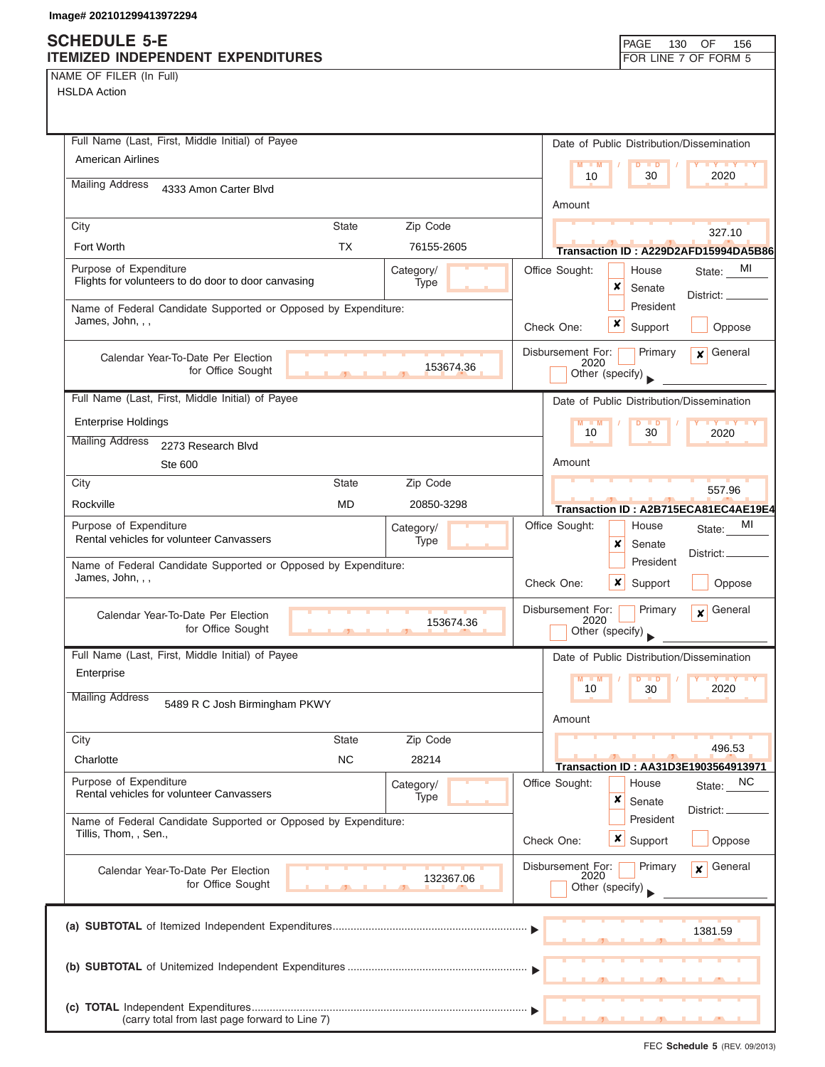NAME OF FILER (In Full)

| Full Name (Last, First, Middle Initial) of Payee                                                   | Date of Public Distribution/Dissemination                                          |
|----------------------------------------------------------------------------------------------------|------------------------------------------------------------------------------------|
| American Airlines                                                                                  | $M - M$<br>D<br>$\blacksquare$<br>$\mathbf{y}$ $\mathbf{y}$<br>10<br>30<br>2020    |
| <b>Mailing Address</b><br>4333 Amon Carter Blvd                                                    |                                                                                    |
|                                                                                                    | Amount                                                                             |
| City<br><b>State</b><br>Zip Code                                                                   | 327.10                                                                             |
| Fort Worth<br><b>TX</b><br>76155-2605                                                              | Transaction ID: A229D2AFD15994DA5B86                                               |
| Purpose of Expenditure<br>Category/<br>Flights for volunteers to do door to door canvasing<br>Type | Office Sought:<br>MI<br>House<br>State:<br>×                                       |
| Name of Federal Candidate Supported or Opposed by Expenditure:                                     | Senate<br>District: $\overline{\phantom{a}}$<br>President                          |
| James, John, , ,                                                                                   | x<br>Check One:<br>Support<br>Oppose                                               |
|                                                                                                    | Disbursement For:<br>General<br>Primary                                            |
| Calendar Year-To-Date Per Election<br>153674.36<br>for Office Sought                               | $\mathbf{x}$<br>2020<br>Other (specify)                                            |
|                                                                                                    |                                                                                    |
| Full Name (Last, First, Middle Initial) of Payee                                                   | Date of Public Distribution/Dissemination                                          |
| <b>Enterprise Holdings</b>                                                                         | $M - M$<br>10<br>30<br>2020                                                        |
| <b>Mailing Address</b><br>2273 Research Blvd                                                       |                                                                                    |
| <b>Ste 600</b>                                                                                     | Amount                                                                             |
| <b>State</b><br>Zip Code<br>City                                                                   | 557.96                                                                             |
| Rockville<br><b>MD</b><br>20850-3298                                                               | Transaction ID: A2B715ECA81EC4AE19E4                                               |
| Purpose of Expenditure<br>Category/<br>Rental vehicles for volunteer Canvassers<br>Type            | MI<br>Office Sought:<br>House<br>State:                                            |
|                                                                                                    | ×<br>Senate<br>District:<br>President                                              |
| Name of Federal Candidate Supported or Opposed by Expenditure:<br>James, John, , ,                 | Check One:<br>x<br>Oppose<br>Support                                               |
| Calendar Year-To-Date Per Election<br>153674.36<br>for Office Sought<br>$\mathcal{F}$              | Disbursement For:<br>Primary<br>General<br>$\mathbf{x}$<br>2020<br>Other (specify) |
| Full Name (Last, First, Middle Initial) of Payee                                                   | Date of Public Distribution/Dissemination                                          |
| Enterprise                                                                                         | <b>TY TY TY</b><br>M<br>$-M$<br>$\blacksquare$                                     |
| <b>Mailing Address</b><br>5489 R C Josh Birmingham PKWY                                            | 10<br>30<br>2020<br>Amount                                                         |
| Zip Code<br>City<br><b>State</b>                                                                   |                                                                                    |
| <b>NC</b><br>Charlotte<br>28214                                                                    | 496.53                                                                             |
| Purpose of Expenditure                                                                             | Transaction ID: AA31D3E1903564913971<br>Office Sought:<br><b>NC</b><br>House       |
| Category/<br>Rental vehicles for volunteer Canvassers<br>Type                                      | State:<br>×<br>Senate                                                              |
| Name of Federal Candidate Supported or Opposed by Expenditure:                                     | District:<br>President                                                             |
| Tillis, Thom, , Sen.,                                                                              | $x \mid$ Support<br>Check One:<br>Oppose                                           |
| Calendar Year-To-Date Per Election<br>132367.06                                                    | Disbursement For:<br>General<br>Primary<br>$\boldsymbol{x}$<br>2020                |
| for Office Sought                                                                                  | Other (specify)                                                                    |
|                                                                                                    | 1381.59                                                                            |
|                                                                                                    |                                                                                    |
| (carry total from last page forward to Line 7)                                                     |                                                                                    |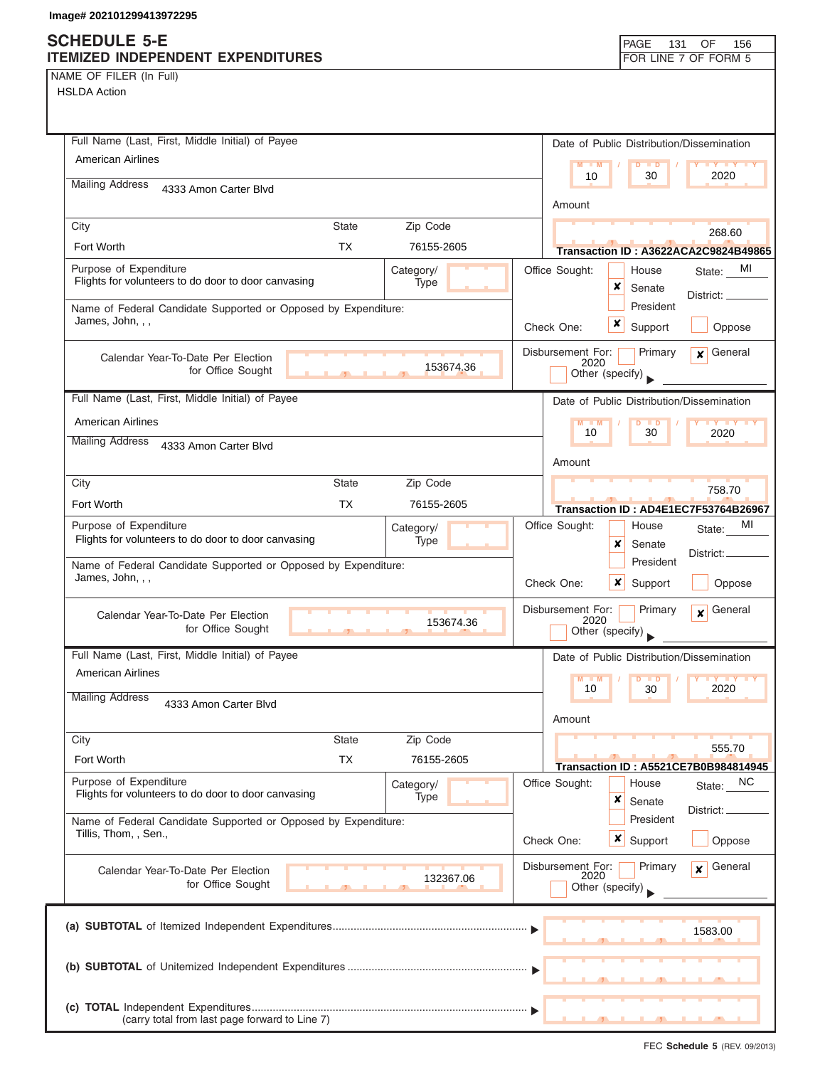NAME OF FILER (In Full)

| Full Name (Last, First, Middle Initial) of Payee                                                   | Date of Public Distribution/Dissemination                                          |
|----------------------------------------------------------------------------------------------------|------------------------------------------------------------------------------------|
| <b>American Airlines</b>                                                                           | $M - M$<br>D<br>$\blacksquare$<br>$Y$ $Y$<br>2020<br>10<br>30                      |
| <b>Mailing Address</b><br>4333 Amon Carter Blvd                                                    | Amount                                                                             |
| City<br>Zip Code<br><b>State</b>                                                                   |                                                                                    |
| <b>TX</b><br>Fort Worth<br>76155-2605                                                              | 268.60<br>Transaction ID: A3622ACA2C9824B49865                                     |
| Purpose of Expenditure<br>Category/                                                                | Office Sought:<br>MI<br>House<br>State:                                            |
| Flights for volunteers to do door to door canvasing<br>Type                                        | ×<br>Senate<br>District: ____                                                      |
| Name of Federal Candidate Supported or Opposed by Expenditure:                                     | President                                                                          |
| James, John, , ,                                                                                   | x<br>Oppose<br>Check One:<br>Support                                               |
| Calendar Year-To-Date Per Election                                                                 | Disbursement For:<br>Primary<br>General<br>$\mathbf{x}$<br>2020                    |
| 153674.36<br>for Office Sought                                                                     | Other (specify)                                                                    |
| Full Name (Last, First, Middle Initial) of Payee                                                   | Date of Public Distribution/Dissemination                                          |
| <b>American Airlines</b>                                                                           | $M - M$<br>$\overline{D}$<br>$\blacksquare$<br><b>TY TY TY</b><br>10<br>30<br>2020 |
| <b>Mailing Address</b><br>4333 Amon Carter Blvd                                                    |                                                                                    |
|                                                                                                    | Amount                                                                             |
| <b>State</b><br>Zip Code<br>City<br>Fort Worth<br>ТX<br>76155-2605                                 | 758.70                                                                             |
| Purpose of Expenditure                                                                             | Transaction ID: AD4E1EC7F53764B26967<br>MI<br>Office Sought:<br>House              |
| Category/<br>Flights for volunteers to do door to door canvasing<br>Type                           | State:<br>x<br>Senate                                                              |
| Name of Federal Candidate Supported or Opposed by Expenditure:                                     | District: _<br>President                                                           |
| James, John, , ,                                                                                   | Check One:<br>×<br>Support<br>Oppose                                               |
| Calendar Year-To-Date Per Election                                                                 | Disbursement For:<br>General<br>Primary<br>$\mathbf{x}$<br>2020                    |
| 153674.36<br>for Office Sought                                                                     | Other (specify)                                                                    |
| Full Name (Last, First, Middle Initial) of Payee                                                   | Date of Public Distribution/Dissemination                                          |
| <b>American Airlines</b>                                                                           | $M - M$<br>D<br>$\blacksquare$<br>10<br>30<br>2020                                 |
| <b>Mailing Address</b><br>4333 Amon Carter Blvd                                                    |                                                                                    |
|                                                                                                    | Amount                                                                             |
| Zip Code<br>City<br><b>State</b>                                                                   | 555.70                                                                             |
| Fort Worth<br><b>TX</b><br>76155-2605                                                              | <b>Transaction ID: A5521CE7B0B984814945</b>                                        |
| Purpose of Expenditure<br>Category/<br>Flights for volunteers to do door to door canvasing<br>Type | Office Sought:<br>NC<br>House<br>State:<br>×<br>Senate                             |
| Name of Federal Candidate Supported or Opposed by Expenditure:                                     | District:<br>President                                                             |
| Tillis, Thom, , Sen.,                                                                              | Check One:<br>$\boldsymbol{x}$<br>Support<br>Oppose                                |
| Calendar Year-To-Date Per Election                                                                 | Disbursement For:<br>Primary<br>General<br>x                                       |
| 132367.06<br>for Office Sought                                                                     | 2020<br>Other (specify)                                                            |
|                                                                                                    |                                                                                    |
|                                                                                                    | 1583.00                                                                            |
|                                                                                                    |                                                                                    |
|                                                                                                    |                                                                                    |
|                                                                                                    |                                                                                    |
| (carry total from last page forward to Line 7)                                                     |                                                                                    |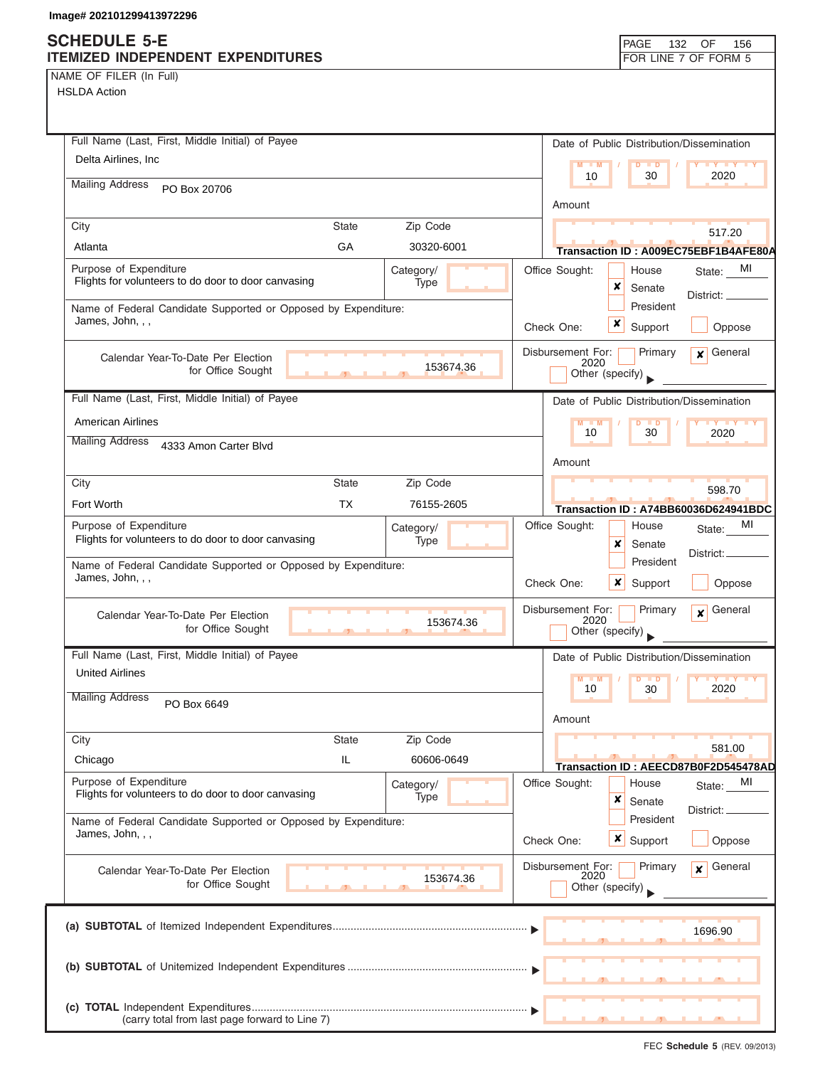## **SCHEDULE 5-E**

| NAME OF FILER (In Full) |  |  |
|-------------------------|--|--|
|-------------------------|--|--|

| <b>SUNEDULE 3-E</b><br>ITEMIZED INDEPENDENT EXPENDITURES       |              |            |                   |                 |                           | PAGE<br>132               | OF<br>156<br>FOR LINE 7 OF FORM 5                           |
|----------------------------------------------------------------|--------------|------------|-------------------|-----------------|---------------------------|---------------------------|-------------------------------------------------------------|
| NAME OF FILER (In Full)                                        |              |            |                   |                 |                           |                           |                                                             |
| <b>HSLDA Action</b>                                            |              |            |                   |                 |                           |                           |                                                             |
|                                                                |              |            |                   |                 |                           |                           |                                                             |
|                                                                |              |            |                   |                 |                           |                           |                                                             |
| Full Name (Last, First, Middle Initial) of Payee               |              |            |                   |                 |                           |                           | Date of Public Distribution/Dissemination                   |
| Delta Airlines, Inc.                                           |              |            |                   | $M - M$         |                           | $D$ $D$                   | <b>LY LY LY</b>                                             |
| <b>Mailing Address</b>                                         |              |            |                   | 10              |                           | 30                        | 2020                                                        |
| PO Box 20706                                                   |              |            |                   | Amount          |                           |                           |                                                             |
|                                                                |              |            |                   |                 |                           |                           |                                                             |
| City                                                           | <b>State</b> | Zip Code   |                   |                 |                           |                           | 517.20                                                      |
| Atlanta                                                        | <b>GA</b>    | 30320-6001 |                   |                 |                           |                           | Transaction ID: A009EC75EBF1B4AFE80A                        |
| Purpose of Expenditure                                         |              | Category/  | Office Sought:    |                 |                           | House                     | MI<br>State:                                                |
| Flights for volunteers to do door to door canvasing            |              | Type       |                   |                 | ×                         | Senate                    | District:                                                   |
| Name of Federal Candidate Supported or Opposed by Expenditure: |              |            |                   |                 |                           | President                 |                                                             |
| James, John, , ,                                               |              |            | Check One:        |                 | x                         | Support                   | Oppose                                                      |
|                                                                |              |            | Disbursement For: |                 |                           |                           | $x$ General                                                 |
| Calendar Year-To-Date Per Election                             |              | 153674.36  |                   | 2020            |                           | Primary                   |                                                             |
| for Office Sought                                              |              |            |                   | Other (specify) |                           |                           |                                                             |
| Full Name (Last, First, Middle Initial) of Payee               |              |            |                   |                 |                           |                           | Date of Public Distribution/Dissemination                   |
| <b>American Airlines</b>                                       |              |            |                   | $M - M$         |                           | D<br>$\blacksquare$       | <b>LY LY LY</b>                                             |
| <b>Mailing Address</b>                                         |              |            |                   | 10              |                           | 30                        | 2020                                                        |
| 4333 Amon Carter Blvd                                          |              |            |                   |                 |                           |                           |                                                             |
|                                                                |              |            |                   | Amount          |                           |                           |                                                             |
| City                                                           | <b>State</b> | Zip Code   |                   |                 |                           |                           | 598.70                                                      |
| Fort Worth                                                     | <b>TX</b>    | 76155-2605 |                   |                 |                           |                           | Transaction ID: A74BB60036D624941BDC                        |
| Purpose of Expenditure                                         |              | Category/  | Office Sought:    |                 |                           | House                     | MI<br>State:                                                |
| Flights for volunteers to do door to door canvasing            |              | Type       |                   |                 | $\pmb{\times}$            | Senate                    |                                                             |
| Name of Federal Candidate Supported or Opposed by Expenditure: |              |            |                   |                 |                           | President                 | District:                                                   |
| James, John, , ,                                               |              |            | Check One:        |                 | $\boldsymbol{\mathsf{x}}$ | Support                   | Oppose                                                      |
|                                                                |              |            |                   |                 |                           |                           |                                                             |
| Calendar Year-To-Date Per Election                             |              | 153674.36  | Disbursement For: | 2020            |                           | Primary                   | General<br>$\boldsymbol{x}$                                 |
| for Office Sought                                              |              |            |                   | Other (specify) |                           |                           |                                                             |
| Full Name (Last, First, Middle Initial) of Payee               |              |            |                   |                 |                           |                           | Date of Public Distribution/Dissemination                   |
| <b>United Airlines</b>                                         |              |            |                   |                 |                           |                           |                                                             |
|                                                                |              |            |                   | $M - M$<br>10   |                           | D<br>$\blacksquare$<br>30 | $\mathbf{I}$ $\mathbf{Y}$ $\mathbf{I}$ $\mathbf{Y}$<br>2020 |
| <b>Mailing Address</b><br>PO Box 6649                          |              |            |                   |                 |                           |                           |                                                             |
|                                                                |              |            |                   | Amount          |                           |                           |                                                             |
| City                                                           | <b>State</b> | Zip Code   |                   |                 |                           |                           | 581.00                                                      |
| Chicago                                                        | IL           | 60606-0649 |                   |                 |                           |                           | Transaction ID: AEECD87B0F2D545478AD                        |
| Purpose of Expenditure                                         |              | Category/  | Office Sought:    |                 |                           | House                     | МI<br>State:                                                |
| Flights for volunteers to do door to door canvasing            |              | Type       |                   |                 | ×                         | Senate                    |                                                             |
| Name of Federal Candidate Supported or Opposed by Expenditure: |              |            |                   |                 |                           | President                 | District: _                                                 |
| James, John, , ,                                               |              |            | Check One:        |                 |                           | <b>x</b> Support          | Oppose                                                      |
|                                                                |              |            |                   |                 |                           |                           |                                                             |
| Calendar Year-To-Date Per Election                             |              | 153674.36  | Disbursement For: | 2020            |                           | Primary                   | General<br>$\mathbf{x}$                                     |
| for Office Sought                                              |              |            |                   | Other (specify) |                           |                           |                                                             |
|                                                                |              |            |                   |                 |                           |                           |                                                             |
|                                                                |              |            |                   |                 |                           |                           | 1696.90                                                     |
|                                                                |              |            |                   |                 |                           |                           |                                                             |
|                                                                |              |            |                   |                 |                           |                           |                                                             |
|                                                                |              |            |                   |                 |                           |                           |                                                             |
|                                                                |              |            |                   |                 |                           |                           |                                                             |
| (carry total from last page forward to Line 7)                 |              |            |                   |                 |                           | $\overline{\phantom{a}}$  |                                                             |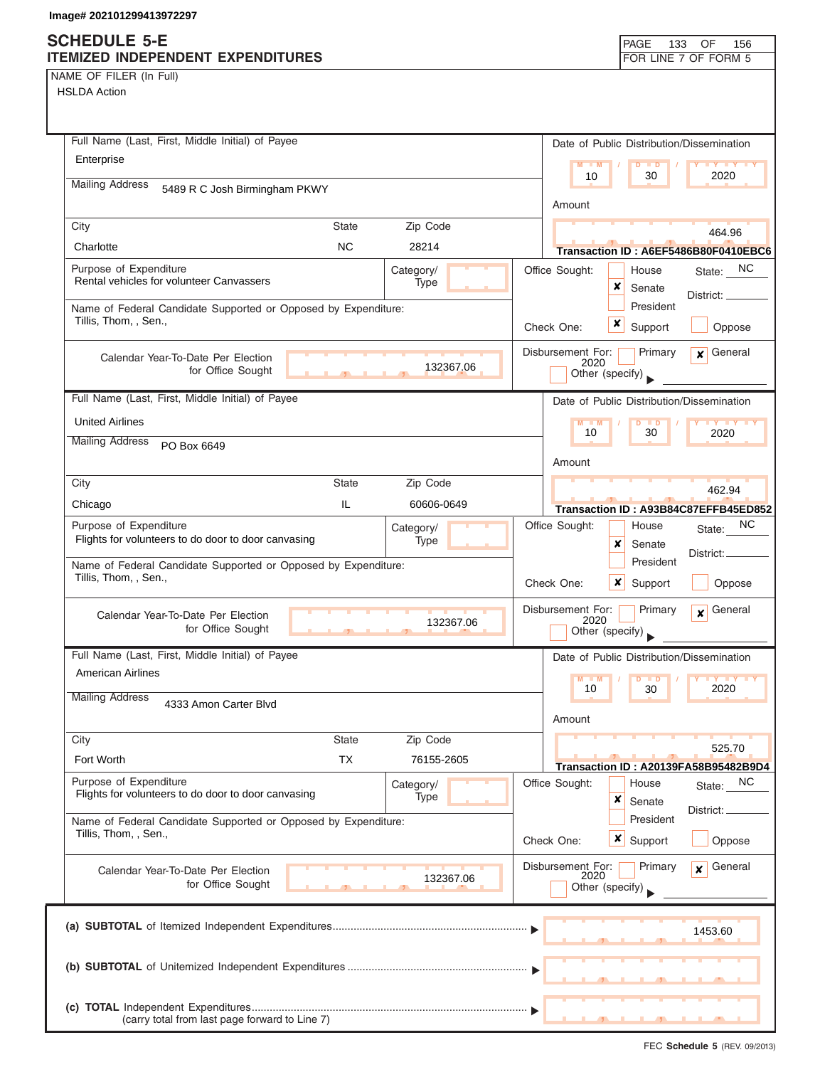NAME OF FILER (In Full) HSLDA Action

| Full Name (Last, First, Middle Initial) of Payee               |                          |                |                           | Date of Public Distribution/Dissemination |                                             |
|----------------------------------------------------------------|--------------------------|----------------|---------------------------|-------------------------------------------|---------------------------------------------|
| Enterprise                                                     |                          |                | $M - M$                   | $D$ $D$                                   |                                             |
| <b>Mailing Address</b><br>5489 R C Josh Birmingham PKWY        |                          |                | 10                        | 30                                        | 2020                                        |
|                                                                |                          |                | Amount                    |                                           |                                             |
| <b>State</b><br>City                                           | Zip Code                 |                |                           |                                           | 464.96                                      |
| <b>NC</b><br>Charlotte                                         | 28214                    |                |                           |                                           | Transaction ID: A6EF5486B80F0410EBC6        |
| Purpose of Expenditure                                         | Category/                | Office Sought: |                           | House                                     | State: NC                                   |
| Rental vehicles for volunteer Canvassers                       | Type                     |                |                           | x<br>Senate                               | District: _                                 |
| Name of Federal Candidate Supported or Opposed by Expenditure: |                          |                |                           | President                                 |                                             |
| Tillis, Thom, , Sen.,                                          |                          | Check One:     |                           | x<br>Support                              | Oppose                                      |
| Calendar Year-To-Date Per Election                             |                          |                | Disbursement For:         | Primary                                   | General<br>$\mathbf{x}$                     |
| for Office Sought                                              | 132367.06                |                | 2020<br>Other (specify)   |                                           |                                             |
| Full Name (Last, First, Middle Initial) of Payee               |                          |                |                           | Date of Public Distribution/Dissemination |                                             |
| <b>United Airlines</b>                                         |                          |                | $M - M$                   | D<br>$\blacksquare$                       |                                             |
| <b>Mailing Address</b>                                         |                          |                | 10                        | 30                                        | <b>TY TY</b><br>2020                        |
| PO Box 6649                                                    |                          |                | Amount                    |                                           |                                             |
| City<br><b>State</b>                                           | Zip Code                 |                |                           |                                           |                                             |
| IL<br>Chicago                                                  | 60606-0649               |                |                           |                                           | 462.94                                      |
| Purpose of Expenditure                                         |                          |                |                           |                                           | Transaction ID: A93B84C87EFFB45ED852<br>NС  |
| Flights for volunteers to do door to door canvasing            | Category/<br><b>Type</b> | Office Sought: |                           | House<br>x<br>Senate                      | State:                                      |
| Name of Federal Candidate Supported or Opposed by Expenditure: |                          |                |                           | President                                 | District:                                   |
| Tillis, Thom, , Sen.,                                          |                          | Check One:     |                           | x<br>Support                              | Oppose                                      |
|                                                                |                          |                |                           |                                           |                                             |
| Calendar Year-To-Date Per Election                             | 132367.06                |                | Disbursement For:<br>2020 | Primary                                   | General<br>$\boldsymbol{x}$                 |
| for Office Sought<br>$\mathbf{F}$                              |                          |                |                           | Other (specify)                           |                                             |
| Full Name (Last, First, Middle Initial) of Payee               |                          |                |                           | Date of Public Distribution/Dissemination |                                             |
| American Airlines                                              |                          |                |                           |                                           |                                             |
| <b>Mailing Address</b><br>4333 Amon Carter Blvd                |                          |                | 10                        | 30                                        | 2020                                        |
|                                                                |                          |                | Amount                    |                                           |                                             |
| <b>State</b><br>City                                           | Zip Code                 |                |                           |                                           | 525.70                                      |
| Fort Worth<br><b>TX</b>                                        | 76155-2605               |                |                           |                                           | <b>Transaction ID: A20139FA58B95482B9D4</b> |
| Purpose of Expenditure                                         | Category/                | Office Sought: |                           | House                                     | NC<br>State:                                |
| Flights for volunteers to do door to door canvasing            | Type                     |                |                           | ×<br>Senate                               |                                             |
| Name of Federal Candidate Supported or Opposed by Expenditure: |                          |                |                           | President                                 | District:                                   |
| Tillis, Thom, , Sen.,                                          |                          | Check One:     |                           | x<br>Support                              | Oppose                                      |
| Calendar Year-To-Date Per Election                             |                          |                | Disbursement For:         | Primary                                   | General<br>x                                |
| for Office Sought                                              | 132367.06                |                | 2020<br>Other (specify)   |                                           |                                             |
|                                                                |                          |                |                           |                                           |                                             |
|                                                                |                          |                |                           |                                           |                                             |
|                                                                |                          |                |                           |                                           | 1453.60                                     |
|                                                                |                          |                |                           |                                           |                                             |
|                                                                |                          |                |                           |                                           |                                             |
|                                                                |                          |                |                           |                                           |                                             |
| (carry total from last page forward to Line 7)                 |                          |                |                           |                                           |                                             |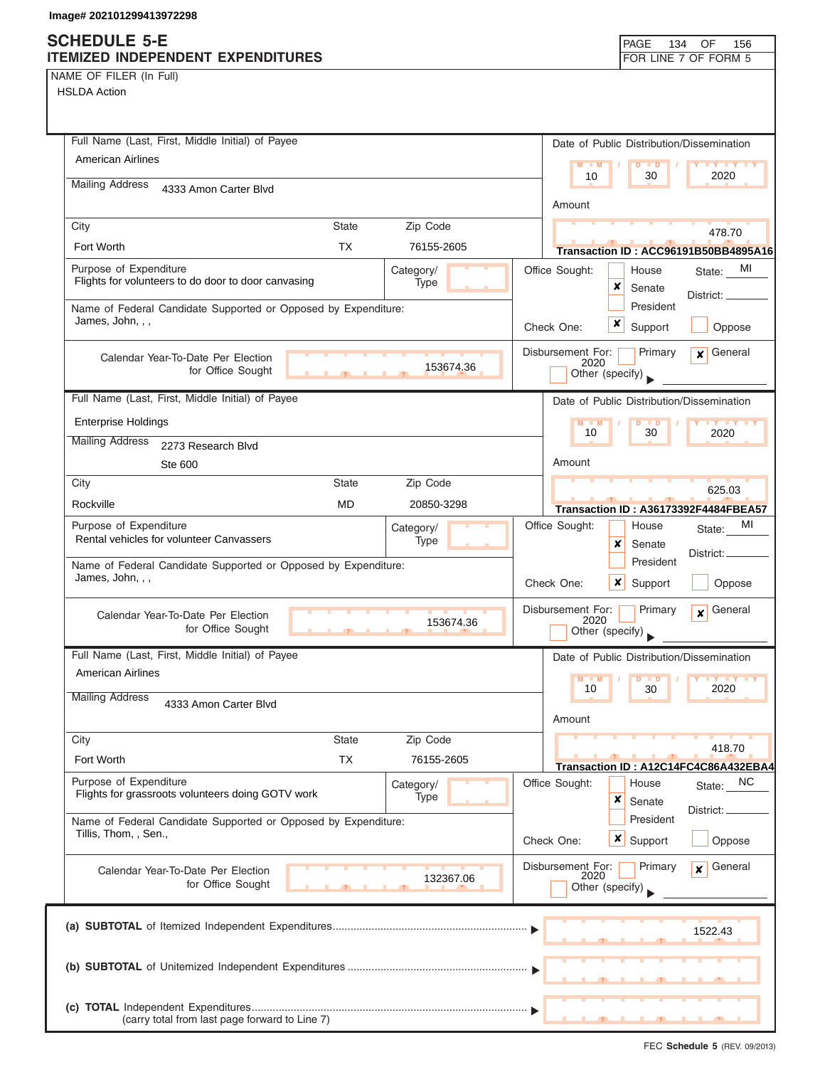NAME OF FILER (In Full)

HSLDA Action

| Full Name (Last, First, Middle Initial) of Payee                                                                                   | Date of Public Distribution/Dissemination                                          |
|------------------------------------------------------------------------------------------------------------------------------------|------------------------------------------------------------------------------------|
| <b>American Airlines</b>                                                                                                           | $M - M$<br>$Y$ $Y$<br>D<br><b>D</b><br>2020<br>10<br>30                            |
| <b>Mailing Address</b><br>4333 Amon Carter Blvd                                                                                    |                                                                                    |
|                                                                                                                                    | Amount                                                                             |
| Zip Code<br>City<br><b>State</b><br><b>TX</b><br><b>Fort Worth</b>                                                                 | 478.70                                                                             |
| 76155-2605                                                                                                                         | Transaction ID: ACC96191B50BB4895A16                                               |
| Purpose of Expenditure<br>Category/<br>Flights for volunteers to do door to door canvasing<br>Type                                 | Office Sought:<br>MI<br>House<br>State:<br>×<br>Senate                             |
| Name of Federal Candidate Supported or Opposed by Expenditure:                                                                     | District:<br>President                                                             |
| James, John, , ,                                                                                                                   | x<br>Check One:<br>Support<br>Oppose                                               |
| Calendar Year-To-Date Per Election                                                                                                 | Disbursement For:<br>General<br>Primary<br>$\mathbf{x}$                            |
| 153674.36<br>for Office Sought                                                                                                     | 2020<br>Other (specify)                                                            |
| Full Name (Last, First, Middle Initial) of Payee                                                                                   | Date of Public Distribution/Dissemination                                          |
| <b>Enterprise Holdings</b>                                                                                                         | $M - M$<br>D<br>$\blacksquare$                                                     |
| <b>Mailing Address</b><br>2273 Research Blvd                                                                                       | 30<br>10<br>2020                                                                   |
| Ste 600                                                                                                                            | Amount                                                                             |
| City<br><b>State</b><br>Zip Code                                                                                                   | 625.03                                                                             |
| Rockville<br><b>MD</b><br>20850-3298                                                                                               | <b>Transaction ID: A36173392F4484FBEA57</b>                                        |
| Purpose of Expenditure<br>Category/<br>Rental vehicles for volunteer Canvassers<br>Type                                            | MI<br>Office Sought:<br>House<br>State:                                            |
|                                                                                                                                    | x<br>Senate<br>District:<br>President                                              |
| Name of Federal Candidate Supported or Opposed by Expenditure:<br>James, John, , ,                                                 | Check One:<br>×<br>Support<br>Oppose                                               |
| Calendar Year-To-Date Per Election<br>153674.36<br>for Office Sought<br><b>Contract Contract Contract Contract</b><br><b>STATE</b> | Disbursement For:<br>Primary<br>General<br>$\mathbf{x}$<br>2020<br>Other (specify) |
| Full Name (Last, First, Middle Initial) of Payee                                                                                   | Date of Public Distribution/Dissemination                                          |
| American Airlines                                                                                                                  | <b>TY TY TY</b><br>$M - M$<br><b>D</b>                                             |
| <b>Mailing Address</b><br>4333 Amon Carter Blvd                                                                                    | 2020<br>10<br>30<br>Amount                                                         |
| Zip Code<br><b>State</b><br>City                                                                                                   |                                                                                    |
| Fort Worth<br><b>TX</b><br>76155-2605                                                                                              | 418.70<br>Transaction ID: A12C14FC4C86A432EBA4                                     |
| Purpose of Expenditure<br>Category/<br>Flights for grassroots volunteers doing GOTV work<br>Type                                   | <b>NC</b><br>Office Sought:<br>House<br>State:<br>×                                |
| Name of Federal Candidate Supported or Opposed by Expenditure:                                                                     | Senate<br>District: _<br>President                                                 |
| Tillis, Thom, , Sen.,                                                                                                              | Check One:<br>$\boldsymbol{\mathsf{x}}$<br>Support<br>Oppose                       |
| Calendar Year-To-Date Per Election<br>132367.06<br>for Office Sought                                                               | Disbursement For:<br>General<br>Primary<br>$\mathbf{x}$<br>2020<br>Other (specify) |
|                                                                                                                                    | 1522.43                                                                            |
|                                                                                                                                    |                                                                                    |
| (carry total from last page forward to Line 7)                                                                                     |                                                                                    |

FEC **Schedule 5** (REV. 09/2013)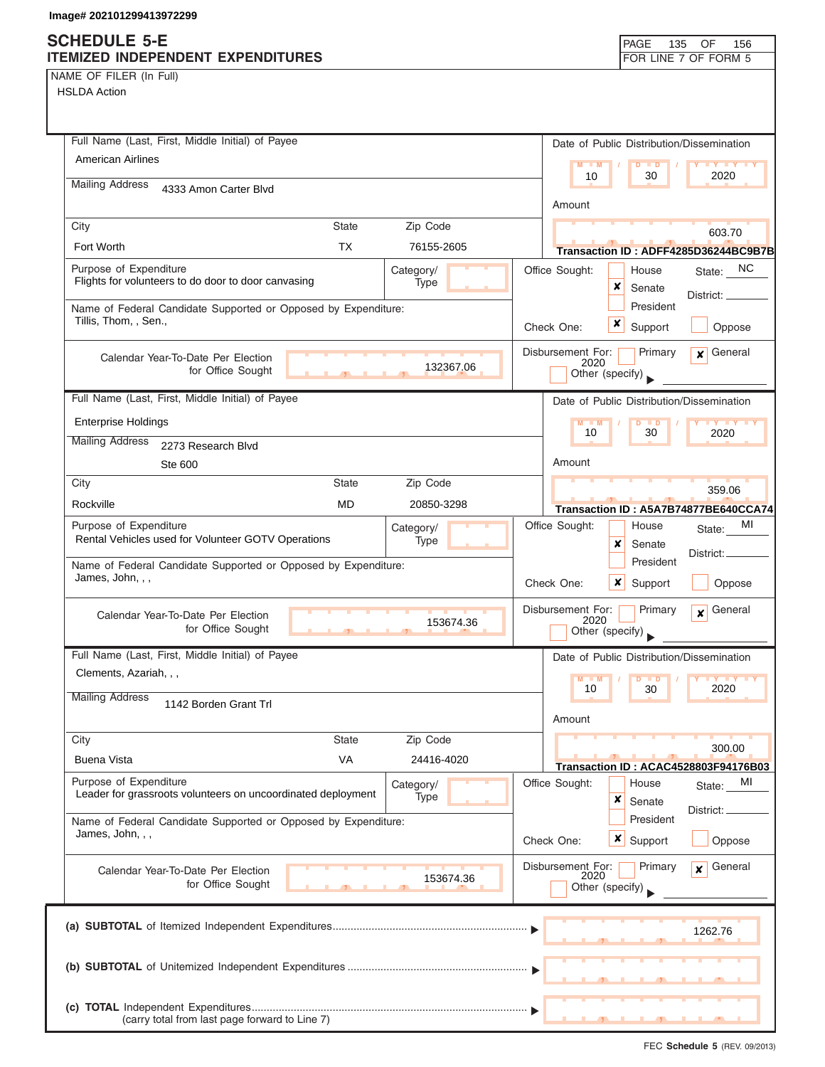NAME OF FILER (In Full)

| Full Name (Last, First, Middle Initial) of Payee                                                                   | Date of Public Distribution/Dissemination                                              |
|--------------------------------------------------------------------------------------------------------------------|----------------------------------------------------------------------------------------|
| <b>American Airlines</b>                                                                                           | $M - M$<br>$D$ $D$<br><b>TY TY TY</b><br>10<br>30<br>2020                              |
| <b>Mailing Address</b><br>4333 Amon Carter Blvd                                                                    |                                                                                        |
|                                                                                                                    | Amount                                                                                 |
| City<br><b>State</b><br>Zip Code                                                                                   | 603.70                                                                                 |
| <b>TX</b><br>Fort Worth<br>76155-2605                                                                              | Transaction ID: ADFF4285D36244BC9B7B                                                   |
| Purpose of Expenditure<br>Category/<br>Flights for volunteers to do door to door canvasing<br>Type                 | Office Sought:<br>State: NC<br>House<br>×<br>Senate                                    |
| Name of Federal Candidate Supported or Opposed by Expenditure:                                                     | District:<br>President                                                                 |
| Tillis, Thom, , Sen.,                                                                                              | x<br>Support<br>Check One:<br>Oppose                                                   |
| Calendar Year-To-Date Per Election                                                                                 | Disbursement For:<br>General<br>Primary<br>$\mathbf{x}$                                |
| 132367.06<br>for Office Sought                                                                                     | 2020<br>Other (specify)                                                                |
| Full Name (Last, First, Middle Initial) of Payee                                                                   | Date of Public Distribution/Dissemination                                              |
| <b>Enterprise Holdings</b>                                                                                         | $M - M$<br>$D$ $D$<br>$\mathbf{Y}$ $\mathbf{Y}$ $\mathbf{Y}$ $\mathbf{Y}$ $\mathbf{Y}$ |
| <b>Mailing Address</b><br>2273 Research Blvd                                                                       | 10<br>30<br>2020                                                                       |
| Ste 600                                                                                                            | Amount                                                                                 |
| City<br><b>State</b><br>Zip Code                                                                                   | 359.06                                                                                 |
| Rockville<br><b>MD</b><br>20850-3298                                                                               | Transaction ID: A5A7B74877BE640CCA74                                                   |
| Purpose of Expenditure<br>Category/<br>Rental Vehicles used for Volunteer GOTV Operations<br>Type                  | МI<br>Office Sought:<br>House<br>State:                                                |
|                                                                                                                    | ×<br>Senate<br>District:<br>President                                                  |
| Name of Federal Candidate Supported or Opposed by Expenditure:<br>James, John, , ,                                 | $\boldsymbol{x}$<br>Check One:<br>Support<br>Oppose                                    |
| Calendar Year-To-Date Per Election<br>153674.36<br>for Office Sought                                               | Disbursement For:<br>Primary<br>General<br>$\mathbf{x}$<br>2020<br>Other (specify)     |
| Full Name (Last, First, Middle Initial) of Payee                                                                   | Date of Public Distribution/Dissemination                                              |
| Clements, Azariah, , ,                                                                                             | $M - M$<br><b>D</b>                                                                    |
| <b>Mailing Address</b><br>1142 Borden Grant Trl                                                                    | 10<br>30<br>2020                                                                       |
|                                                                                                                    | Amount                                                                                 |
| City<br><b>State</b><br>Zip Code                                                                                   | 300.00                                                                                 |
| <b>VA</b><br><b>Buena Vista</b><br>24416-4020                                                                      | Transaction ID: ACAC4528803F94176B03                                                   |
| Purpose of Expenditure<br>Category/<br>Leader for grassroots volunteers on uncoordinated deployment<br><b>Type</b> | Office Sought:<br>MI<br>House<br>State:<br>×<br>Senate<br>District:                    |
| Name of Federal Candidate Supported or Opposed by Expenditure:<br>James, John, , ,                                 | President<br>$\boldsymbol{\mathsf{x}}$  <br>Check One:<br>Support<br>Oppose            |
| Calendar Year-To-Date Per Election<br>153674.36<br>for Office Sought                                               | General<br>Disbursement For:<br>Primary<br>$\mathbf{x}$<br>2020<br>Other (specify)     |
|                                                                                                                    | 1262.76                                                                                |
|                                                                                                                    |                                                                                        |
| (carry total from last page forward to Line 7)                                                                     |                                                                                        |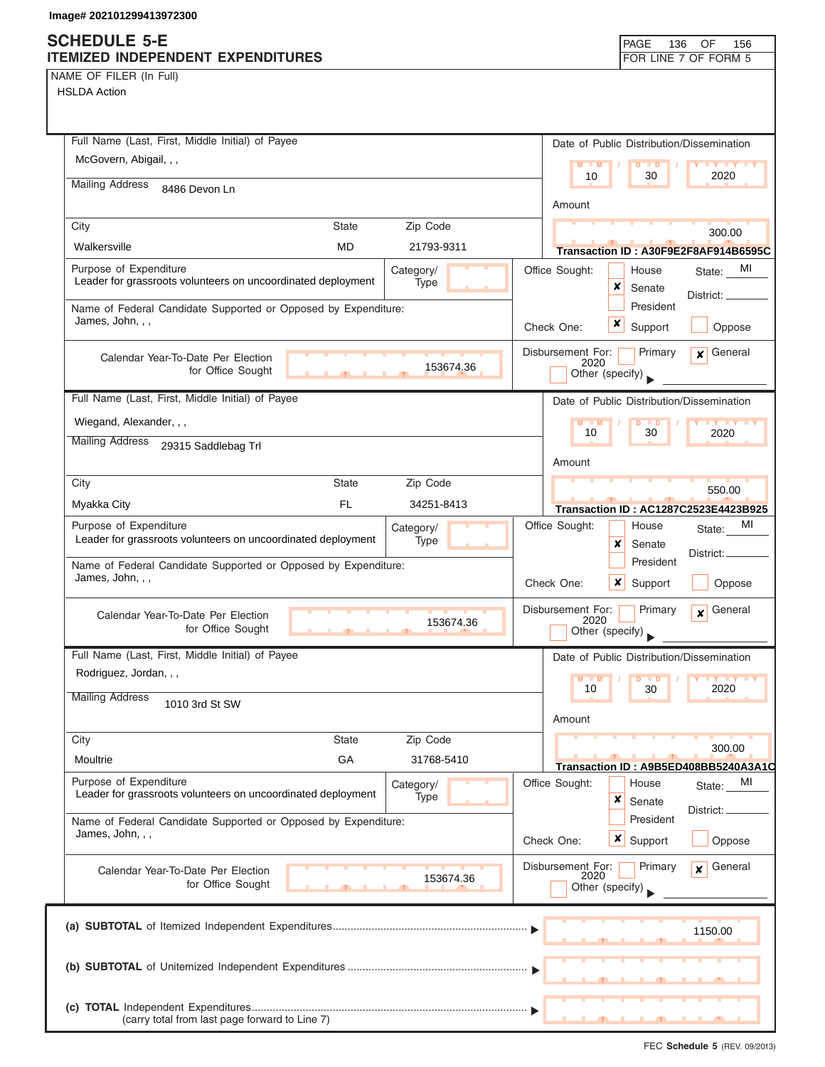NAME OF FILER (In Full)

HSLDA Action

| Full Name (Last, First, Middle Initial) of Payee                                   | Date of Public Distribution/Dissemination                       |
|------------------------------------------------------------------------------------|-----------------------------------------------------------------|
| McGovern, Abigail, , ,                                                             | M<br>$-M$<br><b>IY Y Y Y</b><br>D<br>$\blacksquare$             |
| <b>Mailing Address</b><br>8486 Devon Ln                                            | 10<br>30<br>2020                                                |
|                                                                                    | Amount                                                          |
| Zip Code<br>City<br><b>State</b>                                                   | 300.00                                                          |
| Walkersville<br><b>MD</b><br>21793-9311                                            | Transaction ID: A30F9E2F8AF914B6595C                            |
| Purpose of Expenditure<br>Category/                                                | Office Sought:<br>MI<br>House<br>State:                         |
| Leader for grassroots volunteers on uncoordinated deployment<br>Type               | ×<br>Senate<br>District:                                        |
| Name of Federal Candidate Supported or Opposed by Expenditure:<br>James, John, , , | President                                                       |
|                                                                                    | x<br>Support<br>Check One:<br>Oppose                            |
| Calendar Year-To-Date Per Election                                                 | Disbursement For:<br>General<br>Primary<br>$\mathbf{x}$<br>2020 |
| 153674.36<br>for Office Sought                                                     | Other (specify)                                                 |
| Full Name (Last, First, Middle Initial) of Payee                                   | Date of Public Distribution/Dissemination                       |
| Wiegand, Alexander, , ,                                                            | $M - M$<br>$D$ $D$<br><b>TY TY TY</b>                           |
| <b>Mailing Address</b><br>29315 Saddlebag Trl                                      | 10<br>30<br>2020                                                |
|                                                                                    | Amount                                                          |
| City<br><b>State</b><br>Zip Code                                                   | 550.00                                                          |
| FL.<br>34251-8413<br>Myakka City                                                   | Transaction ID: AC1287C2523E4423B925                            |
| Purpose of Expenditure<br>Category/                                                | Office Sought:<br>MI<br>House<br>State:                         |
| Leader for grassroots volunteers on uncoordinated deployment<br>Type               | x<br>Senate<br>District:                                        |
| Name of Federal Candidate Supported or Opposed by Expenditure:                     | President                                                       |
| James, John, , ,                                                                   | x<br>Check One:<br>Support<br>Oppose                            |
| Calendar Year-To-Date Per Election                                                 | General<br>Disbursement For:<br>Primary<br>$\boldsymbol{x}$     |
| 153674.36<br>for Office Sought<br>45                                               | 2020<br>Other (specify)                                         |
| Full Name (Last, First, Middle Initial) of Payee                                   | Date of Public Distribution/Dissemination                       |
| Rodriguez, Jordan, , ,                                                             | $M - M$<br>$D$ $D$<br><b>IVTY</b>                               |
| <b>Mailing Address</b><br>1010 3rd St SW                                           | 10<br>30<br>2020                                                |
|                                                                                    | Amount                                                          |
| Zip Code<br>City<br><b>State</b>                                                   |                                                                 |
| GA<br>Moultrie<br>31768-5410                                                       | 300.00<br>Transaction ID: A9B5ED408BB5240A3A1C                  |
| Purpose of Expenditure<br>Category/                                                | Office Sought:<br>MI<br>House<br>State:                         |
| Leader for grassroots volunteers on uncoordinated deployment<br><b>Type</b>        | ×<br>Senate<br>District:                                        |
| Name of Federal Candidate Supported or Opposed by Expenditure:                     | President                                                       |
| James, John, , ,                                                                   | <b>x</b> Support<br>Check One:<br>Oppose                        |
| Calendar Year-To-Date Per Election                                                 | Disbursement For:<br>General<br>Primary<br>$\mathbf{x}$<br>2020 |
| 153674.36<br>for Office Sought                                                     | Other (specify)                                                 |
|                                                                                    |                                                                 |
|                                                                                    | 1150.00                                                         |
|                                                                                    |                                                                 |
|                                                                                    |                                                                 |
|                                                                                    |                                                                 |
| (carry total from last page forward to Line 7)                                     |                                                                 |

FEC **Schedule 5** (REV. 09/2013)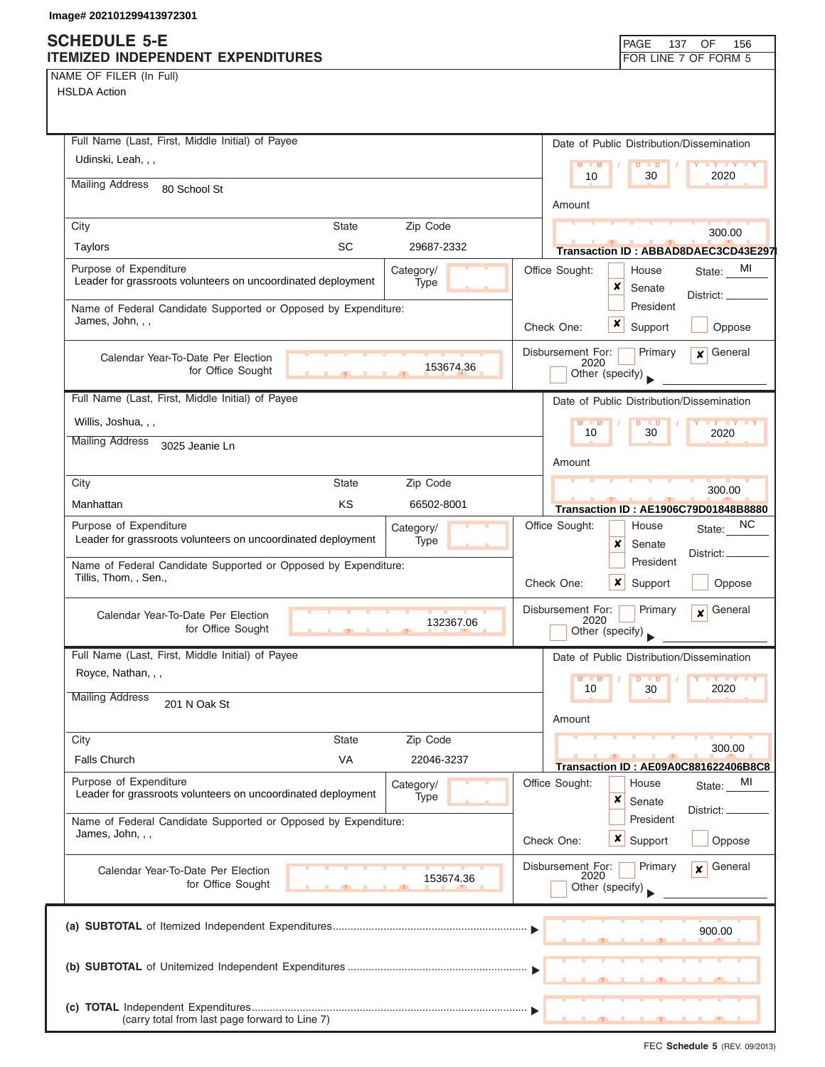## **SCHEDULE 5-E**

| NAME OF FILER (In Full) |  |  |
|-------------------------|--|--|
|-------------------------|--|--|

| <b>ITEMIZED INDEPENDENT EXPENDITURES</b><br>NAME OF FILER (In Full)                                         | FOR LINE 7 OF FORM 5                                                                   |
|-------------------------------------------------------------------------------------------------------------|----------------------------------------------------------------------------------------|
|                                                                                                             |                                                                                        |
| <b>HSLDA Action</b>                                                                                         |                                                                                        |
| Full Name (Last, First, Middle Initial) of Payee                                                            |                                                                                        |
| Udinski, Leah, , ,                                                                                          | Date of Public Distribution/Dissemination<br>$M - M$                                   |
| <b>Mailing Address</b>                                                                                      | $D$ $D$<br>10<br>30<br>2020                                                            |
| 80 School St                                                                                                | Amount                                                                                 |
| City<br>State<br>Zip Code                                                                                   |                                                                                        |
| SC<br>Taylors<br>29687-2332                                                                                 | 300.00<br>Transaction ID: ABBAD8DAEC3CD43E297                                          |
| Purpose of Expenditure<br>Category/<br>Leader for grassroots volunteers on uncoordinated deployment<br>Type | Office Sought:<br>State: MI<br>House<br>x                                              |
| Name of Federal Candidate Supported or Opposed by Expenditure:<br>James, John, , ,                          | Senate<br>District: _<br>President                                                     |
|                                                                                                             | x<br>Support<br>Oppose<br>Check One:                                                   |
| Calendar Year-To-Date Per Election<br>153674.36<br>for Office Sought                                        | Disbursement For:<br>Primary<br>General<br>$\mathbf{x}$<br>2020<br>Other (specify)     |
| Full Name (Last, First, Middle Initial) of Payee                                                            | Date of Public Distribution/Dissemination                                              |
| Willis, Joshua, , ,                                                                                         | $M - M$<br>$D$ $D$<br>$\mathbf{Y}$ $\mathbf{Y}$ $\mathbf{Y}$ $\mathbf{Y}$              |
| <b>Mailing Address</b><br>3025 Jeanie Ln                                                                    | 30<br>10<br>2020                                                                       |
|                                                                                                             | Amount                                                                                 |
| City<br><b>State</b><br>Zip Code                                                                            | 300.00                                                                                 |
| KS<br>Manhattan<br>66502-8001                                                                               | Transaction ID: AE1906C79D01848B8880                                                   |
| Purpose of Expenditure<br>Category/<br>Leader for grassroots volunteers on uncoordinated deployment<br>Type | Office Sought:<br>NC<br>House<br>State:<br>×<br>Senate<br>District:                    |
| Name of Federal Candidate Supported or Opposed by Expenditure:<br>Tillis, Thom, , Sen.,                     | President<br>Check One:<br>×<br>Support<br>Oppose                                      |
| Calendar Year-To-Date Per Election<br>132367.06<br>for Office Sought<br>$\overline{1}$                      | General<br>Disbursement For:<br>Primary<br>$\boldsymbol{x}$<br>2020<br>Other (specify) |
| Full Name (Last, First, Middle Initial) of Payee                                                            | Date of Public Distribution/Dissemination                                              |
| Royce, Nathan, , ,                                                                                          | M<br>M<br>$Y$ $Y$<br>$\blacksquare$<br>10<br>2020<br>30                                |
| <b>Mailing Address</b><br>201 N Oak St                                                                      | Amount                                                                                 |
| Zip Code<br>State<br>City                                                                                   |                                                                                        |
| <b>Falls Church</b><br>VA<br>22046-3237                                                                     | 300.00<br>Transaction ID: AE09A0C881622406B8C8                                         |
| Purpose of Expenditure<br>Category/<br>Leader for grassroots volunteers on uncoordinated deployment<br>Type | Office Sought:<br>House<br>MI<br>State:<br>×<br>Senate                                 |
| Name of Federal Candidate Supported or Opposed by Expenditure:<br>James, John, , ,                          | District:<br>President<br>×<br>Check One:<br>Support<br>Oppose                         |
| Calendar Year-To-Date Per Election<br>153674.36<br>for Office Sought                                        | Disbursement For:<br>General<br>Primary<br>$\mathbf{x}$<br>2020<br>Other (specify)     |
|                                                                                                             | 900.00                                                                                 |
|                                                                                                             |                                                                                        |
|                                                                                                             |                                                                                        |
| (carry total from last page forward to Line 7)                                                              |                                                                                        |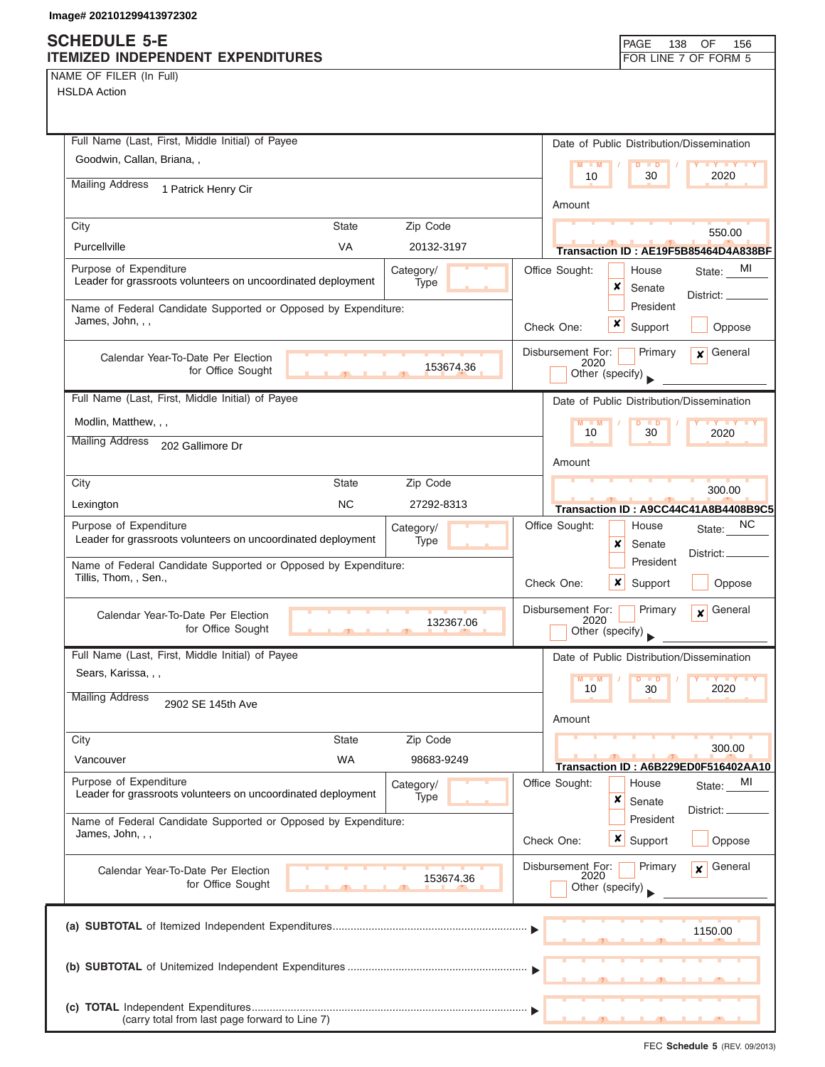### **SCHEDULE 5-E ITEMIZED INDEPENDENT EXPENDITURES FOR LINE 7 OF FORM 5**

| NAME OF FILER (In Full) |  |  |  |
|-------------------------|--|--|--|

HSLDA Action

| Full Name (Last, First, Middle Initial) of Payee                                        |              |                   |                           |                            | Date of Public Distribution/Dissemination |
|-----------------------------------------------------------------------------------------|--------------|-------------------|---------------------------|----------------------------|-------------------------------------------|
| Goodwin, Callan, Briana, ,                                                              |              |                   | $M - M$                   | D<br>$\blacksquare$        | $\mathbf{Y}$ $\mathbf{Y}$                 |
| <b>Mailing Address</b><br>1 Patrick Henry Cir                                           |              |                   | 10                        | 30                         | 2020                                      |
|                                                                                         |              |                   | Amount                    |                            |                                           |
| City                                                                                    | <b>State</b> | Zip Code          |                           |                            | 550.00                                    |
| Purcellville                                                                            | VA           | 20132-3197        |                           |                            | Transaction ID: AE19F5B85464D4A838BF      |
| Purpose of Expenditure<br>Leader for grassroots volunteers on uncoordinated deployment  |              | Category/<br>Type | Office Sought:            | House<br>×<br>Senate       | MI<br>State:<br>District: _               |
| Name of Federal Candidate Supported or Opposed by Expenditure:<br>James, John, , ,      |              |                   | Check One:                | President<br>x<br>Support  | Oppose                                    |
| Calendar Year-To-Date Per Election<br>for Office Sought                                 | $\mathbf{r}$ | 153674.36         | Disbursement For:<br>2020 | Primary<br>Other (specify) | General<br>x                              |
| Full Name (Last, First, Middle Initial) of Payee                                        |              |                   |                           |                            | Date of Public Distribution/Dissemination |
| Modlin, Matthew, , ,                                                                    |              |                   | $M - M$                   | D                          | <b>x</b> y x y x                          |
| <b>Mailing Address</b><br>202 Gallimore Dr                                              |              |                   | 10                        | 30                         | 2020                                      |
|                                                                                         |              |                   | Amount                    |                            |                                           |
| City                                                                                    | State        | Zip Code          |                           |                            | 300.00                                    |
| Lexington                                                                               | <b>NC</b>    | 27292-8313        |                           |                            | Transaction ID: A9CC44C41A8B4408B9C5      |
| Purpose of Expenditure<br>Leader for grassroots volunteers on uncoordinated deployment  |              | Category/<br>Type | Office Sought:            | House<br>×<br>Senate       | ΝC<br>State:                              |
| Name of Federal Candidate Supported or Opposed by Expenditure:<br>Tillis, Thom, , Sen., |              |                   | Check One:                | President<br>x<br>Support  | District:<br>Oppose                       |
| Calendar Year-To-Date Per Election<br>for Office Sought                                 |              | 132367.06         | Disbursement For:<br>2020 | Primary<br>Other (specify) | General<br>$\mathbf{x}$                   |
| Full Name (Last, First, Middle Initial) of Payee                                        |              |                   |                           |                            | Date of Public Distribution/Dissemination |
| Sears, Karissa, , ,                                                                     |              |                   | M                         |                            |                                           |
| <b>Mailing Address</b><br>2902 SE 145th Ave                                             |              |                   | 10                        | 30                         | 2020                                      |
|                                                                                         |              |                   | Amount                    |                            |                                           |
| City                                                                                    | <b>State</b> | Zip Code          |                           |                            | 300.00                                    |
| Vancouver                                                                               | <b>WA</b>    | 98683-9249        |                           |                            | Transaction ID: A6B229ED0F516402AA10      |
| Purpose of Expenditure<br>Leader for grassroots volunteers on uncoordinated deployment  |              | Category/<br>Type | Office Sought:            | House<br>×<br>Senate       | MI<br>State:                              |
| Name of Federal Candidate Supported or Opposed by Expenditure:                          |              |                   |                           | President                  | District:                                 |
| James, John, , ,                                                                        |              |                   | Check One:                | <b>x</b> Support           | Oppose                                    |
| Calendar Year-To-Date Per Election<br>for Office Sought                                 |              | 153674.36         | Disbursement For:<br>2020 | Primary<br>Other (specify) | General<br>$\mathbf{x}$                   |
|                                                                                         |              |                   |                           |                            | 1150.00                                   |
|                                                                                         |              |                   |                           |                            |                                           |
| (carry total from last page forward to Line 7)                                          |              |                   |                           |                            |                                           |

FEC **Schedule 5** (REV. 09/2013)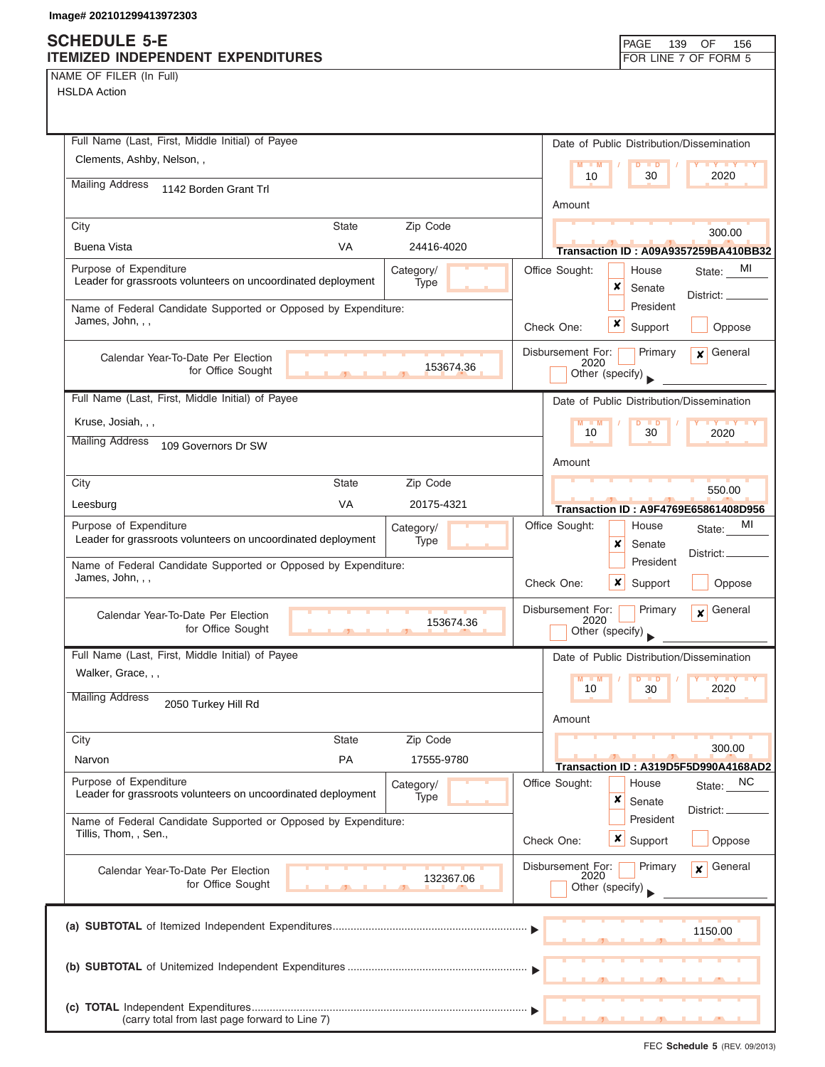### **SCHEDULE 5-E ITEMIZED INDEPENDENT EXPENDITURES FOR LINE 7 OF FORM 5**

|  |  | NAME OF FILER (In Full) |  |  |
|--|--|-------------------------|--|--|
|--|--|-------------------------|--|--|

| Full Name (Last, First, Middle Initial) of Payee                                       |              |                   |           |                           | Date of Public Distribution/Dissemination |                                                |
|----------------------------------------------------------------------------------------|--------------|-------------------|-----------|---------------------------|-------------------------------------------|------------------------------------------------|
| Clements, Ashby, Nelson, ,                                                             |              |                   |           | $M - M$                   | $D$ $D$                                   | <b>LY LY LY</b>                                |
| <b>Mailing Address</b><br>1142 Borden Grant Trl                                        |              |                   |           | 10                        | 30                                        | 2020                                           |
|                                                                                        |              |                   |           | Amount                    |                                           |                                                |
| City                                                                                   | <b>State</b> | Zip Code          |           |                           |                                           | 300.00                                         |
| <b>Buena Vista</b>                                                                     | <b>VA</b>    | 24416-4020        |           |                           |                                           | Transaction ID: A09A9357259BA410BB32           |
| Purpose of Expenditure<br>Leader for grassroots volunteers on uncoordinated deployment |              | Category/<br>Type |           | Office Sought:            | House<br>x<br>Senate                      | MI<br>State:                                   |
| Name of Federal Candidate Supported or Opposed by Expenditure:                         |              |                   |           |                           | President                                 | District: __                                   |
| James, John, , ,                                                                       |              |                   |           | Check One:                | Support                                   | Oppose                                         |
| Calendar Year-To-Date Per Election                                                     |              |                   |           | Disbursement For:         | Primary                                   | $\mathbf x$ General                            |
| for Office Sought                                                                      |              |                   | 153674.36 | 2020                      | Other (specify)                           |                                                |
| Full Name (Last, First, Middle Initial) of Payee                                       |              |                   |           |                           | Date of Public Distribution/Dissemination |                                                |
| Kruse, Josiah, , ,                                                                     |              |                   |           | $M - M$<br>10             | $D$ $D$<br>30                             | <b>TY TY TY</b>                                |
| <b>Mailing Address</b><br>109 Governors Dr SW                                          |              |                   |           |                           |                                           | 2020                                           |
|                                                                                        |              |                   |           | Amount                    |                                           |                                                |
| City                                                                                   | <b>State</b> | Zip Code          |           |                           |                                           | 550.00                                         |
| Leesburg                                                                               | <b>VA</b>    | 20175-4321        |           |                           |                                           | Transaction ID: A9F4769E65861408D956           |
| Purpose of Expenditure                                                                 |              | Category/         |           | Office Sought:            | House                                     | MI<br>State:                                   |
| Leader for grassroots volunteers on uncoordinated deployment                           |              | Type              |           |                           | x<br>Senate                               | District:                                      |
| Name of Federal Candidate Supported or Opposed by Expenditure:<br>James, John, , ,     |              |                   |           | Check One:                | President<br>x<br>Support                 | Oppose                                         |
| Calendar Year-To-Date Per Election                                                     |              |                   |           | Disbursement For:         | Primary                                   | General<br>$\boldsymbol{x}$                    |
| for Office Sought                                                                      |              |                   | 153674.36 | 2020                      | Other (specify)                           |                                                |
| Full Name (Last, First, Middle Initial) of Payee                                       |              |                   |           |                           | Date of Public Distribution/Dissemination |                                                |
| Walker, Grace, , ,                                                                     |              |                   |           | $M - M$<br>10             | $D$ $D$<br>30                             | <b>IV V</b><br>2020                            |
| <b>Mailing Address</b><br>2050 Turkey Hill Rd                                          |              |                   |           | Amount                    |                                           |                                                |
| City                                                                                   | <b>State</b> | Zip Code          |           |                           |                                           |                                                |
| Narvon                                                                                 | PA           | 17555-9780        |           |                           |                                           | 300.00<br>Transaction ID: A319D5F5D990A4168AD2 |
| Purpose of Expenditure<br>Leader for grassroots volunteers on uncoordinated deployment |              | Category/<br>Type |           | Office Sought:            | House<br>×<br>Senate                      | State: NC                                      |
| Name of Federal Candidate Supported or Opposed by Expenditure:                         |              |                   |           |                           | President                                 | District:                                      |
| Tillis, Thom, , Sen.,                                                                  |              |                   |           | Check One:                | x<br>Support                              | Oppose                                         |
| Calendar Year-To-Date Per Election                                                     |              |                   |           | Disbursement For:<br>2020 | Primary                                   | General<br>x                                   |
| for Office Sought                                                                      |              |                   | 132367.06 |                           | Other (specify) $\Box$                    |                                                |
|                                                                                        |              |                   |           |                           |                                           | 1150.00                                        |
|                                                                                        |              |                   |           |                           |                                           |                                                |
|                                                                                        |              |                   |           |                           |                                           |                                                |
|                                                                                        |              |                   |           |                           |                                           |                                                |
| (carry total from last page forward to Line 7)                                         |              |                   |           | -91                       | $\overline{\phantom{a}}$                  |                                                |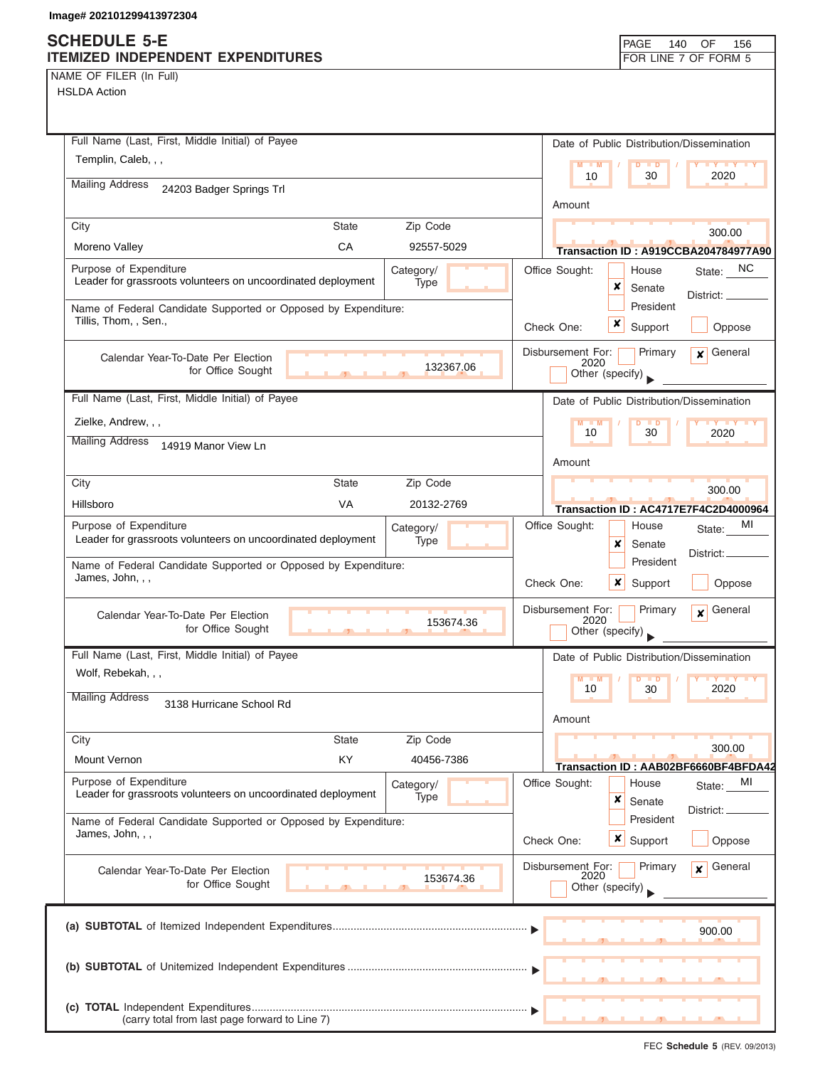### **SCHEDULE 5-E ITEMIZED INDEPENDENT**

| NAME OF FILER (In Full) |  |  |  |
|-------------------------|--|--|--|
|-------------------------|--|--|--|

| <u>UGH ZUZ IU IZYY4 IJYIZJU4</u>                                                        |              |                                |                |                                              |                      |                                           |
|-----------------------------------------------------------------------------------------|--------------|--------------------------------|----------------|----------------------------------------------|----------------------|-------------------------------------------|
| <b>HEDULE 5-E</b><br><b>MIZED INDEPENDENT EXPENDITURES</b>                              |              |                                |                |                                              | PAGE<br>140          | OF<br>156<br>FOR LINE 7 OF FORM 5         |
| ME OF FILER (In Full)                                                                   |              |                                |                |                                              |                      |                                           |
| SLDA Action                                                                             |              |                                |                |                                              |                      |                                           |
| Full Name (Last, First, Middle Initial) of Payee                                        |              |                                |                |                                              |                      | Date of Public Distribution/Dissemination |
| Templin, Caleb, , ,                                                                     |              |                                |                | $M = M$                                      | <b>D</b>             | Y <sub>Y</sub>                            |
| <b>Mailing Address</b><br>24203 Badger Springs Trl                                      |              |                                |                | 10                                           | 30                   | 2020                                      |
|                                                                                         |              |                                |                | Amount                                       |                      |                                           |
| City                                                                                    | <b>State</b> | Zip Code                       |                |                                              |                      | 300.00                                    |
| Moreno Valley                                                                           | CA           | 92557-5029                     |                |                                              |                      | Transaction ID: A919CCBA204784977A90      |
| Purpose of Expenditure<br>Leader for grassroots volunteers on uncoordinated deployment  |              | Category/<br>Type              | Office Sought: | ×                                            | House<br>Senate      | State: NC<br>District: _                  |
| Name of Federal Candidate Supported or Opposed by Expenditure:<br>Tillis, Thom, , Sen., |              |                                | Check One:     | ×                                            | President<br>Support | Oppose                                    |
| Calendar Year-To-Date Per Election<br>for Office Sought                                 |              | 132367.06                      |                | Disbursement For:<br>2020<br>Other (specify) | Primary              | General<br>x                              |
| Full Name (Last, First, Middle Initial) of Payee                                        |              |                                |                |                                              |                      | Date of Public Distribution/Dissemination |
| Zielke, Andrew, , ,                                                                     |              |                                |                | M<br>$- M$<br>10                             | . ∍<br>30            | 2020                                      |
| <b>Mailing Address</b><br>14919 Manor View Ln                                           |              |                                |                |                                              |                      |                                           |
|                                                                                         |              |                                |                | Amount                                       |                      |                                           |
| City                                                                                    | <b>State</b> | Zip Code                       |                |                                              |                      | 300.00                                    |
| Hillsboro                                                                               | VA           | 20132-2769                     |                |                                              |                      | Transaction ID: AC4717E7F4C2D4000964      |
| Purpose of Expenditure<br>Leader for grassroots volunteers on uncoordinated deployment  |              | Category/<br>Type              | Office Sought: | x                                            | House<br>Senate      | MI<br>State:<br>District:                 |
| Name of Federal Candidate Supported or Opposed by Expenditure:<br>James, John, , ,      |              |                                | Check One:     | x                                            | President<br>Support | Oppose                                    |
| Calendar Year-To-Date Per Election<br>for Office Sought                                 | $\sim$       | 153674.36<br><b>CONTRACTOR</b> |                | Disbursement For:<br>2020<br>Other (specify) | Primary              | General<br>×                              |
| Full Name (Last, First, Middle Initial) of Payee                                        |              |                                |                |                                              |                      | Date of Public Distribution/Dissemination |
| Wolf, Rebekah, , ,<br><b>Mailing Address</b>                                            |              |                                |                | $M - M$<br>10                                | $D$ $D$<br>30        | Y FY FY FY<br>2020                        |
| 3138 Hurricane School Rd                                                                |              |                                |                | Amount                                       |                      |                                           |

|                                                                                        |              |                   | Amount                                                                                  |
|----------------------------------------------------------------------------------------|--------------|-------------------|-----------------------------------------------------------------------------------------|
| City                                                                                   | <b>State</b> | Zip Code          | 300.00                                                                                  |
| <b>Mount Vernon</b>                                                                    | <b>KY</b>    | 40456-7386        | Transaction ID: AAB02BF6660BF4BFDA42                                                    |
| Purpose of Expenditure<br>Leader for grassroots volunteers on uncoordinated deployment |              | Category/<br>Type | State: MI<br>Office Sought:<br>House<br>x<br>Senate<br>District:                        |
| Name of Federal Candidate Supported or Opposed by Expenditure:<br>James, John, , ,     |              |                   | President<br>$\boldsymbol{x}$<br>Support<br>Check One:<br>Oppose                        |
| Calendar Year-To-Date Per Election<br>for Office Sought                                |              | 153674.36         | Primary<br>Disbursement For:<br>General<br>$\mathbf{x}$<br>2020<br>Other (specify)      |
|                                                                                        |              |                   | 900.00                                                                                  |
|                                                                                        |              |                   |                                                                                         |
| (c)<br>(carry total from last page forward to Line 7)                                  |              |                   | $\mathbf{r}$ , $\mathbf{r}$ , $\mathbf{r}$ , $\mathbf{r}$ , $\mathbf{r}$ , $\mathbf{r}$ |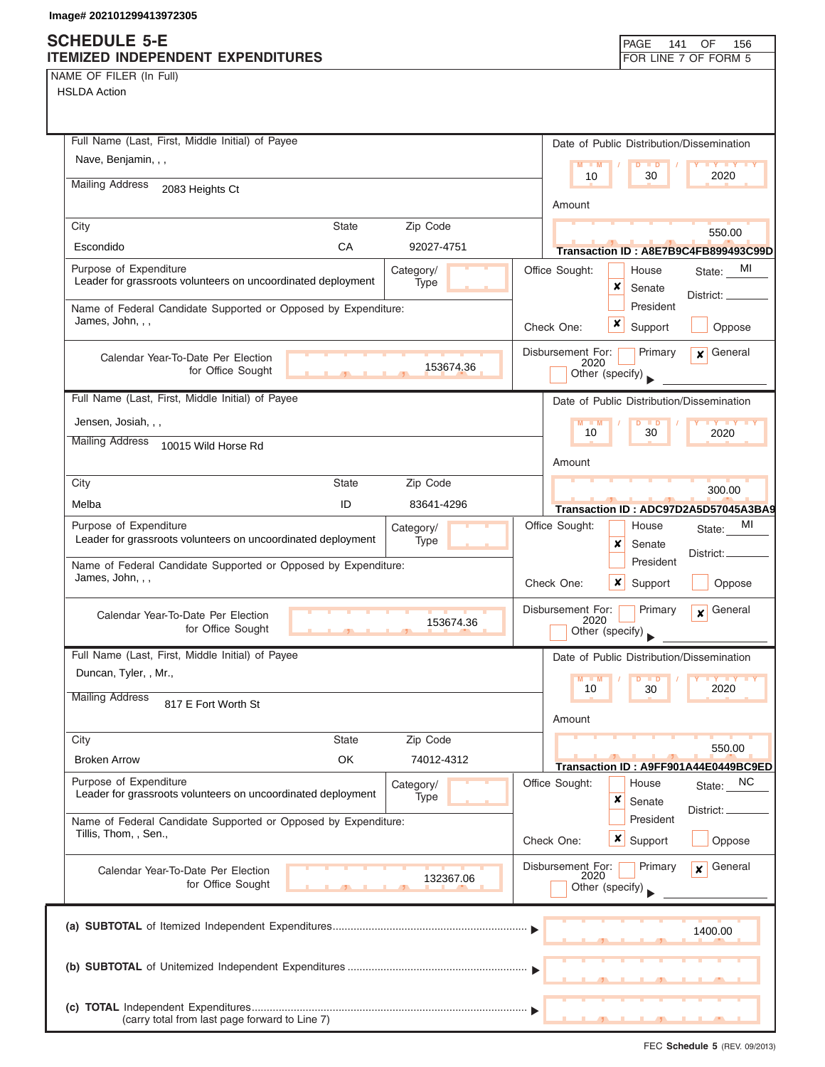### **SCHEDULE 5-E ITEMIZED INDEPENDENT EXPENDITURES FOR LINE 7 OF FORM 5**

NAME OF FILER (In Full)

| HSLDA Action                                                                           |                           |                   |                   |                                           |                                      |
|----------------------------------------------------------------------------------------|---------------------------|-------------------|-------------------|-------------------------------------------|--------------------------------------|
|                                                                                        |                           |                   |                   |                                           |                                      |
| Full Name (Last, First, Middle Initial) of Payee<br>Nave, Benjamin, , ,                |                           |                   |                   | Date of Public Distribution/Dissemination |                                      |
|                                                                                        |                           |                   |                   | $D$ $D$<br>10<br>30                       | 2020                                 |
| <b>Mailing Address</b><br>2083 Heights Ct                                              |                           |                   | Amount            |                                           |                                      |
| City                                                                                   | <b>State</b>              | Zip Code          |                   |                                           | 550.00                               |
| Escondido                                                                              | CA                        | 92027-4751        |                   |                                           | Transaction ID: A8E7B9C4FB899493C99D |
| Purpose of Expenditure<br>Leader for grassroots volunteers on uncoordinated deployment |                           | Category/<br>Type | Office Sought:    | House<br>x<br>Senate                      | MI<br>State:                         |
| Name of Federal Candidate Supported or Opposed by Expenditure:<br>James, John, , ,     |                           |                   | Check One:        | President<br>x<br>Support                 | District: __<br>Oppose               |
|                                                                                        |                           |                   |                   |                                           |                                      |
| Calendar Year-To-Date Per Election<br>for Office Sought                                |                           | 153674.36         | Disbursement For: | Primary<br>2020<br>Other (specify)        | General<br>$\mathbf{x}$              |
| Full Name (Last, First, Middle Initial) of Payee                                       |                           |                   |                   | Date of Public Distribution/Dissemination |                                      |
| Jensen, Josiah, , ,                                                                    |                           |                   | $M - M$           | $\Box$                                    | <b>LY LY LY</b>                      |
| <b>Mailing Address</b><br>10015 Wild Horse Rd                                          |                           |                   |                   | 10<br>30                                  | 2020                                 |
|                                                                                        |                           |                   | Amount            |                                           |                                      |
| City                                                                                   | <b>State</b>              | Zip Code          |                   |                                           | 300.00                               |
| Melba                                                                                  | ID                        | 83641-4296        |                   |                                           | Transaction ID: ADC97D2A5D57045A3BA9 |
| Purpose of Expenditure                                                                 |                           | Category/         | Office Sought:    | House                                     | MI<br>State:                         |
| Leader for grassroots volunteers on uncoordinated deployment                           |                           | Type              |                   | x<br>Senate                               | District:                            |
| Name of Federal Candidate Supported or Opposed by Expenditure:                         |                           |                   |                   | President                                 |                                      |
| James, John, , ,                                                                       |                           |                   | Check One:        | x<br>Support                              | Oppose                               |
| Calendar Year-To-Date Per Election<br>for Office Sought                                | $\mathbf{1}$ $\mathbf{1}$ | 153674.36         | Disbursement For: | Primary<br>2020<br>Other (specify)        | General<br>$\mathbf{x}$              |
| Full Name (Last, First, Middle Initial) of Payee                                       |                           |                   |                   | Date of Public Distribution/Dissemination |                                      |
| Duncan, Tyler, , Mr.,<br><b>Mailing Address</b>                                        |                           |                   | $M - M$           | $D$ $D$<br>30                             |                                      |
| 817 E Fort Worth St                                                                    |                           |                   | Amount            |                                           |                                      |
| City                                                                                   | <b>State</b>              | Zip Code          |                   |                                           | 550.00                               |
| <b>Broken Arrow</b>                                                                    | OK                        | 74012-4312        |                   |                                           | Transaction ID: A9FF901A44E0449BC9ED |
| Purpose of Expenditure                                                                 |                           | Category/         | Office Sought:    | House                                     | State: NC                            |
| Leader for grassroots volunteers on uncoordinated deployment                           |                           | Type              |                   | ×<br>Senate                               |                                      |
| Name of Federal Candidate Supported or Opposed by Expenditure:                         |                           |                   |                   | President                                 | District:                            |
| Tillis, Thom, , Sen.,                                                                  |                           |                   | Check One:        | x<br>Support                              | Oppose                               |
| Calendar Year-To-Date Per Election<br>for Office Sought                                |                           | 132367.06         | Disbursement For: | Primary<br>2020<br>Other (specify)        | General<br>$\mathbf{x}$              |
|                                                                                        |                           |                   |                   |                                           | 1400.00                              |
|                                                                                        |                           |                   |                   |                                           |                                      |
| (carry total from last page forward to Line 7)                                         |                           |                   |                   |                                           |                                      |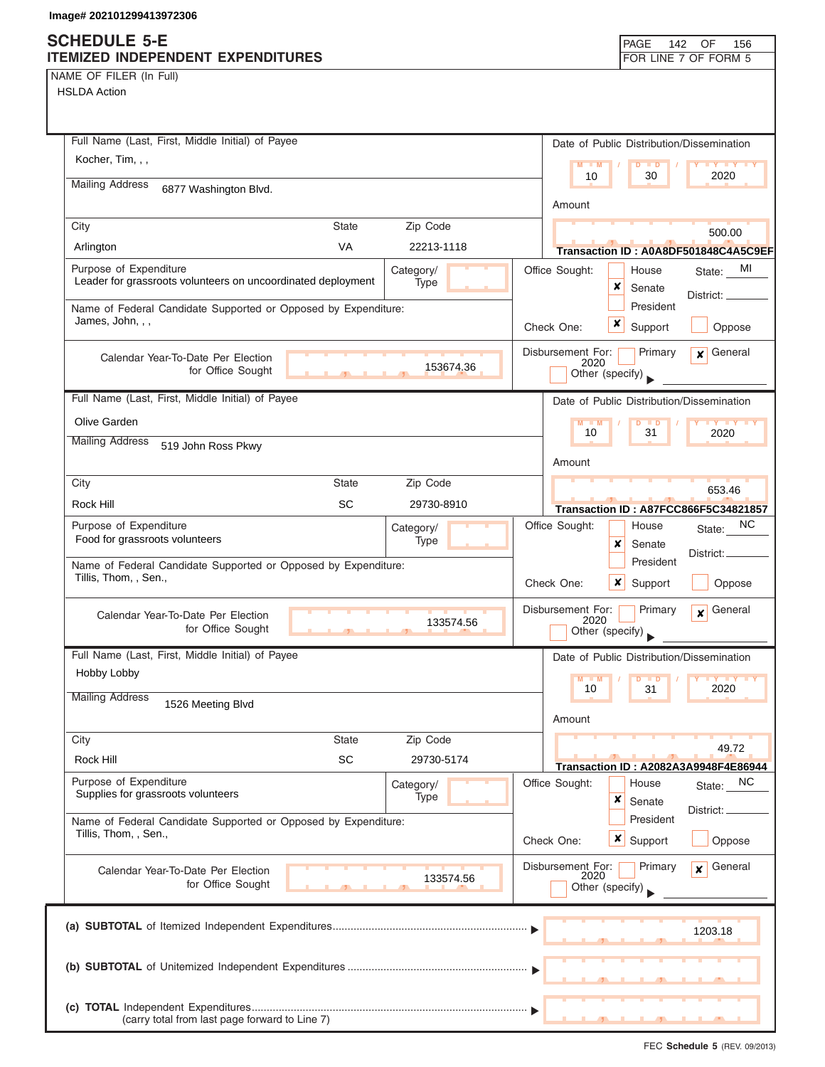## **SCHEDULE 5-E**

| <b>SUNEDULE 3-E</b>                                            |              |            |                           | PAGE<br>142                               | OF<br>156                                           |
|----------------------------------------------------------------|--------------|------------|---------------------------|-------------------------------------------|-----------------------------------------------------|
| ITEMIZED INDEPENDENT EXPENDITURES                              |              |            |                           |                                           | FOR LINE 7 OF FORM 5                                |
| NAME OF FILER (In Full)<br><b>HSLDA Action</b>                 |              |            |                           |                                           |                                                     |
|                                                                |              |            |                           |                                           |                                                     |
|                                                                |              |            |                           |                                           |                                                     |
| Full Name (Last, First, Middle Initial) of Payee               |              |            |                           | Date of Public Distribution/Dissemination |                                                     |
| Kocher, Tim, , ,                                               |              |            | $M - M$                   | $D$ $D$                                   | $\mathbf{y}$ $\mathbf{y}$                           |
| <b>Mailing Address</b><br>6877 Washington Blvd.                |              |            | 10                        | 30                                        | 2020                                                |
|                                                                |              |            | Amount                    |                                           |                                                     |
| City                                                           | <b>State</b> | Zip Code   |                           |                                           | 500.00                                              |
| Arlington                                                      | VA           | 22213-1118 |                           |                                           | Transaction ID: A0A8DF501848C4A5C9EF                |
| Purpose of Expenditure                                         |              | Category/  | Office Sought:            | House                                     | MI<br>State:                                        |
| Leader for grassroots volunteers on uncoordinated deployment   |              | Type       |                           | ×<br>Senate                               |                                                     |
| Name of Federal Candidate Supported or Opposed by Expenditure: |              |            |                           | President                                 | District:                                           |
| James, John, , ,                                               |              |            | Check One:                | ×<br>Support                              | Oppose                                              |
|                                                                |              |            |                           |                                           | General                                             |
| Calendar Year-To-Date Per Election<br>for Office Sought        |              | 153674.36  | Disbursement For:<br>2020 | Primary                                   | $\mathbf{x}$                                        |
|                                                                |              |            |                           | Other (specify)                           |                                                     |
| Full Name (Last, First, Middle Initial) of Payee               |              |            |                           | Date of Public Distribution/Dissemination |                                                     |
| Olive Garden                                                   |              |            | $M - M$                   |                                           | <b>TY TY TY</b>                                     |
| <b>Mailing Address</b><br>519 John Ross Pkwy                   |              |            | 10                        | 31                                        | 2020                                                |
|                                                                |              |            | Amount                    |                                           |                                                     |
| City                                                           | <b>State</b> | Zip Code   |                           |                                           | 653.46                                              |
| Rock Hill                                                      | <b>SC</b>    | 29730-8910 |                           |                                           | Transaction ID: A87FCC866F5C34821857                |
| Purpose of Expenditure                                         |              | Category/  | Office Sought:            | House                                     | NС                                                  |
| Food for grassroots volunteers                                 |              | Type       |                           | x<br>Senate                               | State:                                              |
| Name of Federal Candidate Supported or Opposed by Expenditure: |              |            |                           | President                                 | District:                                           |
| Tillis, Thom, , Sen.,                                          |              |            | Check One:                | ×<br>Support                              | Oppose                                              |
|                                                                |              |            |                           |                                           |                                                     |
| Calendar Year-To-Date Per Election<br>for Office Sought        |              | 133574.56  | Disbursement For:<br>2020 | Primary                                   | General<br>$\boldsymbol{x}$                         |
|                                                                |              |            |                           | Other (specify)                           |                                                     |
| Full Name (Last, First, Middle Initial) of Payee               |              |            |                           | Date of Public Distribution/Dissemination |                                                     |
| Hobby Lobby                                                    |              |            | $M - M$                   | D<br>$\blacksquare$                       | $\mathbf{I}$ $\mathbf{Y}$ $\mathbf{I}$ $\mathbf{Y}$ |
| <b>Mailing Address</b><br>1526 Meeting Blvd                    |              |            | 10                        | 31                                        | 2020                                                |
|                                                                |              |            | Amount                    |                                           |                                                     |
| City                                                           | <b>State</b> | Zip Code   |                           |                                           |                                                     |
| Rock Hill                                                      | <b>SC</b>    | 29730-5174 |                           |                                           | 49.72<br>Transaction ID: A2082A3A9948F4E86944       |
| Purpose of Expenditure                                         |              | Category/  | Office Sought:            | House                                     | NC<br>State:                                        |
| Supplies for grassroots volunteers                             |              | Type       |                           | ×<br>Senate                               |                                                     |
| Name of Federal Candidate Supported or Opposed by Expenditure: |              |            |                           | President                                 | District: <sub>-</sub>                              |
| Tillis, Thom, , Sen.,                                          |              |            | Check One:                | $\boldsymbol{x}$<br>Support               | Oppose                                              |
|                                                                |              |            | Disbursement For:         | Primary                                   | General                                             |
| Calendar Year-To-Date Per Election<br>for Office Sought        |              | 133574.56  | 2020                      |                                           | $\mathbf{x}$                                        |
|                                                                |              |            |                           | Other (specify)                           |                                                     |
|                                                                |              |            |                           |                                           |                                                     |
|                                                                |              |            |                           |                                           | 1203.18                                             |
|                                                                |              |            |                           |                                           |                                                     |
|                                                                |              |            |                           |                                           |                                                     |
|                                                                |              |            |                           |                                           |                                                     |
| (carry total from last page forward to Line 7)                 |              |            |                           |                                           |                                                     |
|                                                                |              |            |                           |                                           |                                                     |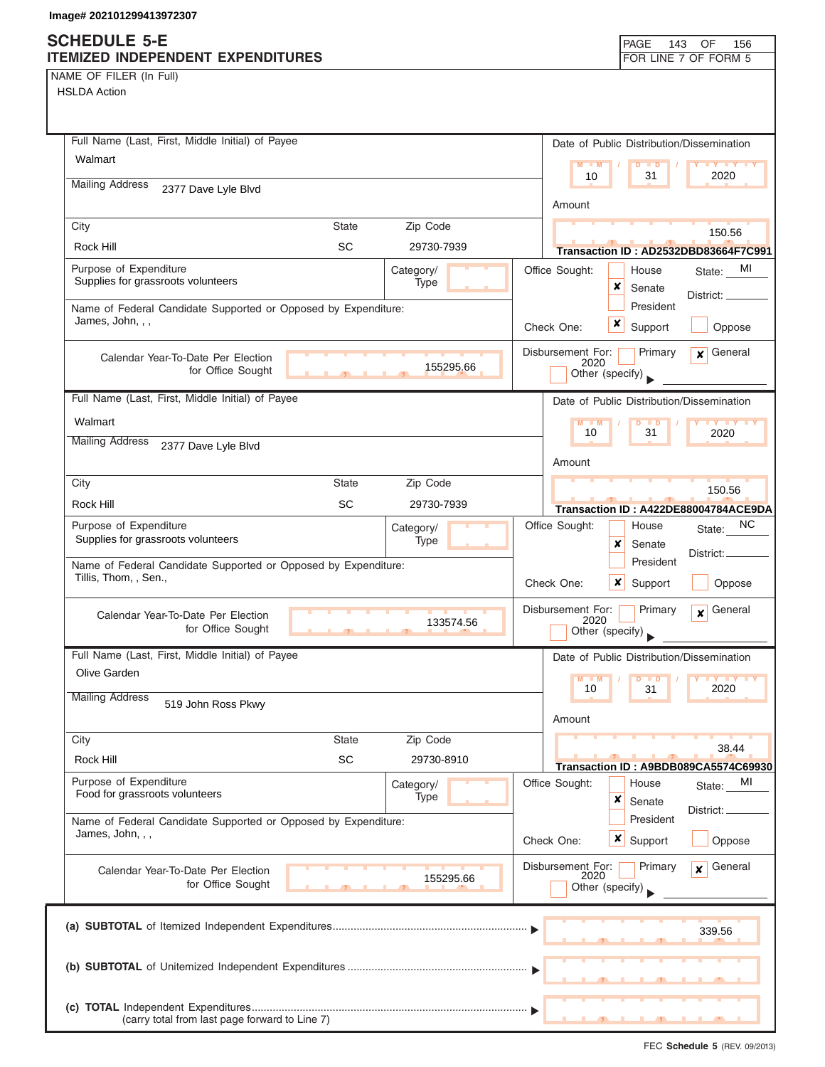NAME OF FILER (In Full) HSLDA Action

| Full Name (Last, First, Middle Initial) of Payee                                        |              |                   |                                              |                      | Date of Public Distribution/Dissemination  |
|-----------------------------------------------------------------------------------------|--------------|-------------------|----------------------------------------------|----------------------|--------------------------------------------|
| Walmart                                                                                 |              |                   | $M - M$                                      |                      |                                            |
| <b>Mailing Address</b>                                                                  |              |                   | 10                                           | 31                   | 2020                                       |
| 2377 Dave Lyle Blvd                                                                     |              |                   | Amount                                       |                      |                                            |
| City                                                                                    | <b>State</b> | Zip Code          |                                              |                      | 150.56                                     |
| Rock Hill                                                                               | <b>SC</b>    | 29730-7939        |                                              |                      | Transaction ID: AD2532DBD83664F7C991       |
| Purpose of Expenditure<br>Supplies for grassroots volunteers                            |              | Category/<br>Type | Office Sought:<br>x                          | House<br>Senate      | MI<br>State:<br>District:                  |
| Name of Federal Candidate Supported or Opposed by Expenditure:<br>James, John, , ,      |              |                   | x<br>Check One:                              | President<br>Support | Oppose                                     |
| Calendar Year-To-Date Per Election<br>for Office Sought                                 |              | 155295.66         | Disbursement For:<br>2020<br>Other (specify) | Primary              | General<br>$\mathbf{x}$                    |
| Full Name (Last, First, Middle Initial) of Payee                                        |              |                   |                                              |                      | Date of Public Distribution/Dissemination  |
| Walmart                                                                                 |              |                   | $M - M$                                      |                      |                                            |
| <b>Mailing Address</b><br>2377 Dave Lyle Blvd                                           |              |                   | 10                                           | 31                   | 2020                                       |
|                                                                                         |              |                   | Amount                                       |                      |                                            |
| City                                                                                    | State        | Zip Code          |                                              |                      | 150.56                                     |
| Rock Hill                                                                               | SC           | 29730-7939        |                                              |                      | Transaction ID: A422DE88004784ACE9DA       |
| Purpose of Expenditure<br>Supplies for grassroots volunteers                            |              | Category/<br>Type | Office Sought:<br>x                          | House<br>Senate      | NC.<br>State:                              |
| Name of Federal Candidate Supported or Opposed by Expenditure:<br>Tillis, Thom, , Sen., |              |                   | ×<br>Check One:                              | President<br>Support | District:<br>Oppose                        |
|                                                                                         |              |                   |                                              |                      |                                            |
| Calendar Year-To-Date Per Election<br>for Office Sought                                 |              | 133574.56         | Disbursement For:<br>2020<br>Other (specify) | Primary              | General<br>$\mathbf{x}$                    |
| Full Name (Last, First, Middle Initial) of Payee                                        |              |                   |                                              |                      | Date of Public Distribution/Dissemination  |
| Olive Garden                                                                            |              |                   | 10                                           | 31                   | 2020                                       |
| <b>Mailing Address</b><br>519 John Ross Pkwy                                            |              |                   | Amount                                       |                      |                                            |
| City                                                                                    | <b>State</b> | Zip Code          |                                              |                      |                                            |
| Rock Hill                                                                               | <b>SC</b>    | 29730-8910        |                                              |                      | 38.44                                      |
| Purpose of Expenditure                                                                  |              | Category/         | Office Sought:                               | House                | Transaction ID: A9BDB089CA5574C69930<br>МI |
| Food for grassroots volunteers                                                          |              | Type              | ×                                            | Senate               | State:<br>District:                        |
| Name of Federal Candidate Supported or Opposed by Expenditure:<br>James, John, , ,      |              |                   |                                              | President            |                                            |
|                                                                                         |              |                   | x<br>Check One:                              | Support              | Oppose                                     |
| Calendar Year-To-Date Per Election<br>for Office Sought                                 |              | 155295.66         | Disbursement For:<br>2020<br>Other (specify) | Primary              | General<br>$\mathbf{x}$                    |
|                                                                                         |              |                   |                                              |                      | 339.56                                     |
|                                                                                         |              |                   |                                              |                      |                                            |
| (carry total from last page forward to Line 7)                                          |              |                   |                                              |                      |                                            |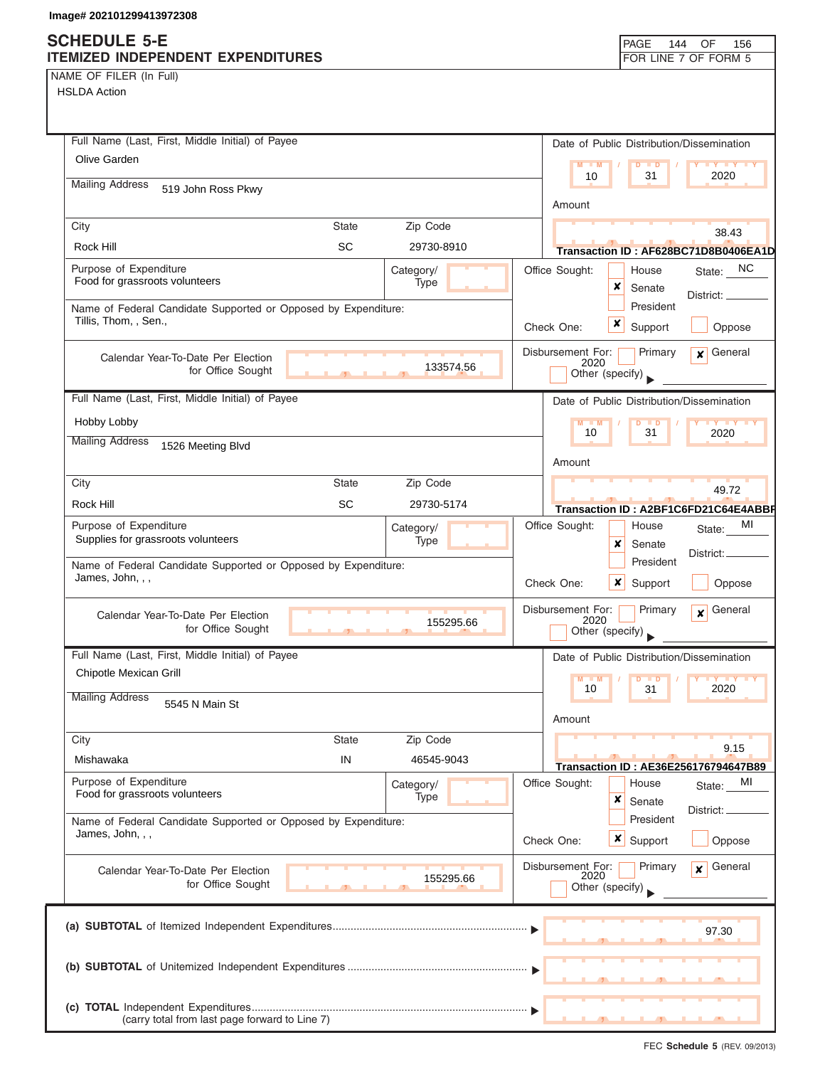NAME OF FILER (In Full)

| Full Name (Last, First, Middle Initial) of Payee                                   |              |                           |                           | Date of Public Distribution/Dissemination |                                             |
|------------------------------------------------------------------------------------|--------------|---------------------------|---------------------------|-------------------------------------------|---------------------------------------------|
| Olive Garden                                                                       |              |                           | M<br>$-M$                 | D<br>$\blacksquare$                       | <b>IY Y Y Y</b>                             |
| <b>Mailing Address</b><br>519 John Ross Pkwy                                       |              |                           | 10                        | 31                                        | 2020                                        |
|                                                                                    |              |                           | Amount                    |                                           |                                             |
| City                                                                               | <b>State</b> | Zip Code                  |                           |                                           | 38.43                                       |
| Rock Hill                                                                          | <b>SC</b>    | 29730-8910                |                           |                                           | Transaction ID: AF628BC71D8B0406EA1D        |
| Purpose of Expenditure                                                             |              | Category/                 | Office Sought:            | House                                     | NC.<br>State:                               |
| Food for grassroots volunteers                                                     |              | Type                      |                           | ×<br>Senate                               | District:                                   |
| Name of Federal Candidate Supported or Opposed by Expenditure:                     |              |                           |                           | President                                 |                                             |
| Tillis, Thom, , Sen.,                                                              |              |                           | Check One:                | x<br>Support                              | Oppose                                      |
| Calendar Year-To-Date Per Election                                                 |              |                           | Disbursement For:<br>2020 | Primary                                   | General<br>$\mathbf{x}$                     |
| for Office Sought                                                                  |              | 133574.56                 |                           | Other (specify)                           |                                             |
| Full Name (Last, First, Middle Initial) of Payee                                   |              |                           |                           | Date of Public Distribution/Dissemination |                                             |
| Hobby Lobby                                                                        |              |                           | $M - M$                   | $D$ $D$                                   | <b>IV V V V</b>                             |
| <b>Mailing Address</b><br>1526 Meeting Blvd                                        |              |                           | 10                        | 31                                        | 2020                                        |
|                                                                                    |              |                           | Amount                    |                                           |                                             |
| City                                                                               | <b>State</b> | Zip Code                  |                           |                                           | 49.72                                       |
| Rock Hill                                                                          | <b>SC</b>    | 29730-5174                |                           |                                           | Transaction ID: A2BF1C6FD21C64E4ABBF        |
| Purpose of Expenditure                                                             |              | Category/                 | Office Sought:            | House                                     | МI<br>State:                                |
| Supplies for grassroots volunteers                                                 |              | Type                      |                           | x<br>Senate                               | District:                                   |
| Name of Federal Candidate Supported or Opposed by Expenditure:<br>James, John, , , |              |                           | Check One:                | President<br>×<br>Support                 | Oppose                                      |
|                                                                                    |              |                           |                           |                                           |                                             |
| Calendar Year-To-Date Per Election<br>for Office Sought                            |              | 155295.66                 | Disbursement For:<br>2020 | Primary<br>Other (specify)                | General<br>$\mathbf{x}$                     |
| Full Name (Last, First, Middle Initial) of Payee                                   |              |                           |                           | Date of Public Distribution/Dissemination |                                             |
| Chipotle Mexican Grill                                                             |              |                           | $M - M$                   | $D$ $D$                                   | <b>IVTY</b>                                 |
| <b>Mailing Address</b><br>5545 N Main St                                           |              |                           | 10<br>Amount              | 31                                        | 2020                                        |
| City                                                                               | <b>State</b> | Zip Code                  |                           |                                           |                                             |
| Mishawaka                                                                          | IN           | 46545-9043                |                           |                                           | 9.15                                        |
| Purpose of Expenditure                                                             |              |                           |                           |                                           | <b>Transaction ID: AE36E256176794647B89</b> |
| Food for grassroots volunteers                                                     |              | Category/<br>Type         | Office Sought:            | House<br>×<br>Senate                      | MI<br>State:                                |
| Name of Federal Candidate Supported or Opposed by Expenditure:                     |              |                           |                           | President                                 | District:                                   |
| James, John, , ,                                                                   |              |                           | Check One:                | $\boldsymbol{x}$<br>Support               | Oppose                                      |
| Calendar Year-To-Date Per Election                                                 |              | Disbursement For:<br>2020 | Primary                   | General<br>$\mathbf{x}$                   |                                             |
| for Office Sought                                                                  |              | 155295.66                 |                           | Other (specify)                           |                                             |
|                                                                                    |              |                           |                           |                                           |                                             |
|                                                                                    |              |                           |                           |                                           | 97.30                                       |
|                                                                                    |              |                           |                           |                                           |                                             |
|                                                                                    |              |                           |                           |                                           |                                             |
|                                                                                    |              |                           |                           |                                           |                                             |
| (carry total from last page forward to Line 7)                                     |              |                           |                           |                                           |                                             |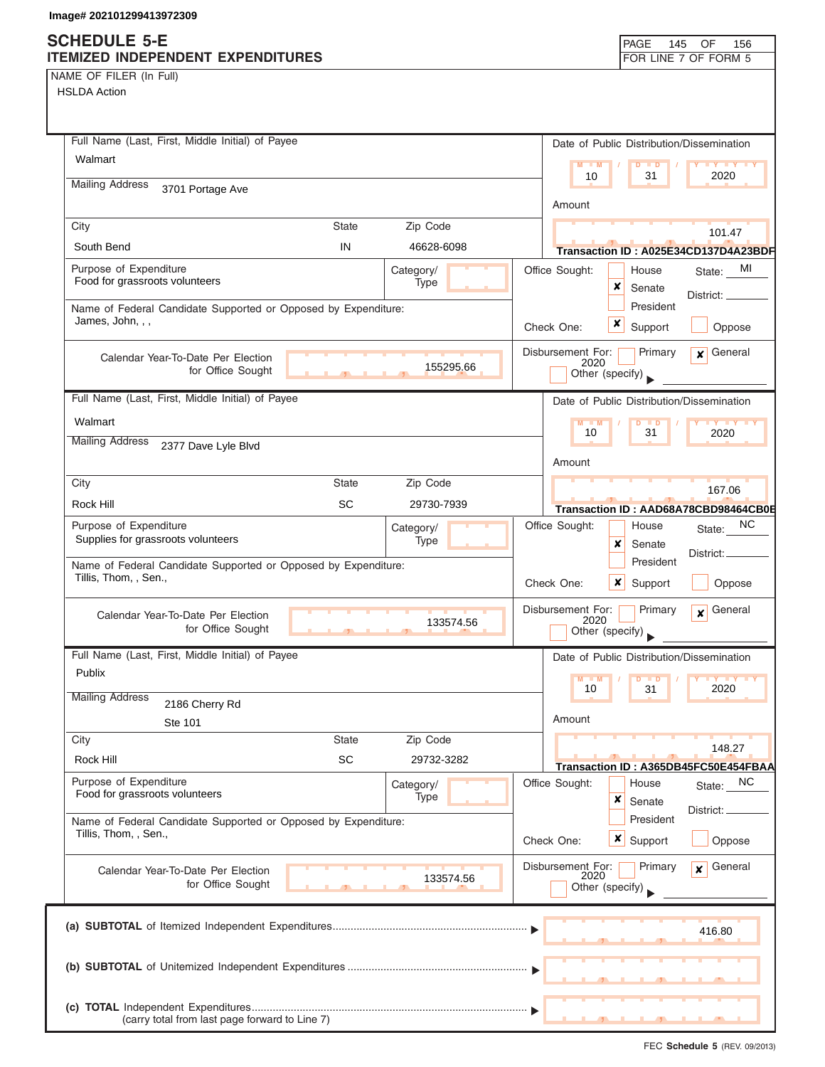## **SCHEDULE 5-E ITEMIZED INDEPENDENT EXPENDITURES FOR LINE 7 OF FORM 5**

NAME OF FILER (In Full)

HSLDA Action

| Full Name (Last, First, Middle Initial) of Payee                                        |              |                   |                   | Date of Public Distribution/Dissemination  |                         |
|-----------------------------------------------------------------------------------------|--------------|-------------------|-------------------|--------------------------------------------|-------------------------|
| Walmart                                                                                 |              |                   |                   | $M - M$<br>$D$ $D$                         | <b>TY YY</b>            |
| <b>Mailing Address</b><br>3701 Portage Ave                                              |              |                   |                   | 10<br>31                                   | 2020                    |
|                                                                                         |              |                   | Amount            |                                            |                         |
| City                                                                                    | <b>State</b> | Zip Code          |                   |                                            | 101.47                  |
| South Bend                                                                              | IN           | 46628-6098        |                   | Transaction ID: A025E34CD137D4A23BDF       |                         |
| Purpose of Expenditure<br>Food for grassroots volunteers                                |              | Category/<br>Type | Office Sought:    | House                                      | MI<br>State:            |
|                                                                                         |              |                   |                   | ×<br>Senate<br>President                   | District: __            |
| Name of Federal Candidate Supported or Opposed by Expenditure:<br>James, John, , ,      |              |                   | Check One:        | x<br>Support                               | Oppose                  |
|                                                                                         |              |                   |                   |                                            |                         |
| Calendar Year-To-Date Per Election<br>for Office Sought                                 |              | 155295.66         | Disbursement For: | Primary<br>2020                            | General<br>$\mathbf{x}$ |
|                                                                                         |              |                   |                   | Other (specify)                            |                         |
| Full Name (Last, First, Middle Initial) of Payee                                        |              |                   |                   | Date of Public Distribution/Dissemination  |                         |
| Walmart                                                                                 |              |                   |                   | $M - M$<br>D<br>$\blacksquare$<br>10<br>31 | <b>TY TY TY</b><br>2020 |
| <b>Mailing Address</b><br>2377 Dave Lyle Blvd                                           |              |                   |                   |                                            |                         |
|                                                                                         |              |                   | Amount            |                                            |                         |
| City                                                                                    | <b>State</b> | Zip Code          |                   |                                            | 167.06                  |
| Rock Hill                                                                               | <b>SC</b>    | 29730-7939        |                   | Transaction ID: AAD68A78CBD98464CB0E       |                         |
| Purpose of Expenditure<br>Supplies for grassroots volunteers                            |              | Category/<br>Type | Office Sought:    | House<br>x<br>Senate                       | NC.<br>State:           |
| Name of Federal Candidate Supported or Opposed by Expenditure:                          |              |                   |                   | President                                  | District:               |
| Tillis, Thom, , Sen.,                                                                   |              |                   | Check One:        | x<br>Support                               | Oppose                  |
|                                                                                         |              |                   | Disbursement For: | Primary                                    | General<br>$\mathbf{x}$ |
| Calendar Year-To-Date Per Election<br>for Office Sought                                 |              | 133574.56         |                   | 2020<br>Other (specify)                    |                         |
| Full Name (Last, First, Middle Initial) of Payee                                        |              |                   |                   | Date of Public Distribution/Dissemination  |                         |
| Publix                                                                                  |              |                   |                   | $M$ $M$<br>$D$ $D$                         | <b>IY Y Y Y</b>         |
| <b>Mailing Address</b><br>2186 Cherry Rd                                                |              |                   |                   | 10<br>31                                   | 2020                    |
| Ste 101                                                                                 |              |                   | Amount            |                                            |                         |
| City                                                                                    | <b>State</b> | Zip Code          |                   |                                            | 148.27                  |
| Rock Hill                                                                               | SC           | 29732-3282        |                   | Transaction ID: A365DB45FC50E454FBAA       |                         |
| Purpose of Expenditure<br>Food for grassroots volunteers                                |              | Category/<br>Type | Office Sought:    | House                                      | NC.<br>State:           |
|                                                                                         |              |                   |                   | ×<br>Senate                                | District:               |
| Name of Federal Candidate Supported or Opposed by Expenditure:<br>Tillis, Thom. , Sen., |              |                   | Check One:        | President<br>$x \mid$<br>Support           | Oppose                  |
| Calendar Year-To-Date Per Election                                                      |              |                   | Disbursement For: | Primary                                    | General<br>$\mathbf{x}$ |
| for Office Sought                                                                       |              | 133574.56         |                   | 2020<br>Other (specify)                    |                         |
|                                                                                         |              |                   |                   |                                            |                         |
|                                                                                         |              |                   |                   |                                            | 416.80                  |
|                                                                                         |              |                   |                   |                                            |                         |
|                                                                                         |              |                   |                   |                                            |                         |
|                                                                                         |              |                   |                   |                                            |                         |
| (carry total from last page forward to Line 7)                                          |              |                   |                   |                                            |                         |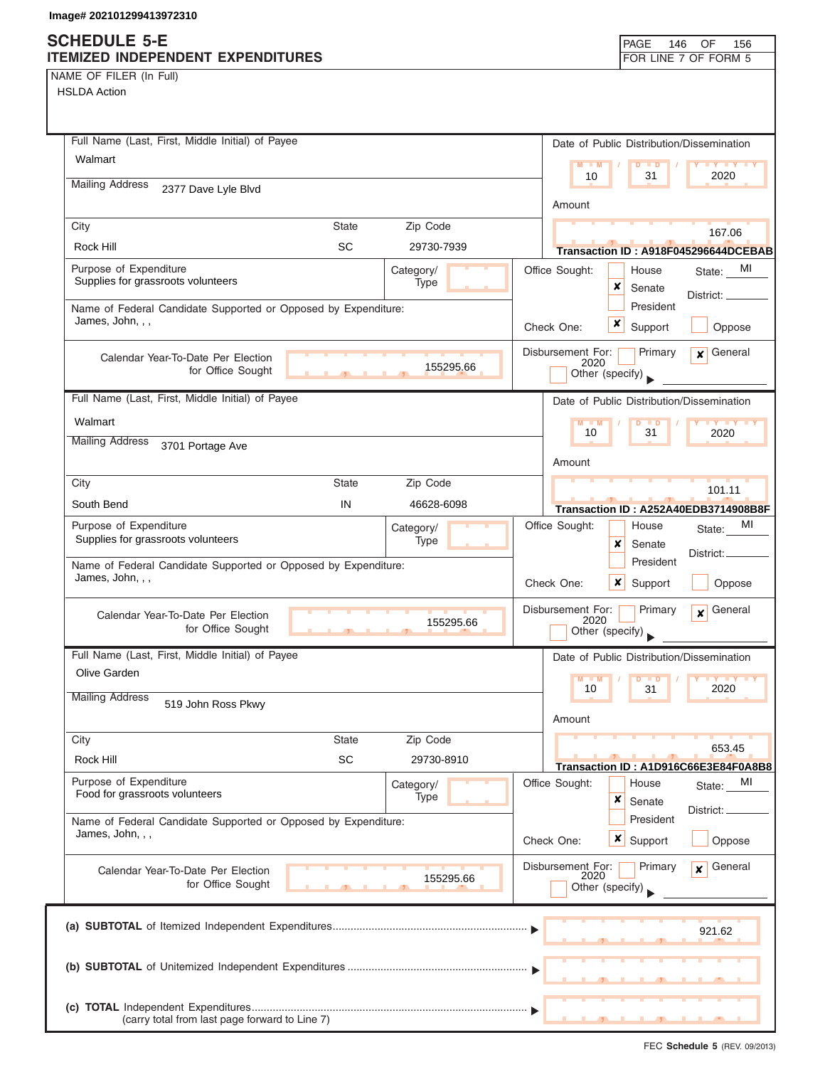## **SCHEDULE 5-E ITEMIZED INDEPENDENT EXPENDITURES FOR LINE 7 OF FORM 5**

NAME OF FILER (In Full) HSLDA Action

| Full Name (Last, First, Middle Initial) of Payee                                   |                |                   | Date of Public Distribution/Dissemination                                          |
|------------------------------------------------------------------------------------|----------------|-------------------|------------------------------------------------------------------------------------|
| Walmart                                                                            |                |                   | <b>LY TY LY</b><br>$M - M$<br>$D$ $D$<br>2020<br>10<br>31                          |
| <b>Mailing Address</b><br>2377 Dave Lyle Blvd                                      |                |                   | Amount                                                                             |
| City                                                                               | State          | Zip Code          | 167.06                                                                             |
| Rock Hill                                                                          | <b>SC</b>      | 29730-7939        | Transaction ID: A918F045296644DCEBAB                                               |
| Purpose of Expenditure<br>Supplies for grassroots volunteers                       |                | Category/<br>Type | Office Sought:<br>MI<br>House<br>State:<br>x<br>Senate<br>District:                |
| Name of Federal Candidate Supported or Opposed by Expenditure:<br>James, John, , , |                |                   | President<br>x<br>Support<br>Check One:<br>Oppose                                  |
| Calendar Year-To-Date Per Election<br>for Office Sought                            |                | 155295.66         | Primary<br>$\mathbf x$ General<br>Disbursement For:<br>2020<br>Other (specify)     |
| Full Name (Last, First, Middle Initial) of Payee                                   |                |                   | Date of Public Distribution/Dissemination                                          |
| Walmart                                                                            |                |                   | $M - M$<br>$\overline{D}$<br><b>TED</b><br><b>TY TY TY</b>                         |
| <b>Mailing Address</b><br>3701 Portage Ave                                         |                |                   | 10<br>31<br>2020<br>Amount                                                         |
| City                                                                               | <b>State</b>   | Zip Code          | 101.11                                                                             |
| South Bend                                                                         | IN             | 46628-6098        | Transaction ID: A252A40EDB3714908B8F                                               |
| Purpose of Expenditure<br>Supplies for grassroots volunteers                       |                | Category/<br>Type | МI<br>Office Sought:<br>House<br>State:<br>×<br>Senate                             |
| Name of Federal Candidate Supported or Opposed by Expenditure:<br>James, John, , , |                |                   | District:.<br>President<br>×<br>Check One:<br>Support<br>Oppose                    |
| Calendar Year-To-Date Per Election<br>for Office Sought                            | $\overline{1}$ | 155295.66         | Disbursement For:<br>General<br>Primary<br>$\mathbf{x}$<br>2020<br>Other (specify) |
| Full Name (Last, First, Middle Initial) of Payee                                   |                |                   | Date of Public Distribution/Dissemination                                          |
| Olive Garden<br><b>Mailing Address</b>                                             |                |                   | $M - M$<br>$D$ $D$<br>$Y$ $Y$<br>2020<br>10<br>31                                  |
| 519 John Ross Pkwy                                                                 |                |                   | Amount                                                                             |
| City                                                                               | <b>State</b>   | Zip Code          |                                                                                    |
| Rock Hill                                                                          | SC             | 29730-8910        | 653.45<br>Transaction ID: A1D916C66E3E84F0A8B8                                     |
| Purpose of Expenditure                                                             |                | Category/         | Office Sought:<br>MI<br>House<br>State:                                            |
| Food for grassroots volunteers                                                     |                | Type              | ×<br>Senate<br>District:<br>President                                              |
| Name of Federal Candidate Supported or Opposed by Expenditure:<br>James, John, , , |                |                   | Check One:<br>$\boldsymbol{x}$<br>Oppose<br>Support                                |
| Calendar Year-To-Date Per Election<br>for Office Sought                            |                | 155295.66         | Disbursement For:<br>Primary<br>General<br>$\mathbf{x}$<br>2020<br>Other (specify) |
|                                                                                    |                |                   | 921.62                                                                             |
|                                                                                    |                |                   |                                                                                    |
| (carry total from last page forward to Line 7)                                     |                |                   |                                                                                    |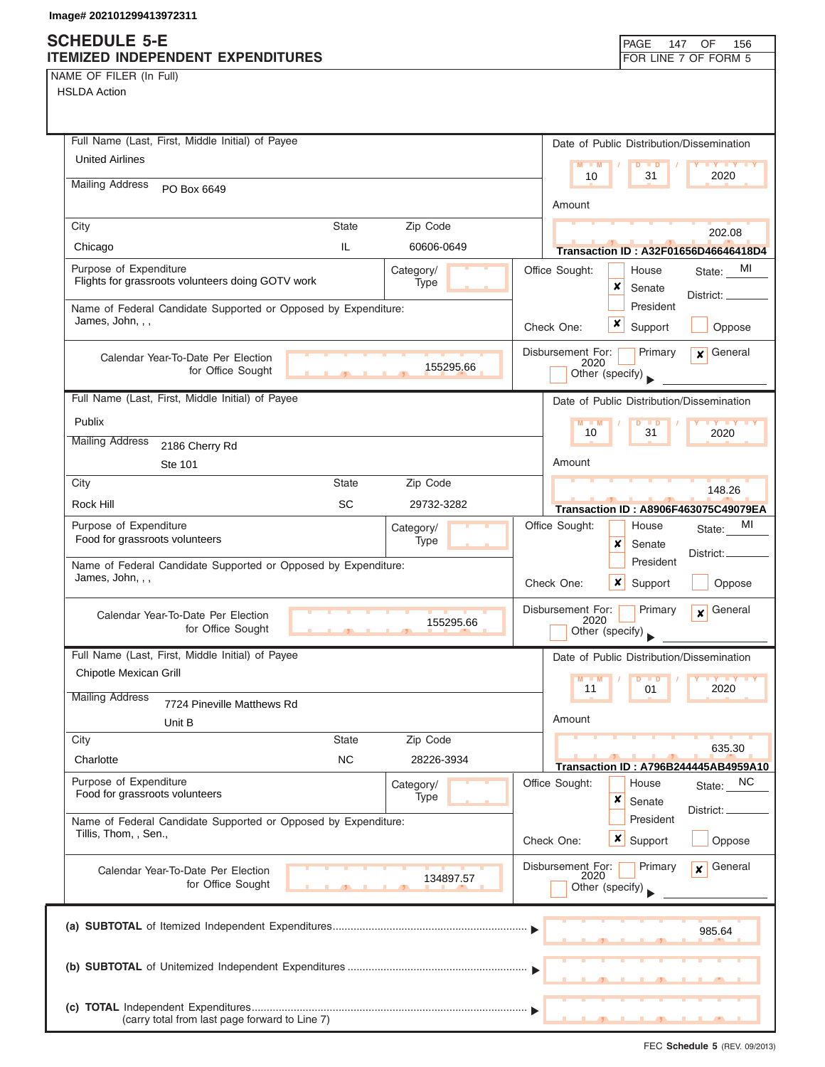## **SCHEDULE 5-E ITEMIZED INDEPENDENT EXPENDITURES FOR LINE 7 OF FORM 5**

NAME OF FILER (In Full) HSLDA Action

| Full Name (Last, First, Middle Initial) of Payee                     | Date of Public Distribution/Dissemination                                                     |
|----------------------------------------------------------------------|-----------------------------------------------------------------------------------------------|
| <b>United Airlines</b>                                               | $M - M$<br>$D$ $\Box$ $D$                                                                     |
| <b>Mailing Address</b><br>PO Box 6649                                | 2020<br>10<br>31                                                                              |
|                                                                      | Amount                                                                                        |
| Zip Code<br>City<br>State                                            | 202.08                                                                                        |
| IL.<br>Chicago<br>60606-0649                                         | Transaction ID: A32F01656D46646418D4                                                          |
| Purpose of Expenditure<br>Category/                                  | Office Sought:<br>MI<br>House<br>State:                                                       |
| Flights for grassroots volunteers doing GOTV work<br>Type            | x<br>Senate<br>District: __                                                                   |
| Name of Federal Candidate Supported or Opposed by Expenditure:       | President                                                                                     |
| James, John, , ,                                                     | x<br>Check One:<br>Support<br>Oppose                                                          |
| Calendar Year-To-Date Per Election<br>155295.66<br>for Office Sought | Disbursement For:<br>General<br>Primary<br>$\overline{\mathbf{x}}$<br>2020<br>Other (specify) |
| Full Name (Last, First, Middle Initial) of Payee                     | Date of Public Distribution/Dissemination                                                     |
| Publix                                                               | $D$ $D$<br><b>TY TY</b><br>$M - M$                                                            |
| <b>Mailing Address</b>                                               | 10<br>31<br>2020                                                                              |
| 2186 Cherry Rd<br>Ste 101                                            | Amount                                                                                        |
| Zip Code<br>City<br><b>State</b>                                     |                                                                                               |
| <b>SC</b><br>Rock Hill<br>29732-3282                                 | 148.26                                                                                        |
| Purpose of Expenditure<br>Category/                                  | <b>Transaction ID: A8906F463075C49079EA</b><br>Office Sought:<br>MI<br>House<br>State:        |
| Food for grassroots volunteers<br>Type                               | x<br>Senate                                                                                   |
| Name of Federal Candidate Supported or Opposed by Expenditure:       | District:<br>President                                                                        |
| James, John, , ,                                                     | x<br>Oppose<br>Check One:<br>Support                                                          |
| Calendar Year-To-Date Per Election                                   | Disbursement For:<br>General<br>Primary<br>$\mathbf{x}$                                       |
| 155295.66<br>for Office Sought<br>$\mathbf{r}$ and $\mathbf{r}$      | 2020<br>Other (specify)                                                                       |
| Full Name (Last, First, Middle Initial) of Payee                     | Date of Public Distribution/Dissemination                                                     |
| Chipotle Mexican Grill                                               | M<br>D<br>$Y$ $Y$<br>$\blacksquare$                                                           |
| <b>Mailing Address</b><br>7724 Pineville Matthews Rd                 | 11<br>2020<br>01                                                                              |
| Unit B                                                               | Amount                                                                                        |
| Zip Code<br>City<br><b>State</b>                                     | 635.30                                                                                        |
| <b>NC</b><br>Charlotte<br>28226-3934                                 | Transaction ID: A796B244445AB4959A10                                                          |
| Purpose of Expenditure<br>Category/                                  | Office Sought:<br>State: NC<br>House                                                          |
| Food for grassroots volunteers<br>Type                               | ×<br>Senate<br>District: .                                                                    |
| Name of Federal Candidate Supported or Opposed by Expenditure:       | President                                                                                     |
| Tillis, Thom, , Sen.,                                                | x<br>Support<br>Check One:<br>Oppose                                                          |
| Calendar Year-To-Date Per Election                                   | Disbursement For:<br>General<br>Primary<br>$\mathbf{x}$                                       |
| 134897.57<br>for Office Sought                                       | 2020<br>Other (specify)                                                                       |
|                                                                      |                                                                                               |
|                                                                      | 985.64                                                                                        |
|                                                                      |                                                                                               |
|                                                                      |                                                                                               |
|                                                                      |                                                                                               |
| (carry total from last page forward to Line 7)                       |                                                                                               |

FEC **Schedule 5** (REV. 09/2013)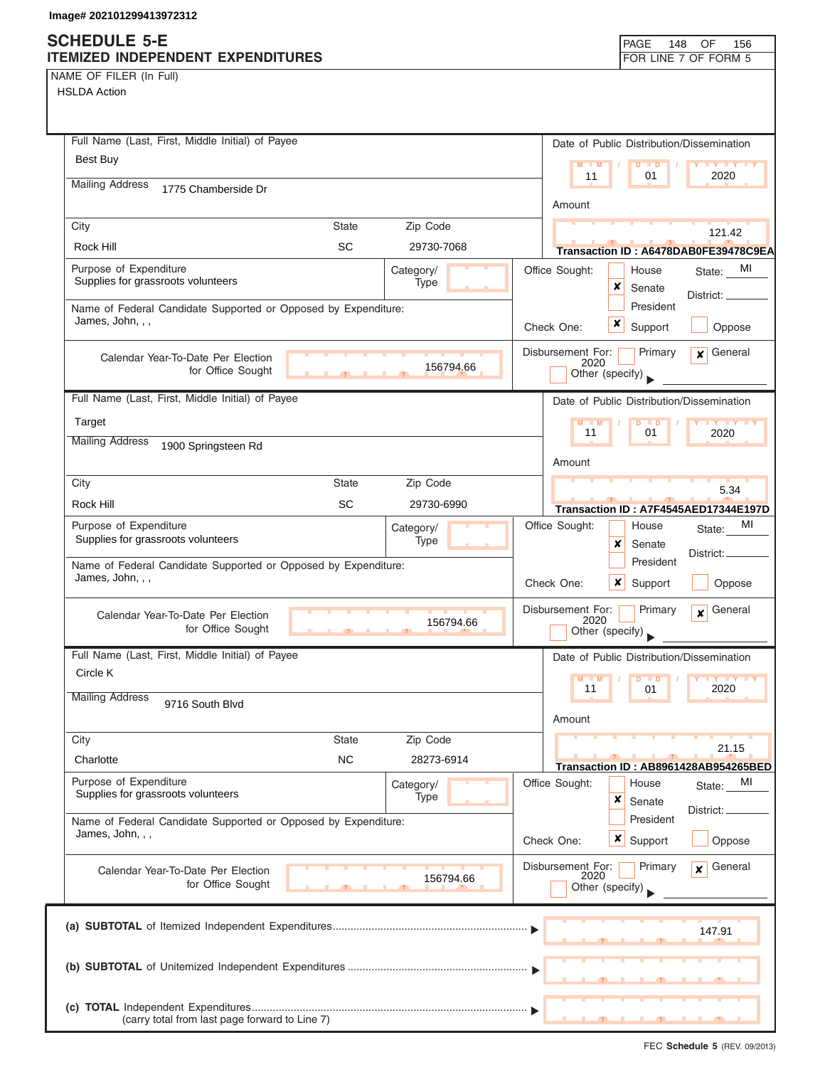# **SCHEDULE 5-E**

| NAME OF FILER (In Full) |  |
|-------------------------|--|
|-------------------------|--|

| <b>SUNEDULE 3-E</b><br>ITEMIZED INDEPENDENT EXPENDITURES                           |              |                   |                           | <b>PAGE</b><br>148  | OF<br>156<br>FOR LINE 7 OF FORM 5         |
|------------------------------------------------------------------------------------|--------------|-------------------|---------------------------|---------------------|-------------------------------------------|
| NAME OF FILER (In Full)                                                            |              |                   |                           |                     |                                           |
| <b>HSLDA Action</b>                                                                |              |                   |                           |                     |                                           |
|                                                                                    |              |                   |                           |                     |                                           |
|                                                                                    |              |                   |                           |                     |                                           |
| Full Name (Last, First, Middle Initial) of Payee                                   |              |                   |                           |                     | Date of Public Distribution/Dissemination |
| Best Buy                                                                           |              |                   | $M - M$                   | $D$ $D$             | <b>TY Y Y T</b>                           |
| <b>Mailing Address</b><br>1775 Chamberside Dr                                      |              |                   | 11                        | 01                  | 2020                                      |
|                                                                                    |              |                   | Amount                    |                     |                                           |
| City                                                                               | <b>State</b> | Zip Code          |                           |                     |                                           |
| Rock Hill                                                                          | <b>SC</b>    | 29730-7068        |                           |                     | 121.42                                    |
|                                                                                    |              |                   |                           |                     | Transaction ID: A6478DAB0FE39478C9EA      |
| Purpose of Expenditure<br>Supplies for grassroots volunteers                       |              | Category/<br>Type | Office Sought:            | House<br>×          | MI<br>State:                              |
|                                                                                    |              |                   |                           | Senate<br>President | District: _                               |
| Name of Federal Candidate Supported or Opposed by Expenditure:<br>James, John, , , |              |                   |                           | ×                   |                                           |
|                                                                                    |              |                   | Check One:                | Support             | Oppose                                    |
| Calendar Year-To-Date Per Election                                                 |              |                   | Disbursement For:         | Primary             | $\mathbf x$ General                       |
| for Office Sought                                                                  |              | 156794.66         | 2020<br>Other (specify)   |                     |                                           |
| Full Name (Last, First, Middle Initial) of Payee                                   |              |                   |                           |                     |                                           |
|                                                                                    |              |                   |                           |                     | Date of Public Distribution/Dissemination |
| Target                                                                             |              |                   | $M - M$<br>11             | $D$ $D$<br>01       | <b>TY TY TY</b><br>2020                   |
| <b>Mailing Address</b><br>1900 Springsteen Rd                                      |              |                   |                           |                     |                                           |
|                                                                                    |              |                   | Amount                    |                     |                                           |
| City                                                                               | <b>State</b> | Zip Code          |                           |                     | 5.34                                      |
| Rock Hill                                                                          | <b>SC</b>    | 29730-6990        |                           |                     | Transaction ID: A7F4545AED17344E197D      |
| Purpose of Expenditure                                                             |              | Category/         | Office Sought:            | House               | MI<br>State:                              |
| Supplies for grassroots volunteers                                                 |              | Type              |                           | x<br>Senate         |                                           |
| Name of Federal Candidate Supported or Opposed by Expenditure:                     |              |                   |                           | President           | District:                                 |
| James, John, , ,                                                                   |              |                   | Check One:                | ×<br>Support        | Oppose                                    |
|                                                                                    |              |                   |                           |                     |                                           |
| Calendar Year-To-Date Per Election                                                 |              | 156794.66         | Disbursement For:<br>2020 | Primary             | General<br>$\boldsymbol{x}$               |
| for Office Sought                                                                  |              |                   | Other (specify)           |                     |                                           |
| Full Name (Last, First, Middle Initial) of Payee                                   |              |                   |                           |                     | Date of Public Distribution/Dissemination |
| Circle K                                                                           |              |                   | $M - M$                   | $D$ $D$             | <b>TY TY</b>                              |
| <b>Mailing Address</b>                                                             |              |                   | 11                        | 01                  | 2020                                      |
| 9716 South Blvd                                                                    |              |                   | Amount                    |                     |                                           |
| City                                                                               | <b>State</b> | Zip Code          |                           |                     |                                           |
| Charlotte                                                                          | <b>NC</b>    | 28273-6914        |                           |                     | 21.15                                     |
|                                                                                    |              |                   |                           |                     | Transaction ID: AB8961428AB954265BED      |
| Purpose of Expenditure<br>Supplies for grassroots volunteers                       |              | Category/<br>Type | Office Sought:            | House               | MI<br>State:                              |
|                                                                                    |              |                   |                           | ×<br>Senate         | District: _                               |
| Name of Federal Candidate Supported or Opposed by Expenditure:<br>James, John, , , |              |                   |                           | President           |                                           |
|                                                                                    |              |                   | Check One:                | $x \mid$ Support    | Oppose                                    |
| Calendar Year-To-Date Per Election                                                 |              |                   | Disbursement For:         | Primary             | General<br>$\mathbf{x}$                   |
| for Office Sought                                                                  |              | 156794.66         | 2020<br>Other (specify)   |                     |                                           |
|                                                                                    |              |                   |                           |                     |                                           |
|                                                                                    |              |                   |                           |                     |                                           |
|                                                                                    |              |                   |                           |                     | 147.91                                    |
|                                                                                    |              |                   |                           |                     |                                           |
|                                                                                    |              |                   |                           |                     |                                           |
|                                                                                    |              |                   |                           |                     |                                           |
| (carry total from last page forward to Line 7)                                     |              |                   |                           |                     |                                           |
|                                                                                    |              |                   |                           |                     |                                           |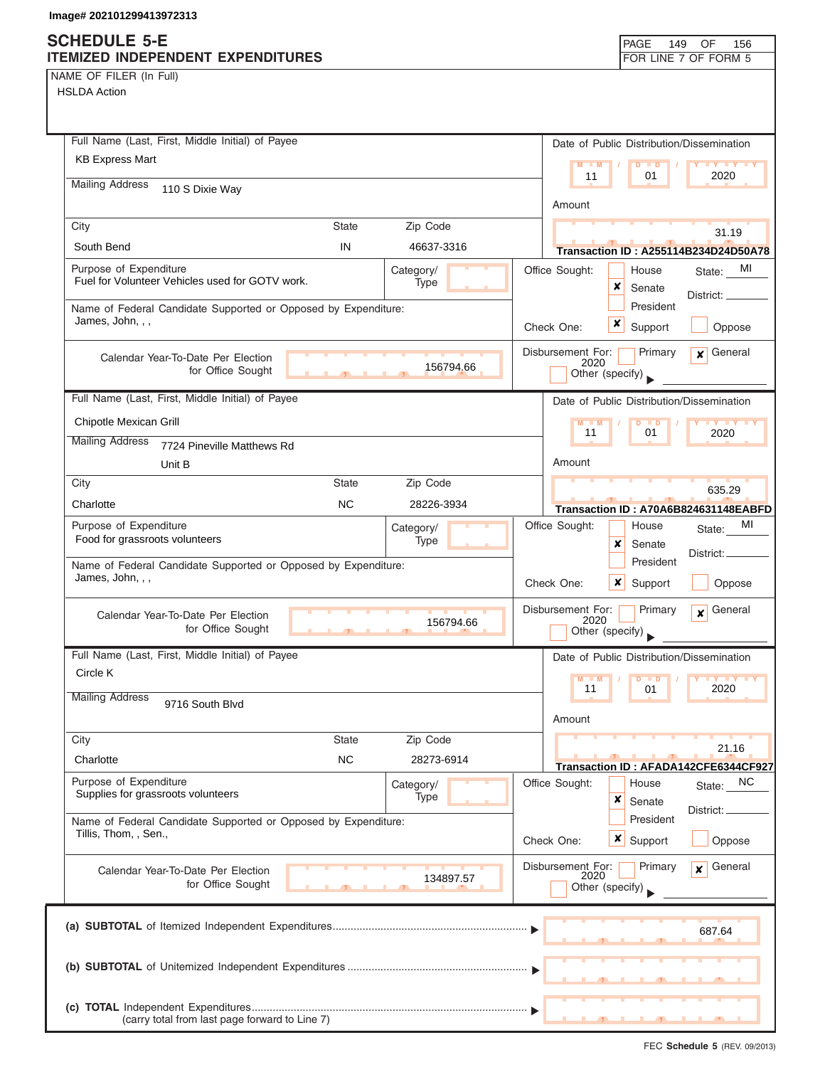# **SCHEDULE 5-E**

| ITEMIZED INDEPENDENT EXPENDITURES                                                       |                          | FOR LINE 7 OF FORM 5                                                  |
|-----------------------------------------------------------------------------------------|--------------------------|-----------------------------------------------------------------------|
| NAME OF FILER (In Full)                                                                 |                          |                                                                       |
| <b>HSLDA Action</b>                                                                     |                          |                                                                       |
|                                                                                         |                          |                                                                       |
|                                                                                         |                          |                                                                       |
| Full Name (Last, First, Middle Initial) of Payee                                        |                          | Date of Public Distribution/Dissemination                             |
| <b>KB Express Mart</b>                                                                  |                          | $M - M$<br>Y * Y * Y * Y<br>$D$ $D$<br>2020<br>01<br>11               |
| <b>Mailing Address</b><br>110 S Dixie Way                                               |                          |                                                                       |
|                                                                                         |                          | Amount                                                                |
| City<br><b>State</b>                                                                    | Zip Code                 | 31.19                                                                 |
| IN<br>South Bend                                                                        | 46637-3316               | <b>Transaction ID: A255114B234D24D50A78</b>                           |
| Purpose of Expenditure                                                                  | Category/                | Office Sought:<br>MI<br>House<br>State:                               |
| Fuel for Volunteer Vehicles used for GOTV work.                                         | Type                     | ×<br>Senate                                                           |
| Name of Federal Candidate Supported or Opposed by Expenditure:                          |                          | District: _____<br>President                                          |
| James, John, , ,                                                                        |                          | $\boldsymbol{x}$<br>Check One:<br>Support<br>Oppose                   |
|                                                                                         |                          | $\mathbf x$ General<br>Primary                                        |
| Calendar Year-To-Date Per Election<br>for Office Sought                                 | 156794.66                | Disbursement For:<br>2020                                             |
|                                                                                         |                          | Other (specify)                                                       |
| Full Name (Last, First, Middle Initial) of Payee                                        |                          | Date of Public Distribution/Dissemination                             |
| Chipotle Mexican Grill                                                                  |                          | M<br>$\overline{D}$<br>$\blacksquare$<br><b>TY TY</b>                 |
| <b>Mailing Address</b><br>7724 Pineville Matthews Rd                                    |                          | 11<br>01<br>2020                                                      |
| Unit B                                                                                  |                          | Amount                                                                |
| City<br><b>State</b>                                                                    | Zip Code                 |                                                                       |
| Charlotte<br><b>NC</b>                                                                  | 28226-3934               | 635.29                                                                |
| Purpose of Expenditure                                                                  |                          | Transaction ID: A70A6B824631148EABFD<br>Office Sought:<br>МI<br>House |
| Food for grassroots volunteers                                                          | Category/<br><b>Type</b> | State:<br>×<br>Senate                                                 |
| Name of Federal Candidate Supported or Opposed by Expenditure:                          |                          | District:<br>President                                                |
| James, John, , ,                                                                        |                          | Check One:<br>x<br>Support<br>Oppose                                  |
|                                                                                         |                          |                                                                       |
| Calendar Year-To-Date Per Election                                                      | 156794.66                | General<br>Disbursement For:<br>Primary<br>$\boldsymbol{x}$<br>2020   |
| for Office Sought<br>$\overline{1}$                                                     | a Bar                    | Other (specify)                                                       |
| Full Name (Last, First, Middle Initial) of Payee                                        |                          | Date of Public Distribution/Dissemination                             |
| Circle K                                                                                |                          | $M - M$<br>D<br>$\blacksquare$                                        |
| <b>Mailing Address</b>                                                                  |                          | 2020<br>11<br>01                                                      |
| 9716 South Blvd                                                                         |                          | Amount                                                                |
| <b>State</b><br>City                                                                    | Zip Code                 |                                                                       |
| <b>NC</b>                                                                               |                          | 21.16                                                                 |
| Charlotte                                                                               | 28273-6914               | Transaction ID: AFADA142CFE6344CF927                                  |
| Purpose of Expenditure<br>Supplies for grassroots volunteers                            | Category/<br>Type        | Office Sought:<br>NC.<br>House<br>State:                              |
|                                                                                         |                          | ×<br>Senate<br>District:                                              |
| Name of Federal Candidate Supported or Opposed by Expenditure:<br>Tillis, Thom, , Sen., |                          | President                                                             |
|                                                                                         |                          | <b>x</b> Support<br>Oppose<br>Check One:                              |
| Calendar Year-To-Date Per Election                                                      |                          | Disbursement For:<br>Primary<br>General<br>$\mathbf{x}$<br>2020       |
| for Office Sought                                                                       | 134897.57                | Other (specify)                                                       |
|                                                                                         |                          |                                                                       |
|                                                                                         |                          | 687.64                                                                |
|                                                                                         |                          |                                                                       |
|                                                                                         |                          |                                                                       |
|                                                                                         |                          |                                                                       |
|                                                                                         |                          |                                                                       |
| (carry total from last page forward to Line 7)                                          |                          |                                                                       |

PAGE 149 OF 156

I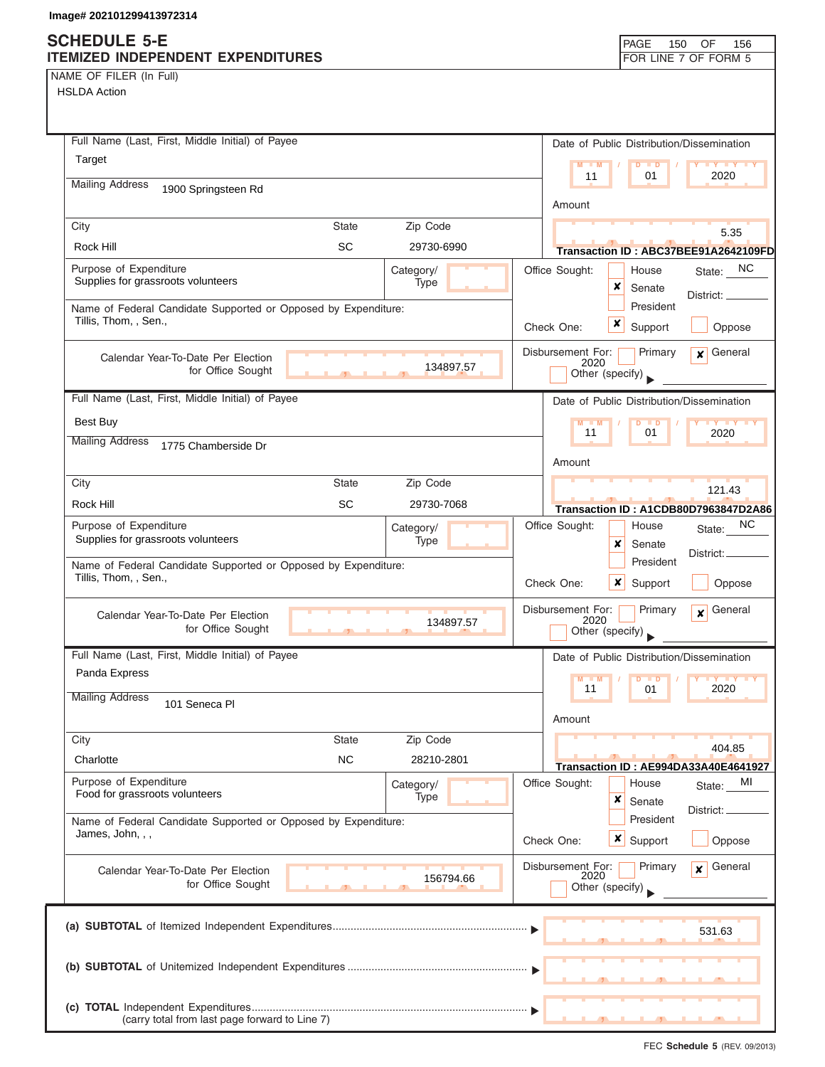## **SCHEDULE 5-E ITEMIZED INDEPENDENT EXPENDITURES FOR LINE 7 OF FORM 5**

NAME OF FILER (In Full) HSLDA Action

| Full Name (Last, First, Middle Initial) of Payee                                        |              |                   | Date of Public Distribution/Dissemination                                                    |
|-----------------------------------------------------------------------------------------|--------------|-------------------|----------------------------------------------------------------------------------------------|
| Target                                                                                  |              |                   | $M - M$<br>D<br>$\blacksquare$<br>$\mathbf{Y}$ $\mathbf{Y}$                                  |
| <b>Mailing Address</b><br>1900 Springsteen Rd                                           |              |                   | 2020<br>11<br>01                                                                             |
|                                                                                         |              |                   | Amount                                                                                       |
| City                                                                                    | <b>State</b> | Zip Code          | 5.35                                                                                         |
| Rock Hill                                                                               | <b>SC</b>    | 29730-6990        | Transaction ID: ABC37BEE91A2642109FD                                                         |
| Purpose of Expenditure<br>Supplies for grassroots volunteers                            |              | Category/<br>Type | NC<br>Office Sought:<br>House<br>State:<br>x<br>Senate<br>District:                          |
| Name of Federal Candidate Supported or Opposed by Expenditure:<br>Tillis, Thom, , Sen., |              |                   | President<br>x<br>Support<br>Oppose<br>Check One:                                            |
| Calendar Year-To-Date Per Election<br>for Office Sought                                 |              | 134897.57         | Disbursement For:<br>Primary<br>General<br>$\mathbf{x}$<br>2020<br>Other (specify)           |
| Full Name (Last, First, Middle Initial) of Payee                                        |              |                   | Date of Public Distribution/Dissemination                                                    |
| Best Buy                                                                                |              |                   | $M - M$<br>D<br>$\blacksquare$<br>$\mathbf{y}$ $\mathbf{y}$ $\mathbf{y}$<br>11<br>01<br>2020 |
| <b>Mailing Address</b><br>1775 Chamberside Dr                                           |              |                   |                                                                                              |
|                                                                                         |              |                   | Amount                                                                                       |
| City                                                                                    | <b>State</b> | Zip Code          | 121.43                                                                                       |
| Rock Hill                                                                               | SC           | 29730-7068        | Transaction ID: A1CDB80D7963847D2A86                                                         |
| Purpose of Expenditure<br>Supplies for grassroots volunteers                            |              | Category/<br>Type | NC<br>Office Sought:<br>House<br>State:<br>×<br>Senate<br>District: _                        |
| Name of Federal Candidate Supported or Opposed by Expenditure:<br>Tillis, Thom, , Sen., |              |                   | President<br>Check One:<br>x<br>Support<br>Oppose                                            |
| Calendar Year-To-Date Per Election<br>for Office Sought                                 |              | 134897.57         | Disbursement For:<br>General<br>Primary<br>$\boldsymbol{x}$<br>2020<br>Other (specify)       |
| Full Name (Last, First, Middle Initial) of Payee                                        |              |                   | Date of Public Distribution/Dissemination                                                    |
| Panda Express                                                                           |              |                   | $M$ $M$<br>$D$ $D$<br>2020<br>11<br>01                                                       |
| <b>Mailing Address</b><br>101 Seneca PI                                                 |              |                   | Amount                                                                                       |
| City                                                                                    | <b>State</b> | Zip Code          | 404.85                                                                                       |
| Charlotte                                                                               | <b>NC</b>    | 28210-2801        | Transaction ID: AE994DA33A40E4641927                                                         |
| Purpose of Expenditure<br>Food for grassroots volunteers                                |              | Category/<br>Type | Office Sought:<br>House<br>MI<br>State:<br>$\pmb{\times}$<br>Senate                          |
| Name of Federal Candidate Supported or Opposed by Expenditure:<br>James, John, , ,      |              |                   | District:<br>President<br>$x \mid$<br>Check One:<br>Support<br>Oppose                        |
| Calendar Year-To-Date Per Election<br>for Office Sought                                 |              | 156794.66         | Disbursement For:<br>General<br>Primary<br>x<br>2020<br>Other (specify)                      |
|                                                                                         |              |                   | 531.63                                                                                       |
|                                                                                         |              |                   |                                                                                              |
| (carry total from last page forward to Line 7)                                          |              |                   |                                                                                              |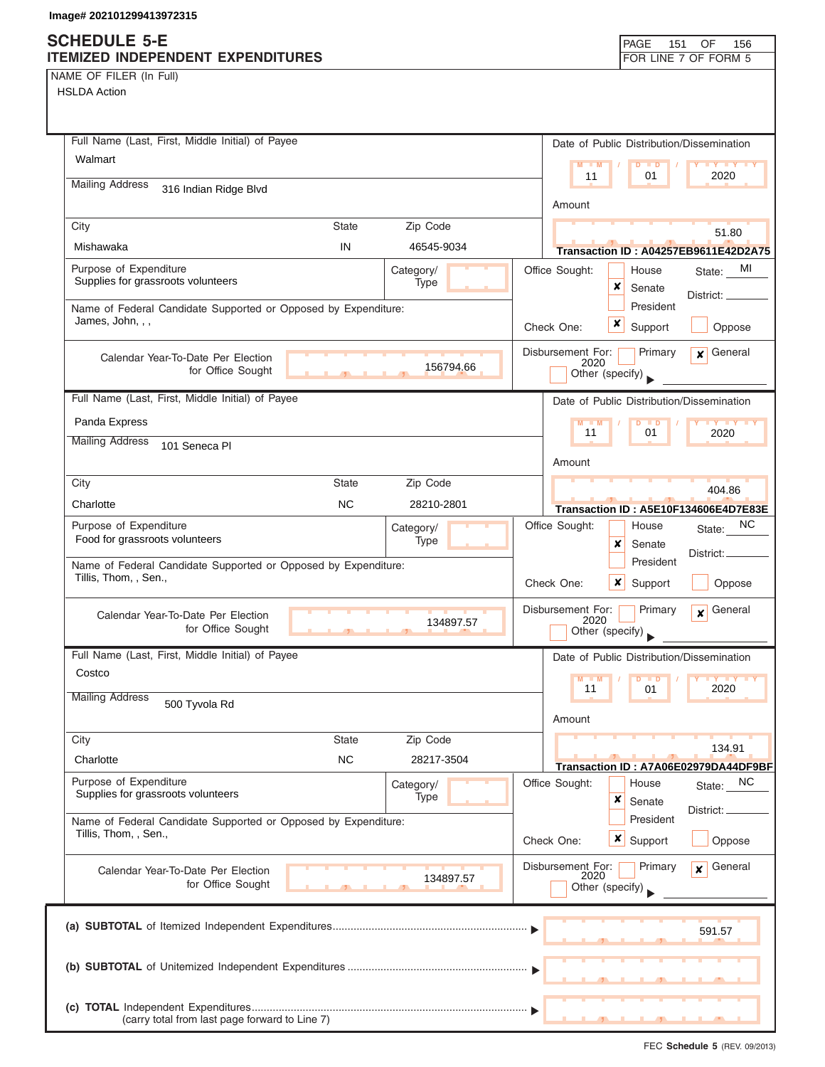## **SCHEDULE 5-E ITEMIZED INDEPENDENT EXPENDITURES FOR LINE 7 OF FORM 5**

NAME OF FILER (In Full) HSLDA Action

| HSLDA Action                                                                            |              |                   |                                              |                  |                     |                                                   |
|-----------------------------------------------------------------------------------------|--------------|-------------------|----------------------------------------------|------------------|---------------------|---------------------------------------------------|
| Full Name (Last, First, Middle Initial) of Payee                                        |              |                   |                                              |                  |                     | Date of Public Distribution/Dissemination         |
| Walmart                                                                                 |              |                   | $M = M$<br>11                                |                  | $D$ $D$<br>01       | <b>TY TY TY</b><br>2020                           |
| <b>Mailing Address</b><br>316 Indian Ridge Blvd                                         |              |                   | Amount                                       |                  |                     |                                                   |
| City                                                                                    | <b>State</b> | Zip Code          |                                              |                  |                     |                                                   |
| Mishawaka                                                                               | IN           | 46545-9034        |                                              |                  |                     | 51.80                                             |
| Purpose of Expenditure                                                                  |              |                   | Office Sought:                               |                  | House               | <b>Transaction ID: A04257EB9611E42D2A75</b><br>MI |
| Supplies for grassroots volunteers                                                      |              | Category/<br>Type |                                              | x                | Senate              | State:                                            |
| Name of Federal Candidate Supported or Opposed by Expenditure:                          |              |                   |                                              |                  | President           | District: _                                       |
| James, John, , ,                                                                        |              |                   | Check One:                                   | $\boldsymbol{x}$ | Support             | Oppose                                            |
| Calendar Year-To-Date Per Election                                                      |              | 156794.66         | Disbursement For:<br>2020                    |                  | Primary             | General<br>$\mathsf{x}$                           |
| for Office Sought                                                                       |              |                   | Other (specify)                              |                  |                     |                                                   |
| Full Name (Last, First, Middle Initial) of Payee                                        |              |                   |                                              |                  |                     | Date of Public Distribution/Dissemination         |
| Panda Express                                                                           |              |                   | $M - M$                                      |                  | Þ<br>$\blacksquare$ | $\mathbf{y}$ $\mathbf{y}$                         |
| <b>Mailing Address</b><br>101 Seneca Pl                                                 |              |                   | 11                                           |                  | 01                  | 2020                                              |
|                                                                                         |              |                   | Amount                                       |                  |                     |                                                   |
| City                                                                                    | <b>State</b> | Zip Code          |                                              |                  |                     | 404.86                                            |
| Charlotte                                                                               | <b>NC</b>    | 28210-2801        |                                              |                  |                     | Transaction ID: A5E10F134606E4D7E83E              |
| Purpose of Expenditure                                                                  |              | Category/         | Office Sought:                               |                  | House               | NС<br>State:                                      |
| Food for grassroots volunteers                                                          |              | Type              |                                              | x                | Senate              | District:                                         |
| Name of Federal Candidate Supported or Opposed by Expenditure:                          |              |                   |                                              |                  | President           |                                                   |
| Tillis, Thom, , Sen.,                                                                   |              |                   | Check One:                                   |                  | $x$ Support         | Oppose                                            |
| Calendar Year-To-Date Per Election<br>for Office Sought                                 |              | 134897.57         | Disbursement For:<br>2020<br>Other (specify) |                  | Primary             | General<br>$\boldsymbol{x}$                       |
| Full Name (Last, First, Middle Initial) of Payee                                        |              |                   |                                              |                  |                     | Date of Public Distribution/Dissemination         |
| Costco                                                                                  |              |                   | $M - M$<br>11                                |                  | $D$ $D$<br>01       | 2020                                              |
| Mailing Address<br>500 Tyvola Rd                                                        |              |                   |                                              |                  |                     |                                                   |
|                                                                                         |              |                   | Amount                                       |                  |                     |                                                   |
| City                                                                                    | <b>State</b> | Zip Code          |                                              |                  |                     | 134.91                                            |
| Charlotte                                                                               | <b>NC</b>    | 28217-3504        |                                              |                  |                     | Transaction ID: A7A06E02979DA44DF9BF              |
| Purpose of Expenditure<br>Supplies for grassroots volunteers                            |              | Category/         | Office Sought:                               |                  | House               | NC<br>State:                                      |
|                                                                                         |              | Type              |                                              | ×                | Senate              | District:                                         |
| Name of Federal Candidate Supported or Opposed by Expenditure:<br>Tillis, Thom, , Sen., |              |                   |                                              |                  | President           |                                                   |
|                                                                                         |              |                   | Check One:                                   |                  | <b>x</b> Support    | Oppose                                            |
| Calendar Year-To-Date Per Election<br>for Office Sought                                 |              | 134897.57         | Disbursement For:<br>2020<br>Other (specify) |                  | Primary             | General<br>$\mathbf{x}$                           |
|                                                                                         |              |                   |                                              |                  |                     |                                                   |
|                                                                                         |              |                   |                                              |                  |                     | 591.57                                            |
|                                                                                         |              |                   |                                              |                  |                     |                                                   |
|                                                                                         |              |                   |                                              |                  |                     |                                                   |
|                                                                                         |              |                   |                                              |                  |                     |                                                   |
| (carry total from last page forward to Line 7)                                          |              |                   |                                              |                  |                     |                                                   |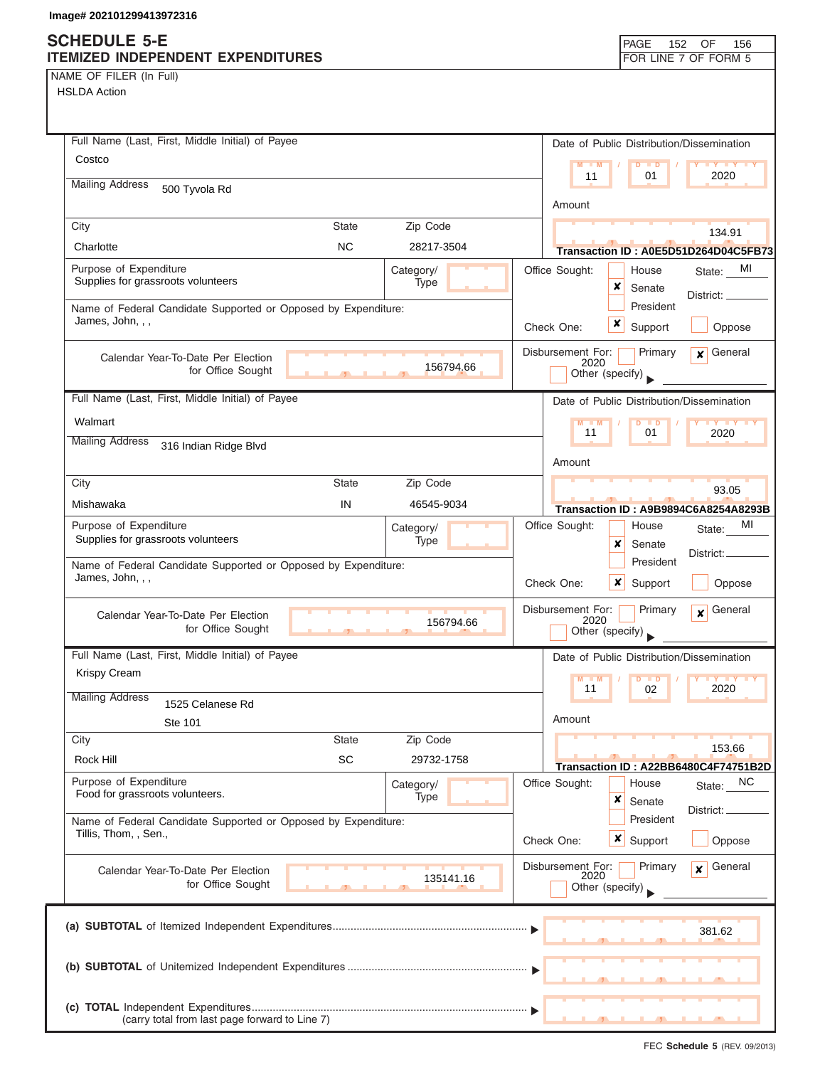## **SCHEDULE 5-E ITEMIZED INDEPENDENT EXPENDITURES FOR LINE 7 OF FORM 5**

NAME OF FILER (In Full)

| Full Name (Last, First, Middle Initial) of Payee                                        |            | Date of Public Distribution/Dissemination                       |
|-----------------------------------------------------------------------------------------|------------|-----------------------------------------------------------------|
| Costco                                                                                  |            | $M - M$<br>$D$ $\Box$ $D$<br><b>THE YEAR</b>                    |
| <b>Mailing Address</b><br>500 Tyvola Rd                                                 |            | 2020<br>11<br>01                                                |
|                                                                                         |            | Amount                                                          |
| City<br><b>State</b>                                                                    | Zip Code   | 134.91                                                          |
| <b>NC</b><br>Charlotte                                                                  | 28217-3504 | Transaction ID: A0E5D51D264D04C5FB73                            |
| Purpose of Expenditure                                                                  | Category/  | Office Sought:<br>MI<br>House<br>State:                         |
| Supplies for grassroots volunteers                                                      | Type       | ×<br>Senate<br>District: ____                                   |
| Name of Federal Candidate Supported or Opposed by Expenditure:                          |            | President                                                       |
| James, John, , ,                                                                        |            | x<br>Check One:<br>Support<br>Oppose                            |
| Calendar Year-To-Date Per Election                                                      |            | Primary<br>General<br>Disbursement For:<br>$\mathbf{x}$<br>2020 |
| for Office Sought                                                                       | 156794.66  | Other (specify)                                                 |
| Full Name (Last, First, Middle Initial) of Payee                                        |            | Date of Public Distribution/Dissemination                       |
| Walmart                                                                                 |            | $\blacksquare$                                                  |
| <b>Mailing Address</b><br>316 Indian Ridge Blvd                                         |            | 11<br>01<br>2020                                                |
|                                                                                         |            | Amount                                                          |
| City<br>State                                                                           | Zip Code   | 93.05                                                           |
| IN<br>Mishawaka                                                                         | 46545-9034 | <b>Transaction ID: A9B9894C6A8254A8293B</b>                     |
| Purpose of Expenditure                                                                  | Category/  | Office Sought:<br>MI<br>House<br>State:                         |
| Supplies for grassroots volunteers                                                      | Type       | ×<br>Senate<br>District: _                                      |
| Name of Federal Candidate Supported or Opposed by Expenditure:<br>James, John, , ,      |            | President                                                       |
|                                                                                         |            | Check One:<br>x<br>Support<br>Oppose                            |
| Calendar Year-To-Date Per Election                                                      | 156794.66  | Disbursement For:<br>General<br>Primary<br>$\mathbf{x}$<br>2020 |
| for Office Sought<br><u>and the state of the state</u>                                  |            | Other (specify)                                                 |
| Full Name (Last, First, Middle Initial) of Payee                                        |            | Date of Public Distribution/Dissemination                       |
| Krispy Cream                                                                            |            | M<br>$Y$ $Y$<br>$\blacksquare$                                  |
| <b>Mailing Address</b><br>1525 Celanese Rd                                              |            | 11<br>2020<br>02                                                |
| Ste 101                                                                                 |            | Amount                                                          |
| City<br><b>State</b>                                                                    | Zip Code   | 153.66                                                          |
| SC<br>Rock Hill                                                                         | 29732-1758 | Transaction ID: A22BB6480C4F74751B2D                            |
| Purpose of Expenditure                                                                  | Category/  | <b>NC</b><br>Office Sought:<br>House<br>State:                  |
| Food for grassroots volunteers.                                                         | Type       | ×<br>Senate<br>District: _                                      |
| Name of Federal Candidate Supported or Opposed by Expenditure:<br>Tillis, Thom, , Sen., |            | President                                                       |
|                                                                                         |            | x<br>Support<br>Check One:<br>Oppose                            |
| Calendar Year-To-Date Per Election                                                      |            | General<br>Disbursement For:<br>Primary<br>x<br>2020            |
| for Office Sought                                                                       | 135141.16  | Other (specify)                                                 |
|                                                                                         |            |                                                                 |
|                                                                                         |            | 381.62                                                          |
|                                                                                         |            |                                                                 |
|                                                                                         |            |                                                                 |
|                                                                                         |            |                                                                 |
| (carry total from last page forward to Line 7)                                          |            |                                                                 |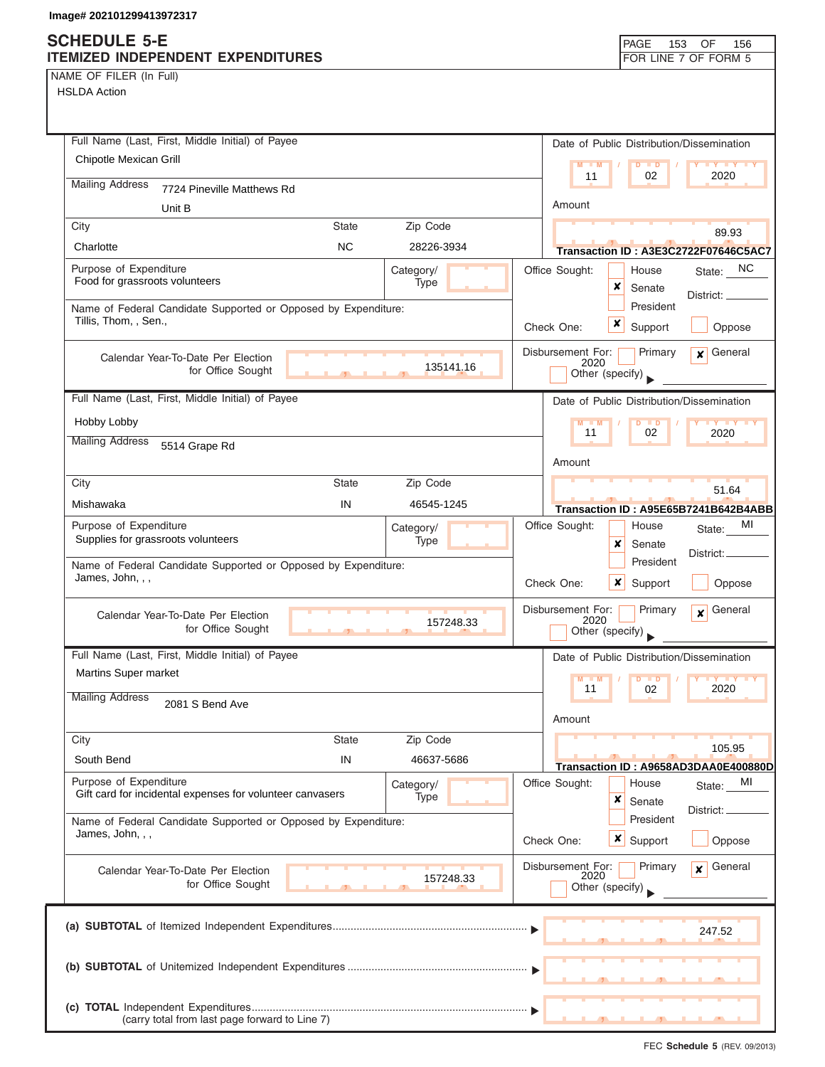## **SCHEDULE 5-E ITEMIZED INDEPENDENT EXPENDITURES FOR LINE 7 OF FORM 5**

NAME OF FILER (In Full)

HSLDA Action

| Full Name (Last, First, Middle Initial) of Payee                                                 | Date of Public Distribution/Dissemination                                                                                                     |
|--------------------------------------------------------------------------------------------------|-----------------------------------------------------------------------------------------------------------------------------------------------|
| Chipotle Mexican Grill                                                                           | $M - M$<br>$D$ $D$<br><b>TY TY TY</b>                                                                                                         |
| <b>Mailing Address</b><br>7724 Pineville Matthews Rd                                             | 11<br>2020<br>02                                                                                                                              |
| Unit B                                                                                           | Amount                                                                                                                                        |
| City<br><b>State</b><br>Zip Code                                                                 | 89.93                                                                                                                                         |
| <b>NC</b><br>Charlotte<br>28226-3934                                                             | Transaction ID: A3E3C2722F07646C5AC7                                                                                                          |
| Purpose of Expenditure<br>Category/                                                              | State: NC<br>Office Sought:<br>House                                                                                                          |
| Food for grassroots volunteers<br>Type                                                           | x<br>Senate<br>District: __                                                                                                                   |
| Name of Federal Candidate Supported or Opposed by Expenditure:<br>Tillis, Thom, , Sen.,          | President                                                                                                                                     |
|                                                                                                  | x<br>Support<br>Check One:<br>Oppose                                                                                                          |
| Calendar Year-To-Date Per Election                                                               | General<br>Disbursement For:<br>Primary<br>$\mathbf{x}$<br>2020                                                                               |
| 135141.16<br>for Office Sought                                                                   | Other (specify)                                                                                                                               |
| Full Name (Last, First, Middle Initial) of Payee                                                 | Date of Public Distribution/Dissemination                                                                                                     |
| Hobby Lobby                                                                                      | $M - M$<br>$D$ $D$<br>$\blacksquare$ $\blacksquare$ $\blacksquare$ $\blacksquare$ $\blacksquare$ $\blacksquare$ $\blacksquare$ $\blacksquare$ |
| <b>Mailing Address</b><br>5514 Grape Rd                                                          | 02<br>11<br>2020                                                                                                                              |
|                                                                                                  | Amount                                                                                                                                        |
| City<br><b>State</b><br>Zip Code                                                                 | 51.64                                                                                                                                         |
| Mishawaka<br>IN<br>46545-1245                                                                    | Transaction ID: A95E65B7241B642B4ABB                                                                                                          |
| Purpose of Expenditure<br>Category/                                                              | МI<br>Office Sought:<br>House<br>State:                                                                                                       |
| Supplies for grassroots volunteers<br>Type                                                       | x<br>Senate<br>District:                                                                                                                      |
| Name of Federal Candidate Supported or Opposed by Expenditure:<br>James, John, , ,               | President                                                                                                                                     |
|                                                                                                  | $\boldsymbol{x}$<br>Check One:<br>Support<br>Oppose                                                                                           |
| Calendar Year-To-Date Per Election<br>157248.33                                                  | Disbursement For:<br>General<br>Primary<br>$\mathbf{x}$<br>2020                                                                               |
| for Office Sought                                                                                | Other (specify)                                                                                                                               |
| Full Name (Last, First, Middle Initial) of Payee                                                 | Date of Public Distribution/Dissemination                                                                                                     |
| <b>Martins Super market</b>                                                                      | $M - M$<br>$\overline{D}$<br>$\blacksquare$<br>$\mathbf{v}$ $\mathbf{v}$                                                                      |
| <b>Mailing Address</b><br>2081 S Bend Ave                                                        | 11<br>2020<br>02                                                                                                                              |
|                                                                                                  | Amount                                                                                                                                        |
| City<br><b>State</b><br>Zip Code                                                                 | 105.95                                                                                                                                        |
| IN<br>South Bend<br>46637-5686                                                                   | Transaction ID: A9658AD3DAA0E400880D                                                                                                          |
| Purpose of Expenditure<br>Category/<br>Gift card for incidental expenses for volunteer canvasers | Office Sought:<br>MI<br>House<br>State:                                                                                                       |
| Type                                                                                             | x<br>Senate<br>District:                                                                                                                      |
| Name of Federal Candidate Supported or Opposed by Expenditure:<br>James, John, , ,               | President                                                                                                                                     |
|                                                                                                  | Check One:<br>$x \mid$ Support<br>Oppose                                                                                                      |
| Calendar Year-To-Date Per Election<br>157248.33                                                  | Disbursement For:<br>General<br>Primary<br>$\mathbf{x}$<br>2020                                                                               |
| for Office Sought                                                                                | Other (specify)                                                                                                                               |
|                                                                                                  |                                                                                                                                               |
|                                                                                                  | 247.52                                                                                                                                        |
|                                                                                                  |                                                                                                                                               |
|                                                                                                  |                                                                                                                                               |
|                                                                                                  |                                                                                                                                               |
| (carry total from last page forward to Line 7)                                                   |                                                                                                                                               |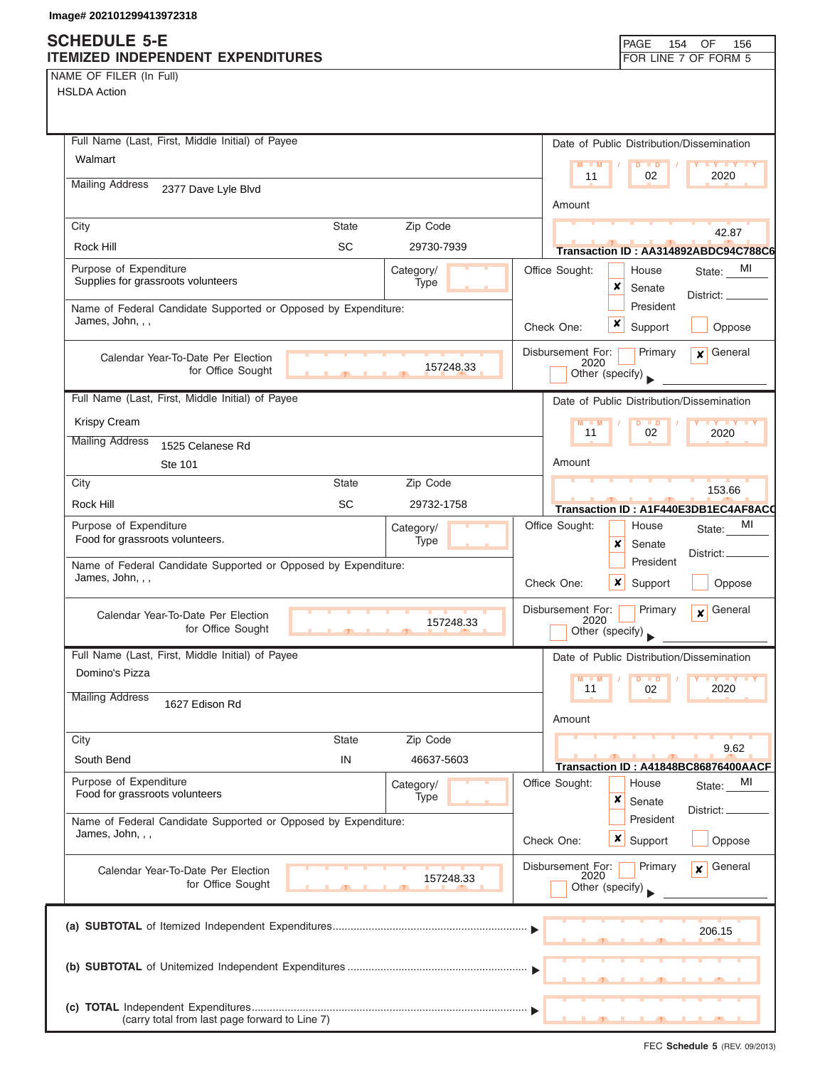## **SCHEDULE 5-E ITEMIZED INDEPENDENT EXPENDITURES FOR LINE 7 OF FORM 5**

NAME OF FILER (In Full)

HSLDA Action

| Full Name (Last, First, Middle Initial) of Payee                                   | Date of Public Distribution/Dissemination |                                                                                    |  |  |  |
|------------------------------------------------------------------------------------|-------------------------------------------|------------------------------------------------------------------------------------|--|--|--|
| Walmart                                                                            | $M - M$<br>$D$ $D$<br><b>LY LY LY</b>     |                                                                                    |  |  |  |
| <b>Mailing Address</b><br>2377 Dave Lyle Blvd                                      |                                           | 11<br>02<br>2020                                                                   |  |  |  |
|                                                                                    |                                           | Amount                                                                             |  |  |  |
| City<br><b>State</b>                                                               | Zip Code                                  | 42.87                                                                              |  |  |  |
| <b>SC</b><br>Rock Hill                                                             | 29730-7939                                | Transaction ID: AA314892ABDC94C788C6                                               |  |  |  |
| Purpose of Expenditure<br>Supplies for grassroots volunteers                       | Category/                                 | Office Sought:<br>MI<br>House<br>State:                                            |  |  |  |
| Type                                                                               |                                           | x<br>Senate<br>District: _<br>President                                            |  |  |  |
| Name of Federal Candidate Supported or Opposed by Expenditure:<br>James, John, , , |                                           | x<br>Check One:<br>Support<br>Oppose                                               |  |  |  |
|                                                                                    |                                           |                                                                                    |  |  |  |
| Calendar Year-To-Date Per Election<br>for Office Sought                            | 157248.33                                 | Disbursement For:<br>Primary<br>General<br>$\mathbf{x}$<br>2020                    |  |  |  |
| <b>A</b><br><b>COL</b>                                                             |                                           | Other (specify)                                                                    |  |  |  |
| Full Name (Last, First, Middle Initial) of Payee                                   |                                           | Date of Public Distribution/Dissemination                                          |  |  |  |
| Krispy Cream                                                                       |                                           | $M - M$<br><b>TY TY TY</b><br>$D$ $D$<br>11<br>02<br>2020                          |  |  |  |
| <b>Mailing Address</b><br>1525 Celanese Rd                                         |                                           |                                                                                    |  |  |  |
| Ste 101                                                                            |                                           | Amount                                                                             |  |  |  |
| City<br><b>State</b>                                                               | Zip Code                                  | 153.66                                                                             |  |  |  |
| <b>SC</b><br>Rock Hill                                                             | 29732-1758                                | Transaction ID: A1F440E3DB1EC4AF8AC0                                               |  |  |  |
| Purpose of Expenditure<br>Food for grassroots volunteers.                          | Category/<br>Type                         | Office Sought:<br>MI<br>House<br>State:<br>×<br>Senate                             |  |  |  |
| Name of Federal Candidate Supported or Opposed by Expenditure:                     |                                           | District:<br>President                                                             |  |  |  |
| James, John, , ,                                                                   |                                           | ×<br>Check One:<br>Support<br>Oppose                                               |  |  |  |
| Calendar Year-To-Date Per Election<br>157248.33<br>for Office Sought               |                                           | Disbursement For:<br>Primary<br>General<br>$\mathbf{x}$<br>2020<br>Other (specify) |  |  |  |
| Full Name (Last, First, Middle Initial) of Payee                                   |                                           | Date of Public Distribution/Dissemination                                          |  |  |  |
| Domino's Pizza                                                                     |                                           | $M - M$<br>$D$ $D$<br>$Y$ $Y$                                                      |  |  |  |
| <b>Mailing Address</b><br>1627 Edison Rd                                           |                                           | 2020<br>11<br>02<br>Amount                                                         |  |  |  |
| <b>State</b><br>City                                                               | Zip Code                                  |                                                                                    |  |  |  |
| South Bend<br>IN                                                                   | 46637-5603                                | 9.62                                                                               |  |  |  |
| Purpose of Expenditure                                                             | Category/                                 | Transaction ID: A41848BC86876400AACF<br>Office Sought:<br>House<br>MI<br>State:    |  |  |  |
| Food for grassroots volunteers                                                     | <b>Type</b>                               | ×<br>Senate                                                                        |  |  |  |
| Name of Federal Candidate Supported or Opposed by Expenditure:                     |                                           | District:<br>President                                                             |  |  |  |
| James, John, , ,                                                                   |                                           | $x \mid$<br>Support<br>Oppose<br>Check One:                                        |  |  |  |
| Calendar Year-To-Date Per Election                                                 |                                           | Disbursement For:<br>General<br>Primary<br>$\mathbf{x}$                            |  |  |  |
| for Office Sought                                                                  | 157248.33                                 | 2020<br>Other (specify)                                                            |  |  |  |
|                                                                                    |                                           |                                                                                    |  |  |  |
|                                                                                    |                                           | 206.15                                                                             |  |  |  |
|                                                                                    |                                           |                                                                                    |  |  |  |
|                                                                                    |                                           |                                                                                    |  |  |  |
|                                                                                    |                                           |                                                                                    |  |  |  |
| (carry total from last page forward to Line 7)                                     |                                           |                                                                                    |  |  |  |

FEC **Schedule 5** (REV. 09/2013)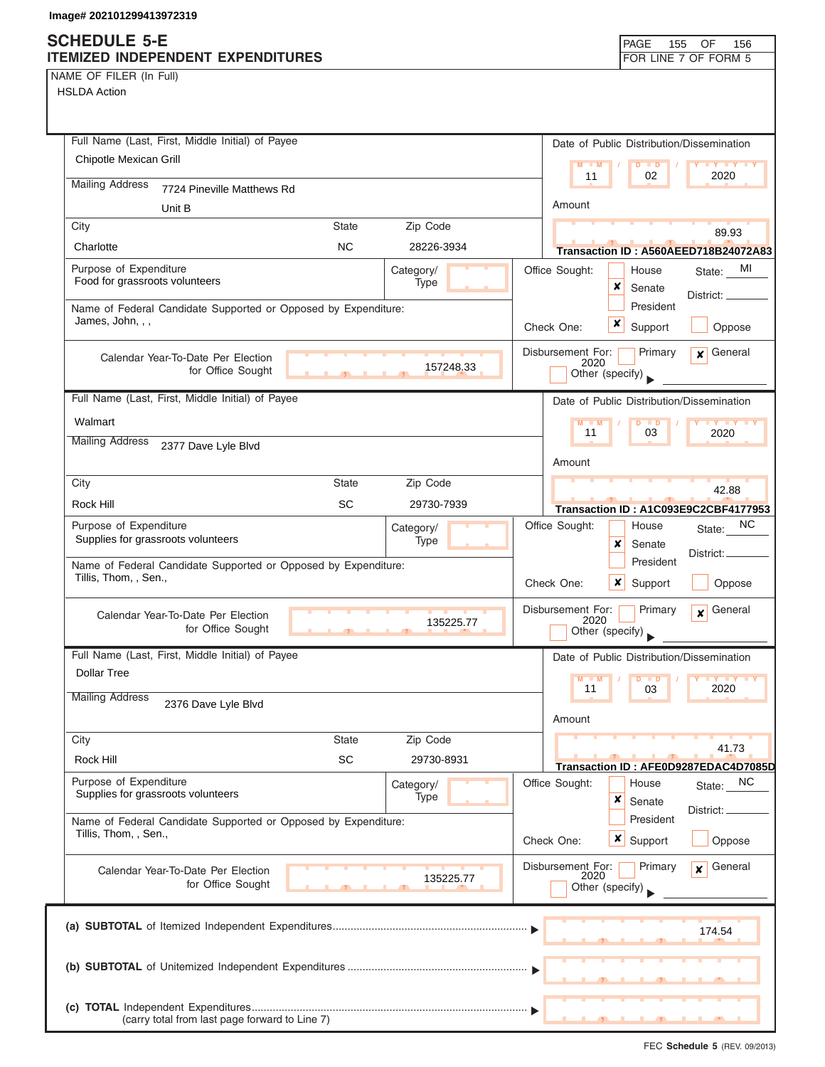#### **SCHEDULE 5 ITEMIZED INDEP**

|  | NAME OF FILER (In Full) |  |
|--|-------------------------|--|
|  |                         |  |

HSLDA Action

| <b>HEDULE 5-E</b><br>MIZED INDEPENDENT EXPENDITURES            |              |            |                         |                           | PAGE<br>155                               | OF<br>156<br>FOR LINE 7 OF FORM 5             |
|----------------------------------------------------------------|--------------|------------|-------------------------|---------------------------|-------------------------------------------|-----------------------------------------------|
| <b>JE OF FILER (In Full)</b><br><b>SLDA Action</b>             |              |            |                         |                           |                                           |                                               |
|                                                                |              |            |                         |                           |                                           |                                               |
| Full Name (Last, First, Middle Initial) of Payee               |              |            |                         |                           | Date of Public Distribution/Dissemination |                                               |
| Chipotle Mexican Grill                                         |              |            |                         | $M - M$                   | D<br>$\blacksquare$                       | $\mathbf{y}$ $\mathbf{y}$                     |
| <b>Mailing Address</b><br>7724 Pineville Matthews Rd           |              |            |                         | 11                        | 02                                        | 2020                                          |
| Unit B                                                         |              |            |                         | Amount                    |                                           |                                               |
| City                                                           | State        | Zip Code   |                         |                           |                                           |                                               |
| Charlotte                                                      | <b>NC</b>    | 28226-3934 |                         |                           |                                           | 89.93<br>Transaction ID: A560AEED718B24072A83 |
| Purpose of Expenditure                                         |              | Category/  |                         | Office Sought:            | House                                     | MI<br>State:                                  |
| Food for grassroots volunteers                                 |              | Type       |                         |                           | ×<br>Senate                               | District: __                                  |
| Name of Federal Candidate Supported or Opposed by Expenditure: |              |            |                         |                           | President                                 |                                               |
| James, John, , ,                                               |              |            |                         | Check One:                | x<br>Support                              | Oppose                                        |
| Calendar Year-To-Date Per Election                             |              |            |                         | Disbursement For:<br>2020 | Primary                                   | General<br>x                                  |
| for Office Sought                                              |              | 157248.33  |                         |                           | Other (specify)                           |                                               |
| Full Name (Last, First, Middle Initial) of Payee               |              |            |                         |                           | Date of Public Distribution/Dissemination |                                               |
| Walmart                                                        |              |            |                         | $M - M$                   | D<br>$\blacksquare$                       |                                               |
| <b>Mailing Address</b><br>2377 Dave Lyle Blvd                  |              |            |                         | 11                        | 03                                        | 2020                                          |
|                                                                |              |            |                         | Amount                    |                                           |                                               |
| City                                                           | <b>State</b> | Zip Code   |                         |                           |                                           | 42.88                                         |
| <b>Rock Hill</b>                                               | SC           | 29730-7939 |                         |                           |                                           | Transaction ID: A1C093E9C2CBF4177953          |
| Purpose of Expenditure                                         |              | Category/  |                         | Office Sought:            | House                                     | NC.<br>State:                                 |
| Supplies for grassroots volunteers                             |              | Type       |                         |                           | x<br>Senate                               |                                               |
| Name of Federal Candidate Supported or Opposed by Expenditure: |              |            |                         | President                 | District:                                 |                                               |
| Tillis, Thom, , Sen.,                                          |              |            |                         | Check One:                | x<br>Support                              | Oppose                                        |
| Calendar Year-To-Date Per Election                             |              |            |                         | Disbursement For:         | Primary                                   | General<br>×                                  |
| for Office Sought                                              |              | 135225.77  |                         | 2020                      | Other (specify)                           |                                               |
| Full Name (Last, First, Middle Initial) of Payee               |              |            |                         |                           | Date of Public Distribution/Dissemination |                                               |
| <b>Dollar Tree</b>                                             |              |            |                         | $M - M$                   | $D$ $D$                                   | <b>IY Y Y Y</b>                               |
| <b>Mailing Address</b><br>2376 Dave Lyle Blvd                  |              |            |                         | 11                        | 03                                        | 2020                                          |
|                                                                |              |            |                         | Amount                    |                                           |                                               |
| City                                                           | <b>State</b> | Zip Code   |                         |                           |                                           | 41.73                                         |
| Rock Hill                                                      | SC           | 29730-8931 |                         |                           |                                           | Transaction ID: AFE0D9287EDAC4D7085D          |
| Purpose of Expenditure                                         |              | Category/  |                         | Office Sought:            | House                                     | NC<br>State:                                  |
| Supplies for grassroots volunteers                             |              | Type       |                         |                           | x<br>Senate                               | District:                                     |
| Name of Federal Candidate Supported or Opposed by Expenditure: |              |            |                         |                           | President                                 |                                               |
| Tillis, Thom, , Sen.,                                          |              |            |                         | Check One:                | <b>x</b> Support                          | Oppose                                        |
| Calendar Year-To-Date Per Election                             |              |            |                         | Disbursement For:         | Primary                                   | General<br>×.                                 |
| 135225.77<br>for Office Sought                                 |              |            | 2020<br>Other (specify) |                           |                                           |                                               |
|                                                                |              |            |                         |                           |                                           |                                               |